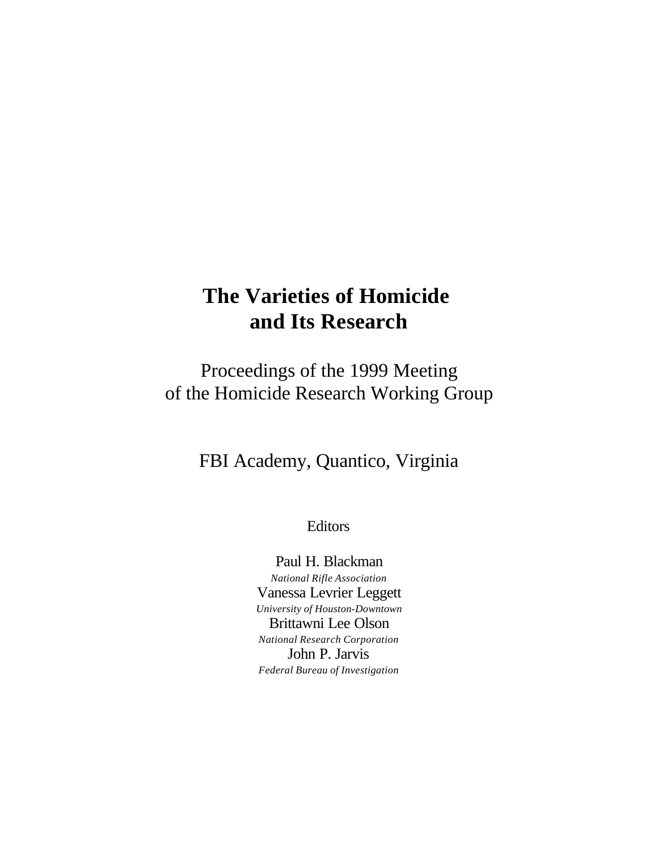# **The Varieties of Homicide and Its Research**

Proceedings of the 1999 Meeting of the Homicide Research Working Group

FBI Academy, Quantico, Virginia

Editors

Paul H. Blackman *National Rifle Association* Vanessa Levrier Leggett *University of Houston-Downtown* Brittawni Lee Olson *National Research Corporation* John P. Jarvis *Federal Bureau of Investigation*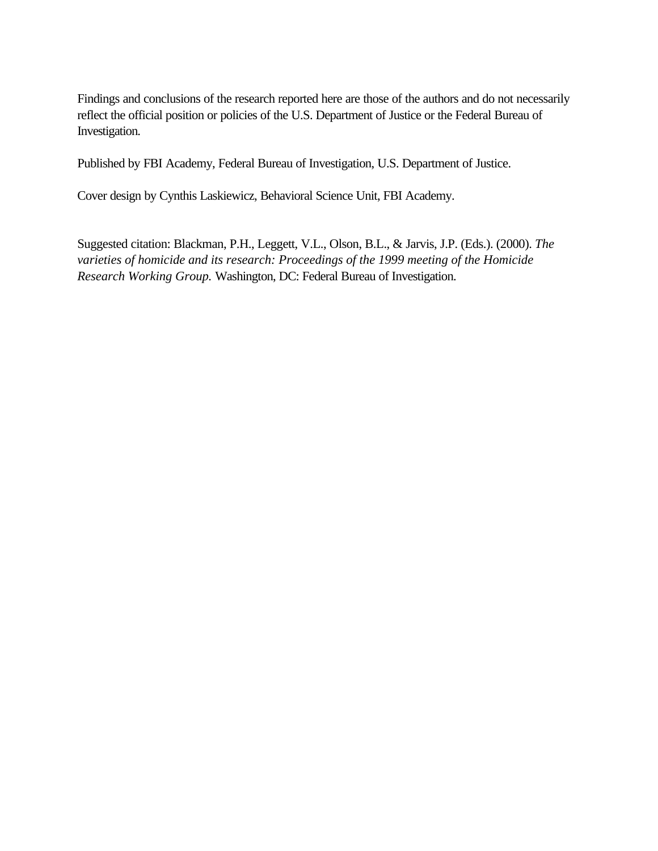Findings and conclusions of the research reported here are those of the authors and do not necessarily reflect the official position or policies of the U.S. Department of Justice or the Federal Bureau of Investigation.

Published by FBI Academy, Federal Bureau of Investigation, U.S. Department of Justice.

Cover design by Cynthis Laskiewicz, Behavioral Science Unit, FBI Academy.

Suggested citation: Blackman, P.H., Leggett, V.L., Olson, B.L., & Jarvis, J.P. (Eds.). (2000). *The varieties of homicide and its research: Proceedings of the 1999 meeting of the Homicide Research Working Group.* Washington, DC: Federal Bureau of Investigation.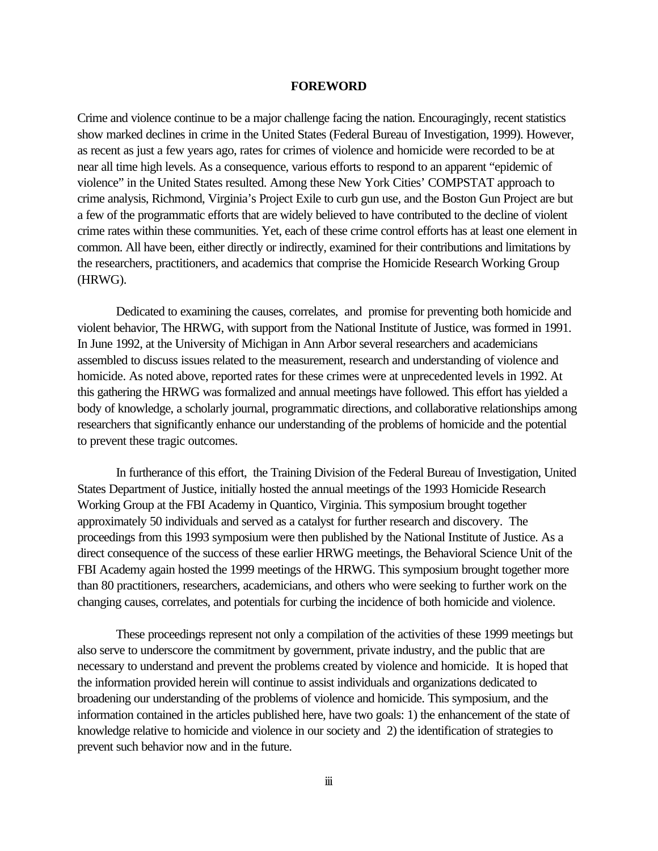#### **FOREWORD**

Crime and violence continue to be a major challenge facing the nation. Encouragingly, recent statistics show marked declines in crime in the United States (Federal Bureau of Investigation, 1999). However, as recent as just a few years ago, rates for crimes of violence and homicide were recorded to be at near all time high levels. As a consequence, various efforts to respond to an apparent "epidemic of violence" in the United States resulted. Among these New York Cities' COMPSTAT approach to crime analysis, Richmond, Virginia's Project Exile to curb gun use, and the Boston Gun Project are but a few of the programmatic efforts that are widely believed to have contributed to the decline of violent crime rates within these communities. Yet, each of these crime control efforts has at least one element in common. All have been, either directly or indirectly, examined for their contributions and limitations by the researchers, practitioners, and academics that comprise the Homicide Research Working Group (HRWG).

Dedicated to examining the causes, correlates, and promise for preventing both homicide and violent behavior, The HRWG, with support from the National Institute of Justice, was formed in 1991. In June 1992, at the University of Michigan in Ann Arbor several researchers and academicians assembled to discuss issues related to the measurement, research and understanding of violence and homicide. As noted above, reported rates for these crimes were at unprecedented levels in 1992. At this gathering the HRWG was formalized and annual meetings have followed. This effort has yielded a body of knowledge, a scholarly journal, programmatic directions, and collaborative relationships among researchers that significantly enhance our understanding of the problems of homicide and the potential to prevent these tragic outcomes.

In furtherance of this effort, the Training Division of the Federal Bureau of Investigation, United States Department of Justice, initially hosted the annual meetings of the 1993 Homicide Research Working Group at the FBI Academy in Quantico, Virginia. This symposium brought together approximately 50 individuals and served as a catalyst for further research and discovery. The proceedings from this 1993 symposium were then published by the National Institute of Justice. As a direct consequence of the success of these earlier HRWG meetings, the Behavioral Science Unit of the FBI Academy again hosted the 1999 meetings of the HRWG. This symposium brought together more than 80 practitioners, researchers, academicians, and others who were seeking to further work on the changing causes, correlates, and potentials for curbing the incidence of both homicide and violence.

These proceedings represent not only a compilation of the activities of these 1999 meetings but also serve to underscore the commitment by government, private industry, and the public that are necessary to understand and prevent the problems created by violence and homicide. It is hoped that the information provided herein will continue to assist individuals and organizations dedicated to broadening our understanding of the problems of violence and homicide. This symposium, and the information contained in the articles published here, have two goals: 1) the enhancement of the state of knowledge relative to homicide and violence in our society and 2) the identification of strategies to prevent such behavior now and in the future.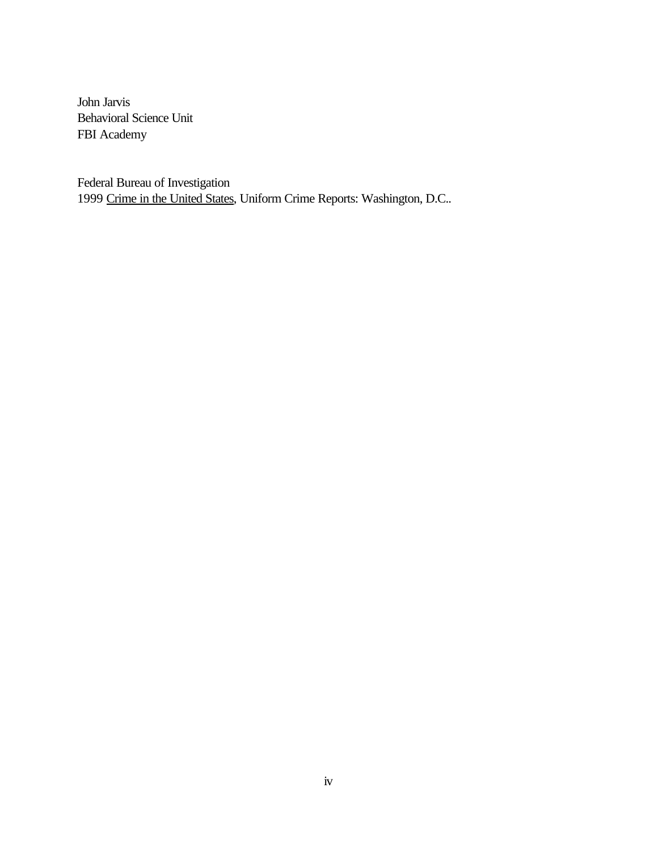John Jarvis Behavioral Science Unit FBI Academy

Federal Bureau of Investigation 1999 Crime in the United States, Uniform Crime Reports: Washington, D.C..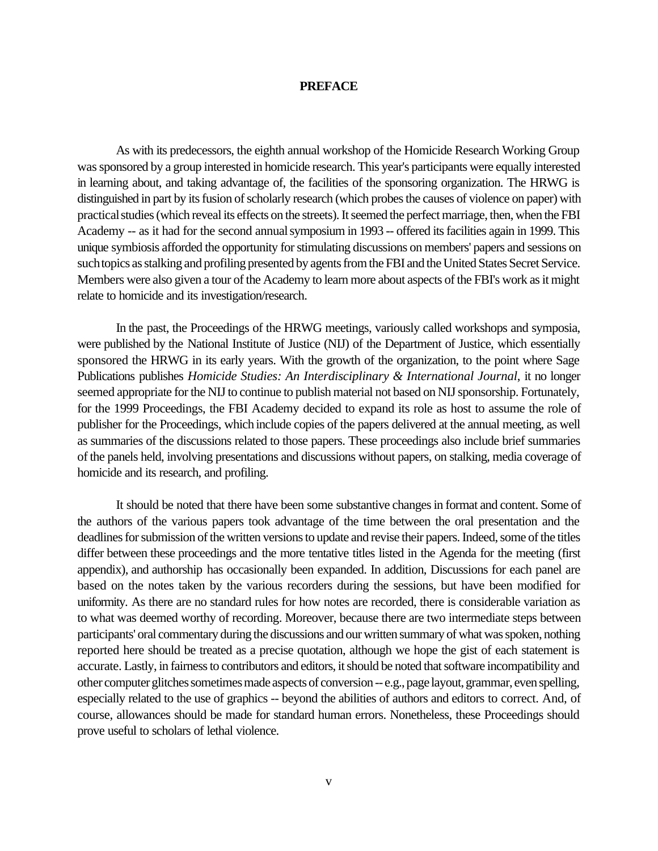#### **PREFACE**

As with its predecessors, the eighth annual workshop of the Homicide Research Working Group was sponsored by a group interested in homicide research. This year's participants were equally interested in learning about, and taking advantage of, the facilities of the sponsoring organization. The HRWG is distinguished in part by its fusion of scholarly research (which probes the causes of violence on paper) with practical studies (which reveal its effects on the streets). It seemed the perfect marriage, then, when the FBI Academy -- as it had for the second annual symposium in 1993 -- offered its facilities again in 1999. This unique symbiosis afforded the opportunity for stimulating discussions on members' papers and sessions on such topics as stalking and profiling presented by agents from the FBI and the United States Secret Service. Members were also given a tour of the Academy to learn more about aspects of the FBI's work as it might relate to homicide and its investigation/research.

In the past, the Proceedings of the HRWG meetings, variously called workshops and symposia, were published by the National Institute of Justice (NIJ) of the Department of Justice, which essentially sponsored the HRWG in its early years. With the growth of the organization, to the point where Sage Publications publishes *Homicide Studies: An Interdisciplinary & International Journal*, it no longer seemed appropriate for the NIJ to continue to publish material not based on NIJ sponsorship. Fortunately, for the 1999 Proceedings, the FBI Academy decided to expand its role as host to assume the role of publisher for the Proceedings, which include copies of the papers delivered at the annual meeting, as well as summaries of the discussions related to those papers. These proceedings also include brief summaries of the panels held, involving presentations and discussions without papers, on stalking, media coverage of homicide and its research, and profiling.

It should be noted that there have been some substantive changes in format and content. Some of the authors of the various papers took advantage of the time between the oral presentation and the deadlines for submission of the written versions to update and revise their papers. Indeed, some of the titles differ between these proceedings and the more tentative titles listed in the Agenda for the meeting (first appendix), and authorship has occasionally been expanded. In addition, Discussions for each panel are based on the notes taken by the various recorders during the sessions, but have been modified for uniformity. As there are no standard rules for how notes are recorded, there is considerable variation as to what was deemed worthy of recording. Moreover, because there are two intermediate steps between participants' oral commentary during the discussions and our written summary of what was spoken, nothing reported here should be treated as a precise quotation, although we hope the gist of each statement is accurate. Lastly, in fairness to contributors and editors, it should be noted that software incompatibility and other computer glitches sometimes made aspects of conversion -- e.g., page layout, grammar, even spelling, especially related to the use of graphics -- beyond the abilities of authors and editors to correct. And, of course, allowances should be made for standard human errors. Nonetheless, these Proceedings should prove useful to scholars of lethal violence.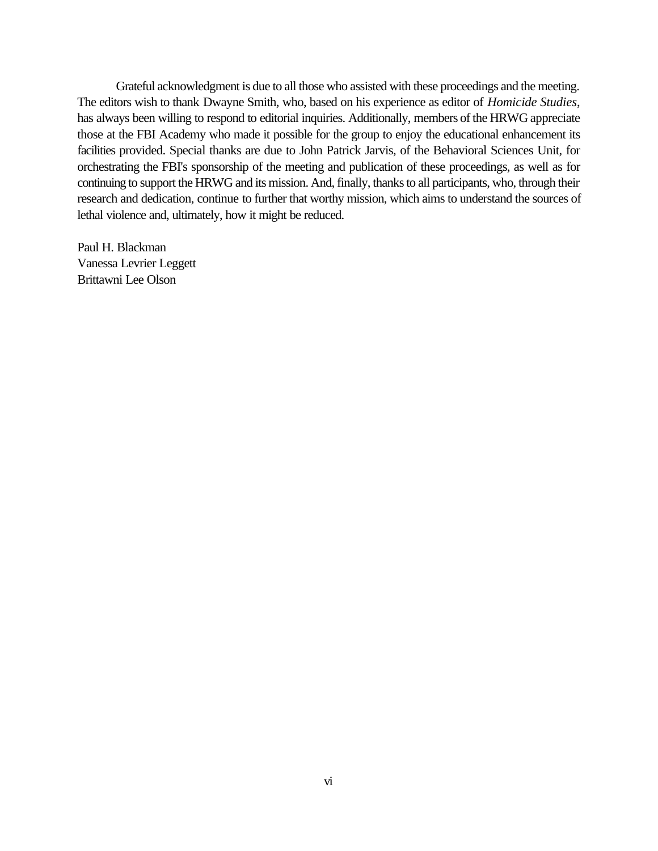Grateful acknowledgment is due to all those who assisted with these proceedings and the meeting. The editors wish to thank Dwayne Smith, who, based on his experience as editor of *Homicide Studies*, has always been willing to respond to editorial inquiries. Additionally, members of the HRWG appreciate those at the FBI Academy who made it possible for the group to enjoy the educational enhancement its facilities provided. Special thanks are due to John Patrick Jarvis, of the Behavioral Sciences Unit, for orchestrating the FBI's sponsorship of the meeting and publication of these proceedings, as well as for continuing to support the HRWG and its mission. And, finally, thanks to all participants, who, through their research and dedication, continue to further that worthy mission, which aims to understand the sources of lethal violence and, ultimately, how it might be reduced.

Paul H. Blackman Vanessa Levrier Leggett Brittawni Lee Olson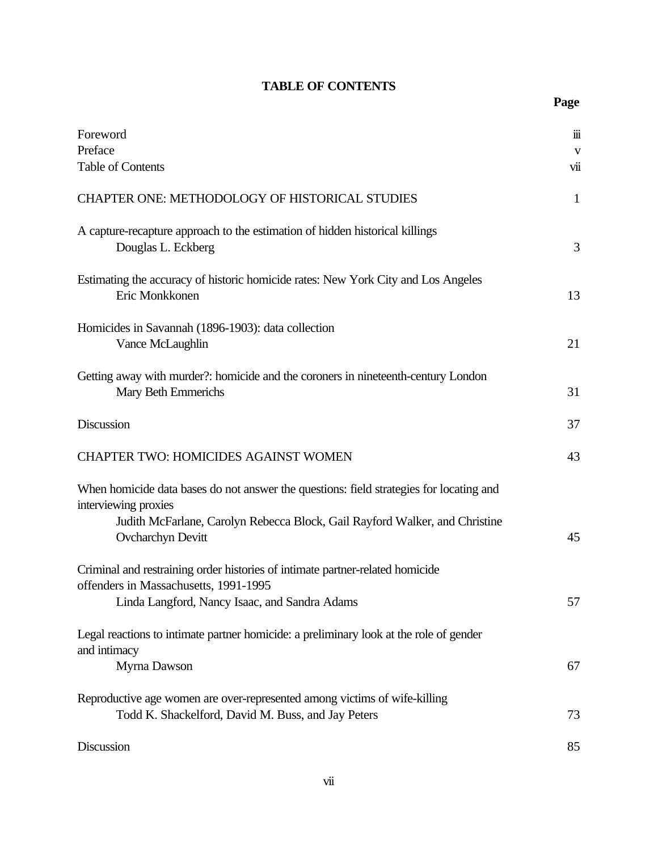## **TABLE OF CONTENTS**

| Foreword<br>Preface<br><b>Table of Contents</b>                                                                                                                                                | $\dddot{\mathbf{m}}$<br>$\mathbf V$<br>vii |
|------------------------------------------------------------------------------------------------------------------------------------------------------------------------------------------------|--------------------------------------------|
| CHAPTER ONE: METHODOLOGY OF HISTORICAL STUDIES                                                                                                                                                 | $\mathbf{1}$                               |
| A capture-recapture approach to the estimation of hidden historical killings<br>Douglas L. Eckberg                                                                                             | 3                                          |
| Estimating the accuracy of historic homicide rates: New York City and Los Angeles<br>Eric Monkkonen                                                                                            | 13                                         |
| Homicides in Savannah (1896-1903): data collection<br>Vance McLaughlin                                                                                                                         | 21                                         |
| Getting away with murder?: homicide and the coroners in nineteenth-century London<br>Mary Beth Emmerichs                                                                                       | 31                                         |
| Discussion                                                                                                                                                                                     | 37                                         |
| <b>CHAPTER TWO: HOMICIDES AGAINST WOMEN</b>                                                                                                                                                    | 43                                         |
| When homicide data bases do not answer the questions: field strategies for locating and<br>interviewing proxies<br>Judith McFarlane, Carolyn Rebecca Block, Gail Rayford Walker, and Christine |                                            |
| <b>Ovcharchyn Devitt</b>                                                                                                                                                                       | 45                                         |
| Criminal and restraining order histories of intimate partner-related homicide<br>offenders in Massachusetts, 1991-1995                                                                         |                                            |
| Linda Langford, Nancy Isaac, and Sandra Adams                                                                                                                                                  | 57                                         |
| Legal reactions to intimate partner homicide: a preliminary look at the role of gender<br>and intimacy                                                                                         |                                            |
| Myrna Dawson                                                                                                                                                                                   | 67                                         |
| Reproductive age women are over-represented among victims of wife-killing<br>Todd K. Shackelford, David M. Buss, and Jay Peters                                                                | 73                                         |
| Discussion                                                                                                                                                                                     | 85                                         |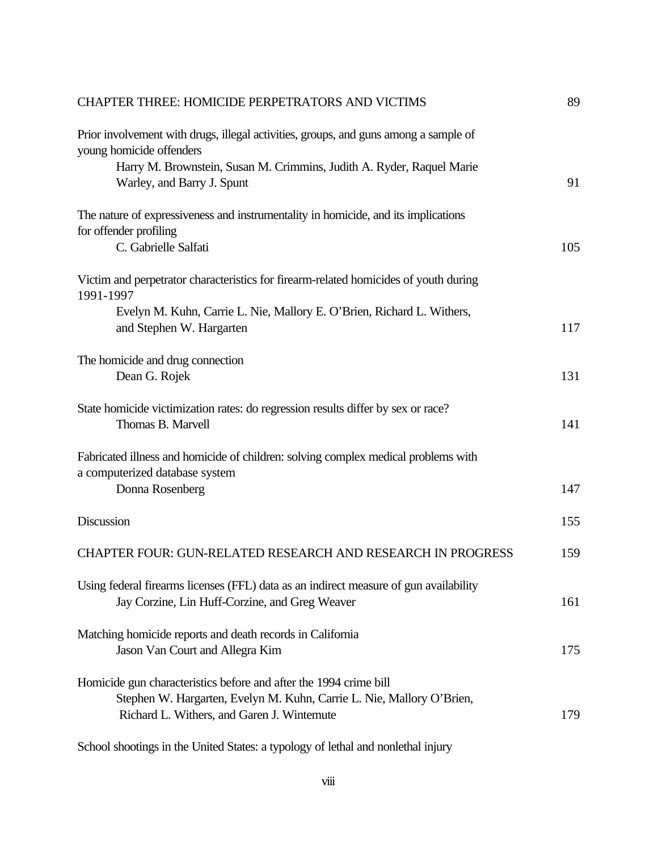| CHAPTER THREE: HOMICIDE PERPETRATORS AND VICTIMS                                                                                                                                         | 89  |
|------------------------------------------------------------------------------------------------------------------------------------------------------------------------------------------|-----|
| Prior involvement with drugs, illegal activities, groups, and guns among a sample of<br>young homicide offenders                                                                         |     |
| Harry M. Brownstein, Susan M. Crimmins, Judith A. Ryder, Raquel Marie<br>Warley, and Barry J. Spunt                                                                                      | 91  |
| The nature of expressiveness and instrumentality in homicide, and its implications<br>for offender profiling                                                                             |     |
| C. Gabrielle Salfati                                                                                                                                                                     | 105 |
| Victim and perpetrator characteristics for firearm-related homicides of youth during<br>1991-1997                                                                                        |     |
| Evelyn M. Kuhn, Carrie L. Nie, Mallory E. O'Brien, Richard L. Withers,<br>and Stephen W. Hargarten                                                                                       | 117 |
| The homicide and drug connection<br>Dean G. Rojek                                                                                                                                        | 131 |
| State homicide victimization rates: do regression results differ by sex or race?<br>Thomas B. Marvell                                                                                    | 141 |
| Fabricated illness and homicide of children: solving complex medical problems with<br>a computerized database system<br>Donna Rosenberg                                                  | 147 |
| Discussion                                                                                                                                                                               | 155 |
| <b>CHAPTER FOUR: GUN-RELATED RESEARCH AND RESEARCH IN PROGRESS</b>                                                                                                                       | 159 |
| Using federal firearms licenses (FFL) data as an indirect measure of gun availability<br>Jay Corzine, Lin Huff-Corzine, and Greg Weaver                                                  | 161 |
| Matching homicide reports and death records in California<br>Jason Van Court and Allegra Kim                                                                                             | 175 |
| Homicide gun characteristics before and after the 1994 crime bill<br>Stephen W. Hargarten, Evelyn M. Kuhn, Carrie L. Nie, Mallory O'Brien,<br>Richard L. Withers, and Garen J. Wintemute | 179 |
| School shootings in the United States: a typology of lethal and nonlethal injury                                                                                                         |     |

viii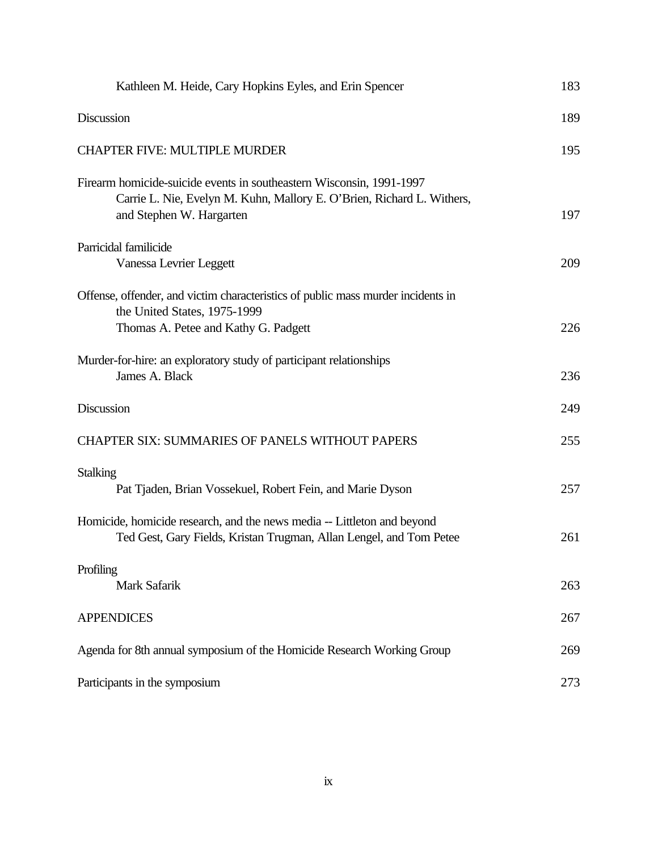| Kathleen M. Heide, Cary Hopkins Eyles, and Erin Spencer                                                                                                                    | 183 |
|----------------------------------------------------------------------------------------------------------------------------------------------------------------------------|-----|
| Discussion                                                                                                                                                                 | 189 |
| <b>CHAPTER FIVE: MULTIPLE MURDER</b>                                                                                                                                       | 195 |
| Firearm homicide-suicide events in southeastern Wisconsin, 1991-1997<br>Carrie L. Nie, Evelyn M. Kuhn, Mallory E. O'Brien, Richard L. Withers,<br>and Stephen W. Hargarten | 197 |
| Parricidal familicide<br>Vanessa Levrier Leggett                                                                                                                           | 209 |
| Offense, offender, and victim characteristics of public mass murder incidents in<br>the United States, 1975-1999<br>Thomas A. Petee and Kathy G. Padgett                   | 226 |
| Murder-for-hire: an exploratory study of participant relationships<br>James A. Black                                                                                       | 236 |
| Discussion                                                                                                                                                                 | 249 |
| <b>CHAPTER SIX: SUMMARIES OF PANELS WITHOUT PAPERS</b>                                                                                                                     | 255 |
| <b>Stalking</b><br>Pat Tjaden, Brian Vossekuel, Robert Fein, and Marie Dyson                                                                                               | 257 |
| Homicide, homicide research, and the news media -- Littleton and beyond<br>Ted Gest, Gary Fields, Kristan Trugman, Allan Lengel, and Tom Petee                             | 261 |
| Profiling<br>Mark Safarik                                                                                                                                                  | 263 |
| <b>APPENDICES</b>                                                                                                                                                          | 267 |
| Agenda for 8th annual symposium of the Homicide Research Working Group                                                                                                     | 269 |
| Participants in the symposium                                                                                                                                              | 273 |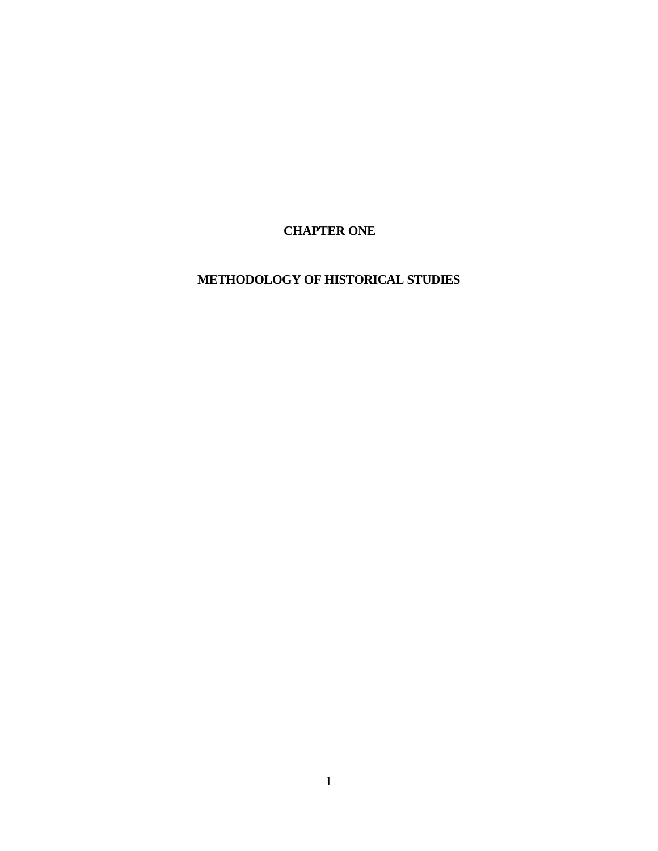**CHAPTER ONE**

## **METHODOLOGY OF HISTORICAL STUDIES**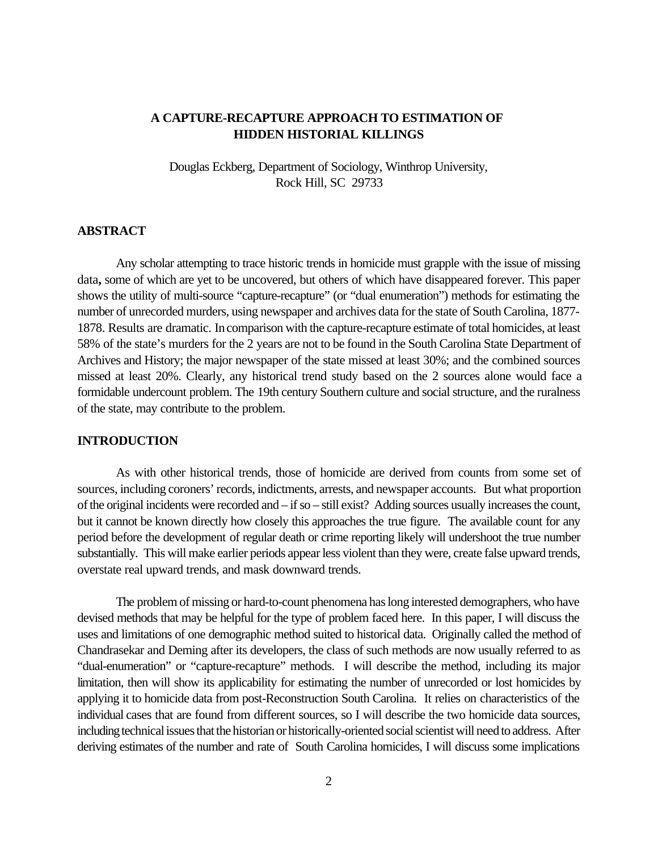## **A CAPTURE-RECAPTURE APPROACH TO ESTIMATION OF HIDDEN HISTORIAL KILLINGS**

Douglas Eckberg, Department of Sociology, Winthrop University, Rock Hill, SC 29733

#### **ABSTRACT**

Any scholar attempting to trace historic trends in homicide must grapple with the issue of missing data**,** some of which are yet to be uncovered, but others of which have disappeared forever. This paper shows the utility of multi-source "capture-recapture" (or "dual enumeration") methods for estimating the number of unrecorded murders, using newspaper and archives data for the state of South Carolina, 1877- 1878. Results are dramatic. In comparison with the capture-recapture estimate of total homicides, at least 58% of the state's murders for the 2 years are not to be found in the South Carolina State Department of Archives and History; the major newspaper of the state missed at least 30%; and the combined sources missed at least 20%. Clearly, any historical trend study based on the 2 sources alone would face a formidable undercount problem. The 19th century Southern culture and social structure, and the ruralness of the state, may contribute to the problem.

#### **INTRODUCTION**

As with other historical trends, those of homicide are derived from counts from some set of sources, including coroners' records, indictments, arrests, and newspaper accounts. But what proportion of the original incidents were recorded and – if so – still exist? Adding sources usually increases the count, but it cannot be known directly how closely this approaches the true figure. The available count for any period before the development of regular death or crime reporting likely will undershoot the true number substantially*.* This will make earlier periods appear less violent than they were, create false upward trends, overstate real upward trends, and mask downward trends.

The problem of missing or hard-to-count phenomena has long interested demographers, who have devised methods that may be helpful for the type of problem faced here. In this paper, I will discuss the uses and limitations of one demographic method suited to historical data. Originally called the method of Chandrasekar and Deming after its developers, the class of such methods are now usually referred to as "dual-enumeration" or "capture-recapture" methods. I will describe the method, including its major limitation, then will show its applicability for estimating the number of unrecorded or lost homicides by applying it to homicide data from post-Reconstruction South Carolina. It relies on characteristics of the individual cases that are found from different sources, so I will describe the two homicide data sources, including technical issues that the historian or historically-oriented social scientist will need to address. After deriving estimates of the number and rate of South Carolina homicides, I will discuss some implications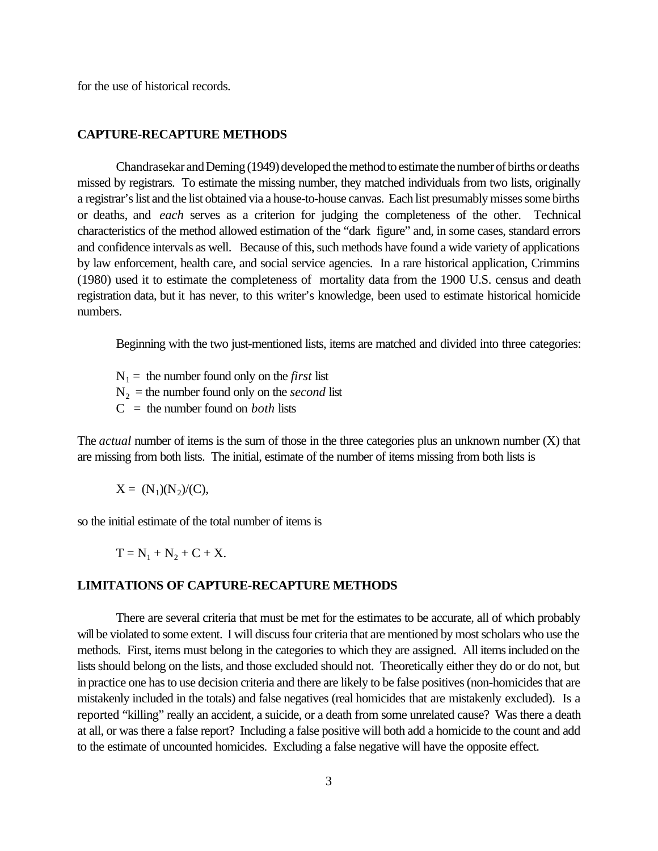for the use of historical records.

#### **CAPTURE-RECAPTURE METHODS**

Chandrasekar and Deming (1949) developed the method to estimate the number of births or deaths missed by registrars. To estimate the missing number, they matched individuals from two lists, originally a registrar's list and the list obtained via a house-to-house canvas. Each list presumably misses some births or deaths, and *each* serves as a criterion for judging the completeness of the other. Technical characteristics of the method allowed estimation of the "dark figure" and, in some cases, standard errors and confidence intervals as well. Because of this, such methods have found a wide variety of applications by law enforcement, health care, and social service agencies. In a rare historical application, Crimmins (1980) used it to estimate the completeness of mortality data from the 1900 U.S. census and death registration data, but it has never, to this writer's knowledge, been used to estimate historical homicide numbers.

Beginning with the two just-mentioned lists, items are matched and divided into three categories:

 $N_1$  = the number found only on the *first* list  $N_2$  = the number found only on the *second* list  $C =$  the number found on *both* lists

The *actual* number of items is the sum of those in the three categories plus an unknown number (X) that are missing from both lists. The initial, estimate of the number of items missing from both lists is

 $X = (N_1)(N_2)/(C),$ 

so the initial estimate of the total number of items is

$$
T = N_1 + N_2 + C + X.
$$

#### **LIMITATIONS OF CAPTURE-RECAPTURE METHODS**

There are several criteria that must be met for the estimates to be accurate, all of which probably will be violated to some extent. I will discuss four criteria that are mentioned by most scholars who use the methods. First, items must belong in the categories to which they are assigned. All items included on the lists should belong on the lists, and those excluded should not. Theoretically either they do or do not, but in practice one has to use decision criteria and there are likely to be false positives (non-homicides that are mistakenly included in the totals) and false negatives (real homicides that are mistakenly excluded). Is a reported "killing" really an accident, a suicide, or a death from some unrelated cause? Was there a death at all, or was there a false report? Including a false positive will both add a homicide to the count and add to the estimate of uncounted homicides. Excluding a false negative will have the opposite effect.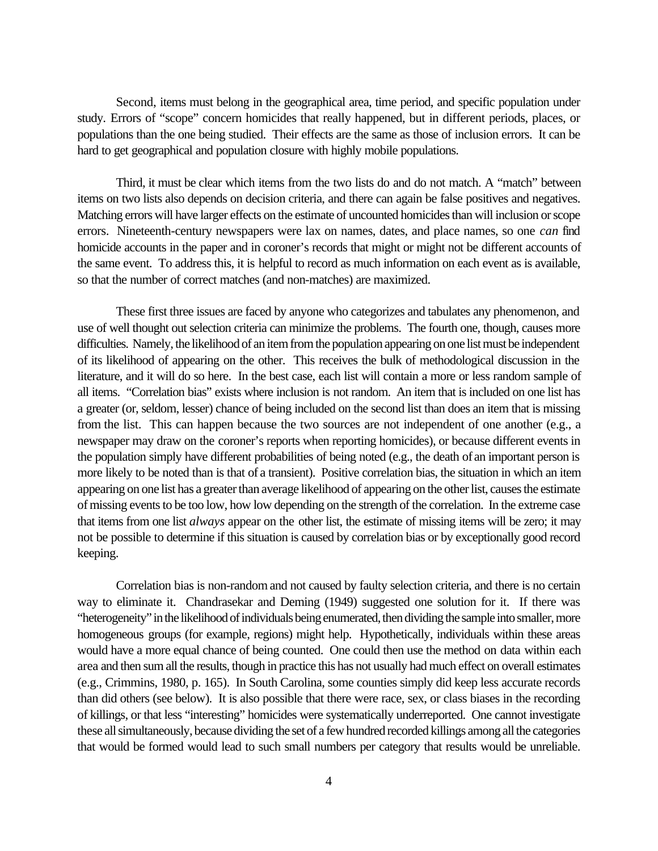Second, items must belong in the geographical area, time period, and specific population under study. Errors of "scope" concern homicides that really happened, but in different periods, places, or populations than the one being studied. Their effects are the same as those of inclusion errors. It can be hard to get geographical and population closure with highly mobile populations.

Third, it must be clear which items from the two lists do and do not match. A "match" between items on two lists also depends on decision criteria, and there can again be false positives and negatives. Matching errors will have larger effects on the estimate of uncounted homicides than will inclusion or scope errors. Nineteenth-century newspapers were lax on names, dates, and place names, so one *can* find homicide accounts in the paper and in coroner's records that might or might not be different accounts of the same event. To address this, it is helpful to record as much information on each event as is available, so that the number of correct matches (and non-matches) are maximized.

These first three issues are faced by anyone who categorizes and tabulates any phenomenon, and use of well thought out selection criteria can minimize the problems. The fourth one, though, causes more difficulties. Namely, the likelihood of an item from the population appearing on one list must be independent of its likelihood of appearing on the other. This receives the bulk of methodological discussion in the literature, and it will do so here. In the best case, each list will contain a more or less random sample of all items. "Correlation bias" exists where inclusion is not random. An item that is included on one list has a greater (or, seldom, lesser) chance of being included on the second list than does an item that is missing from the list. This can happen because the two sources are not independent of one another (e.g., a newspaper may draw on the coroner's reports when reporting homicides), or because different events in the population simply have different probabilities of being noted (e.g., the death of an important person is more likely to be noted than is that of a transient). Positive correlation bias, the situation in which an item appearing on one list has a greater than average likelihood of appearing on the other list, causes the estimate of missing events to be too low, how low depending on the strength of the correlation. In the extreme case that items from one list *always* appear on the other list, the estimate of missing items will be zero; it may not be possible to determine if this situation is caused by correlation bias or by exceptionally good record keeping.

Correlation bias is non-random and not caused by faulty selection criteria, and there is no certain way to eliminate it. Chandrasekar and Deming (1949) suggested one solution for it. If there was "heterogeneity" in the likelihood of individuals being enumerated, then dividing the sample into smaller, more homogeneous groups (for example, regions) might help. Hypothetically, individuals within these areas would have a more equal chance of being counted. One could then use the method on data within each area and then sum all the results, though in practice this has not usually had much effect on overall estimates (e.g., Crimmins, 1980, p. 165). In South Carolina, some counties simply did keep less accurate records than did others (see below). It is also possible that there were race, sex, or class biases in the recording of killings, or that less "interesting" homicides were systematically underreported. One cannot investigate these all simultaneously, because dividing the set of a few hundred recorded killings among all the categories that would be formed would lead to such small numbers per category that results would be unreliable.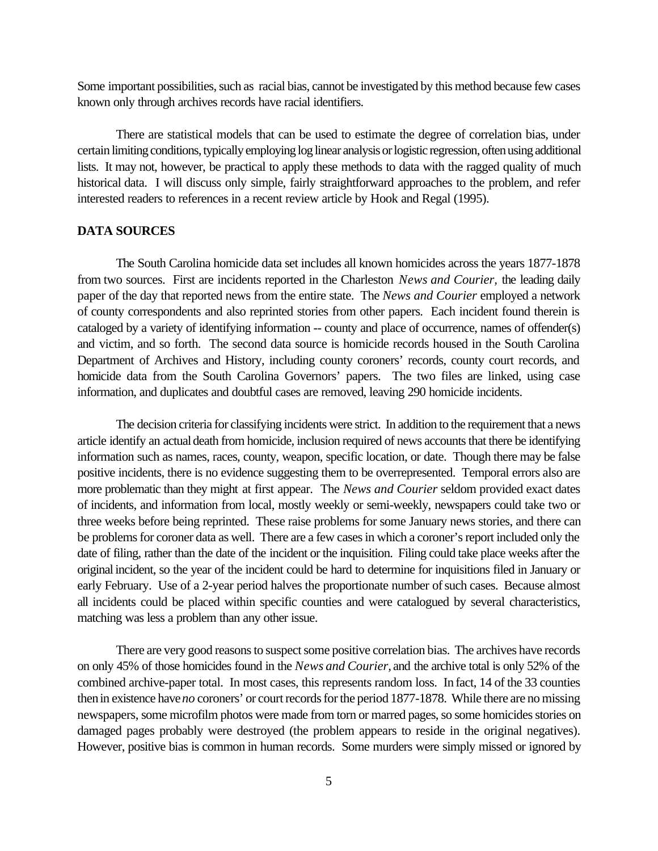Some important possibilities, such as racial bias, cannot be investigated by this method because few cases known only through archives records have racial identifiers.

There are statistical models that can be used to estimate the degree of correlation bias, under certain limiting conditions, typically employing log linear analysis or logistic regression, often using additional lists. It may not, however, be practical to apply these methods to data with the ragged quality of much historical data. I will discuss only simple, fairly straightforward approaches to the problem, and refer interested readers to references in a recent review article by Hook and Regal (1995).

#### **DATA SOURCES**

The South Carolina homicide data set includes all known homicides across the years 1877-1878 from two sources. First are incidents reported in the Charleston *News and Courier,* the leading daily paper of the day that reported news from the entire state. The *News and Courier* employed a network of county correspondents and also reprinted stories from other papers. Each incident found therein is cataloged by a variety of identifying information -- county and place of occurrence, names of offender(s) and victim, and so forth. The second data source is homicide records housed in the South Carolina Department of Archives and History, including county coroners' records, county court records, and homicide data from the South Carolina Governors' papers. The two files are linked, using case information, and duplicates and doubtful cases are removed, leaving 290 homicide incidents.

The decision criteria for classifying incidents were strict. In addition to the requirement that a news article identify an actual death from homicide, inclusion required of news accounts that there be identifying information such as names, races, county, weapon, specific location, or date. Though there may be false positive incidents, there is no evidence suggesting them to be overrepresented. Temporal errors also are more problematic than they might at first appear. The *News and Courier* seldom provided exact dates of incidents, and information from local, mostly weekly or semi-weekly, newspapers could take two or three weeks before being reprinted. These raise problems for some January news stories, and there can be problems for coroner data as well. There are a few cases in which a coroner's report included only the date of filing, rather than the date of the incident or the inquisition. Filing could take place weeks after the original incident, so the year of the incident could be hard to determine for inquisitions filed in January or early February. Use of a 2-year period halves the proportionate number of such cases. Because almost all incidents could be placed within specific counties and were catalogued by several characteristics, matching was less a problem than any other issue.

There are very good reasons to suspect some positive correlation bias. The archives have records on only 45% of those homicides found in the *News and Courier,* and the archive total is only 52% of the combined archive-paper total. In most cases, this represents random loss. In fact, 14 of the 33 counties then in existence have *no* coroners' or court records for the period 1877-1878. While there are no missing newspapers, some microfilm photos were made from torn or marred pages, so some homicides stories on damaged pages probably were destroyed (the problem appears to reside in the original negatives). However, positive bias is common in human records. Some murders were simply missed or ignored by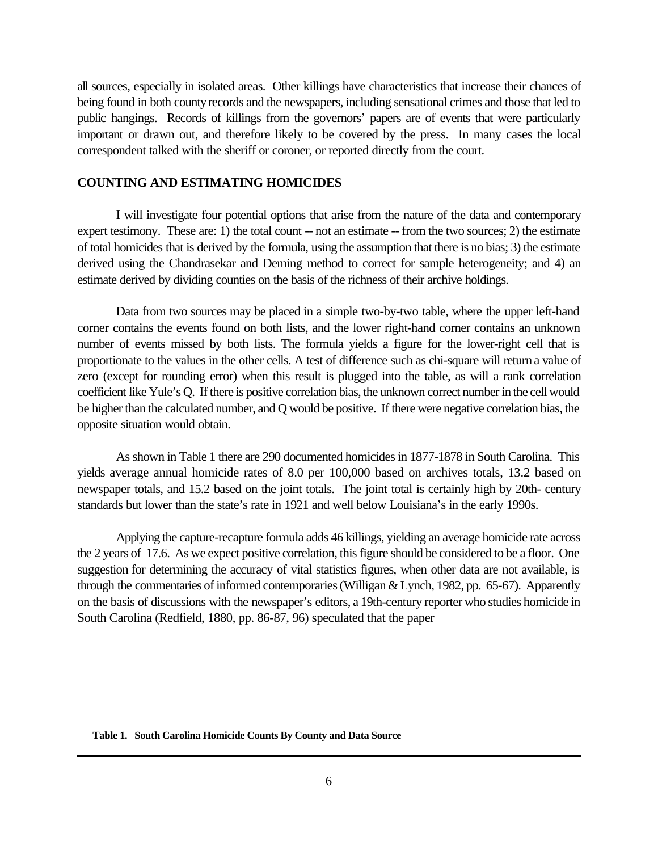all sources, especially in isolated areas. Other killings have characteristics that increase their chances of being found in both county records and the newspapers, including sensational crimes and those that led to public hangings. Records of killings from the governors' papers are of events that were particularly important or drawn out, and therefore likely to be covered by the press. In many cases the local correspondent talked with the sheriff or coroner, or reported directly from the court.

#### **COUNTING AND ESTIMATING HOMICIDES**

I will investigate four potential options that arise from the nature of the data and contemporary expert testimony. These are: 1) the total count -- not an estimate -- from the two sources; 2) the estimate of total homicides that is derived by the formula, using the assumption that there is no bias; 3) the estimate derived using the Chandrasekar and Deming method to correct for sample heterogeneity; and 4) an estimate derived by dividing counties on the basis of the richness of their archive holdings.

Data from two sources may be placed in a simple two-by-two table, where the upper left-hand corner contains the events found on both lists, and the lower right-hand corner contains an unknown number of events missed by both lists. The formula yields a figure for the lower-right cell that is proportionate to the values in the other cells. A test of difference such as chi-square will return a value of zero (except for rounding error) when this result is plugged into the table, as will a rank correlation coefficient like Yule's Q. If there is positive correlation bias, the unknown correct number in the cell would be higher than the calculated number, and Q would be positive. If there were negative correlation bias, the opposite situation would obtain.

As shown in Table 1 there are 290 documented homicides in 1877-1878 in South Carolina. This yields average annual homicide rates of 8.0 per 100,000 based on archives totals, 13.2 based on newspaper totals, and 15.2 based on the joint totals. The joint total is certainly high by 20th- century standards but lower than the state's rate in 1921 and well below Louisiana's in the early 1990s.

Applying the capture-recapture formula adds 46 killings, yielding an average homicide rate across the 2 years of 17.6. As we expect positive correlation, this figure should be considered to be a floor. One suggestion for determining the accuracy of vital statistics figures, when other data are not available, is through the commentaries of informed contemporaries (Willigan & Lynch, 1982, pp. 65-67). Apparently on the basis of discussions with the newspaper's editors, a 19th-century reporter who studies homicide in South Carolina (Redfield, 1880, pp. 86-87, 96) speculated that the paper

#### **Table 1. South Carolina Homicide Counts By County and Data Source**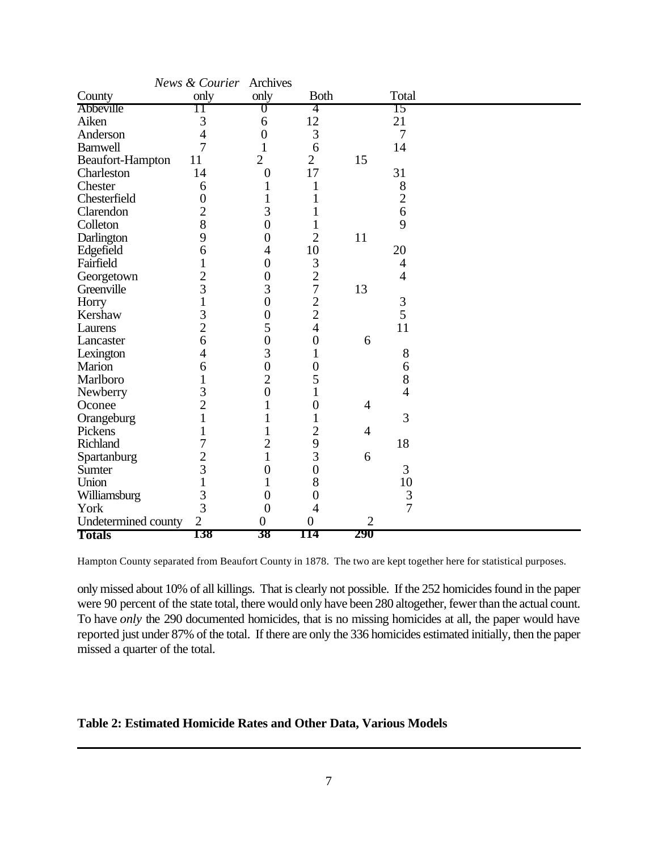|                     | News & Courier Archives |                  |                  |                |                |  |
|---------------------|-------------------------|------------------|------------------|----------------|----------------|--|
| County              | only                    | only             | <b>Both</b>      |                | Total          |  |
| Abbeville           | 11                      | $\,0$            | 4                |                | 15             |  |
| Aiken               | 3                       | 6                | 12               |                | 21             |  |
| Anderson            | $\overline{4}$          | $\overline{0}$   | 3                |                | $\overline{7}$ |  |
| <b>Barnwell</b>     | 7                       | 1                | 6                |                | 14             |  |
| Beaufort-Hampton    | 11                      | $\overline{2}$   | $\overline{2}$   | 15             |                |  |
| Charleston          | 14                      | $\boldsymbol{0}$ | 17               |                | 31             |  |
| Chester             | 6                       | 1                | 1                |                | 8              |  |
| Chesterfield        | 0                       | 1                | 1                |                | $\overline{2}$ |  |
| Clarendon           | $\overline{c}$          | 3                |                  |                | 6              |  |
| Colleton            | 8                       | $\overline{0}$   | 1                |                | 9              |  |
| Darlington          | 9                       | $\overline{0}$   | $\overline{2}$   | 11             |                |  |
| Edgefield           | 6                       | $\overline{4}$   | 10               |                | 20             |  |
| Fairfield           | 1                       | $\overline{0}$   | 3                |                | $\overline{4}$ |  |
| Georgetown          |                         | $\boldsymbol{0}$ | $\overline{c}$   |                | $\overline{4}$ |  |
| Greenville          | $\frac{2}{3}$           | 3                | $\overline{7}$   | 13             |                |  |
| Horry               | $\mathbf{1}$            | $\overline{0}$   |                  |                | 3              |  |
| Kershaw             | 3                       | $\boldsymbol{0}$ | $\frac{2}{2}$    |                | 5              |  |
| Laurens             | $\overline{c}$          | 5                | $\overline{4}$   |                | 11             |  |
| Lancaster           | 6                       | $\overline{0}$   | $\boldsymbol{0}$ | 6              |                |  |
| Lexington           | 4                       | 3                | 1                |                | 8              |  |
| Marion              | 6                       | $\overline{0}$   | $\boldsymbol{0}$ |                | 6              |  |
| Marlboro            | $\mathbf{1}$            | $\overline{c}$   | 5                |                | 8              |  |
| Newberry            | 3                       | $\overline{0}$   | 1                |                | $\overline{4}$ |  |
| Oconee              | $\overline{c}$          | $\mathbf 1$      | $\boldsymbol{0}$ | $\overline{4}$ |                |  |
| Orangeburg          | $\mathbf{1}$            | 1                | $\mathbf{1}$     |                | 3              |  |
| Pickens             |                         | 1                | $\overline{2}$   | 4              |                |  |
| Richland            | 7                       | $\overline{c}$   | 9                |                | 18             |  |
| Spartanburg         |                         | $\mathbf{1}$     | $\overline{3}$   | 6              |                |  |
| Sumter              | $\frac{2}{3}$           | $\overline{0}$   | $\boldsymbol{0}$ |                | 3              |  |
| Union               | 1                       | $\mathbf 1$      | 8                |                | 10             |  |
| Williamsburg        | 3                       | $\overline{0}$   | $\boldsymbol{0}$ |                | $\mathfrak{Z}$ |  |
| York                | 3                       | $\overline{0}$   | $\overline{4}$   |                | $\overline{7}$ |  |
| Undetermined county | $\overline{c}$          | $\boldsymbol{0}$ | $\boldsymbol{0}$ | $\overline{2}$ |                |  |
| <b>Totals</b>       | 138                     | 38               | 114              | 290            |                |  |

Hampton County separated from Beaufort County in 1878. The two are kept together here for statistical purposes.

only missed about 10% of all killings. That is clearly not possible. If the 252 homicides found in the paper were 90 percent of the state total, there would only have been 280 altogether, fewer than the actual count. To have *only* the 290 documented homicides, that is no missing homicides at all, the paper would have reported just under 87% of the total. If there are only the 336 homicides estimated initially, then the paper missed a quarter of the total.

## **Table 2: Estimated Homicide Rates and Other Data, Various Models**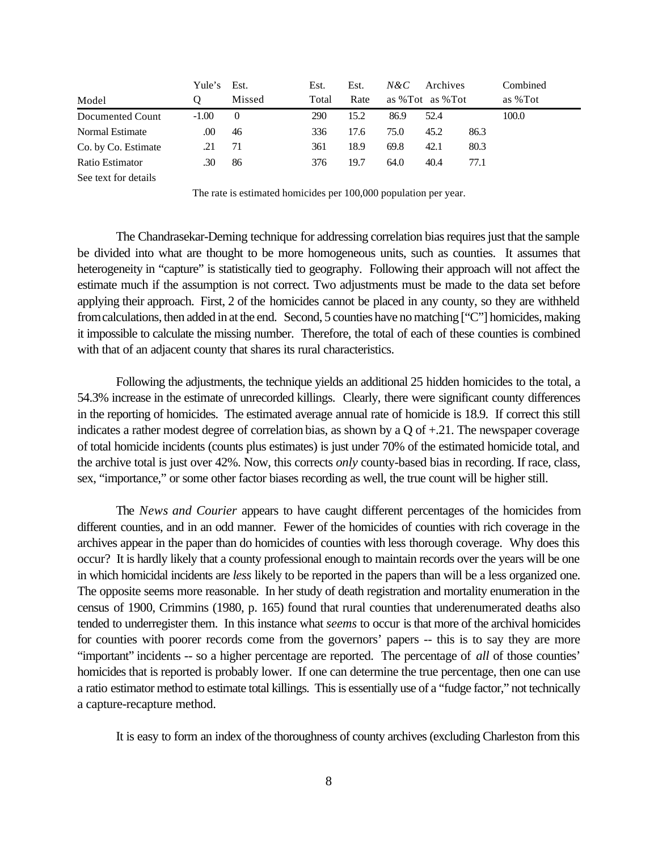|                     | Yule's  | Est.     | Est.       | Est. | $N\&C$ | Archives          |      | Combined |
|---------------------|---------|----------|------------|------|--------|-------------------|------|----------|
| Model               |         | Missed   | Total      | Rate |        | as % Tot as % Tot |      | as % Tot |
| Documented Count    | $-1.00$ | $\Omega$ | <b>290</b> | 15.2 | 86.9   | 52.4              |      | 100.0    |
| Normal Estimate     | .00     | 46       | 336        | 17.6 | 75.0   | 45.2              | 86.3 |          |
| Co. by Co. Estimate |         | 71       | 361        | 18.9 | 69.8   | 42.1              | 80.3 |          |
| Ratio Estimator     | .30     | 86       | 376        | 19.7 | 64.0   | 40.4              | 77.1 |          |

The rate is estimated homicides per 100,000 population per year.

See text for details

The Chandrasekar-Deming technique for addressing correlation bias requires just that the sample be divided into what are thought to be more homogeneous units, such as counties. It assumes that heterogeneity in "capture" is statistically tied to geography. Following their approach will not affect the estimate much if the assumption is not correct. Two adjustments must be made to the data set before applying their approach. First, 2 of the homicides cannot be placed in any county, so they are withheld from calculations, then added in at the end. Second, 5 counties have no matching ["C"] homicides, making it impossible to calculate the missing number. Therefore, the total of each of these counties is combined with that of an adjacent county that shares its rural characteristics.

Following the adjustments, the technique yields an additional 25 hidden homicides to the total, a 54.3% increase in the estimate of unrecorded killings. Clearly, there were significant county differences in the reporting of homicides. The estimated average annual rate of homicide is 18.9. If correct this still indicates a rather modest degree of correlation bias, as shown by a Q of +.21. The newspaper coverage of total homicide incidents (counts plus estimates) is just under 70% of the estimated homicide total, and the archive total is just over 42%. Now, this corrects *only* county-based bias in recording. If race, class, sex, "importance," or some other factor biases recording as well, the true count will be higher still.

The *News and Courier* appears to have caught different percentages of the homicides from different counties, and in an odd manner. Fewer of the homicides of counties with rich coverage in the archives appear in the paper than do homicides of counties with less thorough coverage. Why does this occur? It is hardly likely that a county professional enough to maintain records over the years will be one in which homicidal incidents are *less* likely to be reported in the papers than will be a less organized one. The opposite seems more reasonable. In her study of death registration and mortality enumeration in the census of 1900, Crimmins (1980, p. 165) found that rural counties that underenumerated deaths also tended to underregister them. In this instance what *seems* to occur is that more of the archival homicides for counties with poorer records come from the governors' papers -- this is to say they are more "important" incidents -- so a higher percentage are reported. The percentage of *all* of those counties' homicides that is reported is probably lower. If one can determine the true percentage, then one can use a ratio estimator method to estimate total killings. This is essentially use of a "fudge factor," not technically a capture-recapture method.

It is easy to form an index of the thoroughness of county archives (excluding Charleston from this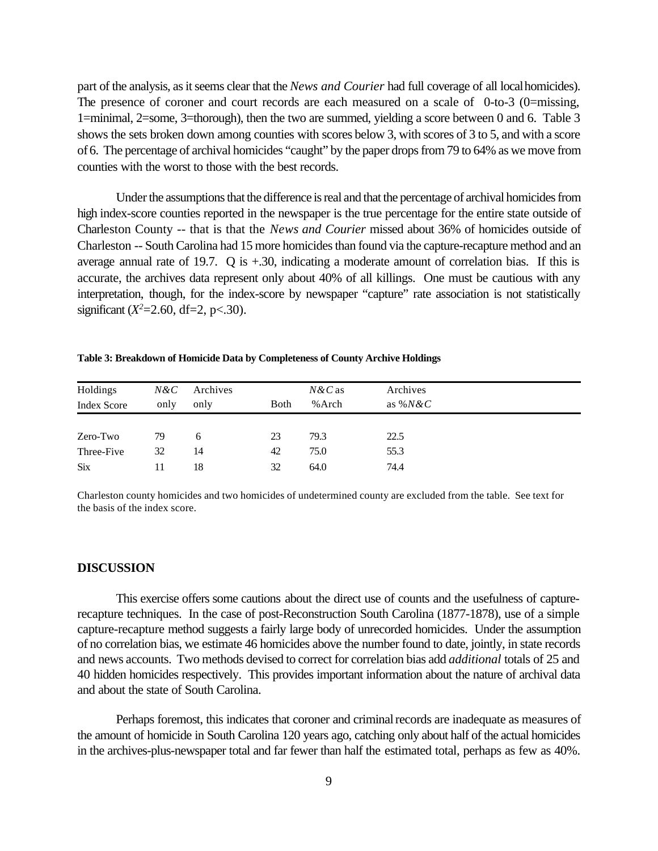part of the analysis, as it seems clear that the *News and Courier* had full coverage of all local homicides). The presence of coroner and court records are each measured on a scale of 0-to-3 (0=missing, 1=minimal, 2=some, 3=thorough), then the two are summed, yielding a score between 0 and 6. Table 3 shows the sets broken down among counties with scores below 3, with scores of 3 to 5, and with a score of 6. The percentage of archival homicides "caught" by the paper drops from 79 to 64% as we move from counties with the worst to those with the best records.

Under the assumptions that the difference is real and that the percentage of archival homicides from high index-score counties reported in the newspaper is the true percentage for the entire state outside of Charleston County -- that is that the *News and Courier* missed about 36% of homicides outside of Charleston -- South Carolina had 15 more homicides than found via the capture-recapture method and an average annual rate of 19.7. Q is +.30, indicating a moderate amount of correlation bias. If this is accurate, the archives data represent only about 40% of all killings. One must be cautious with any interpretation, though, for the index-score by newspaper "capture" rate association is not statistically significant  $(X^2=2.60, df=2, p<.30)$ .

| Holdings           | $N\&C$ | Archives |      | $N\&C$ as | Archives    |
|--------------------|--------|----------|------|-----------|-------------|
| <b>Index Score</b> | only   | only     | Both | % Arch    | as % $N\&C$ |
|                    |        |          |      |           |             |
| Zero-Two           | 79     | 6        | 23   | 79.3      | 22.5        |
| Three-Five         | 32     | 14       | 42   | 75.0      | 55.3        |
| <b>Six</b>         | 11     | 18       | 32   | 64.0      | 74.4        |

**Table 3: Breakdown of Homicide Data by Completeness of County Archive Holdings**

Charleston county homicides and two homicides of undetermined county are excluded from the table. See text for the basis of the index score.

#### **DISCUSSION**

This exercise offers some cautions about the direct use of counts and the usefulness of capturerecapture techniques. In the case of post-Reconstruction South Carolina (1877-1878), use of a simple capture-recapture method suggests a fairly large body of unrecorded homicides. Under the assumption of no correlation bias, we estimate 46 homicides above the number found to date, jointly, in state records and news accounts. Two methods devised to correct for correlation bias add *additional* totals of 25 and 40 hidden homicides respectively. This provides important information about the nature of archival data and about the state of South Carolina.

Perhaps foremost, this indicates that coroner and criminal records are inadequate as measures of the amount of homicide in South Carolina 120 years ago, catching only about half of the actual homicides in the archives-plus-newspaper total and far fewer than half the estimated total, perhaps as few as 40%.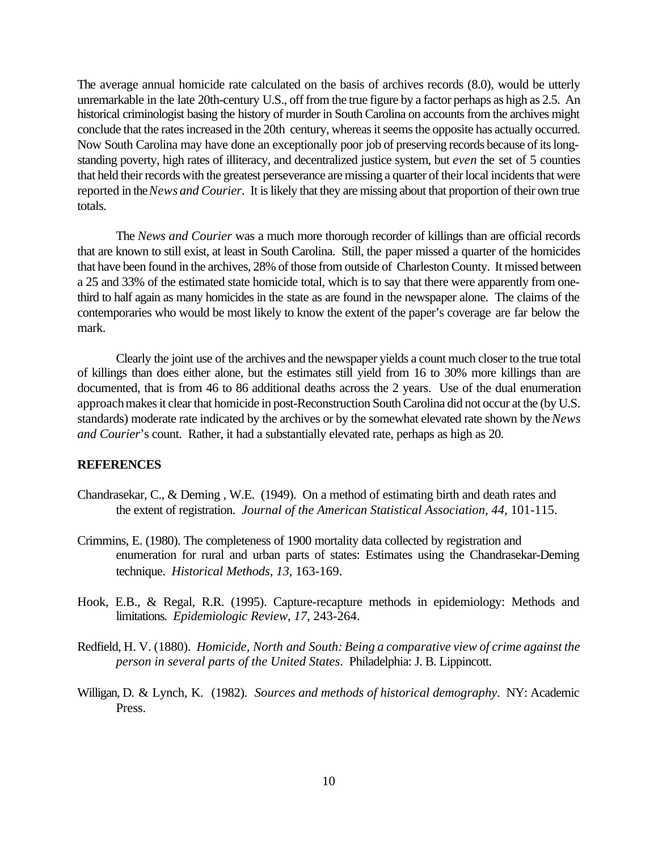The average annual homicide rate calculated on the basis of archives records (8.0), would be utterly unremarkable in the late 20th-century U.S., off from the true figure by a factor perhaps as high as 2.5. An historical criminologist basing the history of murder in South Carolina on accounts from the archives might conclude that the rates increased in the 20th century, whereas it seems the opposite has actually occurred. Now South Carolina may have done an exceptionally poor job of preserving records because of its longstanding poverty, high rates of illiteracy, and decentralized justice system, but *even* the set of 5 counties that held their records with the greatest perseverance are missing a quarter of their local incidents that were reported in the *News and Courier*. It is likely that they are missing about that proportion of their own true totals.

The *News and Courier* was a much more thorough recorder of killings than are official records that are known to still exist, at least in South Carolina. Still, the paper missed a quarter of the homicides that have been found in the archives, 28% of those from outside of Charleston County. It missed between a 25 and 33% of the estimated state homicide total, which is to say that there were apparently from onethird to half again as many homicides in the state as are found in the newspaper alone. The claims of the contemporaries who would be most likely to know the extent of the paper's coverage are far below the mark.

Clearly the joint use of the archives and the newspaper yields a count much closer to the true total of killings than does either alone, but the estimates still yield from 16 to 30% more killings than are documented, that is from 46 to 86 additional deaths across the 2 years. Use of the dual enumeration approach makes it clear that homicide in post-Reconstruction South Carolina did not occur at the (by U.S. standards) moderate rate indicated by the archives or by the somewhat elevated rate shown by the *News and Courier*'s count. Rather, it had a substantially elevated rate, perhaps as high as 20.

#### **REFERENCES**

- Chandrasekar, C., & Deming , W.E. (1949). On a method of estimating birth and death rates and the extent of registration. *Journal of the American Statistical Association*, *44,* 101-115.
- Crimmins, E. (1980). The completeness of 1900 mortality data collected by registration and enumeration for rural and urban parts of states: Estimates using the Chandrasekar-Deming technique. *Historical Methods*, *13,* 163-169.
- Hook, E.B., & Regal, R.R. (1995). Capture-recapture methods in epidemiology: Methods and limitations. *Epidemiologic Review*, *17,* 243-264.
- Redfield, H. V. (1880). *Homicide, North and South: Being a comparative view of crime against the person in several parts of the United States*. Philadelphia: J. B. Lippincott.
- Willigan, D. & Lynch, K. (1982). *Sources and methods of historical demography*. NY: Academic Press.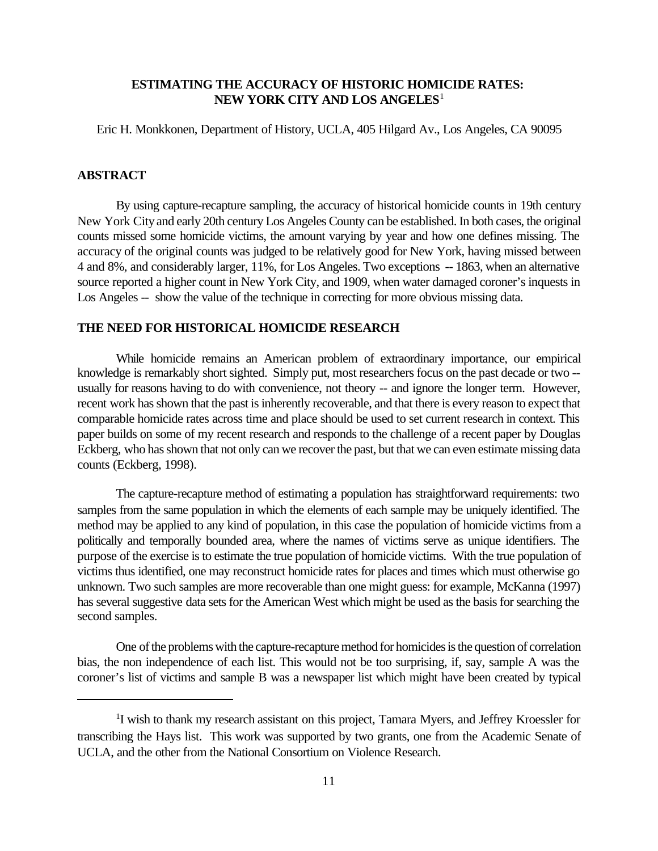## **ESTIMATING THE ACCURACY OF HISTORIC HOMICIDE RATES: NEW YORK CITY AND LOS ANGELES**<sup>1</sup>

Eric H. Monkkonen, Department of History, UCLA, 405 Hilgard Av., Los Angeles, CA 90095

#### **ABSTRACT**

By using capture-recapture sampling, the accuracy of historical homicide counts in 19th century New York City and early 20th century Los Angeles County can be established. In both cases, the original counts missed some homicide victims, the amount varying by year and how one defines missing. The accuracy of the original counts was judged to be relatively good for New York, having missed between 4 and 8%, and considerably larger, 11%, for Los Angeles. Two exceptions -- 1863, when an alternative source reported a higher count in New York City, and 1909, when water damaged coroner's inquests in Los Angeles -- show the value of the technique in correcting for more obvious missing data.

#### **THE NEED FOR HISTORICAL HOMICIDE RESEARCH**

While homicide remains an American problem of extraordinary importance, our empirical knowledge is remarkably short sighted. Simply put, most researchers focus on the past decade or two - usually for reasons having to do with convenience, not theory -- and ignore the longer term. However, recent work has shown that the past is inherently recoverable, and that there is every reason to expect that comparable homicide rates across time and place should be used to set current research in context. This paper builds on some of my recent research and responds to the challenge of a recent paper by Douglas Eckberg, who has shown that not only can we recover the past, but that we can even estimate missing data counts (Eckberg, 1998).

The capture-recapture method of estimating a population has straightforward requirements: two samples from the same population in which the elements of each sample may be uniquely identified. The method may be applied to any kind of population, in this case the population of homicide victims from a politically and temporally bounded area, where the names of victims serve as unique identifiers. The purpose of the exercise is to estimate the true population of homicide victims. With the true population of victims thus identified, one may reconstruct homicide rates for places and times which must otherwise go unknown. Two such samples are more recoverable than one might guess: for example, McKanna (1997) has several suggestive data sets for the American West which might be used as the basis for searching the second samples.

One of the problems with the capture-recapture method for homicides is the question of correlation bias, the non independence of each list. This would not be too surprising, if, say, sample A was the coroner's list of victims and sample B was a newspaper list which might have been created by typical

<sup>&</sup>lt;sup>1</sup>I wish to thank my research assistant on this project, Tamara Myers, and Jeffrey Kroessler for transcribing the Hays list. This work was supported by two grants, one from the Academic Senate of UCLA, and the other from the National Consortium on Violence Research.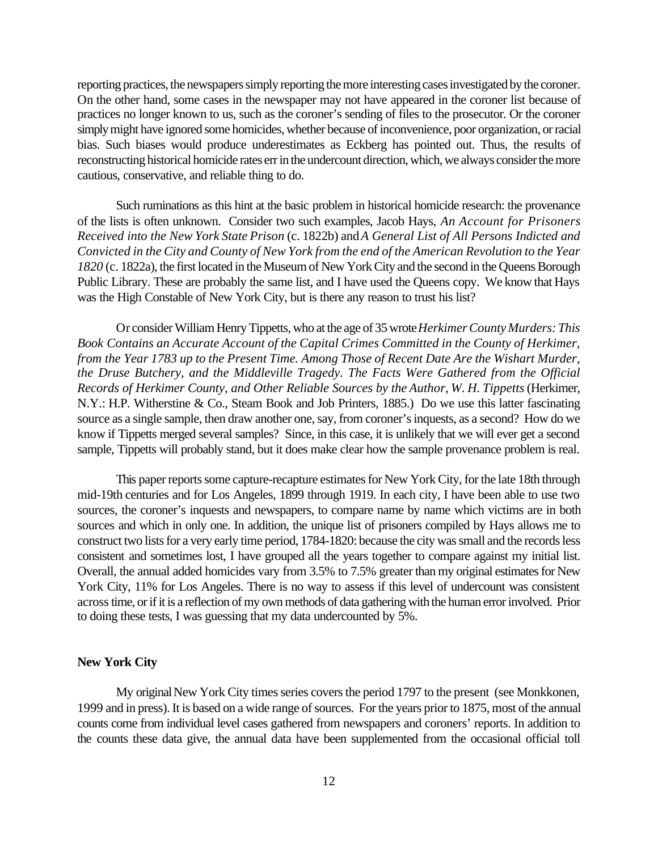reporting practices, the newspapers simply reporting the more interesting cases investigated by the coroner. On the other hand, some cases in the newspaper may not have appeared in the coroner list because of practices no longer known to us, such as the coroner's sending of files to the prosecutor. Or the coroner simply might have ignored some homicides, whether because of inconvenience, poor organization, or racial bias. Such biases would produce underestimates as Eckberg has pointed out. Thus, the results of reconstructing historical homicide rates err in the undercount direction, which, we always consider the more cautious, conservative, and reliable thing to do.

Such ruminations as this hint at the basic problem in historical homicide research: the provenance of the lists is often unknown. Consider two such examples, Jacob Hays, *An Account for Prisoners Received into the New York State Prison* (c. 1822b) and *A General List of All Persons Indicted and Convicted in the City and County of New York from the end of the American Revolution to the Year 1820* (c. 1822a), the first located in the Museum of New York City and the second in the Queens Borough Public Library. These are probably the same list, and I have used the Queens copy. We know that Hays was the High Constable of New York City, but is there any reason to trust his list?

Or consider William Henry Tippetts, who at the age of 35 wrote *Herkimer County Murders: This Book Contains an Accurate Account of the Capital Crimes Committed in the County of Herkimer, from the Year 1783 up to the Present Time. Among Those of Recent Date Are the Wishart Murder, the Druse Butchery, and the Middleville Tragedy. The Facts Were Gathered from the Official Records of Herkimer County, and Other Reliable Sources by the Author, W. H. Tippetts* (Herkimer, N.Y.: H.P. Witherstine & Co., Steam Book and Job Printers, 1885.) Do we use this latter fascinating source as a single sample, then draw another one, say, from coroner's inquests, as a second? How do we know if Tippetts merged several samples? Since, in this case, it is unlikely that we will ever get a second sample, Tippetts will probably stand, but it does make clear how the sample provenance problem is real.

This paper reports some capture-recapture estimates for New York City, for the late 18th through mid-19th centuries and for Los Angeles, 1899 through 1919. In each city, I have been able to use two sources, the coroner's inquests and newspapers, to compare name by name which victims are in both sources and which in only one. In addition, the unique list of prisoners compiled by Hays allows me to construct two lists for a very early time period, 1784-1820: because the city was small and the records less consistent and sometimes lost, I have grouped all the years together to compare against my initial list. Overall, the annual added homicides vary from 3.5% to 7.5% greater than my original estimates for New York City, 11% for Los Angeles. There is no way to assess if this level of undercount was consistent across time, or if it is a reflection of my own methods of data gathering with the human error involved. Prior to doing these tests, I was guessing that my data undercounted by 5%.

#### **New York City**

My original New York City times series covers the period 1797 to the present (see Monkkonen, 1999 and in press). It is based on a wide range of sources. For the years prior to 1875, most of the annual counts come from individual level cases gathered from newspapers and coroners' reports. In addition to the counts these data give, the annual data have been supplemented from the occasional official toll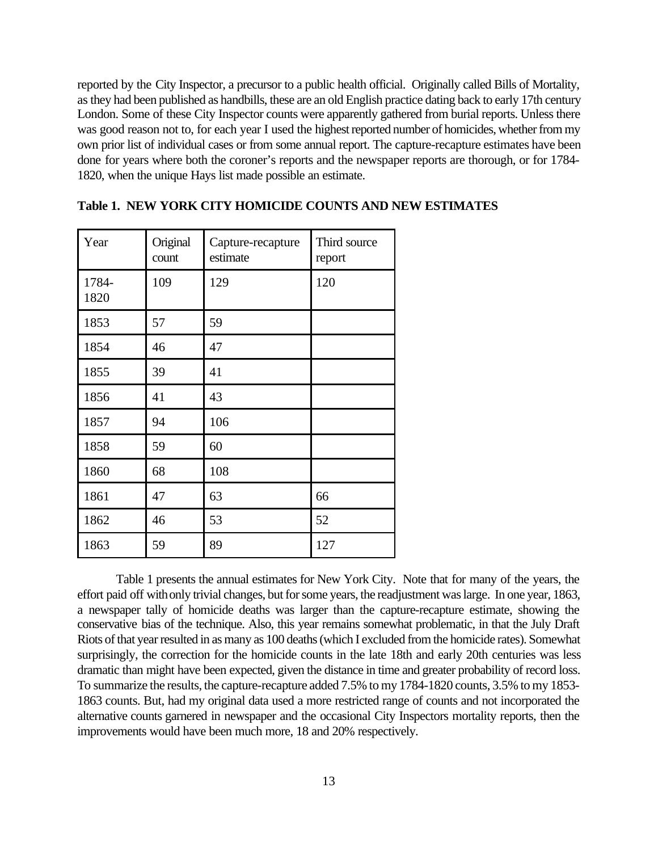reported by the City Inspector, a precursor to a public health official. Originally called Bills of Mortality, as they had been published as handbills, these are an old English practice dating back to early 17th century London. Some of these City Inspector counts were apparently gathered from burial reports. Unless there was good reason not to, for each year I used the highest reported number of homicides, whether from my own prior list of individual cases or from some annual report. The capture-recapture estimates have been done for years where both the coroner's reports and the newspaper reports are thorough, or for 1784- 1820, when the unique Hays list made possible an estimate.

| Year          | Original<br>count | Capture-recapture<br>estimate | Third source<br>report |
|---------------|-------------------|-------------------------------|------------------------|
| 1784-<br>1820 | 109               | 129                           | 120                    |
| 1853          | 57                | 59                            |                        |
| 1854          | 46                | 47                            |                        |
| 1855          | 39                | 41                            |                        |
| 1856          | 41                | 43                            |                        |
| 1857          | 94                | 106                           |                        |
| 1858          | 59                | 60                            |                        |
| 1860          | 68                | 108                           |                        |
| 1861          | 47                | 63                            | 66                     |
| 1862          | 46                | 53                            | 52                     |
| 1863          | 59                | 89                            | 127                    |

**Table 1. NEW YORK CITY HOMICIDE COUNTS AND NEW ESTIMATES**

Table 1 presents the annual estimates for New York City. Note that for many of the years, the effort paid off with only trivial changes, but for some years, the readjustment was large. In one year, 1863, a newspaper tally of homicide deaths was larger than the capture-recapture estimate, showing the conservative bias of the technique. Also, this year remains somewhat problematic, in that the July Draft Riots of that year resulted in as many as 100 deaths (which I excluded from the homicide rates). Somewhat surprisingly, the correction for the homicide counts in the late 18th and early 20th centuries was less dramatic than might have been expected, given the distance in time and greater probability of record loss. To summarize the results, the capture-recapture added 7.5% to my 1784-1820 counts, 3.5% to my 1853- 1863 counts. But, had my original data used a more restricted range of counts and not incorporated the alternative counts garnered in newspaper and the occasional City Inspectors mortality reports, then the improvements would have been much more, 18 and 20% respectively.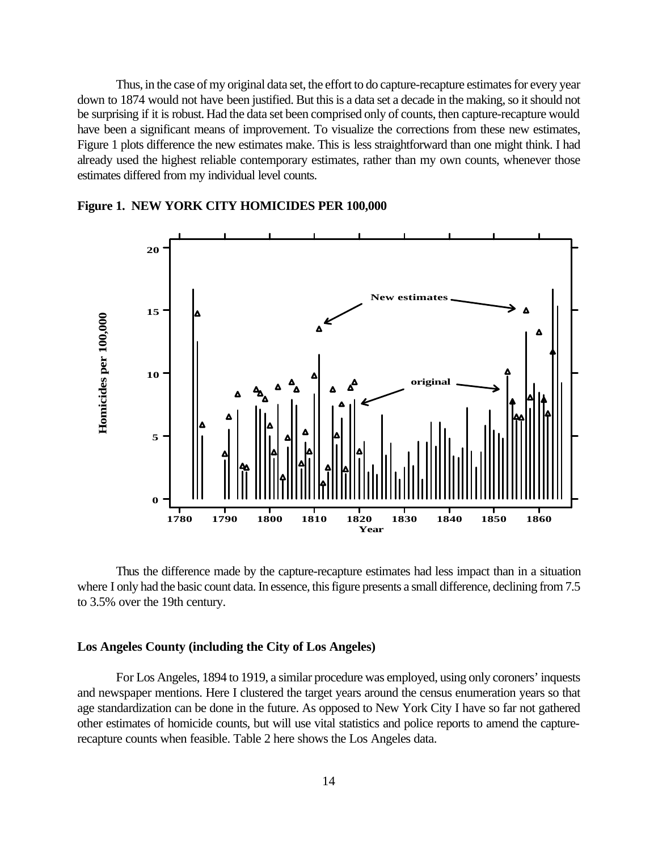Thus, in the case of my original data set, the effort to do capture-recapture estimates for every year down to 1874 would not have been justified. But this is a data set a decade in the making, so it should not be surprising if it is robust. Had the data set been comprised only of counts, then capture-recapture would have been a significant means of improvement. To visualize the corrections from these new estimates, Figure 1 plots difference the new estimates make. This is less straightforward than one might think. I had already used the highest reliable contemporary estimates, rather than my own counts, whenever those estimates differed from my individual level counts.



**Figure 1. NEW YORK CITY HOMICIDES PER 100,000**

Thus the difference made by the capture-recapture estimates had less impact than in a situation where I only had the basic count data. In essence, this figure presents a small difference, declining from 7.5 to 3.5% over the 19th century.

#### **Los Angeles County (including the City of Los Angeles)**

For Los Angeles, 1894 to 1919, a similar procedure was employed, using only coroners' inquests and newspaper mentions. Here I clustered the target years around the census enumeration years so that age standardization can be done in the future. As opposed to New York City I have so far not gathered other estimates of homicide counts, but will use vital statistics and police reports to amend the capturerecapture counts when feasible. Table 2 here shows the Los Angeles data.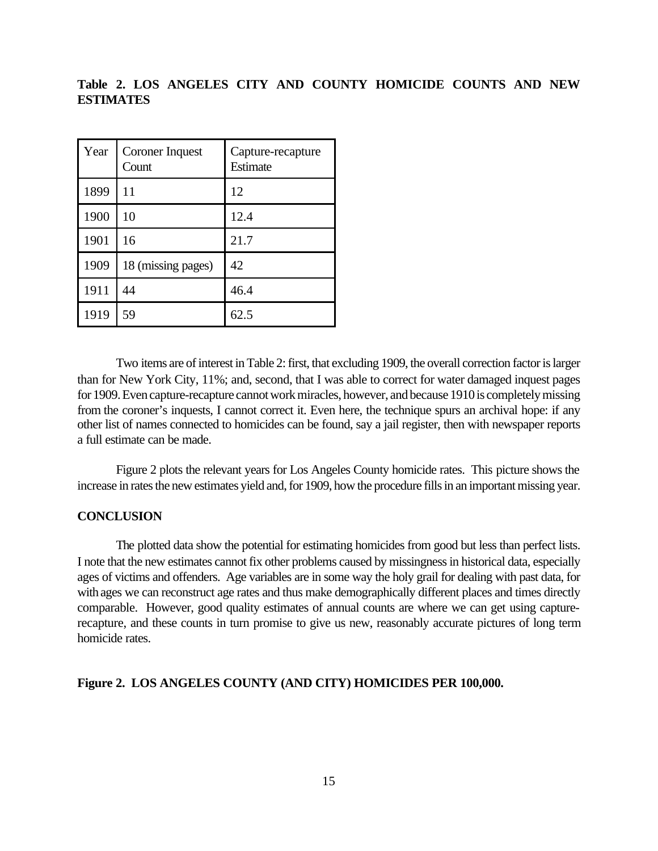## **Table 2. LOS ANGELES CITY AND COUNTY HOMICIDE COUNTS AND NEW ESTIMATES**

| Year | Coroner Inquest<br>Count | Capture-recapture<br>Estimate |
|------|--------------------------|-------------------------------|
| 1899 | 11                       | 12                            |
| 1900 | 10                       | 12.4                          |
| 1901 | 16                       | 21.7                          |
| 1909 | 18 (missing pages)       | 42                            |
| 1911 | 44                       | 46.4                          |
| 1919 | 59                       | 62.5                          |

Two items are of interest in Table 2: first, that excluding 1909, the overall correction factor is larger than for New York City, 11%; and, second, that I was able to correct for water damaged inquest pages for 1909. Even capture-recapture cannot work miracles, however, and because 1910 is completely missing from the coroner's inquests, I cannot correct it. Even here, the technique spurs an archival hope: if any other list of names connected to homicides can be found, say a jail register, then with newspaper reports a full estimate can be made.

Figure 2 plots the relevant years for Los Angeles County homicide rates. This picture shows the increase in rates the new estimates yield and, for 1909, how the procedure fills in an important missing year.

#### **CONCLUSION**

The plotted data show the potential for estimating homicides from good but less than perfect lists. I note that the new estimates cannot fix other problems caused by missingness in historical data, especially ages of victims and offenders. Age variables are in some way the holy grail for dealing with past data, for with ages we can reconstruct age rates and thus make demographically different places and times directly comparable. However, good quality estimates of annual counts are where we can get using capturerecapture, and these counts in turn promise to give us new, reasonably accurate pictures of long term homicide rates.

#### **Figure 2. LOS ANGELES COUNTY (AND CITY) HOMICIDES PER 100,000.**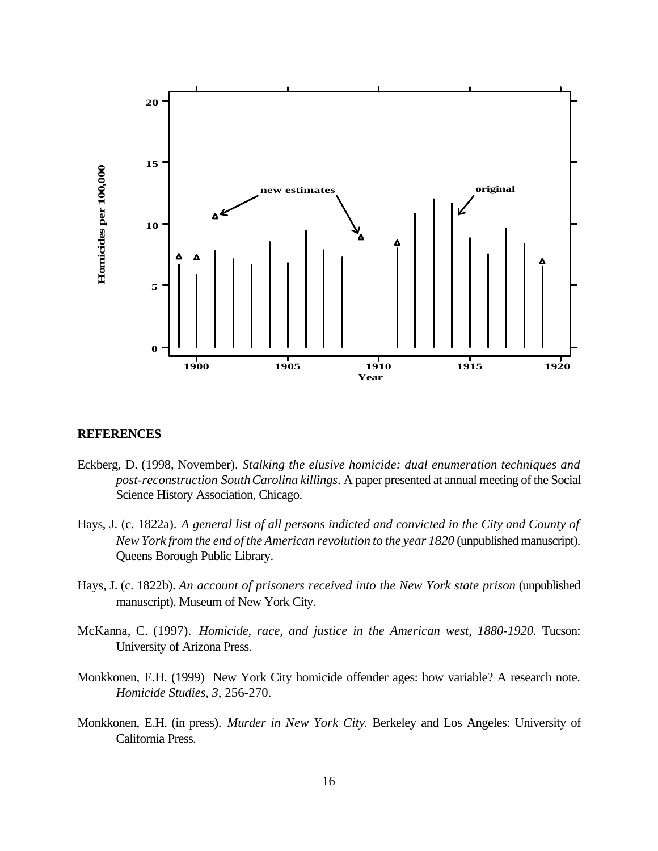

#### **REFERENCES**

- Eckberg, D. (1998, November). *Stalking the elusive homicide: dual enumeration techniques and post-reconstruction South Carolina killings*. A paper presented at annual meeting of the Social Science History Association, Chicago.
- Hays, J. (c. 1822a). *A general list of all persons indicted and convicted in the City and County of New York from the end of the American revolution to the year 1820* (unpublished manuscript). Queens Borough Public Library.
- Hays, J. (c. 1822b). *An account of prisoners received into the New York state prison* (unpublished manuscript). Museum of New York City.
- McKanna, C. (1997). *Homicide, race, and justice in the American west, 1880-1920.* Tucson: University of Arizona Press.
- Monkkonen, E.H. (1999) New York City homicide offender ages: how variable? A research note. *Homicide Studies, 3*, 256-270.
- Monkkonen, E.H. (in press). *Murder in New York City*. Berkeley and Los Angeles: University of California Press.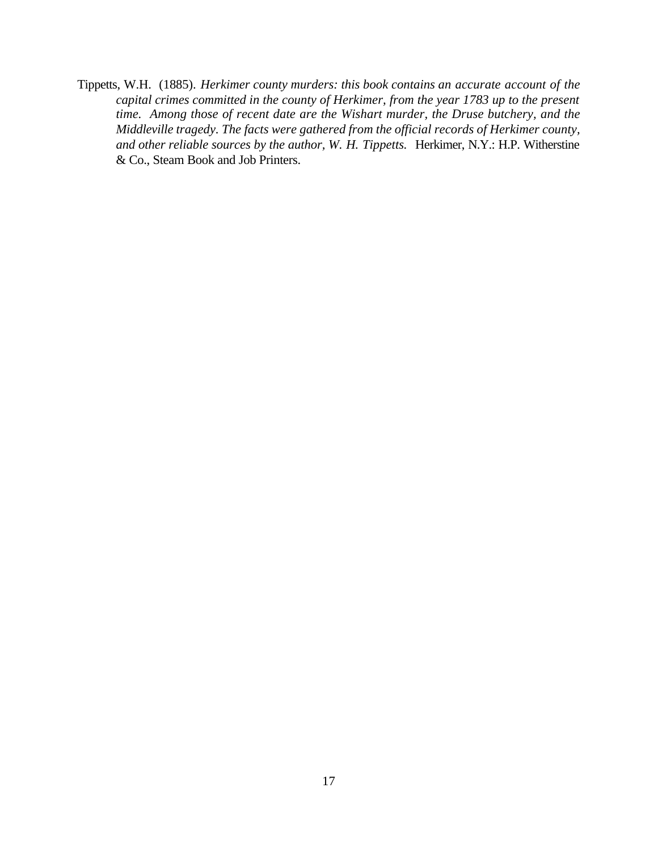Tippetts, W.H. (1885). *Herkimer county murders: this book contains an accurate account of the capital crimes committed in the county of Herkimer, from the year 1783 up to the present time. Among those of recent date are the Wishart murder, the Druse butchery, and the Middleville tragedy. The facts were gathered from the official records of Herkimer county,* and other reliable sources by the author, W. H. Tippetts. Herkimer, N.Y.: H.P. Witherstine & Co., Steam Book and Job Printers.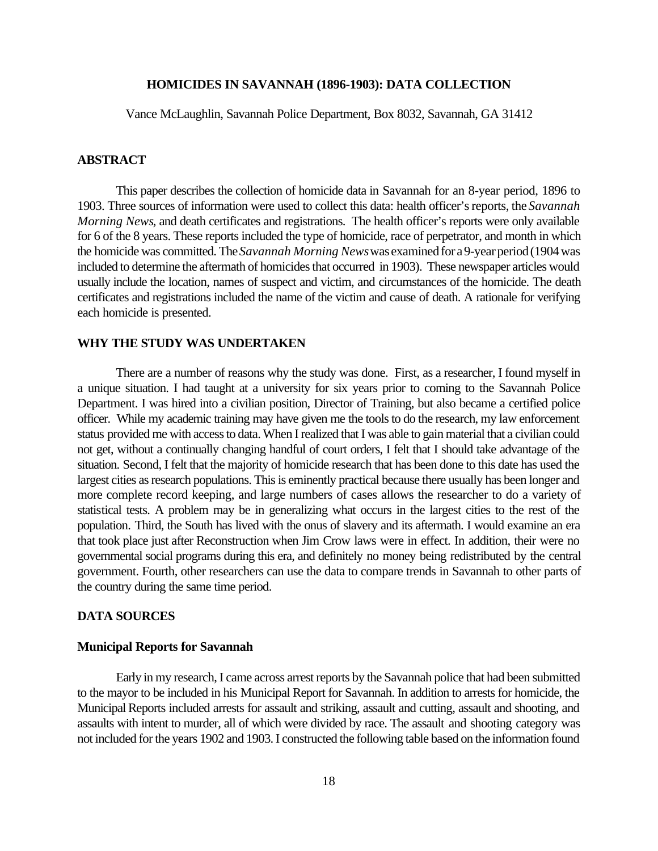#### **HOMICIDES IN SAVANNAH (1896-1903): DATA COLLECTION**

Vance McLaughlin, Savannah Police Department, Box 8032, Savannah, GA 31412

#### **ABSTRACT**

This paper describes the collection of homicide data in Savannah for an 8-year period, 1896 to 1903. Three sources of information were used to collect this data: health officer's reports, the *Savannah Morning News*, and death certificates and registrations. The health officer's reports were only available for 6 of the 8 years. These reports included the type of homicide, race of perpetrator, and month in which the homicide was committed. The *Savannah Morning News* was examined for a 9-year period (1904 was included to determine the aftermath of homicides that occurred in 1903). These newspaper articles would usually include the location, names of suspect and victim, and circumstances of the homicide. The death certificates and registrations included the name of the victim and cause of death. A rationale for verifying each homicide is presented.

#### **WHY THE STUDY WAS UNDERTAKEN**

There are a number of reasons why the study was done. First, as a researcher, I found myself in a unique situation. I had taught at a university for six years prior to coming to the Savannah Police Department. I was hired into a civilian position, Director of Training, but also became a certified police officer. While my academic training may have given me the tools to do the research, my law enforcement status provided me with access to data. When I realized that I was able to gain material that a civilian could not get, without a continually changing handful of court orders, I felt that I should take advantage of the situation. Second, I felt that the majority of homicide research that has been done to this date has used the largest cities as research populations. This is eminently practical because there usually has been longer and more complete record keeping, and large numbers of cases allows the researcher to do a variety of statistical tests. A problem may be in generalizing what occurs in the largest cities to the rest of the population. Third, the South has lived with the onus of slavery and its aftermath. I would examine an era that took place just after Reconstruction when Jim Crow laws were in effect. In addition, their were no governmental social programs during this era, and definitely no money being redistributed by the central government. Fourth, other researchers can use the data to compare trends in Savannah to other parts of the country during the same time period.

#### **DATA SOURCES**

#### **Municipal Reports for Savannah**

Early in my research, I came across arrest reports by the Savannah police that had been submitted to the mayor to be included in his Municipal Report for Savannah. In addition to arrests for homicide, the Municipal Reports included arrests for assault and striking, assault and cutting, assault and shooting, and assaults with intent to murder, all of which were divided by race. The assault and shooting category was not included for the years 1902 and 1903. I constructed the following table based on the information found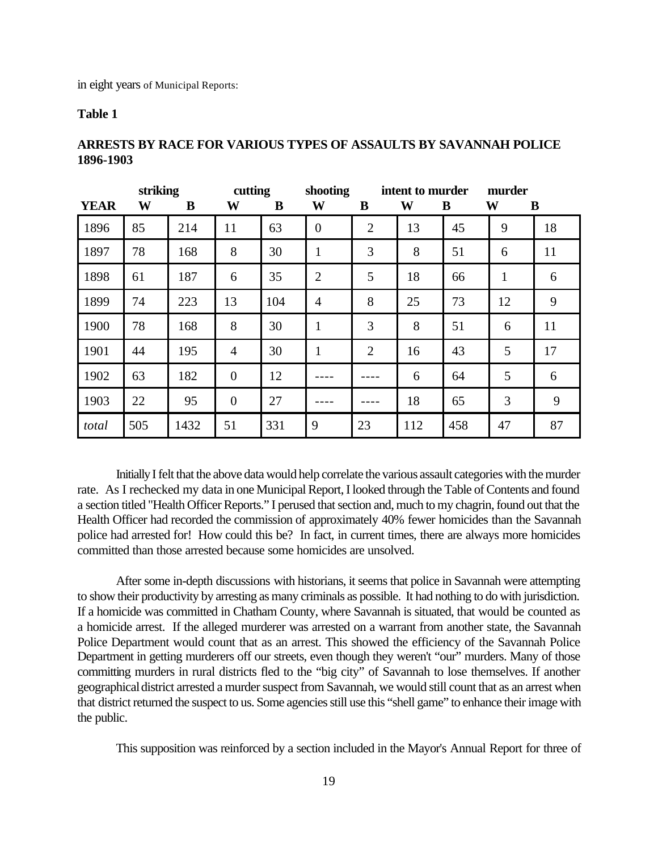in eight years of Municipal Reports:

#### **Table 1**

|             | striking |      | cutting        |     | shooting       |                | intent to murder |     | murder       |    |
|-------------|----------|------|----------------|-----|----------------|----------------|------------------|-----|--------------|----|
| <b>YEAR</b> | W        | B    | W              | B   | W              | B              | W                | B   | W            | B  |
| 1896        | 85       | 214  | 11             | 63  | $\overline{0}$ | $\overline{2}$ | 13               | 45  | 9            | 18 |
| 1897        | 78       | 168  | 8              | 30  | $\mathbf{1}$   | 3              | 8                | 51  | 6            | 11 |
| 1898        | 61       | 187  | 6              | 35  | $\overline{2}$ | 5              | 18               | 66  | $\mathbf{1}$ | 6  |
| 1899        | 74       | 223  | 13             | 104 | $\overline{4}$ | 8              | 25               | 73  | 12           | 9  |
| 1900        | 78       | 168  | 8              | 30  | $\mathbf{1}$   | 3              | 8                | 51  | 6            | 11 |
| 1901        | 44       | 195  | $\overline{4}$ | 30  | $\mathbf{1}$   | $\overline{2}$ | 16               | 43  | 5            | 17 |
| 1902        | 63       | 182  | $\overline{0}$ | 12  |                |                | 6                | 64  | 5            | 6  |
| 1903        | 22       | 95   | $\overline{0}$ | 27  |                |                | 18               | 65  | 3            | 9  |
| total       | 505      | 1432 | 51             | 331 | 9              | 23             | 112              | 458 | 47           | 87 |

## **ARRESTS BY RACE FOR VARIOUS TYPES OF ASSAULTS BY SAVANNAH POLICE 1896-1903**

Initially I felt that the above data would help correlate the various assault categories with the murder rate. As I rechecked my data in one Municipal Report, I looked through the Table of Contents and found a section titled "Health Officer Reports." I perused that section and, much to my chagrin, found out that the Health Officer had recorded the commission of approximately 40% fewer homicides than the Savannah police had arrested for! How could this be? In fact, in current times, there are always more homicides committed than those arrested because some homicides are unsolved.

After some in-depth discussions with historians, it seems that police in Savannah were attempting to show their productivity by arresting as many criminals as possible. It had nothing to do with jurisdiction. If a homicide was committed in Chatham County, where Savannah is situated, that would be counted as a homicide arrest. If the alleged murderer was arrested on a warrant from another state, the Savannah Police Department would count that as an arrest. This showed the efficiency of the Savannah Police Department in getting murderers off our streets, even though they weren't "our" murders. Many of those committing murders in rural districts fled to the "big city" of Savannah to lose themselves. If another geographical district arrested a murder suspect from Savannah, we would still count that as an arrest when that district returned the suspect to us. Some agencies still use this "shell game" to enhance their image with the public.

This supposition was reinforced by a section included in the Mayor's Annual Report for three of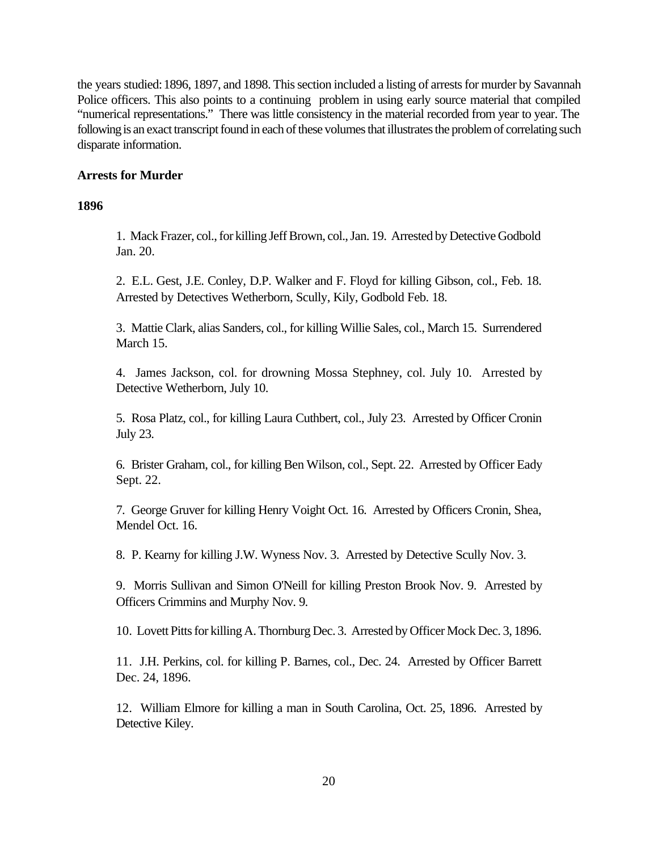the years studied: 1896, 1897, and 1898. This section included a listing of arrests for murder by Savannah Police officers. This also points to a continuing problem in using early source material that compiled "numerical representations." There was little consistency in the material recorded from year to year. The following is an exact transcript found in each of these volumes that illustrates the problem of correlating such disparate information.

## **Arrests for Murder**

### **1896**

1. Mack Frazer, col., for killing Jeff Brown, col., Jan. 19. Arrested by Detective Godbold Jan. 20.

2. E.L. Gest, J.E. Conley, D.P. Walker and F. Floyd for killing Gibson, col., Feb. 18. Arrested by Detectives Wetherborn, Scully, Kily, Godbold Feb. 18.

3. Mattie Clark, alias Sanders, col., for killing Willie Sales, col., March 15. Surrendered March 15.

4. James Jackson, col. for drowning Mossa Stephney, col. July 10. Arrested by Detective Wetherborn, July 10.

5. Rosa Platz, col., for killing Laura Cuthbert, col., July 23. Arrested by Officer Cronin July 23.

6. Brister Graham, col., for killing Ben Wilson, col., Sept. 22. Arrested by Officer Eady Sept. 22.

7. George Gruver for killing Henry Voight Oct. 16. Arrested by Officers Cronin, Shea, Mendel Oct. 16.

8. P. Kearny for killing J.W. Wyness Nov. 3. Arrested by Detective Scully Nov. 3.

9. Morris Sullivan and Simon O'Neill for killing Preston Brook Nov. 9. Arrested by Officers Crimmins and Murphy Nov. 9.

10. Lovett Pitts for killing A. Thornburg Dec. 3. Arrested by Officer Mock Dec. 3, 1896.

11. J.H. Perkins, col. for killing P. Barnes, col., Dec. 24. Arrested by Officer Barrett Dec. 24, 1896.

12. William Elmore for killing a man in South Carolina, Oct. 25, 1896. Arrested by Detective Kiley.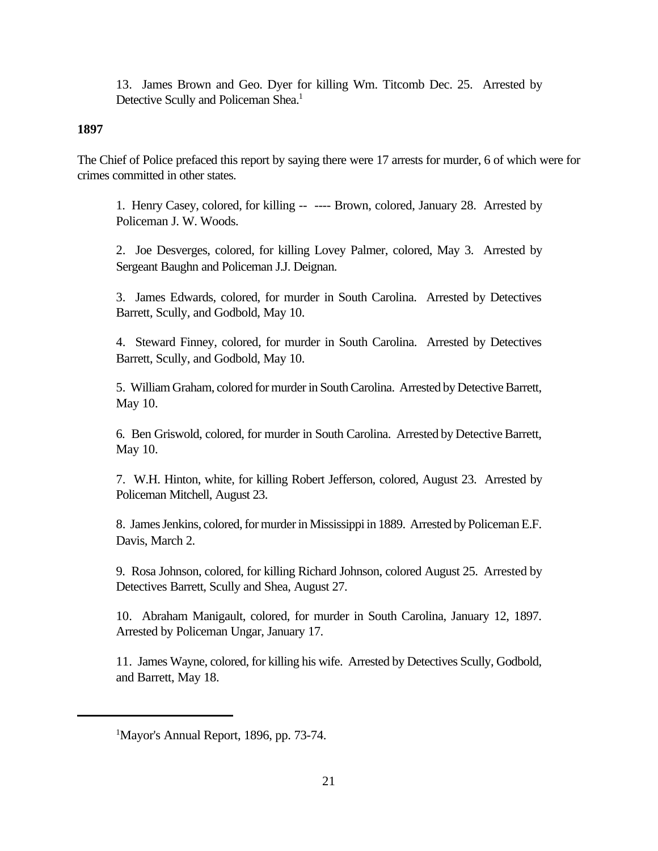13. James Brown and Geo. Dyer for killing Wm. Titcomb Dec. 25. Arrested by Detective Scully and Policeman Shea.<sup>1</sup>

## **1897**

The Chief of Police prefaced this report by saying there were 17 arrests for murder, 6 of which were for crimes committed in other states.

1. Henry Casey, colored, for killing -- ---- Brown, colored, January 28. Arrested by Policeman J. W. Woods.

2. Joe Desverges, colored, for killing Lovey Palmer, colored, May 3. Arrested by Sergeant Baughn and Policeman J.J. Deignan.

3. James Edwards, colored, for murder in South Carolina. Arrested by Detectives Barrett, Scully, and Godbold, May 10.

4. Steward Finney, colored, for murder in South Carolina. Arrested by Detectives Barrett, Scully, and Godbold, May 10.

5. William Graham, colored for murder in South Carolina. Arrested by Detective Barrett, May 10.

6. Ben Griswold, colored, for murder in South Carolina. Arrested by Detective Barrett, May 10.

7. W.H. Hinton, white, for killing Robert Jefferson, colored, August 23. Arrested by Policeman Mitchell, August 23.

8. James Jenkins, colored, for murder in Mississippi in 1889. Arrested by Policeman E.F. Davis, March 2.

9. Rosa Johnson, colored, for killing Richard Johnson, colored August 25. Arrested by Detectives Barrett, Scully and Shea, August 27.

10. Abraham Manigault, colored, for murder in South Carolina, January 12, 1897. Arrested by Policeman Ungar, January 17.

11. James Wayne, colored, for killing his wife. Arrested by Detectives Scully, Godbold, and Barrett, May 18.

<sup>&</sup>lt;sup>1</sup>Mayor's Annual Report, 1896, pp. 73-74.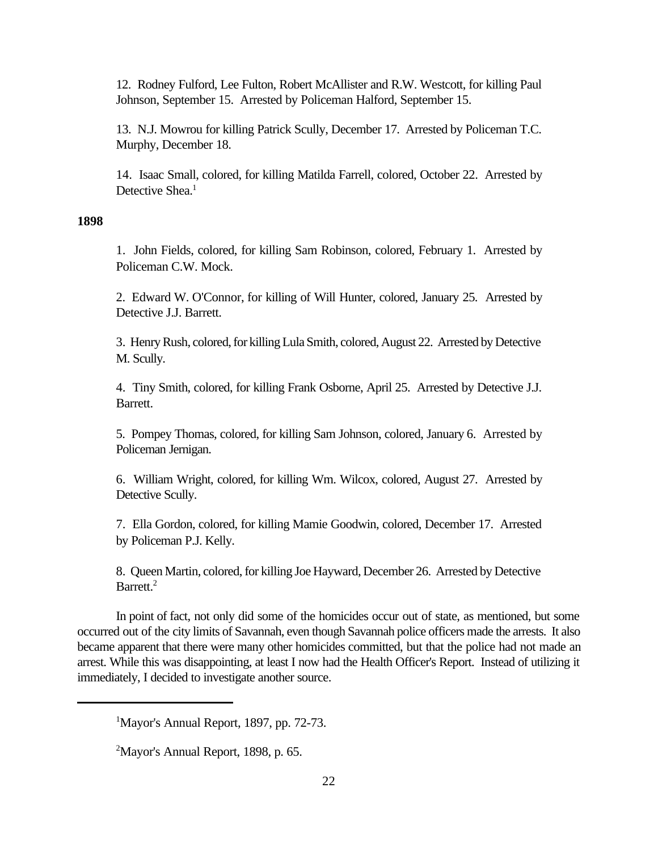12. Rodney Fulford, Lee Fulton, Robert McAllister and R.W. Westcott, for killing Paul Johnson, September 15. Arrested by Policeman Halford, September 15.

13. N.J. Mowrou for killing Patrick Scully, December 17. Arrested by Policeman T.C. Murphy, December 18.

14. Isaac Small, colored, for killing Matilda Farrell, colored, October 22. Arrested by Detective Shea.<sup>1</sup>

#### **1898**

1. John Fields, colored, for killing Sam Robinson, colored, February 1. Arrested by Policeman C.W. Mock.

2. Edward W. O'Connor, for killing of Will Hunter, colored, January 25. Arrested by Detective J.J. Barrett.

3. Henry Rush, colored, for killing Lula Smith, colored, August 22. Arrested by Detective M. Scully.

4. Tiny Smith, colored, for killing Frank Osborne, April 25. Arrested by Detective J.J. Barrett.

5. Pompey Thomas, colored, for killing Sam Johnson, colored, January 6. Arrested by Policeman Jernigan.

6. William Wright, colored, for killing Wm. Wilcox, colored, August 27. Arrested by Detective Scully.

7. Ella Gordon, colored, for killing Mamie Goodwin, colored, December 17. Arrested by Policeman P.J. Kelly.

8. Queen Martin, colored, for killing Joe Hayward, December 26. Arrested by Detective Barrett.<sup>2</sup>

In point of fact, not only did some of the homicides occur out of state, as mentioned, but some occurred out of the city limits of Savannah, even though Savannah police officers made the arrests. It also became apparent that there were many other homicides committed, but that the police had not made an arrest. While this was disappointing, at least I now had the Health Officer's Report. Instead of utilizing it immediately, I decided to investigate another source.

<sup>&</sup>lt;sup>1</sup>Mayor's Annual Report, 1897, pp. 72-73.

 $2^2$ Mayor's Annual Report, 1898, p. 65.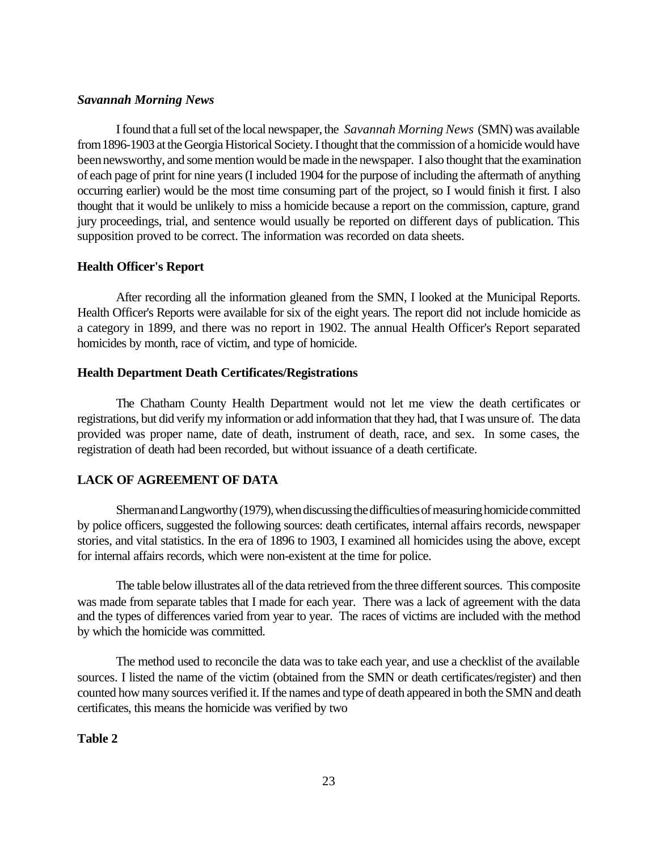#### *Savannah Morning News*

I found that a full set of the local newspaper, the *Savannah Morning News* (SMN) was available from 1896-1903 at the Georgia Historical Society. I thought that the commission of a homicide would have been newsworthy, and some mention would be made in the newspaper. I also thought that the examination of each page of print for nine years (I included 1904 for the purpose of including the aftermath of anything occurring earlier) would be the most time consuming part of the project, so I would finish it first. I also thought that it would be unlikely to miss a homicide because a report on the commission, capture, grand jury proceedings, trial, and sentence would usually be reported on different days of publication. This supposition proved to be correct. The information was recorded on data sheets.

#### **Health Officer's Report**

After recording all the information gleaned from the SMN, I looked at the Municipal Reports. Health Officer's Reports were available for six of the eight years. The report did not include homicide as a category in 1899, and there was no report in 1902. The annual Health Officer's Report separated homicides by month, race of victim, and type of homicide.

#### **Health Department Death Certificates/Registrations**

The Chatham County Health Department would not let me view the death certificates or registrations, but did verify my information or add information that they had, that I was unsure of. The data provided was proper name, date of death, instrument of death, race, and sex. In some cases, the registration of death had been recorded, but without issuance of a death certificate.

#### **LACK OF AGREEMENT OF DATA**

Sherman and Langworthy (1979), when discussing the difficulties of measuring homicide committed by police officers, suggested the following sources: death certificates, internal affairs records, newspaper stories, and vital statistics. In the era of 1896 to 1903, I examined all homicides using the above, except for internal affairs records, which were non-existent at the time for police.

The table below illustrates all of the data retrieved from the three different sources. This composite was made from separate tables that I made for each year. There was a lack of agreement with the data and the types of differences varied from year to year. The races of victims are included with the method by which the homicide was committed.

The method used to reconcile the data was to take each year, and use a checklist of the available sources. I listed the name of the victim (obtained from the SMN or death certificates/register) and then counted how many sources verified it. If the names and type of death appeared in both the SMN and death certificates, this means the homicide was verified by two

**Table 2**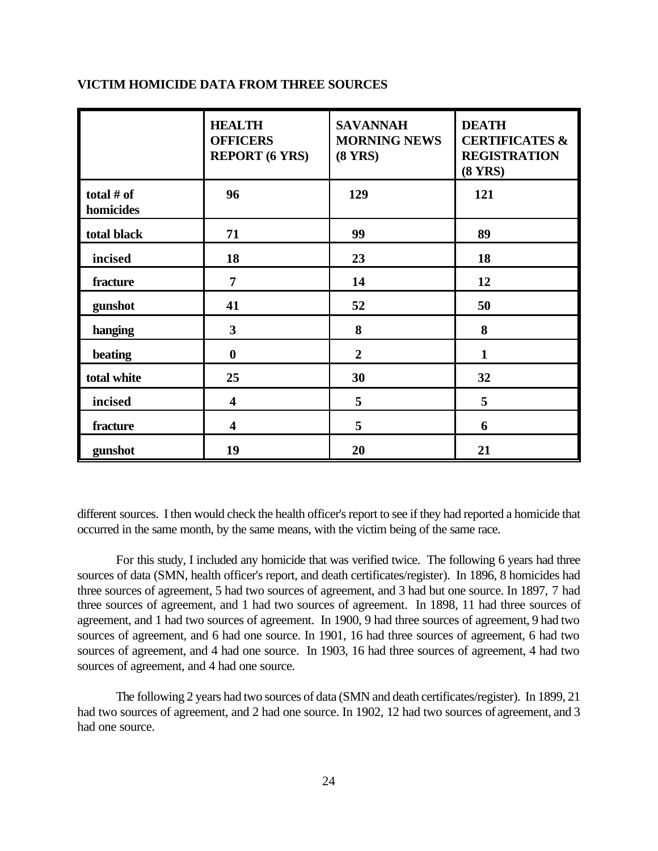| VICTIM HOMICIDE DATA FROM THREE SOURCES |
|-----------------------------------------|
|-----------------------------------------|

|                           | <b>HEALTH</b><br><b>OFFICERS</b><br><b>REPORT (6 YRS)</b> | <b>SAVANNAH</b><br><b>MORNING NEWS</b><br>$(8$ YRS $)$ | <b>DEATH</b><br><b>CERTIFICATES &amp;</b><br><b>REGISTRATION</b><br>$(8$ YRS $)$ |
|---------------------------|-----------------------------------------------------------|--------------------------------------------------------|----------------------------------------------------------------------------------|
| total $#$ of<br>homicides | 96                                                        | 129                                                    | 121                                                                              |
| total black               | 71                                                        | 99                                                     | 89                                                                               |
| incised                   | 18                                                        | 23                                                     | 18                                                                               |
| fracture                  | $\overline{7}$                                            | 14                                                     | 12                                                                               |
| gunshot                   | 41                                                        | 52                                                     | 50                                                                               |
| hanging                   | $\overline{\mathbf{3}}$                                   | 8                                                      | 8                                                                                |
| beating                   | $\bf{0}$                                                  | $\overline{2}$                                         | $\mathbf{1}$                                                                     |
| total white               | 25                                                        | 30                                                     | 32                                                                               |
| incised                   | $\overline{\mathbf{4}}$                                   | 5                                                      | 5                                                                                |
| fracture                  | 4                                                         | 5                                                      | 6                                                                                |
| gunshot                   | 19                                                        | 20                                                     | 21                                                                               |

different sources. I then would check the health officer's report to see if they had reported a homicide that occurred in the same month, by the same means, with the victim being of the same race.

For this study, I included any homicide that was verified twice. The following 6 years had three sources of data (SMN, health officer's report, and death certificates/register). In 1896, 8 homicides had three sources of agreement, 5 had two sources of agreement, and 3 had but one source. In 1897, 7 had three sources of agreement, and 1 had two sources of agreement. In 1898, 11 had three sources of agreement, and 1 had two sources of agreement. In 1900, 9 had three sources of agreement, 9 had two sources of agreement, and 6 had one source. In 1901, 16 had three sources of agreement, 6 had two sources of agreement, and 4 had one source. In 1903, 16 had three sources of agreement, 4 had two sources of agreement, and 4 had one source.

The following 2 years had two sources of data (SMN and death certificates/register). In 1899, 21 had two sources of agreement, and 2 had one source. In 1902, 12 had two sources of agreement, and 3 had one source.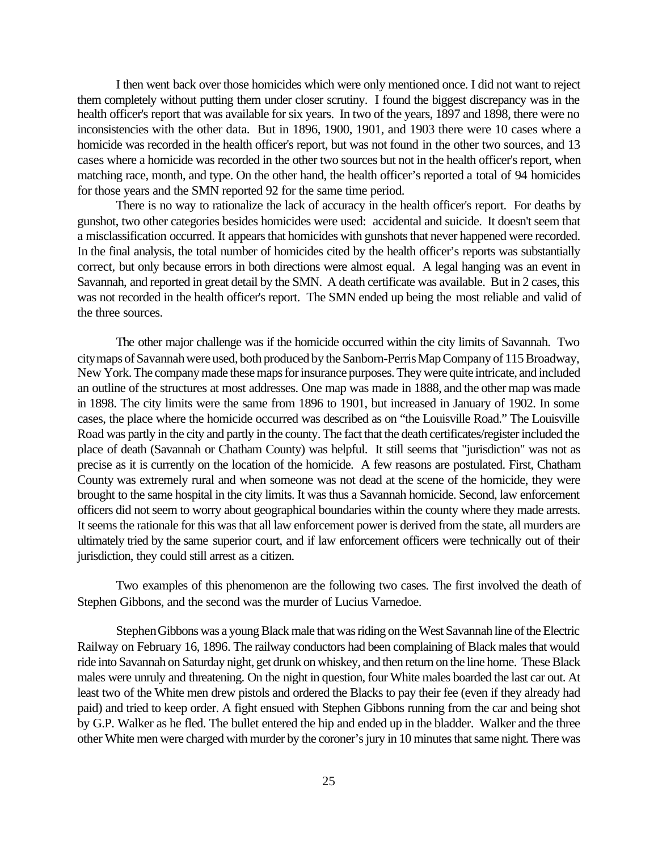I then went back over those homicides which were only mentioned once. I did not want to reject them completely without putting them under closer scrutiny. I found the biggest discrepancy was in the health officer's report that was available for six years. In two of the years, 1897 and 1898, there were no inconsistencies with the other data. But in 1896, 1900, 1901, and 1903 there were 10 cases where a homicide was recorded in the health officer's report, but was not found in the other two sources, and 13 cases where a homicide was recorded in the other two sources but not in the health officer's report, when matching race, month, and type. On the other hand, the health officer's reported a total of 94 homicides for those years and the SMN reported 92 for the same time period.

There is no way to rationalize the lack of accuracy in the health officer's report. For deaths by gunshot, two other categories besides homicides were used: accidental and suicide. It doesn't seem that a misclassification occurred. It appears that homicides with gunshots that never happened were recorded. In the final analysis, the total number of homicides cited by the health officer's reports was substantially correct, but only because errors in both directions were almost equal. A legal hanging was an event in Savannah, and reported in great detail by the SMN. A death certificate was available. But in 2 cases, this was not recorded in the health officer's report. The SMN ended up being the most reliable and valid of the three sources.

The other major challenge was if the homicide occurred within the city limits of Savannah. Two city maps of Savannah were used, both produced by the Sanborn-Perris Map Company of 115 Broadway, New York. The company made these maps for insurance purposes. They were quite intricate, and included an outline of the structures at most addresses. One map was made in 1888, and the other map was made in 1898. The city limits were the same from 1896 to 1901, but increased in January of 1902. In some cases, the place where the homicide occurred was described as on "the Louisville Road." The Louisville Road was partly in the city and partly in the county. The fact that the death certificates/register included the place of death (Savannah or Chatham County) was helpful. It still seems that "jurisdiction" was not as precise as it is currently on the location of the homicide. A few reasons are postulated. First, Chatham County was extremely rural and when someone was not dead at the scene of the homicide, they were brought to the same hospital in the city limits. It was thus a Savannah homicide. Second, law enforcement officers did not seem to worry about geographical boundaries within the county where they made arrests. It seems the rationale for this was that all law enforcement power is derived from the state, all murders are ultimately tried by the same superior court, and if law enforcement officers were technically out of their jurisdiction, they could still arrest as a citizen.

Two examples of this phenomenon are the following two cases. The first involved the death of Stephen Gibbons, and the second was the murder of Lucius Varnedoe.

Stephen Gibbons was a young Black male that was riding on the West Savannah line of the Electric Railway on February 16, 1896. The railway conductors had been complaining of Black males that would ride into Savannah on Saturday night, get drunk on whiskey, and then return on the line home. These Black males were unruly and threatening. On the night in question, four White males boarded the last car out. At least two of the White men drew pistols and ordered the Blacks to pay their fee (even if they already had paid) and tried to keep order. A fight ensued with Stephen Gibbons running from the car and being shot by G.P. Walker as he fled. The bullet entered the hip and ended up in the bladder. Walker and the three other White men were charged with murder by the coroner's jury in 10 minutes that same night. There was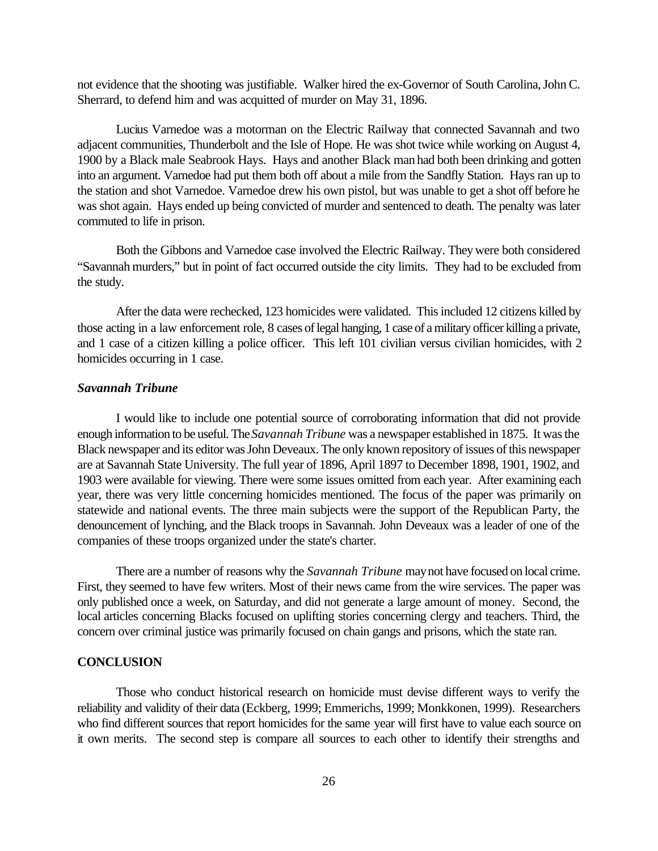not evidence that the shooting was justifiable. Walker hired the ex-Governor of South Carolina, John C. Sherrard, to defend him and was acquitted of murder on May 31, 1896.

Lucius Varnedoe was a motorman on the Electric Railway that connected Savannah and two adjacent communities, Thunderbolt and the Isle of Hope. He was shot twice while working on August 4, 1900 by a Black male Seabrook Hays. Hays and another Black man had both been drinking and gotten into an argument. Varnedoe had put them both off about a mile from the Sandfly Station. Hays ran up to the station and shot Varnedoe. Varnedoe drew his own pistol, but was unable to get a shot off before he was shot again. Hays ended up being convicted of murder and sentenced to death. The penalty was later commuted to life in prison.

Both the Gibbons and Varnedoe case involved the Electric Railway. They were both considered "Savannah murders," but in point of fact occurred outside the city limits. They had to be excluded from the study.

After the data were rechecked, 123 homicides were validated. This included 12 citizens killed by those acting in a law enforcement role, 8 cases of legal hanging, 1 case of a military officer killing a private, and 1 case of a citizen killing a police officer. This left 101 civilian versus civilian homicides, with 2 homicides occurring in 1 case.

#### *Savannah Tribune*

I would like to include one potential source of corroborating information that did not provide enough information to be useful. The *Savannah Tribune* was a newspaper established in 1875. It was the Black newspaper and its editor was John Deveaux. The only known repository of issues of this newspaper are at Savannah State University. The full year of 1896, April 1897 to December 1898, 1901, 1902, and 1903 were available for viewing. There were some issues omitted from each year. After examining each year, there was very little concerning homicides mentioned. The focus of the paper was primarily on statewide and national events. The three main subjects were the support of the Republican Party, the denouncement of lynching, and the Black troops in Savannah. John Deveaux was a leader of one of the companies of these troops organized under the state's charter.

There are a number of reasons why the *Savannah Tribune* may not have focused on local crime. First, they seemed to have few writers. Most of their news came from the wire services. The paper was only published once a week, on Saturday, and did not generate a large amount of money. Second, the local articles concerning Blacks focused on uplifting stories concerning clergy and teachers. Third, the concern over criminal justice was primarily focused on chain gangs and prisons, which the state ran.

## **CONCLUSION**

Those who conduct historical research on homicide must devise different ways to verify the reliability and validity of their data (Eckberg, 1999; Emmerichs, 1999; Monkkonen, 1999). Researchers who find different sources that report homicides for the same year will first have to value each source on it own merits. The second step is compare all sources to each other to identify their strengths and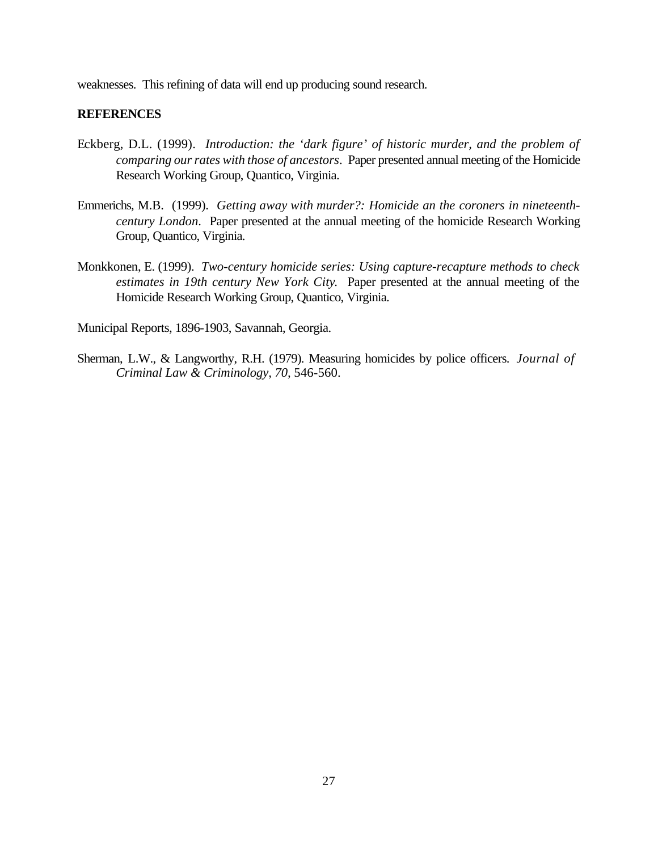weaknesses. This refining of data will end up producing sound research.

## **REFERENCES**

- Eckberg, D.L. (1999). *Introduction: the 'dark figure' of historic murder, and the problem of comparing our rates with those of ancestors*. Paper presented annual meeting of the Homicide Research Working Group, Quantico, Virginia.
- Emmerichs, M.B. (1999). *Getting away with murder?: Homicide an the coroners in nineteenthcentury London*. Paper presented at the annual meeting of the homicide Research Working Group, Quantico, Virginia.
- Monkkonen, E. (1999). *Two-century homicide series: Using capture-recapture methods to check estimates in 19th century New York City*. Paper presented at the annual meeting of the Homicide Research Working Group, Quantico, Virginia.

Municipal Reports, 1896-1903, Savannah, Georgia.

Sherman, L.W., & Langworthy, R.H. (1979). Measuring homicides by police officers. *Journal of Criminal Law & Criminology, 70,* 546-560.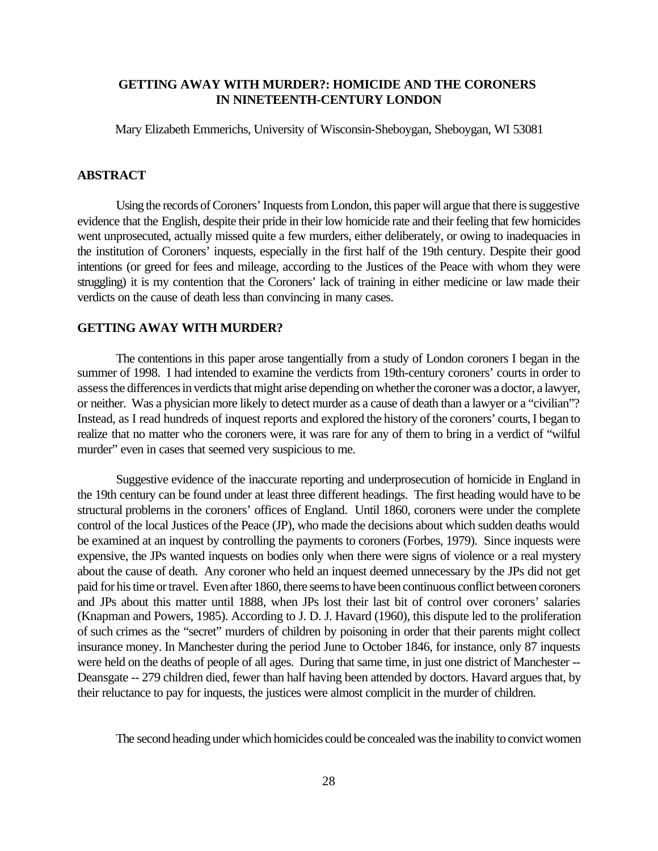## **GETTING AWAY WITH MURDER?: HOMICIDE AND THE CORONERS IN NINETEENTH-CENTURY LONDON**

Mary Elizabeth Emmerichs, University of Wisconsin-Sheboygan, Sheboygan, WI 53081

#### **ABSTRACT**

Using the records of Coroners' Inquests from London, this paper will argue that there is suggestive evidence that the English, despite their pride in their low homicide rate and their feeling that few homicides went unprosecuted, actually missed quite a few murders, either deliberately, or owing to inadequacies in the institution of Coroners' inquests, especially in the first half of the 19th century. Despite their good intentions (or greed for fees and mileage, according to the Justices of the Peace with whom they were struggling) it is my contention that the Coroners' lack of training in either medicine or law made their verdicts on the cause of death less than convincing in many cases.

#### **GETTING AWAY WITH MURDER?**

The contentions in this paper arose tangentially from a study of London coroners I began in the summer of 1998. I had intended to examine the verdicts from 19th-century coroners' courts in order to assess the differences in verdicts that might arise depending on whether the coroner was a doctor, a lawyer, or neither. Was a physician more likely to detect murder as a cause of death than a lawyer or a "civilian"? Instead, as I read hundreds of inquest reports and explored the history of the coroners' courts, I began to realize that no matter who the coroners were, it was rare for any of them to bring in a verdict of "wilful murder" even in cases that seemed very suspicious to me.

Suggestive evidence of the inaccurate reporting and underprosecution of homicide in England in the 19th century can be found under at least three different headings. The first heading would have to be structural problems in the coroners' offices of England. Until 1860, coroners were under the complete control of the local Justices of the Peace (JP), who made the decisions about which sudden deaths would be examined at an inquest by controlling the payments to coroners (Forbes, 1979). Since inquests were expensive, the JPs wanted inquests on bodies only when there were signs of violence or a real mystery about the cause of death. Any coroner who held an inquest deemed unnecessary by the JPs did not get paid for his time or travel. Even after 1860, there seems to have been continuous conflict between coroners and JPs about this matter until 1888, when JPs lost their last bit of control over coroners' salaries (Knapman and Powers, 1985). According to J. D. J. Havard (1960), this dispute led to the proliferation of such crimes as the "secret" murders of children by poisoning in order that their parents might collect insurance money. In Manchester during the period June to October 1846, for instance, only 87 inquests were held on the deaths of people of all ages. During that same time, in just one district of Manchester -- Deansgate -- 279 children died, fewer than half having been attended by doctors. Havard argues that, by their reluctance to pay for inquests, the justices were almost complicit in the murder of children.

The second heading under which homicides could be concealed was the inability to convict women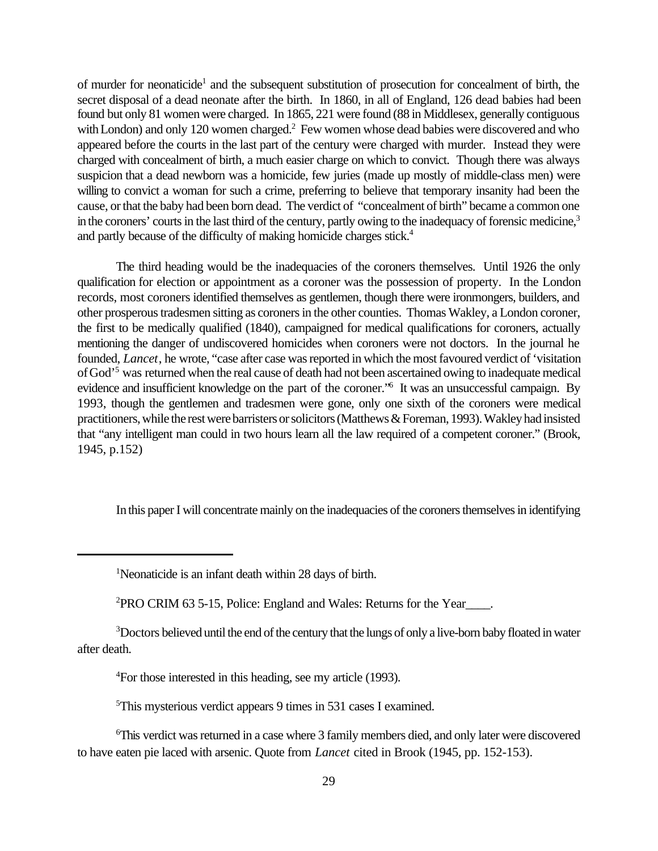of murder for neonaticide<sup>1</sup> and the subsequent substitution of prosecution for concealment of birth, the secret disposal of a dead neonate after the birth. In 1860, in all of England, 126 dead babies had been found but only 81 women were charged. In 1865, 221 were found (88 in Middlesex, generally contiguous with London) and only 120 women charged.<sup>2</sup> Few women whose dead babies were discovered and who appeared before the courts in the last part of the century were charged with murder. Instead they were charged with concealment of birth, a much easier charge on which to convict. Though there was always suspicion that a dead newborn was a homicide, few juries (made up mostly of middle-class men) were willing to convict a woman for such a crime, preferring to believe that temporary insanity had been the cause, or that the baby had been born dead. The verdict of "concealment of birth" became a common one in the coroners' courts in the last third of the century, partly owing to the inadequacy of forensic medicine.<sup>3</sup> and partly because of the difficulty of making homicide charges stick.<sup>4</sup>

The third heading would be the inadequacies of the coroners themselves. Until 1926 the only qualification for election or appointment as a coroner was the possession of property. In the London records, most coroners identified themselves as gentlemen, though there were ironmongers, builders, and other prosperous tradesmen sitting as coroners in the other counties. Thomas Wakley, a London coroner, the first to be medically qualified (1840), campaigned for medical qualifications for coroners, actually mentioning the danger of undiscovered homicides when coroners were not doctors. In the journal he founded, *Lancet*, he wrote, "case after case was reported in which the most favoured verdict of 'visitation of God'<sup>5</sup> was returned when the real cause of death had not been ascertained owing to inadequate medical evidence and insufficient knowledge on the part of the coroner.<sup>'\*6</sup> It was an unsuccessful campaign. By 1993, though the gentlemen and tradesmen were gone, only one sixth of the coroners were medical practitioners, while the rest were barristers or solicitors (Matthews & Foreman, 1993). Wakley had insisted that "any intelligent man could in two hours learn all the law required of a competent coroner." (Brook, 1945, p.152)

In this paper I will concentrate mainly on the inadequacies of the coroners themselves in identifying

<sup>1</sup>Neonaticide is an infant death within 28 days of birth.

<sup>2</sup>PRO CRIM 63 5-15, Police: England and Wales: Returns for the Year

<sup>3</sup>Doctors believed until the end of the century that the lungs of only a live-born baby floated in water after death.

<sup>4</sup>For those interested in this heading, see my article (1993).

<sup>5</sup>This mysterious verdict appears 9 times in 531 cases I examined.

<sup>6</sup>This verdict was returned in a case where 3 family members died, and only later were discovered to have eaten pie laced with arsenic. Quote from *Lancet* cited in Brook (1945, pp. 152-153).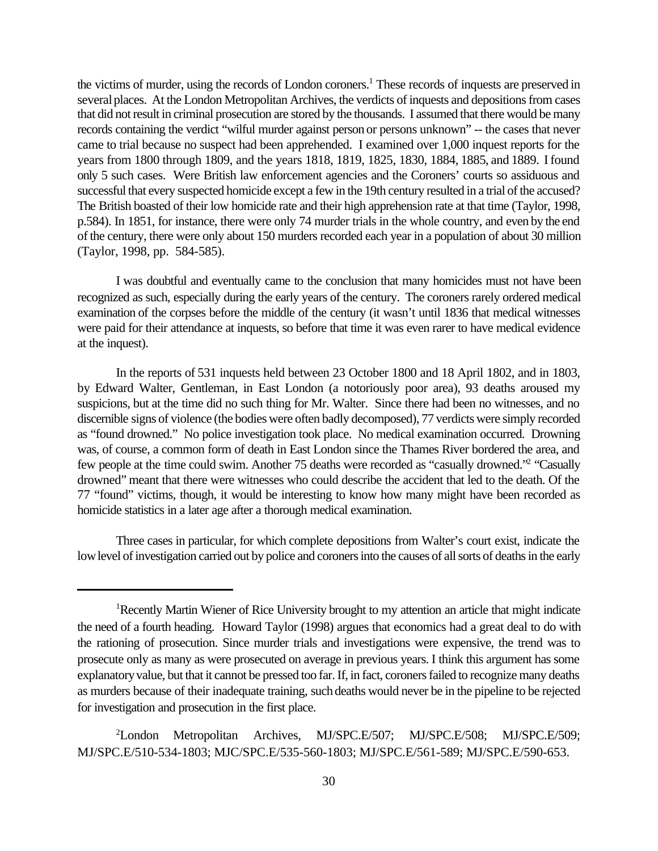the victims of murder, using the records of London coroners.<sup>1</sup> These records of inquests are preserved in several places. At the London Metropolitan Archives, the verdicts of inquests and depositions from cases that did not result in criminal prosecution are stored by the thousands. I assumed that there would be many records containing the verdict "wilful murder against person or persons unknown" -- the cases that never came to trial because no suspect had been apprehended. I examined over 1,000 inquest reports for the years from 1800 through 1809, and the years 1818, 1819, 1825, 1830, 1884, 1885, and 1889. I found only 5 such cases. Were British law enforcement agencies and the Coroners' courts so assiduous and successful that every suspected homicide except a few in the 19th century resulted in a trial of the accused? The British boasted of their low homicide rate and their high apprehension rate at that time (Taylor, 1998, p.584). In 1851, for instance, there were only 74 murder trials in the whole country, and even by the end of the century, there were only about 150 murders recorded each year in a population of about 30 million (Taylor, 1998, pp. 584-585).

I was doubtful and eventually came to the conclusion that many homicides must not have been recognized as such, especially during the early years of the century. The coroners rarely ordered medical examination of the corpses before the middle of the century (it wasn't until 1836 that medical witnesses were paid for their attendance at inquests, so before that time it was even rarer to have medical evidence at the inquest).

In the reports of 531 inquests held between 23 October 1800 and 18 April 1802, and in 1803, by Edward Walter, Gentleman, in East London (a notoriously poor area), 93 deaths aroused my suspicions, but at the time did no such thing for Mr. Walter. Since there had been no witnesses, and no discernible signs of violence (the bodies were often badly decomposed), 77 verdicts were simply recorded as "found drowned." No police investigation took place. No medical examination occurred. Drowning was, of course, a common form of death in East London since the Thames River bordered the area, and few people at the time could swim. Another 75 deaths were recorded as "casually drowned."<sup>2</sup> "Casually drowned" meant that there were witnesses who could describe the accident that led to the death. Of the 77 "found" victims, though, it would be interesting to know how many might have been recorded as homicide statistics in a later age after a thorough medical examination.

Three cases in particular, for which complete depositions from Walter's court exist, indicate the low level of investigation carried out by police and coroners into the causes of all sorts of deaths in the early

<sup>&</sup>lt;sup>1</sup>Recently Martin Wiener of Rice University brought to my attention an article that might indicate the need of a fourth heading. Howard Taylor (1998) argues that economics had a great deal to do with the rationing of prosecution. Since murder trials and investigations were expensive, the trend was to prosecute only as many as were prosecuted on average in previous years. I think this argument has some explanatory value, but that it cannot be pressed too far. If, in fact, coroners failed to recognize many deaths as murders because of their inadequate training, such deaths would never be in the pipeline to be rejected for investigation and prosecution in the first place.

<sup>2</sup>London Metropolitan Archives, MJ/SPC.E/507; MJ/SPC.E/508; MJ/SPC.E/509; MJ/SPC.E/510-534-1803; MJC/SPC.E/535-560-1803; MJ/SPC.E/561-589; MJ/SPC.E/590-653.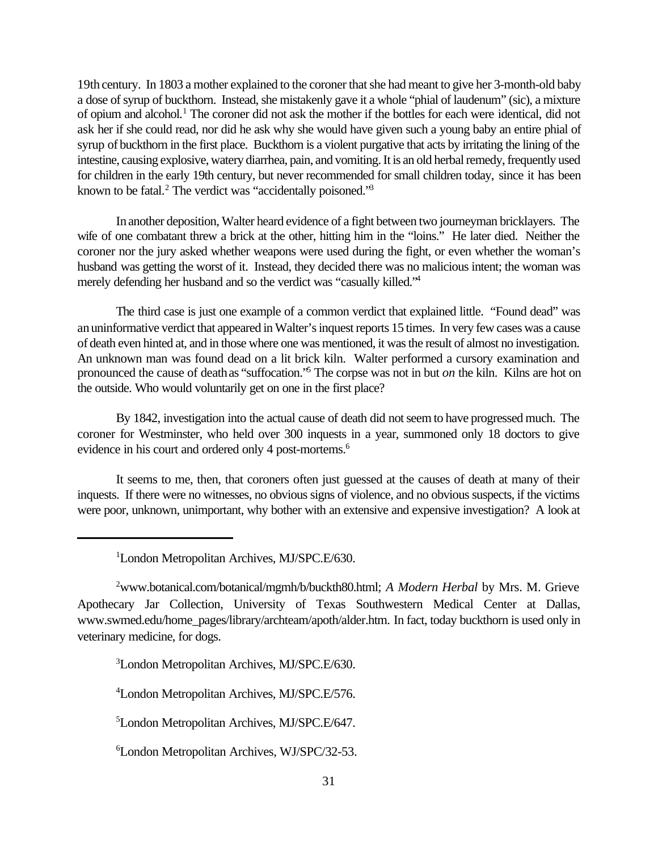19th century. In 1803 a mother explained to the coroner that she had meant to give her 3-month-old baby a dose of syrup of buckthorn. Instead, she mistakenly gave it a whole "phial of laudenum" (sic), a mixture of opium and alcohol.<sup>1</sup> The coroner did not ask the mother if the bottles for each were identical, did not ask her if she could read, nor did he ask why she would have given such a young baby an entire phial of syrup of buckthorn in the first place. Buckthorn is a violent purgative that acts by irritating the lining of the intestine, causing explosive, watery diarrhea, pain, and vomiting. It is an old herbal remedy, frequently used for children in the early 19th century, but never recommended for small children today, since it has been known to be fatal.<sup>2</sup> The verdict was "accidentally poisoned."<sup>3</sup>

In another deposition, Walter heard evidence of a fight between two journeyman bricklayers. The wife of one combatant threw a brick at the other, hitting him in the "loins." He later died. Neither the coroner nor the jury asked whether weapons were used during the fight, or even whether the woman's husband was getting the worst of it. Instead, they decided there was no malicious intent; the woman was merely defending her husband and so the verdict was "casually killed."<sup>4</sup>

The third case is just one example of a common verdict that explained little. "Found dead" was an uninformative verdict that appeared in Walter's inquest reports 15 times. In very few cases was a cause of death even hinted at, and in those where one was mentioned, it was the result of almost no investigation. An unknown man was found dead on a lit brick kiln. Walter performed a cursory examination and pronounced the cause of death as "suffocation."<sup>5</sup> The corpse was not in but *on* the kiln. Kilns are hot on the outside. Who would voluntarily get on one in the first place?

By 1842, investigation into the actual cause of death did not seem to have progressed much. The coroner for Westminster, who held over 300 inquests in a year, summoned only 18 doctors to give evidence in his court and ordered only 4 post-mortems.<sup>6</sup>

It seems to me, then, that coroners often just guessed at the causes of death at many of their inquests. If there were no witnesses, no obvious signs of violence, and no obvious suspects, if the victims were poor, unknown, unimportant, why bother with an extensive and expensive investigation? A look at

<sup>1</sup>London Metropolitan Archives, MJ/SPC.E/630.

<sup>2</sup>www.botanical.com/botanical/mgmh/b/buckth80.html; *A Modern Herbal* by Mrs. M. Grieve Apothecary Jar Collection, University of Texas Southwestern Medical Center at Dallas, www.swmed.edu/home\_pages/library/archteam/apoth/alder.htm. In fact, today buckthorn is used only in veterinary medicine, for dogs.

<sup>3</sup>London Metropolitan Archives, MJ/SPC.E/630.

<sup>4</sup>London Metropolitan Archives, MJ/SPC.E/576.

<sup>5</sup>London Metropolitan Archives, MJ/SPC.E/647.

<sup>6</sup>London Metropolitan Archives, WJ/SPC/32-53.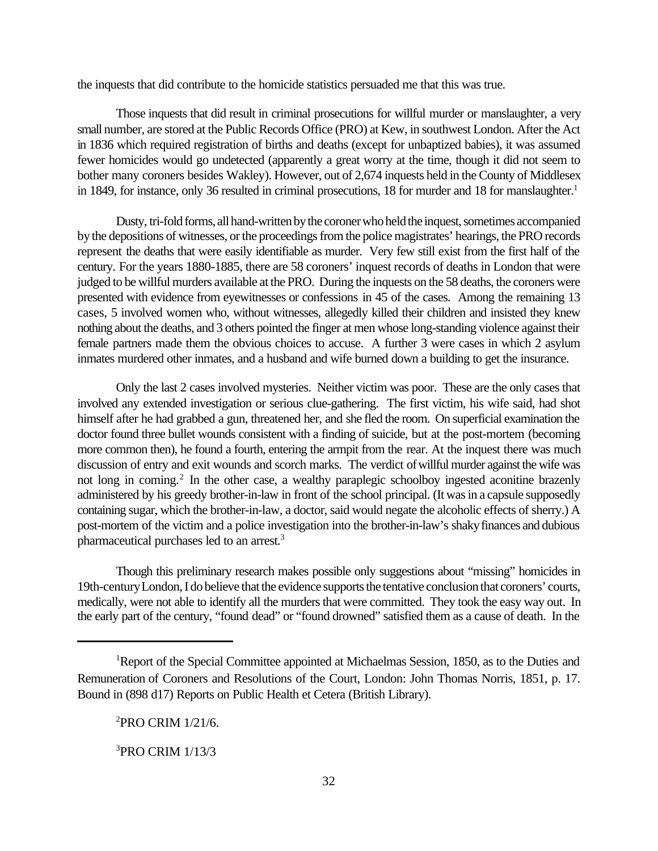the inquests that did contribute to the homicide statistics persuaded me that this was true.

Those inquests that did result in criminal prosecutions for willful murder or manslaughter, a very small number, are stored at the Public Records Office (PRO) at Kew, in southwest London. After the Act in 1836 which required registration of births and deaths (except for unbaptized babies), it was assumed fewer homicides would go undetected (apparently a great worry at the time, though it did not seem to bother many coroners besides Wakley). However, out of 2,674 inquests held in the County of Middlesex in 1849, for instance, only 36 resulted in criminal prosecutions, 18 for murder and 18 for manslaughter.<sup>1</sup>

Dusty, tri-fold forms, all hand-written by the coroner who held the inquest, sometimes accompanied by the depositions of witnesses, or the proceedings from the police magistrates' hearings, the PRO records represent the deaths that were easily identifiable as murder. Very few still exist from the first half of the century. For the years 1880-1885, there are 58 coroners' inquest records of deaths in London that were judged to be willful murders available at the PRO. During the inquests on the 58 deaths, the coroners were presented with evidence from eyewitnesses or confessions in 45 of the cases. Among the remaining 13 cases, 5 involved women who, without witnesses, allegedly killed their children and insisted they knew nothing about the deaths, and 3 others pointed the finger at men whose long-standing violence against their female partners made them the obvious choices to accuse. A further 3 were cases in which 2 asylum inmates murdered other inmates, and a husband and wife burned down a building to get the insurance.

Only the last 2 cases involved mysteries. Neither victim was poor. These are the only cases that involved any extended investigation or serious clue-gathering. The first victim, his wife said, had shot himself after he had grabbed a gun, threatened her, and she fled the room. On superficial examination the doctor found three bullet wounds consistent with a finding of suicide, but at the post-mortem (becoming more common then), he found a fourth, entering the armpit from the rear. At the inquest there was much discussion of entry and exit wounds and scorch marks. The verdict of willful murder against the wife was not long in coming.<sup>2</sup> In the other case, a wealthy paraplegic schoolboy ingested aconitine brazenly administered by his greedy brother-in-law in front of the school principal. (It was in a capsule supposedly containing sugar, which the brother-in-law, a doctor, said would negate the alcoholic effects of sherry.) A post-mortem of the victim and a police investigation into the brother-in-law's shaky finances and dubious pharmaceutical purchases led to an arrest.<sup>3</sup>

Though this preliminary research makes possible only suggestions about "missing" homicides in 19th-century London, I do believe that the evidence supports the tentative conclusion that coroners' courts, medically, were not able to identify all the murders that were committed. They took the easy way out. In the early part of the century, "found dead" or "found drowned" satisfied them as a cause of death. In the

<sup>3</sup>PRO CRIM 1/13/3

<sup>&</sup>lt;sup>1</sup>Report of the Special Committee appointed at Michaelmas Session, 1850, as to the Duties and Remuneration of Coroners and Resolutions of the Court, London: John Thomas Norris, 1851, p. 17. Bound in (898 d17) Reports on Public Health et Cetera (British Library).

<sup>2</sup>PRO CRIM 1/21/6.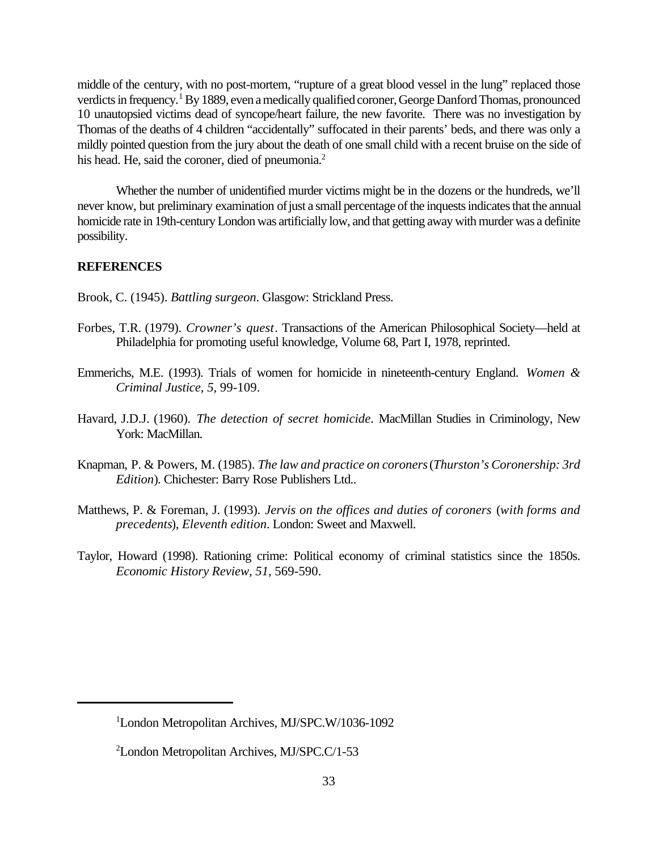middle of the century, with no post-mortem, "rupture of a great blood vessel in the lung" replaced those verdicts in frequency.<sup>1</sup> By 1889, even a medically qualified coroner, George Danford Thomas, pronounced 10 unautopsied victims dead of syncope/heart failure, the new favorite. There was no investigation by Thomas of the deaths of 4 children "accidentally" suffocated in their parents' beds, and there was only a mildly pointed question from the jury about the death of one small child with a recent bruise on the side of his head. He, said the coroner, died of pneumonia.<sup>2</sup>

Whether the number of unidentified murder victims might be in the dozens or the hundreds, we'll never know, but preliminary examination of just a small percentage of the inquests indicates that the annual homicide rate in 19th-century London was artificially low, and that getting away with murder was a definite possibility.

### **REFERENCES**

Brook, C. (1945). *Battling surgeon*. Glasgow: Strickland Press.

- Forbes, T.R. (1979). *Crowner's quest*. Transactions of the American Philosophical Society—held at Philadelphia for promoting useful knowledge, Volume 68, Part I, 1978, reprinted.
- Emmerichs, M.E. (1993). Trials of women for homicide in nineteenth-century England. *Women & Criminal Justice, 5,* 99-109.
- Havard, J.D.J. (1960). *The detection of secret homicide*. MacMillan Studies in Criminology, New York: MacMillan.
- Knapman, P. & Powers, M. (1985). *The law and practice on coroners* (*Thurston's Coronership: 3rd Edition*). Chichester: Barry Rose Publishers Ltd..
- Matthews, P. & Foreman, J. (1993). *Jervis on the offices and duties of coroners* (*with forms and precedents*), *Eleventh edition*. London: Sweet and Maxwell.
- Taylor, Howard (1998). Rationing crime: Political economy of criminal statistics since the 1850s. *Economic History Review, 51,* 569-590.

<sup>&</sup>lt;sup>1</sup>London Metropolitan Archives, MJ/SPC.W/1036-1092

<sup>2</sup>London Metropolitan Archives, MJ/SPC.C/1-53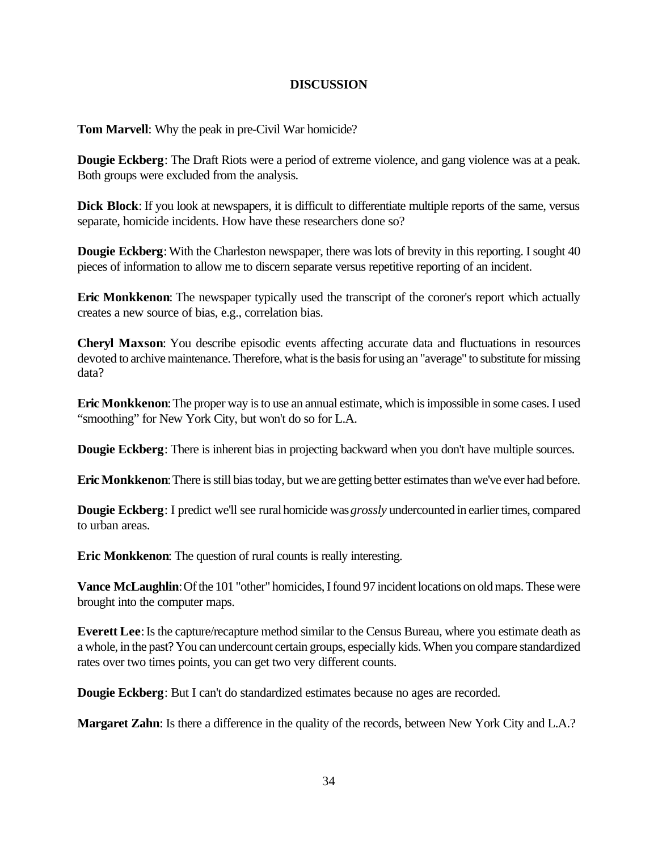## **DISCUSSION**

**Tom Marvell**: Why the peak in pre-Civil War homicide?

**Dougie Eckberg**: The Draft Riots were a period of extreme violence, and gang violence was at a peak. Both groups were excluded from the analysis.

**Dick Block**: If you look at newspapers, it is difficult to differentiate multiple reports of the same, versus separate, homicide incidents. How have these researchers done so?

**Dougie Eckberg**: With the Charleston newspaper, there was lots of brevity in this reporting. I sought 40 pieces of information to allow me to discern separate versus repetitive reporting of an incident.

**Eric Monkkenon**: The newspaper typically used the transcript of the coroner's report which actually creates a new source of bias, e.g., correlation bias.

**Cheryl Maxson**: You describe episodic events affecting accurate data and fluctuations in resources devoted to archive maintenance. Therefore, what is the basis for using an "average" to substitute for missing data?

**Eric Monkkenon**: The proper way is to use an annual estimate, which is impossible in some cases. I used "smoothing" for New York City, but won't do so for L.A.

**Dougie Eckberg**: There is inherent bias in projecting backward when you don't have multiple sources.

**Eric Monkkenon**: There is still bias today, but we are getting better estimates than we've ever had before.

**Dougie Eckberg**: I predict we'll see rural homicide was *grossly* undercounted in earlier times, compared to urban areas.

**Eric Monkkenon**: The question of rural counts is really interesting.

**Vance McLaughlin**: Of the 101 "other" homicides, I found 97 incident locations on old maps. These were brought into the computer maps.

**Everett Lee**: Is the capture/recapture method similar to the Census Bureau, where you estimate death as a whole, in the past? You can undercount certain groups, especially kids. When you compare standardized rates over two times points, you can get two very different counts.

**Dougie Eckberg**: But I can't do standardized estimates because no ages are recorded.

**Margaret Zahn**: Is there a difference in the quality of the records, between New York City and L.A.?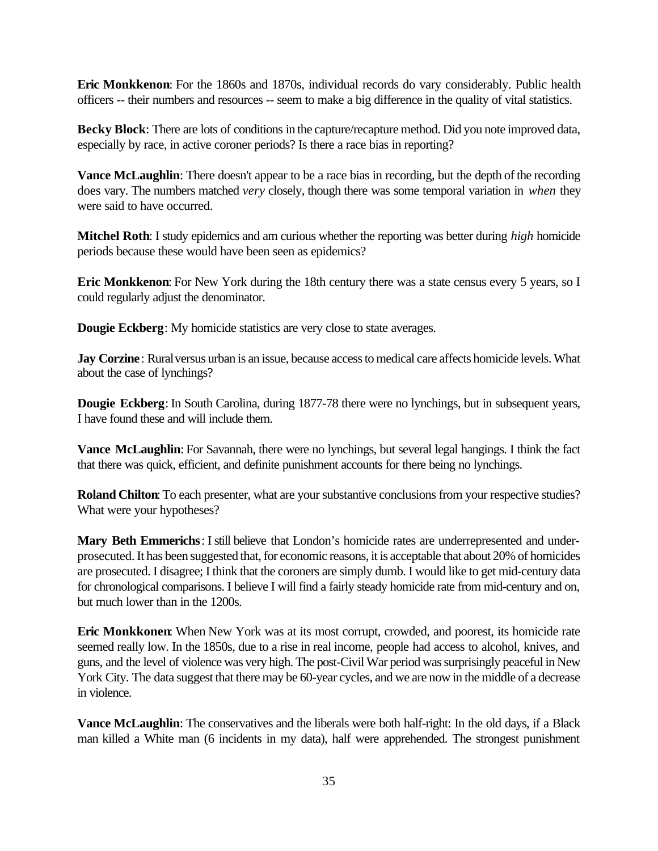**Eric Monkkenon**: For the 1860s and 1870s, individual records do vary considerably. Public health officers -- their numbers and resources -- seem to make a big difference in the quality of vital statistics.

**Becky Block**: There are lots of conditions in the capture/recapture method. Did you note improved data, especially by race, in active coroner periods? Is there a race bias in reporting?

**Vance McLaughlin**: There doesn't appear to be a race bias in recording, but the depth of the recording does vary. The numbers matched *very* closely, though there was some temporal variation in *when* they were said to have occurred.

**Mitchel Roth**: I study epidemics and am curious whether the reporting was better during *high* homicide periods because these would have been seen as epidemics?

**Eric Monkkenon**: For New York during the 18th century there was a state census every 5 years, so I could regularly adjust the denominator.

**Dougie Eckberg**: My homicide statistics are very close to state averages.

**Jay Corzine**: Rural versus urban is an issue, because access to medical care affects homicide levels. What about the case of lynchings?

**Dougie Eckberg**: In South Carolina, during 1877-78 there were no lynchings, but in subsequent years, I have found these and will include them.

**Vance McLaughlin**: For Savannah, there were no lynchings, but several legal hangings. I think the fact that there was quick, efficient, and definite punishment accounts for there being no lynchings.

**Roland Chilton**: To each presenter, what are your substantive conclusions from your respective studies? What were your hypotheses?

**Mary Beth Emmerichs**: I still believe that London's homicide rates are underrepresented and underprosecuted. It has been suggested that, for economic reasons, it is acceptable that about 20% of homicides are prosecuted. I disagree; I think that the coroners are simply dumb. I would like to get mid-century data for chronological comparisons. I believe I will find a fairly steady homicide rate from mid-century and on, but much lower than in the 1200s.

**Eric Monkkonen**: When New York was at its most corrupt, crowded, and poorest, its homicide rate seemed really low. In the 1850s, due to a rise in real income, people had access to alcohol, knives, and guns, and the level of violence was very high. The post-Civil War period was surprisingly peaceful in New York City. The data suggest that there may be 60-year cycles, and we are now in the middle of a decrease in violence.

**Vance McLaughlin**: The conservatives and the liberals were both half-right: In the old days, if a Black man killed a White man (6 incidents in my data), half were apprehended. The strongest punishment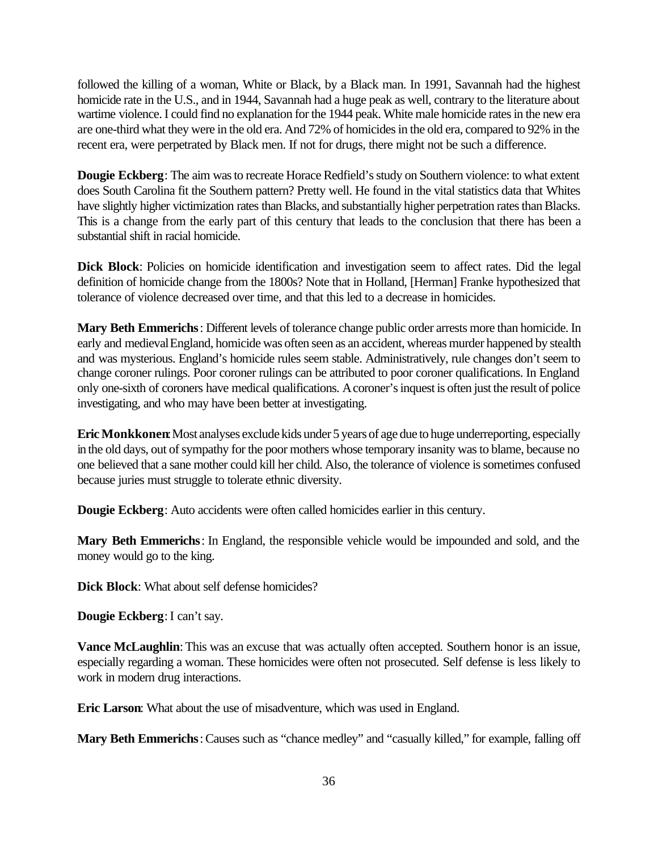followed the killing of a woman, White or Black, by a Black man. In 1991, Savannah had the highest homicide rate in the U.S., and in 1944, Savannah had a huge peak as well, contrary to the literature about wartime violence. I could find no explanation for the 1944 peak. White male homicide rates in the new era are one-third what they were in the old era. And 72% of homicides in the old era, compared to 92% in the recent era, were perpetrated by Black men. If not for drugs, there might not be such a difference.

**Dougie Eckberg**: The aim was to recreate Horace Redfield's study on Southern violence: to what extent does South Carolina fit the Southern pattern? Pretty well. He found in the vital statistics data that Whites have slightly higher victimization rates than Blacks, and substantially higher perpetration rates than Blacks. This is a change from the early part of this century that leads to the conclusion that there has been a substantial shift in racial homicide.

**Dick Block**: Policies on homicide identification and investigation seem to affect rates. Did the legal definition of homicide change from the 1800s? Note that in Holland, [Herman] Franke hypothesized that tolerance of violence decreased over time, and that this led to a decrease in homicides.

**Mary Beth Emmerichs**: Different levels of tolerance change public order arrests more than homicide. In early and medieval England, homicide was often seen as an accident, whereas murder happened by stealth and was mysterious. England's homicide rules seem stable. Administratively, rule changes don't seem to change coroner rulings. Poor coroner rulings can be attributed to poor coroner qualifications. In England only one-sixth of coroners have medical qualifications. A coroner's inquest is often just the result of police investigating, and who may have been better at investigating.

**Eric Monkkonen**: Most analyses exclude kids under 5 years of age due to huge underreporting, especially in the old days, out of sympathy for the poor mothers whose temporary insanity was to blame, because no one believed that a sane mother could kill her child. Also, the tolerance of violence is sometimes confused because juries must struggle to tolerate ethnic diversity.

**Dougie Eckberg**: Auto accidents were often called homicides earlier in this century.

**Mary Beth Emmerichs**: In England, the responsible vehicle would be impounded and sold, and the money would go to the king.

**Dick Block**: What about self defense homicides?

**Dougie Eckberg**:I can't say.

**Vance McLaughlin**: This was an excuse that was actually often accepted. Southern honor is an issue, especially regarding a woman. These homicides were often not prosecuted. Self defense is less likely to work in modern drug interactions.

**Eric Larson**: What about the use of misadventure, which was used in England.

**Mary Beth Emmerichs**:Causes such as "chance medley" and "casually killed," for example, falling off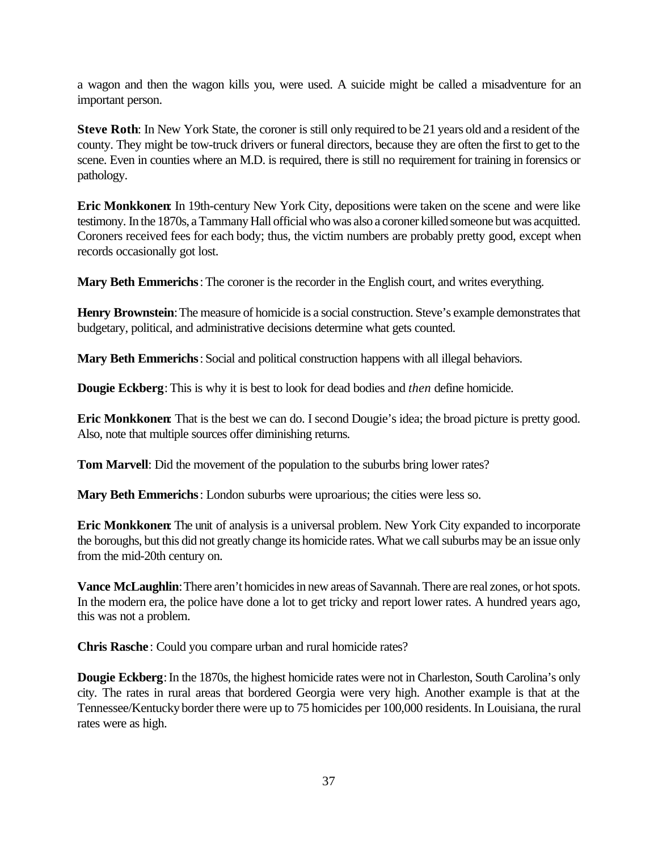a wagon and then the wagon kills you, were used. A suicide might be called a misadventure for an important person.

**Steve Roth**: In New York State, the coroner is still only required to be 21 years old and a resident of the county. They might be tow-truck drivers or funeral directors, because they are often the first to get to the scene. Even in counties where an M.D. is required, there is still no requirement for training in forensics or pathology.

**Eric Monkkonen**: In 19th-century New York City, depositions were taken on the scene and were like testimony. In the 1870s, a Tammany Hall official who was also a coroner killed someone but was acquitted. Coroners received fees for each body; thus, the victim numbers are probably pretty good, except when records occasionally got lost.

**Mary Beth Emmerichs**: The coroner is the recorder in the English court, and writes everything.

**Henry Brownstein**: The measure of homicide is a social construction. Steve's example demonstrates that budgetary, political, and administrative decisions determine what gets counted.

**Mary Beth Emmerichs**: Social and political construction happens with all illegal behaviors.

**Dougie Eckberg**: This is why it is best to look for dead bodies and *then* define homicide.

**Eric Monkkonen:** That is the best we can do. I second Dougie's idea; the broad picture is pretty good. Also, note that multiple sources offer diminishing returns.

**Tom Marvell**: Did the movement of the population to the suburbs bring lower rates?

**Mary Beth Emmerichs**: London suburbs were uproarious; the cities were less so.

**Eric Monkkonen**: The unit of analysis is a universal problem. New York City expanded to incorporate the boroughs, but this did not greatly change its homicide rates. What we call suburbs may be an issue only from the mid-20th century on.

**Vance McLaughlin**: There aren't homicides in new areas of Savannah. There are real zones, or hot spots. In the modern era, the police have done a lot to get tricky and report lower rates. A hundred years ago, this was not a problem.

**Chris Rasche**: Could you compare urban and rural homicide rates?

**Dougie Eckberg**: In the 1870s, the highest homicide rates were not in Charleston, South Carolina's only city. The rates in rural areas that bordered Georgia were very high. Another example is that at the Tennessee/Kentucky border there were up to 75 homicides per 100,000 residents. In Louisiana, the rural rates were as high.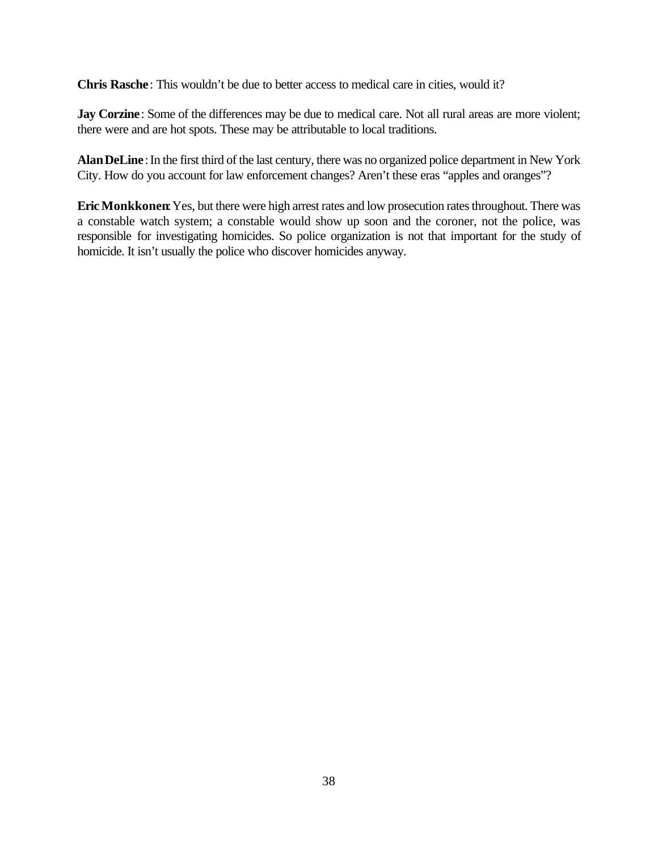**Chris Rasche**: This wouldn't be due to better access to medical care in cities, would it?

**Jay Corzine**: Some of the differences may be due to medical care. Not all rural areas are more violent; there were and are hot spots. These may be attributable to local traditions.

**Alan DeLine**: In the first third of the last century, there was no organized police department in New York City. How do you account for law enforcement changes? Aren't these eras "apples and oranges"?

**Eric Monkkonen**:Yes, but there were high arrest rates and low prosecution rates throughout. There was a constable watch system; a constable would show up soon and the coroner, not the police, was responsible for investigating homicides. So police organization is not that important for the study of homicide. It isn't usually the police who discover homicides anyway.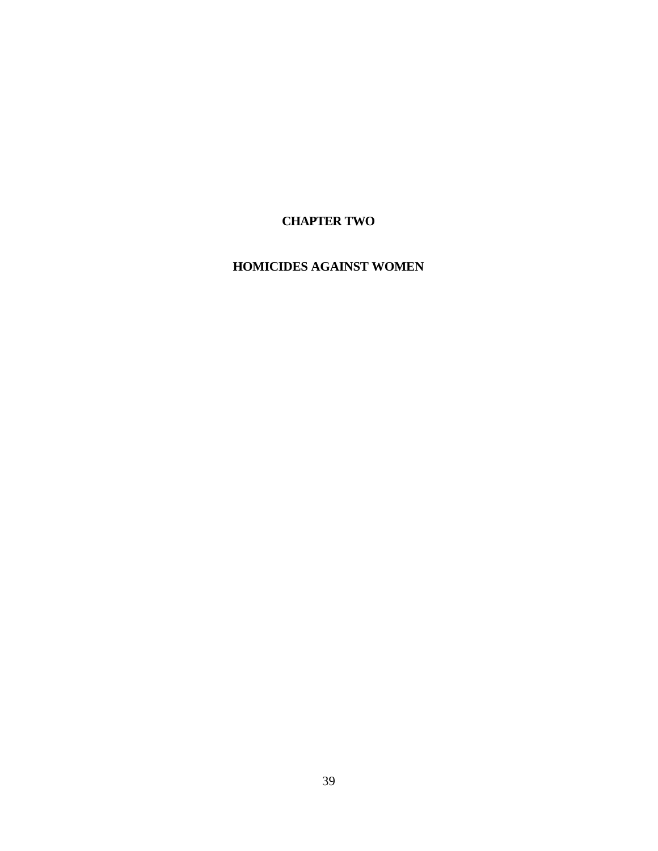# **CHAPTER TWO**

# **HOMICIDES AGAINST WOMEN**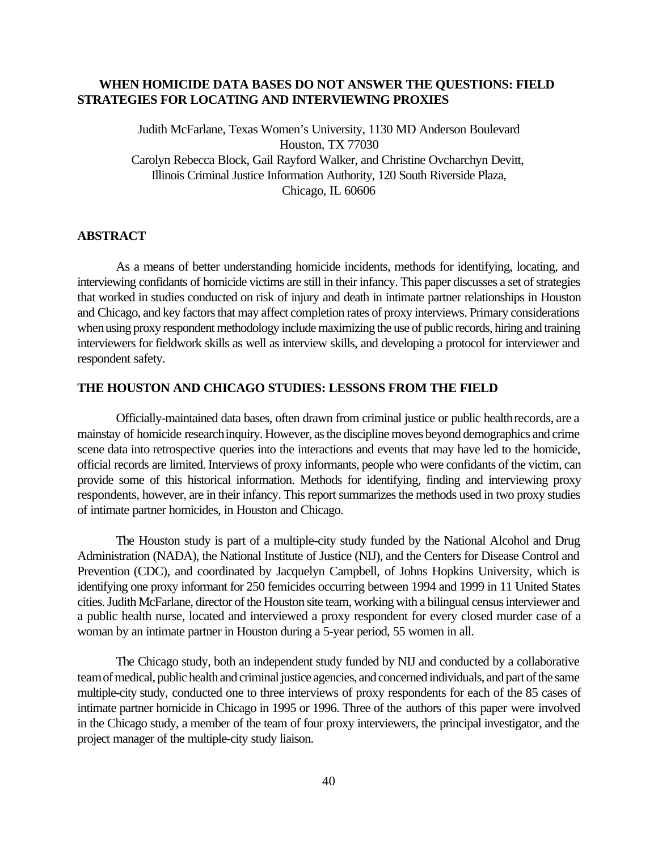## **WHEN HOMICIDE DATA BASES DO NOT ANSWER THE QUESTIONS: FIELD STRATEGIES FOR LOCATING AND INTERVIEWING PROXIES**

Judith McFarlane, Texas Women's University, 1130 MD Anderson Boulevard Houston, TX 77030 Carolyn Rebecca Block, Gail Rayford Walker, and Christine Ovcharchyn Devitt, Illinois Criminal Justice Information Authority, 120 South Riverside Plaza, Chicago, IL 60606

### **ABSTRACT**

As a means of better understanding homicide incidents, methods for identifying, locating, and interviewing confidants of homicide victims are still in their infancy. This paper discusses a set of strategies that worked in studies conducted on risk of injury and death in intimate partner relationships in Houston and Chicago, and key factors that may affect completion rates of proxy interviews. Primary considerations when using proxy respondent methodology include maximizing the use of public records, hiring and training interviewers for fieldwork skills as well as interview skills, and developing a protocol for interviewer and respondent safety.

#### **THE HOUSTON AND CHICAGO STUDIES: LESSONS FROM THE FIELD**

Officially-maintained data bases, often drawn from criminal justice or public health records, are a mainstay of homicide research inquiry. However, as the discipline moves beyond demographics and crime scene data into retrospective queries into the interactions and events that may have led to the homicide, official records are limited. Interviews of proxy informants, people who were confidants of the victim, can provide some of this historical information. Methods for identifying, finding and interviewing proxy respondents, however, are in their infancy. This report summarizes the methods used in two proxy studies of intimate partner homicides, in Houston and Chicago.

The Houston study is part of a multiple-city study funded by the National Alcohol and Drug Administration (NADA), the National Institute of Justice (NIJ), and the Centers for Disease Control and Prevention (CDC), and coordinated by Jacquelyn Campbell, of Johns Hopkins University, which is identifying one proxy informant for 250 femicides occurring between 1994 and 1999 in 11 United States cities. Judith McFarlane, director of the Houston site team, working with a bilingual census interviewer and a public health nurse, located and interviewed a proxy respondent for every closed murder case of a woman by an intimate partner in Houston during a 5-year period, 55 women in all.

The Chicago study, both an independent study funded by NIJ and conducted by a collaborative team of medical, public health and criminal justice agencies, and concerned individuals, and part of the same multiple-city study, conducted one to three interviews of proxy respondents for each of the 85 cases of intimate partner homicide in Chicago in 1995 or 1996. Three of the authors of this paper were involved in the Chicago study, a member of the team of four proxy interviewers, the principal investigator, and the project manager of the multiple-city study liaison.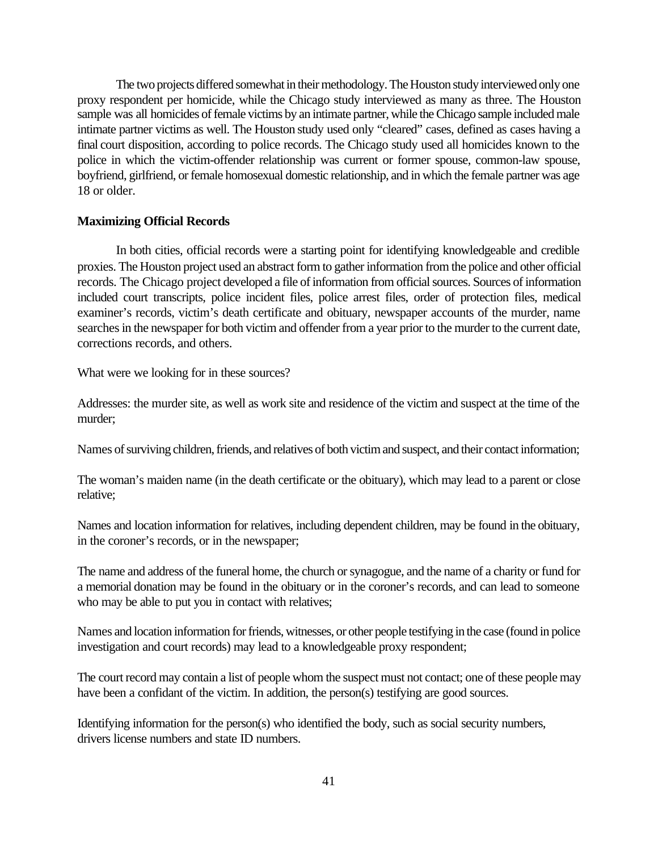The two projects differed somewhat in their methodology. The Houston study interviewed only one proxy respondent per homicide, while the Chicago study interviewed as many as three. The Houston sample was all homicides of female victims by an intimate partner, while the Chicago sample included male intimate partner victims as well. The Houston study used only "cleared" cases, defined as cases having a final court disposition, according to police records. The Chicago study used all homicides known to the police in which the victim-offender relationship was current or former spouse, common-law spouse, boyfriend, girlfriend, or female homosexual domestic relationship, and in which the female partner was age 18 or older.

#### **Maximizing Official Records**

In both cities, official records were a starting point for identifying knowledgeable and credible proxies. The Houston project used an abstract form to gather information from the police and other official records. The Chicago project developed a file of information from official sources. Sources of information included court transcripts, police incident files, police arrest files, order of protection files, medical examiner's records, victim's death certificate and obituary, newspaper accounts of the murder, name searches in the newspaper for both victim and offender from a year prior to the murder to the current date, corrections records, and others.

What were we looking for in these sources?

Addresses: the murder site, as well as work site and residence of the victim and suspect at the time of the murder;

Names of surviving children, friends, and relatives of both victim and suspect, and their contact information;

The woman's maiden name (in the death certificate or the obituary), which may lead to a parent or close relative;

Names and location information for relatives, including dependent children, may be found in the obituary, in the coroner's records, or in the newspaper;

The name and address of the funeral home, the church or synagogue, and the name of a charity or fund for a memorial donation may be found in the obituary or in the coroner's records, and can lead to someone who may be able to put you in contact with relatives;

Names and location information for friends, witnesses, or other people testifying in the case (found in police investigation and court records) may lead to a knowledgeable proxy respondent;

The court record may contain a list of people whom the suspect must not contact; one of these people may have been a confidant of the victim. In addition, the person(s) testifying are good sources.

Identifying information for the person(s) who identified the body, such as social security numbers, drivers license numbers and state ID numbers.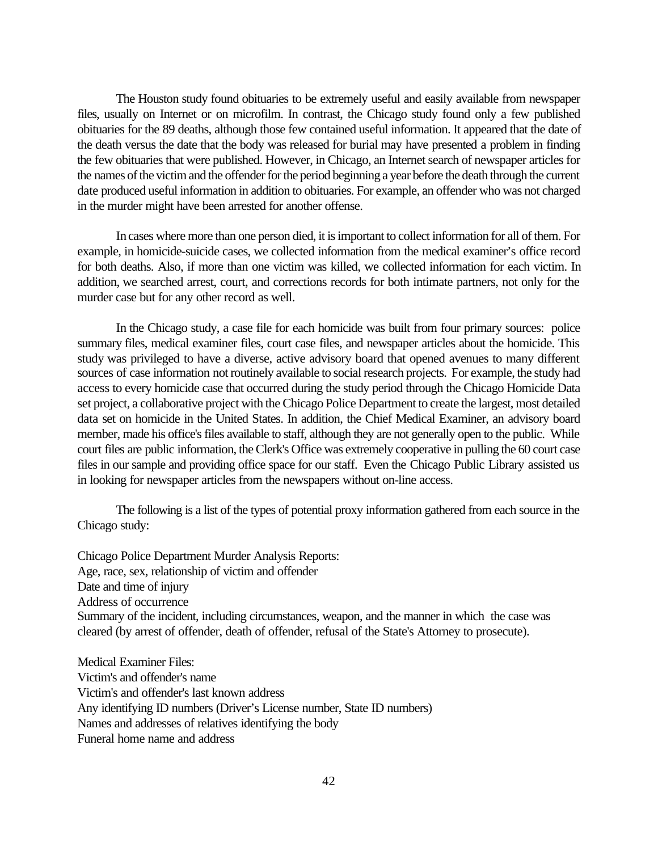The Houston study found obituaries to be extremely useful and easily available from newspaper files, usually on Internet or on microfilm. In contrast, the Chicago study found only a few published obituaries for the 89 deaths, although those few contained useful information. It appeared that the date of the death versus the date that the body was released for burial may have presented a problem in finding the few obituaries that were published. However, in Chicago, an Internet search of newspaper articles for the names of the victim and the offender for the period beginning a year before the death through the current date produced useful information in addition to obituaries. For example, an offender who was not charged in the murder might have been arrested for another offense.

In cases where more than one person died, it is important to collect information for all of them. For example, in homicide-suicide cases, we collected information from the medical examiner's office record for both deaths. Also, if more than one victim was killed, we collected information for each victim. In addition, we searched arrest, court, and corrections records for both intimate partners, not only for the murder case but for any other record as well.

In the Chicago study, a case file for each homicide was built from four primary sources: police summary files, medical examiner files, court case files, and newspaper articles about the homicide. This study was privileged to have a diverse, active advisory board that opened avenues to many different sources of case information not routinely available to social research projects. For example, the study had access to every homicide case that occurred during the study period through the Chicago Homicide Data set project, a collaborative project with the Chicago Police Department to create the largest, most detailed data set on homicide in the United States. In addition, the Chief Medical Examiner, an advisory board member, made his office's files available to staff, although they are not generally open to the public. While court files are public information, the Clerk's Office was extremely cooperative in pulling the 60 court case files in our sample and providing office space for our staff. Even the Chicago Public Library assisted us in looking for newspaper articles from the newspapers without on-line access.

The following is a list of the types of potential proxy information gathered from each source in the Chicago study:

Chicago Police Department Murder Analysis Reports: Age, race, sex, relationship of victim and offender Date and time of injury Address of occurrence Summary of the incident, including circumstances, weapon, and the manner in which the case was cleared (by arrest of offender, death of offender, refusal of the State's Attorney to prosecute).

Medical Examiner Files: Victim's and offender's name Victim's and offender's last known address Any identifying ID numbers (Driver's License number, State ID numbers) Names and addresses of relatives identifying the body Funeral home name and address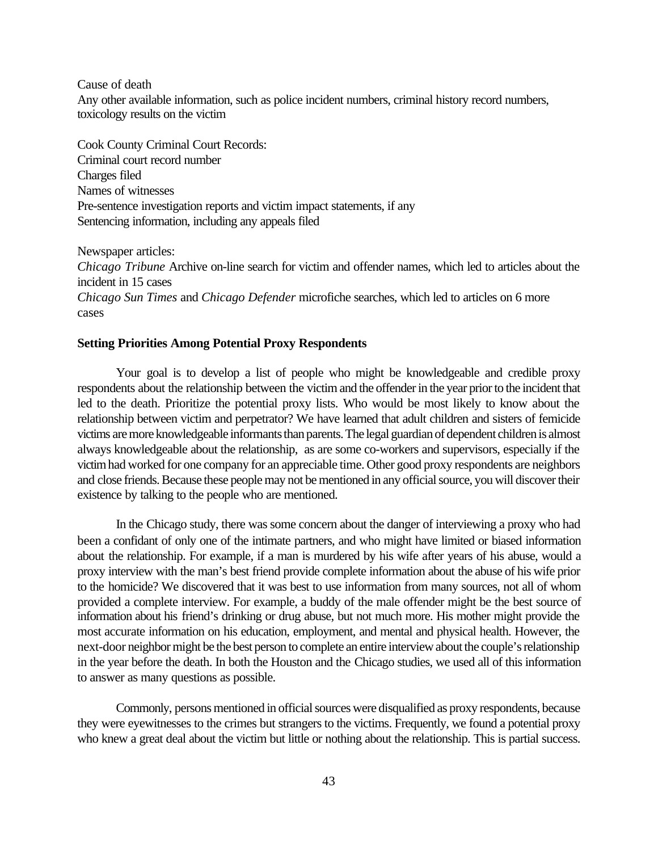Cause of death

Any other available information, such as police incident numbers, criminal history record numbers, toxicology results on the victim

Cook County Criminal Court Records: Criminal court record number Charges filed Names of witnesses Pre-sentence investigation reports and victim impact statements, if any Sentencing information, including any appeals filed

Newspaper articles: *Chicago Tribune* Archive on-line search for victim and offender names, which led to articles about the incident in 15 cases *Chicago Sun Times* and *Chicago Defender* microfiche searches, which led to articles on 6 more cases

### **Setting Priorities Among Potential Proxy Respondents**

Your goal is to develop a list of people who might be knowledgeable and credible proxy respondents about the relationship between the victim and the offender in the year prior to the incident that led to the death. Prioritize the potential proxy lists. Who would be most likely to know about the relationship between victim and perpetrator? We have learned that adult children and sisters of femicide victims are more knowledgeable informants than parents. The legal guardian of dependent children is almost always knowledgeable about the relationship, as are some co-workers and supervisors, especially if the victim had worked for one company for an appreciable time. Other good proxy respondents are neighbors and close friends. Because these people may not be mentioned in any official source, you will discover their existence by talking to the people who are mentioned.

In the Chicago study, there was some concern about the danger of interviewing a proxy who had been a confidant of only one of the intimate partners, and who might have limited or biased information about the relationship. For example, if a man is murdered by his wife after years of his abuse, would a proxy interview with the man's best friend provide complete information about the abuse of his wife prior to the homicide? We discovered that it was best to use information from many sources, not all of whom provided a complete interview. For example, a buddy of the male offender might be the best source of information about his friend's drinking or drug abuse, but not much more. His mother might provide the most accurate information on his education, employment, and mental and physical health. However, the next-door neighbor might be the best person to complete an entire interview about the couple's relationship in the year before the death. In both the Houston and the Chicago studies, we used all of this information to answer as many questions as possible.

Commonly, persons mentioned in official sources were disqualified as proxy respondents, because they were eyewitnesses to the crimes but strangers to the victims. Frequently, we found a potential proxy who knew a great deal about the victim but little or nothing about the relationship. This is partial success.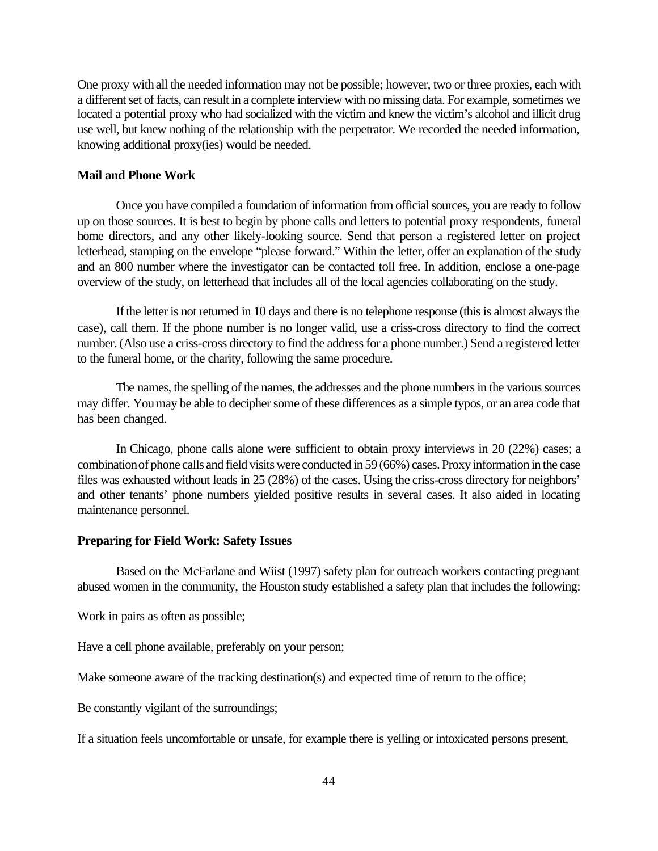One proxy with all the needed information may not be possible; however, two or three proxies, each with a different set of facts, can result in a complete interview with no missing data. For example, sometimes we located a potential proxy who had socialized with the victim and knew the victim's alcohol and illicit drug use well, but knew nothing of the relationship with the perpetrator. We recorded the needed information, knowing additional proxy(ies) would be needed.

#### **Mail and Phone Work**

Once you have compiled a foundation of information from official sources, you are ready to follow up on those sources. It is best to begin by phone calls and letters to potential proxy respondents, funeral home directors, and any other likely-looking source. Send that person a registered letter on project letterhead, stamping on the envelope "please forward." Within the letter, offer an explanation of the study and an 800 number where the investigator can be contacted toll free. In addition, enclose a one-page overview of the study, on letterhead that includes all of the local agencies collaborating on the study.

If the letter is not returned in 10 days and there is no telephone response (this is almost always the case), call them. If the phone number is no longer valid, use a criss-cross directory to find the correct number. (Also use a criss-cross directory to find the address for a phone number.) Send a registered letter to the funeral home, or the charity, following the same procedure.

The names, the spelling of the names, the addresses and the phone numbers in the various sources may differ. You may be able to decipher some of these differences as a simple typos, or an area code that has been changed.

In Chicago, phone calls alone were sufficient to obtain proxy interviews in 20 (22%) cases; a combination of phone calls and field visits were conducted in 59 (66%) cases. Proxy information in the case files was exhausted without leads in 25 (28%) of the cases. Using the criss-cross directory for neighbors' and other tenants' phone numbers yielded positive results in several cases. It also aided in locating maintenance personnel.

### **Preparing for Field Work: Safety Issues**

Based on the McFarlane and Wiist (1997) safety plan for outreach workers contacting pregnant abused women in the community, the Houston study established a safety plan that includes the following:

Work in pairs as often as possible;

Have a cell phone available, preferably on your person;

Make someone aware of the tracking destination(s) and expected time of return to the office;

Be constantly vigilant of the surroundings;

If a situation feels uncomfortable or unsafe, for example there is yelling or intoxicated persons present,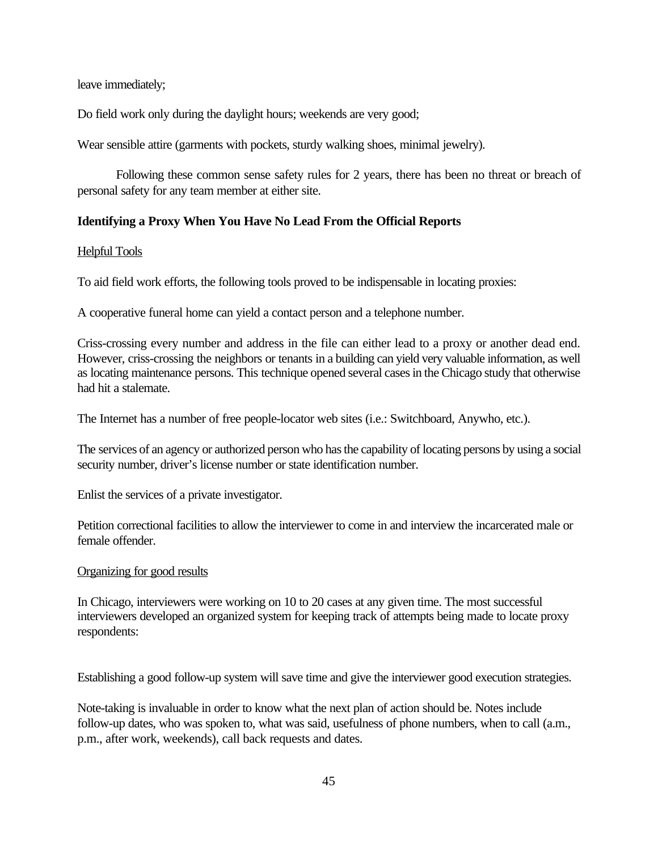leave immediately;

Do field work only during the daylight hours; weekends are very good;

Wear sensible attire (garments with pockets, sturdy walking shoes, minimal jewelry).

Following these common sense safety rules for 2 years, there has been no threat or breach of personal safety for any team member at either site.

## **Identifying a Proxy When You Have No Lead From the Official Reports**

### Helpful Tools

To aid field work efforts, the following tools proved to be indispensable in locating proxies:

A cooperative funeral home can yield a contact person and a telephone number.

Criss-crossing every number and address in the file can either lead to a proxy or another dead end. However, criss-crossing the neighbors or tenants in a building can yield very valuable information, as well as locating maintenance persons. This technique opened several cases in the Chicago study that otherwise had hit a stalemate.

The Internet has a number of free people-locator web sites (i.e.: Switchboard, Anywho, etc.).

The services of an agency or authorized person who has the capability of locating persons by using a social security number, driver's license number or state identification number.

Enlist the services of a private investigator.

Petition correctional facilities to allow the interviewer to come in and interview the incarcerated male or female offender.

### Organizing for good results

In Chicago, interviewers were working on 10 to 20 cases at any given time. The most successful interviewers developed an organized system for keeping track of attempts being made to locate proxy respondents:

Establishing a good follow-up system will save time and give the interviewer good execution strategies.

Note-taking is invaluable in order to know what the next plan of action should be. Notes include follow-up dates, who was spoken to, what was said, usefulness of phone numbers, when to call (a.m., p.m., after work, weekends), call back requests and dates.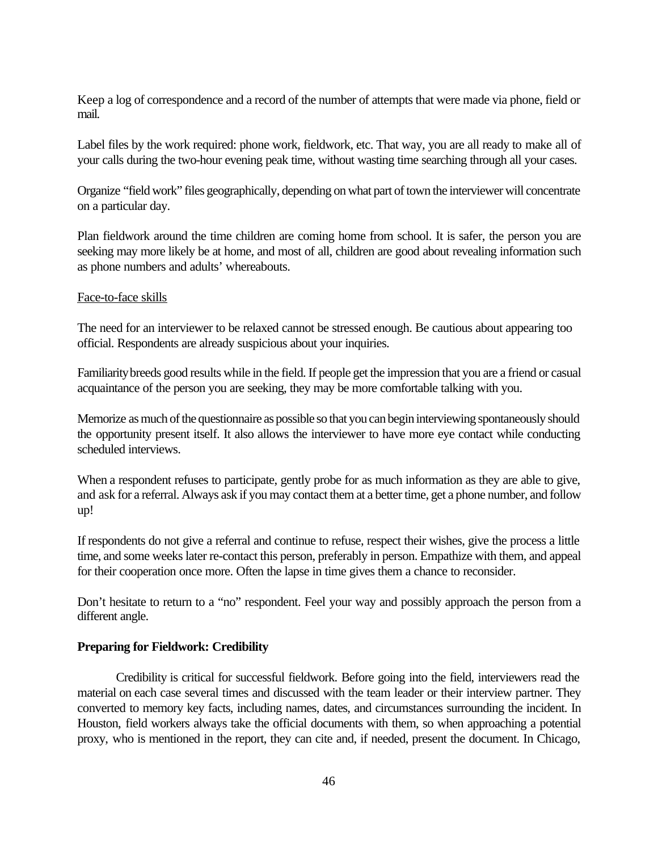Keep a log of correspondence and a record of the number of attempts that were made via phone, field or mail.

Label files by the work required: phone work, fieldwork, etc. That way, you are all ready to make all of your calls during the two-hour evening peak time, without wasting time searching through all your cases.

Organize "field work" files geographically, depending on what part of town the interviewer will concentrate on a particular day.

Plan fieldwork around the time children are coming home from school. It is safer, the person you are seeking may more likely be at home, and most of all, children are good about revealing information such as phone numbers and adults' whereabouts.

### Face-to-face skills

The need for an interviewer to be relaxed cannot be stressed enough. Be cautious about appearing too official. Respondents are already suspicious about your inquiries.

Familiarity breeds good results while in the field. If people get the impression that you are a friend or casual acquaintance of the person you are seeking, they may be more comfortable talking with you.

Memorize as much of the questionnaire as possible so that you can begin interviewing spontaneously should the opportunity present itself. It also allows the interviewer to have more eye contact while conducting scheduled interviews.

When a respondent refuses to participate, gently probe for as much information as they are able to give, and ask for a referral. Always ask if you may contact them at a better time, get a phone number, and follow up!

If respondents do not give a referral and continue to refuse, respect their wishes, give the process a little time, and some weeks later re-contact this person, preferably in person. Empathize with them, and appeal for their cooperation once more. Often the lapse in time gives them a chance to reconsider.

Don't hesitate to return to a "no" respondent. Feel your way and possibly approach the person from a different angle.

## **Preparing for Fieldwork: Credibility**

Credibility is critical for successful fieldwork. Before going into the field, interviewers read the material on each case several times and discussed with the team leader or their interview partner. They converted to memory key facts, including names, dates, and circumstances surrounding the incident. In Houston, field workers always take the official documents with them, so when approaching a potential proxy, who is mentioned in the report, they can cite and, if needed, present the document. In Chicago,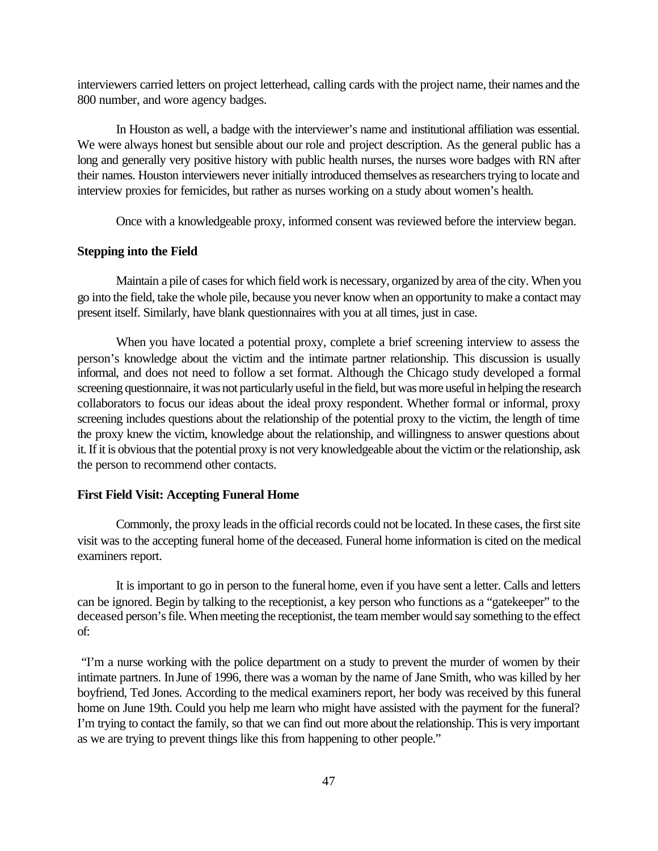interviewers carried letters on project letterhead, calling cards with the project name, their names and the 800 number, and wore agency badges.

In Houston as well, a badge with the interviewer's name and institutional affiliation was essential. We were always honest but sensible about our role and project description. As the general public has a long and generally very positive history with public health nurses, the nurses wore badges with RN after their names. Houston interviewers never initially introduced themselves as researchers trying to locate and interview proxies for femicides, but rather as nurses working on a study about women's health.

Once with a knowledgeable proxy, informed consent was reviewed before the interview began.

### **Stepping into the Field**

Maintain a pile of cases for which field work is necessary, organized by area of the city. When you go into the field, take the whole pile, because you never know when an opportunity to make a contact may present itself. Similarly, have blank questionnaires with you at all times, just in case.

When you have located a potential proxy, complete a brief screening interview to assess the person's knowledge about the victim and the intimate partner relationship. This discussion is usually informal, and does not need to follow a set format. Although the Chicago study developed a formal screening questionnaire, it was not particularly useful in the field, but was more useful in helping the research collaborators to focus our ideas about the ideal proxy respondent. Whether formal or informal, proxy screening includes questions about the relationship of the potential proxy to the victim, the length of time the proxy knew the victim, knowledge about the relationship, and willingness to answer questions about it. If it is obvious that the potential proxy is not very knowledgeable about the victim or the relationship, ask the person to recommend other contacts.

#### **First Field Visit: Accepting Funeral Home**

Commonly, the proxy leads in the official records could not be located. In these cases, the first site visit was to the accepting funeral home of the deceased. Funeral home information is cited on the medical examiners report.

It is important to go in person to the funeral home, even if you have sent a letter. Calls and letters can be ignored. Begin by talking to the receptionist, a key person who functions as a "gatekeeper" to the deceased person's file. When meeting the receptionist, the team member would say something to the effect of:

 "I'm a nurse working with the police department on a study to prevent the murder of women by their intimate partners. In June of 1996, there was a woman by the name of Jane Smith, who was killed by her boyfriend, Ted Jones. According to the medical examiners report, her body was received by this funeral home on June 19th. Could you help me learn who might have assisted with the payment for the funeral? I'm trying to contact the family, so that we can find out more about the relationship. This is very important as we are trying to prevent things like this from happening to other people."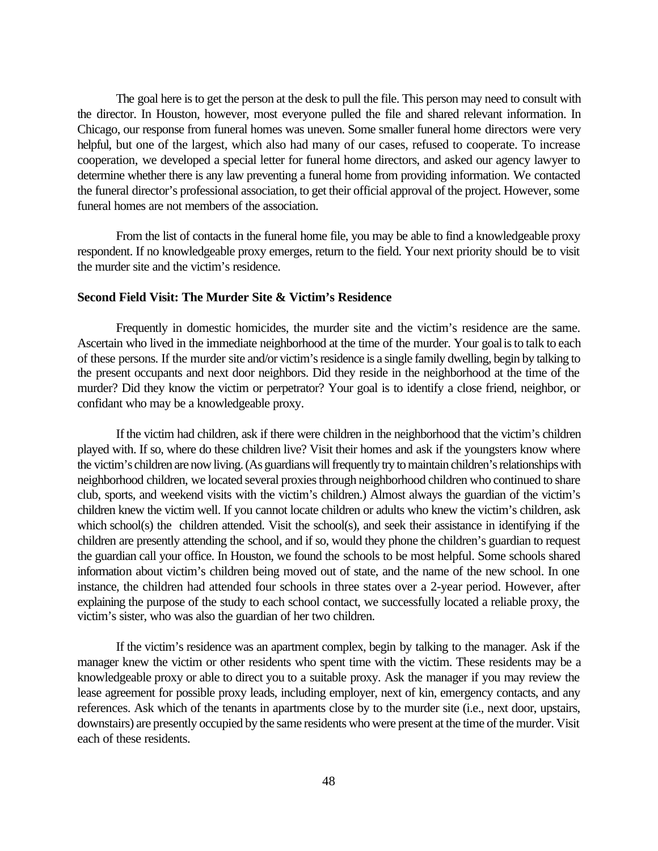The goal here is to get the person at the desk to pull the file. This person may need to consult with the director. In Houston, however, most everyone pulled the file and shared relevant information. In Chicago, our response from funeral homes was uneven. Some smaller funeral home directors were very helpful, but one of the largest, which also had many of our cases, refused to cooperate. To increase cooperation, we developed a special letter for funeral home directors, and asked our agency lawyer to determine whether there is any law preventing a funeral home from providing information. We contacted the funeral director's professional association, to get their official approval of the project. However, some funeral homes are not members of the association.

From the list of contacts in the funeral home file, you may be able to find a knowledgeable proxy respondent. If no knowledgeable proxy emerges, return to the field. Your next priority should be to visit the murder site and the victim's residence.

### **Second Field Visit: The Murder Site & Victim's Residence**

Frequently in domestic homicides, the murder site and the victim's residence are the same. Ascertain who lived in the immediate neighborhood at the time of the murder. Your goal is to talk to each of these persons. If the murder site and/or victim's residence is a single family dwelling, begin by talking to the present occupants and next door neighbors. Did they reside in the neighborhood at the time of the murder? Did they know the victim or perpetrator? Your goal is to identify a close friend, neighbor, or confidant who may be a knowledgeable proxy.

If the victim had children, ask if there were children in the neighborhood that the victim's children played with. If so, where do these children live? Visit their homes and ask if the youngsters know where the victim's children are now living. (As guardians will frequently try to maintain children's relationships with neighborhood children, we located several proxies through neighborhood children who continued to share club, sports, and weekend visits with the victim's children.) Almost always the guardian of the victim's children knew the victim well. If you cannot locate children or adults who knew the victim's children, ask which school(s) the children attended. Visit the school(s), and seek their assistance in identifying if the children are presently attending the school, and if so, would they phone the children's guardian to request the guardian call your office. In Houston, we found the schools to be most helpful. Some schools shared information about victim's children being moved out of state, and the name of the new school. In one instance, the children had attended four schools in three states over a 2-year period. However, after explaining the purpose of the study to each school contact, we successfully located a reliable proxy, the victim's sister, who was also the guardian of her two children.

If the victim's residence was an apartment complex, begin by talking to the manager. Ask if the manager knew the victim or other residents who spent time with the victim. These residents may be a knowledgeable proxy or able to direct you to a suitable proxy. Ask the manager if you may review the lease agreement for possible proxy leads, including employer, next of kin, emergency contacts, and any references. Ask which of the tenants in apartments close by to the murder site (i.e., next door, upstairs, downstairs) are presently occupied by the same residents who were present at the time of the murder. Visit each of these residents.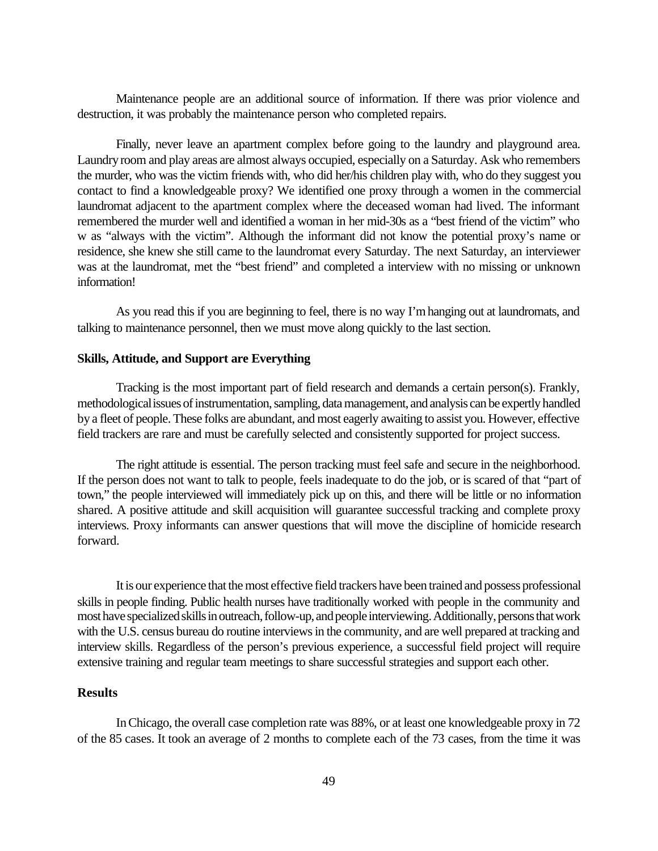Maintenance people are an additional source of information. If there was prior violence and destruction, it was probably the maintenance person who completed repairs.

Finally, never leave an apartment complex before going to the laundry and playground area. Laundry room and play areas are almost always occupied, especially on a Saturday. Ask who remembers the murder, who was the victim friends with, who did her/his children play with, who do they suggest you contact to find a knowledgeable proxy? We identified one proxy through a women in the commercial laundromat adjacent to the apartment complex where the deceased woman had lived. The informant remembered the murder well and identified a woman in her mid-30s as a "best friend of the victim" who w as "always with the victim". Although the informant did not know the potential proxy's name or residence, she knew she still came to the laundromat every Saturday. The next Saturday, an interviewer was at the laundromat, met the "best friend" and completed a interview with no missing or unknown information!

As you read this if you are beginning to feel, there is no way I'm hanging out at laundromats, and talking to maintenance personnel, then we must move along quickly to the last section.

#### **Skills, Attitude, and Support are Everything**

Tracking is the most important part of field research and demands a certain person(s). Frankly, methodological issues of instrumentation, sampling, data management, and analysis can be expertly handled by a fleet of people. These folks are abundant, and most eagerly awaiting to assist you. However, effective field trackers are rare and must be carefully selected and consistently supported for project success.

The right attitude is essential. The person tracking must feel safe and secure in the neighborhood. If the person does not want to talk to people, feels inadequate to do the job, or is scared of that "part of town," the people interviewed will immediately pick up on this, and there will be little or no information shared. A positive attitude and skill acquisition will guarantee successful tracking and complete proxy interviews. Proxy informants can answer questions that will move the discipline of homicide research forward.

It is our experience that the most effective field trackers have been trained and possess professional skills in people finding. Public health nurses have traditionally worked with people in the community and most have specialized skills in outreach, follow-up, and people interviewing. Additionally, persons that work with the U.S. census bureau do routine interviews in the community, and are well prepared at tracking and interview skills. Regardless of the person's previous experience, a successful field project will require extensive training and regular team meetings to share successful strategies and support each other.

#### **Results**

In Chicago, the overall case completion rate was 88%, or at least one knowledgeable proxy in 72 of the 85 cases. It took an average of 2 months to complete each of the 73 cases, from the time it was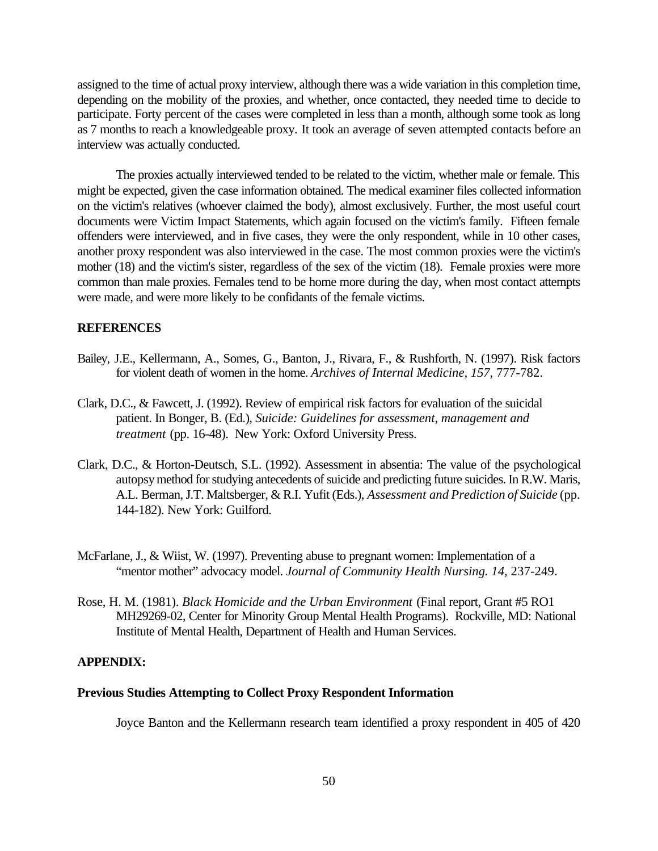assigned to the time of actual proxy interview, although there was a wide variation in this completion time, depending on the mobility of the proxies, and whether, once contacted, they needed time to decide to participate. Forty percent of the cases were completed in less than a month, although some took as long as 7 months to reach a knowledgeable proxy. It took an average of seven attempted contacts before an interview was actually conducted.

The proxies actually interviewed tended to be related to the victim, whether male or female. This might be expected, given the case information obtained. The medical examiner files collected information on the victim's relatives (whoever claimed the body), almost exclusively. Further, the most useful court documents were Victim Impact Statements, which again focused on the victim's family. Fifteen female offenders were interviewed, and in five cases, they were the only respondent, while in 10 other cases, another proxy respondent was also interviewed in the case. The most common proxies were the victim's mother (18) and the victim's sister, regardless of the sex of the victim (18). Female proxies were more common than male proxies. Females tend to be home more during the day, when most contact attempts were made, and were more likely to be confidants of the female victims.

### **REFERENCES**

- Bailey, J.E., Kellermann, A., Somes, G., Banton, J., Rivara, F., & Rushforth, N. (1997). Risk factors for violent death of women in the home. *Archives of Internal Medicine, 157,* 777-782.
- Clark, D.C., & Fawcett, J. (1992). Review of empirical risk factors for evaluation of the suicidal patient. In Bonger, B. (Ed.), *Suicide: Guidelines for assessment, management and treatment* (pp. 16-48). New York: Oxford University Press.
- Clark, D.C., & Horton-Deutsch, S.L. (1992). Assessment in absentia: The value of the psychological autopsy method for studying antecedents of suicide and predicting future suicides. In R.W. Maris, A.L. Berman, J.T. Maltsberger, & R.I. Yufit (Eds.), *Assessment and Prediction of Suicide* (pp. 144-182). New York: Guilford.
- McFarlane, J., & Wiist, W. (1997). Preventing abuse to pregnant women: Implementation of a "mentor mother" advocacy model. *Journal of Community Health Nursing. 14,* 237-249.
- Rose, H. M. (1981). *Black Homicide and the Urban Environment* (Final report, Grant #5 RO1 MH29269-02, Center for Minority Group Mental Health Programs). Rockville, MD: National Institute of Mental Health, Department of Health and Human Services.

### **APPENDIX:**

#### **Previous Studies Attempting to Collect Proxy Respondent Information**

Joyce Banton and the Kellermann research team identified a proxy respondent in 405 of 420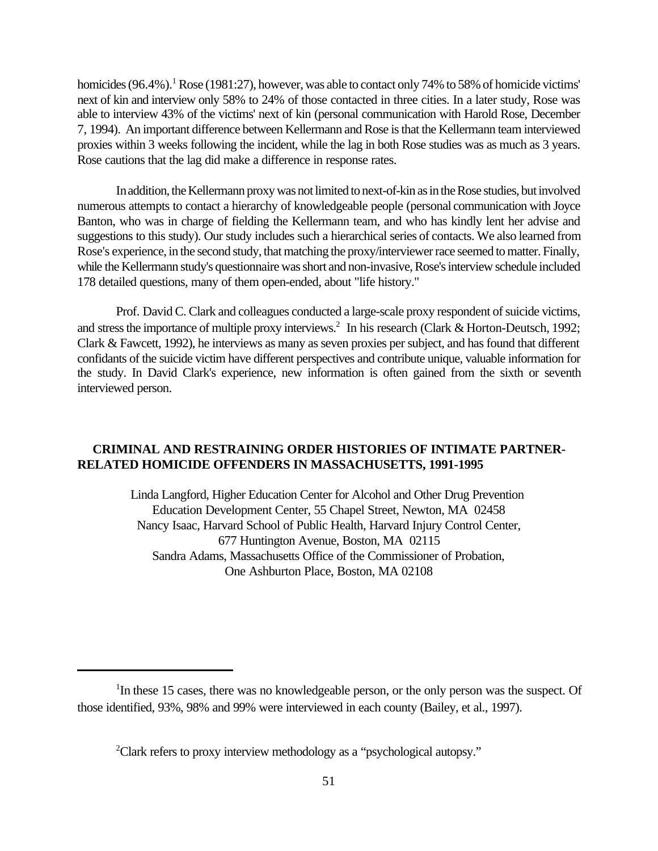homicides (96.4%).<sup>1</sup> Rose (1981:27), however, was able to contact only 74% to 58% of homicide victims' next of kin and interview only 58% to 24% of those contacted in three cities. In a later study, Rose was able to interview 43% of the victims' next of kin (personal communication with Harold Rose, December 7, 1994). An important difference between Kellermann and Rose is that the Kellermann team interviewed proxies within 3 weeks following the incident, while the lag in both Rose studies was as much as 3 years. Rose cautions that the lag did make a difference in response rates.

In addition, the Kellermann proxy was not limited to next-of-kin as in the Rose studies, but involved numerous attempts to contact a hierarchy of knowledgeable people (personal communication with Joyce Banton, who was in charge of fielding the Kellermann team, and who has kindly lent her advise and suggestions to this study). Our study includes such a hierarchical series of contacts. We also learned from Rose's experience, in the second study, that matching the proxy/interviewer race seemed to matter. Finally, while the Kellermann study's questionnaire was short and non-invasive, Rose's interview schedule included 178 detailed questions, many of them open-ended, about "life history."

Prof. David C. Clark and colleagues conducted a large-scale proxy respondent of suicide victims, and stress the importance of multiple proxy interviews.<sup>2</sup> In his research (Clark & Horton-Deutsch, 1992; Clark & Fawcett, 1992), he interviews as many as seven proxies per subject, and has found that different confidants of the suicide victim have different perspectives and contribute unique, valuable information for the study. In David Clark's experience, new information is often gained from the sixth or seventh interviewed person.

## **CRIMINAL AND RESTRAINING ORDER HISTORIES OF INTIMATE PARTNER-RELATED HOMICIDE OFFENDERS IN MASSACHUSETTS, 1991-1995**

Linda Langford, Higher Education Center for Alcohol and Other Drug Prevention Education Development Center, 55 Chapel Street, Newton, MA 02458 Nancy Isaac, Harvard School of Public Health, Harvard Injury Control Center, 677 Huntington Avenue, Boston, MA 02115 Sandra Adams, Massachusetts Office of the Commissioner of Probation, One Ashburton Place, Boston, MA 02108

<sup>&</sup>lt;sup>1</sup>In these 15 cases, there was no knowledgeable person, or the only person was the suspect. Of those identified, 93%, 98% and 99% were interviewed in each county (Bailey, et al., 1997).

<sup>&</sup>lt;sup>2</sup>Clark refers to proxy interview methodology as a "psychological autopsy."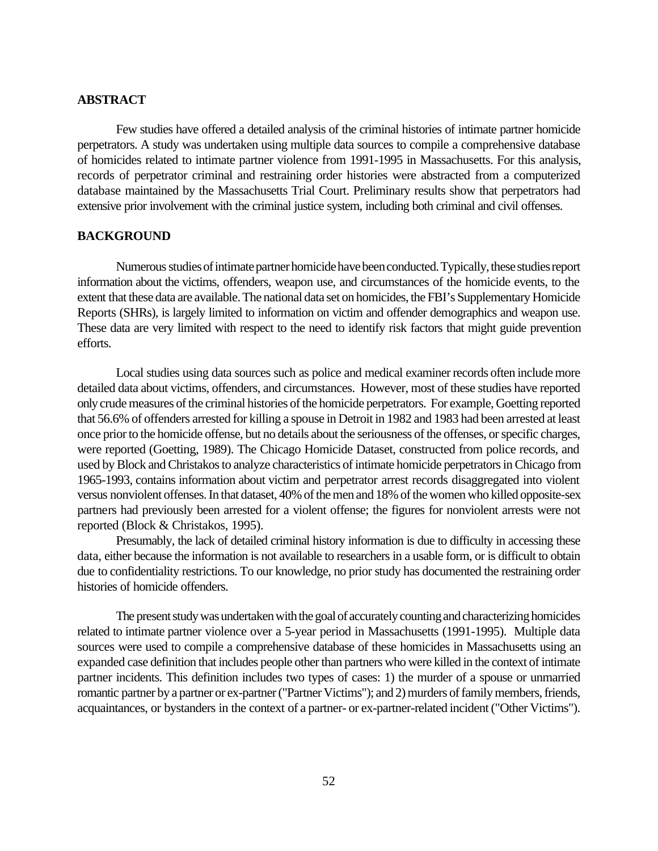### **ABSTRACT**

Few studies have offered a detailed analysis of the criminal histories of intimate partner homicide perpetrators. A study was undertaken using multiple data sources to compile a comprehensive database of homicides related to intimate partner violence from 1991-1995 in Massachusetts. For this analysis, records of perpetrator criminal and restraining order histories were abstracted from a computerized database maintained by the Massachusetts Trial Court. Preliminary results show that perpetrators had extensive prior involvement with the criminal justice system, including both criminal and civil offenses.

### **BACKGROUND**

Numerous studies of intimate partner homicide have been conducted. Typically, these studies report information about the victims, offenders, weapon use, and circumstances of the homicide events, to the extent that these data are available. The national data set on homicides, the FBI's Supplementary Homicide Reports (SHRs), is largely limited to information on victim and offender demographics and weapon use. These data are very limited with respect to the need to identify risk factors that might guide prevention efforts.

Local studies using data sources such as police and medical examiner records often include more detailed data about victims, offenders, and circumstances. However, most of these studies have reported only crude measures of the criminal histories of the homicide perpetrators. For example, Goetting reported that 56.6% of offenders arrested for killing a spouse in Detroit in 1982 and 1983 had been arrested at least once prior to the homicide offense, but no details about the seriousness of the offenses, or specific charges, were reported (Goetting, 1989). The Chicago Homicide Dataset, constructed from police records, and used by Block and Christakos to analyze characteristics of intimate homicide perpetrators in Chicago from 1965-1993, contains information about victim and perpetrator arrest records disaggregated into violent versus nonviolent offenses. In that dataset, 40% of the men and 18% of the women who killed opposite-sex partners had previously been arrested for a violent offense; the figures for nonviolent arrests were not reported (Block & Christakos, 1995).

Presumably, the lack of detailed criminal history information is due to difficulty in accessing these data, either because the information is not available to researchers in a usable form, or is difficult to obtain due to confidentiality restrictions. To our knowledge, no prior study has documented the restraining order histories of homicide offenders.

The present study was undertaken with the goal of accurately counting and characterizing homicides related to intimate partner violence over a 5-year period in Massachusetts (1991-1995). Multiple data sources were used to compile a comprehensive database of these homicides in Massachusetts using an expanded case definition that includes people other than partners who were killed in the context of intimate partner incidents. This definition includes two types of cases: 1) the murder of a spouse or unmarried romantic partner by a partner or ex-partner ("Partner Victims"); and 2) murders of family members, friends, acquaintances, or bystanders in the context of a partner- or ex-partner-related incident ("Other Victims").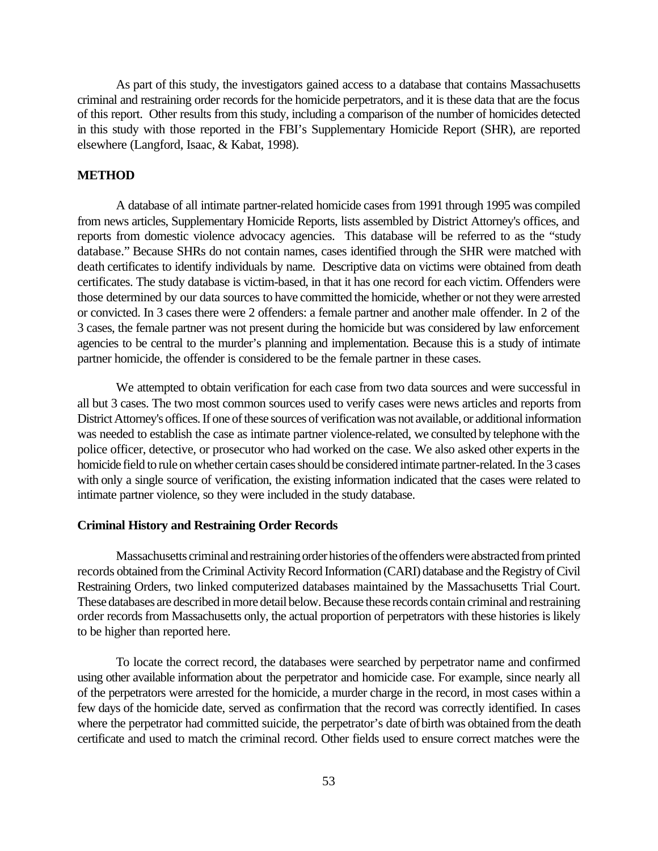As part of this study, the investigators gained access to a database that contains Massachusetts criminal and restraining order records for the homicide perpetrators, and it is these data that are the focus of this report. Other results from this study, including a comparison of the number of homicides detected in this study with those reported in the FBI's Supplementary Homicide Report (SHR), are reported elsewhere (Langford, Isaac, & Kabat, 1998).

#### **METHOD**

A database of all intimate partner-related homicide cases from 1991 through 1995 was compiled from news articles, Supplementary Homicide Reports, lists assembled by District Attorney's offices, and reports from domestic violence advocacy agencies. This database will be referred to as the "study database." Because SHRs do not contain names, cases identified through the SHR were matched with death certificates to identify individuals by name. Descriptive data on victims were obtained from death certificates. The study database is victim-based, in that it has one record for each victim. Offenders were those determined by our data sources to have committed the homicide, whether or not they were arrested or convicted. In 3 cases there were 2 offenders: a female partner and another male offender. In 2 of the 3 cases, the female partner was not present during the homicide but was considered by law enforcement agencies to be central to the murder's planning and implementation. Because this is a study of intimate partner homicide, the offender is considered to be the female partner in these cases.

We attempted to obtain verification for each case from two data sources and were successful in all but 3 cases. The two most common sources used to verify cases were news articles and reports from District Attorney's offices. If one of these sources of verification was not available, or additional information was needed to establish the case as intimate partner violence-related, we consulted by telephone with the police officer, detective, or prosecutor who had worked on the case. We also asked other experts in the homicide field to rule on whether certain cases should be considered intimate partner-related. In the 3 cases with only a single source of verification, the existing information indicated that the cases were related to intimate partner violence, so they were included in the study database.

#### **Criminal History and Restraining Order Records**

Massachusetts criminal and restraining order histories of the offenders were abstracted from printed records obtained from the Criminal Activity Record Information (CARI) database and the Registry of Civil Restraining Orders, two linked computerized databases maintained by the Massachusetts Trial Court. These databases are described in more detail below. Because these records contain criminal and restraining order records from Massachusetts only, the actual proportion of perpetrators with these histories is likely to be higher than reported here.

To locate the correct record, the databases were searched by perpetrator name and confirmed using other available information about the perpetrator and homicide case. For example, since nearly all of the perpetrators were arrested for the homicide, a murder charge in the record, in most cases within a few days of the homicide date, served as confirmation that the record was correctly identified. In cases where the perpetrator had committed suicide, the perpetrator's date of birth was obtained from the death certificate and used to match the criminal record. Other fields used to ensure correct matches were the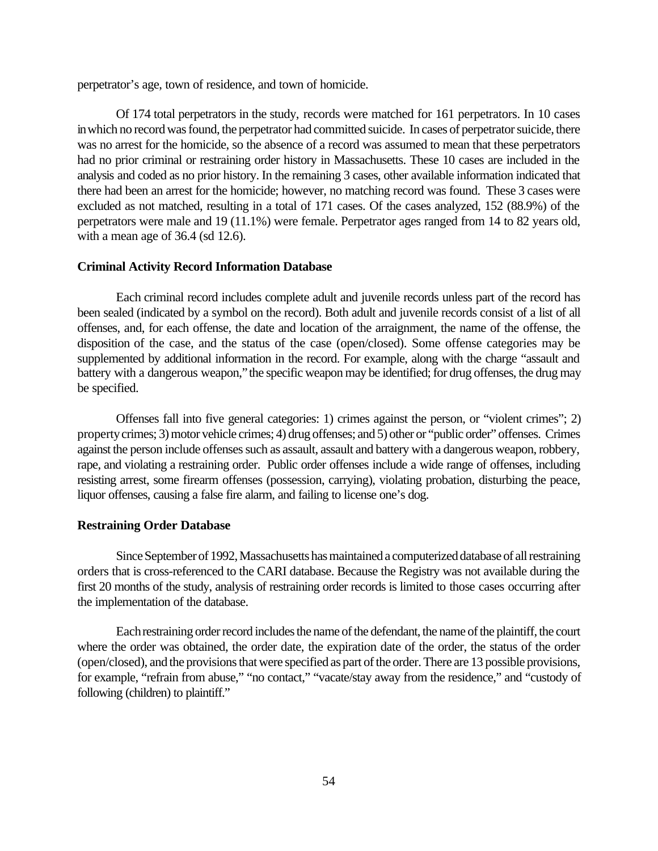perpetrator's age, town of residence, and town of homicide.

Of 174 total perpetrators in the study, records were matched for 161 perpetrators. In 10 cases in which no record was found, the perpetrator had committed suicide. In cases of perpetrator suicide, there was no arrest for the homicide, so the absence of a record was assumed to mean that these perpetrators had no prior criminal or restraining order history in Massachusetts. These 10 cases are included in the analysis and coded as no prior history. In the remaining 3 cases, other available information indicated that there had been an arrest for the homicide; however, no matching record was found. These 3 cases were excluded as not matched, resulting in a total of 171 cases. Of the cases analyzed, 152 (88.9%) of the perpetrators were male and 19 (11.1%) were female. Perpetrator ages ranged from 14 to 82 years old, with a mean age of 36.4 (sd 12.6).

#### **Criminal Activity Record Information Database**

Each criminal record includes complete adult and juvenile records unless part of the record has been sealed (indicated by a symbol on the record). Both adult and juvenile records consist of a list of all offenses, and, for each offense, the date and location of the arraignment, the name of the offense, the disposition of the case, and the status of the case (open/closed). Some offense categories may be supplemented by additional information in the record. For example, along with the charge "assault and battery with a dangerous weapon," the specific weapon may be identified; for drug offenses, the drug may be specified.

Offenses fall into five general categories: 1) crimes against the person, or "violent crimes"; 2) property crimes; 3) motor vehicle crimes; 4) drug offenses; and 5) other or "public order" offenses. Crimes against the person include offenses such as assault, assault and battery with a dangerous weapon, robbery, rape, and violating a restraining order. Public order offenses include a wide range of offenses, including resisting arrest, some firearm offenses (possession, carrying), violating probation, disturbing the peace, liquor offenses, causing a false fire alarm, and failing to license one's dog.

### **Restraining Order Database**

Since September of 1992, Massachusetts has maintained a computerized database of all restraining orders that is cross-referenced to the CARI database. Because the Registry was not available during the first 20 months of the study, analysis of restraining order records is limited to those cases occurring after the implementation of the database.

Each restraining order record includes the name of the defendant, the name of the plaintiff, the court where the order was obtained, the order date, the expiration date of the order, the status of the order (open/closed), and the provisions that were specified as part of the order. There are 13 possible provisions, for example, "refrain from abuse," "no contact," "vacate/stay away from the residence," and "custody of following (children) to plaintiff."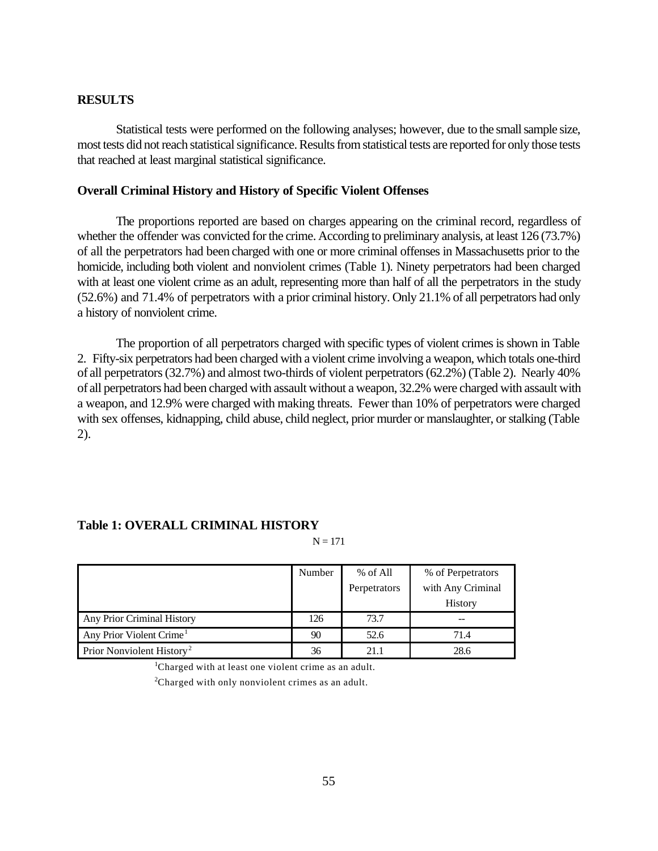### **RESULTS**

Statistical tests were performed on the following analyses; however, due to the small sample size, most tests did not reach statistical significance. Results from statistical tests are reported for only those tests that reached at least marginal statistical significance.

#### **Overall Criminal History and History of Specific Violent Offenses**

The proportions reported are based on charges appearing on the criminal record, regardless of whether the offender was convicted for the crime. According to preliminary analysis, at least 126 (73.7%) of all the perpetrators had been charged with one or more criminal offenses in Massachusetts prior to the homicide, including both violent and nonviolent crimes (Table 1). Ninety perpetrators had been charged with at least one violent crime as an adult, representing more than half of all the perpetrators in the study (52.6%) and 71.4% of perpetrators with a prior criminal history. Only 21.1% of all perpetrators had only a history of nonviolent crime.

The proportion of all perpetrators charged with specific types of violent crimes is shown in Table 2. Fifty-six perpetrators had been charged with a violent crime involving a weapon, which totals one-third of all perpetrators (32.7%) and almost two-thirds of violent perpetrators (62.2%) (Table 2). Nearly 40% of all perpetrators had been charged with assault without a weapon, 32.2% were charged with assault with a weapon, and 12.9% were charged with making threats. Fewer than 10% of perpetrators were charged with sex offenses, kidnapping, child abuse, child neglect, prior murder or manslaughter, or stalking (Table 2).

|                                       | Number | % of All     | % of Perpetrators |
|---------------------------------------|--------|--------------|-------------------|
|                                       |        | Perpetrators | with Any Criminal |
|                                       |        |              | History           |
| Any Prior Criminal History            | 126    | 73.7         |                   |
| Any Prior Violent Crime <sup>1</sup>  | 90     | 52.6         | 71.4              |
| Prior Nonviolent History <sup>2</sup> | 36     | 21.1         | 28.6              |

### **Table 1: OVERALL CRIMINAL HISTORY**

 $N = 171$ 

<sup>1</sup>Charged with at least one violent crime as an adult.

<sup>2</sup>Charged with only nonviolent crimes as an adult.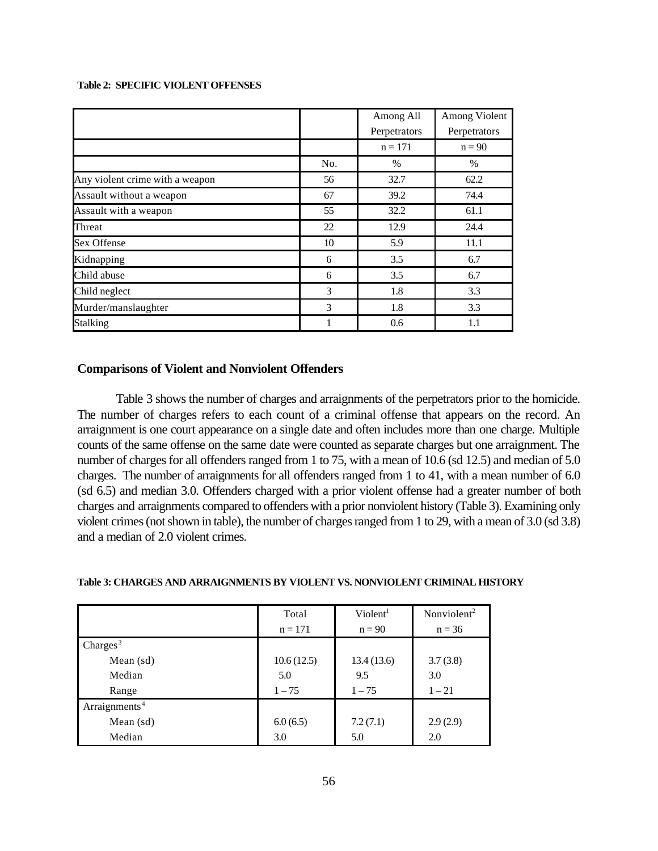#### **Table 2: SPECIFIC VIOLENT OFFENSES**

|                                 |     | Among All    | Among Violent |
|---------------------------------|-----|--------------|---------------|
|                                 |     | Perpetrators | Perpetrators  |
|                                 |     | $n = 171$    | $n = 90$      |
|                                 | No. | $\%$         | $\%$          |
| Any violent crime with a weapon | 56  | 32.7         | 62.2          |
| Assault without a weapon        | 67  | 39.2         | 74.4          |
| Assault with a weapon           | 55  | 32.2         | 61.1          |
| Threat                          | 22  | 12.9         | 24.4          |
| Sex Offense                     | 10  | 5.9          | 11.1          |
| Kidnapping                      | 6   | 3.5          | 6.7           |
| Child abuse                     | 6   | 3.5          | 6.7           |
| Child neglect                   | 3   | 1.8          | 3.3           |
| Murder/manslaughter             | 3   | 1.8          | 3.3           |
| <b>Stalking</b>                 |     | 0.6          | 1.1           |

### **Comparisons of Violent and Nonviolent Offenders**

Table 3 shows the number of charges and arraignments of the perpetrators prior to the homicide. The number of charges refers to each count of a criminal offense that appears on the record. An arraignment is one court appearance on a single date and often includes more than one charge. Multiple counts of the same offense on the same date were counted as separate charges but one arraignment. The number of charges for all offenders ranged from 1 to 75, with a mean of 10.6 (sd 12.5) and median of 5.0 charges. The number of arraignments for all offenders ranged from 1 to 41, with a mean number of 6.0 (sd 6.5) and median 3.0. Offenders charged with a prior violent offense had a greater number of both charges and arraignments compared to offenders with a prior nonviolent history (Table 3). Examining only violent crimes (not shown in table), the number of charges ranged from 1 to 29, with a mean of 3.0 (sd 3.8) and a median of 2.0 violent crimes.

|  |  | Table 3: CHARGES AND ARRAIGNMENTS BY VIOLENT VS. NONVIOLENT CRIMINAL HISTORY |
|--|--|------------------------------------------------------------------------------|
|  |  |                                                                              |

|                           | Total<br>$n = 171$ | Violent <sup>1</sup><br>$n = 90$ | Nonviolent <sup>2</sup><br>$n = 36$ |
|---------------------------|--------------------|----------------------------------|-------------------------------------|
|                           |                    |                                  |                                     |
| Charges $3$               |                    |                                  |                                     |
| Mean $(sd)$               | 10.6(12.5)         | 13.4(13.6)                       | 3.7(3.8)                            |
| Median                    | 5.0                | 9.5                              | 3.0                                 |
| Range                     | $1 - 75$           | $1 - 75$                         | $1 - 21$                            |
| Arraignments <sup>4</sup> |                    |                                  |                                     |
| Mean $(sd)$               | 6.0(6.5)           | 7.2(7.1)                         | 2.9(2.9)                            |
| Median                    | 3.0                | 5.0                              | 2.0                                 |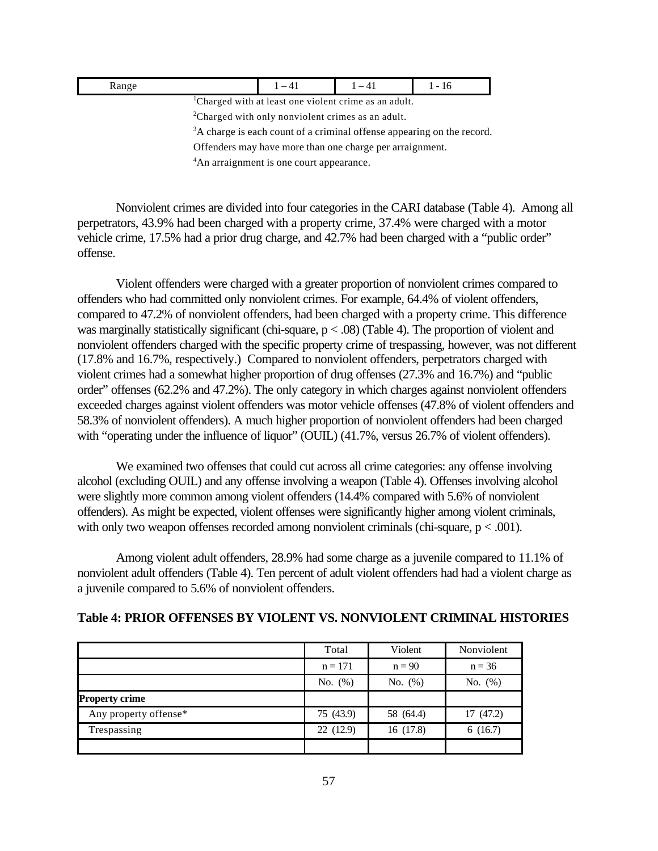| Range                                                         |                                                                                    | $1 - 41$ | $1 - 41$                                                          | $1 - 16$ |
|---------------------------------------------------------------|------------------------------------------------------------------------------------|----------|-------------------------------------------------------------------|----------|
|                                                               |                                                                                    |          | <sup>1</sup> Charged with at least one violent crime as an adult. |          |
| <sup>2</sup> Charged with only nonviolent crimes as an adult. |                                                                                    |          |                                                                   |          |
|                                                               | <sup>3</sup> A charge is each count of a criminal offense appearing on the record. |          |                                                                   |          |
|                                                               |                                                                                    |          | Offenders may have more than one charge per arraignment.          |          |

<sup>4</sup>An arraignment is one court appearance.

Nonviolent crimes are divided into four categories in the CARI database (Table 4). Among all perpetrators, 43.9% had been charged with a property crime, 37.4% were charged with a motor vehicle crime, 17.5% had a prior drug charge, and 42.7% had been charged with a "public order" offense.

Violent offenders were charged with a greater proportion of nonviolent crimes compared to offenders who had committed only nonviolent crimes. For example, 64.4% of violent offenders, compared to 47.2% of nonviolent offenders, had been charged with a property crime. This difference was marginally statistically significant (chi-square,  $p < .08$ ) (Table 4). The proportion of violent and nonviolent offenders charged with the specific property crime of trespassing, however, was not different (17.8% and 16.7%, respectively.) Compared to nonviolent offenders, perpetrators charged with violent crimes had a somewhat higher proportion of drug offenses (27.3% and 16.7%) and "public order" offenses (62.2% and 47.2%). The only category in which charges against nonviolent offenders exceeded charges against violent offenders was motor vehicle offenses (47.8% of violent offenders and 58.3% of nonviolent offenders). A much higher proportion of nonviolent offenders had been charged with "operating under the influence of liquor" (OUIL) (41.7%, versus 26.7% of violent offenders).

We examined two offenses that could cut across all crime categories: any offense involving alcohol (excluding OUIL) and any offense involving a weapon (Table 4). Offenses involving alcohol were slightly more common among violent offenders (14.4% compared with 5.6% of nonviolent offenders). As might be expected, violent offenses were significantly higher among violent criminals, with only two weapon offenses recorded among nonviolent criminals (chi-square,  $p < .001$ ).

Among violent adult offenders, 28.9% had some charge as a juvenile compared to 11.1% of nonviolent adult offenders (Table 4). Ten percent of adult violent offenders had had a violent charge as a juvenile compared to 5.6% of nonviolent offenders.

|                       | Total     | Violent    | Nonviolent |
|-----------------------|-----------|------------|------------|
|                       | $n = 171$ | $n = 90$   | $n = 36$   |
|                       | No. $(%)$ | No. $(\%)$ | No. $(\%)$ |
| <b>Property crime</b> |           |            |            |
| Any property offense* | 75 (43.9) | 58 (64.4)  | 17(47.2)   |
| Trespassing           | 22 (12.9) | 16 (17.8)  | 6(16.7)    |
|                       |           |            |            |

## **Table 4: PRIOR OFFENSES BY VIOLENT VS. NONVIOLENT CRIMINAL HISTORIES**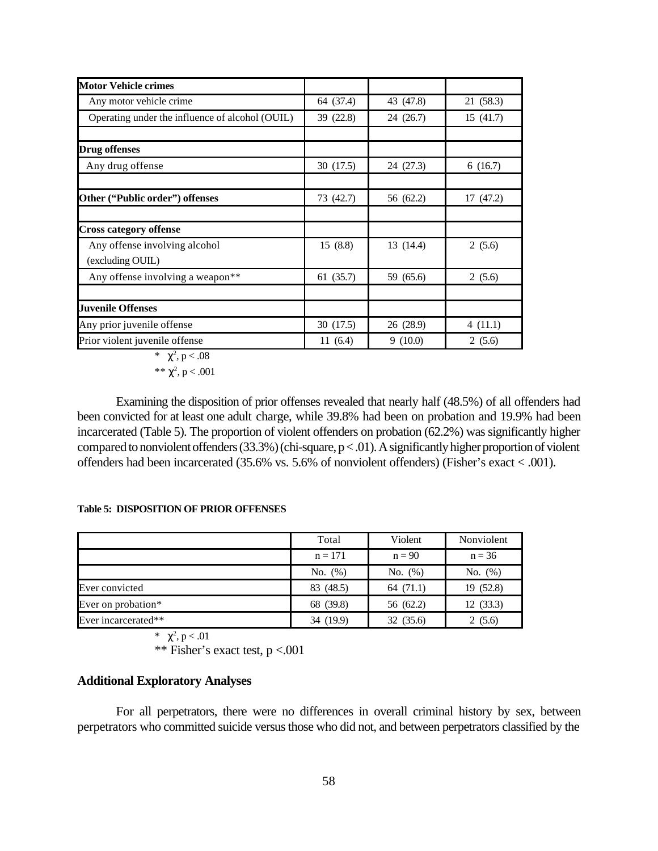| <b>Motor Vehicle crimes</b>                     |           |           |           |
|-------------------------------------------------|-----------|-----------|-----------|
| Any motor vehicle crime                         | 64 (37.4) | 43 (47.8) | 21 (58.3) |
| Operating under the influence of alcohol (OUIL) | 39 (22.8) | 24 (26.7) | 15(41.7)  |
|                                                 |           |           |           |
| <b>Drug offenses</b>                            |           |           |           |
| Any drug offense                                | 30(17.5)  | 24 (27.3) | 6(16.7)   |
|                                                 |           |           |           |
| <b>Other ("Public order") offenses</b>          | 73 (42.7) | 56 (62.2) | 17(47.2)  |
|                                                 |           |           |           |
| <b>Cross category offense</b>                   |           |           |           |
| Any offense involving alcohol                   | 15(8.8)   | 13(14.4)  | 2(5.6)    |
| (excluding OUIL)                                |           |           |           |
| Any offense involving a weapon <sup>**</sup>    | 61(35.7)  | 59 (65.6) | 2(5.6)    |
|                                                 |           |           |           |
| <b>Juvenile Offenses</b>                        |           |           |           |
| Any prior juvenile offense                      | 30(17.5)  | 26 (28.9) | 4(11.1)   |
| Prior violent juvenile offense                  | 11(6.4)   | 9(10.0)   | 2(5.6)    |

$$
* \quad \chi^2, p < .08
$$

\*\*  $\chi^2$ , p < .001

Examining the disposition of prior offenses revealed that nearly half (48.5%) of all offenders had been convicted for at least one adult charge, while 39.8% had been on probation and 19.9% had been incarcerated (Table 5). The proportion of violent offenders on probation (62.2%) was significantly higher compared to nonviolent offenders  $(33.3%)$  (chi-square,  $p < .01$ ). A significantly higher proportion of violent offenders had been incarcerated (35.6% vs. 5.6% of nonviolent offenders) (Fisher's exact < .001).

#### **Table 5: DISPOSITION OF PRIOR OFFENSES**

|                     | Total      | Violent    | Nonviolent |
|---------------------|------------|------------|------------|
|                     | $n = 171$  | $n = 90$   | $n = 36$   |
|                     | No. $(\%)$ | No. $(\%)$ | No. $(\%)$ |
| Ever convicted      | 83 (48.5)  | 64 (71.1)  | 19 (52.8)  |
| Ever on probation*  | 68 (39.8)  | 56 (62.2)  | 12(33.3)   |
| Ever incarcerated** | 34 (19.9)  | 32 (35.6)  | 2(5.6)     |

\*  $\chi^2$ , p < .01

\*\* Fisher's exact test, p <.001

## **Additional Exploratory Analyses**

For all perpetrators, there were no differences in overall criminal history by sex, between perpetrators who committed suicide versus those who did not, and between perpetrators classified by the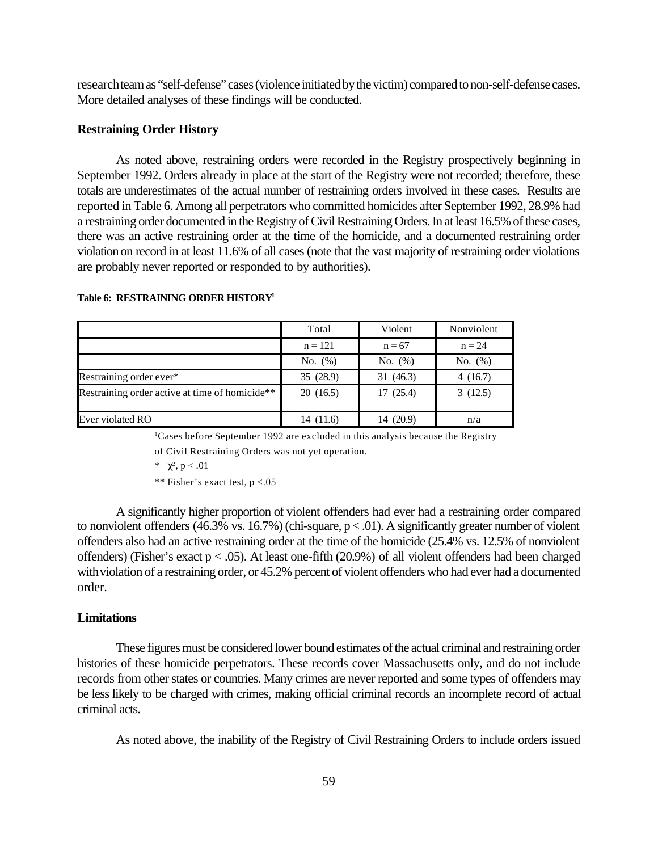research team as "self-defense" cases (violence initiated by the victim) compared to non-self-defense cases. More detailed analyses of these findings will be conducted.

#### **Restraining Order History**

As noted above, restraining orders were recorded in the Registry prospectively beginning in September 1992. Orders already in place at the start of the Registry were not recorded; therefore, these totals are underestimates of the actual number of restraining orders involved in these cases. Results are reported in Table 6. Among all perpetrators who committed homicides after September 1992, 28.9% had a restraining order documented in the Registry of Civil Restraining Orders. In at least 16.5% of these cases, there was an active restraining order at the time of the homicide, and a documented restraining order violation on record in at least 11.6% of all cases (note that the vast majority of restraining order violations are probably never reported or responded to by authorities).

|                                                | Total      | Violent    | Nonviolent |
|------------------------------------------------|------------|------------|------------|
|                                                | $n = 121$  | $n = 67$   | $n = 24$   |
|                                                | No. $(\%)$ | No. $(\%)$ | No. $(\%)$ |
| Restraining order ever*                        | 35 (28.9)  | 31(46.3)   | 4(16.7)    |
| Restraining order active at time of homicide** | 20(16.5)   | 17(25.4)   | 3(12.5)    |
| Ever violated RO                               | 14 (11.6)  | 14 (20.9)  | n/a        |

#### **Table 6: RESTRAINING ORDER HISTORY<sup>1</sup>**

<sup>1</sup>Cases before September 1992 are excluded in this analysis because the Registry of Civil Restraining Orders was not yet operation.

\*  $\chi^2$ , p < .01

\*\* Fisher's exact test,  $p < .05$ 

A significantly higher proportion of violent offenders had ever had a restraining order compared to nonviolent offenders (46.3% vs. 16.7%) (chi-square,  $p < .01$ ). A significantly greater number of violent offenders also had an active restraining order at the time of the homicide (25.4% vs. 12.5% of nonviolent offenders) (Fisher's exact  $p < .05$ ). At least one-fifth (20.9%) of all violent offenders had been charged with violation of a restraining order, or 45.2% percent of violent offenders who had ever had a documented order.

### **Limitations**

These figures must be considered lower bound estimates of the actual criminal and restraining order histories of these homicide perpetrators. These records cover Massachusetts only, and do not include records from other states or countries. Many crimes are never reported and some types of offenders may be less likely to be charged with crimes, making official criminal records an incomplete record of actual criminal acts.

As noted above, the inability of the Registry of Civil Restraining Orders to include orders issued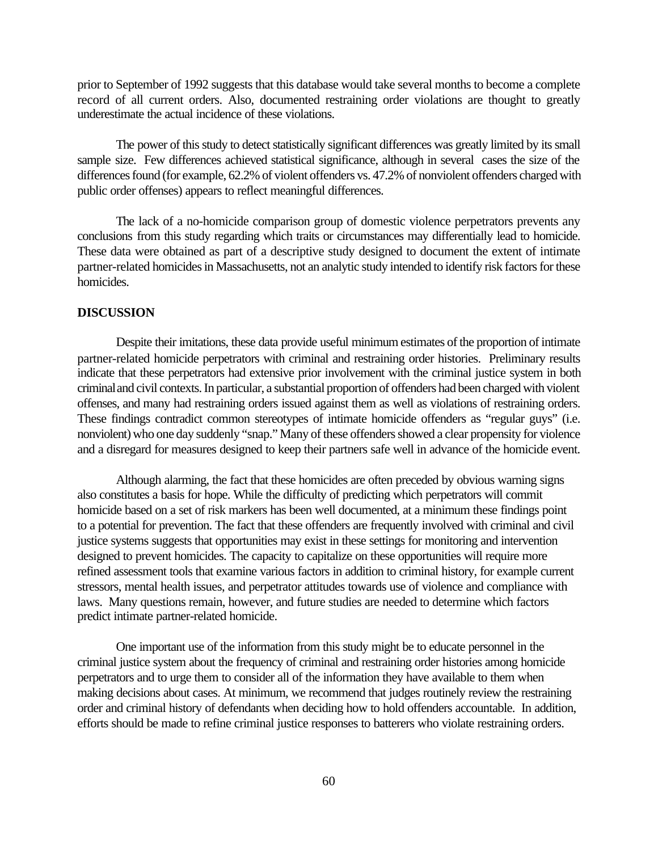prior to September of 1992 suggests that this database would take several months to become a complete record of all current orders. Also, documented restraining order violations are thought to greatly underestimate the actual incidence of these violations.

The power of this study to detect statistically significant differences was greatly limited by its small sample size. Few differences achieved statistical significance, although in several cases the size of the differences found (for example, 62.2% of violent offenders vs. 47.2% of nonviolent offenders charged with public order offenses) appears to reflect meaningful differences.

The lack of a no-homicide comparison group of domestic violence perpetrators prevents any conclusions from this study regarding which traits or circumstances may differentially lead to homicide. These data were obtained as part of a descriptive study designed to document the extent of intimate partner-related homicides in Massachusetts, not an analytic study intended to identify risk factors for these homicides.

#### **DISCUSSION**

Despite their imitations, these data provide useful minimum estimates of the proportion of intimate partner-related homicide perpetrators with criminal and restraining order histories. Preliminary results indicate that these perpetrators had extensive prior involvement with the criminal justice system in both criminal and civil contexts. In particular, a substantial proportion of offenders had been charged with violent offenses, and many had restraining orders issued against them as well as violations of restraining orders. These findings contradict common stereotypes of intimate homicide offenders as "regular guys" (i.e. nonviolent) who one day suddenly "snap." Many of these offenders showed a clear propensity for violence and a disregard for measures designed to keep their partners safe well in advance of the homicide event.

Although alarming, the fact that these homicides are often preceded by obvious warning signs also constitutes a basis for hope. While the difficulty of predicting which perpetrators will commit homicide based on a set of risk markers has been well documented, at a minimum these findings point to a potential for prevention. The fact that these offenders are frequently involved with criminal and civil justice systems suggests that opportunities may exist in these settings for monitoring and intervention designed to prevent homicides. The capacity to capitalize on these opportunities will require more refined assessment tools that examine various factors in addition to criminal history, for example current stressors, mental health issues, and perpetrator attitudes towards use of violence and compliance with laws. Many questions remain, however, and future studies are needed to determine which factors predict intimate partner-related homicide.

One important use of the information from this study might be to educate personnel in the criminal justice system about the frequency of criminal and restraining order histories among homicide perpetrators and to urge them to consider all of the information they have available to them when making decisions about cases. At minimum, we recommend that judges routinely review the restraining order and criminal history of defendants when deciding how to hold offenders accountable. In addition, efforts should be made to refine criminal justice responses to batterers who violate restraining orders.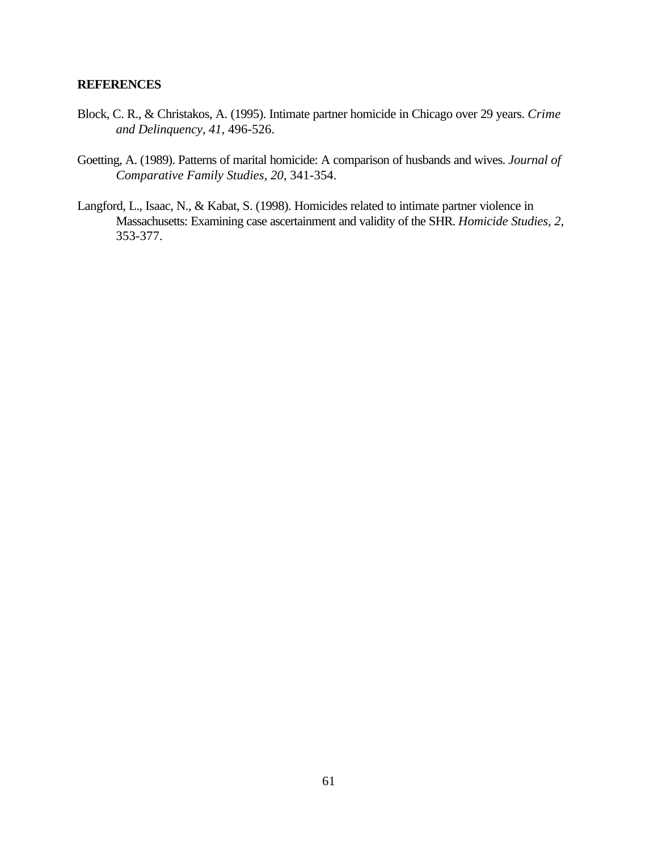## **REFERENCES**

- Block, C. R., & Christakos, A. (1995). Intimate partner homicide in Chicago over 29 years. *Crime and Delinquency, 41*, 496-526.
- Goetting, A. (1989). Patterns of marital homicide: A comparison of husbands and wives. *Journal of Comparative Family Studies, 20*, 341-354.
- Langford, L., Isaac, N., & Kabat, S. (1998). Homicides related to intimate partner violence in Massachusetts: Examining case ascertainment and validity of the SHR. *Homicide Studies, 2*, 353-377.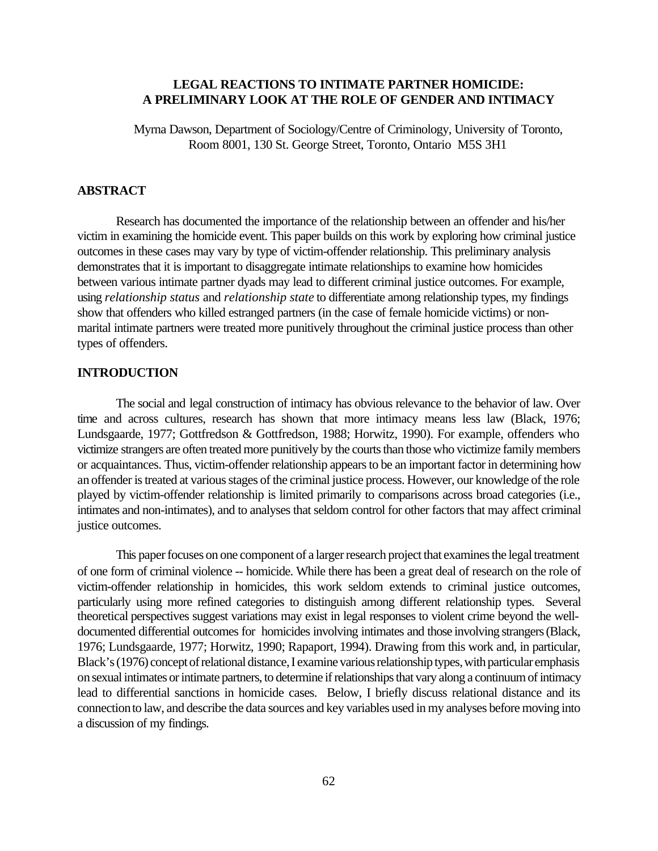## **LEGAL REACTIONS TO INTIMATE PARTNER HOMICIDE: A PRELIMINARY LOOK AT THE ROLE OF GENDER AND INTIMACY**

Myrna Dawson, Department of Sociology/Centre of Criminology, University of Toronto, Room 8001, 130 St. George Street, Toronto, Ontario M5S 3H1

### **ABSTRACT**

Research has documented the importance of the relationship between an offender and his/her victim in examining the homicide event. This paper builds on this work by exploring how criminal justice outcomes in these cases may vary by type of victim-offender relationship. This preliminary analysis demonstrates that it is important to disaggregate intimate relationships to examine how homicides between various intimate partner dyads may lead to different criminal justice outcomes. For example, using *relationship status* and *relationship state* to differentiate among relationship types, my findings show that offenders who killed estranged partners (in the case of female homicide victims) or nonmarital intimate partners were treated more punitively throughout the criminal justice process than other types of offenders.

#### **INTRODUCTION**

The social and legal construction of intimacy has obvious relevance to the behavior of law. Over time and across cultures, research has shown that more intimacy means less law (Black, 1976; Lundsgaarde, 1977; Gottfredson & Gottfredson, 1988; Horwitz, 1990). For example, offenders who victimize strangers are often treated more punitively by the courts than those who victimize family members or acquaintances. Thus, victim-offender relationship appears to be an important factor in determining how an offender is treated at various stages of the criminal justice process. However, our knowledge of the role played by victim-offender relationship is limited primarily to comparisons across broad categories (i.e., intimates and non-intimates), and to analyses that seldom control for other factors that may affect criminal justice outcomes.

This paper focuses on one component of a larger research project that examines the legal treatment of one form of criminal violence -- homicide. While there has been a great deal of research on the role of victim-offender relationship in homicides, this work seldom extends to criminal justice outcomes, particularly using more refined categories to distinguish among different relationship types. Several theoretical perspectives suggest variations may exist in legal responses to violent crime beyond the welldocumented differential outcomes for homicides involving intimates and those involving strangers (Black, 1976; Lundsgaarde, 1977; Horwitz, 1990; Rapaport, 1994). Drawing from this work and, in particular, Black's (1976) concept of relational distance, I examine various relationship types, with particular emphasis on sexual intimates or intimate partners, to determine if relationships that vary along a continuum of intimacy lead to differential sanctions in homicide cases. Below, I briefly discuss relational distance and its connection to law, and describe the data sources and key variables used in my analyses before moving into a discussion of my findings.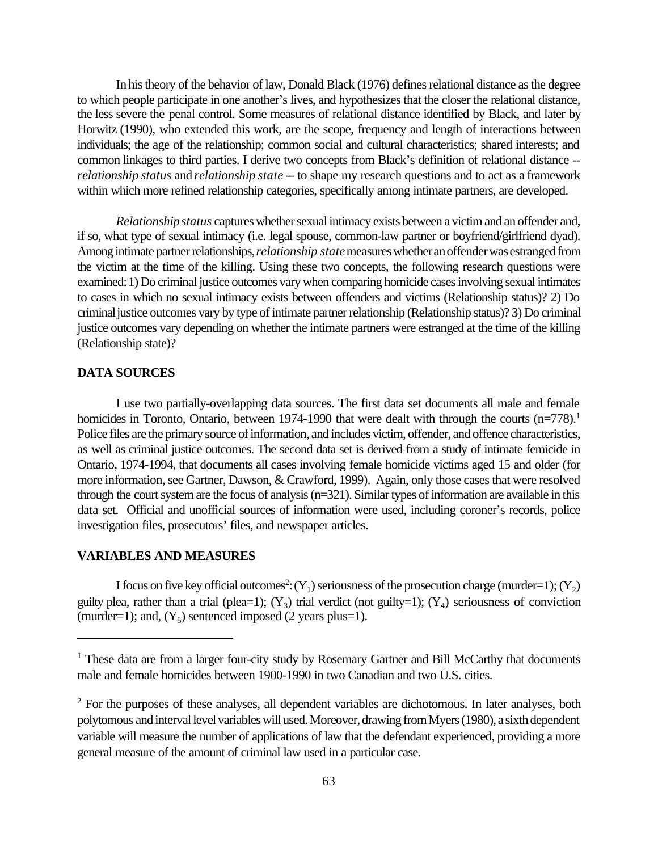In his theory of the behavior of law, Donald Black (1976) defines relational distance as the degree to which people participate in one another's lives, and hypothesizes that the closer the relational distance, the less severe the penal control. Some measures of relational distance identified by Black, and later by Horwitz (1990), who extended this work, are the scope, frequency and length of interactions between individuals; the age of the relationship; common social and cultural characteristics; shared interests; and common linkages to third parties. I derive two concepts from Black's definition of relational distance - *relationship status* and *relationship state* -- to shape my research questions and to act as a framework within which more refined relationship categories, specifically among intimate partners, are developed.

*Relationship status* captures whether sexual intimacy exists between a victim and an offender and, if so, what type of sexual intimacy (i.e. legal spouse, common-law partner or boyfriend/girlfriend dyad). Among intimate partner relationships, *relationship state* measures whether an offender was estranged from the victim at the time of the killing. Using these two concepts, the following research questions were examined: 1) Do criminal justice outcomes vary when comparing homicide cases involving sexual intimates to cases in which no sexual intimacy exists between offenders and victims (Relationship status)? 2) Do criminal justice outcomes vary by type of intimate partner relationship (Relationship status)? 3) Do criminal justice outcomes vary depending on whether the intimate partners were estranged at the time of the killing (Relationship state)?

### **DATA SOURCES**

I use two partially-overlapping data sources. The first data set documents all male and female homicides in Toronto, Ontario, between 1974-1990 that were dealt with through the courts  $(n=778)$ .<sup>1</sup> Police files are the primary source of information, and includes victim, offender, and offence characteristics, as well as criminal justice outcomes. The second data set is derived from a study of intimate femicide in Ontario, 1974-1994, that documents all cases involving female homicide victims aged 15 and older (for more information, see Gartner, Dawson, & Crawford, 1999). Again, only those cases that were resolved through the court system are the focus of analysis (n=321). Similar types of information are available in this data set. Official and unofficial sources of information were used, including coroner's records, police investigation files, prosecutors' files, and newspaper articles.

#### **VARIABLES AND MEASURES**

I focus on five key official outcomes<sup>2</sup>: (Y<sub>1</sub>) seriousness of the prosecution charge (murder=1); (Y<sub>2</sub>) guilty plea, rather than a trial (plea=1);  $(Y_3)$  trial verdict (not guilty=1);  $(Y_4)$  seriousness of conviction (murder=1); and,  $(Y_5)$  sentenced imposed (2 years plus=1).

<sup>&</sup>lt;sup>1</sup> These data are from a larger four-city study by Rosemary Gartner and Bill McCarthy that documents male and female homicides between 1900-1990 in two Canadian and two U.S. cities.

<sup>&</sup>lt;sup>2</sup> For the purposes of these analyses, all dependent variables are dichotomous. In later analyses, both polytomous and interval level variables will used. Moreover, drawing from Myers (1980), a sixth dependent variable will measure the number of applications of law that the defendant experienced, providing a more general measure of the amount of criminal law used in a particular case.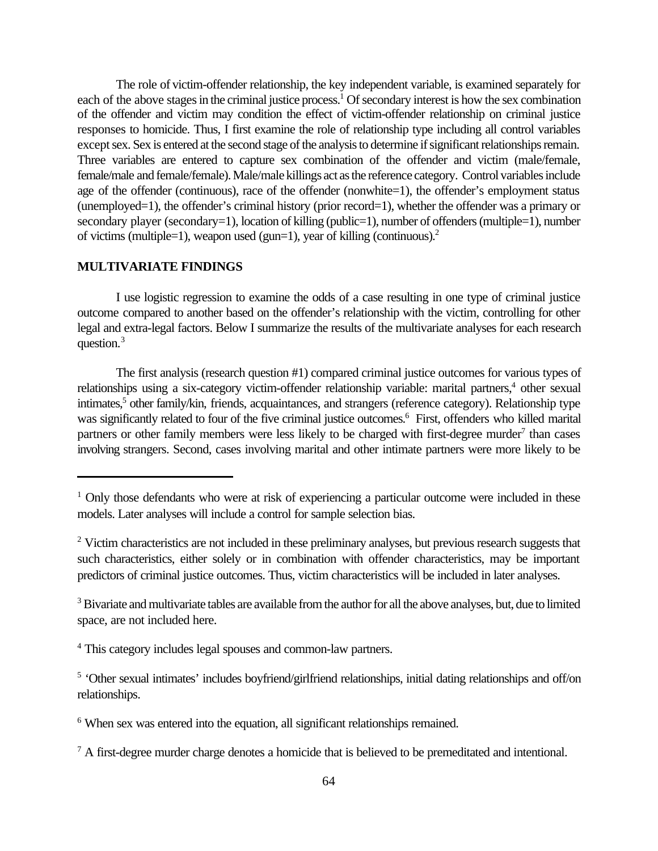The role of victim-offender relationship, the key independent variable, is examined separately for each of the above stages in the criminal justice process.<sup>1</sup> Of secondary interest is how the sex combination of the offender and victim may condition the effect of victim-offender relationship on criminal justice responses to homicide. Thus, I first examine the role of relationship type including all control variables except sex. Sex is entered at the second stage of the analysis to determine if significant relationships remain. Three variables are entered to capture sex combination of the offender and victim (male/female, female/male and female/female). Male/male killings act as the reference category. Control variables include age of the offender (continuous), race of the offender (nonwhite=1), the offender's employment status (unemployed=1), the offender's criminal history (prior record=1), whether the offender was a primary or secondary player (secondary=1), location of killing (public=1), number of offenders (multiple=1), number of victims (multiple=1), weapon used (gun=1), year of killing (continuous).<sup>2</sup>

### **MULTIVARIATE FINDINGS**

I use logistic regression to examine the odds of a case resulting in one type of criminal justice outcome compared to another based on the offender's relationship with the victim, controlling for other legal and extra-legal factors. Below I summarize the results of the multivariate analyses for each research question.<sup>3</sup>

The first analysis (research question #1) compared criminal justice outcomes for various types of relationships using a six-category victim-offender relationship variable: marital partners,<sup>4</sup> other sexual intimates,<sup>5</sup> other family/kin, friends, acquaintances, and strangers (reference category). Relationship type was significantly related to four of the five criminal justice outcomes.<sup>6</sup> First, offenders who killed marital partners or other family members were less likely to be charged with first-degree murder<sup>7</sup> than cases involving strangers. Second, cases involving marital and other intimate partners were more likely to be

 $3$  Bivariate and multivariate tables are available from the author for all the above analyses, but, due to limited space, are not included here.

<sup>&</sup>lt;sup>1</sup> Only those defendants who were at risk of experiencing a particular outcome were included in these models. Later analyses will include a control for sample selection bias.

<sup>&</sup>lt;sup>2</sup> Victim characteristics are not included in these preliminary analyses, but previous research suggests that such characteristics, either solely or in combination with offender characteristics, may be important predictors of criminal justice outcomes. Thus, victim characteristics will be included in later analyses.

<sup>4</sup> This category includes legal spouses and common-law partners.

<sup>&</sup>lt;sup>5</sup> 'Other sexual intimates' includes boyfriend/girlfriend relationships, initial dating relationships and off/on relationships.

<sup>&</sup>lt;sup>6</sup> When sex was entered into the equation, all significant relationships remained.

 $7$  A first-degree murder charge denotes a homicide that is believed to be premeditated and intentional.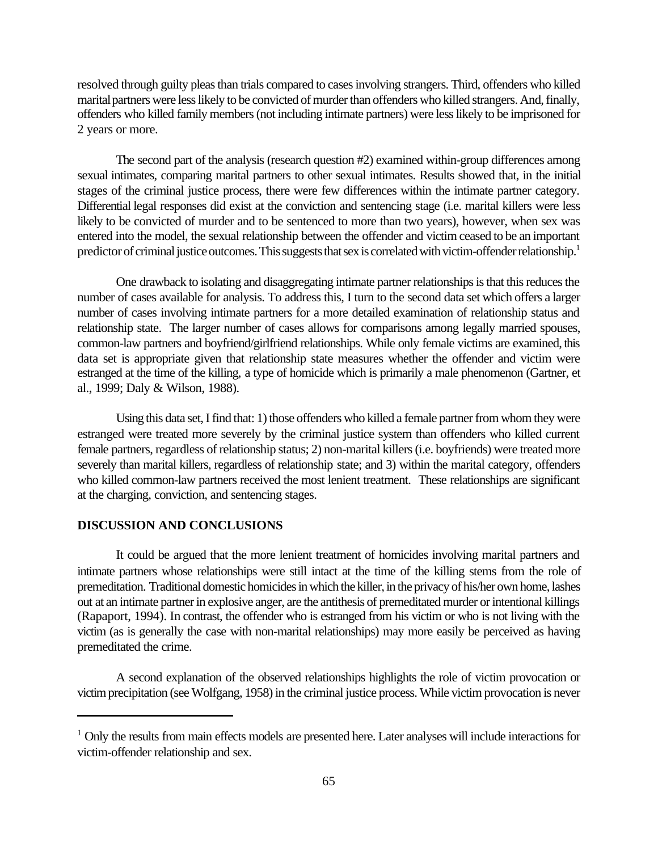resolved through guilty pleas than trials compared to cases involving strangers. Third, offenders who killed marital partners were less likely to be convicted of murder than offenders who killed strangers. And, finally, offenders who killed family members (not including intimate partners) were less likely to be imprisoned for 2 years or more.

The second part of the analysis (research question #2) examined within-group differences among sexual intimates, comparing marital partners to other sexual intimates. Results showed that, in the initial stages of the criminal justice process, there were few differences within the intimate partner category. Differential legal responses did exist at the conviction and sentencing stage (i.e. marital killers were less likely to be convicted of murder and to be sentenced to more than two years), however, when sex was entered into the model, the sexual relationship between the offender and victim ceased to be an important predictor of criminal justice outcomes. This suggests that sex is correlated with victim-offender relationship.<sup>1</sup>

One drawback to isolating and disaggregating intimate partner relationships is that this reduces the number of cases available for analysis. To address this, I turn to the second data set which offers a larger number of cases involving intimate partners for a more detailed examination of relationship status and relationship state. The larger number of cases allows for comparisons among legally married spouses, common-law partners and boyfriend/girlfriend relationships. While only female victims are examined, this data set is appropriate given that relationship state measures whether the offender and victim were estranged at the time of the killing, a type of homicide which is primarily a male phenomenon (Gartner, et al., 1999; Daly & Wilson, 1988).

Using this data set, I find that: 1) those offenders who killed a female partner from whom they were estranged were treated more severely by the criminal justice system than offenders who killed current female partners, regardless of relationship status; 2) non-marital killers (i.e. boyfriends) were treated more severely than marital killers, regardless of relationship state; and 3) within the marital category, offenders who killed common-law partners received the most lenient treatment. These relationships are significant at the charging, conviction, and sentencing stages.

#### **DISCUSSION AND CONCLUSIONS**

It could be argued that the more lenient treatment of homicides involving marital partners and intimate partners whose relationships were still intact at the time of the killing stems from the role of premeditation. Traditional domestic homicides in which the killer, in the privacy of his/her own home, lashes out at an intimate partner in explosive anger, are the antithesis of premeditated murder or intentional killings (Rapaport, 1994). In contrast, the offender who is estranged from his victim or who is not living with the victim (as is generally the case with non-marital relationships) may more easily be perceived as having premeditated the crime.

A second explanation of the observed relationships highlights the role of victim provocation or victim precipitation (see Wolfgang, 1958) in the criminal justice process. While victim provocation is never

<sup>&</sup>lt;sup>1</sup> Only the results from main effects models are presented here. Later analyses will include interactions for victim-offender relationship and sex.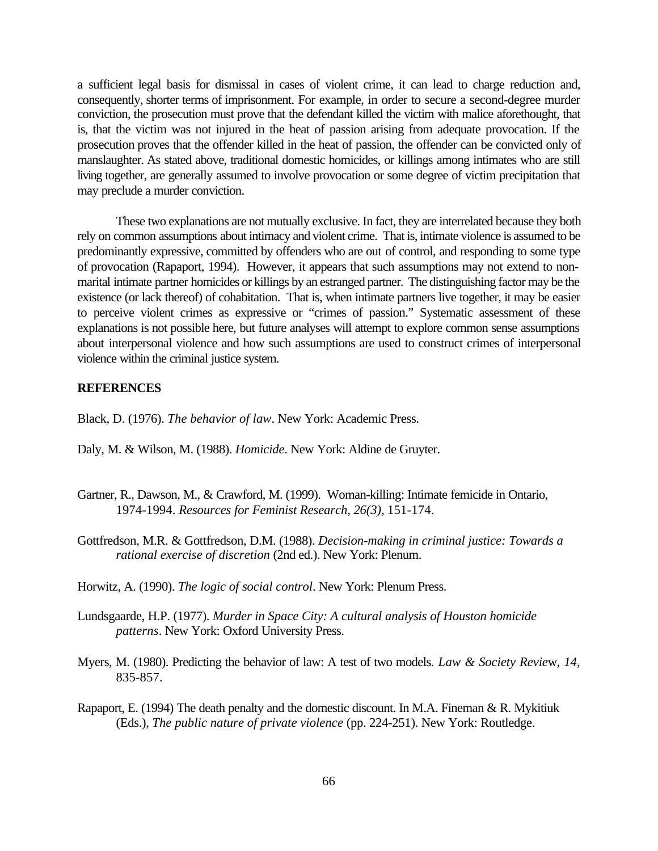a sufficient legal basis for dismissal in cases of violent crime, it can lead to charge reduction and, consequently, shorter terms of imprisonment. For example, in order to secure a second-degree murder conviction, the prosecution must prove that the defendant killed the victim with malice aforethought, that is, that the victim was not injured in the heat of passion arising from adequate provocation. If the prosecution proves that the offender killed in the heat of passion, the offender can be convicted only of manslaughter. As stated above, traditional domestic homicides, or killings among intimates who are still living together, are generally assumed to involve provocation or some degree of victim precipitation that may preclude a murder conviction.

These two explanations are not mutually exclusive. In fact, they are interrelated because they both rely on common assumptions about intimacy and violent crime. That is, intimate violence is assumed to be predominantly expressive, committed by offenders who are out of control, and responding to some type of provocation (Rapaport, 1994). However, it appears that such assumptions may not extend to nonmarital intimate partner homicides or killings by an estranged partner. The distinguishing factor may be the existence (or lack thereof) of cohabitation. That is, when intimate partners live together, it may be easier to perceive violent crimes as expressive or "crimes of passion." Systematic assessment of these explanations is not possible here, but future analyses will attempt to explore common sense assumptions about interpersonal violence and how such assumptions are used to construct crimes of interpersonal violence within the criminal justice system.

#### **REFERENCES**

Black, D. (1976). *The behavior of law*. New York: Academic Press.

Daly, M. & Wilson, M. (1988). *Homicide*. New York: Aldine de Gruyter.

- Gartner, R., Dawson, M., & Crawford, M. (1999). Woman-killing: Intimate femicide in Ontario, 1974-1994. *Resources for Feminist Research, 26(3),* 151-174.
- Gottfredson, M.R. & Gottfredson, D.M. (1988). *Decision-making in criminal justice: Towards a rational exercise of discretion* (2nd ed.). New York: Plenum.
- Horwitz, A. (1990). *The logic of social control*. New York: Plenum Press.
- Lundsgaarde, H.P. (1977). *Murder in Space City: A cultural analysis of Houston homicide patterns*. New York: Oxford University Press.
- Myers, M. (1980). Predicting the behavior of law: A test of two models. *Law & Society Revie*w*, 14,* 835-857.
- Rapaport, E. (1994) The death penalty and the domestic discount. In M.A. Fineman & R. Mykitiuk (Eds.), *The public nature of private violence* (pp. 224-251). New York: Routledge.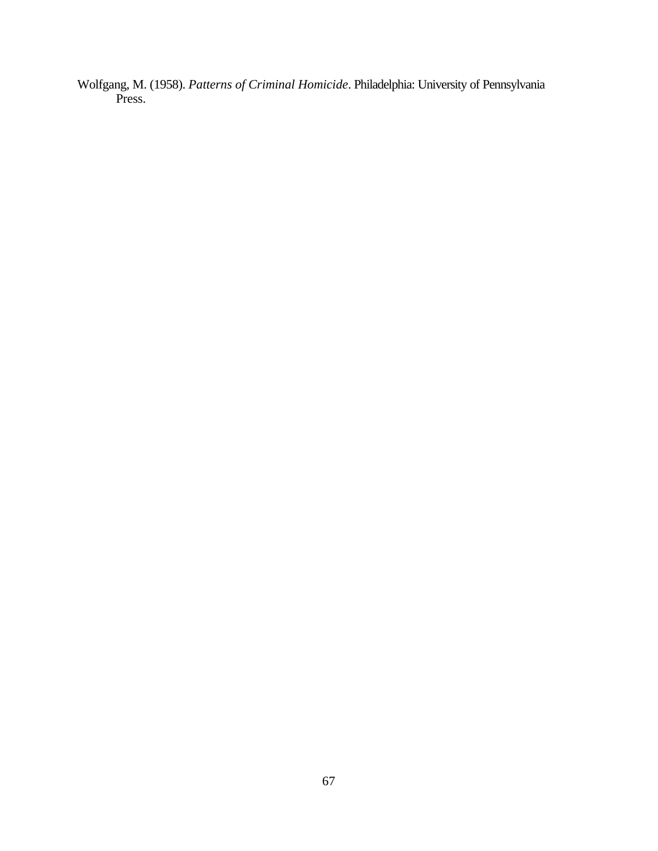Wolfgang, M. (1958). *Patterns of Criminal Homicide*. Philadelphia: University of Pennsylvania Press.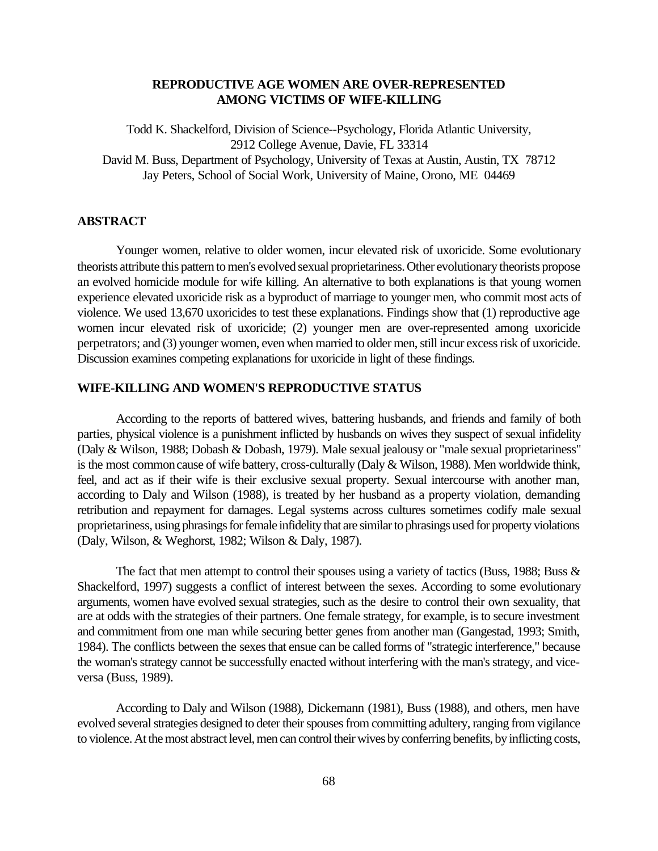## **REPRODUCTIVE AGE WOMEN ARE OVER-REPRESENTED AMONG VICTIMS OF WIFE-KILLING**

Todd K. Shackelford, Division of Science--Psychology, Florida Atlantic University, 2912 College Avenue, Davie, FL 33314 David M. Buss, Department of Psychology, University of Texas at Austin, Austin, TX 78712 Jay Peters, School of Social Work, University of Maine, Orono, ME 04469

#### **ABSTRACT**

Younger women, relative to older women, incur elevated risk of uxoricide. Some evolutionary theorists attribute this pattern to men's evolved sexual proprietariness. Other evolutionary theorists propose an evolved homicide module for wife killing. An alternative to both explanations is that young women experience elevated uxoricide risk as a byproduct of marriage to younger men, who commit most acts of violence. We used 13,670 uxoricides to test these explanations. Findings show that (1) reproductive age women incur elevated risk of uxoricide; (2) younger men are over-represented among uxoricide perpetrators; and (3) younger women, even when married to older men, still incur excess risk of uxoricide. Discussion examines competing explanations for uxoricide in light of these findings.

#### **WIFE-KILLING AND WOMEN'S REPRODUCTIVE STATUS**

According to the reports of battered wives, battering husbands, and friends and family of both parties, physical violence is a punishment inflicted by husbands on wives they suspect of sexual infidelity (Daly & Wilson, 1988; Dobash & Dobash, 1979). Male sexual jealousy or "male sexual proprietariness" is the most common cause of wife battery, cross-culturally (Daly & Wilson, 1988). Men worldwide think, feel, and act as if their wife is their exclusive sexual property. Sexual intercourse with another man, according to Daly and Wilson (1988), is treated by her husband as a property violation, demanding retribution and repayment for damages. Legal systems across cultures sometimes codify male sexual proprietariness, using phrasings for female infidelity that are similar to phrasings used for property violations (Daly, Wilson, & Weghorst, 1982; Wilson & Daly, 1987).

The fact that men attempt to control their spouses using a variety of tactics (Buss, 1988; Buss & Shackelford, 1997) suggests a conflict of interest between the sexes. According to some evolutionary arguments, women have evolved sexual strategies, such as the desire to control their own sexuality, that are at odds with the strategies of their partners. One female strategy, for example, is to secure investment and commitment from one man while securing better genes from another man (Gangestad, 1993; Smith, 1984). The conflicts between the sexes that ensue can be called forms of "strategic interference," because the woman's strategy cannot be successfully enacted without interfering with the man's strategy, and viceversa (Buss, 1989).

According to Daly and Wilson (1988), Dickemann (1981), Buss (1988), and others, men have evolved several strategies designed to deter their spouses from committing adultery, ranging from vigilance to violence. At the most abstract level, men can control their wives by conferring benefits, by inflicting costs,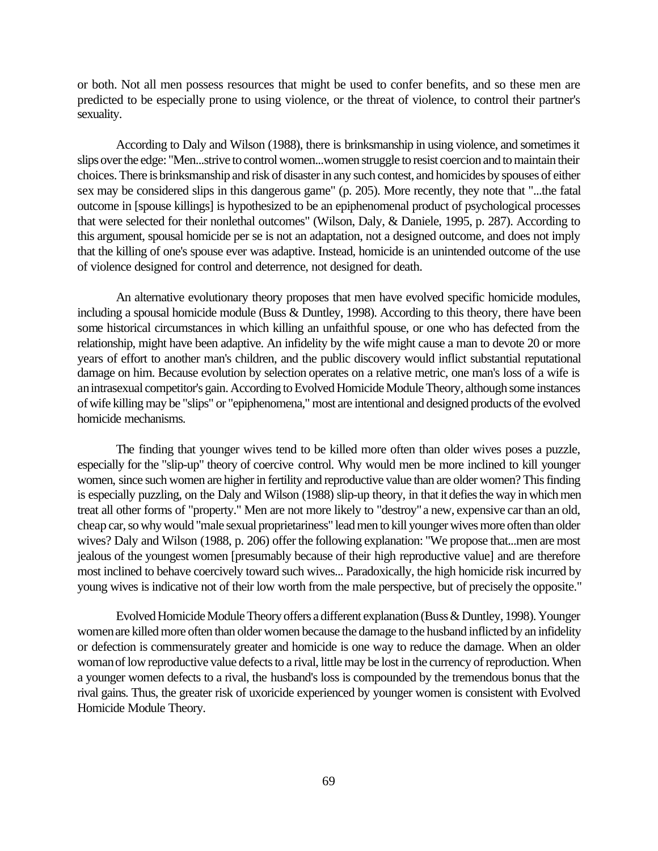or both. Not all men possess resources that might be used to confer benefits, and so these men are predicted to be especially prone to using violence, or the threat of violence, to control their partner's sexuality.

According to Daly and Wilson (1988), there is brinksmanship in using violence, and sometimes it slips over the edge: "Men...strive to control women...women struggle to resist coercion and to maintain their choices. There is brinksmanship and risk of disaster in any such contest, and homicides by spouses of either sex may be considered slips in this dangerous game" (p. 205). More recently, they note that "...the fatal outcome in [spouse killings] is hypothesized to be an epiphenomenal product of psychological processes that were selected for their nonlethal outcomes" (Wilson, Daly, & Daniele, 1995, p. 287). According to this argument, spousal homicide per se is not an adaptation, not a designed outcome, and does not imply that the killing of one's spouse ever was adaptive. Instead, homicide is an unintended outcome of the use of violence designed for control and deterrence, not designed for death.

An alternative evolutionary theory proposes that men have evolved specific homicide modules, including a spousal homicide module (Buss & Duntley, 1998). According to this theory, there have been some historical circumstances in which killing an unfaithful spouse, or one who has defected from the relationship, might have been adaptive. An infidelity by the wife might cause a man to devote 20 or more years of effort to another man's children, and the public discovery would inflict substantial reputational damage on him. Because evolution by selection operates on a relative metric, one man's loss of a wife is an intrasexual competitor's gain. According to Evolved Homicide Module Theory, although some instances of wife killing may be "slips" or "epiphenomena," most are intentional and designed products of the evolved homicide mechanisms.

The finding that younger wives tend to be killed more often than older wives poses a puzzle, especially for the "slip-up" theory of coercive control. Why would men be more inclined to kill younger women, since such women are higher in fertility and reproductive value than are older women? This finding is especially puzzling, on the Daly and Wilson (1988) slip-up theory, in that it defies the way in which men treat all other forms of "property." Men are not more likely to "destroy" a new, expensive car than an old, cheap car, so why would "male sexual proprietariness" lead men to kill younger wives more often than older wives? Daly and Wilson (1988, p. 206) offer the following explanation: "We propose that...men are most jealous of the youngest women [presumably because of their high reproductive value] and are therefore most inclined to behave coercively toward such wives... Paradoxically, the high homicide risk incurred by young wives is indicative not of their low worth from the male perspective, but of precisely the opposite."

Evolved Homicide Module Theory offers a different explanation (Buss & Duntley, 1998). Younger women are killed more often than older women because the damage to the husband inflicted by an infidelity or defection is commensurately greater and homicide is one way to reduce the damage. When an older woman of low reproductive value defects to a rival, little may be lost in the currency of reproduction. When a younger women defects to a rival, the husband's loss is compounded by the tremendous bonus that the rival gains. Thus, the greater risk of uxoricide experienced by younger women is consistent with Evolved Homicide Module Theory.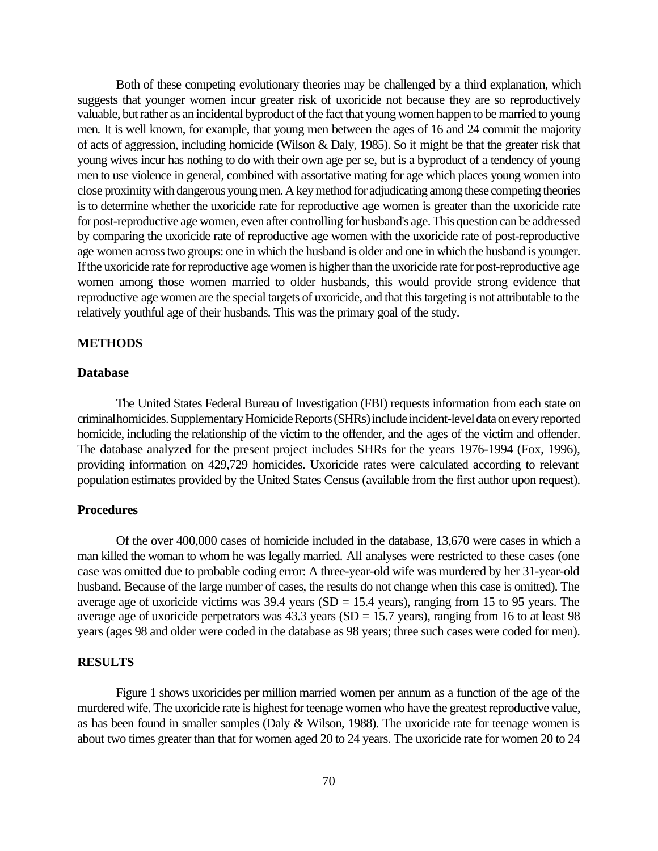Both of these competing evolutionary theories may be challenged by a third explanation, which suggests that younger women incur greater risk of uxoricide not because they are so reproductively valuable, but rather as an incidental byproduct of the fact that young women happen to be married to young men. It is well known, for example, that young men between the ages of 16 and 24 commit the majority of acts of aggression, including homicide (Wilson & Daly, 1985). So it might be that the greater risk that young wives incur has nothing to do with their own age per se, but is a byproduct of a tendency of young men to use violence in general, combined with assortative mating for age which places young women into close proximity with dangerous young men. A key method for adjudicating among these competing theories is to determine whether the uxoricide rate for reproductive age women is greater than the uxoricide rate for post-reproductive age women, even after controlling for husband's age. This question can be addressed by comparing the uxoricide rate of reproductive age women with the uxoricide rate of post-reproductive age women across two groups: one in which the husband is older and one in which the husband is younger. If the uxoricide rate for reproductive age women is higher than the uxoricide rate for post-reproductive age women among those women married to older husbands, this would provide strong evidence that reproductive age women are the special targets of uxoricide, and that this targeting is not attributable to the relatively youthful age of their husbands. This was the primary goal of the study.

#### **METHODS**

#### **Database**

The United States Federal Bureau of Investigation (FBI) requests information from each state on criminal homicides. Supplementary Homicide Reports (SHRs) include incident-level data on every reported homicide, including the relationship of the victim to the offender, and the ages of the victim and offender. The database analyzed for the present project includes SHRs for the years 1976-1994 (Fox, 1996), providing information on 429,729 homicides. Uxoricide rates were calculated according to relevant population estimates provided by the United States Census (available from the first author upon request).

#### **Procedures**

Of the over 400,000 cases of homicide included in the database, 13,670 were cases in which a man killed the woman to whom he was legally married. All analyses were restricted to these cases (one case was omitted due to probable coding error: A three-year-old wife was murdered by her 31-year-old husband. Because of the large number of cases, the results do not change when this case is omitted). The average age of uxoricide victims was  $39.4$  years (SD = 15.4 years), ranging from 15 to 95 years. The average age of uxoricide perpetrators was  $43.3$  years (SD = 15.7 years), ranging from 16 to at least 98 years (ages 98 and older were coded in the database as 98 years; three such cases were coded for men).

#### **RESULTS**

Figure 1 shows uxoricides per million married women per annum as a function of the age of the murdered wife. The uxoricide rate is highest for teenage women who have the greatest reproductive value, as has been found in smaller samples (Daly & Wilson, 1988). The uxoricide rate for teenage women is about two times greater than that for women aged 20 to 24 years. The uxoricide rate for women 20 to 24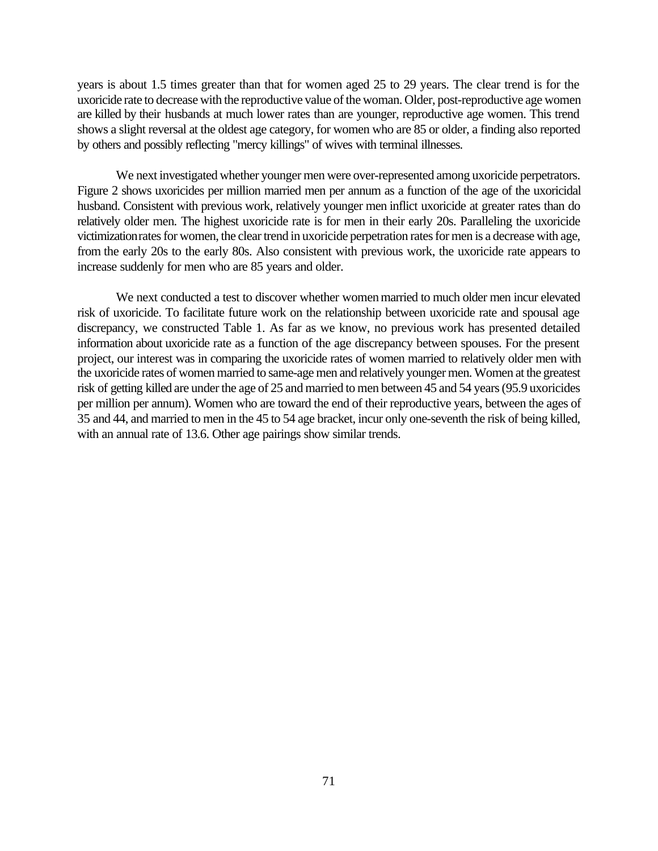years is about 1.5 times greater than that for women aged 25 to 29 years. The clear trend is for the uxoricide rate to decrease with the reproductive value of the woman. Older, post-reproductive age women are killed by their husbands at much lower rates than are younger, reproductive age women. This trend shows a slight reversal at the oldest age category, for women who are 85 or older, a finding also reported by others and possibly reflecting "mercy killings" of wives with terminal illnesses.

We next investigated whether younger men were over-represented among uxoricide perpetrators. Figure 2 shows uxoricides per million married men per annum as a function of the age of the uxoricidal husband. Consistent with previous work, relatively younger men inflict uxoricide at greater rates than do relatively older men. The highest uxoricide rate is for men in their early 20s. Paralleling the uxoricide victimization rates for women, the clear trend in uxoricide perpetration rates for men is a decrease with age, from the early 20s to the early 80s. Also consistent with previous work, the uxoricide rate appears to increase suddenly for men who are 85 years and older.

We next conducted a test to discover whether women married to much older men incur elevated risk of uxoricide. To facilitate future work on the relationship between uxoricide rate and spousal age discrepancy, we constructed Table 1. As far as we know, no previous work has presented detailed information about uxoricide rate as a function of the age discrepancy between spouses. For the present project, our interest was in comparing the uxoricide rates of women married to relatively older men with the uxoricide rates of women married to same-age men and relatively younger men. Women at the greatest risk of getting killed are under the age of 25 and married to men between 45 and 54 years (95.9 uxoricides per million per annum). Women who are toward the end of their reproductive years, between the ages of 35 and 44, and married to men in the 45 to 54 age bracket, incur only one-seventh the risk of being killed, with an annual rate of 13.6. Other age pairings show similar trends.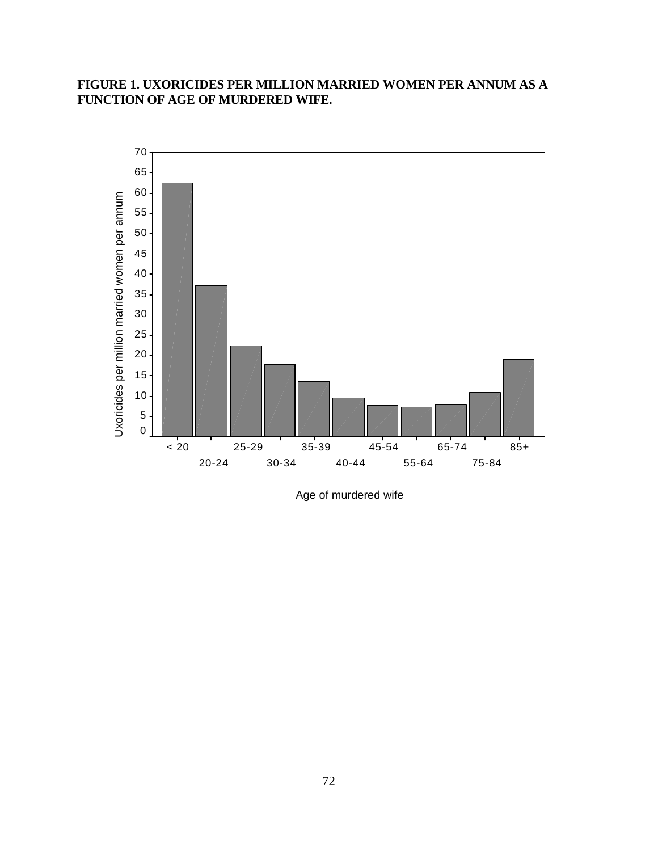# **FIGURE 1. UXORICIDES PER MILLION MARRIED WOMEN PER ANNUM AS A FUNCTION OF AGE OF MURDERED WIFE.**



Age of murdered wife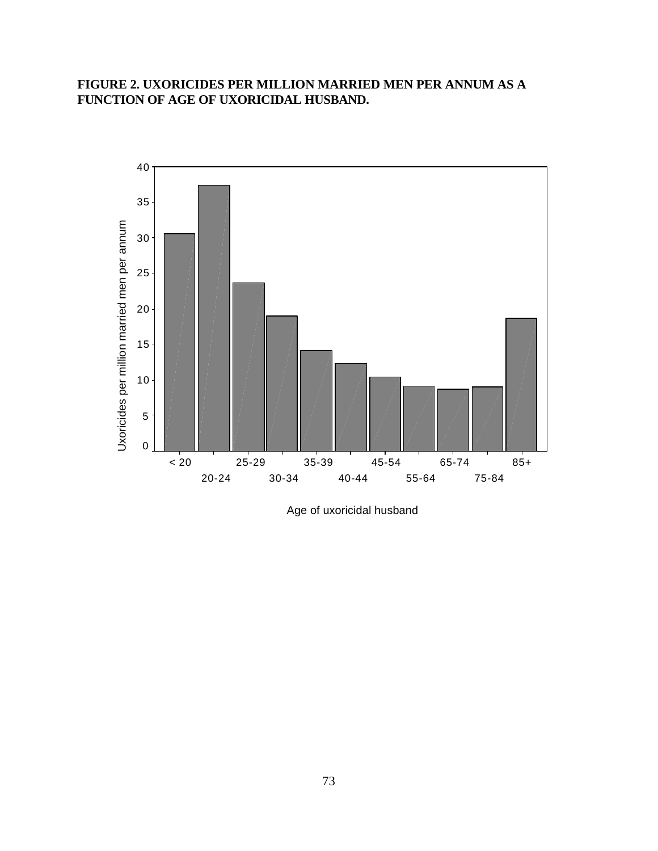# **FIGURE 2. UXORICIDES PER MILLION MARRIED MEN PER ANNUM AS A FUNCTION OF AGE OF UXORICIDAL HUSBAND.**



Age of uxoricidal husband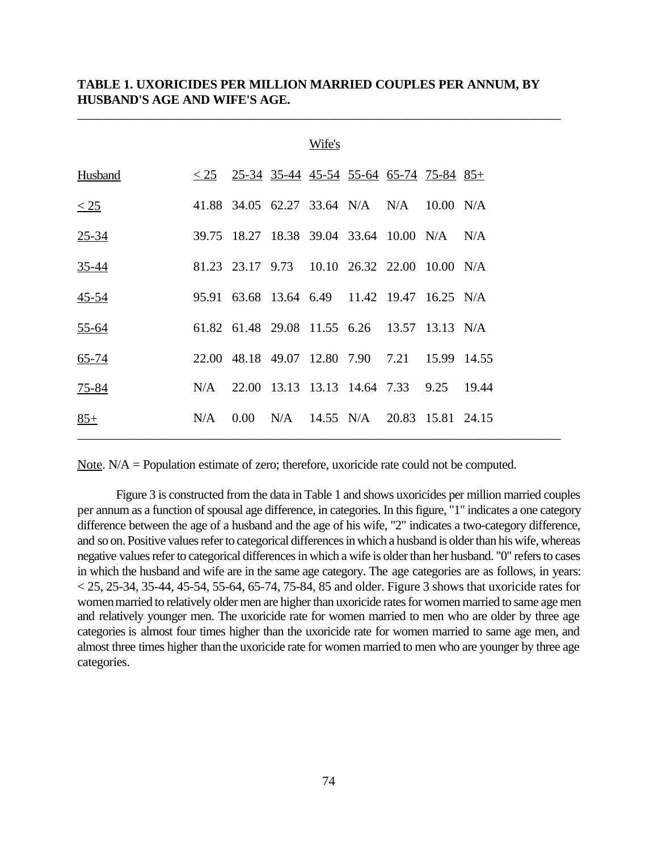## **TABLE 1. UXORICIDES PER MILLION MARRIED COUPLES PER ANNUM, BY HUSBAND'S AGE AND WIFE'S AGE.**

\_\_\_\_\_\_\_\_\_\_\_\_\_\_\_\_\_\_\_\_\_\_\_\_\_\_\_\_\_\_\_\_\_\_\_\_\_\_\_\_\_\_\_\_\_\_\_\_\_\_\_\_\_\_\_\_\_\_\_\_\_\_\_\_\_\_\_\_\_\_\_\_\_\_\_

|                                                              |                                              |                                               | Wife's |  |  |
|--------------------------------------------------------------|----------------------------------------------|-----------------------------------------------|--------|--|--|
| $\leq 25$ 25-34 35-44 45-54 55-64 65-74 75-84 85+<br>Husband |                                              |                                               |        |  |  |
| $\leq$ 25                                                    |                                              | 41.88 34.05 62.27 33.64 N/A N/A 10.00 N/A     |        |  |  |
| $25 - 34$                                                    |                                              | 39.75 18.27 18.38 39.04 33.64 10.00 N/A N/A   |        |  |  |
| $35 - 44$                                                    | 81.23 23.17 9.73 10.10 26.32 22.00 10.00 N/A |                                               |        |  |  |
| $45 - 54$                                                    |                                              | 95.91 63.68 13.64 6.49 11.42 19.47 16.25 N/A  |        |  |  |
| $55 - 64$                                                    |                                              | 61.82 61.48 29.08 11.55 6.26 13.57 13.13 N/A  |        |  |  |
| 65-74                                                        |                                              | 22.00 48.18 49.07 12.80 7.90 7.21 15.99 14.55 |        |  |  |
| N/A 22.00 13.13 13.13 14.64 7.33 9.25 19.44<br>$75 - 84$     |                                              |                                               |        |  |  |
| $85+$                                                        |                                              | N/A 0.00 N/A 14.55 N/A 20.83 15.81 24.15      |        |  |  |

Note. N/A = Population estimate of zero; therefore, uxoricide rate could not be computed.

Figure 3 is constructed from the data in Table 1 and shows uxoricides per million married couples per annum as a function of spousal age difference, in categories. In this figure, "1" indicates a one category difference between the age of a husband and the age of his wife, "2" indicates a two-category difference, and so on. Positive values refer to categorical differences in which a husband is older than his wife, whereas negative values refer to categorical differences in which a wife is older than her husband. "0" refers to cases in which the husband and wife are in the same age category. The age categories are as follows, in years:  $<$  25, 25-34, 35-44, 45-54, 55-64, 65-74, 75-84, 85 and older. Figure 3 shows that uxoricide rates for women married to relatively older men are higher than uxoricide rates for women married to same age men and relatively younger men. The uxoricide rate for women married to men who are older by three age categories is almost four times higher than the uxoricide rate for women married to same age men, and almost three times higher than the uxoricide rate for women married to men who are younger by three age categories.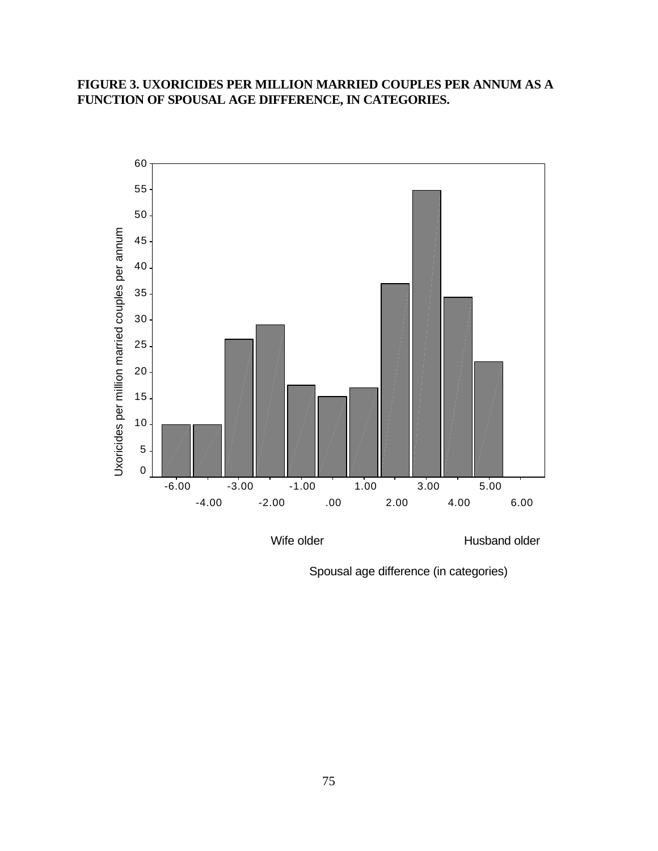# **FIGURE 3. UXORICIDES PER MILLION MARRIED COUPLES PER ANNUM AS A FUNCTION OF SPOUSAL AGE DIFFERENCE, IN CATEGORIES.**





Spousal age difference (in categories)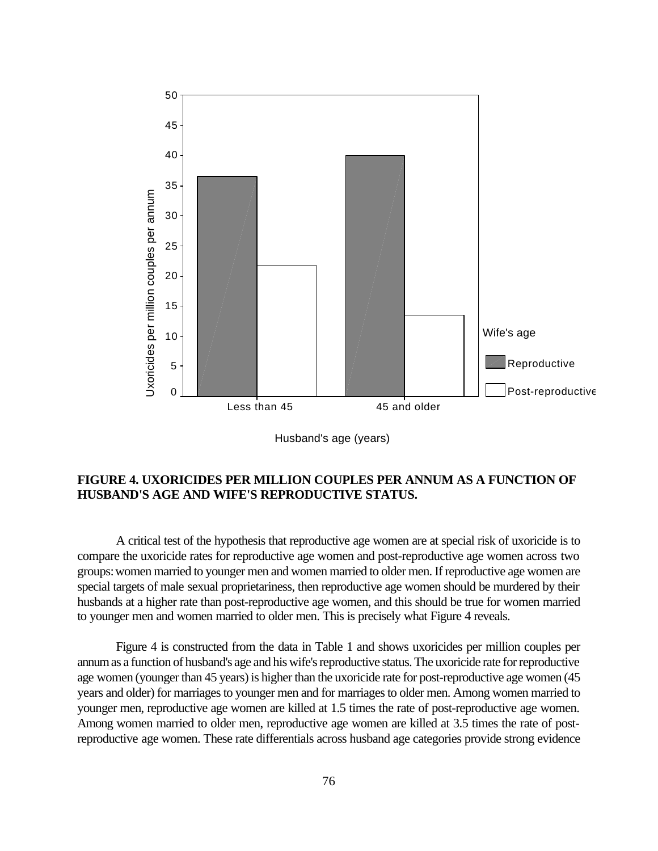

Husband's age (years)

## **FIGURE 4. UXORICIDES PER MILLION COUPLES PER ANNUM AS A FUNCTION OF HUSBAND'S AGE AND WIFE'S REPRODUCTIVE STATUS.**

A critical test of the hypothesis that reproductive age women are at special risk of uxoricide is to compare the uxoricide rates for reproductive age women and post-reproductive age women across two groups: women married to younger men and women married to older men. If reproductive age women are special targets of male sexual proprietariness, then reproductive age women should be murdered by their husbands at a higher rate than post-reproductive age women, and this should be true for women married to younger men and women married to older men. This is precisely what Figure 4 reveals.

Figure 4 is constructed from the data in Table 1 and shows uxoricides per million couples per annum as a function of husband's age and his wife's reproductive status. The uxoricide rate for reproductive age women (younger than 45 years) is higher than the uxoricide rate for post-reproductive age women (45 years and older) for marriages to younger men and for marriages to older men. Among women married to younger men, reproductive age women are killed at 1.5 times the rate of post-reproductive age women. Among women married to older men, reproductive age women are killed at 3.5 times the rate of postreproductive age women. These rate differentials across husband age categories provide strong evidence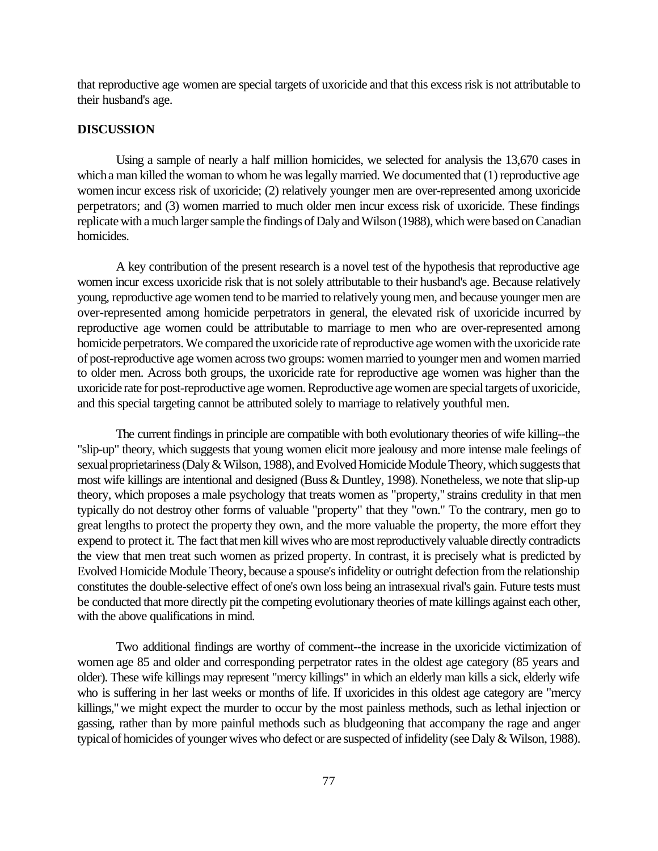that reproductive age women are special targets of uxoricide and that this excess risk is not attributable to their husband's age.

#### **DISCUSSION**

Using a sample of nearly a half million homicides, we selected for analysis the 13,670 cases in which a man killed the woman to whom he was legally married. We documented that (1) reproductive age women incur excess risk of uxoricide; (2) relatively younger men are over-represented among uxoricide perpetrators; and (3) women married to much older men incur excess risk of uxoricide. These findings replicate with a much larger sample the findings of Daly and Wilson (1988), which were based on Canadian homicides.

A key contribution of the present research is a novel test of the hypothesis that reproductive age women incur excess uxoricide risk that is not solely attributable to their husband's age. Because relatively young, reproductive age women tend to be married to relatively young men, and because younger men are over-represented among homicide perpetrators in general, the elevated risk of uxoricide incurred by reproductive age women could be attributable to marriage to men who are over-represented among homicide perpetrators. We compared the uxoricide rate of reproductive age women with the uxoricide rate of post-reproductive age women across two groups: women married to younger men and women married to older men. Across both groups, the uxoricide rate for reproductive age women was higher than the uxoricide rate for post-reproductive age women. Reproductive age women are special targets of uxoricide, and this special targeting cannot be attributed solely to marriage to relatively youthful men.

The current findings in principle are compatible with both evolutionary theories of wife killing--the "slip-up" theory, which suggests that young women elicit more jealousy and more intense male feelings of sexual proprietariness (Daly & Wilson, 1988), and Evolved Homicide Module Theory, which suggests that most wife killings are intentional and designed (Buss & Duntley, 1998). Nonetheless, we note that slip-up theory, which proposes a male psychology that treats women as "property," strains credulity in that men typically do not destroy other forms of valuable "property" that they "own." To the contrary, men go to great lengths to protect the property they own, and the more valuable the property, the more effort they expend to protect it. The fact that men kill wives who are most reproductively valuable directly contradicts the view that men treat such women as prized property. In contrast, it is precisely what is predicted by Evolved Homicide Module Theory, because a spouse's infidelity or outright defection from the relationship constitutes the double-selective effect of one's own loss being an intrasexual rival's gain. Future tests must be conducted that more directly pit the competing evolutionary theories of mate killings against each other, with the above qualifications in mind.

Two additional findings are worthy of comment--the increase in the uxoricide victimization of women age 85 and older and corresponding perpetrator rates in the oldest age category (85 years and older). These wife killings may represent "mercy killings" in which an elderly man kills a sick, elderly wife who is suffering in her last weeks or months of life. If uxoricides in this oldest age category are "mercy killings," we might expect the murder to occur by the most painless methods, such as lethal injection or gassing, rather than by more painful methods such as bludgeoning that accompany the rage and anger typical of homicides of younger wives who defect or are suspected of infidelity (see Daly & Wilson, 1988).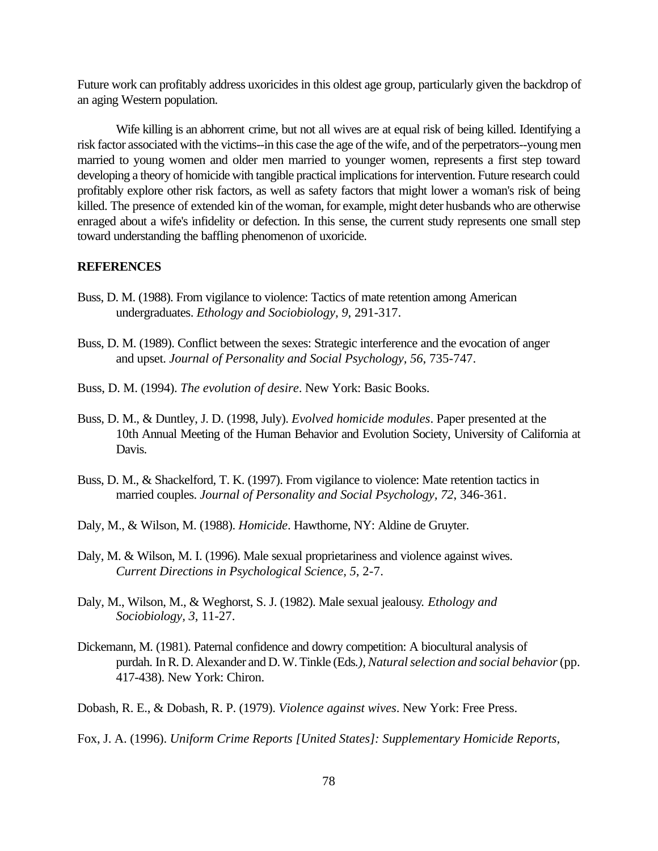Future work can profitably address uxoricides in this oldest age group, particularly given the backdrop of an aging Western population.

Wife killing is an abhorrent crime, but not all wives are at equal risk of being killed. Identifying a risk factor associated with the victims--in this case the age of the wife, and of the perpetrators--young men married to young women and older men married to younger women, represents a first step toward developing a theory of homicide with tangible practical implications for intervention. Future research could profitably explore other risk factors, as well as safety factors that might lower a woman's risk of being killed. The presence of extended kin of the woman, for example, might deter husbands who are otherwise enraged about a wife's infidelity or defection. In this sense, the current study represents one small step toward understanding the baffling phenomenon of uxoricide.

### **REFERENCES**

- Buss, D. M. (1988). From vigilance to violence: Tactics of mate retention among American undergraduates. *Ethology and Sociobiology, 9*, 291-317.
- Buss, D. M. (1989). Conflict between the sexes: Strategic interference and the evocation of anger and upset. *Journal of Personality and Social Psychology, 56*, 735-747.
- Buss, D. M. (1994). *The evolution of desire*. New York: Basic Books.
- Buss, D. M., & Duntley, J. D. (1998, July). *Evolved homicide modules*. Paper presented at the 10th Annual Meeting of the Human Behavior and Evolution Society, University of California at Davis.
- Buss, D. M., & Shackelford, T. K. (1997). From vigilance to violence: Mate retention tactics in married couples. *Journal of Personality and Social Psychology, 72*, 346-361.
- Daly, M., & Wilson, M. (1988). *Homicide*. Hawthorne, NY: Aldine de Gruyter.
- Daly, M. & Wilson, M. I. (1996). Male sexual proprietariness and violence against wives. *Current Directions in Psychological Science, 5*, 2-7.
- Daly, M., Wilson, M., & Weghorst, S. J. (1982). Male sexual jealousy*. Ethology and Sociobiology, 3*, 11-27.
- Dickemann, M. (1981). Paternal confidence and dowry competition: A biocultural analysis of purdah. In R. D. Alexander and D. W. Tinkle (Eds*.), Natural selection and social behavior* (pp. 417-438). New York: Chiron.

Dobash, R. E., & Dobash, R. P. (1979). *Violence against wives*. New York: Free Press.

Fox, J. A. (1996). *Uniform Crime Reports [United States]: Supplementary Homicide Reports,*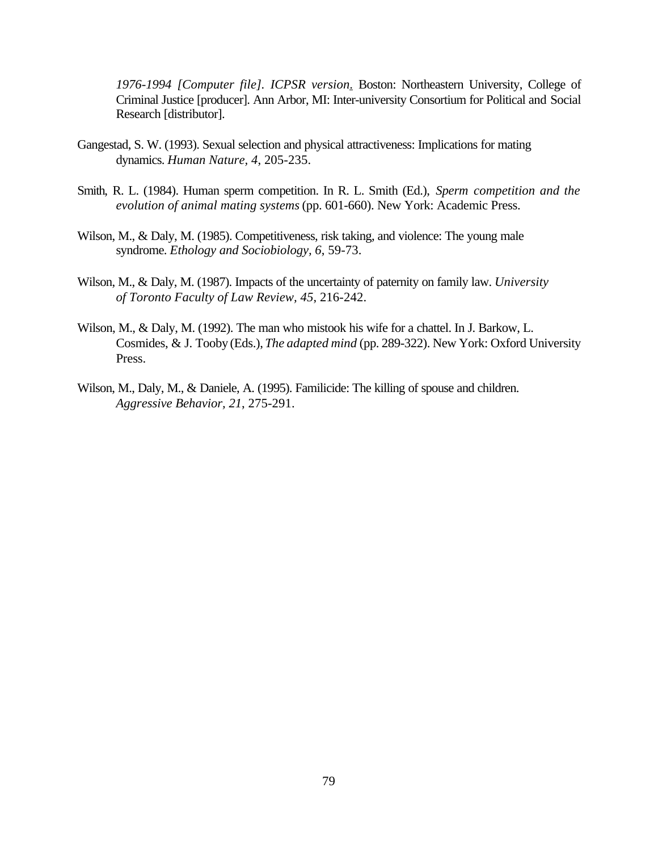*1976-1994 [Computer file]. ICPSR version*. Boston: Northeastern University, College of Criminal Justice [producer]. Ann Arbor, MI: Inter-university Consortium for Political and Social Research [distributor].

- Gangestad, S. W. (1993). Sexual selection and physical attractiveness: Implications for mating dynamics. *Human Nature, 4*, 205-235.
- Smith, R. L. (1984). Human sperm competition. In R. L. Smith (Ed.), *Sperm competition and the evolution of animal mating systems* (pp. 601-660). New York: Academic Press.
- Wilson, M., & Daly, M. (1985). Competitiveness, risk taking, and violence: The young male syndrome. *Ethology and Sociobiology, 6*, 59-73.
- Wilson, M., & Daly, M. (1987). Impacts of the uncertainty of paternity on family law. *University of Toronto Faculty of Law Review, 45*, 216-242.
- Wilson, M., & Daly, M. (1992). The man who mistook his wife for a chattel. In J. Barkow, L. Cosmides, & J. Tooby (Eds.), *The adapted mind* (pp. 289-322). New York: Oxford University Press.
- Wilson, M., Daly, M., & Daniele, A. (1995). Familicide: The killing of spouse and children. *Aggressive Behavior, 21*, 275-291.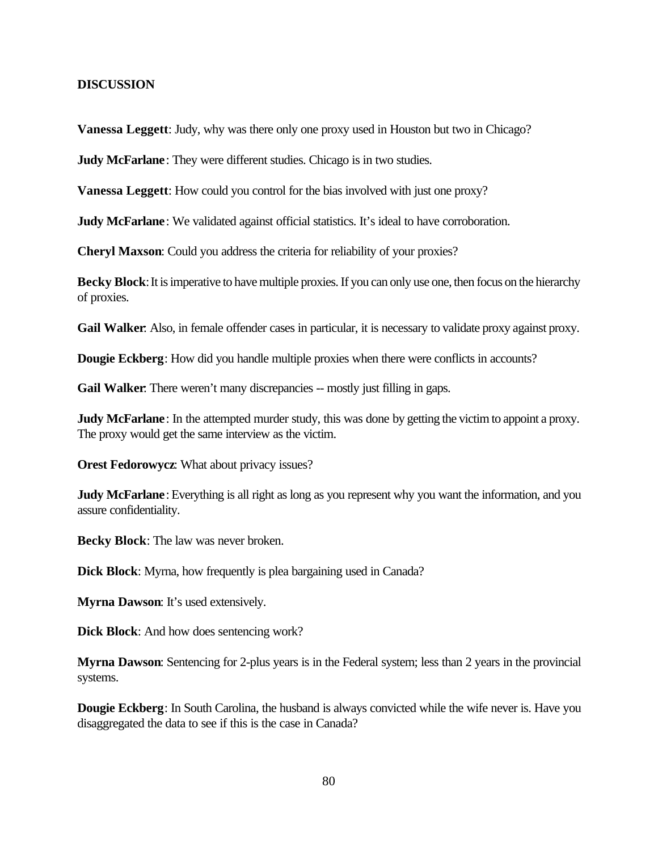#### **DISCUSSION**

**Vanessa Leggett**: Judy, why was there only one proxy used in Houston but two in Chicago?

**Judy McFarlane**: They were different studies. Chicago is in two studies.

**Vanessa Leggett**: How could you control for the bias involved with just one proxy?

**Judy McFarlane**: We validated against official statistics. It's ideal to have corroboration.

**Cheryl Maxson**: Could you address the criteria for reliability of your proxies?

**Becky Block**: It is imperative to have multiple proxies. If you can only use one, then focus on the hierarchy of proxies.

Gail Walker: Also, in female offender cases in particular, it is necessary to validate proxy against proxy.

**Dougie Eckberg**: How did you handle multiple proxies when there were conflicts in accounts?

**Gail Walker:** There weren't many discrepancies -- mostly just filling in gaps.

**Judy McFarlane**: In the attempted murder study, this was done by getting the victim to appoint a proxy. The proxy would get the same interview as the victim.

**Orest Fedorowycz**: What about privacy issues?

**Judy McFarlane**: Everything is all right as long as you represent why you want the information, and you assure confidentiality.

**Becky Block**: The law was never broken.

**Dick Block**: Myrna, how frequently is plea bargaining used in Canada?

**Myrna Dawson**: It's used extensively.

**Dick Block**: And how does sentencing work?

**Myrna Dawson**: Sentencing for 2-plus years is in the Federal system; less than 2 years in the provincial systems.

**Dougie Eckberg**: In South Carolina, the husband is always convicted while the wife never is. Have you disaggregated the data to see if this is the case in Canada?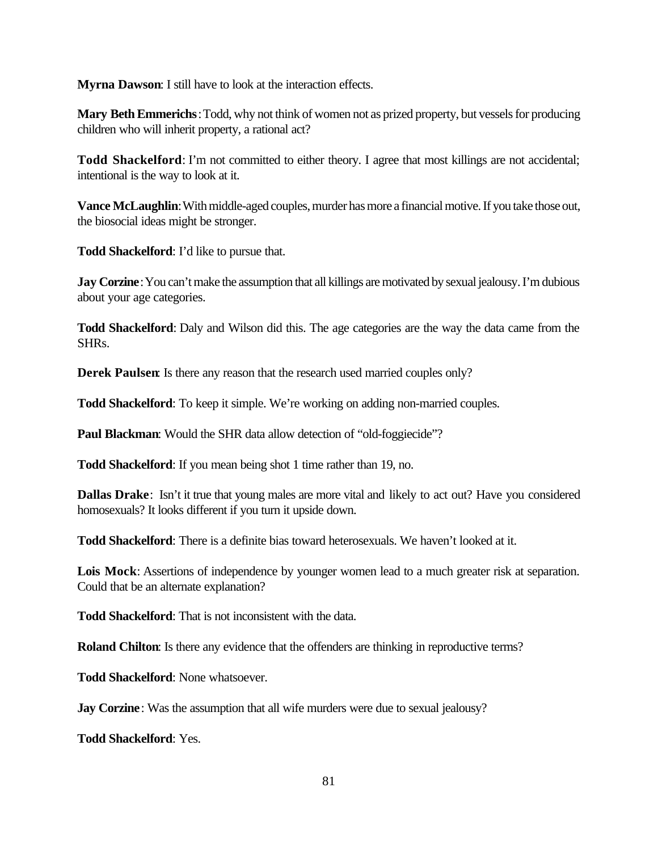**Myrna Dawson**: I still have to look at the interaction effects.

**Mary Beth Emmerichs**: Todd, why not think of women not as prized property, but vessels for producing children who will inherit property, a rational act?

**Todd Shackelford**: I'm not committed to either theory. I agree that most killings are not accidental; intentional is the way to look at it.

**Vance McLaughlin**: With middle-aged couples, murder has more a financial motive. If you take those out, the biosocial ideas might be stronger.

**Todd Shackelford**: I'd like to pursue that.

**Jay Corzine**: You can't make the assumption that all killings are motivated by sexual jealousy. I'm dubious about your age categories.

**Todd Shackelford**: Daly and Wilson did this. The age categories are the way the data came from the SHRs.

**Derek Paulsen:** Is there any reason that the research used married couples only?

**Todd Shackelford**: To keep it simple. We're working on adding non-married couples.

**Paul Blackman:** Would the SHR data allow detection of "old-foggiecide"?

**Todd Shackelford**: If you mean being shot 1 time rather than 19, no.

**Dallas Drake**: Isn't it true that young males are more vital and likely to act out? Have you considered homosexuals? It looks different if you turn it upside down.

**Todd Shackelford**: There is a definite bias toward heterosexuals. We haven't looked at it.

Lois Mock: Assertions of independence by younger women lead to a much greater risk at separation. Could that be an alternate explanation?

**Todd Shackelford**: That is not inconsistent with the data.

**Roland Chilton**: Is there any evidence that the offenders are thinking in reproductive terms?

**Todd Shackelford**: None whatsoever.

**Jay Corzine**: Was the assumption that all wife murders were due to sexual jealousy?

**Todd Shackelford**: Yes.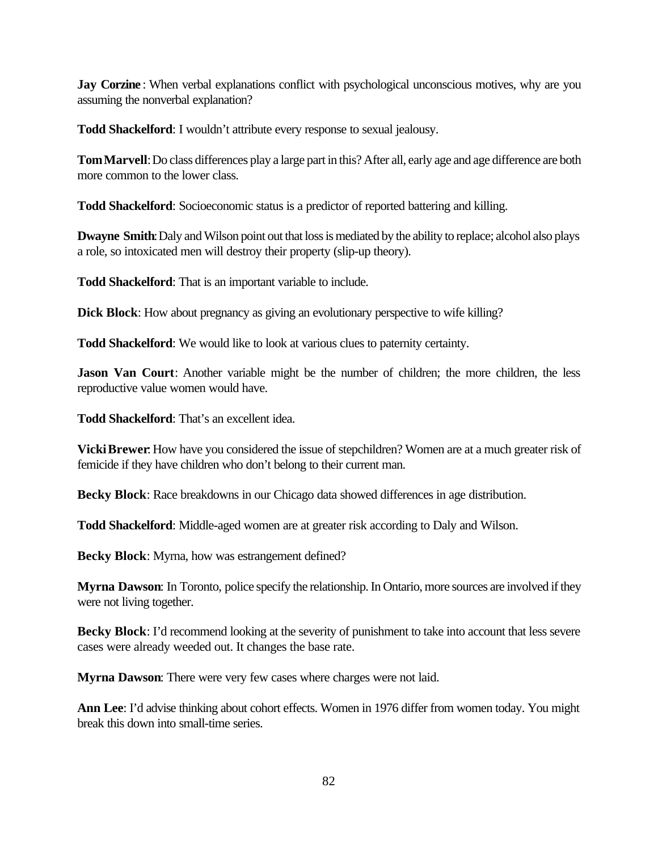**Jay Corzine**: When verbal explanations conflict with psychological unconscious motives, why are you assuming the nonverbal explanation?

**Todd Shackelford**: I wouldn't attribute every response to sexual jealousy.

**Tom Marvell**: Do class differences play a large part in this? After all, early age and age difference are both more common to the lower class.

**Todd Shackelford**: Socioeconomic status is a predictor of reported battering and killing.

**Dwayne Smith**: Daly and Wilson point out that loss is mediated by the ability to replace; alcohol also plays a role, so intoxicated men will destroy their property (slip-up theory).

**Todd Shackelford**: That is an important variable to include.

**Dick Block**: How about pregnancy as giving an evolutionary perspective to wife killing?

**Todd Shackelford**: We would like to look at various clues to paternity certainty.

**Jason Van Court**: Another variable might be the number of children; the more children, the less reproductive value women would have.

**Todd Shackelford**: That's an excellent idea.

**Vicki Brewer**: How have you considered the issue of stepchildren? Women are at a much greater risk of femicide if they have children who don't belong to their current man.

**Becky Block**: Race breakdowns in our Chicago data showed differences in age distribution.

**Todd Shackelford**: Middle-aged women are at greater risk according to Daly and Wilson.

**Becky Block**: Myrna, how was estrangement defined?

**Myrna Dawson**: In Toronto, police specify the relationship. In Ontario, more sources are involved if they were not living together.

**Becky Block**: I'd recommend looking at the severity of punishment to take into account that less severe cases were already weeded out. It changes the base rate.

**Myrna Dawson**: There were very few cases where charges were not laid.

**Ann Lee**: I'd advise thinking about cohort effects. Women in 1976 differ from women today. You might break this down into small-time series.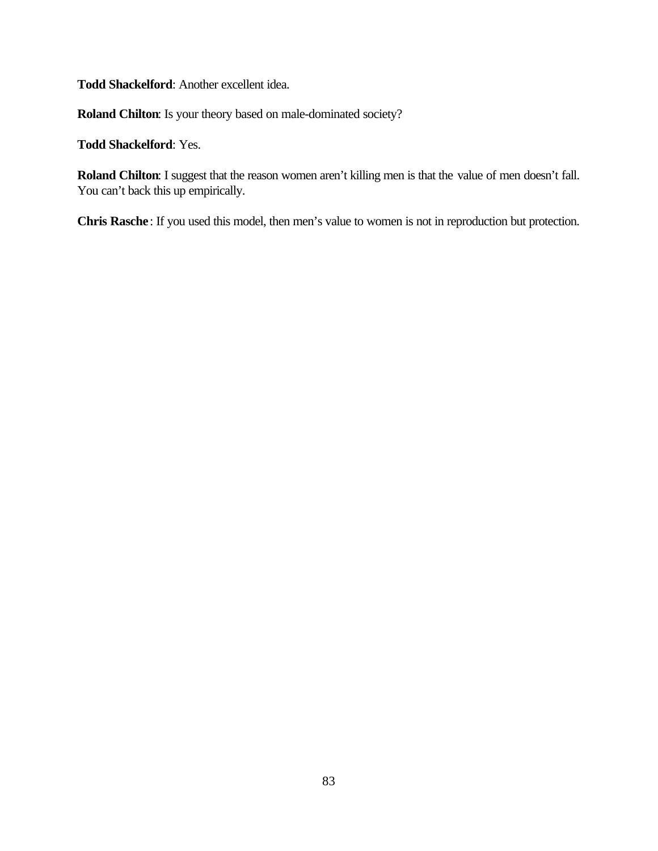**Todd Shackelford**: Another excellent idea.

**Roland Chilton**: Is your theory based on male-dominated society?

**Todd Shackelford**: Yes.

**Roland Chilton**: I suggest that the reason women aren't killing men is that the value of men doesn't fall. You can't back this up empirically.

**Chris Rasche**: If you used this model, then men's value to women is not in reproduction but protection.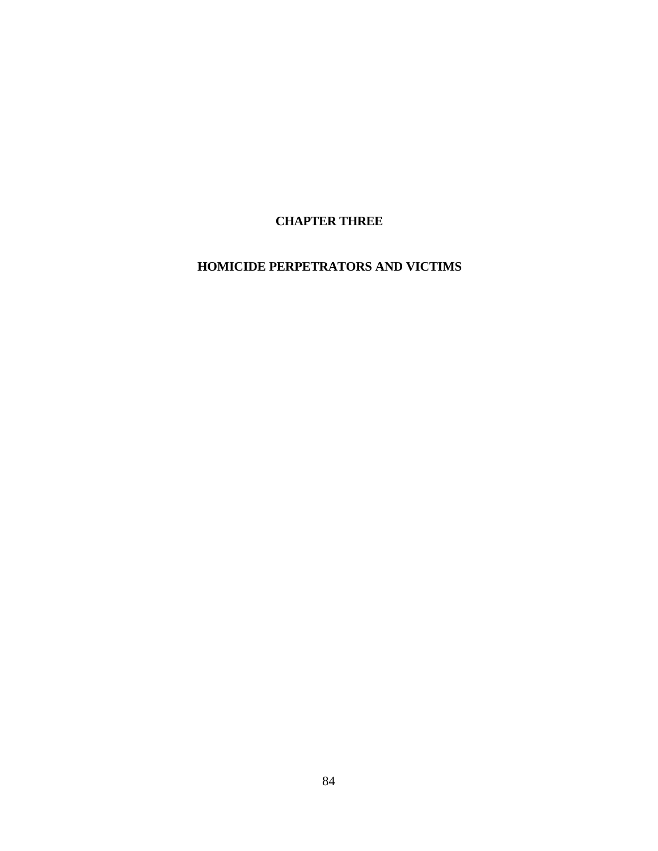# **CHAPTER THREE**

# **HOMICIDE PERPETRATORS AND VICTIMS**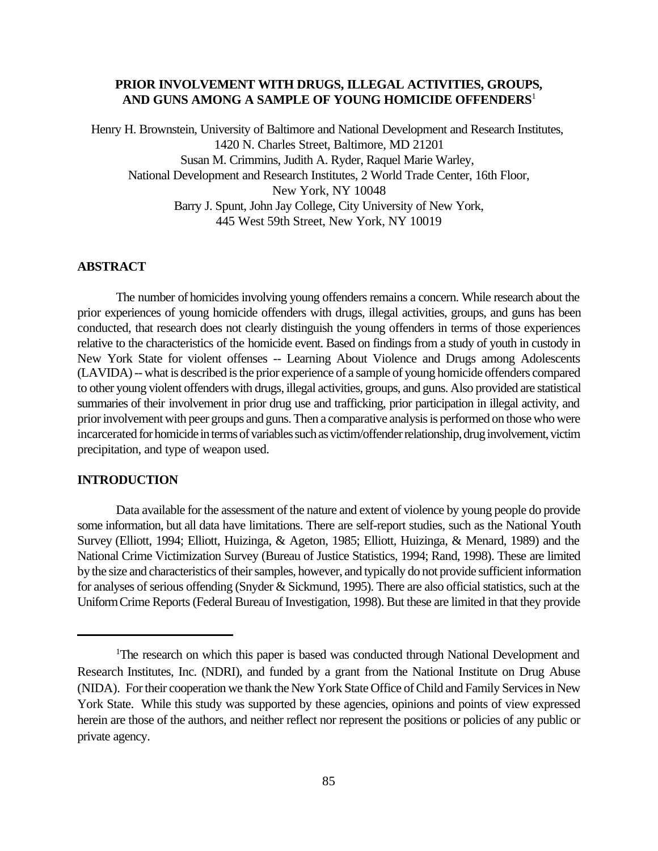## **PRIOR INVOLVEMENT WITH DRUGS, ILLEGAL ACTIVITIES, GROUPS, AND GUNS AMONG A SAMPLE OF YOUNG HOMICIDE OFFENDERS**<sup>1</sup>

Henry H. Brownstein, University of Baltimore and National Development and Research Institutes, 1420 N. Charles Street, Baltimore, MD 21201 Susan M. Crimmins, Judith A. Ryder, Raquel Marie Warley, National Development and Research Institutes, 2 World Trade Center, 16th Floor, New York, NY 10048 Barry J. Spunt, John Jay College, City University of New York, 445 West 59th Street, New York, NY 10019

#### **ABSTRACT**

The number of homicides involving young offenders remains a concern. While research about the prior experiences of young homicide offenders with drugs, illegal activities, groups, and guns has been conducted, that research does not clearly distinguish the young offenders in terms of those experiences relative to the characteristics of the homicide event. Based on findings from a study of youth in custody in New York State for violent offenses -- Learning About Violence and Drugs among Adolescents (LAVIDA) -- what is described is the prior experience of a sample of young homicide offenders compared to other young violent offenders with drugs, illegal activities, groups, and guns. Also provided are statistical summaries of their involvement in prior drug use and trafficking, prior participation in illegal activity, and prior involvement with peer groups and guns. Then a comparative analysis is performed on those who were incarcerated for homicide in terms of variables such as victim/offender relationship, drug involvement, victim precipitation, and type of weapon used.

#### **INTRODUCTION**

Data available for the assessment of the nature and extent of violence by young people do provide some information, but all data have limitations. There are self-report studies, such as the National Youth Survey (Elliott, 1994; Elliott, Huizinga, & Ageton, 1985; Elliott, Huizinga, & Menard, 1989) and the National Crime Victimization Survey (Bureau of Justice Statistics, 1994; Rand, 1998). These are limited by the size and characteristics of their samples, however, and typically do not provide sufficient information for analyses of serious offending (Snyder & Sickmund, 1995). There are also official statistics, such at the Uniform Crime Reports (Federal Bureau of Investigation, 1998). But these are limited in that they provide

<sup>&</sup>lt;sup>1</sup>The research on which this paper is based was conducted through National Development and Research Institutes, Inc. (NDRI), and funded by a grant from the National Institute on Drug Abuse (NIDA). For their cooperation we thank the New York State Office of Child and Family Services in New York State. While this study was supported by these agencies, opinions and points of view expressed herein are those of the authors, and neither reflect nor represent the positions or policies of any public or private agency.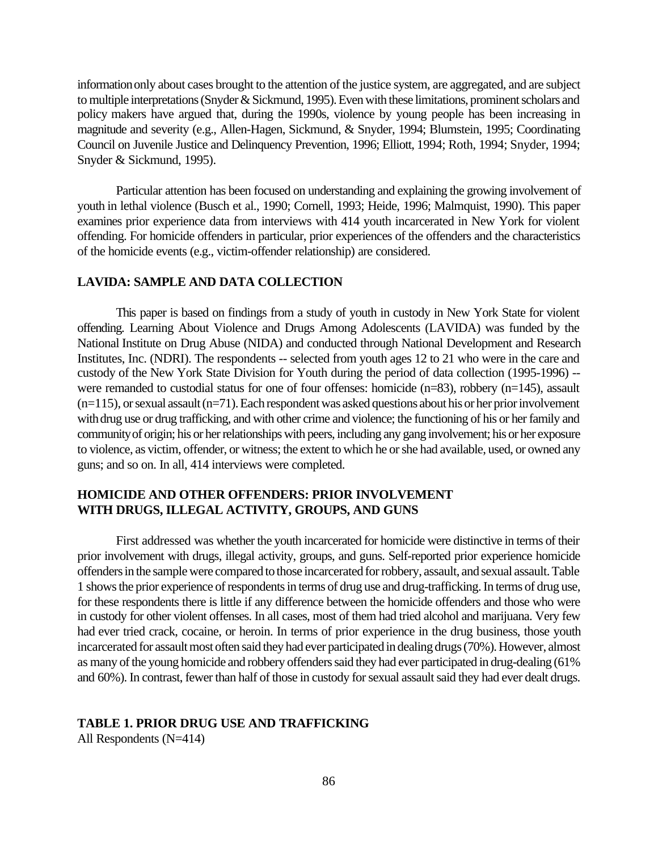information only about cases brought to the attention of the justice system, are aggregated, and are subject to multiple interpretations (Snyder & Sickmund, 1995). Even with these limitations, prominent scholars and policy makers have argued that, during the 1990s, violence by young people has been increasing in magnitude and severity (e.g., Allen-Hagen, Sickmund, & Snyder, 1994; Blumstein, 1995; Coordinating Council on Juvenile Justice and Delinquency Prevention, 1996; Elliott, 1994; Roth, 1994; Snyder, 1994; Snyder & Sickmund, 1995).

Particular attention has been focused on understanding and explaining the growing involvement of youth in lethal violence (Busch et al., 1990; Cornell, 1993; Heide, 1996; Malmquist, 1990). This paper examines prior experience data from interviews with 414 youth incarcerated in New York for violent offending. For homicide offenders in particular, prior experiences of the offenders and the characteristics of the homicide events (e.g., victim-offender relationship) are considered.

#### **LAVIDA: SAMPLE AND DATA COLLECTION**

This paper is based on findings from a study of youth in custody in New York State for violent offending. Learning About Violence and Drugs Among Adolescents (LAVIDA) was funded by the National Institute on Drug Abuse (NIDA) and conducted through National Development and Research Institutes, Inc. (NDRI). The respondents -- selected from youth ages 12 to 21 who were in the care and custody of the New York State Division for Youth during the period of data collection (1995-1996) - were remanded to custodial status for one of four offenses: homicide (n=83), robbery (n=145), assault  $(n=115)$ , or sexual assault  $(n=71)$ . Each respondent was asked questions about his or her prior involvement with drug use or drug trafficking, and with other crime and violence; the functioning of his or her family and community of origin; his or her relationships with peers, including any gang involvement; his or her exposure to violence, as victim, offender, or witness; the extent to which he or she had available, used, or owned any guns; and so on. In all, 414 interviews were completed.

## **HOMICIDE AND OTHER OFFENDERS: PRIOR INVOLVEMENT WITH DRUGS, ILLEGAL ACTIVITY, GROUPS, AND GUNS**

First addressed was whether the youth incarcerated for homicide were distinctive in terms of their prior involvement with drugs, illegal activity, groups, and guns. Self-reported prior experience homicide offenders in the sample were compared to those incarcerated for robbery, assault, and sexual assault. Table 1 shows the prior experience of respondents in terms of drug use and drug-trafficking. In terms of drug use, for these respondents there is little if any difference between the homicide offenders and those who were in custody for other violent offenses. In all cases, most of them had tried alcohol and marijuana. Very few had ever tried crack, cocaine, or heroin. In terms of prior experience in the drug business, those youth incarcerated for assault most often said they had ever participated in dealing drugs (70%). However, almost as many of the young homicide and robbery offenders said they had ever participated in drug-dealing (61% and 60%). In contrast, fewer than half of those in custody for sexual assault said they had ever dealt drugs.

#### **TABLE 1. PRIOR DRUG USE AND TRAFFICKING**

All Respondents (N=414)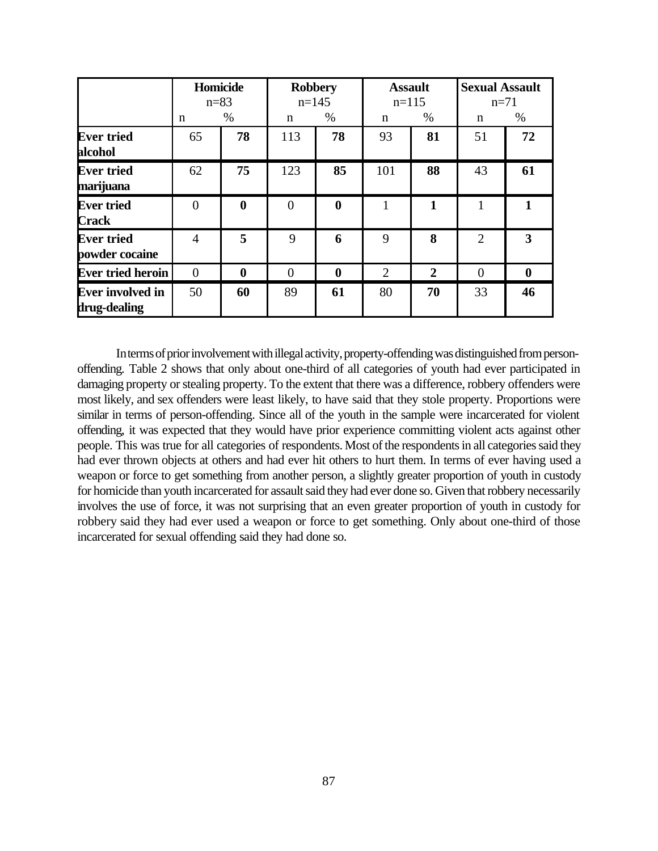|                                         |                | Homicide<br><b>Robbery</b><br>$n=145$<br>$n = 83$ |          | <b>Assault</b><br>$n=115$ |                | <b>Sexual Assault</b><br>$n=71$ |                |              |
|-----------------------------------------|----------------|---------------------------------------------------|----------|---------------------------|----------------|---------------------------------|----------------|--------------|
|                                         | n              | $\%$                                              | n        | $\%$                      | n              | $\%$                            | n              | $\%$         |
| <b>Ever tried</b><br>alcohol            | 65             | 78                                                | 113      | 78                        | 93             | 81                              | 51             | 72           |
| <b>Ever tried</b><br>marijuana          | 62             | 75                                                | 123      | 85                        | 101            | 88                              | 43             | 61           |
| <b>Ever tried</b><br><b>Crack</b>       | $\overline{0}$ | $\bf{0}$                                          | $\Omega$ | $\bf{0}$                  | 1              | $\mathbf{1}$                    | 1              |              |
| <b>Ever tried</b><br>powder cocaine     | $\overline{4}$ | 5                                                 | 9        | 6                         | 9              | 8                               | $\overline{2}$ | 3            |
| <b>Ever tried heroin</b>                | $\overline{0}$ | $\boldsymbol{0}$                                  | $\theta$ | $\bf{0}$                  | $\overline{2}$ | $\overline{2}$                  | $\overline{0}$ | $\mathbf{0}$ |
| <b>Ever involved in</b><br>drug-dealing | 50             | 60                                                | 89       | 61                        | 80             | 70                              | 33             | 46           |

In terms of prior involvement with illegal activity, property-offending was distinguished from personoffending. Table 2 shows that only about one-third of all categories of youth had ever participated in damaging property or stealing property. To the extent that there was a difference, robbery offenders were most likely, and sex offenders were least likely, to have said that they stole property. Proportions were similar in terms of person-offending. Since all of the youth in the sample were incarcerated for violent offending, it was expected that they would have prior experience committing violent acts against other people. This was true for all categories of respondents. Most of the respondents in all categories said they had ever thrown objects at others and had ever hit others to hurt them. In terms of ever having used a weapon or force to get something from another person, a slightly greater proportion of youth in custody for homicide than youth incarcerated for assault said they had ever done so. Given that robbery necessarily involves the use of force, it was not surprising that an even greater proportion of youth in custody for robbery said they had ever used a weapon or force to get something. Only about one-third of those incarcerated for sexual offending said they had done so.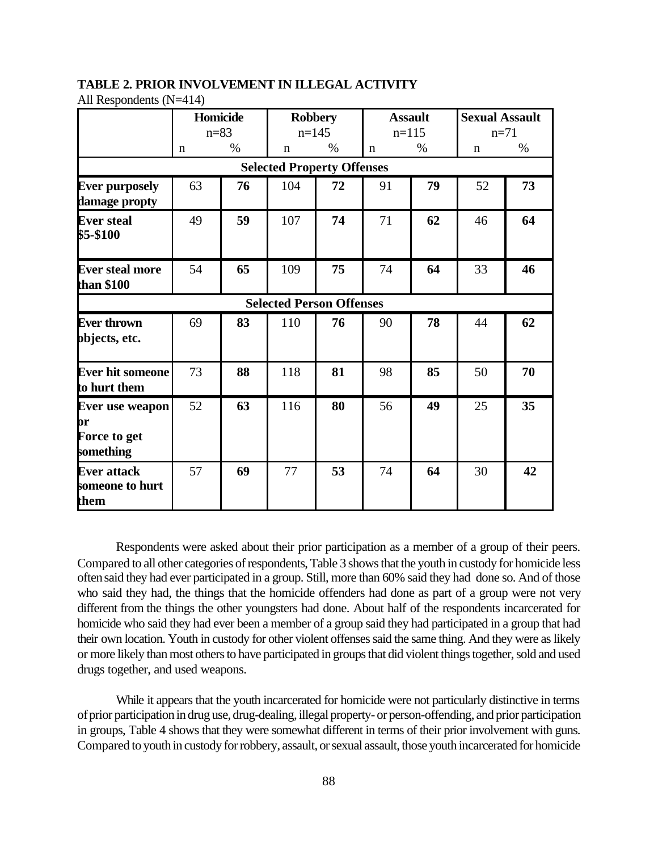#### **TABLE 2. PRIOR INVOLVEMENT IN ILLEGAL ACTIVITY**

All Respondents (N=414)

|                                                    | Homicide    |      | <b>Robbery</b>                    |      | <b>Assault</b> |      | <b>Sexual Assault</b> |      |
|----------------------------------------------------|-------------|------|-----------------------------------|------|----------------|------|-----------------------|------|
|                                                    | $n = 83$    |      | $n=145$                           |      | $n=115$        |      | $n=71$                |      |
|                                                    | $\mathbf n$ | $\%$ | $\mathbf n$                       | $\%$ | $\mathbf n$    | $\%$ | $\mathbf n$           | $\%$ |
|                                                    |             |      | <b>Selected Property Offenses</b> |      |                |      |                       |      |
| <b>Ever purposely</b><br>damage propty             | 63          | 76   | 104                               | 72   | 91             | 79   | 52                    | 73   |
| <b>Ever steal</b><br>\$5-\$100                     | 49          | 59   | 107                               | 74   | 71             | 62   | 46                    | 64   |
| <b>Ever steal more</b><br>than \$100               | 54          | 65   | 109                               | 75   | 74             | 64   | 33                    | 46   |
|                                                    |             |      | <b>Selected Person Offenses</b>   |      |                |      |                       |      |
| <b>Ever thrown</b><br>objects, etc.                | 69          | 83   | 110                               | 76   | 90             | 78   | 44                    | 62   |
| <b>Ever hit someone</b><br>to hurt them            | 73          | 88   | 118                               | 81   | 98             | 85   | 50                    | 70   |
| Ever use weapon<br>br<br>Force to get<br>something | 52          | 63   | 116                               | 80   | 56             | 49   | 25                    | 35   |
| <b>Ever attack</b><br>someone to hurt<br>them      | 57          | 69   | 77                                | 53   | 74             | 64   | 30                    | 42   |

Respondents were asked about their prior participation as a member of a group of their peers. Compared to all other categories of respondents, Table 3 shows that the youth in custody for homicide less often said they had ever participated in a group. Still, more than 60% said they had done so. And of those who said they had, the things that the homicide offenders had done as part of a group were not very different from the things the other youngsters had done. About half of the respondents incarcerated for homicide who said they had ever been a member of a group said they had participated in a group that had their own location. Youth in custody for other violent offenses said the same thing. And they were as likely or more likely than most others to have participated in groups that did violent things together, sold and used drugs together, and used weapons.

While it appears that the youth incarcerated for homicide were not particularly distinctive in terms of prior participation in drug use, drug-dealing, illegal property- or person-offending, and prior participation in groups, Table 4 shows that they were somewhat different in terms of their prior involvement with guns. Compared to youth in custody for robbery, assault, or sexual assault, those youth incarcerated for homicide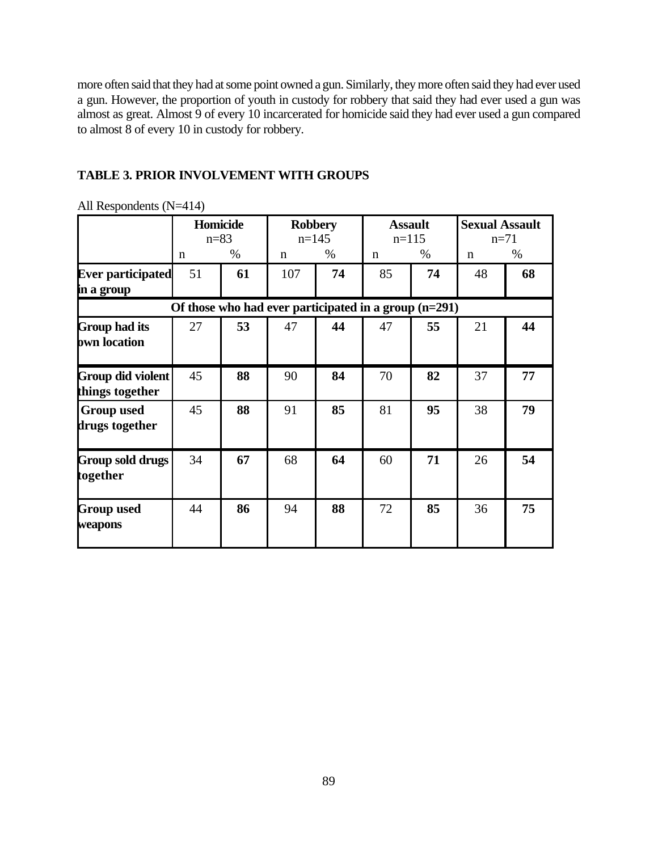more often said that they had at some point owned a gun. Similarly, they more often said they had ever used a gun. However, the proportion of youth in custody for robbery that said they had ever used a gun was almost as great. Almost 9 of every 10 incarcerated for homicide said they had ever used a gun compared to almost 8 of every 10 in custody for robbery.

## **TABLE 3. PRIOR INVOLVEMENT WITH GROUPS**

|                                        | Homicide<br>$n = 83$ |      | <b>Robbery</b><br>$n=145$                               |      | <b>Assault</b><br>$n=115$ |      | <b>Sexual Assault</b><br>$n=71$ |      |
|----------------------------------------|----------------------|------|---------------------------------------------------------|------|---------------------------|------|---------------------------------|------|
|                                        | n                    | $\%$ | n                                                       | $\%$ | n                         | $\%$ | $\mathbf n$                     | $\%$ |
| <b>Ever participated</b><br>in a group | 51                   | 61   | 107                                                     | 74   | 85                        | 74   | 48                              | 68   |
|                                        |                      |      | Of those who had ever participated in a group $(n=291)$ |      |                           |      |                                 |      |
| <b>Group had its</b><br>own location   | 27                   | 53   | 47                                                      | 44   | 47                        | 55   | 21                              | 44   |
| Group did violent<br>things together   | 45                   | 88   | 90                                                      | 84   | 70                        | 82   | 37                              | 77   |
| <b>Group</b> used<br>drugs together    | 45                   | 88   | 91                                                      | 85   | 81                        | 95   | 38                              | 79   |
| Group sold drugs<br>together           | 34                   | 67   | 68                                                      | 64   | 60                        | 71   | 26                              | 54   |
| <b>Group used</b><br>weapons           | 44                   | 86   | 94                                                      | 88   | 72                        | 85   | 36                              | 75   |

All Respondents (N=414)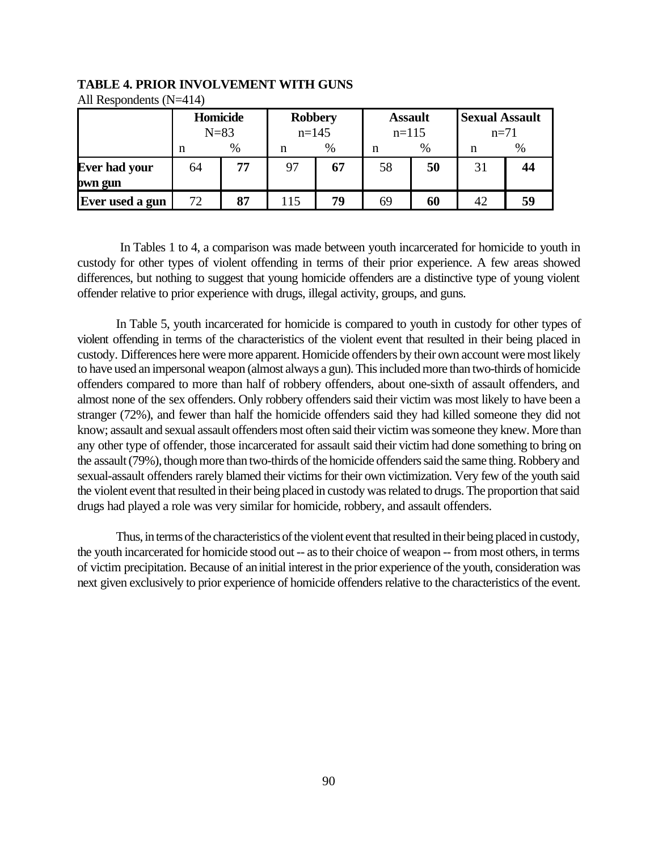|                                        | Homicide<br>$N=83$ |      | <b>Robbery</b><br>$n=145$ |    | <b>Assault</b><br>$n=115$ |      | <b>Sexual Assault</b><br>$n=71$ |      |
|----------------------------------------|--------------------|------|---------------------------|----|---------------------------|------|---------------------------------|------|
|                                        | n                  | $\%$ | n                         | %  | n                         | $\%$ |                                 | $\%$ |
| <b>Ever had your</b><br><b>bwn gun</b> | 64                 | 77   | 97                        | 67 | 58                        | 50   | 31                              | 44   |
| Ever used a gun                        | 72                 | 87   | 115                       | 79 | 69                        | 60   | 42                              | 59   |

**TABLE 4. PRIOR INVOLVEMENT WITH GUNS** 

All Respondents (N=414)

In Tables 1 to 4, a comparison was made between youth incarcerated for homicide to youth in custody for other types of violent offending in terms of their prior experience. A few areas showed differences, but nothing to suggest that young homicide offenders are a distinctive type of young violent offender relative to prior experience with drugs, illegal activity, groups, and guns.

In Table 5, youth incarcerated for homicide is compared to youth in custody for other types of violent offending in terms of the characteristics of the violent event that resulted in their being placed in custody. Differences here were more apparent. Homicide offenders by their own account were most likely to have used an impersonal weapon (almost always a gun). This included more than two-thirds of homicide offenders compared to more than half of robbery offenders, about one-sixth of assault offenders, and almost none of the sex offenders. Only robbery offenders said their victim was most likely to have been a stranger (72%), and fewer than half the homicide offenders said they had killed someone they did not know; assault and sexual assault offenders most often said their victim was someone they knew. More than any other type of offender, those incarcerated for assault said their victim had done something to bring on the assault (79%), though more than two-thirds of the homicide offenders said the same thing. Robbery and sexual-assault offenders rarely blamed their victims for their own victimization. Very few of the youth said the violent event that resulted in their being placed in custody was related to drugs. The proportion that said drugs had played a role was very similar for homicide, robbery, and assault offenders.

Thus, in terms of the characteristics of the violent event that resulted in their being placed in custody, the youth incarcerated for homicide stood out -- as to their choice of weapon -- from most others, in terms of victim precipitation. Because of an initial interest in the prior experience of the youth, consideration was next given exclusively to prior experience of homicide offenders relative to the characteristics of the event.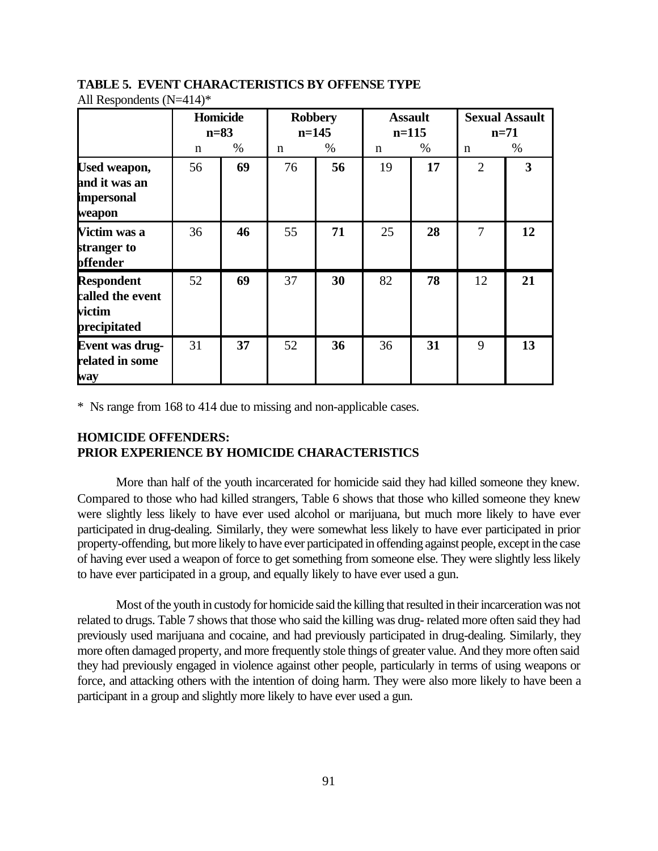|                                                                     | Homicide<br>$n=83$ |      | <b>Robbery</b><br>$n=145$ |      | <b>Assault</b><br>$n=115$ |      | <b>Sexual Assault</b><br>$n=71$ |      |
|---------------------------------------------------------------------|--------------------|------|---------------------------|------|---------------------------|------|---------------------------------|------|
|                                                                     | n                  | $\%$ | n                         | $\%$ | $\mathbf n$               | $\%$ | n                               | $\%$ |
| <b>Used weapon,</b><br>and it was an<br><b>impersonal</b><br>weapon | 56                 | 69   | 76                        | 56   | 19                        | 17   | $\overline{2}$                  | 3    |
| Victim was a<br>stranger to<br><b>offender</b>                      | 36                 | 46   | 55                        | 71   | 25                        | 28   | $\overline{7}$                  | 12   |
| <b>Respondent</b><br>called the event<br>victim<br>precipitated     | 52                 | 69   | 37                        | 30   | 82                        | 78   | 12                              | 21   |
| <b>Event was drug-</b><br>related in some<br>way                    | 31                 | 37   | 52                        | 36   | 36                        | 31   | 9                               | 13   |

**TABLE 5. EVENT CHARACTERISTICS BY OFFENSE TYPE** 

All Respondents (N=414)\*

\* Ns range from 168 to 414 due to missing and non-applicable cases.

## **HOMICIDE OFFENDERS: PRIOR EXPERIENCE BY HOMICIDE CHARACTERISTICS**

More than half of the youth incarcerated for homicide said they had killed someone they knew. Compared to those who had killed strangers, Table 6 shows that those who killed someone they knew were slightly less likely to have ever used alcohol or marijuana, but much more likely to have ever participated in drug-dealing. Similarly, they were somewhat less likely to have ever participated in prior property-offending, but more likely to have ever participated in offending against people, except in the case of having ever used a weapon of force to get something from someone else. They were slightly less likely to have ever participated in a group, and equally likely to have ever used a gun.

Most of the youth in custody for homicide said the killing that resulted in their incarceration was not related to drugs. Table 7 shows that those who said the killing was drug- related more often said they had previously used marijuana and cocaine, and had previously participated in drug-dealing. Similarly, they more often damaged property, and more frequently stole things of greater value. And they more often said they had previously engaged in violence against other people, particularly in terms of using weapons or force, and attacking others with the intention of doing harm. They were also more likely to have been a participant in a group and slightly more likely to have ever used a gun.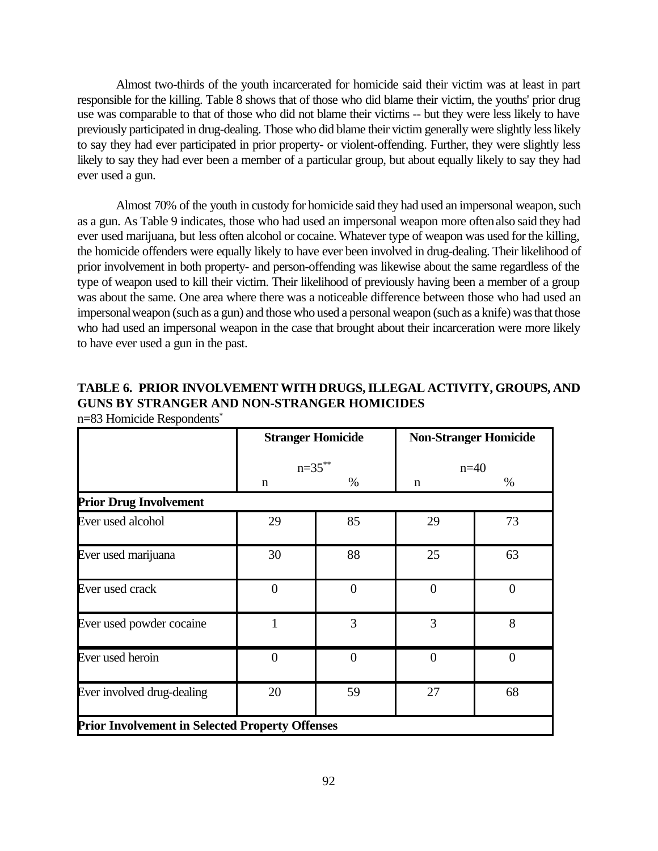Almost two-thirds of the youth incarcerated for homicide said their victim was at least in part responsible for the killing. Table 8 shows that of those who did blame their victim, the youths' prior drug use was comparable to that of those who did not blame their victims -- but they were less likely to have previously participated in drug-dealing. Those who did blame their victim generally were slightly less likely to say they had ever participated in prior property- or violent-offending. Further, they were slightly less likely to say they had ever been a member of a particular group, but about equally likely to say they had ever used a gun.

Almost 70% of the youth in custody for homicide said they had used an impersonal weapon, such as a gun. As Table 9 indicates, those who had used an impersonal weapon more often also said they had ever used marijuana, but less often alcohol or cocaine. Whatever type of weapon was used for the killing, the homicide offenders were equally likely to have ever been involved in drug-dealing. Their likelihood of prior involvement in both property- and person-offending was likewise about the same regardless of the type of weapon used to kill their victim. Their likelihood of previously having been a member of a group was about the same. One area where there was a noticeable difference between those who had used an impersonal weapon (such as a gun) and those who used a personal weapon (such as a knife) was that those who had used an impersonal weapon in the case that brought about their incarceration were more likely to have ever used a gun in the past.

# **TABLE 6. PRIOR INVOLVEMENT WITH DRUGS, ILLEGAL ACTIVITY, GROUPS, AND GUNS BY STRANGER AND NON-STRANGER HOMICIDES**

|                                                        |          | <b>Stranger Homicide</b> |                | <b>Non-Stranger Homicide</b> |  |  |  |  |
|--------------------------------------------------------|----------|--------------------------|----------------|------------------------------|--|--|--|--|
|                                                        |          | $n=35***$                |                | $n=40$                       |  |  |  |  |
|                                                        | n        | $\%$                     | n              | $\%$                         |  |  |  |  |
| <b>Prior Drug Involvement</b>                          |          |                          |                |                              |  |  |  |  |
| Ever used alcohol                                      | 29       | 85                       | 29             | 73                           |  |  |  |  |
| Ever used marijuana                                    | 30       | 88                       | 25             | 63                           |  |  |  |  |
| Ever used crack                                        | $\theta$ | $\overline{0}$           | $\overline{0}$ | $\overline{0}$               |  |  |  |  |
| Ever used powder cocaine                               | 1        | 3                        | 3              | 8                            |  |  |  |  |
| Ever used heroin                                       | $\theta$ | $\theta$                 | $\theta$       | $\overline{0}$               |  |  |  |  |
| Ever involved drug-dealing                             | 20       | 59                       | 27             | 68                           |  |  |  |  |
| <b>Prior Involvement in Selected Property Offenses</b> |          |                          |                |                              |  |  |  |  |

n=83 Homicide Respondents\*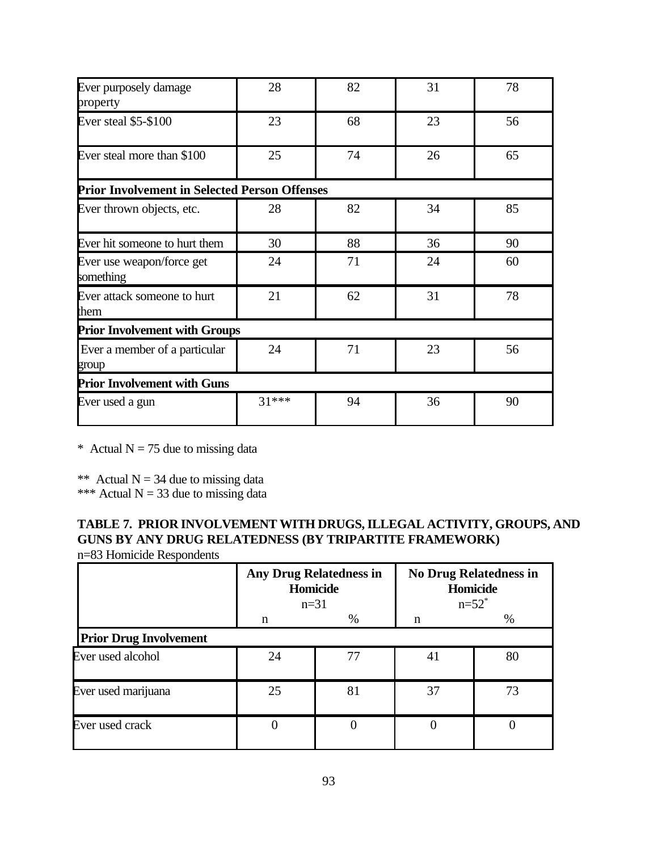| Ever purposely damage<br>property                    | 28     | 82 | 31 | 78 |
|------------------------------------------------------|--------|----|----|----|
| Ever steal \$5-\$100                                 | 23     | 68 | 23 | 56 |
| Ever steal more than \$100                           | 25     | 74 | 26 | 65 |
| <b>Prior Involvement in Selected Person Offenses</b> |        |    |    |    |
| Ever thrown objects, etc.                            | 28     | 82 | 34 | 85 |
| Ever hit someone to hurt them                        | 30     | 88 | 36 | 90 |
| Ever use weapon/force get<br>something               | 24     | 71 | 24 | 60 |
| Ever attack someone to hurt<br>them                  | 21     | 62 | 31 | 78 |
| <b>Prior Involvement with Groups</b>                 |        |    |    |    |
| Ever a member of a particular<br>group               | 24     | 71 | 23 | 56 |
| <b>Prior Involvement with Guns</b>                   |        |    |    |    |
| Ever used a gun                                      | 31 *** | 94 | 36 | 90 |

\* Actual  $N = 75$  due to missing data

\*\*\* Actual  $N = 33$  due to missing data

## **TABLE 7. PRIOR INVOLVEMENT WITH DRUGS, ILLEGAL ACTIVITY, GROUPS, AND GUNS BY ANY DRUG RELATEDNESS (BY TRIPARTITE FRAMEWORK)** n=83 Homicide Respondents

|                               | <b>Any Drug Relatedness in</b><br>Homicide<br>$n=31$ |      | <b>No Drug Relatedness in</b><br>Homicide<br>$n=52^*$ |    |  |  |  |  |
|-------------------------------|------------------------------------------------------|------|-------------------------------------------------------|----|--|--|--|--|
|                               | n                                                    | $\%$ | n                                                     | %  |  |  |  |  |
| <b>Prior Drug Involvement</b> |                                                      |      |                                                       |    |  |  |  |  |
| Ever used alcohol             | 24                                                   | 77   | 41                                                    | 80 |  |  |  |  |
| Ever used marijuana           | 25                                                   | 81   | 37                                                    | 73 |  |  |  |  |
| Ever used crack               |                                                      |      |                                                       |    |  |  |  |  |

<sup>\*\*</sup> Actual  $N = 34$  due to missing data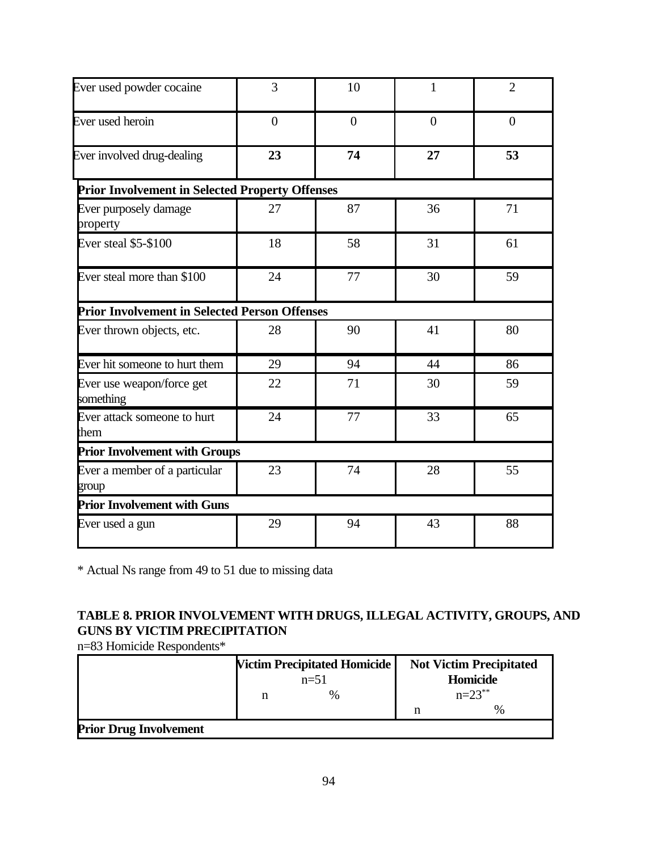| Ever used powder cocaine                               | 3              | 10             | $\mathbf{1}$   | $\overline{2}$ |
|--------------------------------------------------------|----------------|----------------|----------------|----------------|
| Ever used heroin                                       | $\overline{0}$ | $\overline{0}$ | $\overline{0}$ | $\overline{0}$ |
| Ever involved drug-dealing                             | 23             | 74             | 27             | 53             |
| <b>Prior Involvement in Selected Property Offenses</b> |                |                |                |                |
| Ever purposely damage<br>property                      | 27             | 87             | 36             | 71             |
| Ever steal \$5-\$100                                   | 18             | 58             | 31             | 61             |
| Ever steal more than \$100                             | 24             | 77             | 30             | 59             |
| <b>Prior Involvement in Selected Person Offenses</b>   |                |                |                |                |
| Ever thrown objects, etc.                              | 28             | 90             | 41             | 80             |
| Ever hit someone to hurt them                          | 29             | 94             | 44             | 86             |
| Ever use weapon/force get<br>something                 | 22             | 71             | 30             | 59             |
| Ever attack someone to hurt<br>them                    | 24             | 77             | 33             | 65             |
| <b>Prior Involvement with Groups</b>                   |                |                |                |                |
| Ever a member of a particular<br>group                 | 23             | 74             | 28             | 55             |
| <b>Prior Involvement with Guns</b>                     |                |                |                |                |
| Ever used a gun                                        | 29             | 94             | 43             | 88             |

\* Actual Ns range from 49 to 51 due to missing data

# **TABLE 8. PRIOR INVOLVEMENT WITH DRUGS, ILLEGAL ACTIVITY, GROUPS, AND GUNS BY VICTIM PRECIPITATION**

n=83 Homicide Respondents\*

|                               | <b>Victim Precipitated Homicide</b> |   | <b>Not Victim Precipitated</b> |   |
|-------------------------------|-------------------------------------|---|--------------------------------|---|
|                               | $n=51$                              |   | Homicide                       |   |
|                               |                                     | % | $n=23$ **                      |   |
|                               |                                     |   |                                | % |
| <b>Prior Drug Involvement</b> |                                     |   |                                |   |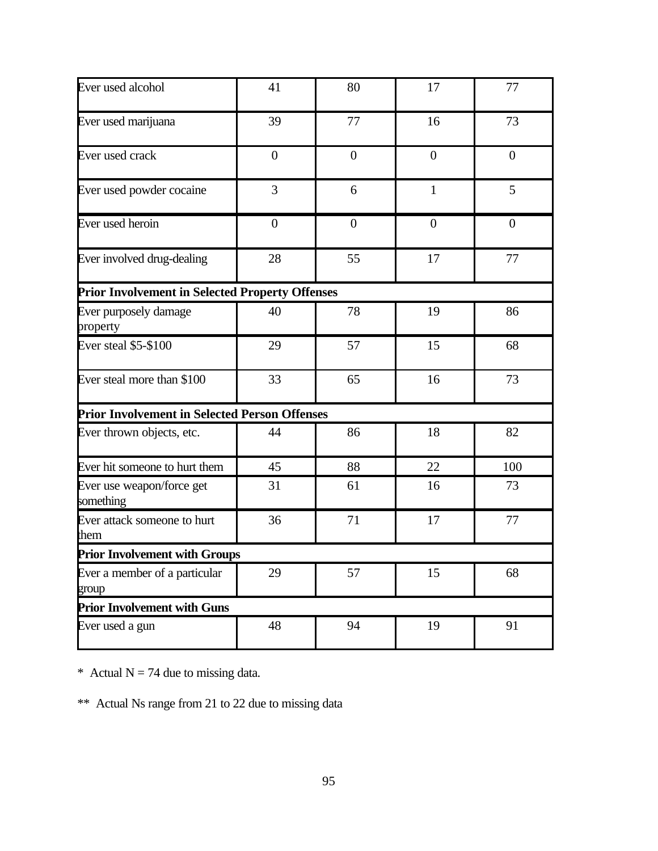| Ever used alcohol                                      | 41             | 80               | 17               | 77             |
|--------------------------------------------------------|----------------|------------------|------------------|----------------|
| Ever used marijuana                                    | 39             | 77               | 16               | 73             |
| Ever used crack                                        | $\overline{0}$ | $\boldsymbol{0}$ | $\boldsymbol{0}$ | $\overline{0}$ |
| Ever used powder cocaine                               | 3              | 6                | $\mathbf{1}$     | 5              |
| Ever used heroin                                       | $\overline{0}$ | $\boldsymbol{0}$ | $\boldsymbol{0}$ | $\overline{0}$ |
| Ever involved drug-dealing                             | 28             | 55               | 17               | 77             |
| <b>Prior Involvement in Selected Property Offenses</b> |                |                  |                  |                |
| Ever purposely damage<br>property                      | 40             | 78               | 19               | 86             |
| Ever steal \$5-\$100                                   | 29             | 57               | 15               | 68             |
| Ever steal more than \$100                             | 33             | 65               | 16               | 73             |
| <b>Prior Involvement in Selected Person Offenses</b>   |                |                  |                  |                |
| Ever thrown objects, etc.                              | 44             | 86               | 18               | 82             |
| Ever hit someone to hurt them                          | 45             | 88               | 22               | 100            |
| Ever use weapon/force get<br>something                 | 31             | 61               | 16               | 73             |
| Ever attack someone to hurt<br>them                    | 36             | 71               | 17               | 77             |
| <b>Prior Involvement with Groups</b>                   |                |                  |                  |                |
| Ever a member of a particular<br>group                 | 29             | 57               | 15               | 68             |
| <b>Prior Involvement with Guns</b>                     |                |                  |                  |                |
| Ever used a gun                                        | 48             | 94               | 19               | 91             |

\* Actual N = 74 due to missing data.

\*\* Actual Ns range from 21 to 22 due to missing data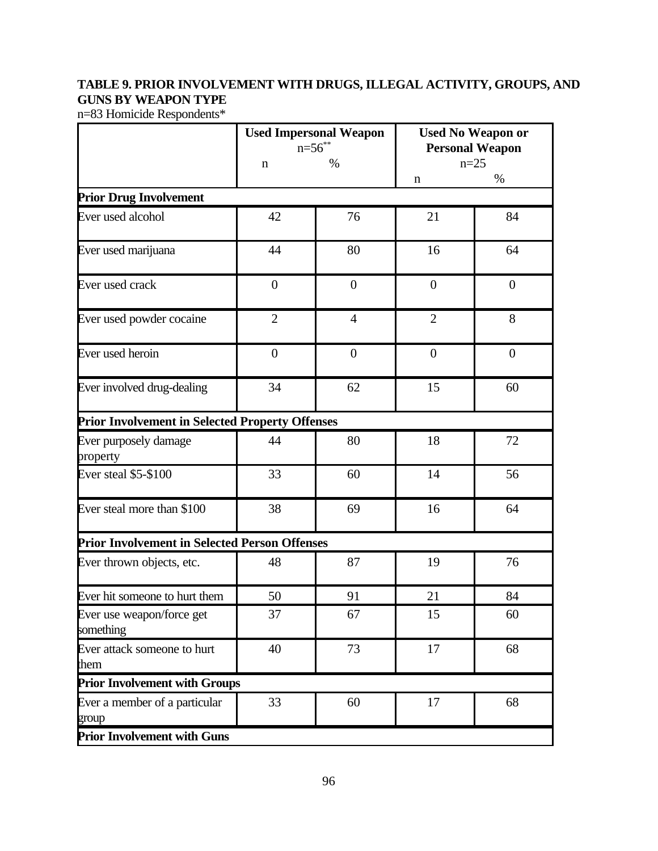# **TABLE 9. PRIOR INVOLVEMENT WITH DRUGS, ILLEGAL ACTIVITY, GROUPS, AND GUNS BY WEAPON TYPE**

n=83 Homicide Respondents\*

|                                                        | <b>Used Impersonal Weapon</b><br>$n=56$ ** |                | <b>Used No Weapon or</b><br><b>Personal Weapon</b> |                |
|--------------------------------------------------------|--------------------------------------------|----------------|----------------------------------------------------|----------------|
|                                                        | $\mathbf n$                                | %              |                                                    | $n = 25$       |
|                                                        |                                            |                | n                                                  | $\%$           |
| <b>Prior Drug Involvement</b>                          |                                            |                |                                                    |                |
| Ever used alcohol                                      | 42                                         | 76             | 21                                                 | 84             |
| Ever used marijuana                                    | 44                                         | 80             | 16                                                 | 64             |
| Ever used crack                                        | $\mathbf{0}$                               | $\overline{0}$ | $\overline{0}$                                     | $\overline{0}$ |
| Ever used powder cocaine                               | $\overline{2}$                             | $\overline{4}$ | $\overline{2}$                                     | 8              |
| Ever used heroin                                       | $\boldsymbol{0}$                           | $\overline{0}$ | $\overline{0}$                                     | $\overline{0}$ |
| Ever involved drug-dealing                             | 34                                         | 62             | 15                                                 | 60             |
| <b>Prior Involvement in Selected Property Offenses</b> |                                            |                |                                                    |                |
| Ever purposely damage<br>property                      | 44                                         | 80             | 18                                                 | 72             |
| Ever steal \$5-\$100                                   | 33                                         | 60             | 14                                                 | 56             |
| Ever steal more than \$100                             | 38                                         | 69             | 16                                                 | 64             |
| <b>Prior Involvement in Selected Person Offenses</b>   |                                            |                |                                                    |                |
| Ever thrown objects, etc.                              | 48                                         | 87             | 19                                                 | 76             |
| Ever hit someone to hurt them                          | 50                                         | 91             | 21                                                 | 84             |
| Ever use weapon/force get<br>something                 | 37                                         | 67             | 15                                                 | 60             |
| Ever attack someone to hurt<br>them                    | 40                                         | 73             | 17                                                 | 68             |
| <b>Prior Involvement with Groups</b>                   |                                            |                |                                                    |                |
| Ever a member of a particular<br>group                 | 33                                         | 60             | 17                                                 | 68             |
| <b>Prior Involvement with Guns</b>                     |                                            |                |                                                    |                |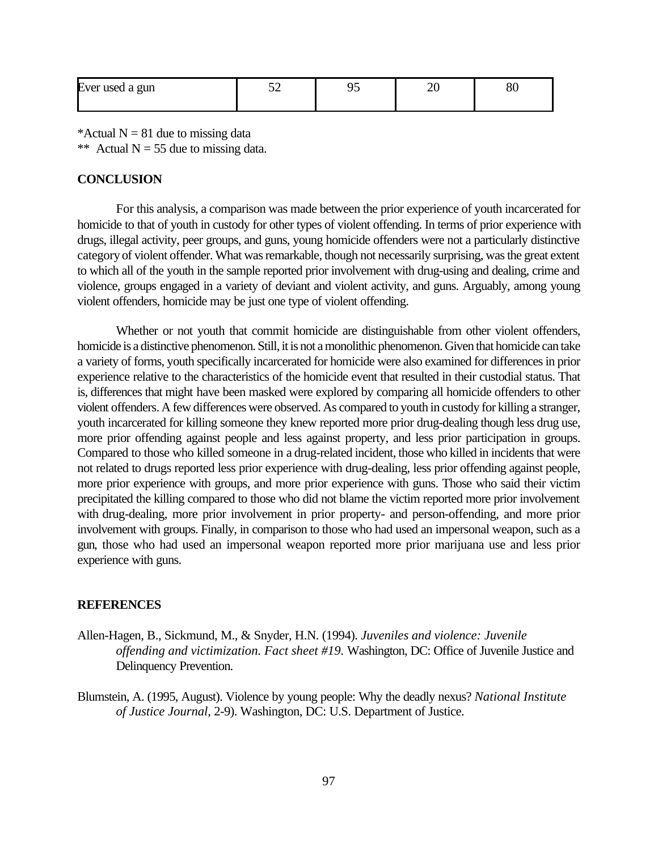| Ever used a gun |  | ∼ |  |
|-----------------|--|---|--|
|                 |  |   |  |

\*Actual  $N = 81$  due to missing data

\*\* Actual  $N = 55$  due to missing data.

#### **CONCLUSION**

For this analysis, a comparison was made between the prior experience of youth incarcerated for homicide to that of youth in custody for other types of violent offending. In terms of prior experience with drugs, illegal activity, peer groups, and guns, young homicide offenders were not a particularly distinctive category of violent offender. What was remarkable, though not necessarily surprising, was the great extent to which all of the youth in the sample reported prior involvement with drug-using and dealing, crime and violence, groups engaged in a variety of deviant and violent activity, and guns. Arguably, among young violent offenders, homicide may be just one type of violent offending.

Whether or not youth that commit homicide are distinguishable from other violent offenders, homicide is a distinctive phenomenon. Still, it is not a monolithic phenomenon. Given that homicide can take a variety of forms, youth specifically incarcerated for homicide were also examined for differences in prior experience relative to the characteristics of the homicide event that resulted in their custodial status. That is, differences that might have been masked were explored by comparing all homicide offenders to other violent offenders. A few differences were observed. As compared to youth in custody for killing a stranger, youth incarcerated for killing someone they knew reported more prior drug-dealing though less drug use, more prior offending against people and less against property, and less prior participation in groups. Compared to those who killed someone in a drug-related incident, those who killed in incidents that were not related to drugs reported less prior experience with drug-dealing, less prior offending against people, more prior experience with groups, and more prior experience with guns. Those who said their victim precipitated the killing compared to those who did not blame the victim reported more prior involvement with drug-dealing, more prior involvement in prior property- and person-offending, and more prior involvement with groups. Finally, in comparison to those who had used an impersonal weapon, such as a gun, those who had used an impersonal weapon reported more prior marijuana use and less prior experience with guns.

## **REFERENCES**

- Allen-Hagen, B., Sickmund, M., & Snyder, H.N. (1994). *Juveniles and violence: Juvenile offending and victimization. Fact sheet #19.* Washington, DC: Office of Juvenile Justice and Delinquency Prevention.
- Blumstein, A. (1995, August). Violence by young people: Why the deadly nexus? *National Institute of Justice Journal*, 2-9). Washington, DC: U.S. Department of Justice.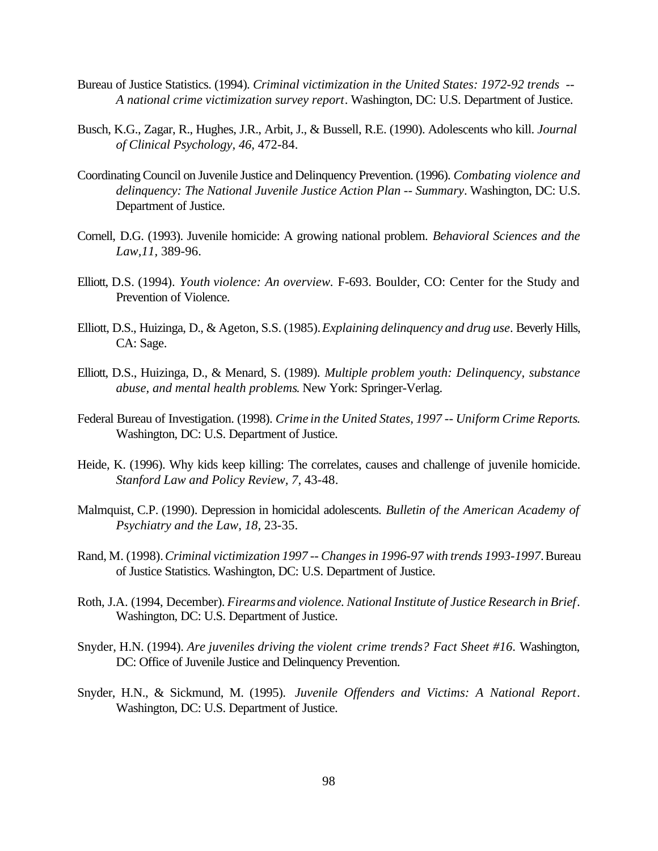- Bureau of Justice Statistics. (1994). *Criminal victimization in the United States: 1972-92 trends -- A national crime victimization survey report*. Washington, DC: U.S. Department of Justice.
- Busch, K.G., Zagar, R., Hughes, J.R., Arbit, J., & Bussell, R.E. (1990). Adolescents who kill. *Journal of Clinical Psychology, 46,* 472-84.
- Coordinating Council on Juvenile Justice and Delinquency Prevention. (1996). *Combating violence and delinquency: The National Juvenile Justice Action Plan -- Summary*. Washington, DC: U.S. Department of Justice.
- Cornell, D.G. (1993). Juvenile homicide: A growing national problem. *Behavioral Sciences and the Law,11,* 389-96.
- Elliott, D.S. (1994). *Youth violence: An overview.* F-693. Boulder, CO: Center for the Study and Prevention of Violence.
- Elliott, D.S., Huizinga, D., & Ageton, S.S. (1985). *Explaining delinquency and drug use*. Beverly Hills, CA: Sage.
- Elliott, D.S., Huizinga, D., & Menard, S. (1989). *Multiple problem youth: Delinquency, substance abuse, and mental health problems*. New York: Springer-Verlag.
- Federal Bureau of Investigation. (1998). *Crime in the United States, 1997 -- Uniform Crime Reports*. Washington, DC: U.S. Department of Justice.
- Heide, K. (1996). Why kids keep killing: The correlates, causes and challenge of juvenile homicide. *Stanford Law and Policy Review, 7,* 43-48.
- Malmquist, C.P. (1990). Depression in homicidal adolescents. *Bulletin of the American Academy of Psychiatry and the Law, 18,* 23-35.
- Rand, M. (1998). *Criminal victimization 1997 -- Changes in 1996-97 with trends 1993-1997*. Bureau of Justice Statistics. Washington, DC: U.S. Department of Justice.
- Roth, J.A. (1994, December). *Firearms and violence. National Institute of Justice Research in Brief*. Washington, DC: U.S. Department of Justice.
- Snyder, H.N. (1994). *Are juveniles driving the violent crime trends? Fact Sheet #16*. Washington, DC: Office of Juvenile Justice and Delinquency Prevention.
- Snyder, H.N., & Sickmund, M. (1995). *Juvenile Offenders and Victims: A National Report*. Washington, DC: U.S. Department of Justice.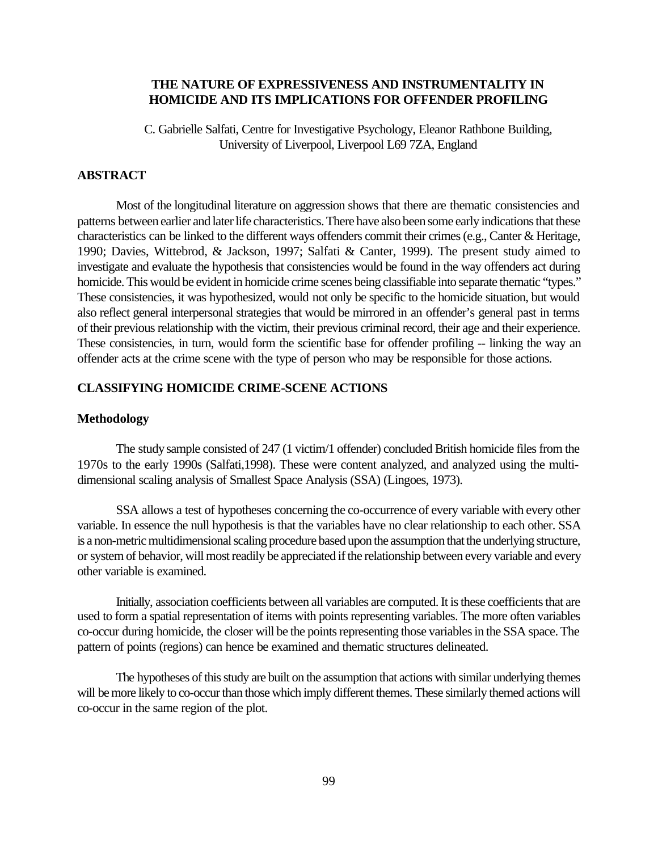## **THE NATURE OF EXPRESSIVENESS AND INSTRUMENTALITY IN HOMICIDE AND ITS IMPLICATIONS FOR OFFENDER PROFILING**

C. Gabrielle Salfati, Centre for Investigative Psychology, Eleanor Rathbone Building, University of Liverpool, Liverpool L69 7ZA, England

#### **ABSTRACT**

Most of the longitudinal literature on aggression shows that there are thematic consistencies and patterns between earlier and later life characteristics. There have also been some early indications that these characteristics can be linked to the different ways offenders commit their crimes (e.g., Canter & Heritage, 1990; Davies, Wittebrod, & Jackson, 1997; Salfati & Canter, 1999). The present study aimed to investigate and evaluate the hypothesis that consistencies would be found in the way offenders act during homicide. This would be evident in homicide crime scenes being classifiable into separate thematic "types." These consistencies, it was hypothesized, would not only be specific to the homicide situation, but would also reflect general interpersonal strategies that would be mirrored in an offender's general past in terms of their previous relationship with the victim, their previous criminal record, their age and their experience. These consistencies, in turn, would form the scientific base for offender profiling -- linking the way an offender acts at the crime scene with the type of person who may be responsible for those actions.

#### **CLASSIFYING HOMICIDE CRIME-SCENE ACTIONS**

#### **Methodology**

The study sample consisted of 247 (1 victim/1 offender) concluded British homicide files from the 1970s to the early 1990s (Salfati,1998). These were content analyzed, and analyzed using the multidimensional scaling analysis of Smallest Space Analysis (SSA) (Lingoes, 1973).

SSA allows a test of hypotheses concerning the co-occurrence of every variable with every other variable. In essence the null hypothesis is that the variables have no clear relationship to each other. SSA is a non-metric multidimensional scaling procedure based upon the assumption that the underlying structure, or system of behavior, will most readily be appreciated if the relationship between every variable and every other variable is examined.

Initially, association coefficients between all variables are computed. It is these coefficients that are used to form a spatial representation of items with points representing variables. The more often variables co-occur during homicide, the closer will be the points representing those variables in the SSA space. The pattern of points (regions) can hence be examined and thematic structures delineated.

The hypotheses of this study are built on the assumption that actions with similar underlying themes will be more likely to co-occur than those which imply different themes. These similarly themed actions will co-occur in the same region of the plot.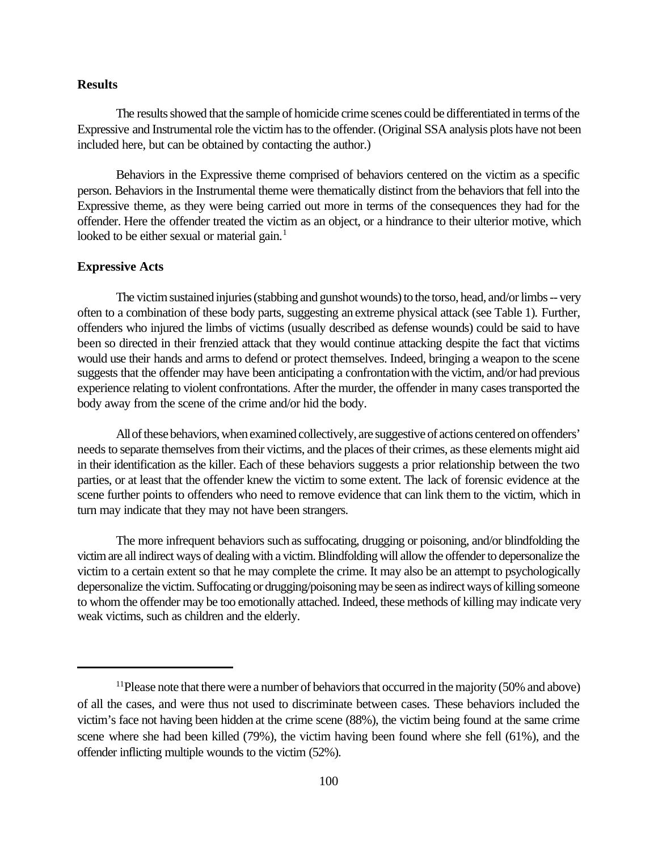### **Results**

The results showed that the sample of homicide crime scenes could be differentiated in terms of the Expressive and Instrumental role the victim has to the offender. (Original SSA analysis plots have not been included here, but can be obtained by contacting the author.)

Behaviors in the Expressive theme comprised of behaviors centered on the victim as a specific person. Behaviors in the Instrumental theme were thematically distinct from the behaviors that fell into the Expressive theme, as they were being carried out more in terms of the consequences they had for the offender. Here the offender treated the victim as an object, or a hindrance to their ulterior motive, which looked to be either sexual or material gain. $<sup>1</sup>$ </sup>

## **Expressive Acts**

The victim sustained injuries (stabbing and gunshot wounds) to the torso, head, and/or limbs -- very often to a combination of these body parts, suggesting an extreme physical attack (see Table 1)*.* Further, offenders who injured the limbs of victims (usually described as defense wounds) could be said to have been so directed in their frenzied attack that they would continue attacking despite the fact that victims would use their hands and arms to defend or protect themselves. Indeed, bringing a weapon to the scene suggests that the offender may have been anticipating a confrontation with the victim, and/or had previous experience relating to violent confrontations. After the murder, the offender in many cases transported the body away from the scene of the crime and/or hid the body.

All of these behaviors, when examined collectively, are suggestive of actions centered on offenders' needs to separate themselves from their victims, and the places of their crimes, as these elements might aid in their identification as the killer. Each of these behaviors suggests a prior relationship between the two parties, or at least that the offender knew the victim to some extent. The lack of forensic evidence at the scene further points to offenders who need to remove evidence that can link them to the victim, which in turn may indicate that they may not have been strangers.

The more infrequent behaviors such as suffocating, drugging or poisoning, and/or blindfolding the victim are all indirect ways of dealing with a victim. Blindfolding will allow the offender to depersonalize the victim to a certain extent so that he may complete the crime. It may also be an attempt to psychologically depersonalize the victim. Suffocating or drugging/poisoning may be seen as indirect ways of killing someone to whom the offender may be too emotionally attached. Indeed, these methods of killing may indicate very weak victims, such as children and the elderly.

 $11$ Please note that there were a number of behaviors that occurred in the majority (50% and above) of all the cases, and were thus not used to discriminate between cases. These behaviors included the victim's face not having been hidden at the crime scene (88%), the victim being found at the same crime scene where she had been killed (79%), the victim having been found where she fell (61%), and the offender inflicting multiple wounds to the victim (52%).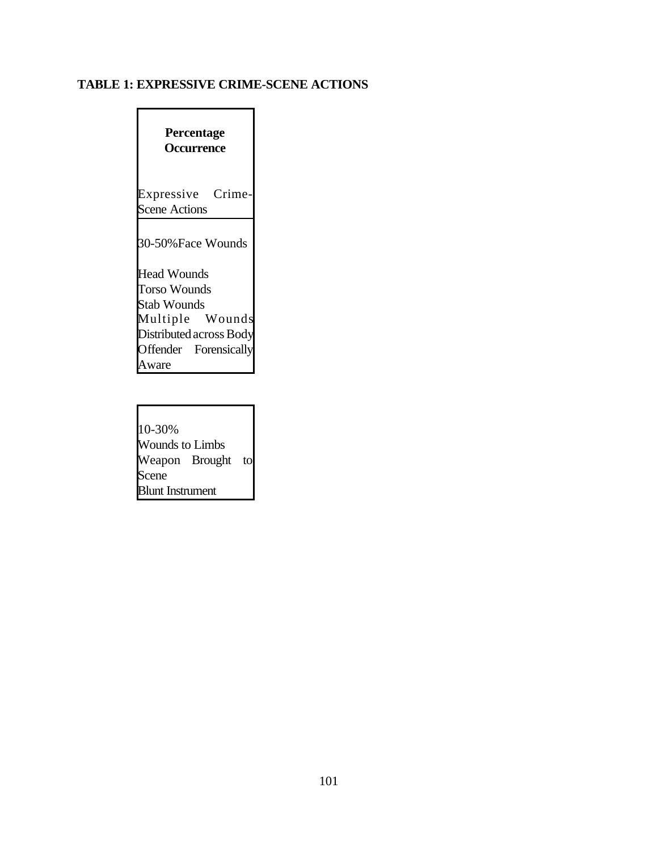# **TABLE 1: EXPRESSIVE CRIME-SCENE ACTIONS**

| <b>Percentage</b><br><b>Occurrence</b> |  |  |  |
|----------------------------------------|--|--|--|
| Expressive<br>Crime                    |  |  |  |
| Scene Actions                          |  |  |  |
| 30-50% Face Wounds                     |  |  |  |
| <b>Head Wounds</b>                     |  |  |  |
| Torso Wounds                           |  |  |  |
| Stab Wounds                            |  |  |  |
| Multiple Wounds                        |  |  |  |
| Distributed across Body                |  |  |  |
| Offender Forensically                  |  |  |  |
| vare                                   |  |  |  |

10-30% Wounds to Limbs Weapon Brought to Scene Blunt Instrument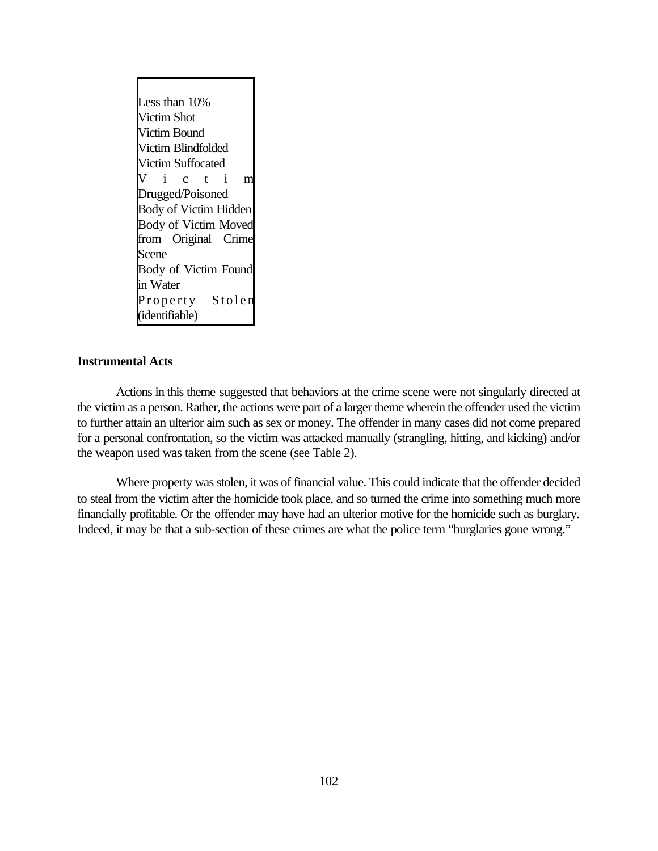| Less than 10%                          |              |   |  |  |  |
|----------------------------------------|--------------|---|--|--|--|
| <b>Victim Shot</b>                     |              |   |  |  |  |
| Victim Bound                           |              |   |  |  |  |
| Victim Blindfolded                     |              |   |  |  |  |
| Victim Suffocated                      |              |   |  |  |  |
| V<br>$\mathbf{i}$<br>t<br>$\mathbf{c}$ | $\mathbf{i}$ | m |  |  |  |
| Drugged/Poisoned                       |              |   |  |  |  |
| <b>Body of Victim Hidden</b>           |              |   |  |  |  |
| <b>Body of Victim Moved</b>            |              |   |  |  |  |
| from Original Crime                    |              |   |  |  |  |
| Scene                                  |              |   |  |  |  |
| <b>Body of Victim Found</b>            |              |   |  |  |  |
| in Water                               |              |   |  |  |  |
| Property Stolen                        |              |   |  |  |  |
| (identifiable)                         |              |   |  |  |  |

## **Instrumental Acts**

Actions in this theme suggested that behaviors at the crime scene were not singularly directed at the victim as a person. Rather, the actions were part of a larger theme wherein the offender used the victim to further attain an ulterior aim such as sex or money. The offender in many cases did not come prepared for a personal confrontation, so the victim was attacked manually (strangling, hitting, and kicking) and/or the weapon used was taken from the scene (see Table 2).

Where property was stolen, it was of financial value. This could indicate that the offender decided to steal from the victim after the homicide took place, and so turned the crime into something much more financially profitable. Or the offender may have had an ulterior motive for the homicide such as burglary. Indeed, it may be that a sub-section of these crimes are what the police term "burglaries gone wrong."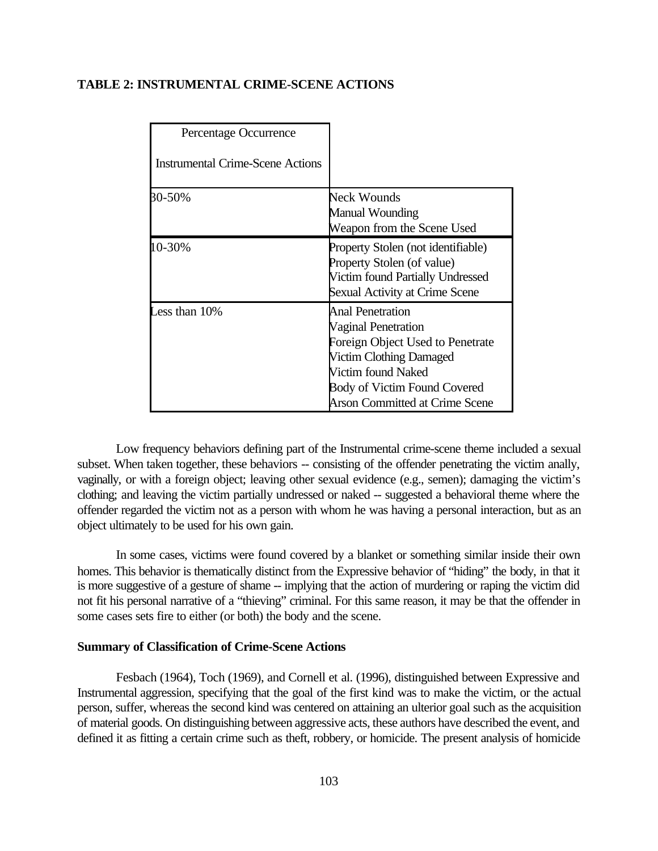## **TABLE 2: INSTRUMENTAL CRIME-SCENE ACTIONS**

| Percentage Occurrence<br><b>Instrumental Crime-Scene Actions</b> |                                                                                                                                                                                                              |
|------------------------------------------------------------------|--------------------------------------------------------------------------------------------------------------------------------------------------------------------------------------------------------------|
| 30-50%                                                           | <b>Neck Wounds</b><br>Manual Wounding<br>Weapon from the Scene Used                                                                                                                                          |
| 10-30%                                                           | Property Stolen (not identifiable)<br>Property Stolen (of value)<br>Victim found Partially Undressed<br><b>Sexual Activity at Crime Scene</b>                                                                |
| Less than 10%                                                    | <b>Anal Penetration</b><br>Vaginal Penetration<br>Foreign Object Used to Penetrate<br>Victim Clothing Damaged<br>Victim found Naked<br><b>Body of Victim Found Covered</b><br>Arson Committed at Crime Scene |

Low frequency behaviors defining part of the Instrumental crime-scene theme included a sexual subset. When taken together, these behaviors -- consisting of the offender penetrating the victim anally, vaginally, or with a foreign object; leaving other sexual evidence (e.g., semen); damaging the victim's clothing; and leaving the victim partially undressed or naked -- suggested a behavioral theme where the offender regarded the victim not as a person with whom he was having a personal interaction, but as an object ultimately to be used for his own gain.

In some cases, victims were found covered by a blanket or something similar inside their own homes. This behavior is thematically distinct from the Expressive behavior of "hiding" the body, in that it is more suggestive of a gesture of shame -- implying that the action of murdering or raping the victim did not fit his personal narrative of a "thieving" criminal. For this same reason, it may be that the offender in some cases sets fire to either (or both) the body and the scene.

#### **Summary of Classification of Crime-Scene Actions**

Fesbach (1964), Toch (1969), and Cornell et al. (1996), distinguished between Expressive and Instrumental aggression, specifying that the goal of the first kind was to make the victim, or the actual person, suffer, whereas the second kind was centered on attaining an ulterior goal such as the acquisition of material goods. On distinguishing between aggressive acts, these authors have described the event, and defined it as fitting a certain crime such as theft, robbery, or homicide. The present analysis of homicide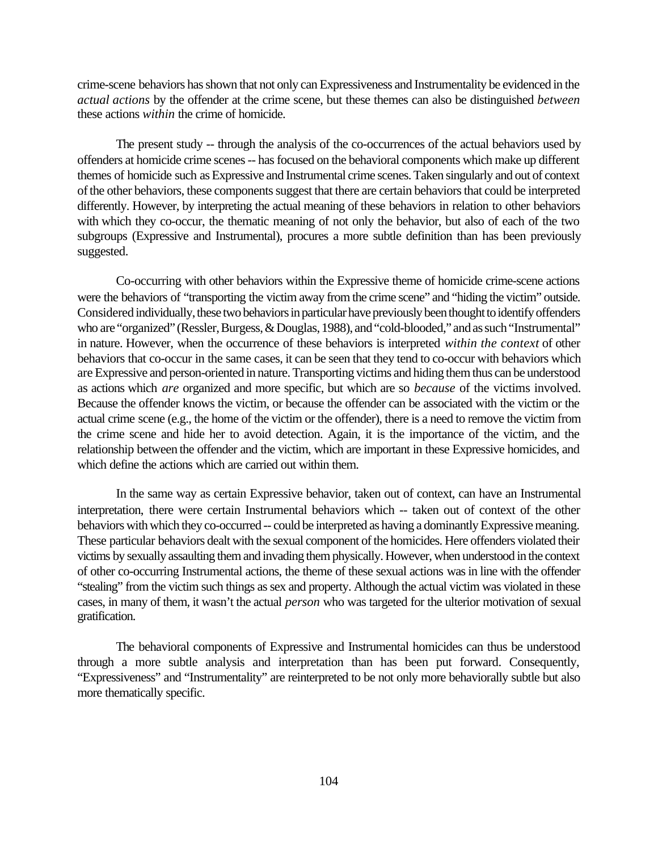crime-scene behaviors has shown that not only can Expressiveness and Instrumentality be evidenced in the *actual actions* by the offender at the crime scene, but these themes can also be distinguished *between* these actions *within* the crime of homicide.

The present study -- through the analysis of the co-occurrences of the actual behaviors used by offenders at homicide crime scenes -- has focused on the behavioral components which make up different themes of homicide such as Expressive and Instrumental crime scenes. Taken singularly and out of context of the other behaviors, these components suggest that there are certain behaviors that could be interpreted differently. However, by interpreting the actual meaning of these behaviors in relation to other behaviors with which they co-occur, the thematic meaning of not only the behavior, but also of each of the two subgroups (Expressive and Instrumental), procures a more subtle definition than has been previously suggested.

Co-occurring with other behaviors within the Expressive theme of homicide crime-scene actions were the behaviors of "transporting the victim away from the crime scene" and "hiding the victim" outside. Considered individually, these two behaviors in particular have previously been thought to identify offenders who are "organized" (Ressler, Burgess, & Douglas, 1988), and "cold-blooded," and as such "Instrumental" in nature. However, when the occurrence of these behaviors is interpreted *within the context* of other behaviors that co-occur in the same cases, it can be seen that they tend to co-occur with behaviors which are Expressive and person-oriented in nature. Transporting victims and hiding them thus can be understood as actions which *are* organized and more specific, but which are so *because* of the victims involved. Because the offender knows the victim, or because the offender can be associated with the victim or the actual crime scene (e.g., the home of the victim or the offender), there is a need to remove the victim from the crime scene and hide her to avoid detection. Again, it is the importance of the victim, and the relationship between the offender and the victim, which are important in these Expressive homicides, and which define the actions which are carried out within them.

In the same way as certain Expressive behavior, taken out of context, can have an Instrumental interpretation, there were certain Instrumental behaviors which -- taken out of context of the other behaviors with which they co-occurred -- could be interpreted as having a dominantly Expressive meaning. These particular behaviors dealt with the sexual component of the homicides. Here offenders violated their victims by sexually assaulting them and invading them physically. However, when understood in the context of other co-occurring Instrumental actions, the theme of these sexual actions was in line with the offender "stealing" from the victim such things as sex and property. Although the actual victim was violated in these cases, in many of them, it wasn't the actual *person* who was targeted for the ulterior motivation of sexual gratification.

The behavioral components of Expressive and Instrumental homicides can thus be understood through a more subtle analysis and interpretation than has been put forward. Consequently, "Expressiveness" and "Instrumentality" are reinterpreted to be not only more behaviorally subtle but also more thematically specific.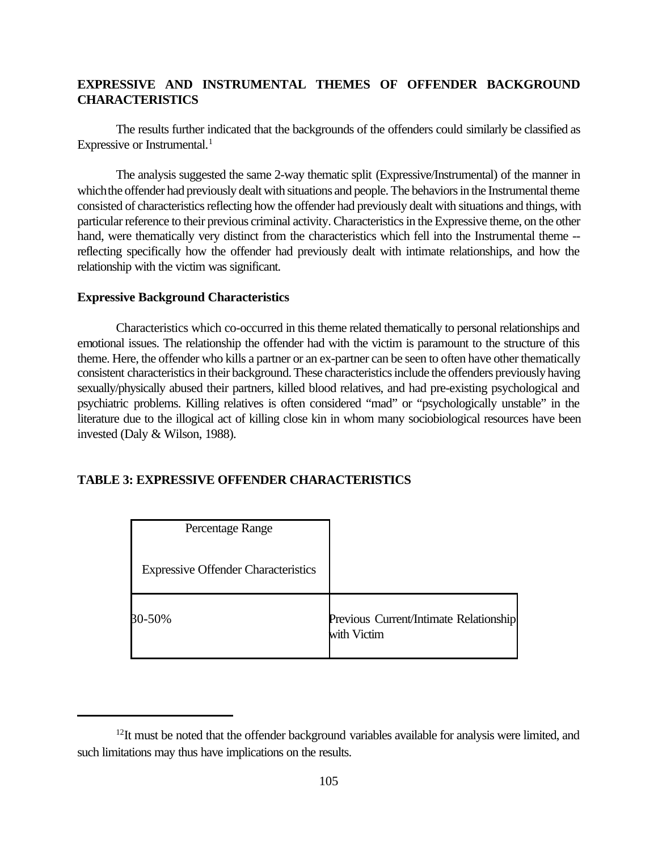# **EXPRESSIVE AND INSTRUMENTAL THEMES OF OFFENDER BACKGROUND CHARACTERISTICS**

The results further indicated that the backgrounds of the offenders could similarly be classified as Expressive or Instrumental. $<sup>1</sup>$ </sup>

The analysis suggested the same 2-way thematic split (Expressive/Instrumental) of the manner in which the offender had previously dealt with situations and people. The behaviors in the Instrumental theme consisted of characteristics reflecting how the offender had previously dealt with situations and things, with particular reference to their previous criminal activity. Characteristics in the Expressive theme, on the other hand, were thematically very distinct from the characteristics which fell into the Instrumental theme - reflecting specifically how the offender had previously dealt with intimate relationships, and how the relationship with the victim was significant.

## **Expressive Background Characteristics**

Characteristics which co-occurred in this theme related thematically to personal relationships and emotional issues. The relationship the offender had with the victim is paramount to the structure of this theme. Here, the offender who kills a partner or an ex-partner can be seen to often have other thematically consistent characteristics in their background. These characteristics include the offenders previously having sexually/physically abused their partners, killed blood relatives, and had pre-existing psychological and psychiatric problems. Killing relatives is often considered "mad" or "psychologically unstable" in the literature due to the illogical act of killing close kin in whom many sociobiological resources have been invested (Daly & Wilson, 1988).

# **TABLE 3: EXPRESSIVE OFFENDER CHARACTERISTICS**

| Percentage Range                           |                                                       |
|--------------------------------------------|-------------------------------------------------------|
| <b>Expressive Offender Characteristics</b> |                                                       |
| 30-50%                                     | Previous Current/Intimate Relationship<br>with Victim |

<sup>&</sup>lt;sup>12</sup>It must be noted that the offender background variables available for analysis were limited, and such limitations may thus have implications on the results.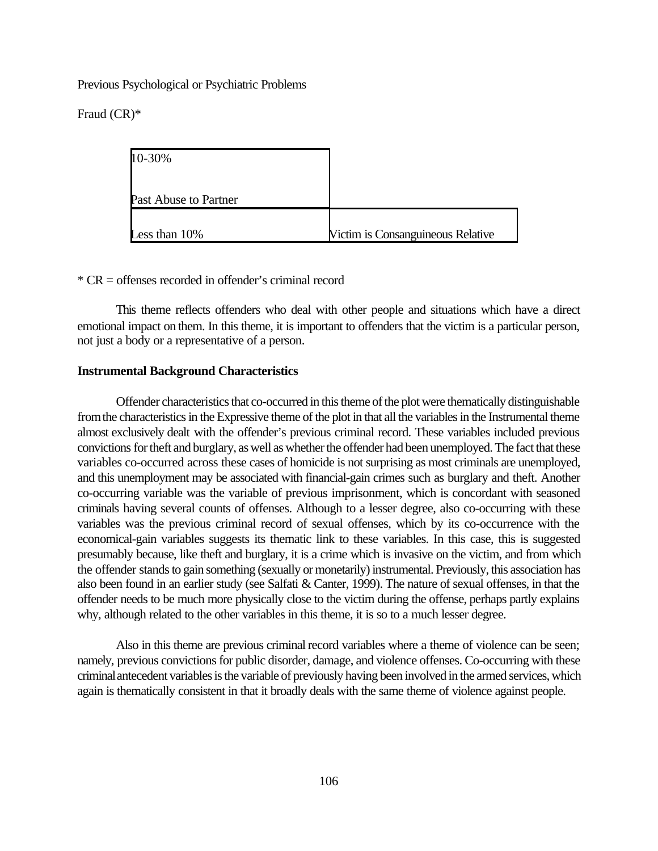Previous Psychological or Psychiatric Problems

Fraud (CR)\*

| 10-30%                |                                   |
|-----------------------|-----------------------------------|
| Past Abuse to Partner |                                   |
| Less than 10%         | Victim is Consanguineous Relative |

\* CR = offenses recorded in offender's criminal record

This theme reflects offenders who deal with other people and situations which have a direct emotional impact on them. In this theme, it is important to offenders that the victim is a particular person, not just a body or a representative of a person.

# **Instrumental Background Characteristics**

Offender characteristics that co-occurred in this theme of the plot were thematically distinguishable from the characteristics in the Expressive theme of the plot in that all the variables in the Instrumental theme almost exclusively dealt with the offender's previous criminal record. These variables included previous convictions for theft and burglary, as well as whether the offender had been unemployed. The fact that these variables co-occurred across these cases of homicide is not surprising as most criminals are unemployed, and this unemployment may be associated with financial-gain crimes such as burglary and theft. Another co-occurring variable was the variable of previous imprisonment, which is concordant with seasoned criminals having several counts of offenses. Although to a lesser degree, also co-occurring with these variables was the previous criminal record of sexual offenses, which by its co-occurrence with the economical-gain variables suggests its thematic link to these variables. In this case, this is suggested presumably because, like theft and burglary, it is a crime which is invasive on the victim, and from which the offender stands to gain something (sexually or monetarily) instrumental. Previously, this association has also been found in an earlier study (see Salfati & Canter, 1999). The nature of sexual offenses, in that the offender needs to be much more physically close to the victim during the offense, perhaps partly explains why, although related to the other variables in this theme, it is so to a much lesser degree.

Also in this theme are previous criminal record variables where a theme of violence can be seen; namely, previous convictions for public disorder, damage, and violence offenses. Co-occurring with these criminal antecedent variables is the variable of previously having been involved in the armed services, which again is thematically consistent in that it broadly deals with the same theme of violence against people.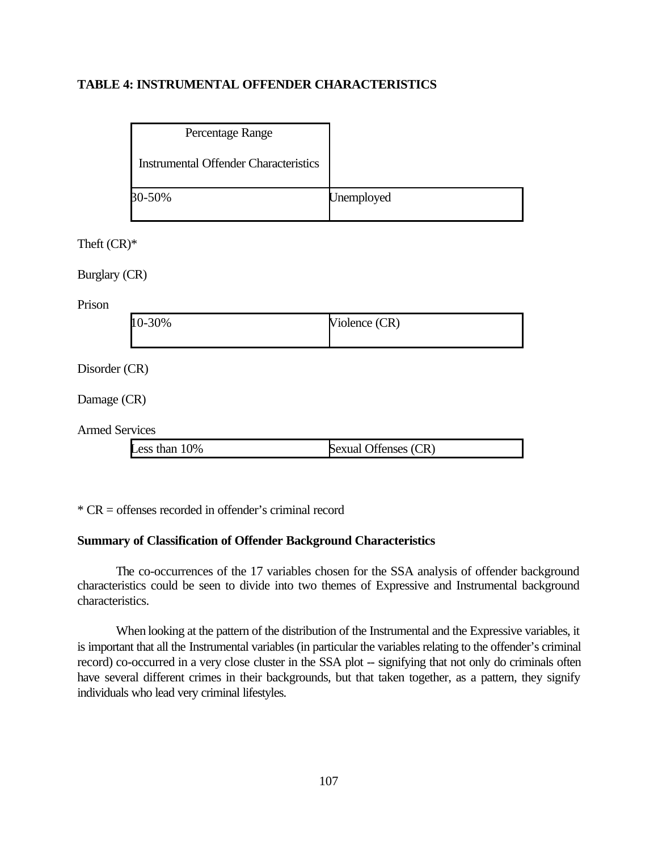# **TABLE 4: INSTRUMENTAL OFFENDER CHARACTERISTICS**

| Percentage Range                             |            |
|----------------------------------------------|------------|
| <b>Instrumental Offender Characteristics</b> |            |
| 30-50%                                       | Unemployed |

# Theft (CR)\*

Burglary (CR)

Prison

| 10-30% | Violence (CR) |  |
|--------|---------------|--|
|        |               |  |

Disorder (CR)

Damage (CR)

Armed Services

Less than 10% Sexual Offenses (CR)

\* CR = offenses recorded in offender's criminal record

# **Summary of Classification of Offender Background Characteristics**

The co-occurrences of the 17 variables chosen for the SSA analysis of offender background characteristics could be seen to divide into two themes of Expressive and Instrumental background characteristics.

When looking at the pattern of the distribution of the Instrumental and the Expressive variables, it is important that all the Instrumental variables (in particular the variables relating to the offender's criminal record) co-occurred in a very close cluster in the SSA plot -- signifying that not only do criminals often have several different crimes in their backgrounds, but that taken together, as a pattern, they signify individuals who lead very criminal lifestyles.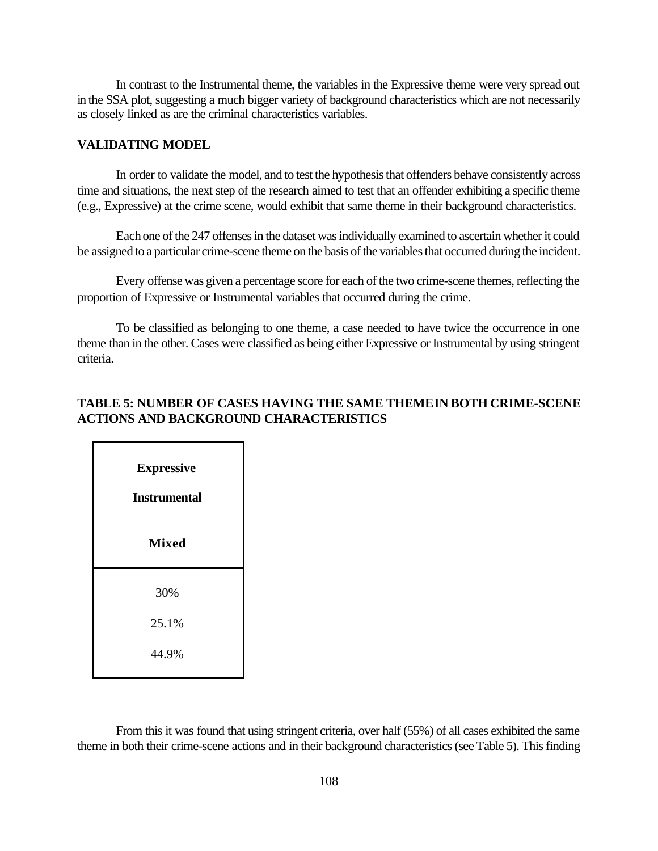In contrast to the Instrumental theme, the variables in the Expressive theme were very spread out in the SSA plot, suggesting a much bigger variety of background characteristics which are not necessarily as closely linked as are the criminal characteristics variables.

## **VALIDATING MODEL**

In order to validate the model, and to test the hypothesis that offenders behave consistently across time and situations, the next step of the research aimed to test that an offender exhibiting a specific theme (e.g., Expressive) at the crime scene, would exhibit that same theme in their background characteristics.

Each one of the 247 offenses in the dataset was individually examined to ascertain whether it could be assigned to a particular crime-scene theme on the basis of the variables that occurred during the incident.

Every offense was given a percentage score for each of the two crime-scene themes, reflecting the proportion of Expressive or Instrumental variables that occurred during the crime.

To be classified as belonging to one theme, a case needed to have twice the occurrence in one theme than in the other. Cases were classified as being either Expressive or Instrumental by using stringent criteria.

# **TABLE 5: NUMBER OF CASES HAVING THE SAME THEME IN BOTH CRIME-SCENE ACTIONS AND BACKGROUND CHARACTERISTICS**

| <b>Expressive</b><br><b>Instrumental</b> |  |
|------------------------------------------|--|
| <b>Mixed</b>                             |  |
| 30%                                      |  |
| 25.1%                                    |  |
| 44.9%                                    |  |
|                                          |  |

Ē

From this it was found that using stringent criteria, over half (55%) of all cases exhibited the same theme in both their crime-scene actions and in their background characteristics (see Table 5). This finding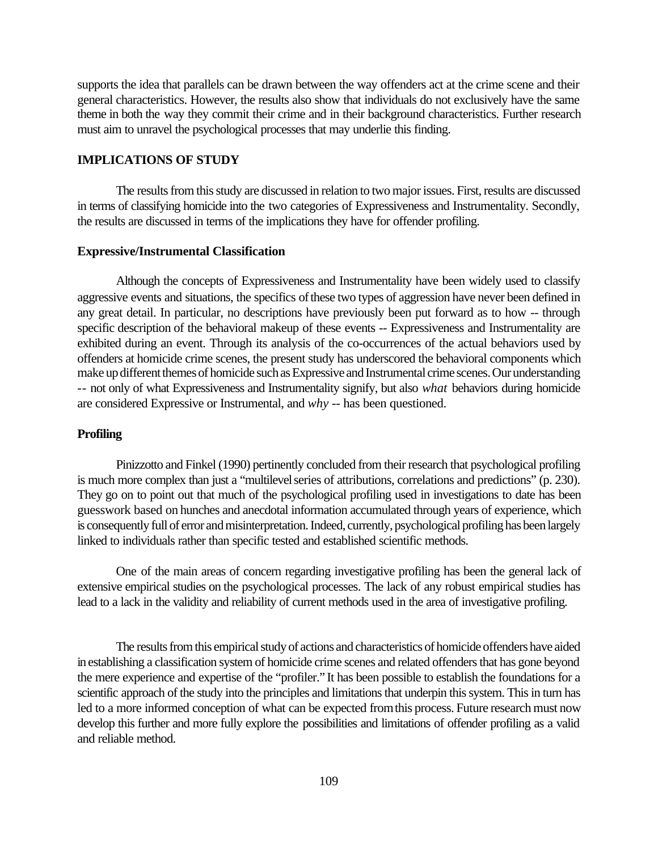supports the idea that parallels can be drawn between the way offenders act at the crime scene and their general characteristics. However, the results also show that individuals do not exclusively have the same theme in both the way they commit their crime and in their background characteristics. Further research must aim to unravel the psychological processes that may underlie this finding.

## **IMPLICATIONS OF STUDY**

The results from this study are discussed in relation to two major issues. First, results are discussed in terms of classifying homicide into the two categories of Expressiveness and Instrumentality. Secondly, the results are discussed in terms of the implications they have for offender profiling.

#### **Expressive/Instrumental Classification**

Although the concepts of Expressiveness and Instrumentality have been widely used to classify aggressive events and situations, the specifics of these two types of aggression have never been defined in any great detail. In particular, no descriptions have previously been put forward as to how -- through specific description of the behavioral makeup of these events -- Expressiveness and Instrumentality are exhibited during an event. Through its analysis of the co-occurrences of the actual behaviors used by offenders at homicide crime scenes, the present study has underscored the behavioral components which make up different themes of homicide such as Expressive and Instrumental crime scenes. Our understanding -- not only of what Expressiveness and Instrumentality signify, but also *what* behaviors during homicide are considered Expressive or Instrumental, and *why* -- has been questioned.

### **Profiling**

Pinizzotto and Finkel (1990) pertinently concluded from their research that psychological profiling is much more complex than just a "multilevel series of attributions, correlations and predictions" (p. 230). They go on to point out that much of the psychological profiling used in investigations to date has been guesswork based on hunches and anecdotal information accumulated through years of experience, which is consequently full of error and misinterpretation. Indeed, currently, psychological profiling has been largely linked to individuals rather than specific tested and established scientific methods.

One of the main areas of concern regarding investigative profiling has been the general lack of extensive empirical studies on the psychological processes. The lack of any robust empirical studies has lead to a lack in the validity and reliability of current methods used in the area of investigative profiling.

The results from this empirical study of actions and characteristics of homicide offenders have aided in establishing a classification system of homicide crime scenes and related offenders that has gone beyond the mere experience and expertise of the "profiler." It has been possible to establish the foundations for a scientific approach of the study into the principles and limitations that underpin this system. This in turn has led to a more informed conception of what can be expected from this process. Future research must now develop this further and more fully explore the possibilities and limitations of offender profiling as a valid and reliable method.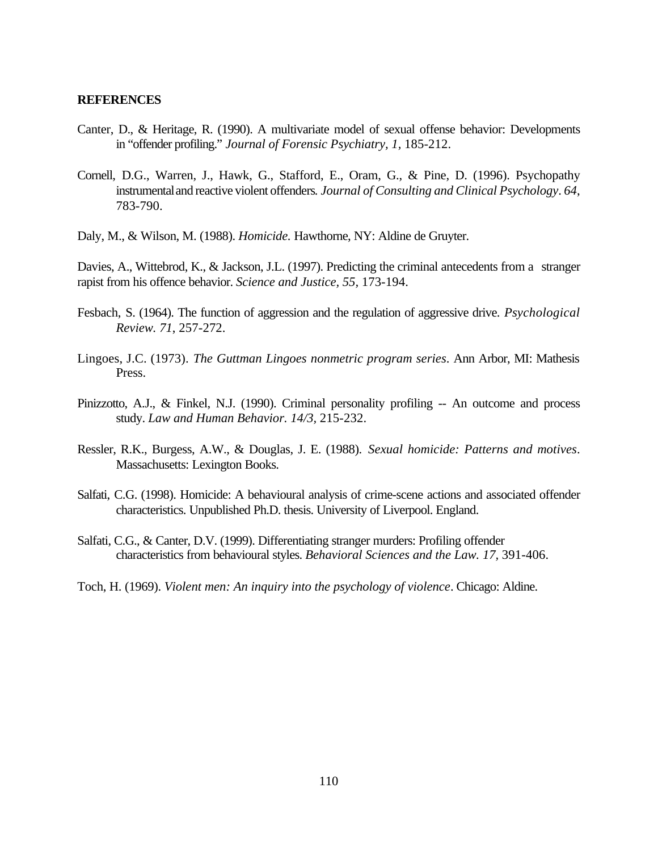#### **REFERENCES**

- Canter, D., & Heritage, R. (1990). A multivariate model of sexual offense behavior: Developments in "offender profiling." *Journal of Forensic Psychiatry, 1,* 185-212.
- Cornell, D.G., Warren, J., Hawk, G., Stafford, E., Oram, G., & Pine, D. (1996). Psychopathy instrumental and reactive violent offenders*. Journal of Consulting and Clinical Psychology*. *64*, 783-790.
- Daly, M., & Wilson, M. (1988). *Homicide.* Hawthorne, NY: Aldine de Gruyter.

Davies, A., Wittebrod, K., & Jackson, J.L. (1997). Predicting the criminal antecedents from a stranger rapist from his offence behavior. *Science and Justice, 55,* 173-194.

- Fesbach, S. (1964). The function of aggression and the regulation of aggressive drive. *Psychological Review. 71*, 257-272.
- Lingoes, J.C. (1973). *The Guttman Lingoes nonmetric program series*. Ann Arbor, MI: Mathesis Press.
- Pinizzotto, A.J., & Finkel, N.J. (1990). Criminal personality profiling -- An outcome and process study. *Law and Human Behavior. 14/3,* 215-232.
- Ressler, R.K., Burgess, A.W., & Douglas, J. E. (1988). *Sexual homicide: Patterns and motives*. Massachusetts: Lexington Books.
- Salfati, C.G. (1998). Homicide: A behavioural analysis of crime-scene actions and associated offender characteristics. Unpublished Ph.D. thesis. University of Liverpool. England.
- Salfati, C.G., & Canter, D.V. (1999). Differentiating stranger murders: Profiling offender characteristics from behavioural styles. *Behavioral Sciences and the Law. 17,* 391-406.
- Toch, H. (1969). *Violent men: An inquiry into the psychology of violence*. Chicago: Aldine.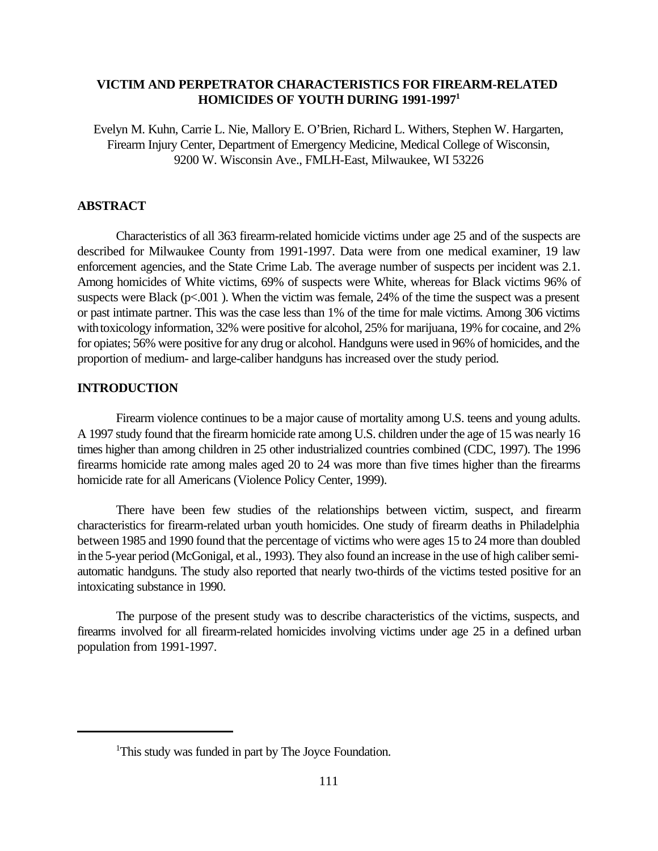# **VICTIM AND PERPETRATOR CHARACTERISTICS FOR FIREARM-RELATED HOMICIDES OF YOUTH DURING 1991-1997<sup>1</sup>**

Evelyn M. Kuhn, Carrie L. Nie, Mallory E. O'Brien, Richard L. Withers, Stephen W. Hargarten, Firearm Injury Center, Department of Emergency Medicine, Medical College of Wisconsin, 9200 W. Wisconsin Ave., FMLH-East, Milwaukee, WI 53226

## **ABSTRACT**

Characteristics of all 363 firearm-related homicide victims under age 25 and of the suspects are described for Milwaukee County from 1991-1997. Data were from one medical examiner, 19 law enforcement agencies, and the State Crime Lab. The average number of suspects per incident was 2.1. Among homicides of White victims, 69% of suspects were White, whereas for Black victims 96% of suspects were Black ( $p<.001$ ). When the victim was female, 24% of the time the suspect was a present or past intimate partner. This was the case less than 1% of the time for male victims. Among 306 victims with toxicology information, 32% were positive for alcohol, 25% for marijuana, 19% for cocaine, and 2% for opiates; 56% were positive for any drug or alcohol. Handguns were used in 96% of homicides, and the proportion of medium- and large-caliber handguns has increased over the study period.

## **INTRODUCTION**

Firearm violence continues to be a major cause of mortality among U.S. teens and young adults. A 1997 study found that the firearm homicide rate among U.S. children under the age of 15 was nearly 16 times higher than among children in 25 other industrialized countries combined (CDC, 1997). The 1996 firearms homicide rate among males aged 20 to 24 was more than five times higher than the firearms homicide rate for all Americans (Violence Policy Center, 1999).

There have been few studies of the relationships between victim, suspect, and firearm characteristics for firearm-related urban youth homicides. One study of firearm deaths in Philadelphia between 1985 and 1990 found that the percentage of victims who were ages 15 to 24 more than doubled in the 5-year period (McGonigal, et al., 1993). They also found an increase in the use of high caliber semiautomatic handguns. The study also reported that nearly two-thirds of the victims tested positive for an intoxicating substance in 1990.

The purpose of the present study was to describe characteristics of the victims, suspects, and firearms involved for all firearm-related homicides involving victims under age 25 in a defined urban population from 1991-1997.

<sup>&</sup>lt;sup>1</sup>This study was funded in part by The Joyce Foundation.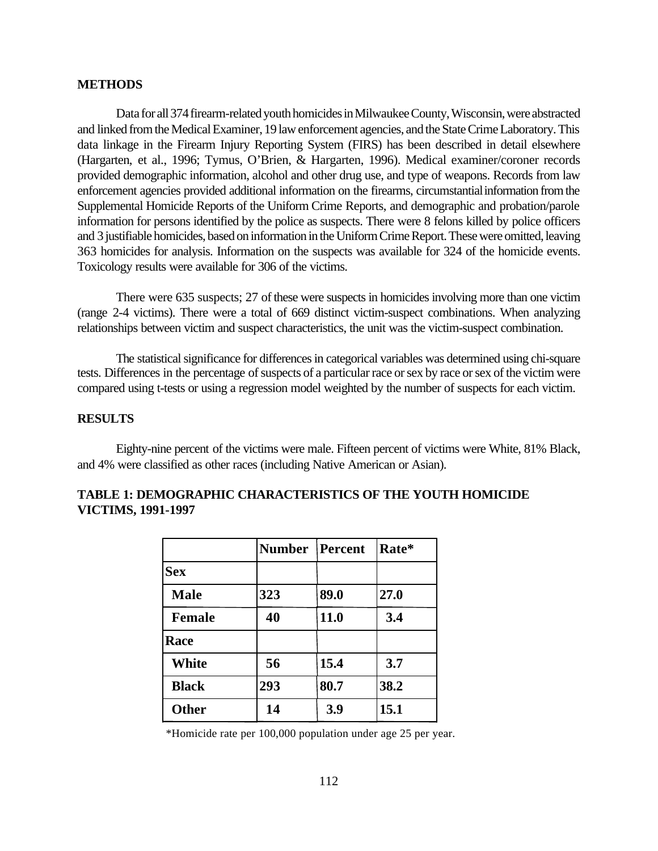## **METHODS**

Data for all 374 firearm-related youth homicides in Milwaukee County, Wisconsin, were abstracted and linked from the Medical Examiner, 19 law enforcement agencies, and the State Crime Laboratory. This data linkage in the Firearm Injury Reporting System (FIRS) has been described in detail elsewhere (Hargarten, et al., 1996; Tymus, O'Brien, & Hargarten, 1996). Medical examiner/coroner records provided demographic information, alcohol and other drug use, and type of weapons. Records from law enforcement agencies provided additional information on the firearms, circumstantial information from the Supplemental Homicide Reports of the Uniform Crime Reports, and demographic and probation/parole information for persons identified by the police as suspects. There were 8 felons killed by police officers and 3 justifiable homicides, based on information in the Uniform Crime Report. These were omitted, leaving 363 homicides for analysis. Information on the suspects was available for 324 of the homicide events. Toxicology results were available for 306 of the victims.

There were 635 suspects; 27 of these were suspects in homicides involving more than one victim (range 2-4 victims). There were a total of 669 distinct victim-suspect combinations. When analyzing relationships between victim and suspect characteristics, the unit was the victim-suspect combination.

The statistical significance for differences in categorical variables was determined using chi-square tests. Differences in the percentage of suspects of a particular race or sex by race or sex of the victim were compared using t-tests or using a regression model weighted by the number of suspects for each victim.

## **RESULTS**

Eighty-nine percent of the victims were male. Fifteen percent of victims were White, 81% Black, and 4% were classified as other races (including Native American or Asian).

|               | <b>Number</b> | Percent | Rate* |
|---------------|---------------|---------|-------|
| <b>Sex</b>    |               |         |       |
| <b>Male</b>   | 323           | 89.0    | 27.0  |
| <b>Female</b> | 40            | 11.0    | 3.4   |
| Race          |               |         |       |
| White         | 56            | 15.4    | 3.7   |
| <b>Black</b>  | 293           | 80.7    | 38.2  |
| <b>Other</b>  | 14            | 3.9     | 15.1  |

## **TABLE 1: DEMOGRAPHIC CHARACTERISTICS OF THE YOUTH HOMICIDE VICTIMS, 1991-1997**

\*Homicide rate per 100,000 population under age 25 per year.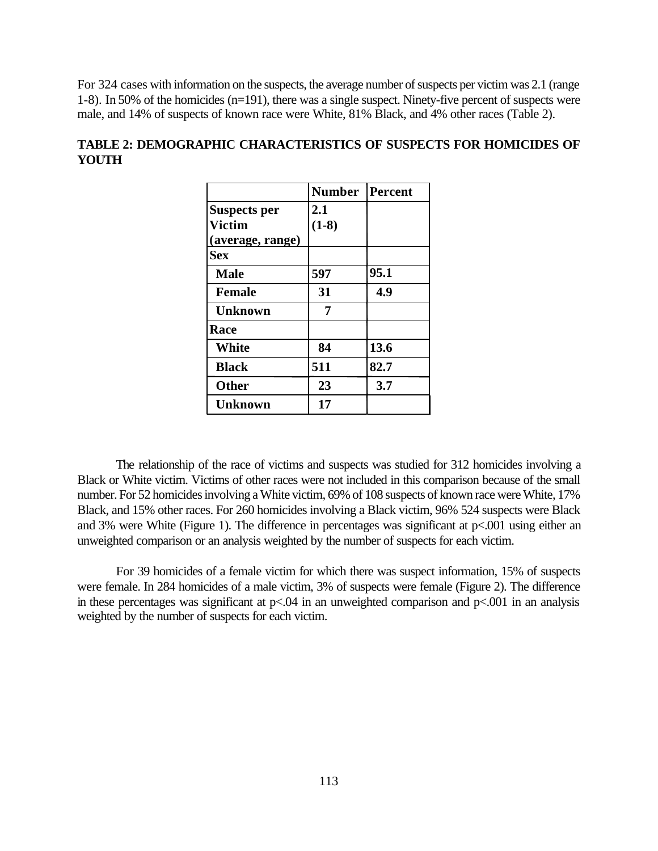For 324 cases with information on the suspects, the average number of suspects per victim was 2.1 (range 1-8). In 50% of the homicides (n=191), there was a single suspect. Ninety-five percent of suspects were male, and 14% of suspects of known race were White, 81% Black, and 4% other races (Table 2).

|                     | <b>Number</b> | Percent |
|---------------------|---------------|---------|
| <b>Suspects per</b> | 2.1           |         |
| <b>Victim</b>       | $(1-8)$       |         |
| (average, range)    |               |         |
| <b>Sex</b>          |               |         |
| <b>Male</b>         | 597           | 95.1    |
| <b>Female</b>       | 31            | 4.9     |
| <b>Unknown</b>      | 7             |         |
| Race                |               |         |
| <b>White</b>        | 84            | 13.6    |
| <b>Black</b>        | 511           | 82.7    |
| <b>Other</b>        | 23            | 3.7     |
| <b>Unknown</b>      | 17            |         |

# **TABLE 2: DEMOGRAPHIC CHARACTERISTICS OF SUSPECTS FOR HOMICIDES OF YOUTH**

The relationship of the race of victims and suspects was studied for 312 homicides involving a Black or White victim. Victims of other races were not included in this comparison because of the small number. For 52 homicides involving a White victim, 69% of 108 suspects of known race were White, 17% Black, and 15% other races. For 260 homicides involving a Black victim, 96% 524 suspects were Black and 3% were White (Figure 1). The difference in percentages was significant at  $p<.001$  using either an unweighted comparison or an analysis weighted by the number of suspects for each victim.

For 39 homicides of a female victim for which there was suspect information, 15% of suspects were female. In 284 homicides of a male victim, 3% of suspects were female (Figure 2). The difference in these percentages was significant at  $p<.04$  in an unweighted comparison and  $p<.001$  in an analysis weighted by the number of suspects for each victim.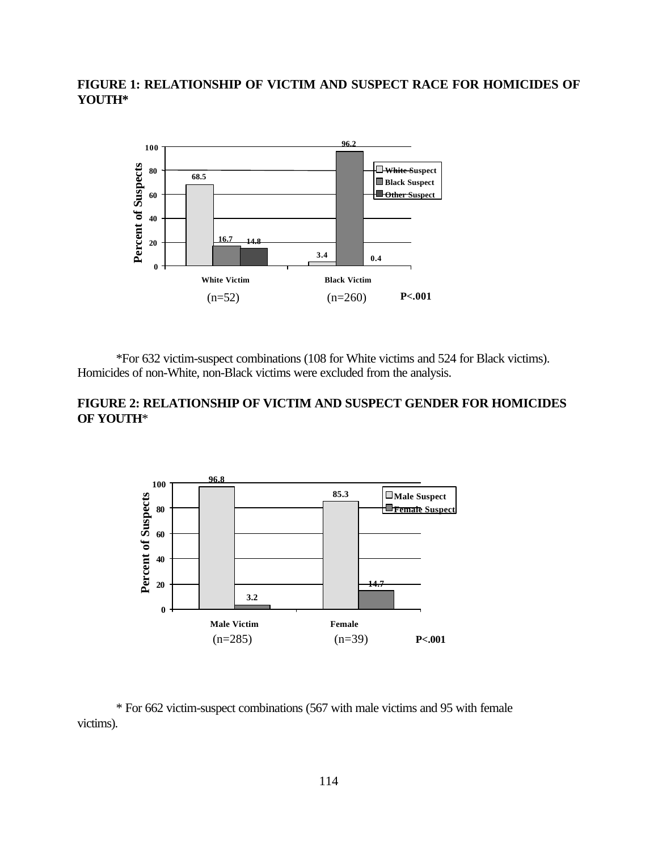# **FIGURE 1: RELATIONSHIP OF VICTIM AND SUSPECT RACE FOR HOMICIDES OF YOUTH\***



\*For 632 victim-suspect combinations (108 for White victims and 524 for Black victims). Homicides of non-White, non-Black victims were excluded from the analysis.

# **FIGURE 2: RELATIONSHIP OF VICTIM AND SUSPECT GENDER FOR HOMICIDES OF YOUTH**\*



\* For 662 victim-suspect combinations (567 with male victims and 95 with female victims).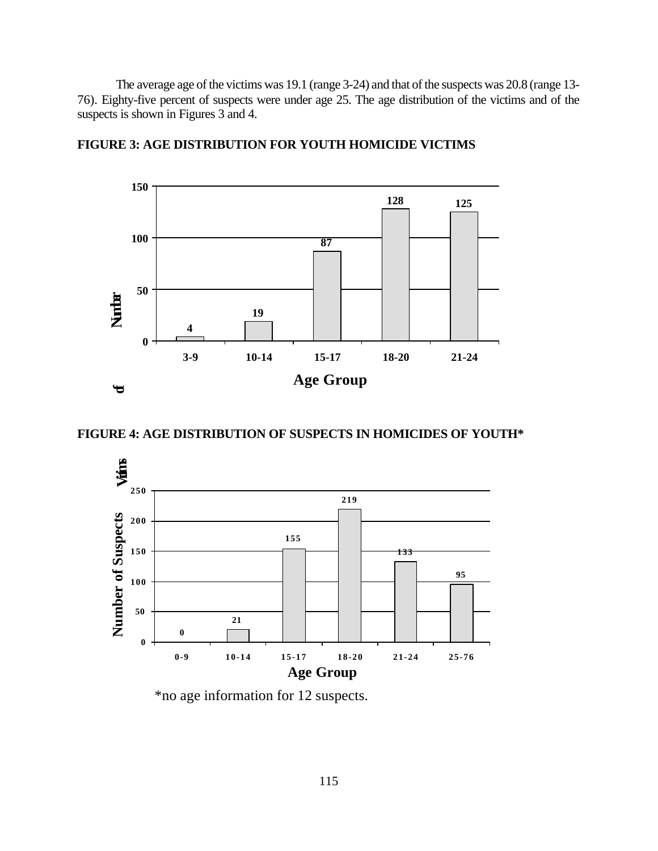The average age of the victims was 19.1 (range 3-24) and that of the suspects was 20.8 (range 13- 76). Eighty-five percent of suspects were under age 25. The age distribution of the victims and of the suspects is shown in Figures 3 and 4.





**FIGURE 4: AGE DISTRIBUTION OF SUSPECTS IN HOMICIDES OF YOUTH\***



\*no age information for 12 suspects.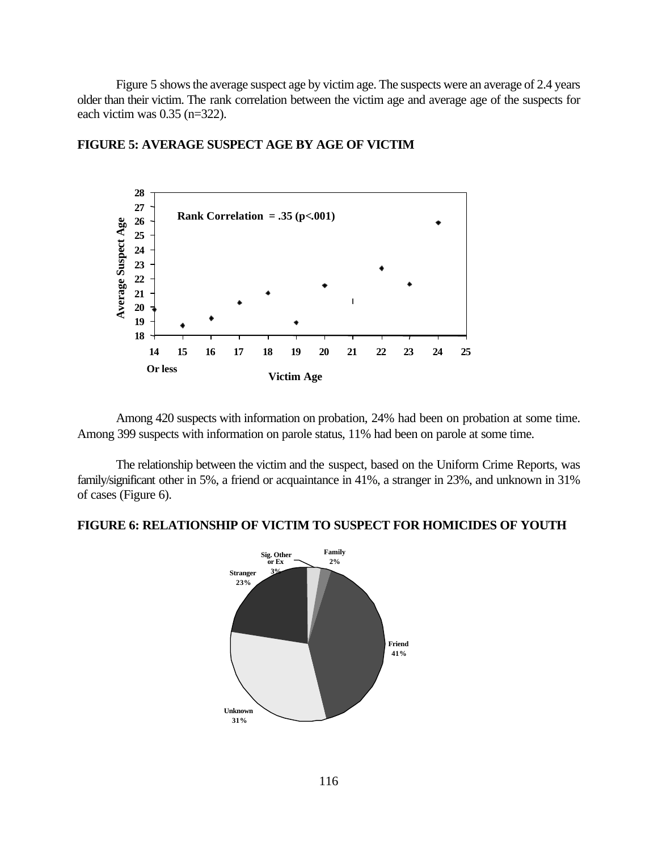Figure 5 shows the average suspect age by victim age. The suspects were an average of 2.4 years older than their victim. The rank correlation between the victim age and average age of the suspects for each victim was 0.35 (n=322).



#### **FIGURE 5: AVERAGE SUSPECT AGE BY AGE OF VICTIM**

Among 420 suspects with information on probation, 24% had been on probation at some time. Among 399 suspects with information on parole status, 11% had been on parole at some time.

The relationship between the victim and the suspect, based on the Uniform Crime Reports, was family/significant other in 5%, a friend or acquaintance in 41%, a stranger in 23%, and unknown in 31% of cases (Figure 6).

#### **FIGURE 6: RELATIONSHIP OF VICTIM TO SUSPECT FOR HOMICIDES OF YOUTH**

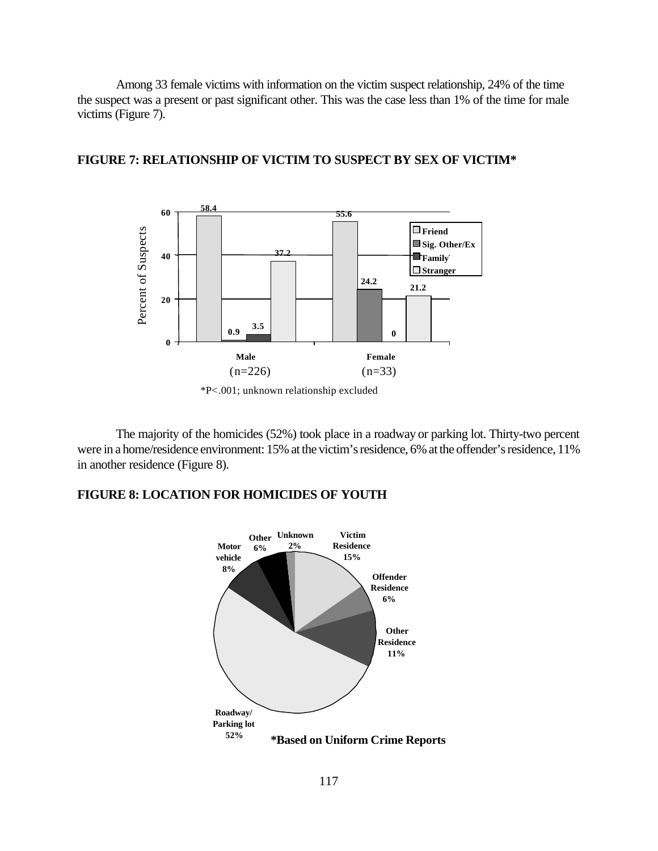Among 33 female victims with information on the victim suspect relationship, 24% of the time the suspect was a present or past significant other. This was the case less than 1% of the time for male victims (Figure 7).



# **FIGURE 7: RELATIONSHIP OF VICTIM TO SUSPECT BY SEX OF VICTIM\***

\*P<.001; unknown relationship excluded

The majority of the homicides (52%) took place in a roadway or parking lot. Thirty-two percent were in a home/residence environment: 15% at the victim's residence, 6% at the offender's residence, 11% in another residence (Figure 8).

## **FIGURE 8: LOCATION FOR HOMICIDES OF YOUTH**

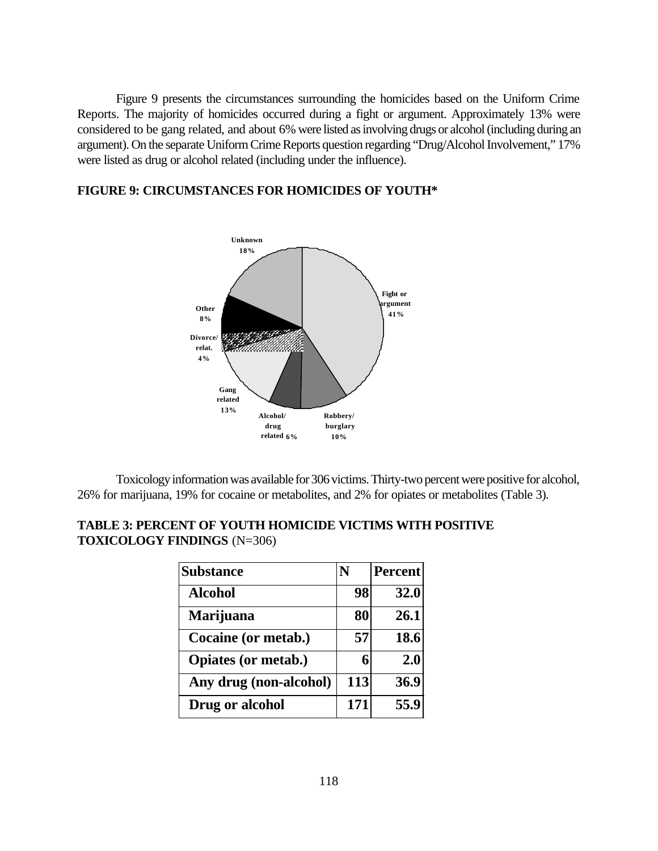Figure 9 presents the circumstances surrounding the homicides based on the Uniform Crime Reports. The majority of homicides occurred during a fight or argument. Approximately 13% were considered to be gang related, and about 6% were listed as involving drugs or alcohol (including during an argument). On the separate Uniform Crime Reports question regarding "Drug/Alcohol Involvement," 17% were listed as drug or alcohol related (including under the influence).

# **FIGURE 9: CIRCUMSTANCES FOR HOMICIDES OF YOUTH\***



Toxicology information was available for 306 victims. Thirty-two percent were positive for alcohol, 26% for marijuana, 19% for cocaine or metabolites, and 2% for opiates or metabolites (Table 3).

# **TABLE 3: PERCENT OF YOUTH HOMICIDE VICTIMS WITH POSITIVE TOXICOLOGY FINDINGS** (N=306)

| <b>Substance</b>           | N   | Percent |
|----------------------------|-----|---------|
| <b>Alcohol</b>             | 98  | 32.0    |
| Marijuana                  | 80  | 26.1    |
| Cocaine (or metab.)        | 57  | 18.6    |
| <b>Opiates (or metab.)</b> |     | 2.0     |
| Any drug (non-alcohol)     | 113 | 36.9    |
| Drug or alcohol            | 171 | 55.9    |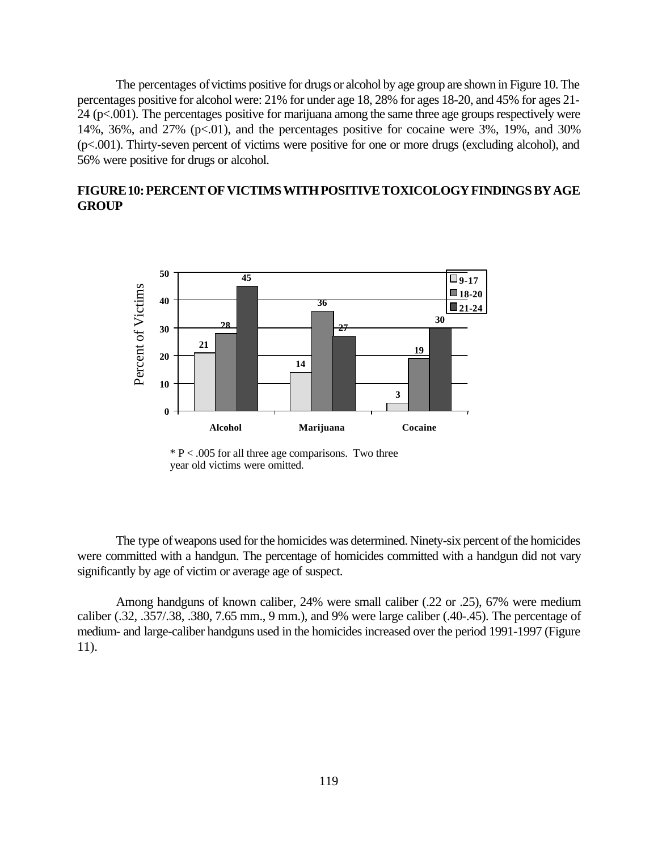The percentages of victims positive for drugs or alcohol by age group are shown in Figure 10. The percentages positive for alcohol were: 21% for under age 18, 28% for ages 18-20, and 45% for ages 21- 24 (p<.001). The percentages positive for marijuana among the same three age groups respectively were 14%, 36%, and 27% (p<.01), and the percentages positive for cocaine were 3%, 19%, and 30% (p<.001). Thirty-seven percent of victims were positive for one or more drugs (excluding alcohol), and 56% were positive for drugs or alcohol.

# **FIGURE 10: PERCENT OF VICTIMS WITH POSITIVE TOXICOLOGY FINDINGS BY AGE GROUP**



 $*$  P < .005 for all three age comparisons. Two three year old victims were omitted.

The type of weapons used for the homicides was determined. Ninety-six percent of the homicides were committed with a handgun. The percentage of homicides committed with a handgun did not vary significantly by age of victim or average age of suspect.

Among handguns of known caliber, 24% were small caliber (.22 or .25), 67% were medium caliber (.32, .357/.38, .380, 7.65 mm., 9 mm.), and 9% were large caliber (.40-.45). The percentage of medium- and large-caliber handguns used in the homicides increased over the period 1991-1997 (Figure 11).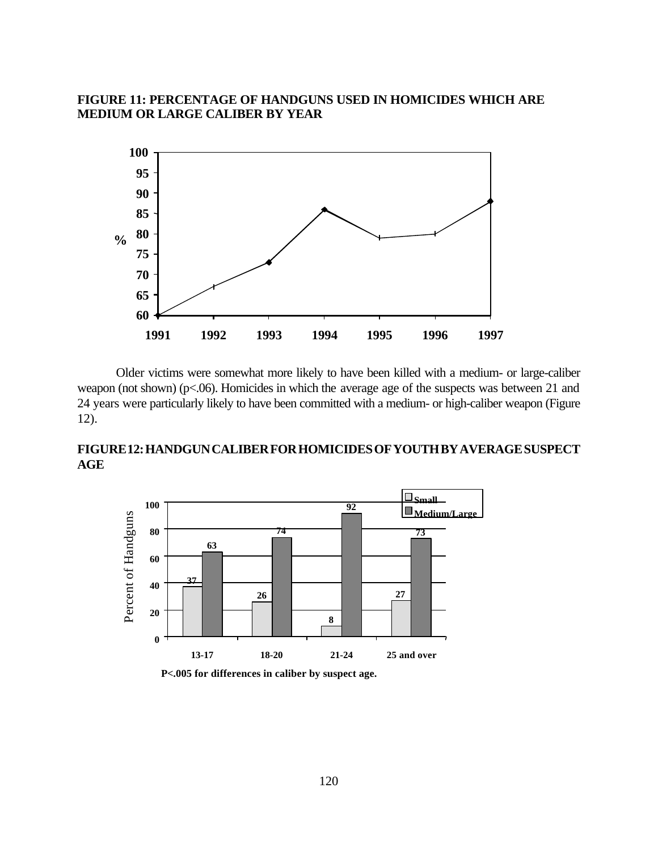# **FIGURE 11: PERCENTAGE OF HANDGUNS USED IN HOMICIDES WHICH ARE MEDIUM OR LARGE CALIBER BY YEAR**



Older victims were somewhat more likely to have been killed with a medium- or large-caliber weapon (not shown) (p<.06). Homicides in which the average age of the suspects was between 21 and 24 years were particularly likely to have been committed with a medium- or high-caliber weapon (Figure 12).

**FIGURE 12: HANDGUN CALIBER FOR HOMICIDES OF YOUTH BY AVERAGE SUSPECT AGE**



**P<.005 for differences in caliber by suspect age.**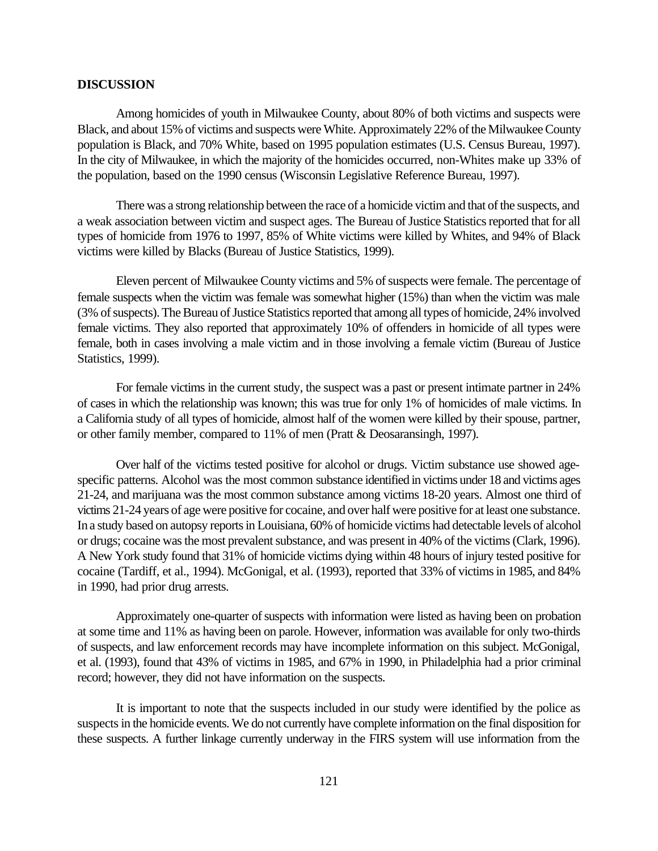## **DISCUSSION**

Among homicides of youth in Milwaukee County, about 80% of both victims and suspects were Black, and about 15% of victims and suspects were White. Approximately 22% of the Milwaukee County population is Black, and 70% White, based on 1995 population estimates (U.S. Census Bureau, 1997). In the city of Milwaukee, in which the majority of the homicides occurred, non-Whites make up 33% of the population, based on the 1990 census (Wisconsin Legislative Reference Bureau, 1997).

There was a strong relationship between the race of a homicide victim and that of the suspects, and a weak association between victim and suspect ages. The Bureau of Justice Statistics reported that for all types of homicide from 1976 to 1997, 85% of White victims were killed by Whites, and 94% of Black victims were killed by Blacks (Bureau of Justice Statistics, 1999).

Eleven percent of Milwaukee County victims and 5% of suspects were female. The percentage of female suspects when the victim was female was somewhat higher (15%) than when the victim was male (3% of suspects). The Bureau of Justice Statistics reported that among all types of homicide, 24% involved female victims. They also reported that approximately 10% of offenders in homicide of all types were female, both in cases involving a male victim and in those involving a female victim (Bureau of Justice Statistics, 1999).

For female victims in the current study, the suspect was a past or present intimate partner in 24% of cases in which the relationship was known; this was true for only 1% of homicides of male victims. In a California study of all types of homicide, almost half of the women were killed by their spouse, partner, or other family member, compared to 11% of men (Pratt & Deosaransingh, 1997).

Over half of the victims tested positive for alcohol or drugs. Victim substance use showed agespecific patterns. Alcohol was the most common substance identified in victims under 18 and victims ages 21-24, and marijuana was the most common substance among victims 18-20 years. Almost one third of victims 21-24 years of age were positive for cocaine, and over half were positive for at least one substance. In a study based on autopsy reports in Louisiana, 60% of homicide victims had detectable levels of alcohol or drugs; cocaine was the most prevalent substance, and was present in 40% of the victims (Clark, 1996). A New York study found that 31% of homicide victims dying within 48 hours of injury tested positive for cocaine (Tardiff, et al., 1994). McGonigal, et al. (1993), reported that 33% of victims in 1985, and 84% in 1990, had prior drug arrests.

Approximately one-quarter of suspects with information were listed as having been on probation at some time and 11% as having been on parole. However, information was available for only two-thirds of suspects, and law enforcement records may have incomplete information on this subject. McGonigal, et al. (1993), found that 43% of victims in 1985, and 67% in 1990, in Philadelphia had a prior criminal record; however, they did not have information on the suspects.

It is important to note that the suspects included in our study were identified by the police as suspects in the homicide events. We do not currently have complete information on the final disposition for these suspects. A further linkage currently underway in the FIRS system will use information from the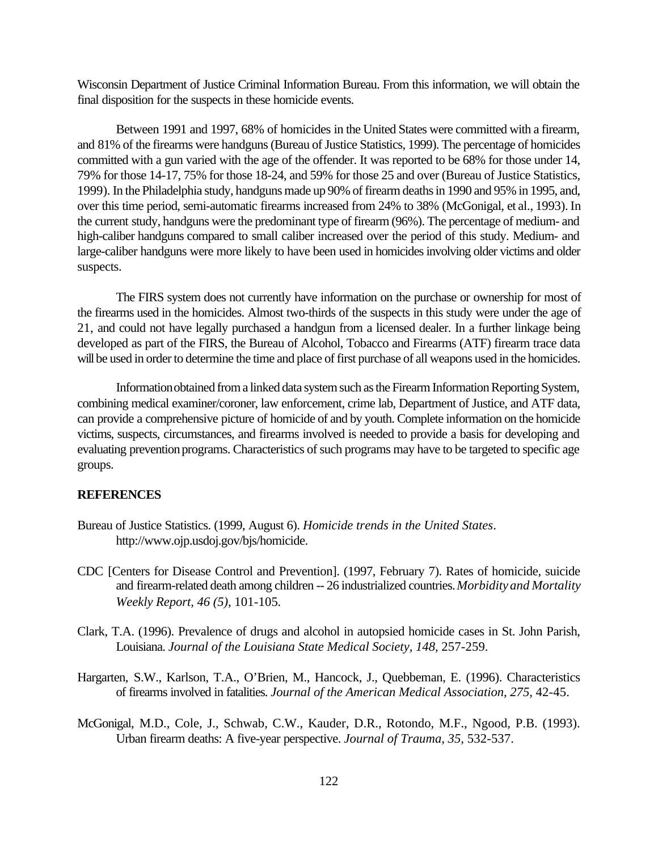Wisconsin Department of Justice Criminal Information Bureau. From this information, we will obtain the final disposition for the suspects in these homicide events.

Between 1991 and 1997, 68% of homicides in the United States were committed with a firearm, and 81% of the firearms were handguns (Bureau of Justice Statistics, 1999). The percentage of homicides committed with a gun varied with the age of the offender. It was reported to be 68% for those under 14, 79% for those 14-17, 75% for those 18-24, and 59% for those 25 and over (Bureau of Justice Statistics, 1999). In the Philadelphia study, handguns made up 90% of firearm deaths in 1990 and 95% in 1995, and, over this time period, semi-automatic firearms increased from 24% to 38% (McGonigal, et al., 1993). In the current study, handguns were the predominant type of firearm (96%). The percentage of medium- and high-caliber handguns compared to small caliber increased over the period of this study. Medium- and large-caliber handguns were more likely to have been used in homicides involving older victims and older suspects.

The FIRS system does not currently have information on the purchase or ownership for most of the firearms used in the homicides. Almost two-thirds of the suspects in this study were under the age of 21, and could not have legally purchased a handgun from a licensed dealer. In a further linkage being developed as part of the FIRS, the Bureau of Alcohol, Tobacco and Firearms (ATF) firearm trace data will be used in order to determine the time and place of first purchase of all weapons used in the homicides.

Information obtained from a linked data system such as the Firearm Information Reporting System, combining medical examiner/coroner, law enforcement, crime lab, Department of Justice, and ATF data, can provide a comprehensive picture of homicide of and by youth. Complete information on the homicide victims, suspects, circumstances, and firearms involved is needed to provide a basis for developing and evaluating prevention programs. Characteristics of such programs may have to be targeted to specific age groups.

# **REFERENCES**

- Bureau of Justice Statistics. (1999, August 6). *Homicide trends in the United States*. http://www.ojp.usdoj.gov/bjs/homicide.
- CDC [Centers for Disease Control and Prevention]. (1997, February 7). Rates of homicide, suicide and firearm-related death among children -- 26 industrialized countries. *Morbidity and Mortality Weekly Report, 46 (5),* 101-105*.*
- Clark, T.A. (1996). Prevalence of drugs and alcohol in autopsied homicide cases in St. John Parish, Louisiana. *Journal of the Louisiana State Medical Society, 148,* 257-259.
- Hargarten, S.W., Karlson, T.A., O'Brien, M., Hancock, J., Quebbeman, E. (1996). Characteristics of firearms involved in fatalities. *Journal of the American Medical Association, 275,* 42-45.
- McGonigal, M.D., Cole, J., Schwab, C.W., Kauder, D.R., Rotondo, M.F., Ngood, P.B. (1993). Urban firearm deaths: A five-year perspective. *Journal of Trauma, 35,* 532-537.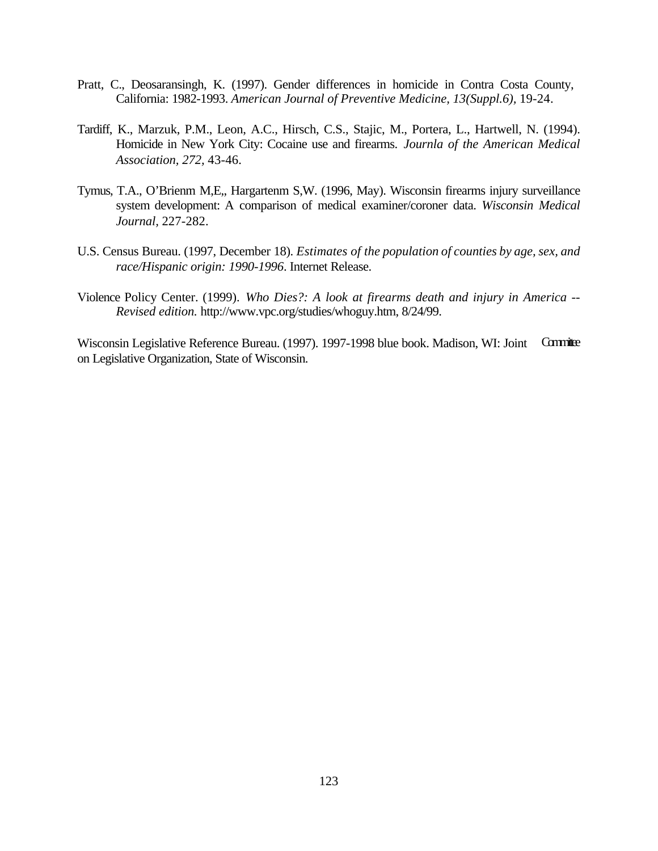- Pratt, C., Deosaransingh, K. (1997). Gender differences in homicide in Contra Costa County, California: 1982-1993. *American Journal of Preventive Medicine, 13(Suppl.6),* 19-24.
- Tardiff, K., Marzuk, P.M., Leon, A.C., Hirsch, C.S., Stajic, M., Portera, L., Hartwell, N. (1994). Homicide in New York City: Cocaine use and firearms. *Journla of the American Medical Association, 272,* 43-46.
- Tymus, T.A., O'Brienm M,E,, Hargartenm S,W. (1996, May). Wisconsin firearms injury surveillance system development: A comparison of medical examiner/coroner data. *Wisconsin Medical Journal,* 227-282.
- U.S. Census Bureau. (1997, December 18). *Estimates of the population of counties by age, sex, and race/Hispanic origin: 1990-1996*. Internet Release.
- Violence Policy Center. (1999). *Who Dies?: A look at firearms death and injury in America -- Revised edition.* http://www.vpc.org/studies/whoguy.htm, 8/24/99.

Wisconsin Legislative Reference Bureau. (1997). 1997-1998 blue book. Madison, WI: Joint Committee on Legislative Organization, State of Wisconsin.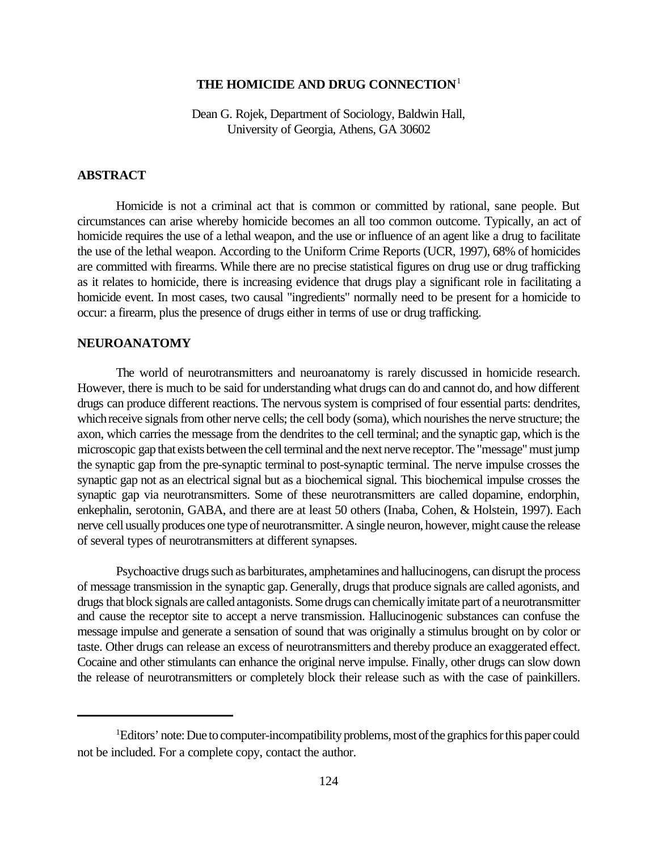## **THE HOMICIDE AND DRUG CONNECTION**<sup>1</sup>

Dean G. Rojek, Department of Sociology, Baldwin Hall, University of Georgia, Athens, GA 30602

#### **ABSTRACT**

Homicide is not a criminal act that is common or committed by rational, sane people. But circumstances can arise whereby homicide becomes an all too common outcome. Typically, an act of homicide requires the use of a lethal weapon, and the use or influence of an agent like a drug to facilitate the use of the lethal weapon. According to the Uniform Crime Reports (UCR, 1997), 68% of homicides are committed with firearms. While there are no precise statistical figures on drug use or drug trafficking as it relates to homicide, there is increasing evidence that drugs play a significant role in facilitating a homicide event. In most cases, two causal "ingredients" normally need to be present for a homicide to occur: a firearm, plus the presence of drugs either in terms of use or drug trafficking.

#### **NEUROANATOMY**

The world of neurotransmitters and neuroanatomy is rarely discussed in homicide research. However, there is much to be said for understanding what drugs can do and cannot do, and how different drugs can produce different reactions. The nervous system is comprised of four essential parts: dendrites, which receive signals from other nerve cells; the cell body (soma), which nourishes the nerve structure; the axon, which carries the message from the dendrites to the cell terminal; and the synaptic gap, which is the microscopic gap that exists between the cell terminal and the next nerve receptor. The "message" must jump the synaptic gap from the pre-synaptic terminal to post-synaptic terminal. The nerve impulse crosses the synaptic gap not as an electrical signal but as a biochemical signal. This biochemical impulse crosses the synaptic gap via neurotransmitters. Some of these neurotransmitters are called dopamine, endorphin, enkephalin, serotonin, GABA, and there are at least 50 others (Inaba, Cohen, & Holstein, 1997). Each nerve cell usually produces one type of neurotransmitter. A single neuron, however, might cause the release of several types of neurotransmitters at different synapses.

Psychoactive drugs such as barbiturates, amphetamines and hallucinogens, can disrupt the process of message transmission in the synaptic gap. Generally, drugs that produce signals are called agonists, and drugs that block signals are called antagonists. Some drugs can chemically imitate part of a neurotransmitter and cause the receptor site to accept a nerve transmission. Hallucinogenic substances can confuse the message impulse and generate a sensation of sound that was originally a stimulus brought on by color or taste. Other drugs can release an excess of neurotransmitters and thereby produce an exaggerated effect. Cocaine and other stimulants can enhance the original nerve impulse. Finally, other drugs can slow down the release of neurotransmitters or completely block their release such as with the case of painkillers.

<sup>&</sup>lt;sup>1</sup>Editors' note: Due to computer-incompatibility problems, most of the graphics for this paper could not be included. For a complete copy, contact the author.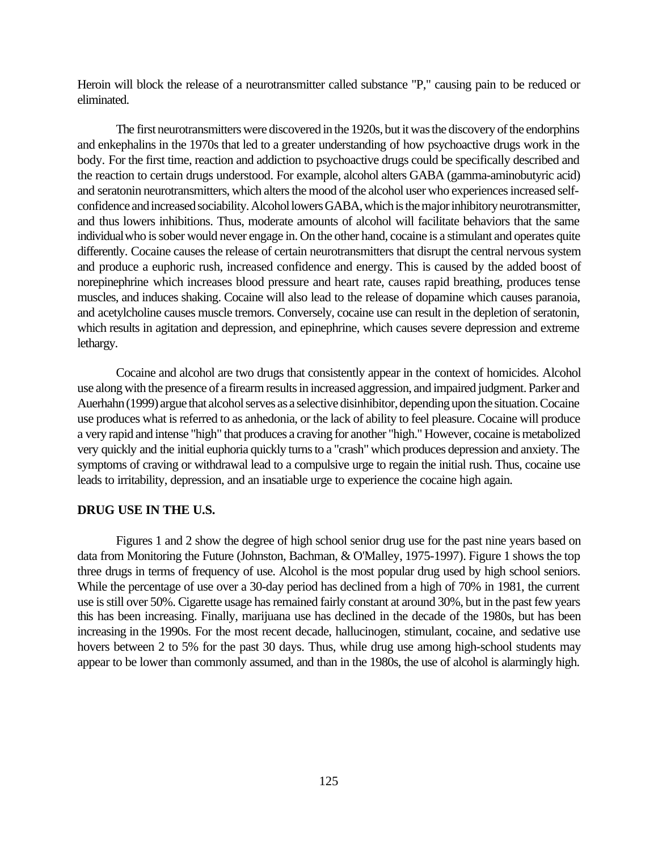Heroin will block the release of a neurotransmitter called substance "P," causing pain to be reduced or eliminated.

The first neurotransmitters were discovered in the 1920s, but it was the discovery of the endorphins and enkephalins in the 1970s that led to a greater understanding of how psychoactive drugs work in the body. For the first time, reaction and addiction to psychoactive drugs could be specifically described and the reaction to certain drugs understood. For example, alcohol alters GABA (gamma-aminobutyric acid) and seratonin neurotransmitters, which alters the mood of the alcohol user who experiences increased selfconfidence and increased sociability. Alcohol lowers GABA, which is the major inhibitory neurotransmitter, and thus lowers inhibitions. Thus, moderate amounts of alcohol will facilitate behaviors that the same individual who is sober would never engage in. On the other hand, cocaine is a stimulant and operates quite differently. Cocaine causes the release of certain neurotransmitters that disrupt the central nervous system and produce a euphoric rush, increased confidence and energy. This is caused by the added boost of norepinephrine which increases blood pressure and heart rate, causes rapid breathing, produces tense muscles, and induces shaking. Cocaine will also lead to the release of dopamine which causes paranoia, and acetylcholine causes muscle tremors. Conversely, cocaine use can result in the depletion of seratonin, which results in agitation and depression, and epinephrine, which causes severe depression and extreme lethargy.

Cocaine and alcohol are two drugs that consistently appear in the context of homicides. Alcohol use along with the presence of a firearm results in increased aggression, and impaired judgment. Parker and Auerhahn (1999) argue that alcohol serves as a selective disinhibitor, depending upon the situation. Cocaine use produces what is referred to as anhedonia, or the lack of ability to feel pleasure. Cocaine will produce a very rapid and intense "high" that produces a craving for another "high." However, cocaine is metabolized very quickly and the initial euphoria quickly turns to a "crash" which produces depression and anxiety. The symptoms of craving or withdrawal lead to a compulsive urge to regain the initial rush. Thus, cocaine use leads to irritability, depression, and an insatiable urge to experience the cocaine high again.

#### **DRUG USE IN THE U.S.**

Figures 1 and 2 show the degree of high school senior drug use for the past nine years based on data from Monitoring the Future (Johnston, Bachman, & O'Malley, 1975-1997). Figure 1 shows the top three drugs in terms of frequency of use. Alcohol is the most popular drug used by high school seniors. While the percentage of use over a 30-day period has declined from a high of 70% in 1981, the current use is still over 50%. Cigarette usage has remained fairly constant at around 30%, but in the past few years this has been increasing. Finally, marijuana use has declined in the decade of the 1980s, but has been increasing in the 1990s. For the most recent decade, hallucinogen, stimulant, cocaine, and sedative use hovers between 2 to 5% for the past 30 days. Thus, while drug use among high-school students may appear to be lower than commonly assumed, and than in the 1980s, the use of alcohol is alarmingly high.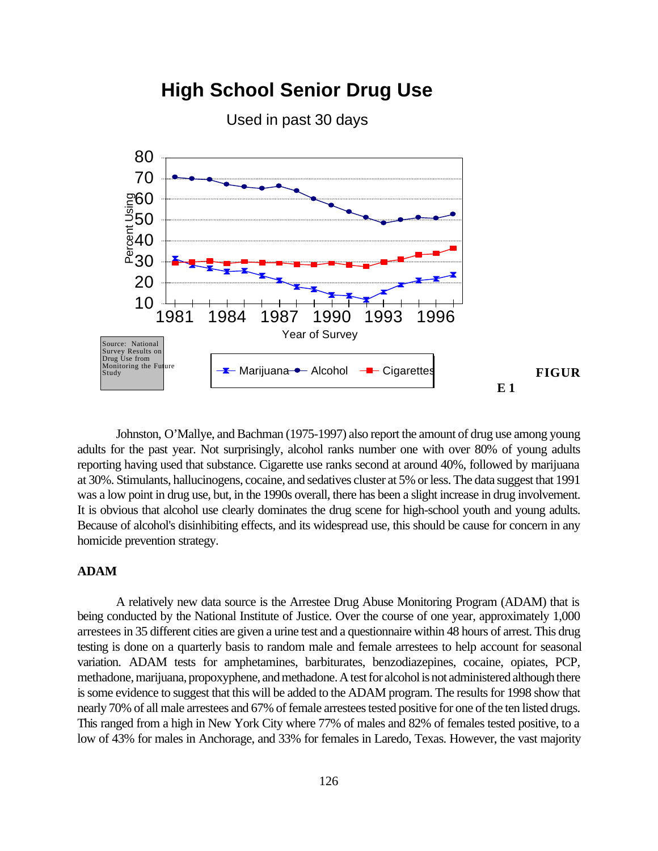

**High School Senior Drug Use**

Johnston, O'Mallye, and Bachman (1975-1997) also report the amount of drug use among young adults for the past year. Not surprisingly, alcohol ranks number one with over 80% of young adults reporting having used that substance. Cigarette use ranks second at around 40%, followed by marijuana at 30%. Stimulants, hallucinogens, cocaine, and sedatives cluster at 5% or less. The data suggest that 1991 was a low point in drug use, but, in the 1990s overall, there has been a slight increase in drug involvement. It is obvious that alcohol use clearly dominates the drug scene for high-school youth and young adults. Because of alcohol's disinhibiting effects, and its widespread use, this should be cause for concern in any homicide prevention strategy.

## **ADAM**

A relatively new data source is the Arrestee Drug Abuse Monitoring Program (ADAM) that is being conducted by the National Institute of Justice. Over the course of one year, approximately 1,000 arrestees in 35 different cities are given a urine test and a questionnaire within 48 hours of arrest. This drug testing is done on a quarterly basis to random male and female arrestees to help account for seasonal variation. ADAM tests for amphetamines, barbiturates, benzodiazepines, cocaine, opiates, PCP, methadone, marijuana, propoxyphene, and methadone. A test for alcohol is not administered although there is some evidence to suggest that this will be added to the ADAM program. The results for 1998 show that nearly 70% of all male arrestees and 67% of female arrestees tested positive for one of the ten listed drugs. This ranged from a high in New York City where 77% of males and 82% of females tested positive, to a low of 43% for males in Anchorage, and 33% for females in Laredo, Texas. However, the vast majority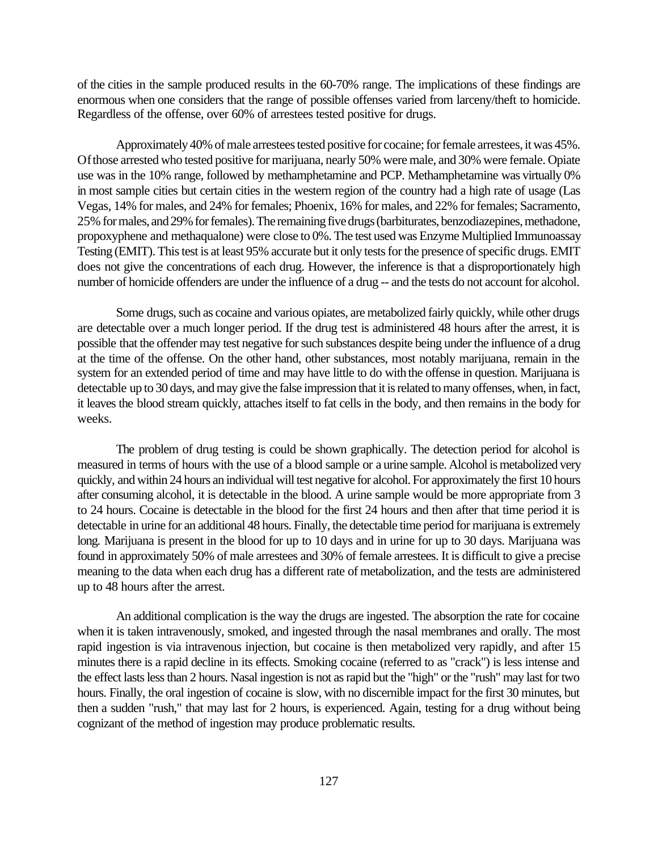of the cities in the sample produced results in the 60-70% range. The implications of these findings are enormous when one considers that the range of possible offenses varied from larceny/theft to homicide. Regardless of the offense, over 60% of arrestees tested positive for drugs.

Approximately 40% of male arrestees tested positive for cocaine; for female arrestees, it was 45%. Of those arrested who tested positive for marijuana, nearly 50% were male, and 30% were female. Opiate use was in the 10% range, followed by methamphetamine and PCP. Methamphetamine was virtually 0% in most sample cities but certain cities in the western region of the country had a high rate of usage (Las Vegas, 14% for males, and 24% for females; Phoenix, 16% for males, and 22% for females; Sacramento, 25% for males, and 29% for females). The remaining five drugs (barbiturates, benzodiazepines, methadone, propoxyphene and methaqualone) were close to 0%. The test used was Enzyme Multiplied Immunoassay Testing (EMIT). This test is at least 95% accurate but it only tests for the presence of specific drugs. EMIT does not give the concentrations of each drug. However, the inference is that a disproportionately high number of homicide offenders are under the influence of a drug -- and the tests do not account for alcohol.

Some drugs, such as cocaine and various opiates, are metabolized fairly quickly, while other drugs are detectable over a much longer period. If the drug test is administered 48 hours after the arrest, it is possible that the offender may test negative for such substances despite being under the influence of a drug at the time of the offense. On the other hand, other substances, most notably marijuana, remain in the system for an extended period of time and may have little to do with the offense in question. Marijuana is detectable up to 30 days, and may give the false impression that it is related to many offenses, when, in fact, it leaves the blood stream quickly, attaches itself to fat cells in the body, and then remains in the body for weeks.

The problem of drug testing is could be shown graphically. The detection period for alcohol is measured in terms of hours with the use of a blood sample or a urine sample. Alcohol is metabolized very quickly, and within 24 hours an individual will test negative for alcohol. For approximately the first 10 hours after consuming alcohol, it is detectable in the blood. A urine sample would be more appropriate from 3 to 24 hours. Cocaine is detectable in the blood for the first 24 hours and then after that time period it is detectable in urine for an additional 48 hours. Finally, the detectable time period for marijuana is extremely long. Marijuana is present in the blood for up to 10 days and in urine for up to 30 days. Marijuana was found in approximately 50% of male arrestees and 30% of female arrestees. It is difficult to give a precise meaning to the data when each drug has a different rate of metabolization, and the tests are administered up to 48 hours after the arrest.

An additional complication is the way the drugs are ingested. The absorption the rate for cocaine when it is taken intravenously, smoked, and ingested through the nasal membranes and orally. The most rapid ingestion is via intravenous injection, but cocaine is then metabolized very rapidly, and after 15 minutes there is a rapid decline in its effects. Smoking cocaine (referred to as "crack") is less intense and the effect lasts less than 2 hours. Nasal ingestion is not as rapid but the "high" or the "rush" may last for two hours. Finally, the oral ingestion of cocaine is slow, with no discernible impact for the first 30 minutes, but then a sudden "rush," that may last for 2 hours, is experienced. Again, testing for a drug without being cognizant of the method of ingestion may produce problematic results.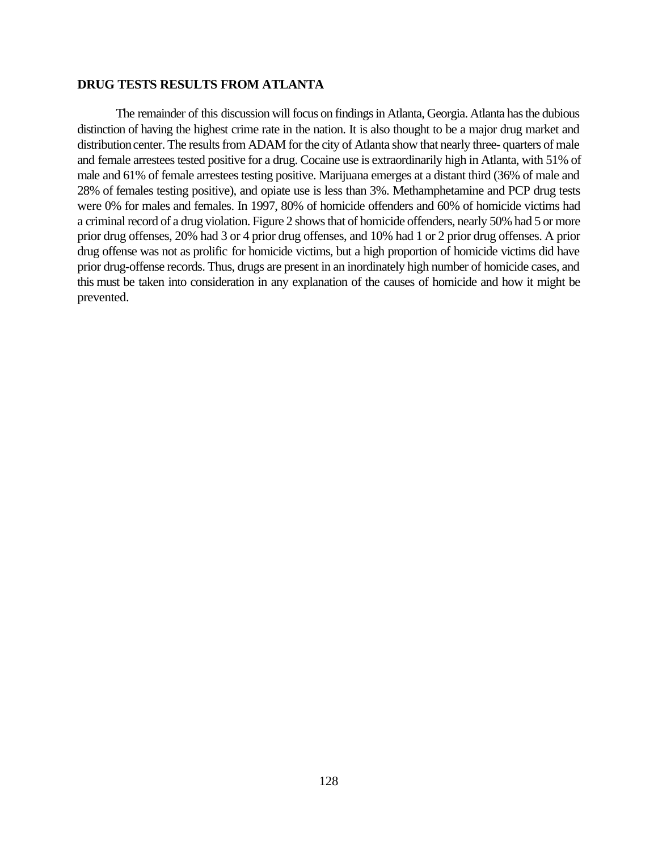## **DRUG TESTS RESULTS FROM ATLANTA**

The remainder of this discussion will focus on findings in Atlanta, Georgia. Atlanta has the dubious distinction of having the highest crime rate in the nation. It is also thought to be a major drug market and distribution center. The results from ADAM for the city of Atlanta show that nearly three- quarters of male and female arrestees tested positive for a drug. Cocaine use is extraordinarily high in Atlanta, with 51% of male and 61% of female arrestees testing positive. Marijuana emerges at a distant third (36% of male and 28% of females testing positive), and opiate use is less than 3%. Methamphetamine and PCP drug tests were 0% for males and females. In 1997, 80% of homicide offenders and 60% of homicide victims had a criminal record of a drug violation. Figure 2 shows that of homicide offenders, nearly 50% had 5 or more prior drug offenses, 20% had 3 or 4 prior drug offenses, and 10% had 1 or 2 prior drug offenses. A prior drug offense was not as prolific for homicide victims, but a high proportion of homicide victims did have prior drug-offense records. Thus, drugs are present in an inordinately high number of homicide cases, and this must be taken into consideration in any explanation of the causes of homicide and how it might be prevented.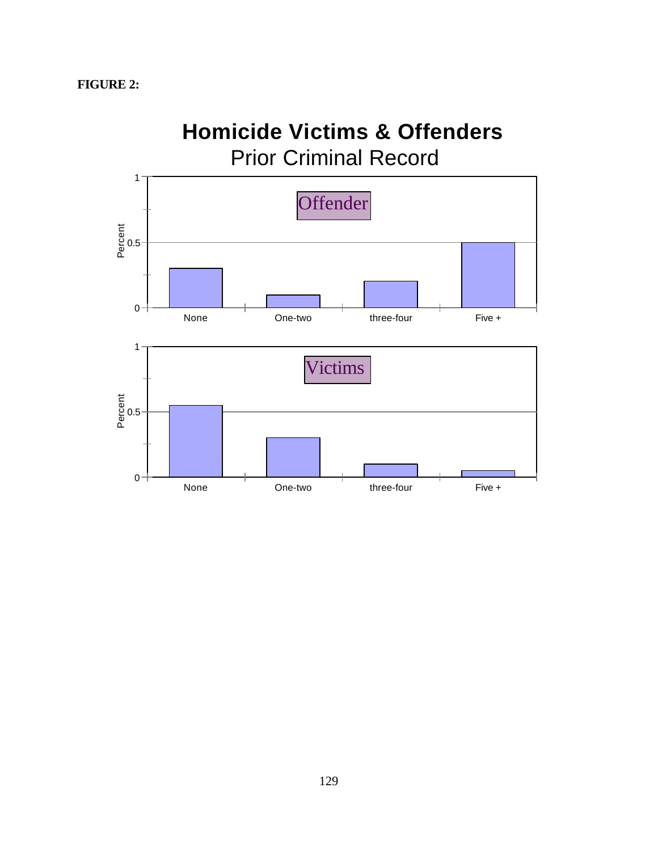# **FIGURE 2:**

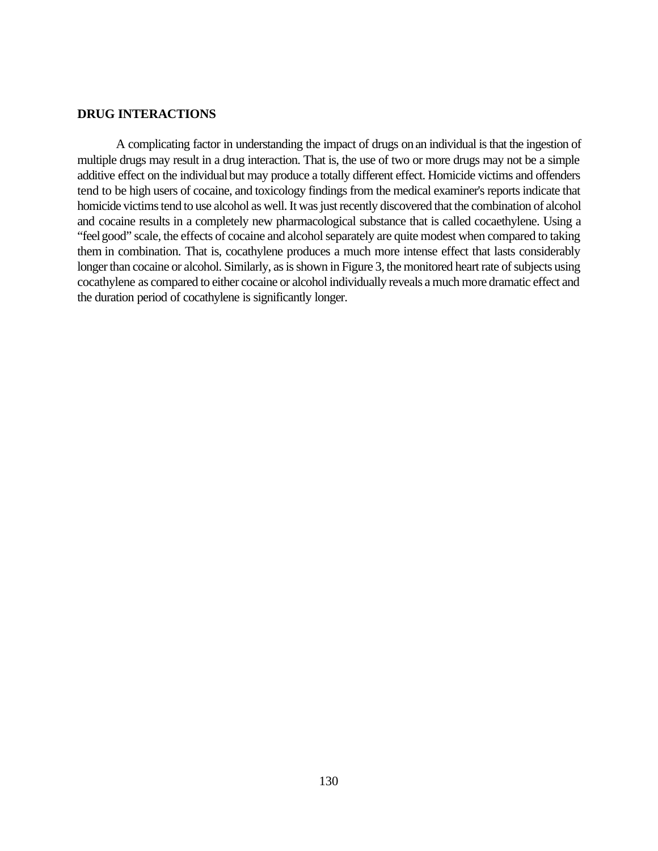## **DRUG INTERACTIONS**

A complicating factor in understanding the impact of drugs on an individual is that the ingestion of multiple drugs may result in a drug interaction. That is, the use of two or more drugs may not be a simple additive effect on the individual but may produce a totally different effect. Homicide victims and offenders tend to be high users of cocaine, and toxicology findings from the medical examiner's reports indicate that homicide victims tend to use alcohol as well. It was just recently discovered that the combination of alcohol and cocaine results in a completely new pharmacological substance that is called cocaethylene. Using a "feel good" scale, the effects of cocaine and alcohol separately are quite modest when compared to taking them in combination. That is, cocathylene produces a much more intense effect that lasts considerably longer than cocaine or alcohol. Similarly, as is shown in Figure 3, the monitored heart rate of subjects using cocathylene as compared to either cocaine or alcohol individually reveals a much more dramatic effect and the duration period of cocathylene is significantly longer.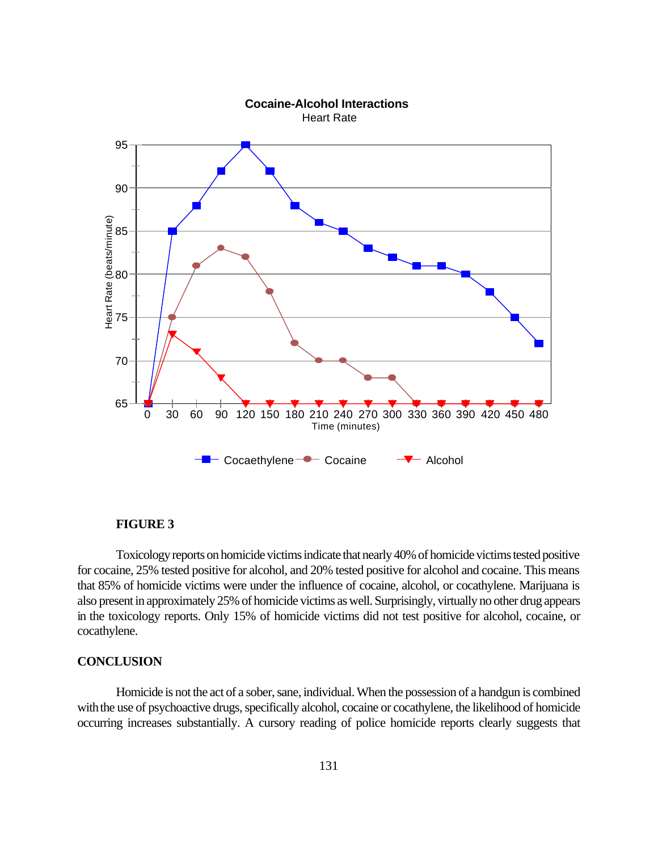

# **Cocaine-Alcohol Interactions**

#### **FIGURE 3**

Toxicology reports on homicide victims indicate that nearly 40% of homicide victims tested positive for cocaine, 25% tested positive for alcohol, and 20% tested positive for alcohol and cocaine. This means that 85% of homicide victims were under the influence of cocaine, alcohol, or cocathylene. Marijuana is also present in approximately 25% of homicide victims as well. Surprisingly, virtually no other drug appears in the toxicology reports. Only 15% of homicide victims did not test positive for alcohol, cocaine, or cocathylene.

### **CONCLUSION**

Homicide is not the act of a sober, sane, individual. When the possession of a handgun is combined with the use of psychoactive drugs, specifically alcohol, cocaine or cocathylene, the likelihood of homicide occurring increases substantially. A cursory reading of police homicide reports clearly suggests that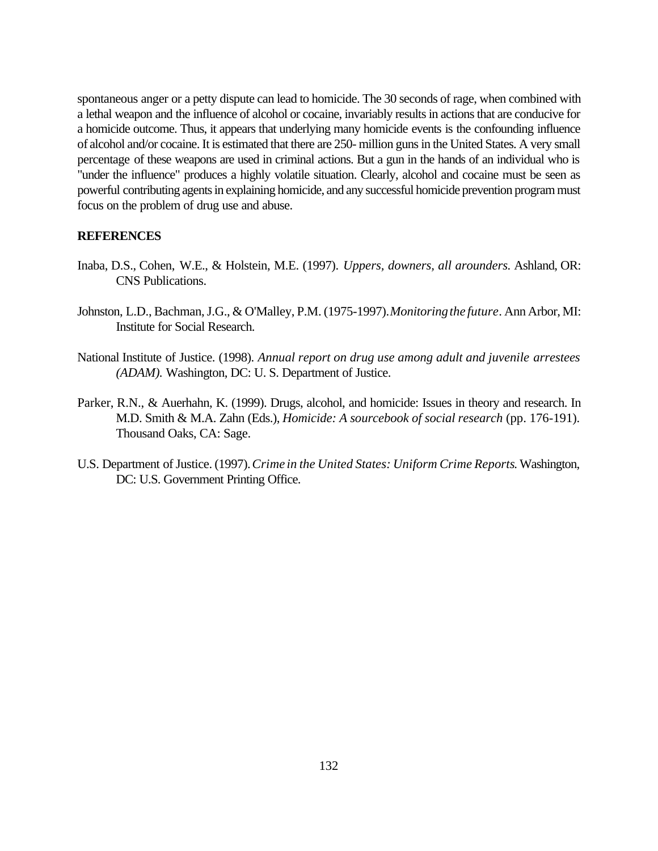spontaneous anger or a petty dispute can lead to homicide. The 30 seconds of rage, when combined with a lethal weapon and the influence of alcohol or cocaine, invariably results in actions that are conducive for a homicide outcome. Thus, it appears that underlying many homicide events is the confounding influence of alcohol and/or cocaine. It is estimated that there are 250- million guns in the United States. A very small percentage of these weapons are used in criminal actions. But a gun in the hands of an individual who is "under the influence" produces a highly volatile situation. Clearly, alcohol and cocaine must be seen as powerful contributing agents in explaining homicide, and any successful homicide prevention program must focus on the problem of drug use and abuse.

## **REFERENCES**

- Inaba, D.S., Cohen, W.E., & Holstein, M.E. (1997). *Uppers, downers, all arounders.* Ashland, OR: CNS Publications.
- Johnston, L.D., Bachman, J.G., & O'Malley, P.M. (1975-1997). *Monitoring the future*. Ann Arbor, MI: Institute for Social Research.
- National Institute of Justice. (1998). *Annual report on drug use among adult and juvenile arrestees (ADAM).* Washington, DC: U. S. Department of Justice.
- Parker, R.N., & Auerhahn, K. (1999). Drugs, alcohol, and homicide: Issues in theory and research. In M.D. Smith & M.A. Zahn (Eds.), *Homicide: A sourcebook of social research* (pp. 176-191)*.* Thousand Oaks, CA: Sage.
- U.S. Department of Justice. (1997). *Crime in the United States: Uniform Crime Reports*. Washington, DC: U.S. Government Printing Office.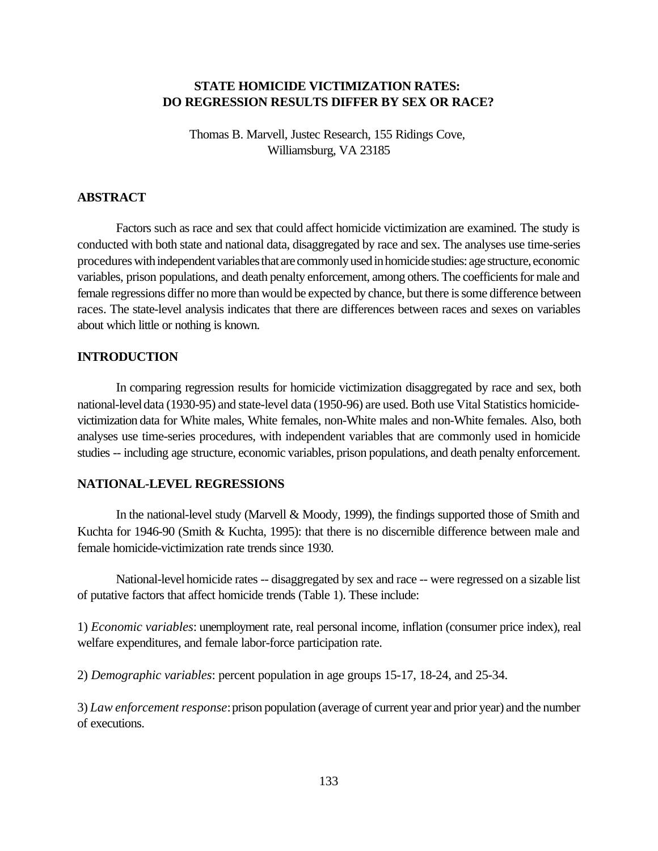# **STATE HOMICIDE VICTIMIZATION RATES: DO REGRESSION RESULTS DIFFER BY SEX OR RACE?**

Thomas B. Marvell, Justec Research, 155 Ridings Cove, Williamsburg, VA 23185

## **ABSTRACT**

Factors such as race and sex that could affect homicide victimization are examined. The study is conducted with both state and national data, disaggregated by race and sex. The analyses use time-series procedures with independent variables that are commonly used in homicide studies: age structure, economic variables, prison populations, and death penalty enforcement, among others. The coefficients for male and female regressions differ no more than would be expected by chance, but there is some difference between races. The state-level analysis indicates that there are differences between races and sexes on variables about which little or nothing is known.

## **INTRODUCTION**

In comparing regression results for homicide victimization disaggregated by race and sex, both national-level data (1930-95) and state-level data (1950-96) are used. Both use Vital Statistics homicidevictimization data for White males, White females, non-White males and non-White females. Also, both analyses use time-series procedures, with independent variables that are commonly used in homicide studies -- including age structure, economic variables, prison populations, and death penalty enforcement.

## **NATIONAL-LEVEL REGRESSIONS**

In the national-level study (Marvell & Moody, 1999), the findings supported those of Smith and Kuchta for 1946-90 (Smith & Kuchta, 1995): that there is no discernible difference between male and female homicide-victimization rate trends since 1930.

National-level homicide rates -- disaggregated by sex and race -- were regressed on a sizable list of putative factors that affect homicide trends (Table 1). These include:

1) *Economic variables*: unemployment rate, real personal income, inflation (consumer price index), real welfare expenditures, and female labor-force participation rate.

2) *Demographic variables*: percent population in age groups 15-17, 18-24, and 25-34.

3) *Law enforcement response*: prison population (average of current year and prior year) and the number of executions.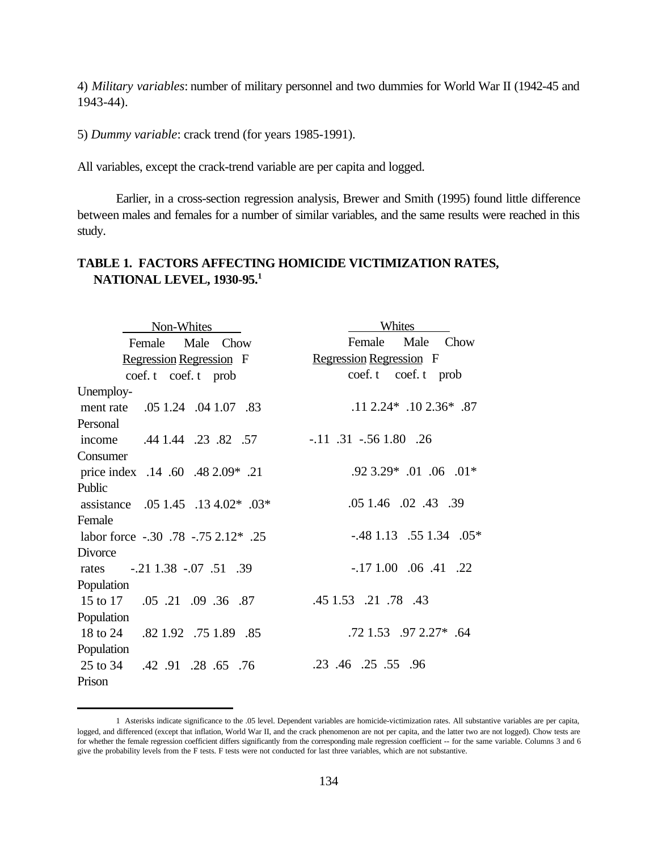4) *Military variables*: number of military personnel and two dummies for World War II (1942-45 and 1943-44).

5) *Dummy variable*: crack trend (for years 1985-1991).

All variables, except the crack-trend variable are per capita and logged.

Earlier, in a cross-section regression analysis, Brewer and Smith (1995) found little difference between males and females for a number of similar variables, and the same results were reached in this study.

# **TABLE 1. FACTORS AFFECTING HOMICIDE VICTIMIZATION RATES, NATIONAL LEVEL, 1930-95.<sup>1</sup>**

| Non-Whites                          | Whites                           |
|-------------------------------------|----------------------------------|
| Female Male Chow                    | Female Male Chow                 |
| Regression Regression F             | <b>Regression Regression</b> F   |
| coef.t coef.t prob                  | coef.t coef.t prob               |
| Unemploy-                           |                                  |
| ment rate .05 1.24 .04 1.07 .83     | $.112.24*$ $.102.36*$ .87        |
| Personal                            |                                  |
| income .44 1.44 .23 .82 .57         | $-.11$ $.31$ $-.56$ $1.80$ $.26$ |
| Consumer                            |                                  |
| price index .14 .60 .48 2.09* .21   | $.923.29*$ .01 .06 .01*          |
| Public                              |                                  |
| assistance .05 1.45 .13 4.02* .03*  | .05 1.46 .02 .43 .39             |
| Female                              |                                  |
| labor force -.30 .78 -.75 2.12* .25 | $-.48$ 1.13 .55 1.34 .05*        |
| Divorce                             |                                  |
| rates -.21 1.38 -.07 .51 .39        | $-.17$ 1.00 .06 .41 .22          |
| Population                          |                                  |
| 15 to 17 .05 .21 .09 .36 .87        | .45 1.53 .21 .78 .43             |
| Population                          |                                  |
| 18 to 24 .82 1.92 .75 1.89 .85      | $.72$ 1.53 $.97$ 2.27* .64       |
| Population                          |                                  |
| 25 to 34 .42 .91 .28 .65 .76        | .23 .46 .25 .55 .96              |
| Prison                              |                                  |

<sup>1</sup> Asterisks indicate significance to the .05 level. Dependent variables are homicide-victimization rates. All substantive variables are per capita, logged, and differenced (except that inflation, World War II, and the crack phenomenon are not per capita, and the latter two are not logged). Chow tests are for whether the female regression coefficient differs significantly from the corresponding male regression coefficient -- for the same variable. Columns 3 and 6 give the probability levels from the F tests. F tests were not conducted for last three variables, which are not substantive.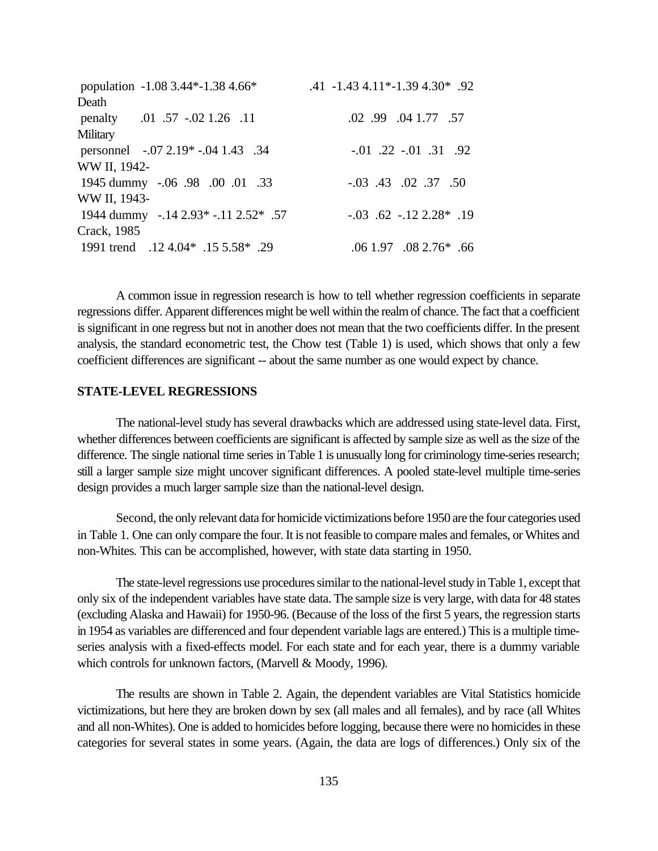| population -1.08 3.44*-1.38 4.66*    | $.41 - 1.434.11* - 1.394.30*$ .92     |
|--------------------------------------|---------------------------------------|
| Death                                |                                       |
| penalty .01 .57 -.02 1.26 .11        | .02 .99 .04 1.77 .57                  |
| Military                             |                                       |
| personnel -.07 2.19* -.04 1.43 .34   | $-0.01$ $.22$ $-0.01$ $.31$ $.92$     |
| WW II, 1942-                         |                                       |
| 1945 dummy -.06 .98 .00 .01 .33      | $-.03$ $.43$ $.02$ $.37$ $.50$        |
| WW II, 1943-                         |                                       |
| 1944 dummy -.14 2.93* -.11 2.52* .57 | $-0.03$ $0.62$ $-0.12$ $2.28*$ $0.19$ |
| Crack, 1985                          |                                       |
| 1991 trend .12 4.04* .15 5.58* .29   | $.061.97$ $.082.76*$ .66              |
|                                      |                                       |

A common issue in regression research is how to tell whether regression coefficients in separate regressions differ. Apparent differences might be well within the realm of chance. The fact that a coefficient is significant in one regress but not in another does not mean that the two coefficients differ. In the present analysis, the standard econometric test, the Chow test (Table 1) is used, which shows that only a few coefficient differences are significant -- about the same number as one would expect by chance.

## **STATE-LEVEL REGRESSIONS**

The national-level study has several drawbacks which are addressed using state-level data. First, whether differences between coefficients are significant is affected by sample size as well as the size of the difference. The single national time series in Table 1 is unusually long for criminology time-series research; still a larger sample size might uncover significant differences. A pooled state-level multiple time-series design provides a much larger sample size than the national-level design.

Second, the only relevant data for homicide victimizations before 1950 are the four categories used in Table 1. One can only compare the four. It is not feasible to compare males and females, or Whites and non-Whites. This can be accomplished, however, with state data starting in 1950.

The state-level regressions use procedures similar to the national-level study in Table 1, except that only six of the independent variables have state data. The sample size is very large, with data for 48 states (excluding Alaska and Hawaii) for 1950-96. (Because of the loss of the first 5 years, the regression starts in 1954 as variables are differenced and four dependent variable lags are entered.) This is a multiple timeseries analysis with a fixed-effects model. For each state and for each year, there is a dummy variable which controls for unknown factors, (Marvell & Moody, 1996).

The results are shown in Table 2. Again, the dependent variables are Vital Statistics homicide victimizations, but here they are broken down by sex (all males and all females), and by race (all Whites and all non-Whites). One is added to homicides before logging, because there were no homicides in these categories for several states in some years. (Again, the data are logs of differences.) Only six of the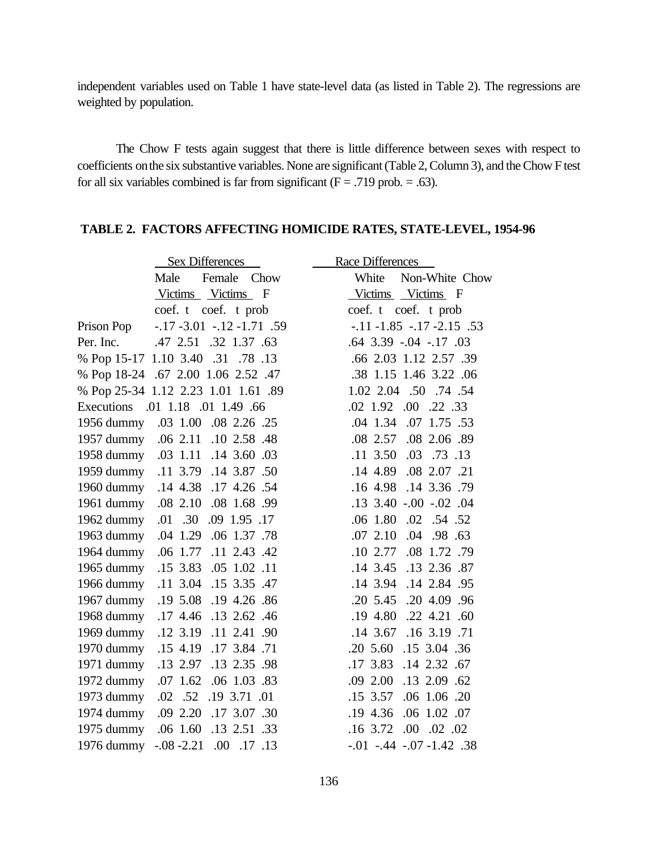independent variables used on Table 1 have state-level data (as listed in Table 2). The regressions are weighted by population.

The Chow F tests again suggest that there is little difference between sexes with respect to coefficients on the six substantive variables. None are significant (Table 2, Column 3), and the Chow F test for all six variables combined is far from significant ( $F = .719$  prob. = .63).

# **TABLE 2. FACTORS AFFECTING HOMICIDE RATES, STATE-LEVEL, 1954-96**

| <b>Sex Differences</b>                         | <b>Race Differences</b>            |  |  |  |  |
|------------------------------------------------|------------------------------------|--|--|--|--|
| Male<br>Female Chow                            | White<br>Non-White Chow            |  |  |  |  |
| Victims Victims F                              | Victims Victims F                  |  |  |  |  |
| coef. t coef. t prob                           | coef. t coef. t prob               |  |  |  |  |
| $-.17 - 3.01 - .12 - 1.71$ .59<br>Prison Pop   | $-.11 - 1.85 - .17 - 2.15$ .53     |  |  |  |  |
| Per. Inc.<br>.47 2.51 .32 1.37 .63             | .64 3.39 -.04 -.17 .03             |  |  |  |  |
| % Pop 15-17 1.10 3.40 .31 .78 .13              | .66 2.03 1.12 2.57 .39             |  |  |  |  |
| % Pop 18-24 .67 2.00 1.06 2.52 .47             | .38 1.15 1.46 3.22 .06             |  |  |  |  |
| % Pop 25-34 1.12 2.23 1.01 1.61 .89            | 1.02 2.04 .50 .74 .54              |  |  |  |  |
| Executions .01 1.18 .01 1.49 .66               | .02 1.92 .00 .22 .33               |  |  |  |  |
| 1956 dummy .03 1.00 .08 2.26 .25               | .04 1.34<br>.07 1.75 .53           |  |  |  |  |
| 1957 dummy .06 2.11<br>$.10$ 2.58 $.48$        | .08 2.06 .89<br>.08 2.57           |  |  |  |  |
| 1958 dummy .03 1.11<br>$.14$ 3.60 $.03$        | .11 3.50 .03 .73 .13               |  |  |  |  |
| 1959 dummy<br>.11 3.79 .14 3.87 .50            | .14 4.89 .08 2.07 .21              |  |  |  |  |
| 1960 dummy .14 4.38<br>.17 4.26 .54            | .16 4.98 .14 3.36 .79              |  |  |  |  |
| 1961 dummy<br>$.08$ 2.10<br>.08 1.68 .99       | $.13$ 3.40 $-.00$ $-.02$ $.04$     |  |  |  |  |
| 1962 dummy<br>$.01$ $.30$<br>.09 1.95 .17      | .06 1.80 .02 .54 .52               |  |  |  |  |
| 1963 dummy<br>.04 1.29<br>.06 1.37 .78         | .07 2.10 .04 .98 .63               |  |  |  |  |
| .06 1.77<br>1964 dummy<br>.11 2.43 .42         | .10 2.77<br>.08 1.72 .79           |  |  |  |  |
| $.15$ 3.83<br>1965 dummy<br>$.05$ $1.02$ $.11$ | $.14$ 3.45<br>.13 2.36 .87         |  |  |  |  |
| 1966 dummy<br>$.11$ 3.04<br>.15 3.35 .47       | .14 3.94<br>.14 2.84 .95           |  |  |  |  |
| 1967 dummy<br>$.19\,5.08$<br>.19 4.26 .86      | .20 5.45 .20 4.09 .96              |  |  |  |  |
| 1968 dummy<br>.174.46<br>.13 2.62 .46          | .19 4.80 .22 4.21 .60              |  |  |  |  |
| 1969 dummy<br>$.12$ 3.19<br>.11 2.41 .90       | $.14$ 3.67<br>.16 3.19 .71         |  |  |  |  |
| 1970 dummy<br>$.15$ 4.19<br>.17 3.84 .71       | .20 5.60 .15 3.04 .36              |  |  |  |  |
| 1971 dummy<br>.13 2.97<br>.13 2.35 .98         | .17 3.83<br>.14 2.32 .67           |  |  |  |  |
| 1972 dummy<br>$.07$ 1.62<br>.06 1.03 .83       | .09 2.00 .13 2.09 .62              |  |  |  |  |
| 1973 dummy<br>$.02$ .52<br>.19 3.71 .01        | .15 3.57<br>.06 1.06 .20           |  |  |  |  |
| 1974 dummy<br>.09 2.20<br>.17 3.07 .30         | .06 1.02 .07<br>.19 4.36           |  |  |  |  |
| 1975 dummy<br>$.06$ 1.60<br>.13 2.51 .33       | .16 3.72 .00 .02 .02               |  |  |  |  |
| 1976 dummy -.08 -2.21<br>.00 .17 .13           | $-.01$ $-.44$ $-.07$ $-1.42$ $.38$ |  |  |  |  |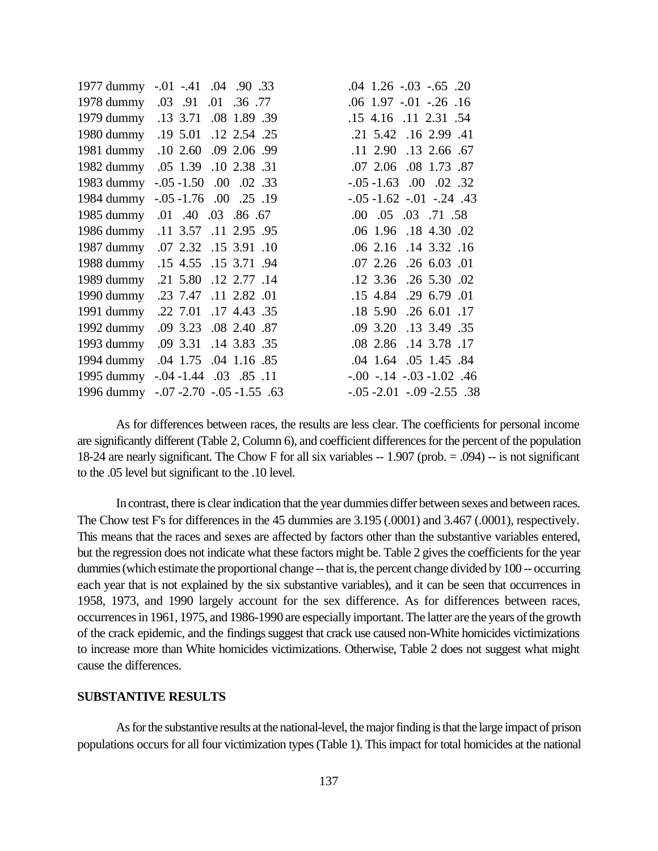|            | 1977 dummy -.01 -.41 .04 .90 .33     | $.04$ 1.26 $-.03$ $-.65$ .20   |
|------------|--------------------------------------|--------------------------------|
|            | 1978 dummy .03 .91 .01 .36 .77       | $.06$ 1.97 $-.01$ $-.26$ $.16$ |
|            | 1979 dummy .13 3.71 .08 1.89 .39     | .15 4.16 .11 2.31 .54          |
|            | 1980 dummy .19 5.01 .12 2.54 .25     | .21 5.42 .16 2.99 .41          |
|            | 1981 dummy .10 2.60 .09 2.06 .99     | .11 2.90 .13 2.66 .67          |
|            | 1982 dummy .05 1.39 .10 2.38 .31     | .07 2.06 .08 1.73 .87          |
| 1983 dummy | $-0.05 - 1.50$ $0.00$ $0.02$ $0.33$  | $-0.05 - 1.63$ .00 .02 .32     |
|            | 19. 25. 00. 1.76–05 00. 1984 dummy   | $-.05 - 1.62 - .01 - .24$ .43  |
|            | 1985 dummy .01 .40 .03 .86 .67       | .00 .05 .03 .71 .58            |
|            | 1986 dummy .11 3.57 .11 2.95 .95     | .06 1.96 .18 4.30 .02          |
|            | 1987 dummy .07 2.32 .15 3.91 .10     | .06 2.16 .14 3.32 .16          |
|            | 1988 dummy .15 4.55 .15 3.71 .94     | .07 2.26 .26 6.03 .01          |
|            | 14. 12.77 11. 1989 dummy .21 5.80    | .12 3.36 .26 5.30 .02          |
|            | 1990 dummy .23 7.47 .11 2.82 .01     | .15 4.84 .29 6.79 .01          |
|            | 1991 dummy .22 7.01 .17 4.43 .35     | .26 6.01 .17<br>$.18$ 5.90     |
|            | 1992 dummy .09 3.23 .08 2.40 .87     | .13 3.49 .35<br>.09 3.20       |
|            | 1993 dummy .09 3.31 .14 3.83 .35     | .08 2.86 .14 3.78 .17          |
|            | 1994 dummy .04 1.75 .04 1.16 .85     | .04 1.64 .05 1.45 .84          |
|            | 11. 85. 03. 11.44 03. 11             | $-.00-.14-.03-.1.02.46$        |
|            | 1996 dummy -.07 -2.70 -.05 -1.55 .63 | $-.05 - 2.01 - .09 - 2.55$ .38 |

As for differences between races, the results are less clear. The coefficients for personal income are significantly different (Table 2, Column 6), and coefficient differences for the percent of the population 18-24 are nearly significant. The Chow F for all six variables -- 1.907 (prob. = .094) -- is not significant to the .05 level but significant to the .10 level.

In contrast, there is clear indication that the year dummies differ between sexes and between races. The Chow test F's for differences in the 45 dummies are 3.195 (.0001) and 3.467 (.0001), respectively. This means that the races and sexes are affected by factors other than the substantive variables entered, but the regression does not indicate what these factors might be. Table 2 gives the coefficients for the year dummies (which estimate the proportional change -- that is, the percent change divided by 100 -- occurring each year that is not explained by the six substantive variables), and it can be seen that occurrences in 1958, 1973, and 1990 largely account for the sex difference. As for differences between races, occurrences in 1961, 1975, and 1986-1990 are especially important. The latter are the years of the growth of the crack epidemic, and the findings suggest that crack use caused non-White homicides victimizations to increase more than White homicides victimizations. Otherwise, Table 2 does not suggest what might cause the differences.

#### **SUBSTANTIVE RESULTS**

As for the substantive results at the national-level, the major finding is that the large impact of prison populations occurs for all four victimization types (Table 1). This impact for total homicides at the national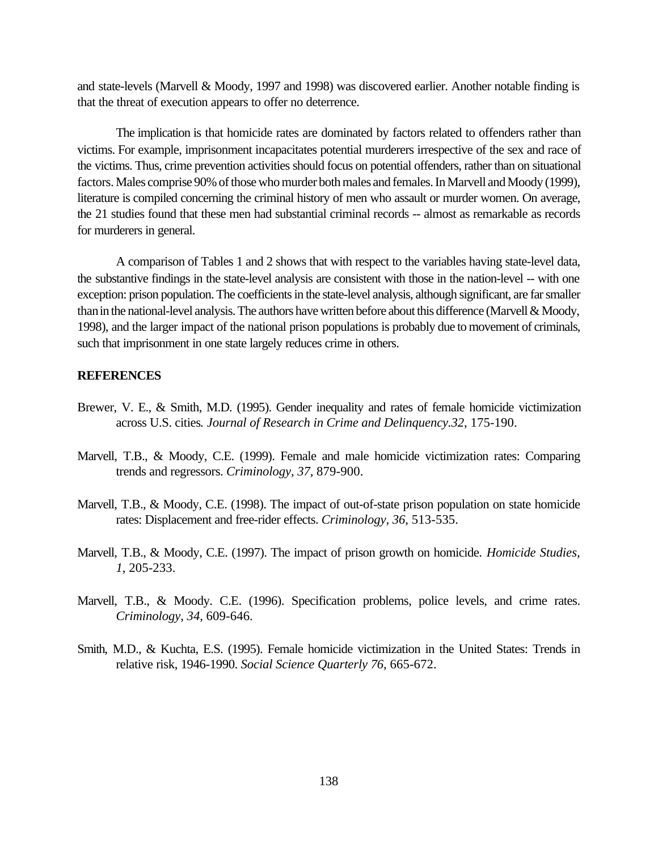and state-levels (Marvell & Moody, 1997 and 1998) was discovered earlier. Another notable finding is that the threat of execution appears to offer no deterrence.

The implication is that homicide rates are dominated by factors related to offenders rather than victims. For example, imprisonment incapacitates potential murderers irrespective of the sex and race of the victims. Thus, crime prevention activities should focus on potential offenders, rather than on situational factors. Males comprise 90% of those who murder both males and females. In Marvell and Moody (1999), literature is compiled concerning the criminal history of men who assault or murder women. On average, the 21 studies found that these men had substantial criminal records -- almost as remarkable as records for murderers in general.

A comparison of Tables 1 and 2 shows that with respect to the variables having state-level data, the substantive findings in the state-level analysis are consistent with those in the nation-level -- with one exception: prison population. The coefficients in the state-level analysis, although significant, are far smaller than in the national-level analysis. The authors have written before about this difference (Marvell & Moody, 1998), and the larger impact of the national prison populations is probably due to movement of criminals, such that imprisonment in one state largely reduces crime in others.

#### **REFERENCES**

- Brewer, V. E., & Smith, M.D. (1995). Gender inequality and rates of female homicide victimization across U.S. cities*. Journal of Research in Crime and Delinquency.32*, 175-190.
- Marvell, T.B., & Moody, C.E. (1999). Female and male homicide victimization rates: Comparing trends and regressors. *Criminology, 37,* 879-900.
- Marvell, T.B., & Moody, C.E. (1998). The impact of out-of-state prison population on state homicide rates: Displacement and free-rider effects. *Criminology, 36*, 513-535.
- Marvell, T.B., & Moody, C.E. (1997). The impact of prison growth on homicide. *Homicide Studies, 1*, 205-233.
- Marvell, T.B., & Moody. C.E. (1996). Specification problems, police levels, and crime rates. *Criminology, 34*, 609-646.
- Smith, M.D., & Kuchta, E.S. (1995). Female homicide victimization in the United States: Trends in relative risk, 1946-1990. *Social Science Quarterly 76*, 665-672.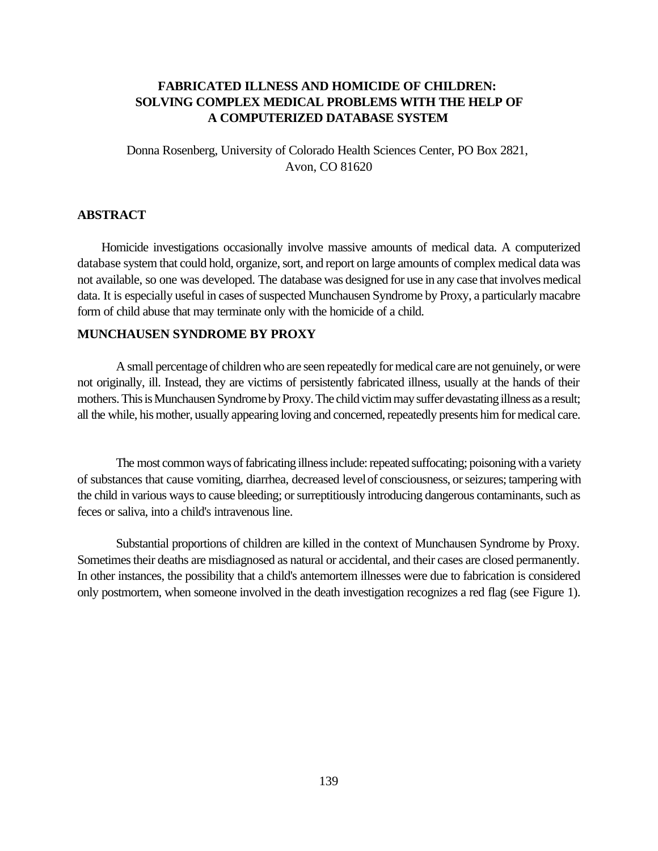# **FABRICATED ILLNESS AND HOMICIDE OF CHILDREN: SOLVING COMPLEX MEDICAL PROBLEMS WITH THE HELP OF A COMPUTERIZED DATABASE SYSTEM**

Donna Rosenberg, University of Colorado Health Sciences Center, PO Box 2821, Avon, CO 81620

## **ABSTRACT**

Homicide investigations occasionally involve massive amounts of medical data. A computerized database system that could hold, organize, sort, and report on large amounts of complex medical data was not available, so one was developed. The database was designed for use in any case that involves medical data. It is especially useful in cases of suspected Munchausen Syndrome by Proxy, a particularly macabre form of child abuse that may terminate only with the homicide of a child.

# **MUNCHAUSEN SYNDROME BY PROXY**

A small percentage of children who are seen repeatedly for medical care are not genuinely, or were not originally, ill. Instead, they are victims of persistently fabricated illness, usually at the hands of their mothers. This is Munchausen Syndrome by Proxy. The child victim may suffer devastating illness as a result; all the while, his mother, usually appearing loving and concerned, repeatedly presents him for medical care.

The most common ways of fabricating illness include: repeated suffocating; poisoning with a variety of substances that cause vomiting, diarrhea, decreased level of consciousness, or seizures; tampering with the child in various ways to cause bleeding; or surreptitiously introducing dangerous contaminants, such as feces or saliva, into a child's intravenous line.

Substantial proportions of children are killed in the context of Munchausen Syndrome by Proxy. Sometimes their deaths are misdiagnosed as natural or accidental, and their cases are closed permanently. In other instances, the possibility that a child's antemortem illnesses were due to fabrication is considered only postmortem, when someone involved in the death investigation recognizes a red flag (see Figure 1).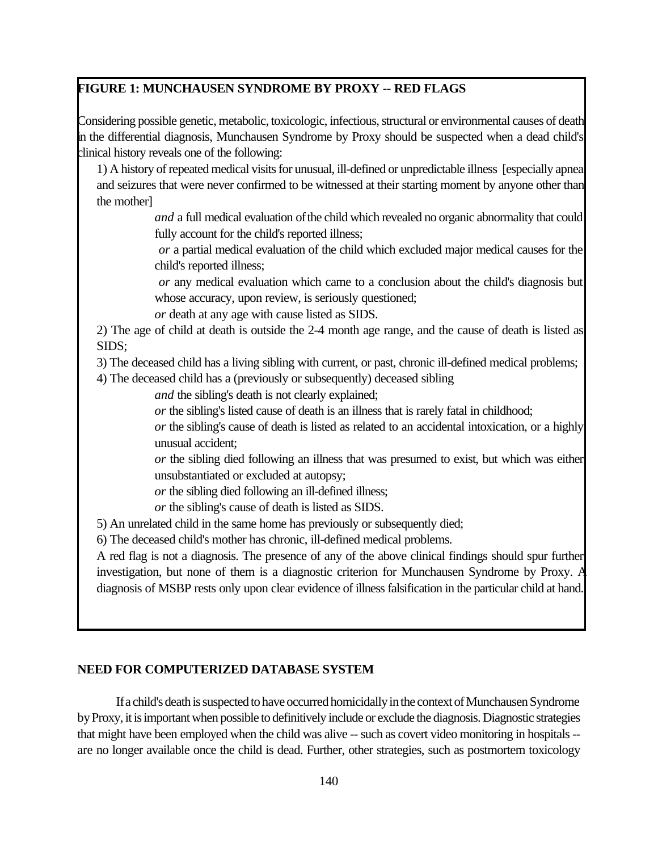# **FIGURE 1: MUNCHAUSEN SYNDROME BY PROXY -- RED FLAGS**

Considering possible genetic, metabolic, toxicologic, infectious, structural or environmental causes of death in the differential diagnosis, Munchausen Syndrome by Proxy should be suspected when a dead child's clinical history reveals one of the following:

1) A history of repeated medical visits for unusual, ill-defined or unpredictable illness [especially apnea and seizures that were never confirmed to be witnessed at their starting moment by anyone other than the mother]

> *and* a full medical evaluation of the child which revealed no organic abnormality that could fully account for the child's reported illness;

> *or* a partial medical evaluation of the child which excluded major medical causes for the child's reported illness;

> *or* any medical evaluation which came to a conclusion about the child's diagnosis but whose accuracy, upon review, is seriously questioned;

*or* death at any age with cause listed as SIDS.

2) The age of child at death is outside the 2-4 month age range, and the cause of death is listed as SIDS;

3) The deceased child has a living sibling with current, or past, chronic ill-defined medical problems;

4) The deceased child has a (previously or subsequently) deceased sibling

*and* the sibling's death is not clearly explained;

*or* the sibling's listed cause of death is an illness that is rarely fatal in childhood;

*or* the sibling's cause of death is listed as related to an accidental intoxication, or a highly unusual accident;

*or* the sibling died following an illness that was presumed to exist, but which was either unsubstantiated or excluded at autopsy;

*or* the sibling died following an ill-defined illness;

*or* the sibling's cause of death is listed as SIDS.

5) An unrelated child in the same home has previously or subsequently died;

6) The deceased child's mother has chronic, ill-defined medical problems.

A red flag is not a diagnosis. The presence of any of the above clinical findings should spur further investigation, but none of them is a diagnostic criterion for Munchausen Syndrome by Proxy. A diagnosis of MSBP rests only upon clear evidence of illness falsification in the particular child at hand.

# **NEED FOR COMPUTERIZED DATABASE SYSTEM**

If a child's death is suspected to have occurred homicidally in the context of Munchausen Syndrome by Proxy, it is important when possible to definitively include or exclude the diagnosis. Diagnostic strategies that might have been employed when the child was alive -- such as covert video monitoring in hospitals - are no longer available once the child is dead. Further, other strategies, such as postmortem toxicology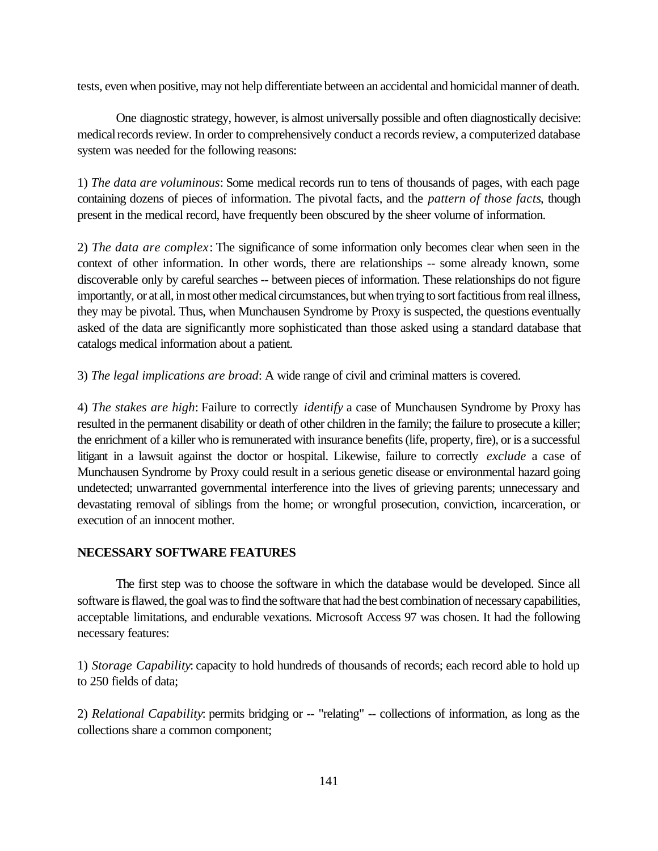tests, even when positive, may not help differentiate between an accidental and homicidal manner of death.

One diagnostic strategy, however, is almost universally possible and often diagnostically decisive: medical records review. In order to comprehensively conduct a records review, a computerized database system was needed for the following reasons:

1) *The data are voluminous*: Some medical records run to tens of thousands of pages, with each page containing dozens of pieces of information. The pivotal facts, and the *pattern of those facts*, though present in the medical record, have frequently been obscured by the sheer volume of information.

2) *The data are complex*: The significance of some information only becomes clear when seen in the context of other information. In other words, there are relationships -- some already known, some discoverable only by careful searches -- between pieces of information. These relationships do not figure importantly, or at all, in most other medical circumstances, but when trying to sort factitious from real illness, they may be pivotal. Thus, when Munchausen Syndrome by Proxy is suspected, the questions eventually asked of the data are significantly more sophisticated than those asked using a standard database that catalogs medical information about a patient.

3) *The legal implications are broad*: A wide range of civil and criminal matters is covered.

4) *The stakes are high*: Failure to correctly *identify* a case of Munchausen Syndrome by Proxy has resulted in the permanent disability or death of other children in the family; the failure to prosecute a killer; the enrichment of a killer who is remunerated with insurance benefits (life, property, fire), or is a successful litigant in a lawsuit against the doctor or hospital. Likewise, failure to correctly *exclude* a case of Munchausen Syndrome by Proxy could result in a serious genetic disease or environmental hazard going undetected; unwarranted governmental interference into the lives of grieving parents; unnecessary and devastating removal of siblings from the home; or wrongful prosecution, conviction, incarceration, or execution of an innocent mother.

# **NECESSARY SOFTWARE FEATURES**

The first step was to choose the software in which the database would be developed. Since all software is flawed, the goal was to find the software that had the best combination of necessary capabilities, acceptable limitations, and endurable vexations. Microsoft Access 97 was chosen. It had the following necessary features:

1) *Storage Capability*: capacity to hold hundreds of thousands of records; each record able to hold up to 250 fields of data;

2) *Relational Capability*: permits bridging or -- "relating" -- collections of information, as long as the collections share a common component;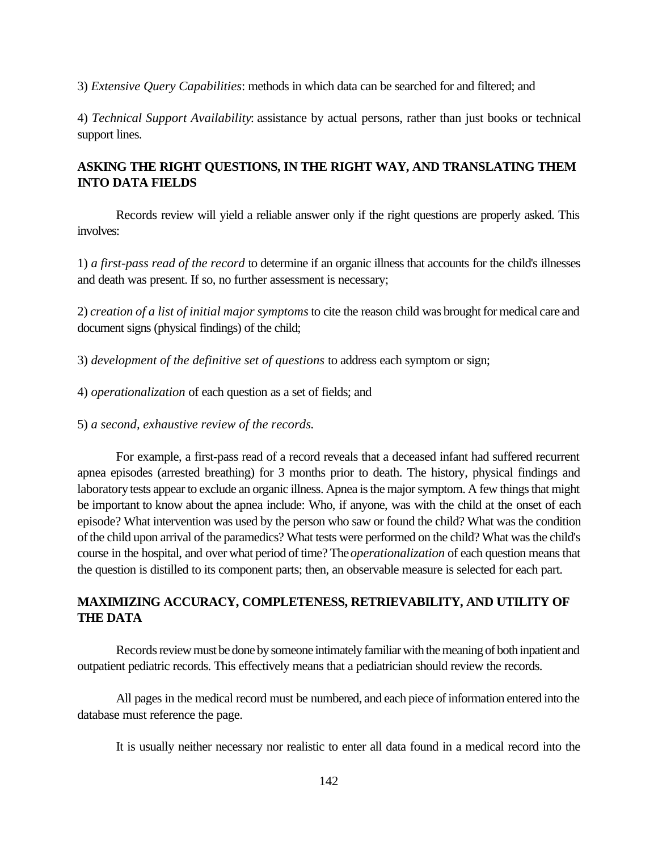3) *Extensive Query Capabilities*: methods in which data can be searched for and filtered; and

4) *Technical Support Availability*: assistance by actual persons, rather than just books or technical support lines.

# **ASKING THE RIGHT QUESTIONS, IN THE RIGHT WAY, AND TRANSLATING THEM INTO DATA FIELDS**

Records review will yield a reliable answer only if the right questions are properly asked. This involves:

1) *a first-pass read of the record* to determine if an organic illness that accounts for the child's illnesses and death was present. If so, no further assessment is necessary;

2) *creation of a list of initial major symptoms* to cite the reason child was brought for medical care and document signs (physical findings) of the child;

3) *development of the definitive set of questions* to address each symptom or sign;

4) *operationalization* of each question as a set of fields; and

5) *a second, exhaustive review of the records.*

For example, a first-pass read of a record reveals that a deceased infant had suffered recurrent apnea episodes (arrested breathing) for 3 months prior to death. The history, physical findings and laboratory tests appear to exclude an organic illness. Apnea is the major symptom. A few things that might be important to know about the apnea include: Who, if anyone, was with the child at the onset of each episode? What intervention was used by the person who saw or found the child? What was the condition of the child upon arrival of the paramedics? What tests were performed on the child? What was the child's course in the hospital, and over what period of time? The *operationalization* of each question means that the question is distilled to its component parts; then, an observable measure is selected for each part.

# **MAXIMIZING ACCURACY, COMPLETENESS, RETRIEVABILITY, AND UTILITY OF THE DATA**

Records review must be done by someone intimately familiar with the meaning of both inpatient and outpatient pediatric records. This effectively means that a pediatrician should review the records.

All pages in the medical record must be numbered, and each piece of information entered into the database must reference the page.

It is usually neither necessary nor realistic to enter all data found in a medical record into the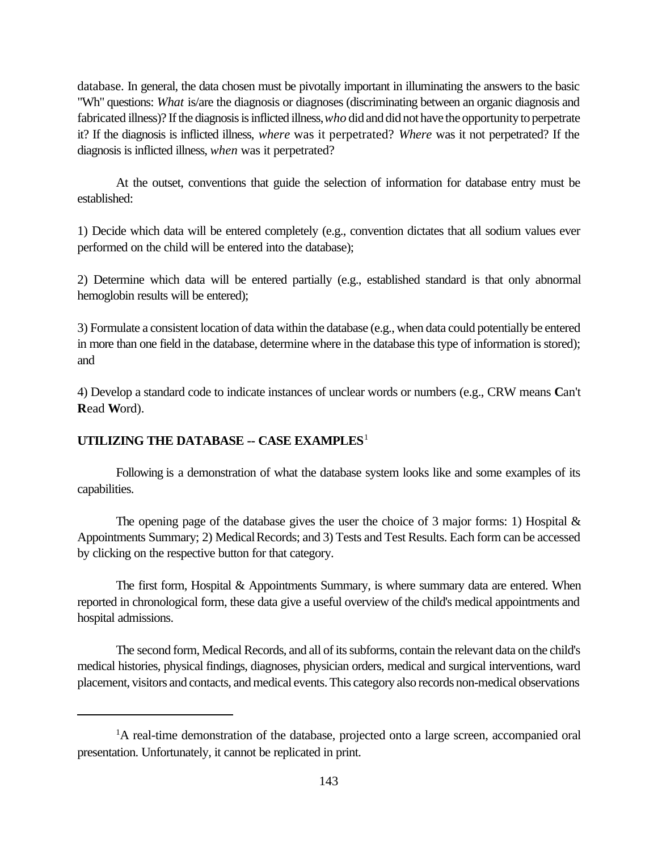database. In general, the data chosen must be pivotally important in illuminating the answers to the basic "Wh" questions: *What* is/are the diagnosis or diagnoses (discriminating between an organic diagnosis and fabricated illness)? If the diagnosis is inflicted illness, *who* did and did not have the opportunity to perpetrate it? If the diagnosis is inflicted illness, *where* was it perpetrated? *Where* was it not perpetrated? If the diagnosis is inflicted illness, *when* was it perpetrated?

At the outset, conventions that guide the selection of information for database entry must be established:

1) Decide which data will be entered completely (e.g., convention dictates that all sodium values ever performed on the child will be entered into the database);

2) Determine which data will be entered partially (e.g., established standard is that only abnormal hemoglobin results will be entered);

3) Formulate a consistent location of data within the database (e.g., when data could potentially be entered in more than one field in the database, determine where in the database this type of information is stored); and

4) Develop a standard code to indicate instances of unclear words or numbers (e.g., CRW means **C**an't **R**ead **W**ord).

# **UTILIZING THE DATABASE -- CASE EXAMPLES**<sup>1</sup>

Following is a demonstration of what the database system looks like and some examples of its capabilities.

The opening page of the database gives the user the choice of 3 major forms: 1) Hospital  $\&$ Appointments Summary; 2) Medical Records; and 3) Tests and Test Results. Each form can be accessed by clicking on the respective button for that category.

The first form, Hospital & Appointments Summary, is where summary data are entered. When reported in chronological form, these data give a useful overview of the child's medical appointments and hospital admissions.

The second form, Medical Records, and all of its subforms, contain the relevant data on the child's medical histories, physical findings, diagnoses, physician orders, medical and surgical interventions, ward placement, visitors and contacts, and medical events. This category also records non-medical observations

<sup>&</sup>lt;sup>1</sup>A real-time demonstration of the database, projected onto a large screen, accompanied oral presentation. Unfortunately, it cannot be replicated in print.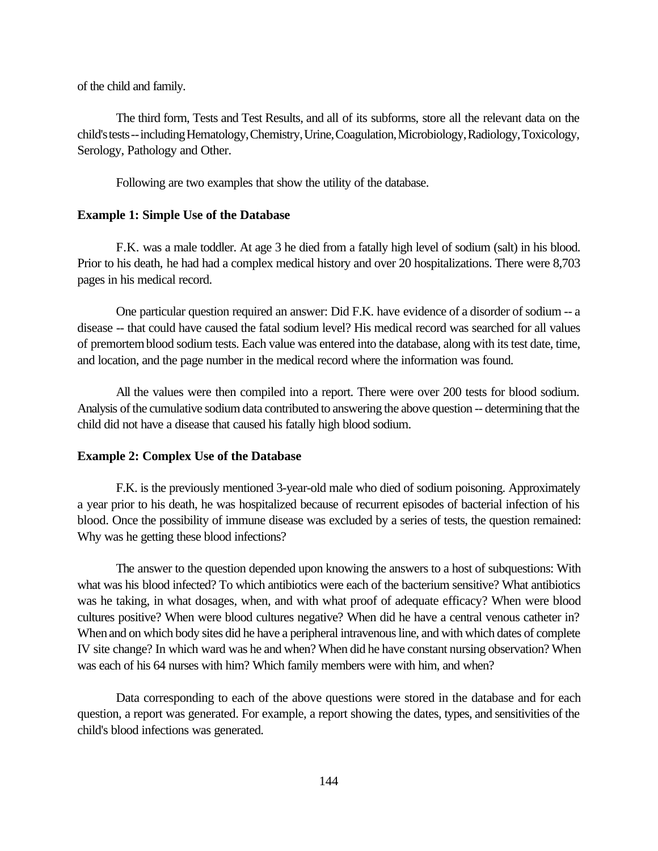of the child and family.

The third form, Tests and Test Results, and all of its subforms, store all the relevant data on the child's tests -- including Hematology, Chemistry, Urine, Coagulation, Microbiology, Radiology, Toxicology, Serology, Pathology and Other.

Following are two examples that show the utility of the database.

## **Example 1: Simple Use of the Database**

F.K. was a male toddler. At age 3 he died from a fatally high level of sodium (salt) in his blood. Prior to his death, he had had a complex medical history and over 20 hospitalizations. There were 8,703 pages in his medical record.

One particular question required an answer: Did F.K. have evidence of a disorder of sodium -- a disease -- that could have caused the fatal sodium level? His medical record was searched for all values of premortem blood sodium tests. Each value was entered into the database, along with its test date, time, and location, and the page number in the medical record where the information was found.

All the values were then compiled into a report. There were over 200 tests for blood sodium. Analysis of the cumulative sodium data contributed to answering the above question -- determining that the child did not have a disease that caused his fatally high blood sodium.

#### **Example 2: Complex Use of the Database**

F.K. is the previously mentioned 3-year-old male who died of sodium poisoning. Approximately a year prior to his death, he was hospitalized because of recurrent episodes of bacterial infection of his blood. Once the possibility of immune disease was excluded by a series of tests, the question remained: Why was he getting these blood infections?

The answer to the question depended upon knowing the answers to a host of subquestions: With what was his blood infected? To which antibiotics were each of the bacterium sensitive? What antibiotics was he taking, in what dosages, when, and with what proof of adequate efficacy? When were blood cultures positive? When were blood cultures negative? When did he have a central venous catheter in? When and on which body sites did he have a peripheral intravenous line, and with which dates of complete IV site change? In which ward was he and when? When did he have constant nursing observation? When was each of his 64 nurses with him? Which family members were with him, and when?

Data corresponding to each of the above questions were stored in the database and for each question, a report was generated. For example, a report showing the dates, types, and sensitivities of the child's blood infections was generated.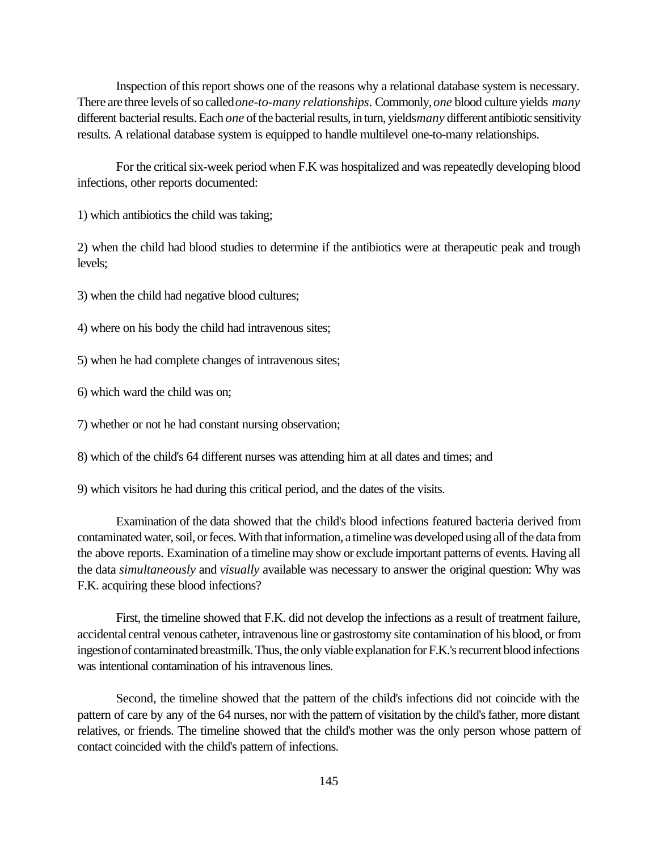Inspection of this report shows one of the reasons why a relational database system is necessary. There are three levels of so called *one-to-many relationships*. Commonly, *one* blood culture yields *many* different bacterial results. Each *one* of the bacterial results, in turn, yields *many* different antibiotic sensitivity results. A relational database system is equipped to handle multilevel one-to-many relationships.

For the critical six-week period when F.K was hospitalized and was repeatedly developing blood infections, other reports documented:

1) which antibiotics the child was taking;

2) when the child had blood studies to determine if the antibiotics were at therapeutic peak and trough levels;

3) when the child had negative blood cultures;

4) where on his body the child had intravenous sites;

5) when he had complete changes of intravenous sites;

6) which ward the child was on;

7) whether or not he had constant nursing observation;

8) which of the child's 64 different nurses was attending him at all dates and times; and

9) which visitors he had during this critical period, and the dates of the visits.

Examination of the data showed that the child's blood infections featured bacteria derived from contaminated water, soil, or feces. With that information, a timeline was developed using all of the data from the above reports. Examination of a timeline may show or exclude important patterns of events. Having all the data *simultaneously* and *visually* available was necessary to answer the original question: Why was F.K. acquiring these blood infections?

First, the timeline showed that F.K. did not develop the infections as a result of treatment failure, accidental central venous catheter, intravenous line or gastrostomy site contamination of his blood, or from ingestion of contaminated breastmilk. Thus, the only viable explanation for F.K.'s recurrent blood infections was intentional contamination of his intravenous lines.

Second, the timeline showed that the pattern of the child's infections did not coincide with the pattern of care by any of the 64 nurses, nor with the pattern of visitation by the child's father, more distant relatives, or friends. The timeline showed that the child's mother was the only person whose pattern of contact coincided with the child's pattern of infections.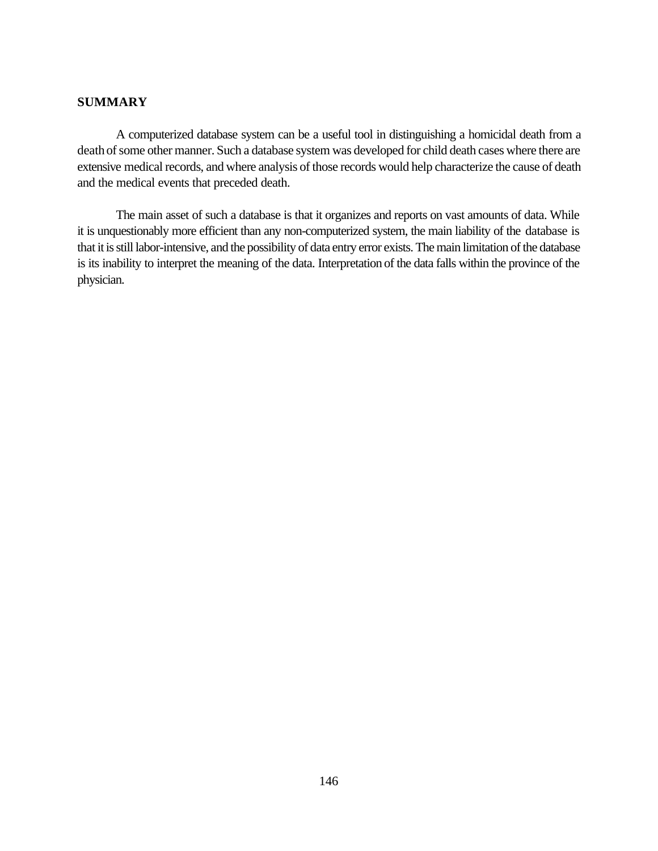## **SUMMARY**

A computerized database system can be a useful tool in distinguishing a homicidal death from a death of some other manner. Such a database system was developed for child death cases where there are extensive medical records, and where analysis of those records would help characterize the cause of death and the medical events that preceded death.

The main asset of such a database is that it organizes and reports on vast amounts of data. While it is unquestionably more efficient than any non-computerized system, the main liability of the database is that it is still labor-intensive, and the possibility of data entry error exists. The main limitation of the database is its inability to interpret the meaning of the data. Interpretation of the data falls within the province of the physician.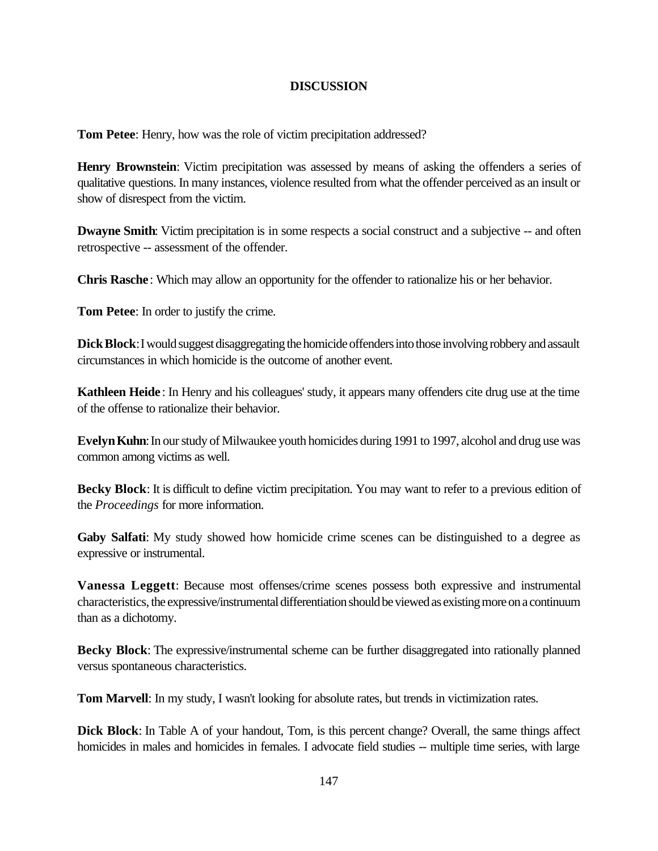# **DISCUSSION**

**Tom Petee**: Henry, how was the role of victim precipitation addressed?

**Henry Brownstein**: Victim precipitation was assessed by means of asking the offenders a series of qualitative questions. In many instances, violence resulted from what the offender perceived as an insult or show of disrespect from the victim.

**Dwayne Smith:** Victim precipitation is in some respects a social construct and a subjective -- and often retrospective -- assessment of the offender.

**Chris Rasche**: Which may allow an opportunity for the offender to rationalize his or her behavior.

**Tom Petee**: In order to justify the crime.

**Dick Block**: I would suggest disaggregating the homicide offenders into those involving robbery and assault circumstances in which homicide is the outcome of another event.

**Kathleen Heide**: In Henry and his colleagues' study, it appears many offenders cite drug use at the time of the offense to rationalize their behavior.

**Evelyn Kuhn**: In our study of Milwaukee youth homicides during 1991 to 1997, alcohol and drug use was common among victims as well.

**Becky Block**: It is difficult to define victim precipitation. You may want to refer to a previous edition of the *Proceedings* for more information.

**Gaby Salfati**: My study showed how homicide crime scenes can be distinguished to a degree as expressive or instrumental.

**Vanessa Leggett**: Because most offenses/crime scenes possess both expressive and instrumental characteristics, the expressive/instrumental differentiation should be viewed as existing more on a continuum than as a dichotomy.

**Becky Block**: The expressive/instrumental scheme can be further disaggregated into rationally planned versus spontaneous characteristics.

**Tom Marvell**: In my study, I wasn't looking for absolute rates, but trends in victimization rates.

**Dick Block**: In Table A of your handout, Tom, is this percent change? Overall, the same things affect homicides in males and homicides in females. I advocate field studies -- multiple time series, with large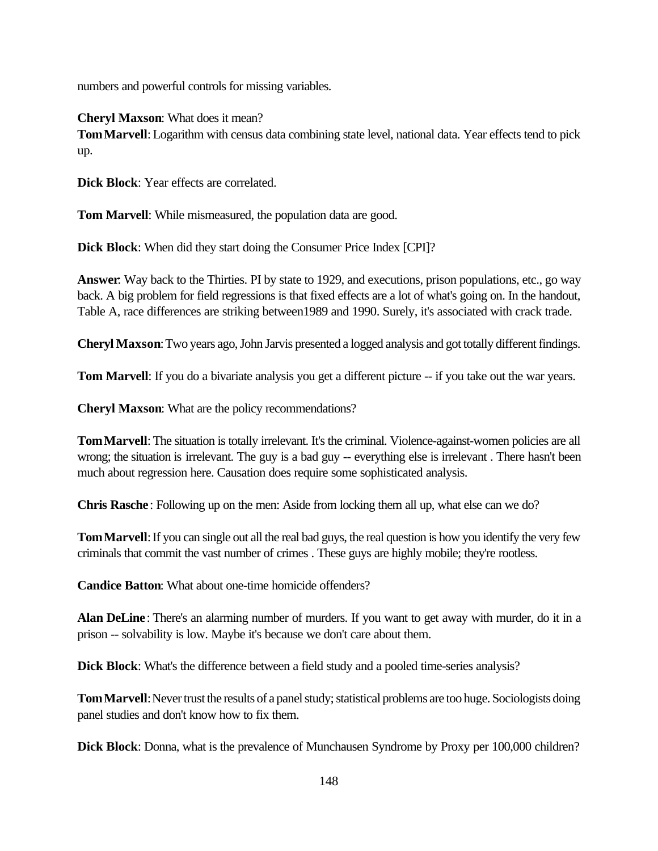numbers and powerful controls for missing variables.

**Cheryl Maxson**: What does it mean?

**Tom Marvell**: Logarithm with census data combining state level, national data. Year effects tend to pick up.

**Dick Block**: Year effects are correlated.

**Tom Marvell**: While mismeasured, the population data are good.

**Dick Block**: When did they start doing the Consumer Price Index [CPI]?

**Answer**: Way back to the Thirties. PI by state to 1929, and executions, prison populations, etc., go way back. A big problem for field regressions is that fixed effects are a lot of what's going on. In the handout, Table A, race differences are striking between1989 and 1990. Surely, it's associated with crack trade.

**Cheryl Maxson**: Two years ago, John Jarvis presented a logged analysis and got totally different findings.

**Tom Marvell**: If you do a bivariate analysis you get a different picture -- if you take out the war years.

**Cheryl Maxson**: What are the policy recommendations?

**Tom Marvell**: The situation is totally irrelevant. It's the criminal. Violence-against-women policies are all wrong; the situation is irrelevant. The guy is a bad guy -- everything else is irrelevant . There hasn't been much about regression here. Causation does require some sophisticated analysis.

**Chris Rasche**: Following up on the men: Aside from locking them all up, what else can we do?

**Tom Marvell**: If you can single out all the real bad guys, the real question is how you identify the very few criminals that commit the vast number of crimes . These guys are highly mobile; they're rootless.

**Candice Batton**: What about one-time homicide offenders?

**Alan DeLine**: There's an alarming number of murders. If you want to get away with murder, do it in a prison -- solvability is low. Maybe it's because we don't care about them.

**Dick Block**: What's the difference between a field study and a pooled time-series analysis?

**Tom Marvell**: Never trust the results of a panel study; statistical problems are too huge. Sociologists doing panel studies and don't know how to fix them.

**Dick Block**: Donna, what is the prevalence of Munchausen Syndrome by Proxy per 100,000 children?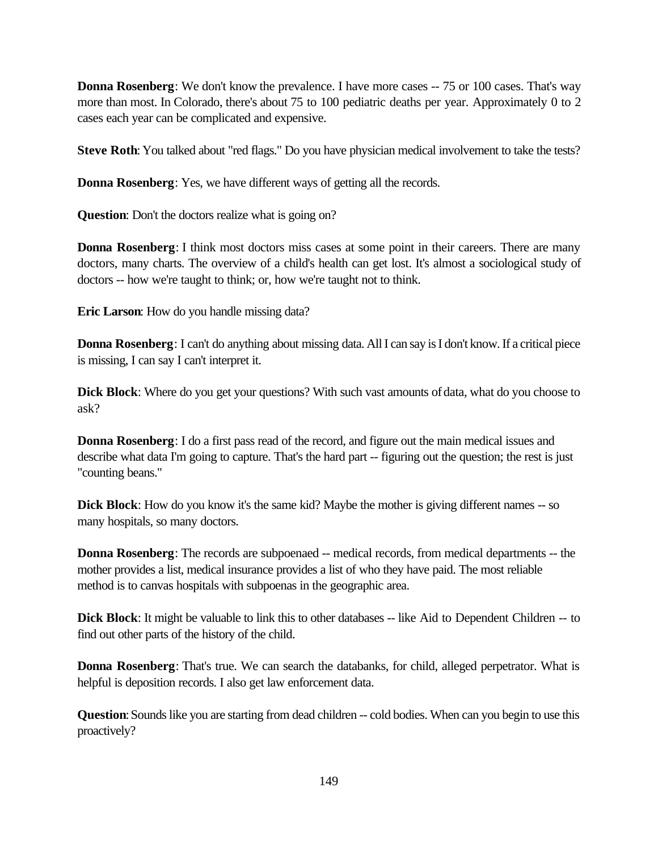**Donna Rosenberg**: We don't know the prevalence. I have more cases -- 75 or 100 cases. That's way more than most. In Colorado, there's about 75 to 100 pediatric deaths per year. Approximately 0 to 2 cases each year can be complicated and expensive.

**Steve Roth**: You talked about "red flags." Do you have physician medical involvement to take the tests?

**Donna Rosenberg**: Yes, we have different ways of getting all the records.

**Question:** Don't the doctors realize what is going on?

**Donna Rosenberg**: I think most doctors miss cases at some point in their careers. There are many doctors, many charts. The overview of a child's health can get lost. It's almost a sociological study of doctors -- how we're taught to think; or, how we're taught not to think.

**Eric Larson**: How do you handle missing data?

**Donna Rosenberg**: I can't do anything about missing data. All I can say is I don't know. If a critical piece is missing, I can say I can't interpret it.

**Dick Block**: Where do you get your questions? With such vast amounts of data, what do you choose to ask?

**Donna Rosenberg**: I do a first pass read of the record, and figure out the main medical issues and describe what data I'm going to capture. That's the hard part -- figuring out the question; the rest is just "counting beans."

**Dick Block**: How do you know it's the same kid? Maybe the mother is giving different names -- so many hospitals, so many doctors.

**Donna Rosenberg**: The records are subpoenaed -- medical records, from medical departments -- the mother provides a list, medical insurance provides a list of who they have paid. The most reliable method is to canvas hospitals with subpoenas in the geographic area.

**Dick Block**: It might be valuable to link this to other databases -- like Aid to Dependent Children -- to find out other parts of the history of the child.

**Donna Rosenberg**: That's true. We can search the databanks, for child, alleged perpetrator. What is helpful is deposition records. I also get law enforcement data.

**Question**: Sounds like you are starting from dead children -- cold bodies. When can you begin to use this proactively?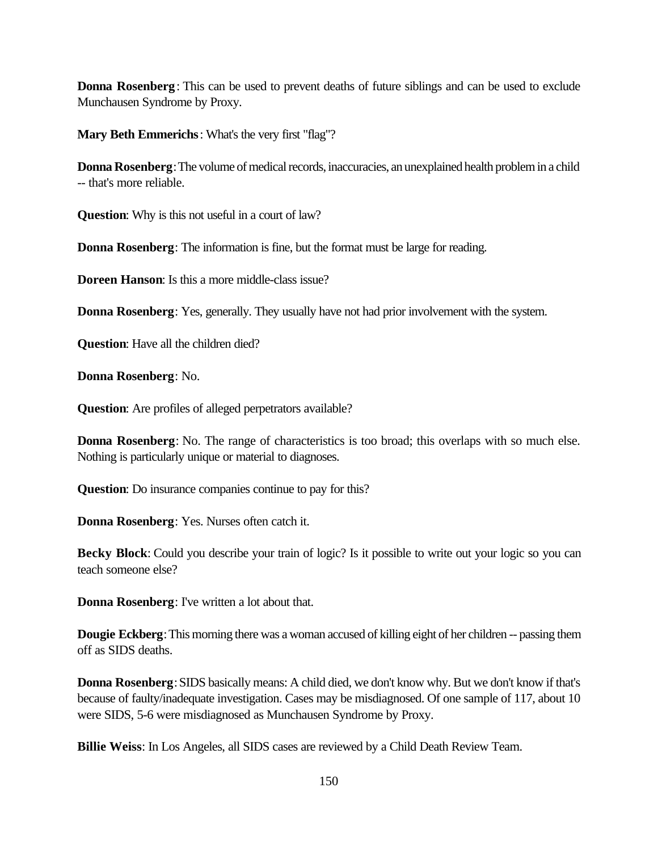**Donna Rosenberg**: This can be used to prevent deaths of future siblings and can be used to exclude Munchausen Syndrome by Proxy.

**Mary Beth Emmerichs**: What's the very first "flag"?

**Donna Rosenberg**: The volume of medical records, inaccuracies, an unexplained health problem in a child -- that's more reliable.

**Question:** Why is this not useful in a court of law?

**Donna Rosenberg**: The information is fine, but the format must be large for reading.

**Doreen Hanson:** Is this a more middle-class issue?

**Donna Rosenberg**: Yes, generally. They usually have not had prior involvement with the system.

**Question**: Have all the children died?

**Donna Rosenberg**: No.

**Question:** Are profiles of alleged perpetrators available?

**Donna Rosenberg**: No. The range of characteristics is too broad; this overlaps with so much else. Nothing is particularly unique or material to diagnoses.

**Question**: Do insurance companies continue to pay for this?

**Donna Rosenberg**: Yes. Nurses often catch it.

**Becky Block**: Could you describe your train of logic? Is it possible to write out your logic so you can teach someone else?

**Donna Rosenberg**: I've written a lot about that.

**Dougie Eckberg**: This morning there was a woman accused of killing eight of her children -- passing them off as SIDS deaths.

**Donna Rosenberg**: SIDS basically means: A child died, we don't know why. But we don't know if that's because of faulty/inadequate investigation. Cases may be misdiagnosed. Of one sample of 117, about 10 were SIDS, 5-6 were misdiagnosed as Munchausen Syndrome by Proxy.

**Billie Weiss**: In Los Angeles, all SIDS cases are reviewed by a Child Death Review Team.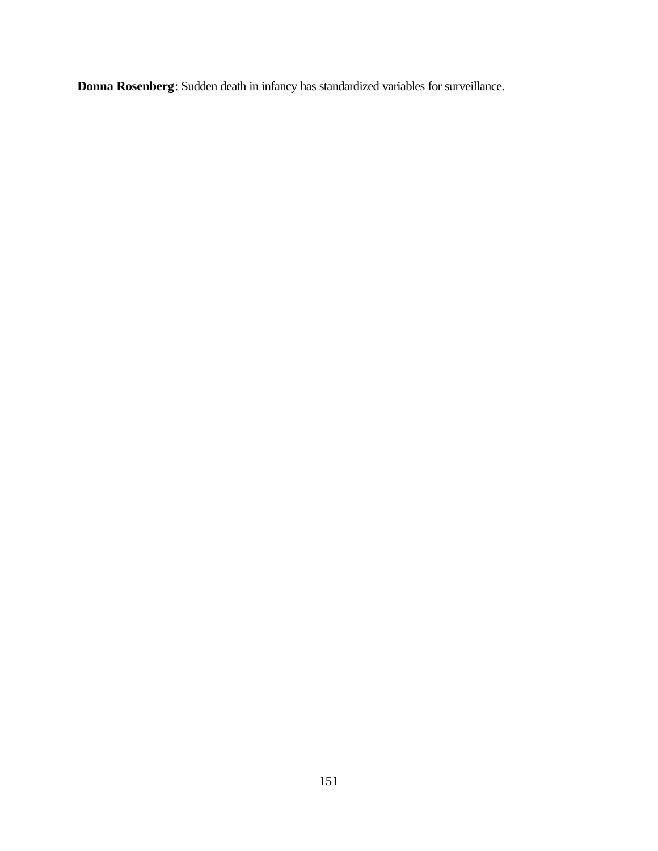**Donna Rosenberg**: Sudden death in infancy has standardized variables for surveillance.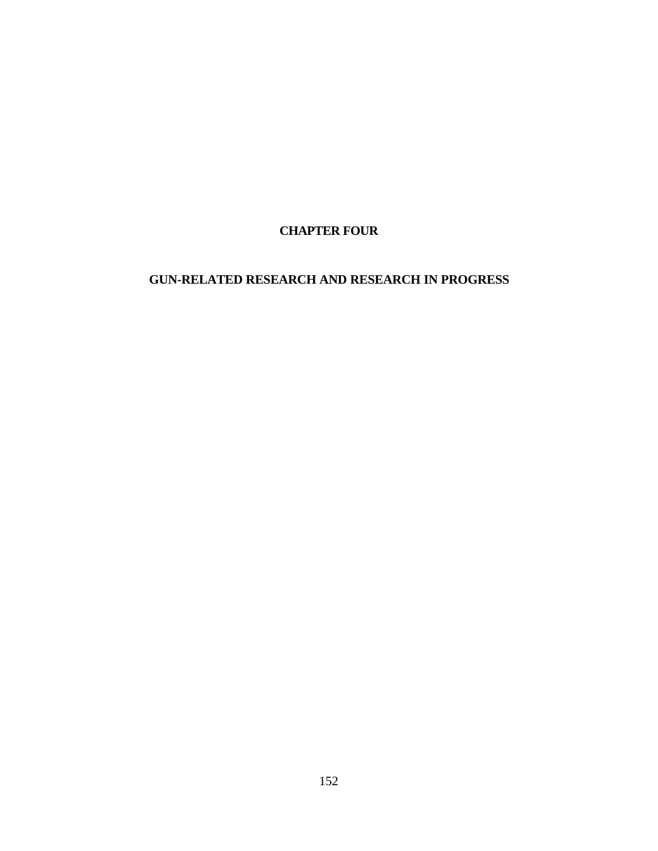# **CHAPTER FOUR**

# **GUN-RELATED RESEARCH AND RESEARCH IN PROGRESS**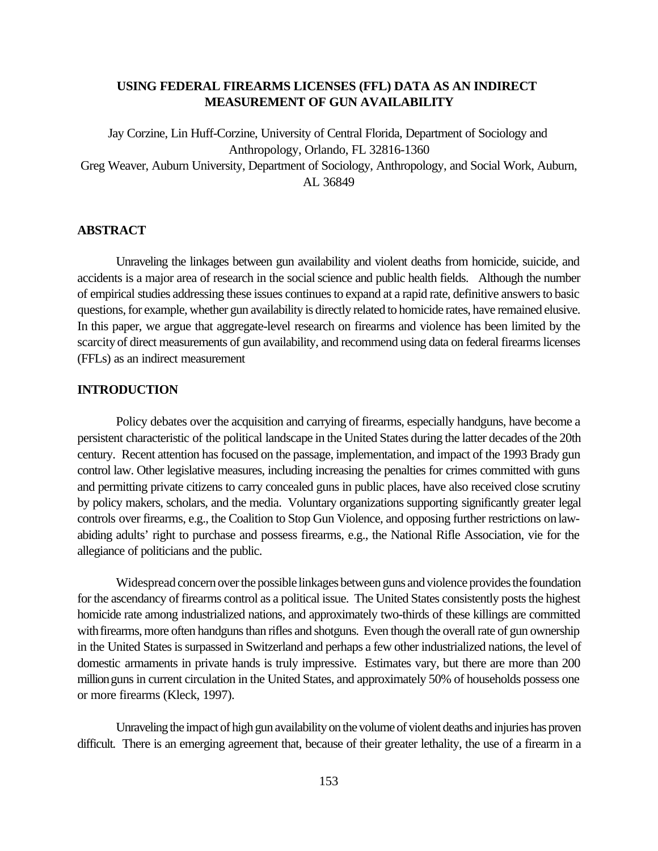# **USING FEDERAL FIREARMS LICENSES (FFL) DATA AS AN INDIRECT MEASUREMENT OF GUN AVAILABILITY**

Jay Corzine, Lin Huff-Corzine, University of Central Florida, Department of Sociology and Anthropology, Orlando, FL 32816-1360 Greg Weaver, Auburn University, Department of Sociology, Anthropology, and Social Work, Auburn, AL 36849

## **ABSTRACT**

Unraveling the linkages between gun availability and violent deaths from homicide, suicide, and accidents is a major area of research in the social science and public health fields. Although the number of empirical studies addressing these issues continues to expand at a rapid rate, definitive answers to basic questions, for example, whether gun availability is directly related to homicide rates, have remained elusive. In this paper, we argue that aggregate-level research on firearms and violence has been limited by the scarcity of direct measurements of gun availability, and recommend using data on federal firearms licenses (FFLs) as an indirect measurement

#### **INTRODUCTION**

Policy debates over the acquisition and carrying of firearms, especially handguns, have become a persistent characteristic of the political landscape in the United States during the latter decades of the 20th century. Recent attention has focused on the passage, implementation, and impact of the 1993 Brady gun control law. Other legislative measures, including increasing the penalties for crimes committed with guns and permitting private citizens to carry concealed guns in public places, have also received close scrutiny by policy makers, scholars, and the media. Voluntary organizations supporting significantly greater legal controls over firearms, e.g., the Coalition to Stop Gun Violence, and opposing further restrictions on lawabiding adults' right to purchase and possess firearms, e.g., the National Rifle Association, vie for the allegiance of politicians and the public.

Widespread concern over the possible linkages between guns and violence provides the foundation for the ascendancy of firearms control as a political issue. The United States consistently posts the highest homicide rate among industrialized nations, and approximately two-thirds of these killings are committed with firearms, more often handguns than rifles and shotguns. Even though the overall rate of gun ownership in the United States is surpassed in Switzerland and perhaps a few other industrialized nations, the level of domestic armaments in private hands is truly impressive. Estimates vary, but there are more than 200 million guns in current circulation in the United States, and approximately 50% of households possess one or more firearms (Kleck, 1997).

Unraveling the impact of high gun availability on the volume of violent deaths and injuries has proven difficult. There is an emerging agreement that, because of their greater lethality, the use of a firearm in a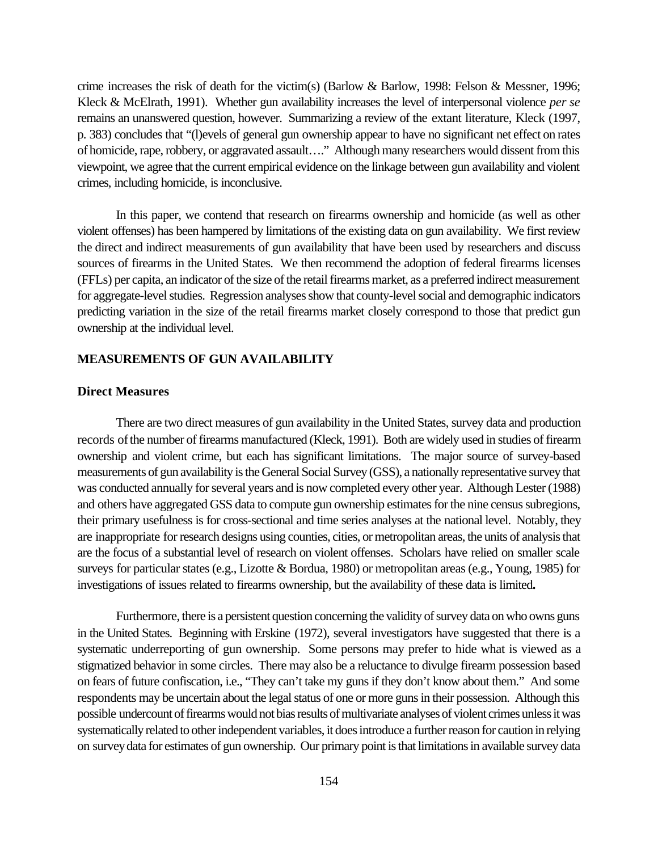crime increases the risk of death for the victim(s) (Barlow & Barlow, 1998: Felson & Messner, 1996; Kleck & McElrath, 1991). Whether gun availability increases the level of interpersonal violence *per se* remains an unanswered question, however. Summarizing a review of the extant literature, Kleck (1997, p. 383) concludes that "(l)evels of general gun ownership appear to have no significant net effect on rates of homicide, rape, robbery, or aggravated assault…." Although many researchers would dissent from this viewpoint, we agree that the current empirical evidence on the linkage between gun availability and violent crimes, including homicide, is inconclusive.

In this paper, we contend that research on firearms ownership and homicide (as well as other violent offenses) has been hampered by limitations of the existing data on gun availability. We first review the direct and indirect measurements of gun availability that have been used by researchers and discuss sources of firearms in the United States. We then recommend the adoption of federal firearms licenses (FFLs) per capita, an indicator of the size of the retail firearms market, as a preferred indirect measurement for aggregate-level studies. Regression analyses show that county-level social and demographic indicators predicting variation in the size of the retail firearms market closely correspond to those that predict gun ownership at the individual level.

#### **MEASUREMENTS OF GUN AVAILABILITY**

#### **Direct Measures**

There are two direct measures of gun availability in the United States, survey data and production records of the number of firearms manufactured (Kleck, 1991). Both are widely used in studies of firearm ownership and violent crime, but each has significant limitations. The major source of survey-based measurements of gun availability is the General Social Survey (GSS), a nationally representative survey that was conducted annually for several years and is now completed every other year. Although Lester (1988) and others have aggregated GSS data to compute gun ownership estimates for the nine census subregions, their primary usefulness is for cross-sectional and time series analyses at the national level. Notably, they are inappropriate for research designs using counties, cities, or metropolitan areas, the units of analysis that are the focus of a substantial level of research on violent offenses. Scholars have relied on smaller scale surveys for particular states (e.g., Lizotte & Bordua, 1980) or metropolitan areas (e.g., Young, 1985) for investigations of issues related to firearms ownership, but the availability of these data is limited**.**

Furthermore, there is a persistent question concerning the validity of survey data on who owns guns in the United States. Beginning with Erskine (1972), several investigators have suggested that there is a systematic underreporting of gun ownership. Some persons may prefer to hide what is viewed as a stigmatized behavior in some circles. There may also be a reluctance to divulge firearm possession based on fears of future confiscation, i.e., "They can't take my guns if they don't know about them." And some respondents may be uncertain about the legal status of one or more guns in their possession. Although this possible undercount of firearms would not bias results of multivariate analyses of violent crimes unless it was systematically related to other independent variables, it does introduce a further reason for caution in relying on survey data for estimates of gun ownership. Our primary point is that limitations in available survey data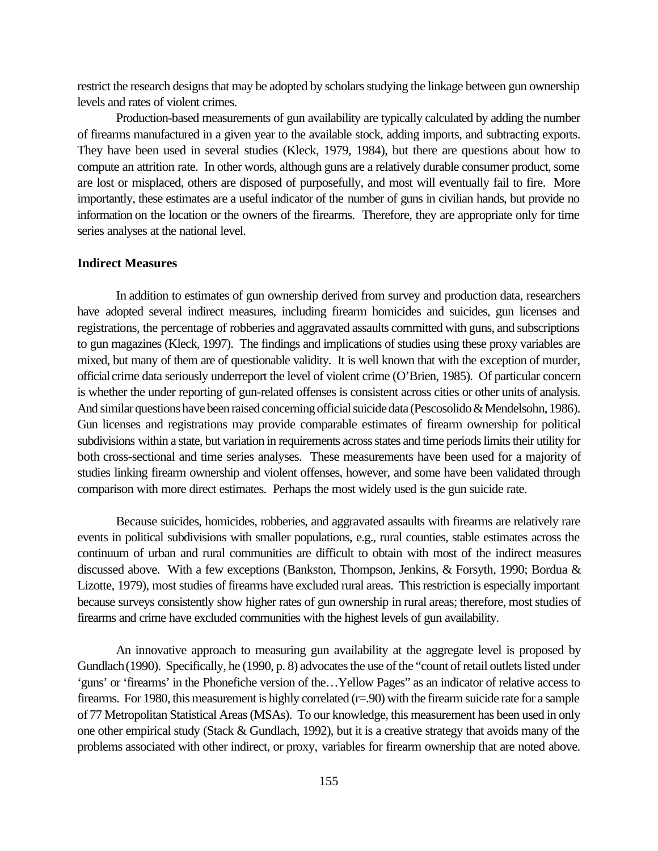restrict the research designs that may be adopted by scholars studying the linkage between gun ownership levels and rates of violent crimes.

Production-based measurements of gun availability are typically calculated by adding the number of firearms manufactured in a given year to the available stock, adding imports, and subtracting exports. They have been used in several studies (Kleck, 1979, 1984), but there are questions about how to compute an attrition rate. In other words, although guns are a relatively durable consumer product, some are lost or misplaced, others are disposed of purposefully, and most will eventually fail to fire. More importantly, these estimates are a useful indicator of the number of guns in civilian hands, but provide no information on the location or the owners of the firearms. Therefore, they are appropriate only for time series analyses at the national level.

#### **Indirect Measures**

In addition to estimates of gun ownership derived from survey and production data, researchers have adopted several indirect measures, including firearm homicides and suicides, gun licenses and registrations, the percentage of robberies and aggravated assaults committed with guns, and subscriptions to gun magazines (Kleck, 1997). The findings and implications of studies using these proxy variables are mixed, but many of them are of questionable validity. It is well known that with the exception of murder, official crime data seriously underreport the level of violent crime (O'Brien, 1985). Of particular concern is whether the under reporting of gun-related offenses is consistent across cities or other units of analysis. And similar questions have been raised concerning official suicide data (Pescosolido & Mendelsohn, 1986). Gun licenses and registrations may provide comparable estimates of firearm ownership for political subdivisions within a state, but variation in requirements across states and time periods limits their utility for both cross-sectional and time series analyses. These measurements have been used for a majority of studies linking firearm ownership and violent offenses, however, and some have been validated through comparison with more direct estimates. Perhaps the most widely used is the gun suicide rate.

Because suicides, homicides, robberies, and aggravated assaults with firearms are relatively rare events in political subdivisions with smaller populations, e.g., rural counties, stable estimates across the continuum of urban and rural communities are difficult to obtain with most of the indirect measures discussed above. With a few exceptions (Bankston, Thompson, Jenkins, & Forsyth, 1990; Bordua & Lizotte, 1979), most studies of firearms have excluded rural areas. This restriction is especially important because surveys consistently show higher rates of gun ownership in rural areas; therefore, most studies of firearms and crime have excluded communities with the highest levels of gun availability.

An innovative approach to measuring gun availability at the aggregate level is proposed by Gundlach (1990). Specifically, he (1990, p. 8) advocates the use of the "count of retail outlets listed under 'guns' or 'firearms' in the Phonefiche version of the…Yellow Pages" as an indicator of relative access to firearms. For 1980, this measurement is highly correlated  $(r=.90)$  with the firearm suicide rate for a sample of 77 Metropolitan Statistical Areas (MSAs). To our knowledge, this measurement has been used in only one other empirical study (Stack & Gundlach, 1992), but it is a creative strategy that avoids many of the problems associated with other indirect, or proxy, variables for firearm ownership that are noted above.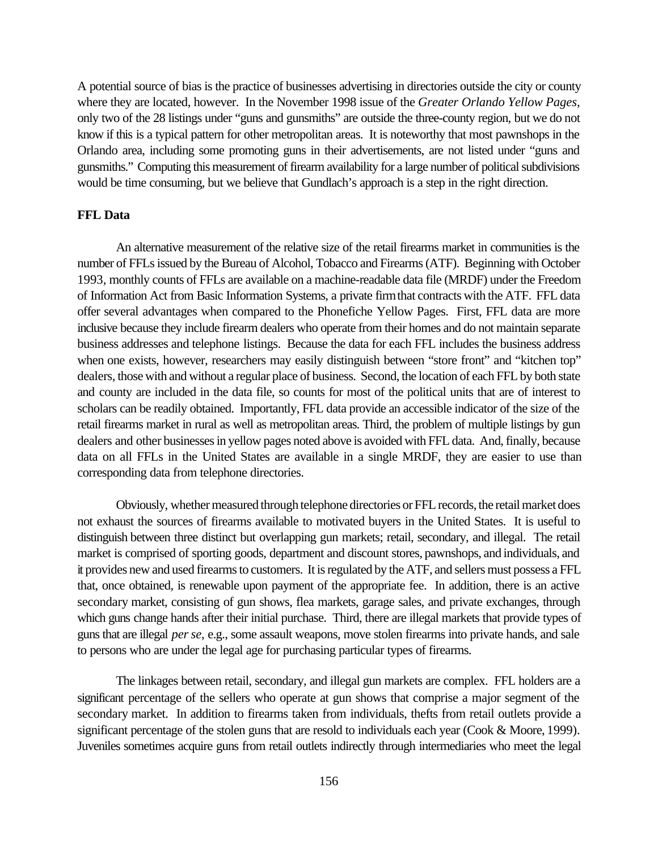A potential source of bias is the practice of businesses advertising in directories outside the city or county where they are located, however. In the November 1998 issue of the *Greater Orlando Yellow Pages*, only two of the 28 listings under "guns and gunsmiths" are outside the three-county region, but we do not know if this is a typical pattern for other metropolitan areas. It is noteworthy that most pawnshops in the Orlando area, including some promoting guns in their advertisements, are not listed under "guns and gunsmiths." Computing this measurement of firearm availability for a large number of political subdivisions would be time consuming, but we believe that Gundlach's approach is a step in the right direction.

### **FFL Data**

An alternative measurement of the relative size of the retail firearms market in communities is the number of FFLs issued by the Bureau of Alcohol, Tobacco and Firearms (ATF). Beginning with October 1993, monthly counts of FFLs are available on a machine-readable data file (MRDF) under the Freedom of Information Act from Basic Information Systems, a private firm that contracts with the ATF. FFL data offer several advantages when compared to the Phonefiche Yellow Pages. First, FFL data are more inclusive because they include firearm dealers who operate from their homes and do not maintain separate business addresses and telephone listings. Because the data for each FFL includes the business address when one exists, however, researchers may easily distinguish between "store front" and "kitchen top" dealers, those with and without a regular place of business. Second, the location of each FFL by both state and county are included in the data file, so counts for most of the political units that are of interest to scholars can be readily obtained. Importantly, FFL data provide an accessible indicator of the size of the retail firearms market in rural as well as metropolitan areas. Third, the problem of multiple listings by gun dealers and other businesses in yellow pages noted above is avoided with FFL data. And, finally, because data on all FFLs in the United States are available in a single MRDF, they are easier to use than corresponding data from telephone directories.

Obviously, whether measured through telephone directories or FFL records, the retail market does not exhaust the sources of firearms available to motivated buyers in the United States. It is useful to distinguish between three distinct but overlapping gun markets; retail, secondary, and illegal. The retail market is comprised of sporting goods, department and discount stores, pawnshops, and individuals, and it provides new and used firearms to customers. It is regulated by the ATF, and sellers must possess a FFL that, once obtained, is renewable upon payment of the appropriate fee. In addition, there is an active secondary market, consisting of gun shows, flea markets, garage sales, and private exchanges, through which guns change hands after their initial purchase. Third, there are illegal markets that provide types of guns that are illegal *per se*, e.g., some assault weapons, move stolen firearms into private hands, and sale to persons who are under the legal age for purchasing particular types of firearms.

The linkages between retail, secondary, and illegal gun markets are complex. FFL holders are a significant percentage of the sellers who operate at gun shows that comprise a major segment of the secondary market. In addition to firearms taken from individuals, thefts from retail outlets provide a significant percentage of the stolen guns that are resold to individuals each year (Cook & Moore, 1999). Juveniles sometimes acquire guns from retail outlets indirectly through intermediaries who meet the legal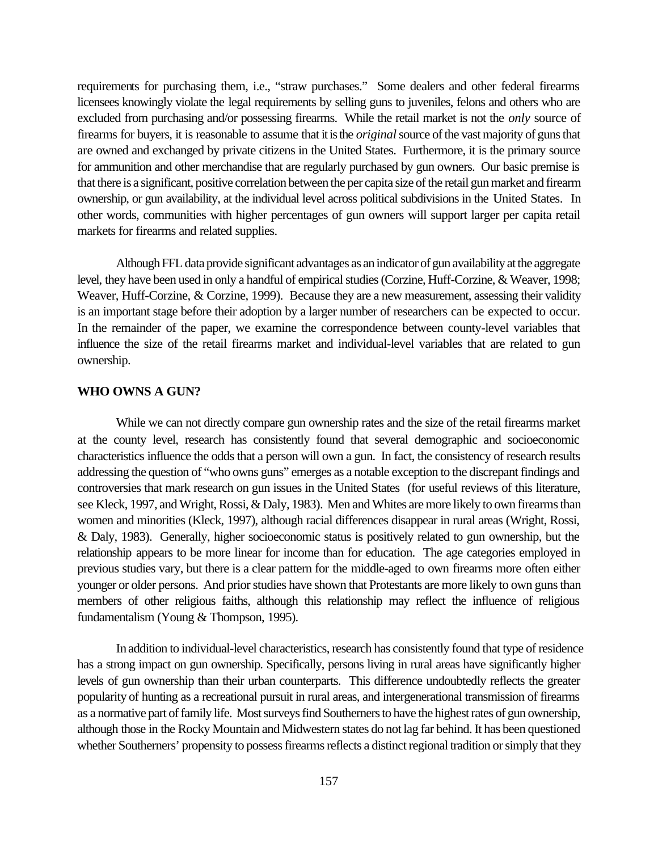requirements for purchasing them, i.e., "straw purchases." Some dealers and other federal firearms licensees knowingly violate the legal requirements by selling guns to juveniles, felons and others who are excluded from purchasing and/or possessing firearms. While the retail market is not the *only* source of firearms for buyers, it is reasonable to assume that it is the *original* source of the vast majority of guns that are owned and exchanged by private citizens in the United States. Furthermore, it is the primary source for ammunition and other merchandise that are regularly purchased by gun owners. Our basic premise is that there is a significant, positive correlation between the per capita size of the retail gun market and firearm ownership, or gun availability, at the individual level across political subdivisions in the United States. In other words, communities with higher percentages of gun owners will support larger per capita retail markets for firearms and related supplies.

Although FFL data provide significant advantages as an indicator of gun availability at the aggregate level, they have been used in only a handful of empirical studies (Corzine, Huff-Corzine, & Weaver, 1998; Weaver, Huff-Corzine, & Corzine, 1999). Because they are a new measurement, assessing their validity is an important stage before their adoption by a larger number of researchers can be expected to occur. In the remainder of the paper, we examine the correspondence between county-level variables that influence the size of the retail firearms market and individual-level variables that are related to gun ownership.

#### **WHO OWNS A GUN?**

While we can not directly compare gun ownership rates and the size of the retail firearms market at the county level, research has consistently found that several demographic and socioeconomic characteristics influence the odds that a person will own a gun. In fact, the consistency of research results addressing the question of "who owns guns" emerges as a notable exception to the discrepant findings and controversies that mark research on gun issues in the United States (for useful reviews of this literature, see Kleck, 1997, and Wright, Rossi, & Daly, 1983). Men and Whites are more likely to own firearms than women and minorities (Kleck, 1997), although racial differences disappear in rural areas (Wright, Rossi, & Daly, 1983). Generally, higher socioeconomic status is positively related to gun ownership, but the relationship appears to be more linear for income than for education. The age categories employed in previous studies vary, but there is a clear pattern for the middle-aged to own firearms more often either younger or older persons. And prior studies have shown that Protestants are more likely to own guns than members of other religious faiths, although this relationship may reflect the influence of religious fundamentalism (Young & Thompson, 1995).

 In addition to individual-level characteristics, research has consistently found that type of residence has a strong impact on gun ownership. Specifically, persons living in rural areas have significantly higher levels of gun ownership than their urban counterparts. This difference undoubtedly reflects the greater popularity of hunting as a recreational pursuit in rural areas, and intergenerational transmission of firearms as a normative part of family life. Most surveys find Southerners to have the highest rates of gun ownership, although those in the Rocky Mountain and Midwestern states do not lag far behind. It has been questioned whether Southerners' propensity to possess firearms reflects a distinct regional tradition or simply that they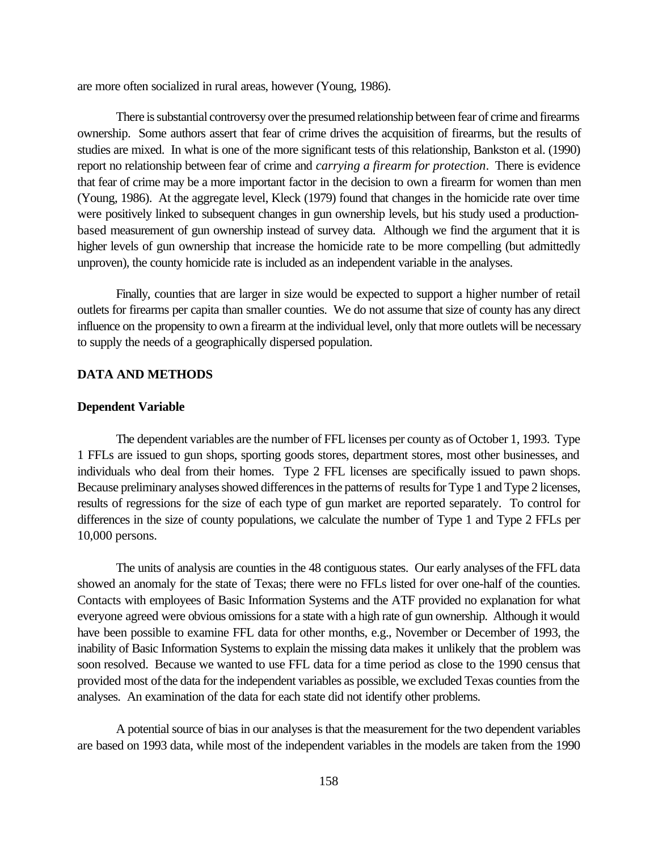are more often socialized in rural areas, however (Young, 1986).

There is substantial controversy over the presumed relationship between fear of crime and firearms ownership. Some authors assert that fear of crime drives the acquisition of firearms, but the results of studies are mixed. In what is one of the more significant tests of this relationship, Bankston et al. (1990) report no relationship between fear of crime and *carrying a firearm for protection*. There is evidence that fear of crime may be a more important factor in the decision to own a firearm for women than men (Young, 1986). At the aggregate level, Kleck (1979) found that changes in the homicide rate over time were positively linked to subsequent changes in gun ownership levels, but his study used a productionbased measurement of gun ownership instead of survey data. Although we find the argument that it is higher levels of gun ownership that increase the homicide rate to be more compelling (but admittedly unproven), the county homicide rate is included as an independent variable in the analyses.

 Finally, counties that are larger in size would be expected to support a higher number of retail outlets for firearms per capita than smaller counties. We do not assume that size of county has any direct influence on the propensity to own a firearm at the individual level, only that more outlets will be necessary to supply the needs of a geographically dispersed population.

#### **DATA AND METHODS**

#### **Dependent Variable**

The dependent variables are the number of FFL licenses per county as of October 1, 1993. Type 1 FFLs are issued to gun shops, sporting goods stores, department stores, most other businesses, and individuals who deal from their homes. Type 2 FFL licenses are specifically issued to pawn shops. Because preliminary analyses showed differences in the patterns of results for Type 1 and Type 2 licenses, results of regressions for the size of each type of gun market are reported separately. To control for differences in the size of county populations, we calculate the number of Type 1 and Type 2 FFLs per 10,000 persons.

The units of analysis are counties in the 48 contiguous states. Our early analyses of the FFL data showed an anomaly for the state of Texas; there were no FFLs listed for over one-half of the counties. Contacts with employees of Basic Information Systems and the ATF provided no explanation for what everyone agreed were obvious omissions for a state with a high rate of gun ownership. Although it would have been possible to examine FFL data for other months, e.g., November or December of 1993, the inability of Basic Information Systems to explain the missing data makes it unlikely that the problem was soon resolved. Because we wanted to use FFL data for a time period as close to the 1990 census that provided most of the data for the independent variables as possible, we excluded Texas counties from the analyses. An examination of the data for each state did not identify other problems.

A potential source of bias in our analyses is that the measurement for the two dependent variables are based on 1993 data, while most of the independent variables in the models are taken from the 1990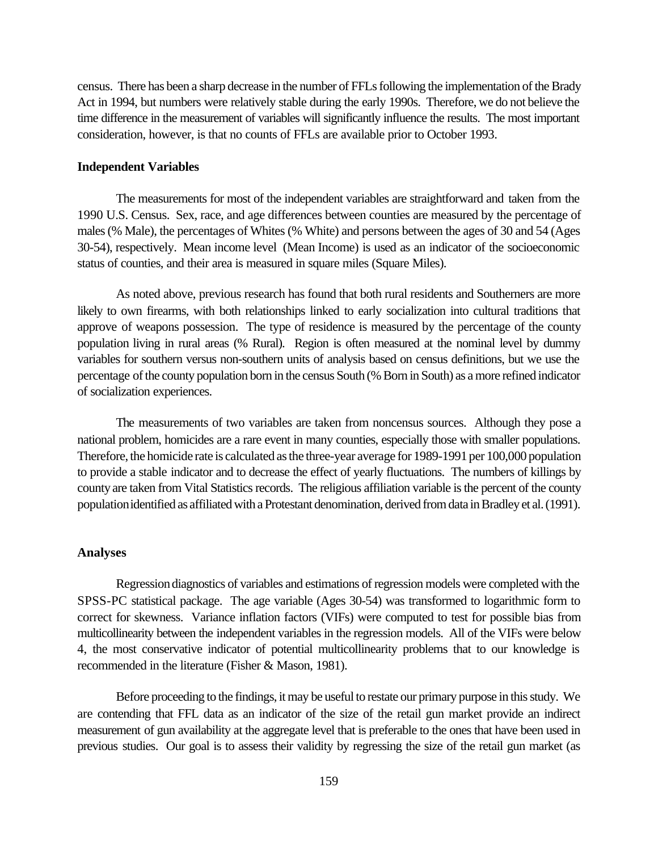census. There has been a sharp decrease in the number of FFLs following the implementation of the Brady Act in 1994, but numbers were relatively stable during the early 1990s. Therefore, we do not believe the time difference in the measurement of variables will significantly influence the results. The most important consideration, however, is that no counts of FFLs are available prior to October 1993.

#### **Independent Variables**

The measurements for most of the independent variables are straightforward and taken from the 1990 U.S. Census. Sex, race, and age differences between counties are measured by the percentage of males (% Male), the percentages of Whites (% White) and persons between the ages of 30 and 54 (Ages 30-54), respectively. Mean income level (Mean Income) is used as an indicator of the socioeconomic status of counties, and their area is measured in square miles (Square Miles).

As noted above, previous research has found that both rural residents and Southerners are more likely to own firearms, with both relationships linked to early socialization into cultural traditions that approve of weapons possession. The type of residence is measured by the percentage of the county population living in rural areas (% Rural). Region is often measured at the nominal level by dummy variables for southern versus non-southern units of analysis based on census definitions, but we use the percentage of the county population born in the census South (% Born in South) as a more refined indicator of socialization experiences.

The measurements of two variables are taken from noncensus sources. Although they pose a national problem, homicides are a rare event in many counties, especially those with smaller populations. Therefore, the homicide rate is calculated as the three-year average for 1989-1991 per 100,000 population to provide a stable indicator and to decrease the effect of yearly fluctuations. The numbers of killings by county are taken from Vital Statistics records. The religious affiliation variable is the percent of the county population identified as affiliated with a Protestant denomination, derived from data in Bradley et al. (1991).

#### **Analyses**

Regression diagnostics of variables and estimations of regression models were completed with the SPSS-PC statistical package. The age variable (Ages 30-54) was transformed to logarithmic form to correct for skewness. Variance inflation factors (VIFs) were computed to test for possible bias from multicollinearity between the independent variables in the regression models. All of the VIFs were below 4, the most conservative indicator of potential multicollinearity problems that to our knowledge is recommended in the literature (Fisher & Mason, 1981).

Before proceeding to the findings, it may be useful to restate our primary purpose in this study. We are contending that FFL data as an indicator of the size of the retail gun market provide an indirect measurement of gun availability at the aggregate level that is preferable to the ones that have been used in previous studies. Our goal is to assess their validity by regressing the size of the retail gun market (as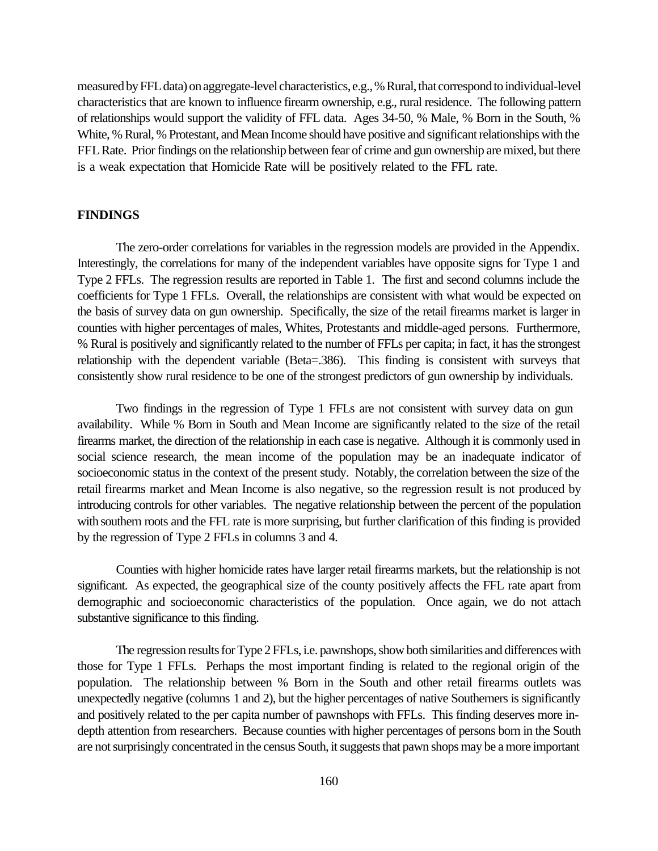measured by FFL data) on aggregate-level characteristics, e.g., % Rural, that correspond to individual-level characteristics that are known to influence firearm ownership, e.g., rural residence. The following pattern of relationships would support the validity of FFL data. Ages 34-50, % Male, % Born in the South, % White, % Rural, % Protestant, and Mean Income should have positive and significant relationships with the FFL Rate. Prior findings on the relationship between fear of crime and gun ownership are mixed, but there is a weak expectation that Homicide Rate will be positively related to the FFL rate.

#### **FINDINGS**

The zero-order correlations for variables in the regression models are provided in the Appendix. Interestingly, the correlations for many of the independent variables have opposite signs for Type 1 and Type 2 FFLs. The regression results are reported in Table 1. The first and second columns include the coefficients for Type 1 FFLs. Overall, the relationships are consistent with what would be expected on the basis of survey data on gun ownership. Specifically, the size of the retail firearms market is larger in counties with higher percentages of males, Whites, Protestants and middle-aged persons. Furthermore, % Rural is positively and significantly related to the number of FFLs per capita; in fact, it has the strongest relationship with the dependent variable (Beta=.386). This finding is consistent with surveys that consistently show rural residence to be one of the strongest predictors of gun ownership by individuals.

Two findings in the regression of Type 1 FFLs are not consistent with survey data on gun availability. While % Born in South and Mean Income are significantly related to the size of the retail firearms market, the direction of the relationship in each case is negative. Although it is commonly used in social science research, the mean income of the population may be an inadequate indicator of socioeconomic status in the context of the present study. Notably, the correlation between the size of the retail firearms market and Mean Income is also negative, so the regression result is not produced by introducing controls for other variables. The negative relationship between the percent of the population with southern roots and the FFL rate is more surprising, but further clarification of this finding is provided by the regression of Type 2 FFLs in columns 3 and 4.

Counties with higher homicide rates have larger retail firearms markets, but the relationship is not significant. As expected, the geographical size of the county positively affects the FFL rate apart from demographic and socioeconomic characteristics of the population. Once again, we do not attach substantive significance to this finding.

The regression results for Type 2 FFLs, i.e. pawnshops, show both similarities and differences with those for Type 1 FFLs. Perhaps the most important finding is related to the regional origin of the population. The relationship between % Born in the South and other retail firearms outlets was unexpectedly negative (columns 1 and 2), but the higher percentages of native Southerners is significantly and positively related to the per capita number of pawnshops with FFLs. This finding deserves more indepth attention from researchers. Because counties with higher percentages of persons born in the South are not surprisingly concentrated in the census South, it suggests that pawn shops may be a more important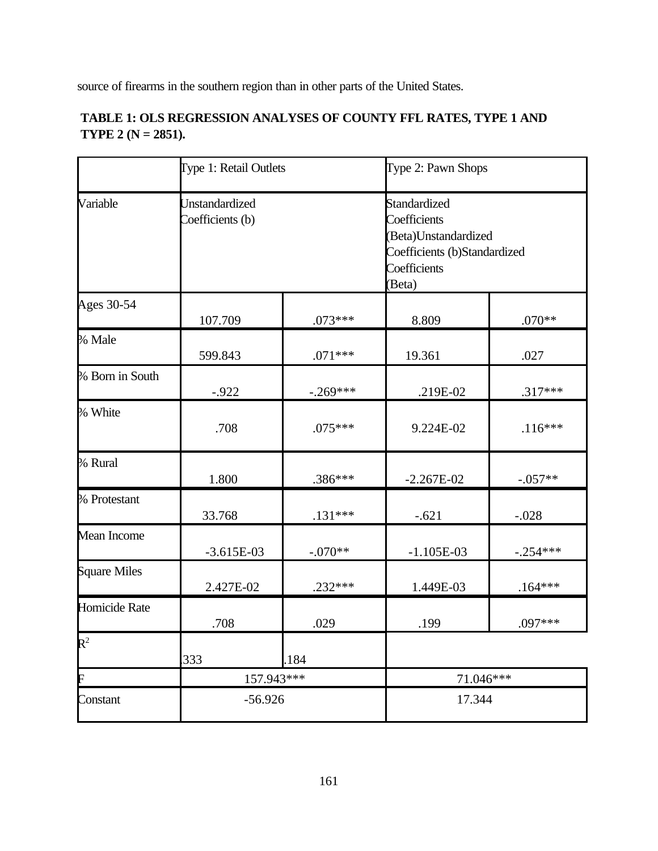source of firearms in the southern region than in other parts of the United States.

# **TABLE 1: OLS REGRESSION ANALYSES OF COUNTY FFL RATES, TYPE 1 AND TYPE 2 (N = 2851).**

|                     | Type 1: Retail Outlets             |            | Type 2: Pawn Shops                                                                                             |            |  |  |
|---------------------|------------------------------------|------------|----------------------------------------------------------------------------------------------------------------|------------|--|--|
| Variable            | Unstandardized<br>Coefficients (b) |            | Standardized<br>Coefficients<br>(Beta)Unstandardized<br>Coefficients (b)Standardized<br>Coefficients<br>(Beta) |            |  |  |
| Ages 30-54          | 107.709                            | $.073***$  | 8.809                                                                                                          | $.070**$   |  |  |
| % Male              | 599.843                            | $.071***$  | 19.361                                                                                                         | .027       |  |  |
| % Born in South     | $-.922$                            | $-.269***$ | .219E-02                                                                                                       | $.317***$  |  |  |
| % White             | .708                               | $.075***$  | 9.224E-02                                                                                                      | $.116***$  |  |  |
| % Rural             | 1.800                              | .386***    | $-2.267E-02$                                                                                                   | $-.057**$  |  |  |
| % Protestant        | 33.768                             | $.131***$  | $-.621$                                                                                                        | $-.028$    |  |  |
| Mean Income         | $-3.615E-03$                       | $-.070**$  | $-1.105E-03$                                                                                                   | $-.254***$ |  |  |
| <b>Square Miles</b> | 2.427E-02                          | .232***    | 1.449E-03                                                                                                      | $.164***$  |  |  |
| Homicide Rate       | .708                               | .029       | .199                                                                                                           | $.097***$  |  |  |
| $R^2$               | 333                                | 184        |                                                                                                                |            |  |  |
| F                   | 157.943***                         |            | 71.046***                                                                                                      |            |  |  |
| Constant            | $-56.926$                          |            | 17.344                                                                                                         |            |  |  |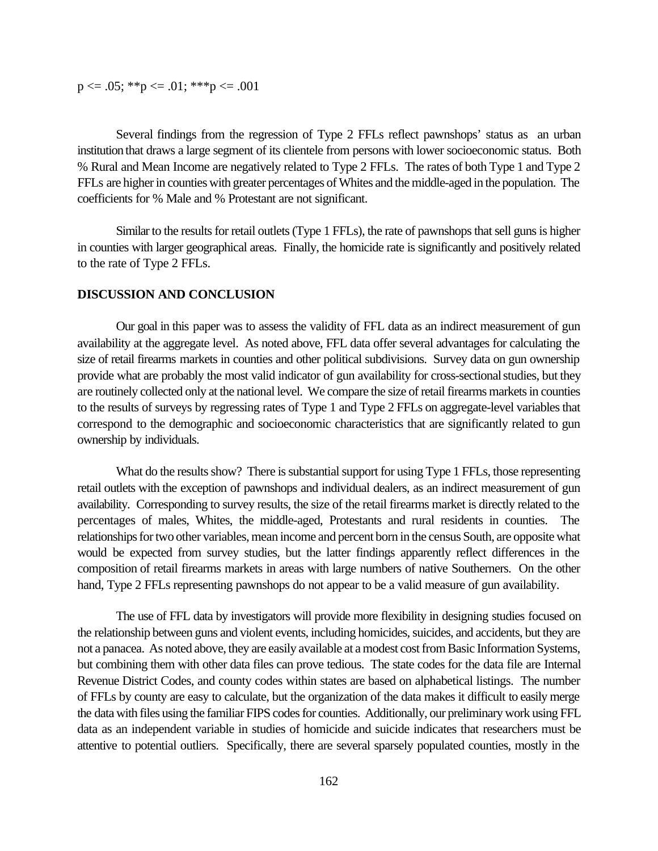$p \leq 0.05$ ; \*\*p  $\leq 0.01$ ; \*\*\*p  $\leq 0.001$ 

Several findings from the regression of Type 2 FFLs reflect pawnshops' status as an urban institution that draws a large segment of its clientele from persons with lower socioeconomic status. Both % Rural and Mean Income are negatively related to Type 2 FFLs. The rates of both Type 1 and Type 2 FFLs are higher in counties with greater percentages of Whites and the middle-aged in the population. The coefficients for % Male and % Protestant are not significant.

Similar to the results for retail outlets (Type 1 FFLs), the rate of pawnshops that sell guns is higher in counties with larger geographical areas. Finally, the homicide rate is significantly and positively related to the rate of Type 2 FFLs.

#### **DISCUSSION AND CONCLUSION**

Our goal in this paper was to assess the validity of FFL data as an indirect measurement of gun availability at the aggregate level. As noted above, FFL data offer several advantages for calculating the size of retail firearms markets in counties and other political subdivisions. Survey data on gun ownership provide what are probably the most valid indicator of gun availability for cross-sectional studies, but they are routinely collected only at the national level. We compare the size of retail firearms markets in counties to the results of surveys by regressing rates of Type 1 and Type 2 FFLs on aggregate-level variables that correspond to the demographic and socioeconomic characteristics that are significantly related to gun ownership by individuals.

What do the results show? There is substantial support for using Type 1 FFLs, those representing retail outlets with the exception of pawnshops and individual dealers, as an indirect measurement of gun availability. Corresponding to survey results, the size of the retail firearms market is directly related to the percentages of males, Whites, the middle-aged, Protestants and rural residents in counties. The relationships for two other variables, mean income and percent born in the census South, are opposite what would be expected from survey studies, but the latter findings apparently reflect differences in the composition of retail firearms markets in areas with large numbers of native Southerners. On the other hand, Type 2 FFLs representing pawnshops do not appear to be a valid measure of gun availability.

The use of FFL data by investigators will provide more flexibility in designing studies focused on the relationship between guns and violent events, including homicides, suicides, and accidents, but they are not a panacea. As noted above, they are easily available at a modest cost from Basic Information Systems, but combining them with other data files can prove tedious. The state codes for the data file are Internal Revenue District Codes, and county codes within states are based on alphabetical listings. The number of FFLs by county are easy to calculate, but the organization of the data makes it difficult to easily merge the data with files using the familiar FIPS codes for counties. Additionally, our preliminary work using FFL data as an independent variable in studies of homicide and suicide indicates that researchers must be attentive to potential outliers. Specifically, there are several sparsely populated counties, mostly in the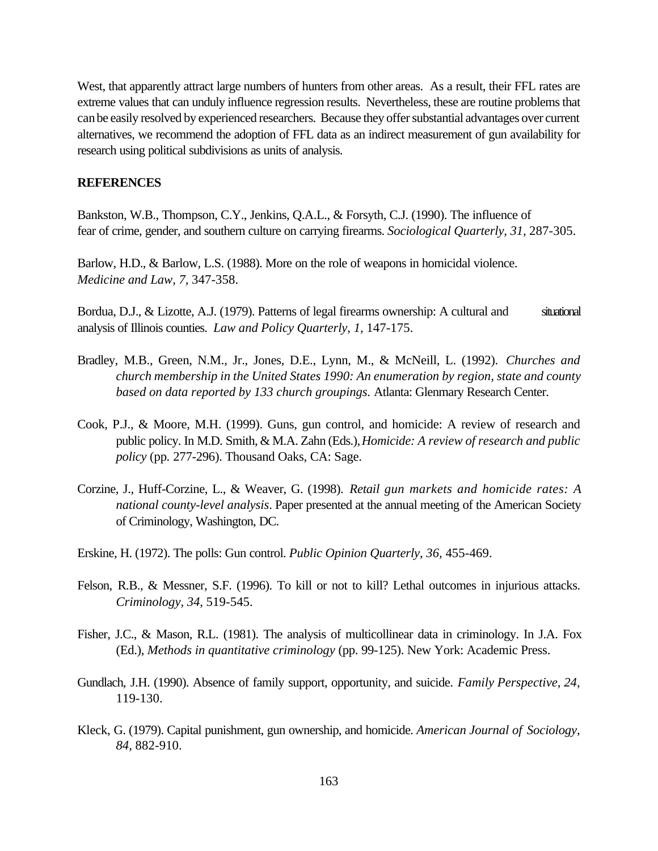West, that apparently attract large numbers of hunters from other areas. As a result, their FFL rates are extreme values that can unduly influence regression results. Nevertheless, these are routine problems that can be easily resolved by experienced researchers. Because they offer substantial advantages over current alternatives, we recommend the adoption of FFL data as an indirect measurement of gun availability for research using political subdivisions as units of analysis.

#### **REFERENCES**

Bankston, W.B., Thompson, C.Y., Jenkins, Q.A.L., & Forsyth, C.J. (1990). The influence of fear of crime, gender, and southern culture on carrying firearms. *Sociological Quarterly, 31,* 287-305.

Barlow, H.D., & Barlow, L.S. (1988). More on the role of weapons in homicidal violence. *Medicine and Law, 7,* 347-358.

Bordua, D.J., & Lizotte, A.J. (1979). Patterns of legal firearms ownership: A cultural and situational analysis of Illinois counties. *Law and Policy Quarterly, 1,* 147-175.

- Bradley, M.B., Green, N.M., Jr., Jones, D.E., Lynn, M., & McNeill, L. (1992). *Churches and church membership in the United States 1990: An enumeration by region, state and county based on data reported by 133 church groupings.* Atlanta: Glenmary Research Center.
- Cook, P.J., & Moore, M.H. (1999). Guns, gun control, and homicide: A review of research and public policy. In M.D. Smith, & M.A. Zahn (Eds.), *Homicide: A review of research and public policy* (pp*.* 277-296). Thousand Oaks, CA: Sage.
- Corzine, J., Huff-Corzine, L., & Weaver, G. (1998). *Retail gun markets and homicide rates: A national county-level analysis*. Paper presented at the annual meeting of the American Society of Criminology, Washington, DC.
- Erskine, H. (1972). The polls: Gun control. *Public Opinion Quarterly*, *36,* 455-469.
- Felson, R.B., & Messner, S.F. (1996). To kill or not to kill? Lethal outcomes in injurious attacks. *Criminology, 34,* 519-545.
- Fisher, J.C., & Mason, R.L. (1981). The analysis of multicollinear data in criminology. In J.A. Fox (Ed.), *Methods in quantitative criminology* (pp. 99-125). New York: Academic Press.
- Gundlach, J.H. (1990). Absence of family support, opportunity, and suicide. *Family Perspective, 24,* 119-130.
- Kleck, G. (1979). Capital punishment, gun ownership, and homicide. *American Journal of Sociology*, *84,* 882-910.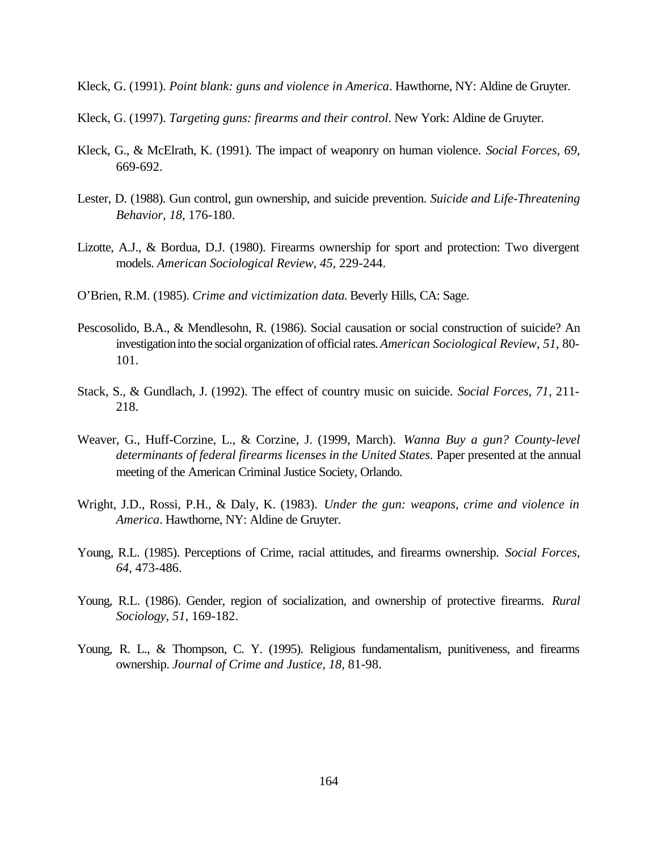Kleck, G. (1991). *Point blank: guns and violence in America*. Hawthorne, NY: Aldine de Gruyter.

- Kleck, G. (1997). *Targeting guns: firearms and their control*. New York: Aldine de Gruyter.
- Kleck, G., & McElrath, K. (1991). The impact of weaponry on human violence. *Social Forces, 69,* 669-692.
- Lester, D. (1988). Gun control, gun ownership, and suicide prevention. *Suicide and Life-Threatening Behavior, 18,* 176-180.
- Lizotte, A.J., & Bordua, D.J. (1980). Firearms ownership for sport and protection: Two divergent models. *American Sociological Review*, *45,* 229-244.
- O'Brien, R.M. (1985). *Crime and victimization data*. Beverly Hills, CA: Sage.
- Pescosolido, B.A., & Mendlesohn, R. (1986). Social causation or social construction of suicide? An investigation into the social organization of official rates. *American Sociological Review*, *51,* 80- 101.
- Stack, S., & Gundlach, J. (1992). The effect of country music on suicide. *Social Forces*, *71,* 211- 218.
- Weaver, G., Huff-Corzine, L., & Corzine, J. (1999, March). *Wanna Buy a gun? County-level determinants of federal firearms licenses in the United States.* Paper presented at the annual meeting of the American Criminal Justice Society, Orlando.
- Wright, J.D., Rossi, P.H., & Daly, K. (1983). *Under the gun: weapons, crime and violence in America*. Hawthorne, NY: Aldine de Gruyter.
- Young, R.L. (1985). Perceptions of Crime, racial attitudes, and firearms ownership. *Social Forces*, *64,* 473-486.
- Young, R.L. (1986). Gender, region of socialization, and ownership of protective firearms. *Rural Sociology*, *51,* 169-182.
- Young, R. L., & Thompson, C. Y. (1995). Religious fundamentalism, punitiveness, and firearms ownership. *Journal of Crime and Justice, 18,* 81-98.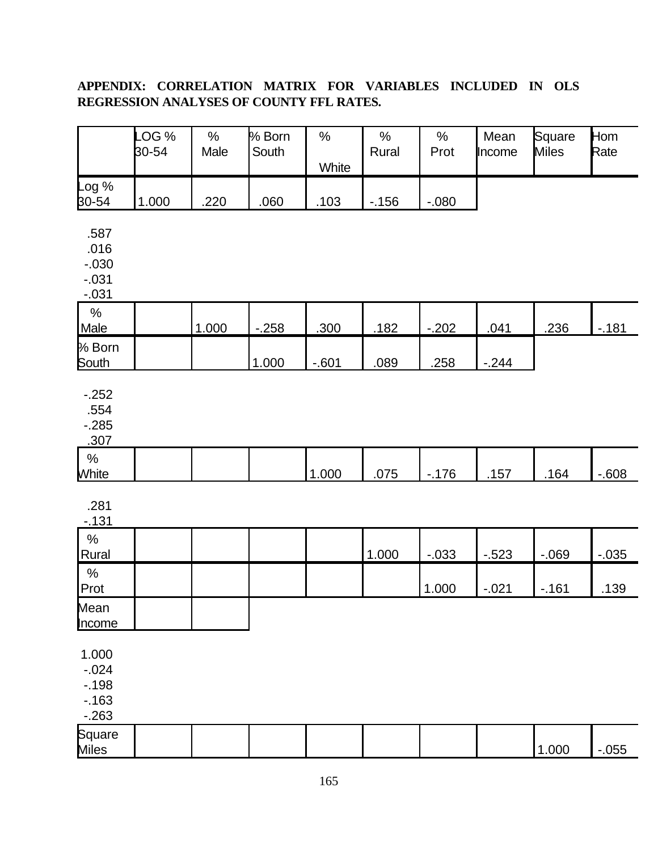# **APPENDIX: CORRELATION MATRIX FOR VARIABLES INCLUDED IN OLS REGRESSION ANALYSES OF COUNTY FFL RATES.**

|                                                  | LOG %<br>30-54 | $\%$<br>Male | % Born<br>South | $\%$<br>White | $\%$<br>Rural | $\%$<br>Prot | Mean<br>Income | Square<br><b>Miles</b> | Hom<br>Rate |
|--------------------------------------------------|----------------|--------------|-----------------|---------------|---------------|--------------|----------------|------------------------|-------------|
| Log %<br>30-54                                   | 1.000          | .220         | .060            | .103          | $-.156$       | $-080$       |                |                        |             |
| .587<br>.016<br>$-.030$<br>$-0.031$<br>$-.031$   |                |              |                 |               |               |              |                |                        |             |
| $\%$<br>Male                                     |                | 1.000        | $-258$          | .300          | .182          | $-202$       | .041           | <u>.236</u>            | $-181$      |
| % Born<br><b>South</b>                           |                |              | 1.000           | $-601$        | .089          | <u>.258</u>  | $-244$         |                        |             |
| $-252$<br>.554<br>$-285$<br>.307                 |                |              |                 |               |               |              |                |                        |             |
| $\%$<br>White                                    |                |              |                 | 1.000         | .075          | $-176$       | .157           | .164                   | $-608$      |
| .281<br>$-131$                                   |                |              |                 |               |               |              |                |                        |             |
| $\%$<br>Rural                                    |                |              |                 |               | 1.000         | $-0.033$     | $-0.523$       | $-069$                 | $-0.035$    |
| %<br>Prot                                        |                |              |                 |               |               | 1.000        | $-.021$        | $-.161$                | .139        |
| Mean<br><b>Income</b>                            |                |              |                 |               |               |              |                |                        |             |
| 1.000<br>$-.024$<br>$-198$<br>$-163$<br>$-0.263$ |                |              |                 |               |               |              |                |                        |             |
| Square<br><u>Miles</u>                           |                |              |                 |               |               |              |                | 1.000                  | $-0.055$    |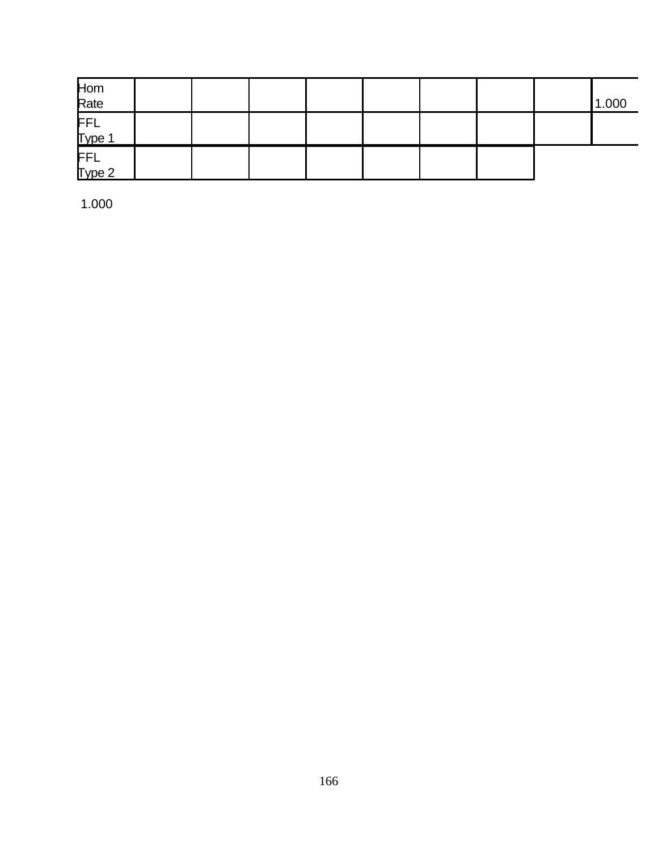| Hom<br>Rate   |  |  |  |  |       |
|---------------|--|--|--|--|-------|
|               |  |  |  |  | 1.000 |
| FFL<br>Type 1 |  |  |  |  |       |
|               |  |  |  |  |       |
| FFL<br>Type 2 |  |  |  |  |       |
|               |  |  |  |  |       |

1.000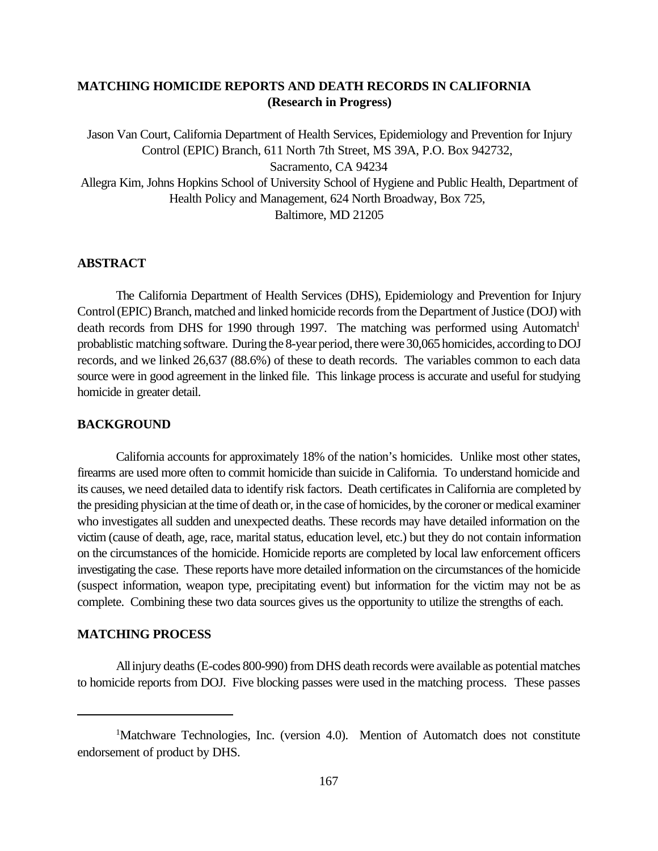# **MATCHING HOMICIDE REPORTS AND DEATH RECORDS IN CALIFORNIA (Research in Progress)**

Jason Van Court, California Department of Health Services, Epidemiology and Prevention for Injury Control (EPIC) Branch, 611 North 7th Street, MS 39A, P.O. Box 942732, Sacramento, CA 94234 Allegra Kim, Johns Hopkins School of University School of Hygiene and Public Health, Department of Health Policy and Management, 624 North Broadway, Box 725, Baltimore, MD 21205

#### **ABSTRACT**

The California Department of Health Services (DHS), Epidemiology and Prevention for Injury Control (EPIC) Branch, matched and linked homicide records from the Department of Justice (DOJ) with death records from DHS for 1990 through 1997. The matching was performed using Automatch<sup>1</sup> probablistic matching software. During the 8-year period, there were 30,065 homicides, according to DOJ records, and we linked 26,637 (88.6%) of these to death records. The variables common to each data source were in good agreement in the linked file. This linkage process is accurate and useful for studying homicide in greater detail.

#### **BACKGROUND**

California accounts for approximately 18% of the nation's homicides. Unlike most other states, firearms are used more often to commit homicide than suicide in California. To understand homicide and its causes, we need detailed data to identify risk factors. Death certificates in California are completed by the presiding physician at the time of death or, in the case of homicides, by the coroner or medical examiner who investigates all sudden and unexpected deaths. These records may have detailed information on the victim (cause of death, age, race, marital status, education level, etc.) but they do not contain information on the circumstances of the homicide. Homicide reports are completed by local law enforcement officers investigating the case. These reports have more detailed information on the circumstances of the homicide (suspect information, weapon type, precipitating event) but information for the victim may not be as complete. Combining these two data sources gives us the opportunity to utilize the strengths of each.

#### **MATCHING PROCESS**

All injury deaths (E-codes 800-990) from DHS death records were available as potential matches to homicide reports from DOJ. Five blocking passes were used in the matching process. These passes

<sup>&</sup>lt;sup>1</sup>Matchware Technologies, Inc. (version 4.0). Mention of Automatch does not constitute endorsement of product by DHS.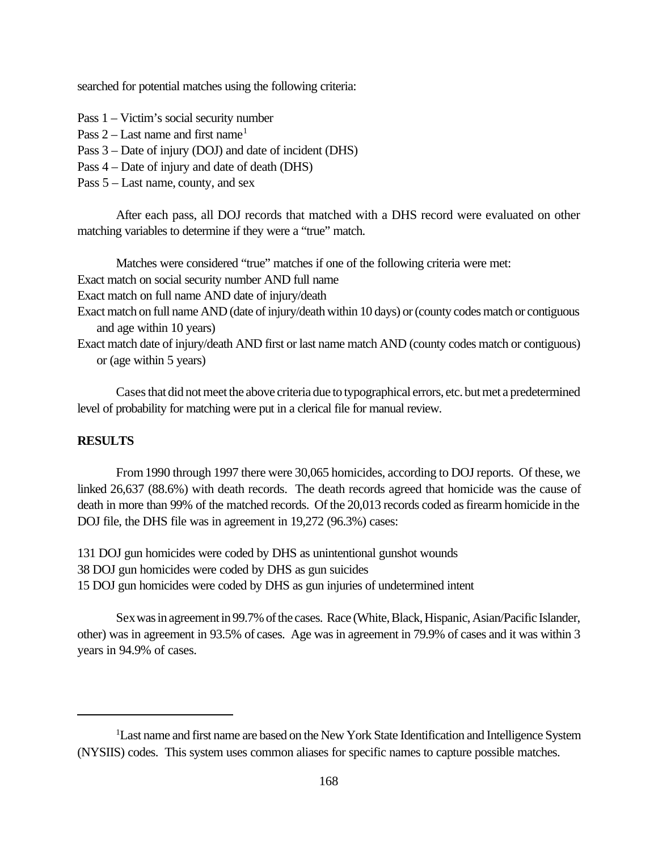searched for potential matches using the following criteria:

Pass 1 – Victim's social security number

- Pass  $2 -$ Last name and first name<sup>1</sup>
- Pass 3 Date of injury (DOJ) and date of incident (DHS)
- Pass 4 Date of injury and date of death (DHS)
- Pass 5 Last name, county, and sex

After each pass, all DOJ records that matched with a DHS record were evaluated on other matching variables to determine if they were a "true" match.

Matches were considered "true" matches if one of the following criteria were met:

Exact match on social security number AND full name

Exact match on full name AND date of injury/death

- Exact match on full name AND (date of injury/death within 10 days) or (county codes match or contiguous and age within 10 years)
- Exact match date of injury/death AND first or last name match AND (county codes match or contiguous) or (age within 5 years)

Cases that did not meet the above criteria due to typographical errors, etc. but met a predetermined level of probability for matching were put in a clerical file for manual review.

## **RESULTS**

From 1990 through 1997 there were 30,065 homicides, according to DOJ reports. Of these, we linked 26,637 (88.6%) with death records. The death records agreed that homicide was the cause of death in more than 99% of the matched records. Of the 20,013 records coded as firearm homicide in the DOJ file, the DHS file was in agreement in 19,272 (96.3%) cases:

131 DOJ gun homicides were coded by DHS as unintentional gunshot wounds 38 DOJ gun homicides were coded by DHS as gun suicides 15 DOJ gun homicides were coded by DHS as gun injuries of undetermined intent

Sex was in agreement in 99.7% of the cases. Race (White, Black, Hispanic, Asian/Pacific Islander, other) was in agreement in 93.5% of cases. Age was in agreement in 79.9% of cases and it was within 3 years in 94.9% of cases.

<sup>&</sup>lt;sup>1</sup>Last name and first name are based on the New York State Identification and Intelligence System (NYSIIS) codes. This system uses common aliases for specific names to capture possible matches.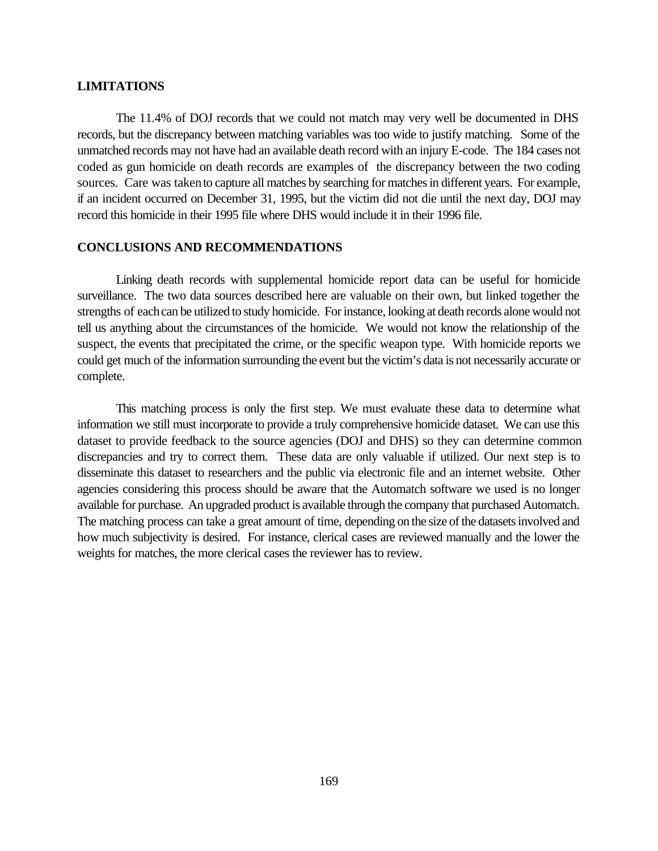#### **LIMITATIONS**

The 11.4% of DOJ records that we could not match may very well be documented in DHS records, but the discrepancy between matching variables was too wide to justify matching. Some of the unmatched records may not have had an available death record with an injury E-code. The 184 cases not coded as gun homicide on death records are examples of the discrepancy between the two coding sources. Care was taken to capture all matches by searching for matches in different years. For example, if an incident occurred on December 31, 1995, but the victim did not die until the next day, DOJ may record this homicide in their 1995 file where DHS would include it in their 1996 file.

## **CONCLUSIONS AND RECOMMENDATIONS**

Linking death records with supplemental homicide report data can be useful for homicide surveillance. The two data sources described here are valuable on their own, but linked together the strengths of each can be utilized to study homicide. For instance, looking at death records alone would not tell us anything about the circumstances of the homicide. We would not know the relationship of the suspect, the events that precipitated the crime, or the specific weapon type. With homicide reports we could get much of the information surrounding the event but the victim's data is not necessarily accurate or complete.

This matching process is only the first step. We must evaluate these data to determine what information we still must incorporate to provide a truly comprehensive homicide dataset. We can use this dataset to provide feedback to the source agencies (DOJ and DHS) so they can determine common discrepancies and try to correct them. These data are only valuable if utilized. Our next step is to disseminate this dataset to researchers and the public via electronic file and an internet website. Other agencies considering this process should be aware that the Automatch software we used is no longer available for purchase. An upgraded product is available through the company that purchased Automatch. The matching process can take a great amount of time, depending on the size of the datasets involved and how much subjectivity is desired. For instance, clerical cases are reviewed manually and the lower the weights for matches, the more clerical cases the reviewer has to review.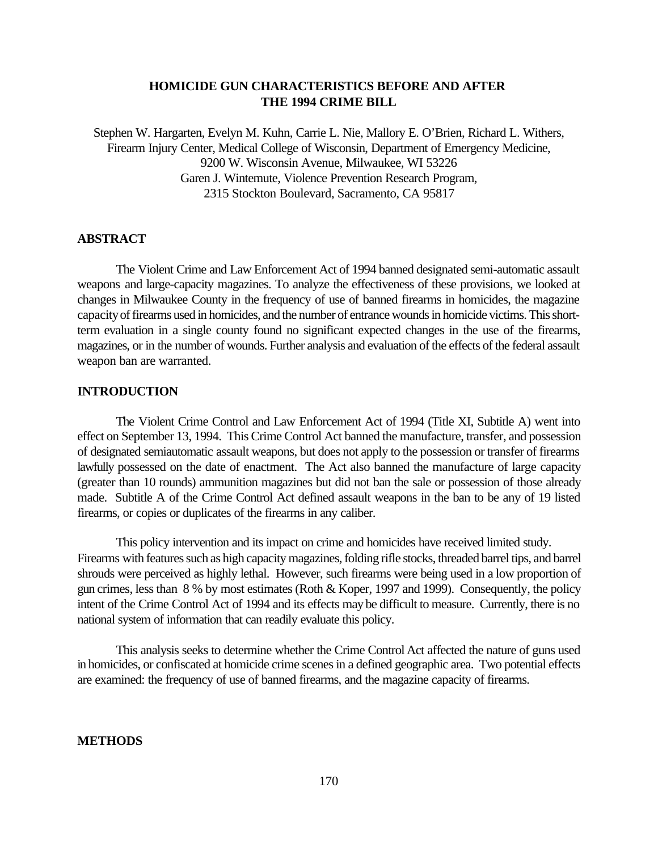# **HOMICIDE GUN CHARACTERISTICS BEFORE AND AFTER THE 1994 CRIME BILL**

Stephen W. Hargarten, Evelyn M. Kuhn, Carrie L. Nie, Mallory E. O'Brien, Richard L. Withers, Firearm Injury Center, Medical College of Wisconsin, Department of Emergency Medicine, 9200 W. Wisconsin Avenue, Milwaukee, WI 53226 Garen J. Wintemute, Violence Prevention Research Program, 2315 Stockton Boulevard, Sacramento, CA 95817

### **ABSTRACT**

The Violent Crime and Law Enforcement Act of 1994 banned designated semi-automatic assault weapons and large-capacity magazines. To analyze the effectiveness of these provisions, we looked at changes in Milwaukee County in the frequency of use of banned firearms in homicides, the magazine capacity of firearms used in homicides, and the number of entrance wounds in homicide victims. This shortterm evaluation in a single county found no significant expected changes in the use of the firearms, magazines, or in the number of wounds. Further analysis and evaluation of the effects of the federal assault weapon ban are warranted.

#### **INTRODUCTION**

The Violent Crime Control and Law Enforcement Act of 1994 (Title XI, Subtitle A) went into effect on September 13, 1994. This Crime Control Act banned the manufacture, transfer, and possession of designated semiautomatic assault weapons, but does not apply to the possession or transfer of firearms lawfully possessed on the date of enactment. The Act also banned the manufacture of large capacity (greater than 10 rounds) ammunition magazines but did not ban the sale or possession of those already made. Subtitle A of the Crime Control Act defined assault weapons in the ban to be any of 19 listed firearms, or copies or duplicates of the firearms in any caliber.

This policy intervention and its impact on crime and homicides have received limited study. Firearms with features such as high capacity magazines, folding rifle stocks, threaded barrel tips, and barrel shrouds were perceived as highly lethal. However, such firearms were being used in a low proportion of gun crimes, less than 8 % by most estimates (Roth & Koper, 1997 and 1999). Consequently, the policy intent of the Crime Control Act of 1994 and its effects may be difficult to measure. Currently, there is no national system of information that can readily evaluate this policy.

This analysis seeks to determine whether the Crime Control Act affected the nature of guns used in homicides, or confiscated at homicide crime scenes in a defined geographic area. Two potential effects are examined: the frequency of use of banned firearms, and the magazine capacity of firearms.

## **METHODS**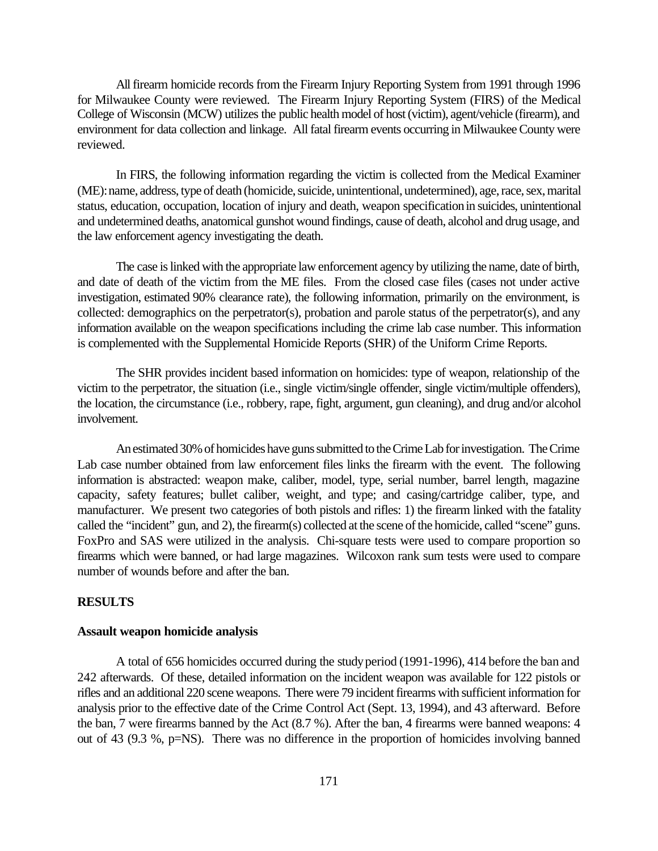All firearm homicide records from the Firearm Injury Reporting System from 1991 through 1996 for Milwaukee County were reviewed. The Firearm Injury Reporting System (FIRS) of the Medical College of Wisconsin (MCW) utilizes the public health model of host (victim), agent/vehicle (firearm), and environment for data collection and linkage. All fatal firearm events occurring in Milwaukee County were reviewed.

In FIRS, the following information regarding the victim is collected from the Medical Examiner (ME): name, address, type of death (homicide, suicide, unintentional, undetermined), age, race, sex, marital status, education, occupation, location of injury and death, weapon specification in suicides, unintentional and undetermined deaths, anatomical gunshot wound findings, cause of death, alcohol and drug usage, and the law enforcement agency investigating the death.

The case is linked with the appropriate law enforcement agency by utilizing the name, date of birth, and date of death of the victim from the ME files. From the closed case files (cases not under active investigation, estimated 90% clearance rate), the following information, primarily on the environment, is collected: demographics on the perpetrator(s), probation and parole status of the perpetrator(s), and any information available on the weapon specifications including the crime lab case number. This information is complemented with the Supplemental Homicide Reports (SHR) of the Uniform Crime Reports.

The SHR provides incident based information on homicides: type of weapon, relationship of the victim to the perpetrator, the situation (i.e., single victim/single offender, single victim/multiple offenders), the location, the circumstance (i.e., robbery, rape, fight, argument, gun cleaning), and drug and/or alcohol involvement.

An estimated 30% of homicides have guns submitted to the Crime Lab for investigation. The Crime Lab case number obtained from law enforcement files links the firearm with the event. The following information is abstracted: weapon make, caliber, model, type, serial number, barrel length, magazine capacity, safety features; bullet caliber, weight, and type; and casing/cartridge caliber, type, and manufacturer. We present two categories of both pistols and rifles: 1) the firearm linked with the fatality called the "incident" gun, and 2), the firearm(s) collected at the scene of the homicide, called "scene" guns. FoxPro and SAS were utilized in the analysis. Chi-square tests were used to compare proportion so firearms which were banned, or had large magazines. Wilcoxon rank sum tests were used to compare number of wounds before and after the ban.

#### **RESULTS**

#### **Assault weapon homicide analysis**

A total of 656 homicides occurred during the study period (1991-1996), 414 before the ban and 242 afterwards. Of these, detailed information on the incident weapon was available for 122 pistols or rifles and an additional 220 scene weapons. There were 79 incident firearms with sufficient information for analysis prior to the effective date of the Crime Control Act (Sept. 13, 1994), and 43 afterward. Before the ban, 7 were firearms banned by the Act (8.7 %). After the ban, 4 firearms were banned weapons: 4 out of 43 (9.3 %, p=NS). There was no difference in the proportion of homicides involving banned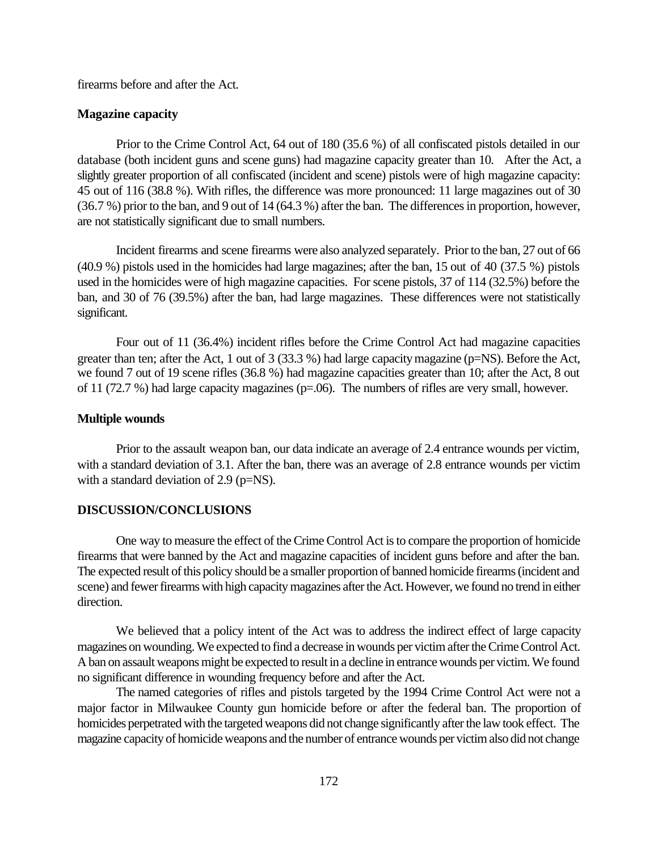firearms before and after the Act.

## **Magazine capacity**

Prior to the Crime Control Act, 64 out of 180 (35.6 %) of all confiscated pistols detailed in our database (both incident guns and scene guns) had magazine capacity greater than 10. After the Act, a slightly greater proportion of all confiscated (incident and scene) pistols were of high magazine capacity: 45 out of 116 (38.8 %). With rifles, the difference was more pronounced: 11 large magazines out of 30 (36.7 %) prior to the ban, and 9 out of 14 (64.3 %) after the ban. The differences in proportion, however, are not statistically significant due to small numbers.

Incident firearms and scene firearms were also analyzed separately. Prior to the ban, 27 out of 66 (40.9 %) pistols used in the homicides had large magazines; after the ban, 15 out of 40 (37.5 %) pistols used in the homicides were of high magazine capacities. For scene pistols, 37 of 114 (32.5%) before the ban, and 30 of 76 (39.5%) after the ban, had large magazines. These differences were not statistically significant.

Four out of 11 (36.4%) incident rifles before the Crime Control Act had magazine capacities greater than ten; after the Act, 1 out of 3 (33.3 %) had large capacity magazine (p=NS). Before the Act, we found 7 out of 19 scene rifles (36.8 %) had magazine capacities greater than 10; after the Act, 8 out of 11 (72.7 %) had large capacity magazines (p=.06). The numbers of rifles are very small, however.

#### **Multiple wounds**

Prior to the assault weapon ban, our data indicate an average of 2.4 entrance wounds per victim, with a standard deviation of 3.1. After the ban, there was an average of 2.8 entrance wounds per victim with a standard deviation of 2.9 (p=NS).

## **DISCUSSION/CONCLUSIONS**

One way to measure the effect of the Crime Control Act is to compare the proportion of homicide firearms that were banned by the Act and magazine capacities of incident guns before and after the ban. The expected result of this policy should be a smaller proportion of banned homicide firearms (incident and scene) and fewer firearms with high capacity magazines after the Act. However, we found no trend in either direction.

We believed that a policy intent of the Act was to address the indirect effect of large capacity magazines on wounding. We expected to find a decrease in wounds per victim after the Crime Control Act. A ban on assault weapons might be expected to result in a decline in entrance wounds per victim. We found no significant difference in wounding frequency before and after the Act.

The named categories of rifles and pistols targeted by the 1994 Crime Control Act were not a major factor in Milwaukee County gun homicide before or after the federal ban. The proportion of homicides perpetrated with the targeted weapons did not change significantly after the law took effect. The magazine capacity of homicide weapons and the number of entrance wounds per victim also did not change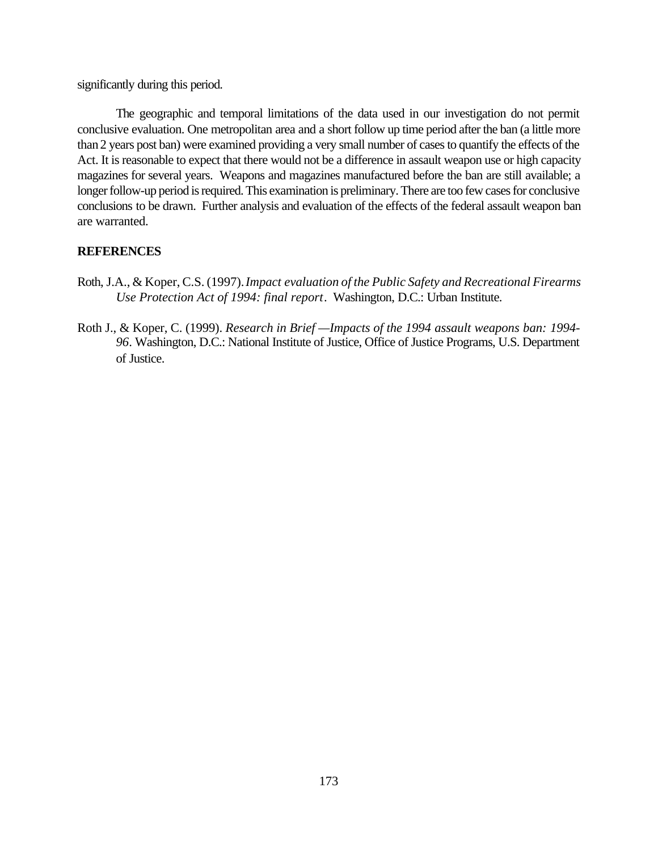significantly during this period.

The geographic and temporal limitations of the data used in our investigation do not permit conclusive evaluation. One metropolitan area and a short follow up time period after the ban (a little more than 2 years post ban) were examined providing a very small number of cases to quantify the effects of the Act. It is reasonable to expect that there would not be a difference in assault weapon use or high capacity magazines for several years. Weapons and magazines manufactured before the ban are still available; a longer follow-up period is required. This examination is preliminary. There are too few cases for conclusive conclusions to be drawn. Further analysis and evaluation of the effects of the federal assault weapon ban are warranted.

# **REFERENCES**

- Roth, J.A., & Koper, C.S. (1997). *Impact evaluation of the Public Safety and Recreational Firearms Use Protection Act of 1994: final report*. Washington, D.C.: Urban Institute.
- Roth J., & Koper, C. (1999). *Research in Brief —Impacts of the 1994 assault weapons ban: 1994- 96*. Washington, D.C.: National Institute of Justice, Office of Justice Programs, U.S. Department of Justice.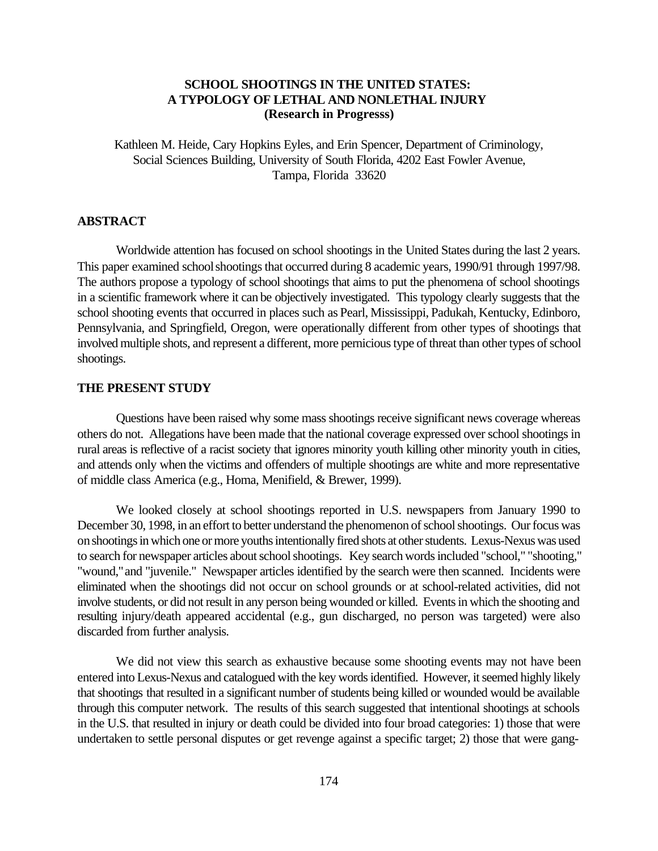# **SCHOOL SHOOTINGS IN THE UNITED STATES: A TYPOLOGY OF LETHAL AND NONLETHAL INJURY (Research in Progresss)**

Kathleen M. Heide, Cary Hopkins Eyles, and Erin Spencer, Department of Criminology, Social Sciences Building, University of South Florida, 4202 East Fowler Avenue, Tampa, Florida 33620

#### **ABSTRACT**

Worldwide attention has focused on school shootings in the United States during the last 2 years. This paper examined school shootings that occurred during 8 academic years, 1990/91 through 1997/98. The authors propose a typology of school shootings that aims to put the phenomena of school shootings in a scientific framework where it can be objectively investigated. This typology clearly suggests that the school shooting events that occurred in places such as Pearl, Mississippi, Padukah, Kentucky, Edinboro, Pennsylvania, and Springfield, Oregon, were operationally different from other types of shootings that involved multiple shots, and represent a different, more pernicious type of threat than other types of school shootings.

#### **THE PRESENT STUDY**

Questions have been raised why some mass shootings receive significant news coverage whereas others do not. Allegations have been made that the national coverage expressed over school shootings in rural areas is reflective of a racist society that ignores minority youth killing other minority youth in cities, and attends only when the victims and offenders of multiple shootings are white and more representative of middle class America (e.g., Homa, Menifield, & Brewer, 1999).

We looked closely at school shootings reported in U.S. newspapers from January 1990 to December 30, 1998, in an effort to better understand the phenomenon of school shootings. Our focus was on shootings in which one or more youths intentionally fired shots at other students. Lexus-Nexus was used to search for newspaper articles about school shootings. Key search words included "school," "shooting," "wound," and "juvenile." Newspaper articles identified by the search were then scanned. Incidents were eliminated when the shootings did not occur on school grounds or at school-related activities, did not involve students, or did not result in any person being wounded or killed. Events in which the shooting and resulting injury/death appeared accidental (e.g., gun discharged, no person was targeted) were also discarded from further analysis.

We did not view this search as exhaustive because some shooting events may not have been entered into Lexus-Nexus and catalogued with the key words identified. However, it seemed highly likely that shootings that resulted in a significant number of students being killed or wounded would be available through this computer network. The results of this search suggested that intentional shootings at schools in the U.S. that resulted in injury or death could be divided into four broad categories: 1) those that were undertaken to settle personal disputes or get revenge against a specific target; 2) those that were gang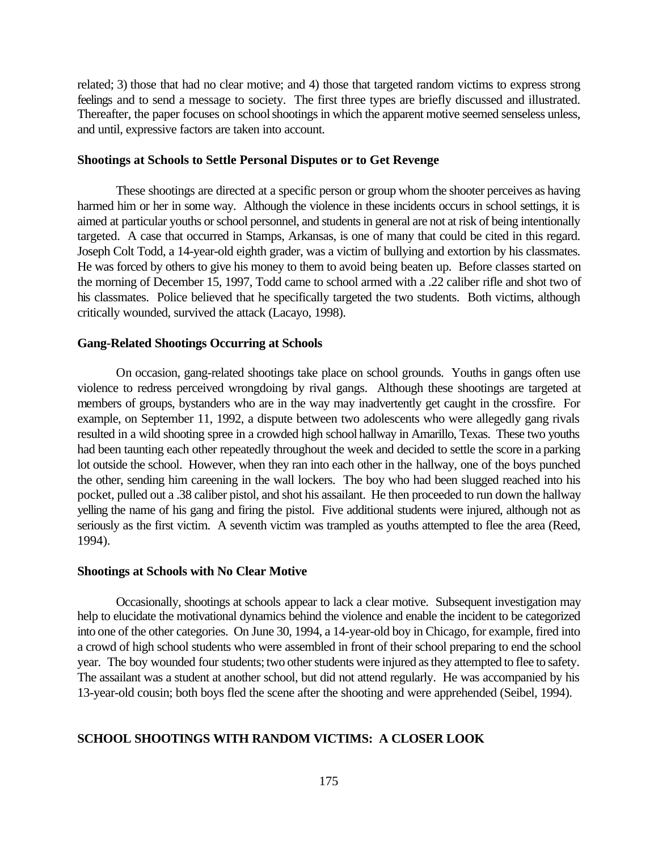related; 3) those that had no clear motive; and 4) those that targeted random victims to express strong feelings and to send a message to society. The first three types are briefly discussed and illustrated. Thereafter, the paper focuses on school shootings in which the apparent motive seemed senseless unless, and until, expressive factors are taken into account.

#### **Shootings at Schools to Settle Personal Disputes or to Get Revenge**

These shootings are directed at a specific person or group whom the shooter perceives as having harmed him or her in some way. Although the violence in these incidents occurs in school settings, it is aimed at particular youths or school personnel, and students in general are not at risk of being intentionally targeted. A case that occurred in Stamps, Arkansas, is one of many that could be cited in this regard. Joseph Colt Todd, a 14-year-old eighth grader, was a victim of bullying and extortion by his classmates. He was forced by others to give his money to them to avoid being beaten up. Before classes started on the morning of December 15, 1997, Todd came to school armed with a .22 caliber rifle and shot two of his classmates. Police believed that he specifically targeted the two students. Both victims, although critically wounded, survived the attack (Lacayo, 1998).

#### **Gang-Related Shootings Occurring at Schools**

On occasion, gang-related shootings take place on school grounds. Youths in gangs often use violence to redress perceived wrongdoing by rival gangs. Although these shootings are targeted at members of groups, bystanders who are in the way may inadvertently get caught in the crossfire. For example, on September 11, 1992, a dispute between two adolescents who were allegedly gang rivals resulted in a wild shooting spree in a crowded high school hallway in Amarillo, Texas. These two youths had been taunting each other repeatedly throughout the week and decided to settle the score in a parking lot outside the school. However, when they ran into each other in the hallway, one of the boys punched the other, sending him careening in the wall lockers. The boy who had been slugged reached into his pocket, pulled out a .38 caliber pistol, and shot his assailant. He then proceeded to run down the hallway yelling the name of his gang and firing the pistol. Five additional students were injured, although not as seriously as the first victim. A seventh victim was trampled as youths attempted to flee the area (Reed, 1994).

#### **Shootings at Schools with No Clear Motive**

Occasionally, shootings at schools appear to lack a clear motive. Subsequent investigation may help to elucidate the motivational dynamics behind the violence and enable the incident to be categorized into one of the other categories. On June 30, 1994, a 14-year-old boy in Chicago, for example, fired into a crowd of high school students who were assembled in front of their school preparing to end the school year. The boy wounded four students; two other students were injured as they attempted to flee to safety. The assailant was a student at another school, but did not attend regularly. He was accompanied by his 13-year-old cousin; both boys fled the scene after the shooting and were apprehended (Seibel, 1994).

## **SCHOOL SHOOTINGS WITH RANDOM VICTIMS: A CLOSER LOOK**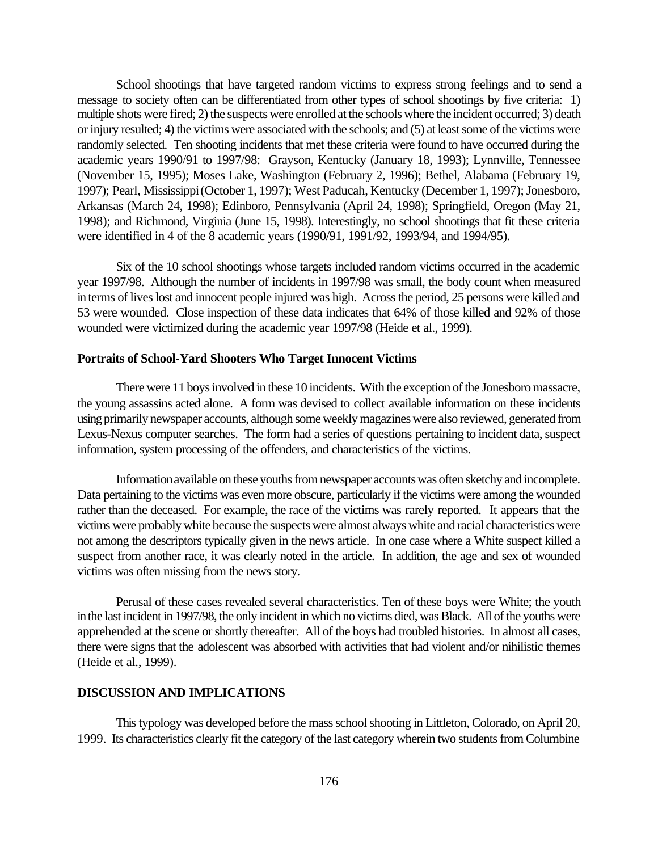School shootings that have targeted random victims to express strong feelings and to send a message to society often can be differentiated from other types of school shootings by five criteria: 1) multiple shots were fired; 2) the suspects were enrolled at the schools where the incident occurred; 3) death or injury resulted; 4) the victims were associated with the schools; and (5) at least some of the victims were randomly selected. Ten shooting incidents that met these criteria were found to have occurred during the academic years 1990/91 to 1997/98: Grayson, Kentucky (January 18, 1993); Lynnville, Tennessee (November 15, 1995); Moses Lake, Washington (February 2, 1996); Bethel, Alabama (February 19, 1997); Pearl, Mississippi (October 1, 1997); West Paducah, Kentucky (December 1, 1997); Jonesboro, Arkansas (March 24, 1998); Edinboro, Pennsylvania (April 24, 1998); Springfield, Oregon (May 21, 1998); and Richmond, Virginia (June 15, 1998). Interestingly, no school shootings that fit these criteria were identified in 4 of the 8 academic years (1990/91, 1991/92, 1993/94, and 1994/95).

Six of the 10 school shootings whose targets included random victims occurred in the academic year 1997/98. Although the number of incidents in 1997/98 was small, the body count when measured in terms of lives lost and innocent people injured was high. Across the period, 25 persons were killed and 53 were wounded. Close inspection of these data indicates that 64% of those killed and 92% of those wounded were victimized during the academic year 1997/98 (Heide et al., 1999).

#### **Portraits of School-Yard Shooters Who Target Innocent Victims**

There were 11 boys involved in these 10 incidents. With the exception of the Jonesboro massacre, the young assassins acted alone. A form was devised to collect available information on these incidents using primarily newspaper accounts, although some weekly magazines were also reviewed, generated from Lexus-Nexus computer searches. The form had a series of questions pertaining to incident data, suspect information, system processing of the offenders, and characteristics of the victims.

Information available on these youths from newspaper accounts was often sketchy and incomplete. Data pertaining to the victims was even more obscure, particularly if the victims were among the wounded rather than the deceased. For example, the race of the victims was rarely reported. It appears that the victims were probably white because the suspects were almost always white and racial characteristics were not among the descriptors typically given in the news article. In one case where a White suspect killed a suspect from another race, it was clearly noted in the article. In addition, the age and sex of wounded victims was often missing from the news story.

Perusal of these cases revealed several characteristics. Ten of these boys were White; the youth in the last incident in 1997/98, the only incident in which no victims died, was Black. All of the youths were apprehended at the scene or shortly thereafter. All of the boys had troubled histories. In almost all cases, there were signs that the adolescent was absorbed with activities that had violent and/or nihilistic themes (Heide et al., 1999).

## **DISCUSSION AND IMPLICATIONS**

This typology was developed before the mass school shooting in Littleton, Colorado, on April 20, 1999. Its characteristics clearly fit the category of the last category wherein two students from Columbine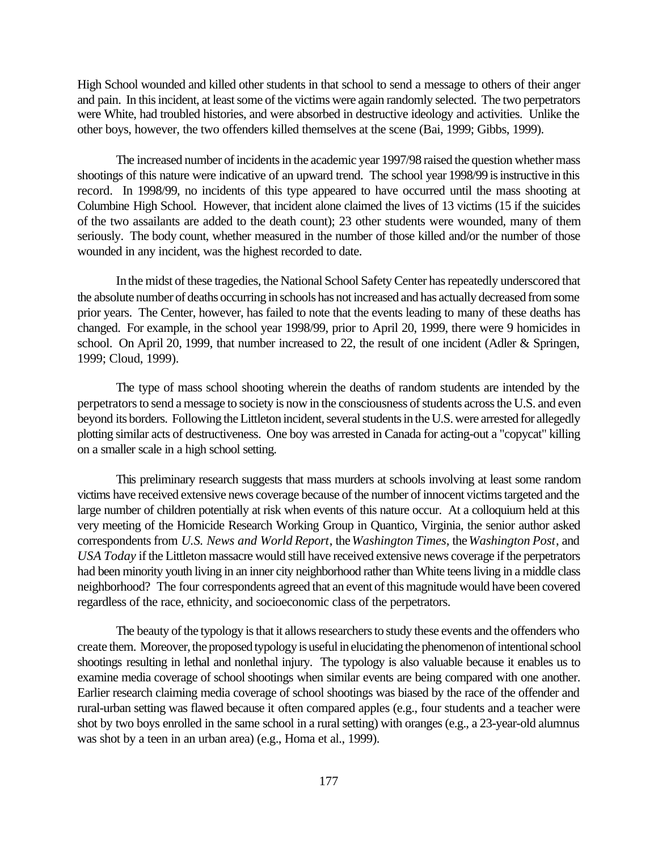High School wounded and killed other students in that school to send a message to others of their anger and pain. In this incident, at least some of the victims were again randomly selected. The two perpetrators were White, had troubled histories, and were absorbed in destructive ideology and activities. Unlike the other boys, however, the two offenders killed themselves at the scene (Bai, 1999; Gibbs, 1999).

The increased number of incidents in the academic year 1997/98 raised the question whether mass shootings of this nature were indicative of an upward trend. The school year 1998/99 is instructive in this record. In 1998/99, no incidents of this type appeared to have occurred until the mass shooting at Columbine High School. However, that incident alone claimed the lives of 13 victims (15 if the suicides of the two assailants are added to the death count); 23 other students were wounded, many of them seriously. The body count, whether measured in the number of those killed and/or the number of those wounded in any incident, was the highest recorded to date.

In the midst of these tragedies, the National School Safety Center has repeatedly underscored that the absolute number of deaths occurring in schools has not increased and has actually decreased from some prior years. The Center, however, has failed to note that the events leading to many of these deaths has changed. For example, in the school year 1998/99, prior to April 20, 1999, there were 9 homicides in school. On April 20, 1999, that number increased to 22, the result of one incident (Adler & Springen, 1999; Cloud, 1999).

The type of mass school shooting wherein the deaths of random students are intended by the perpetrators to send a message to society is now in the consciousness of students across the U.S. and even beyond its borders. Following the Littleton incident, several students in the U.S. were arrested for allegedly plotting similar acts of destructiveness. One boy was arrested in Canada for acting-out a "copycat" killing on a smaller scale in a high school setting.

This preliminary research suggests that mass murders at schools involving at least some random victims have received extensive news coverage because of the number of innocent victims targeted and the large number of children potentially at risk when events of this nature occur. At a colloquium held at this very meeting of the Homicide Research Working Group in Quantico, Virginia, the senior author asked correspondents from *U.S. News and World Report*, the *Washington Times,* the *Washington Post*, and *USA Today* if the Littleton massacre would still have received extensive news coverage if the perpetrators had been minority youth living in an inner city neighborhood rather than White teens living in a middle class neighborhood? The four correspondents agreed that an event of this magnitude would have been covered regardless of the race, ethnicity, and socioeconomic class of the perpetrators.

The beauty of the typology is that it allows researchers to study these events and the offenders who create them. Moreover, the proposed typology is useful in elucidating the phenomenon of intentional school shootings resulting in lethal and nonlethal injury. The typology is also valuable because it enables us to examine media coverage of school shootings when similar events are being compared with one another. Earlier research claiming media coverage of school shootings was biased by the race of the offender and rural-urban setting was flawed because it often compared apples (e.g., four students and a teacher were shot by two boys enrolled in the same school in a rural setting) with oranges (e.g., a 23-year-old alumnus was shot by a teen in an urban area) (e.g., Homa et al., 1999).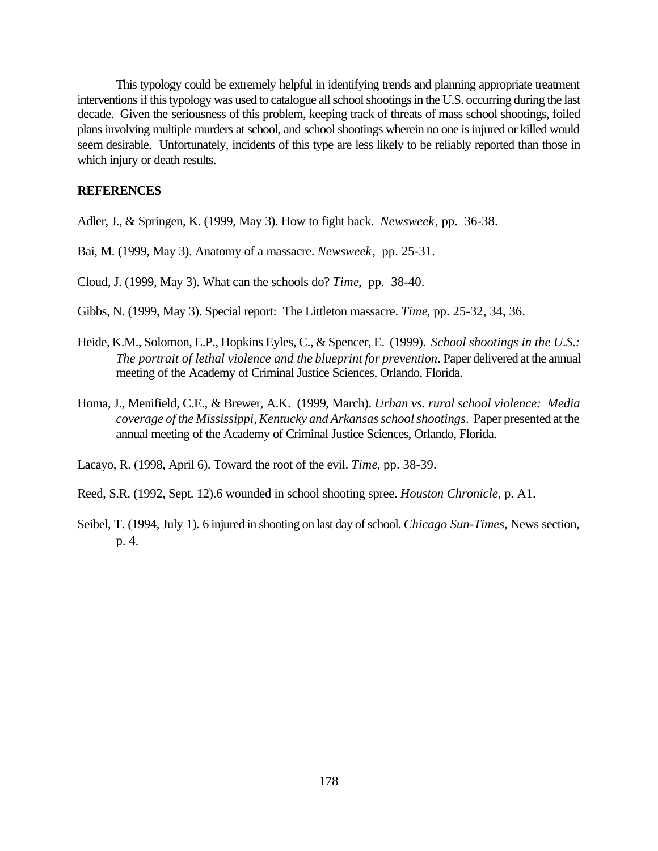This typology could be extremely helpful in identifying trends and planning appropriate treatment interventions if this typology was used to catalogue all school shootings in the U.S. occurring during the last decade. Given the seriousness of this problem, keeping track of threats of mass school shootings, foiled plans involving multiple murders at school, and school shootings wherein no one is injured or killed would seem desirable. Unfortunately, incidents of this type are less likely to be reliably reported than those in which injury or death results.

#### **REFERENCES**

- Adler, J., & Springen, K. (1999, May 3). How to fight back. *Newsweek*, pp. 36-38.
- Bai, M. (1999, May 3). Anatomy of a massacre. *Newsweek*, pp. 25-31.

Cloud, J. (1999, May 3). What can the schools do? *Time*, pp. 38-40.

- Gibbs, N. (1999, May 3). Special report: The Littleton massacre. *Time*, pp. 25-32, 34, 36.
- Heide, K.M., Solomon, E.P., Hopkins Eyles, C., & Spencer, E. (1999). *School shootings in the U.S.: The portrait of lethal violence and the blueprint for prevention*. Paper delivered at the annual meeting of the Academy of Criminal Justice Sciences, Orlando, Florida.
- Homa, J., Menifield, C.E., & Brewer, A.K. (1999, March). *Urban vs. rural school violence: Media coverage of the Mississippi, Kentucky and Arkansas school shootings*. Paper presented at the annual meeting of the Academy of Criminal Justice Sciences, Orlando, Florida.

Lacayo, R. (1998, April 6). Toward the root of the evil. *Time*, pp. 38-39.

Reed, S.R. (1992, Sept. 12).6 wounded in school shooting spree. *Houston Chronicle*, p. A1.

Seibel, T. (1994, July 1). 6 injured in shooting on last day of school. *Chicago Sun-Times*, News section, p. 4.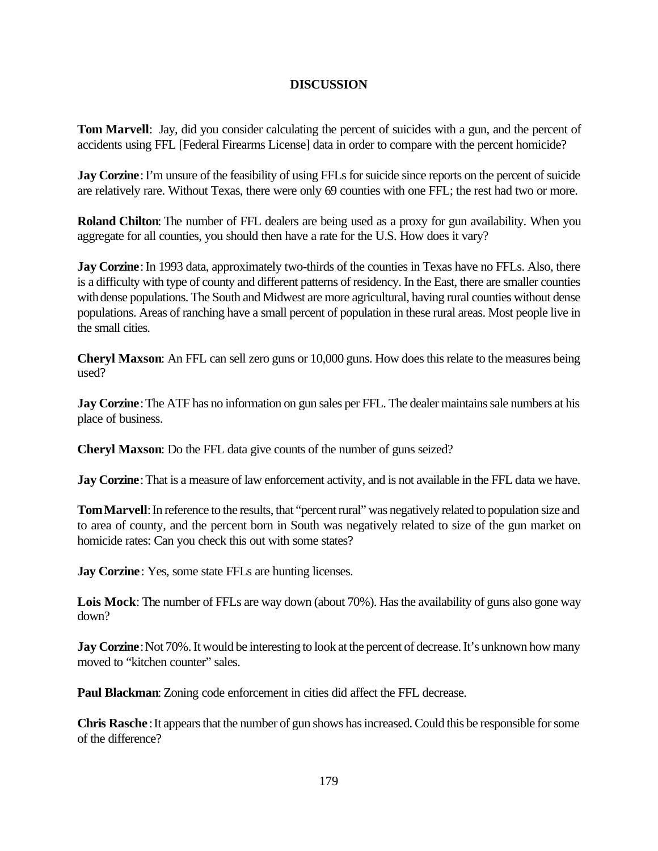# **DISCUSSION**

**Tom Marvell**: Jay, did you consider calculating the percent of suicides with a gun, and the percent of accidents using FFL [Federal Firearms License] data in order to compare with the percent homicide?

**Jay Corzine**: I'm unsure of the feasibility of using FFLs for suicide since reports on the percent of suicide are relatively rare. Without Texas, there were only 69 counties with one FFL; the rest had two or more.

**Roland Chilton**: The number of FFL dealers are being used as a proxy for gun availability. When you aggregate for all counties, you should then have a rate for the U.S. How does it vary?

**Jay Corzine**: In 1993 data, approximately two-thirds of the counties in Texas have no FFLs. Also, there is a difficulty with type of county and different patterns of residency. In the East, there are smaller counties with dense populations. The South and Midwest are more agricultural, having rural counties without dense populations. Areas of ranching have a small percent of population in these rural areas. Most people live in the small cities.

**Cheryl Maxson**: An FFL can sell zero guns or 10,000 guns. How does this relate to the measures being used?

**Jay Corzine**: The ATF has no information on gun sales per FFL. The dealer maintains sale numbers at his place of business.

**Cheryl Maxson**: Do the FFL data give counts of the number of guns seized?

**Jay Corzine**: That is a measure of law enforcement activity, and is not available in the FFL data we have.

**Tom Marvell**: In reference to the results, that "percent rural" was negatively related to population size and to area of county, and the percent born in South was negatively related to size of the gun market on homicide rates: Can you check this out with some states?

**Jay Corzine**: Yes, some state FFLs are hunting licenses.

**Lois Mock**: The number of FFLs are way down (about 70%). Has the availability of guns also gone way down?

**Jay Corzine**: Not 70%. It would be interesting to look at the percent of decrease. It's unknown how many moved to "kitchen counter" sales.

**Paul Blackman**: Zoning code enforcement in cities did affect the FFL decrease.

**Chris Rasche** : It appears that the number of gun shows has increased. Could this be responsible for some of the difference?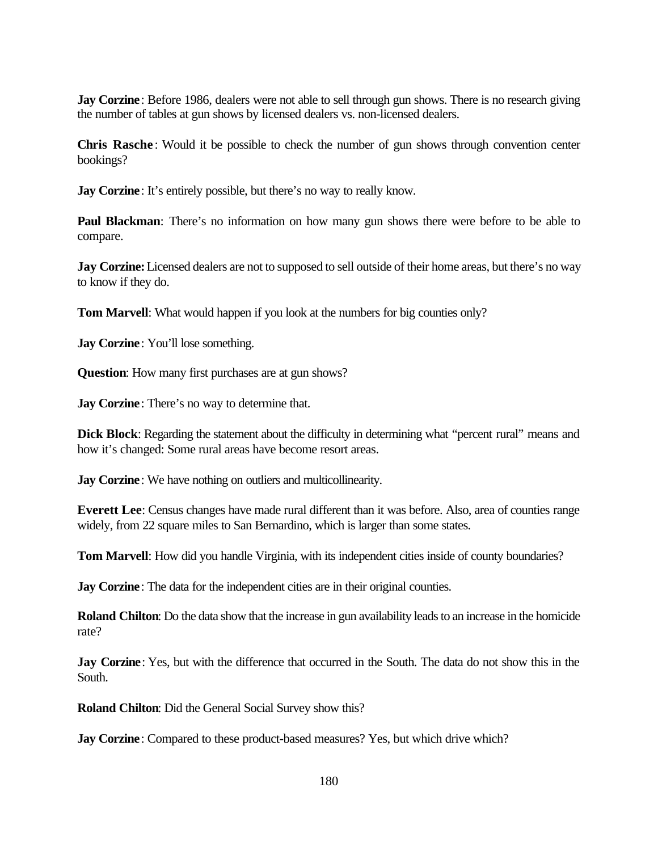**Jay Corzine**: Before 1986, dealers were not able to sell through gun shows. There is no research giving the number of tables at gun shows by licensed dealers vs. non-licensed dealers.

**Chris Rasche** : Would it be possible to check the number of gun shows through convention center bookings?

**Jay Corzine**: It's entirely possible, but there's no way to really know.

**Paul Blackman**: There's no information on how many gun shows there were before to be able to compare.

**Jay Corzine:** Licensed dealers are not to supposed to sell outside of their home areas, but there's no way to know if they do.

**Tom Marvell:** What would happen if you look at the numbers for big counties only?

**Jay Corzine**: You'll lose something.

**Question:** How many first purchases are at gun shows?

**Jay Corzine**: There's no way to determine that.

**Dick Block:** Regarding the statement about the difficulty in determining what "percent rural" means and how it's changed: Some rural areas have become resort areas.

**Jay Corzine**: We have nothing on outliers and multicollinearity.

**Everett Lee**: Census changes have made rural different than it was before. Also, area of counties range widely, from 22 square miles to San Bernardino, which is larger than some states.

**Tom Marvell:** How did you handle Virginia, with its independent cities inside of county boundaries?

**Jay Corzine**: The data for the independent cities are in their original counties.

**Roland Chilton**: Do the data show that the increase in gun availability leads to an increase in the homicide rate?

**Jay Corzine**: Yes, but with the difference that occurred in the South. The data do not show this in the South.

**Roland Chilton**: Did the General Social Survey show this?

**Jay Corzine**: Compared to these product-based measures? Yes, but which drive which?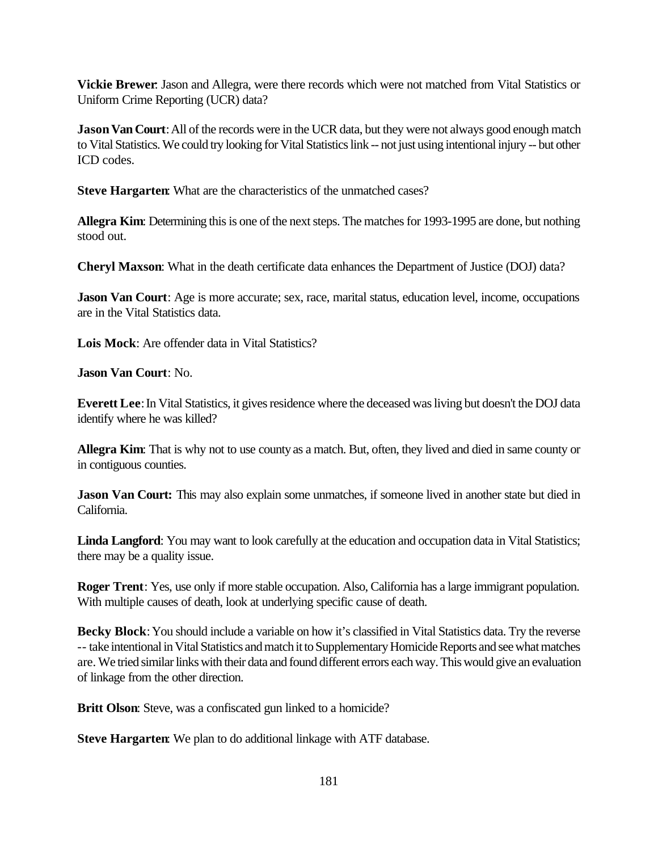**Vickie Brewer**: Jason and Allegra, were there records which were not matched from Vital Statistics or Uniform Crime Reporting (UCR) data?

**Jason Van Court**: All of the records were in the UCR data, but they were not always good enough match to Vital Statistics. We could try looking for Vital Statistics link -- not just using intentional injury -- but other ICD codes.

**Steve Hargarten:** What are the characteristics of the unmatched cases?

**Allegra Kim**: Determining this is one of the next steps. The matches for 1993-1995 are done, but nothing stood out.

**Cheryl Maxson**: What in the death certificate data enhances the Department of Justice (DOJ) data?

**Jason Van Court**: Age is more accurate; sex, race, marital status, education level, income, occupations are in the Vital Statistics data.

**Lois Mock**: Are offender data in Vital Statistics?

**Jason Van Court**: No.

**Everett Lee**: In Vital Statistics, it gives residence where the deceased was living but doesn't the DOJ data identify where he was killed?

**Allegra Kim**: That is why not to use county as a match. But, often, they lived and died in same county or in contiguous counties.

**Jason Van Court:** This may also explain some unmatches, if someone lived in another state but died in California.

**Linda Langford**: You may want to look carefully at the education and occupation data in Vital Statistics; there may be a quality issue.

**Roger Trent**: Yes, use only if more stable occupation. Also, California has a large immigrant population. With multiple causes of death, look at underlying specific cause of death.

**Becky Block**: You should include a variable on how it's classified in Vital Statistics data. Try the reverse -- take intentional in Vital Statistics and match it to Supplementary Homicide Reports and see what matches are. We tried similar links with their data and found different errors each way. This would give an evaluation of linkage from the other direction.

**Britt Olson**: Steve, was a confiscated gun linked to a homicide?

**Steve Hargarten**: We plan to do additional linkage with ATF database.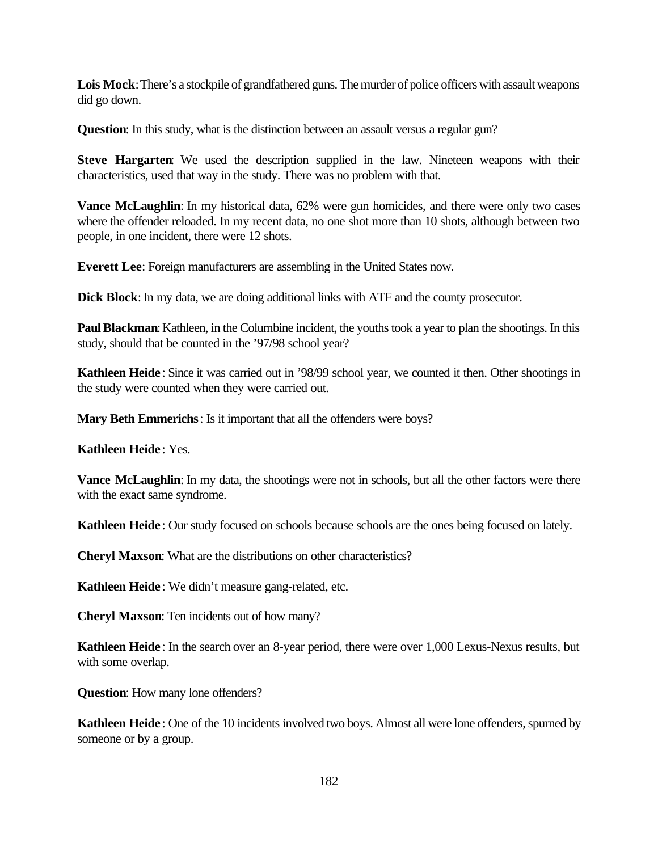**Lois Mock**: There's a stockpile of grandfathered guns. The murder of police officers with assault weapons did go down.

**Question**: In this study, what is the distinction between an assault versus a regular gun?

**Steve Hargarten:** We used the description supplied in the law. Nineteen weapons with their characteristics, used that way in the study. There was no problem with that.

**Vance McLaughlin**: In my historical data, 62% were gun homicides, and there were only two cases where the offender reloaded. In my recent data, no one shot more than 10 shots, although between two people, in one incident, there were 12 shots.

**Everett Lee**: Foreign manufacturers are assembling in the United States now.

**Dick Block**: In my data, we are doing additional links with ATF and the county prosecutor.

**Paul Blackman**: Kathleen, in the Columbine incident, the youths took a year to plan the shootings. In this study, should that be counted in the '97/98 school year?

**Kathleen Heide**: Since it was carried out in '98/99 school year, we counted it then. Other shootings in the study were counted when they were carried out.

**Mary Beth Emmerichs**: Is it important that all the offenders were boys?

**Kathleen Heide**: Yes.

**Vance McLaughlin**: In my data, the shootings were not in schools, but all the other factors were there with the exact same syndrome.

**Kathleen Heide**: Our study focused on schools because schools are the ones being focused on lately.

**Cheryl Maxson**: What are the distributions on other characteristics?

**Kathleen Heide**: We didn't measure gang-related, etc.

**Cheryl Maxson**: Ten incidents out of how many?

**Kathleen Heide**: In the search over an 8-year period, there were over 1,000 Lexus-Nexus results, but with some overlap.

**Question:** How many lone offenders?

**Kathleen Heide**: One of the 10 incidents involved two boys. Almost all were lone offenders, spurned by someone or by a group.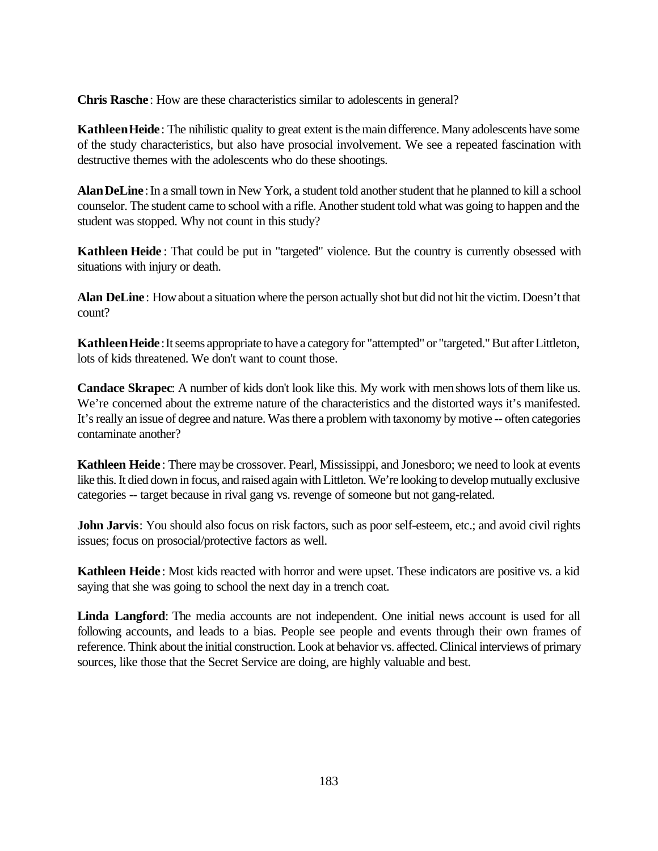**Chris Rasche**: How are these characteristics similar to adolescents in general?

**Kathleen Heide**: The nihilistic quality to great extent is the main difference. Many adolescents have some of the study characteristics, but also have prosocial involvement. We see a repeated fascination with destructive themes with the adolescents who do these shootings.

**Alan DeLine**: In a small town in New York, a student told another student that he planned to kill a school counselor. The student came to school with a rifle. Another student told what was going to happen and the student was stopped. Why not count in this study?

**Kathleen Heide** : That could be put in "targeted" violence. But the country is currently obsessed with situations with injury or death.

**Alan DeLine**: How about a situation where the person actually shot but did not hit the victim. Doesn't that count?

**Kathleen Heide**: It seems appropriate to have a category for "attempted" or "targeted." But after Littleton, lots of kids threatened. We don't want to count those.

**Candace Skrapec**: A number of kids don't look like this. My work with men shows lots of them like us. We're concerned about the extreme nature of the characteristics and the distorted ways it's manifested. It's really an issue of degree and nature. Was there a problem with taxonomy by motive -- often categories contaminate another?

**Kathleen Heide**: There may be crossover. Pearl, Mississippi, and Jonesboro; we need to look at events like this. It died down in focus, and raised again with Littleton. We're looking to develop mutually exclusive categories -- target because in rival gang vs. revenge of someone but not gang-related.

**John Jarvis**: You should also focus on risk factors, such as poor self-esteem, etc.; and avoid civil rights issues; focus on prosocial/protective factors as well.

**Kathleen Heide**: Most kids reacted with horror and were upset. These indicators are positive vs. a kid saying that she was going to school the next day in a trench coat.

Linda Langford: The media accounts are not independent. One initial news account is used for all following accounts, and leads to a bias. People see people and events through their own frames of reference. Think about the initial construction. Look at behavior vs. affected. Clinical interviews of primary sources, like those that the Secret Service are doing, are highly valuable and best.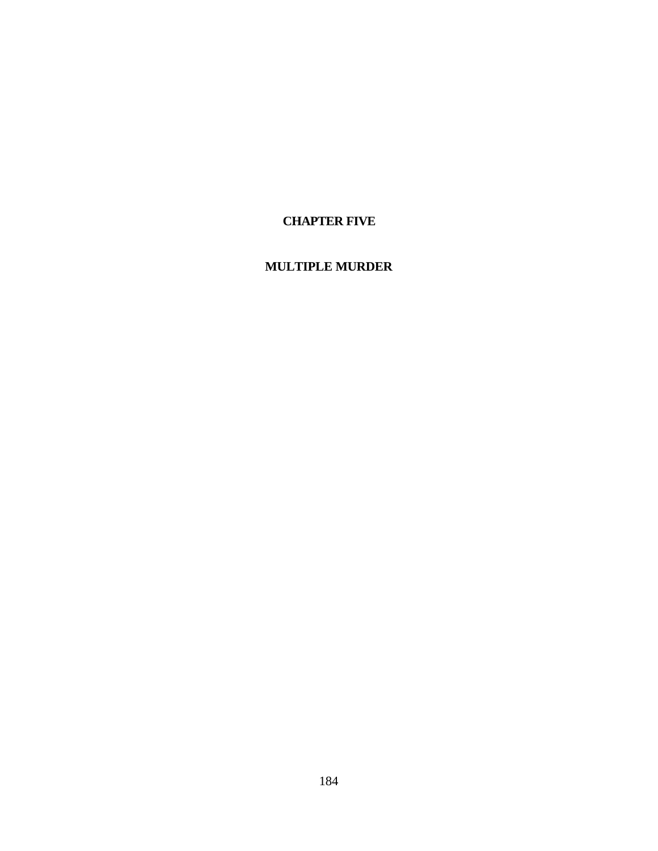# **CHAPTER FIVE**

# **MULTIPLE MURDER**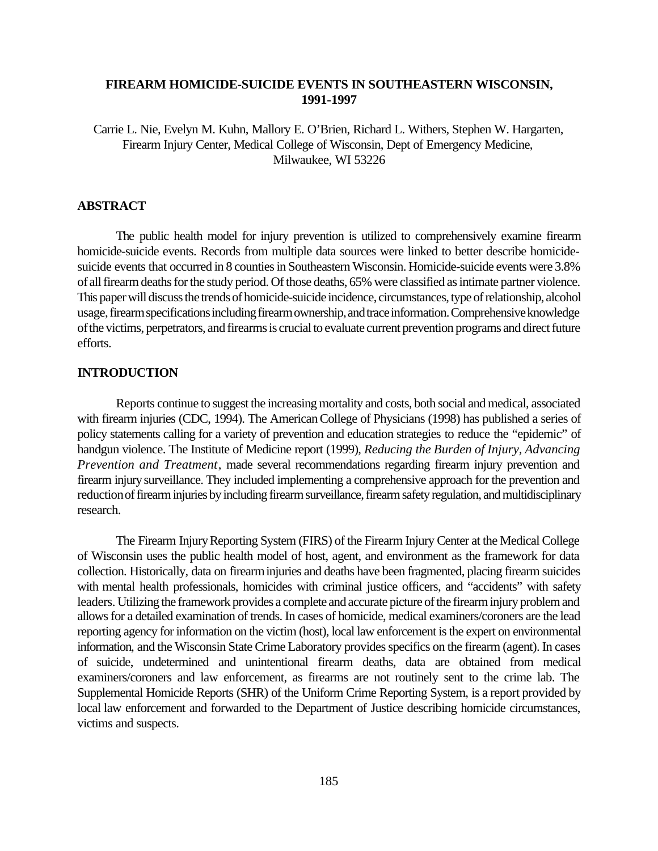# **FIREARM HOMICIDE-SUICIDE EVENTS IN SOUTHEASTERN WISCONSIN, 1991-1997**

Carrie L. Nie, Evelyn M. Kuhn, Mallory E. O'Brien, Richard L. Withers, Stephen W. Hargarten, Firearm Injury Center, Medical College of Wisconsin, Dept of Emergency Medicine, Milwaukee, WI 53226

## **ABSTRACT**

The public health model for injury prevention is utilized to comprehensively examine firearm homicide-suicide events. Records from multiple data sources were linked to better describe homicidesuicide events that occurred in 8 counties in Southeastern Wisconsin. Homicide-suicide events were 3.8% of all firearm deaths for the study period. Of those deaths, 65% were classified as intimate partner violence. This paper will discuss the trends of homicide-suicide incidence, circumstances, type of relationship, alcohol usage, firearm specifications including firearm ownership, and trace information. Comprehensive knowledge of the victims, perpetrators, and firearms is crucial to evaluate current prevention programs and direct future efforts.

#### **INTRODUCTION**

Reports continue to suggest the increasing mortality and costs, both social and medical, associated with firearm injuries (CDC, 1994). The American College of Physicians (1998) has published a series of policy statements calling for a variety of prevention and education strategies to reduce the "epidemic" of handgun violence. The Institute of Medicine report (1999), *Reducing the Burden of Injury, Advancing Prevention and Treatment*, made several recommendations regarding firearm injury prevention and firearm injury surveillance. They included implementing a comprehensive approach for the prevention and reduction of firearm injuries by including firearm surveillance, firearm safety regulation, and multidisciplinary research.

The Firearm Injury Reporting System (FIRS) of the Firearm Injury Center at the Medical College of Wisconsin uses the public health model of host, agent, and environment as the framework for data collection. Historically, data on firearm injuries and deaths have been fragmented, placing firearm suicides with mental health professionals, homicides with criminal justice officers, and "accidents" with safety leaders. Utilizing the framework provides a complete and accurate picture of the firearm injury problem and allows for a detailed examination of trends. In cases of homicide, medical examiners/coroners are the lead reporting agency for information on the victim (host), local law enforcement is the expert on environmental information, and the Wisconsin State Crime Laboratory provides specifics on the firearm (agent). In cases of suicide, undetermined and unintentional firearm deaths, data are obtained from medical examiners/coroners and law enforcement, as firearms are not routinely sent to the crime lab. The Supplemental Homicide Reports (SHR) of the Uniform Crime Reporting System, is a report provided by local law enforcement and forwarded to the Department of Justice describing homicide circumstances, victims and suspects.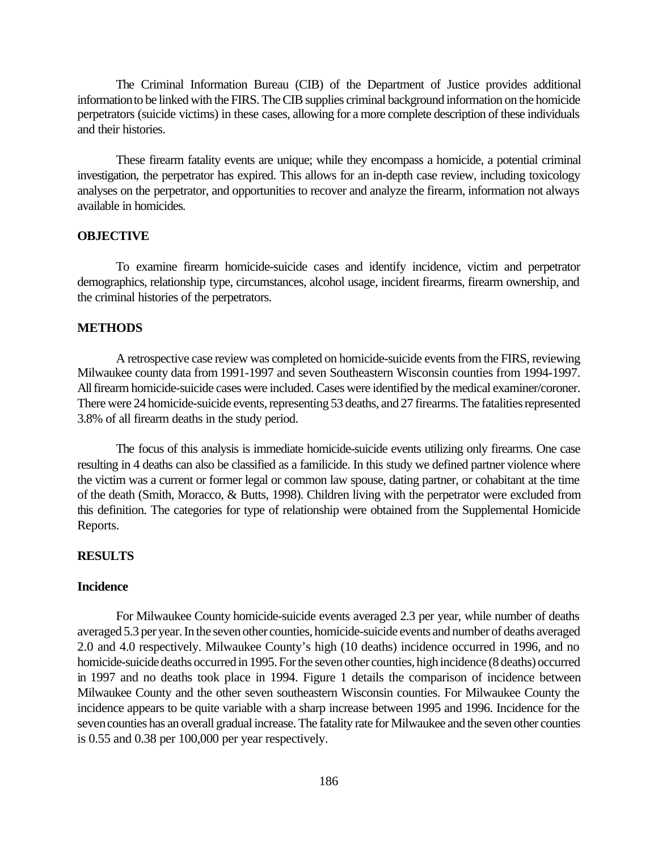The Criminal Information Bureau (CIB) of the Department of Justice provides additional information to be linked with the FIRS. The CIB supplies criminal background information on the homicide perpetrators (suicide victims) in these cases, allowing for a more complete description of these individuals and their histories.

These firearm fatality events are unique; while they encompass a homicide, a potential criminal investigation, the perpetrator has expired. This allows for an in-depth case review, including toxicology analyses on the perpetrator, and opportunities to recover and analyze the firearm, information not always available in homicides.

## **OBJECTIVE**

To examine firearm homicide-suicide cases and identify incidence, victim and perpetrator demographics, relationship type, circumstances, alcohol usage, incident firearms, firearm ownership, and the criminal histories of the perpetrators.

#### **METHODS**

A retrospective case review was completed on homicide-suicide events from the FIRS, reviewing Milwaukee county data from 1991-1997 and seven Southeastern Wisconsin counties from 1994-1997. All firearm homicide-suicide cases were included. Cases were identified by the medical examiner/coroner. There were 24 homicide-suicide events, representing 53 deaths, and 27 firearms. The fatalities represented 3.8% of all firearm deaths in the study period.

The focus of this analysis is immediate homicide-suicide events utilizing only firearms. One case resulting in 4 deaths can also be classified as a familicide. In this study we defined partner violence where the victim was a current or former legal or common law spouse, dating partner, or cohabitant at the time of the death (Smith, Moracco, & Butts, 1998). Children living with the perpetrator were excluded from this definition. The categories for type of relationship were obtained from the Supplemental Homicide Reports.

#### **RESULTS**

## **Incidence**

For Milwaukee County homicide-suicide events averaged 2.3 per year, while number of deaths averaged 5.3 per year. In the seven other counties, homicide-suicide events and number of deaths averaged 2.0 and 4.0 respectively. Milwaukee County's high (10 deaths) incidence occurred in 1996, and no homicide-suicide deaths occurred in 1995. For the seven other counties, high incidence (8 deaths) occurred in 1997 and no deaths took place in 1994. Figure 1 details the comparison of incidence between Milwaukee County and the other seven southeastern Wisconsin counties. For Milwaukee County the incidence appears to be quite variable with a sharp increase between 1995 and 1996. Incidence for the seven counties has an overall gradual increase. The fatality rate for Milwaukee and the seven other counties is 0.55 and 0.38 per 100,000 per year respectively.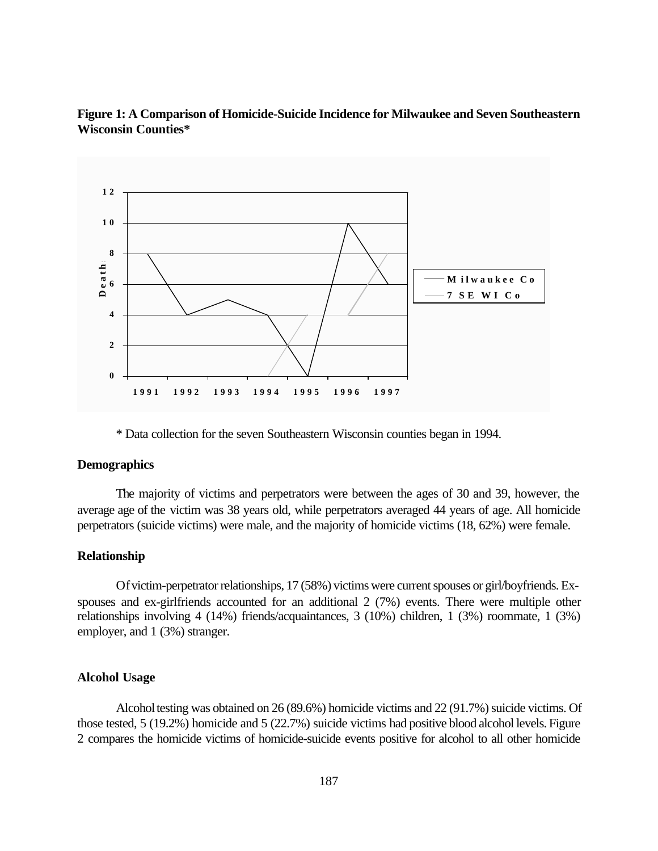

**Figure 1: A Comparison of Homicide-Suicide Incidence for Milwaukee and Seven Southeastern Wisconsin Counties\***

\* Data collection for the seven Southeastern Wisconsin counties began in 1994.

#### **Demographics**

The majority of victims and perpetrators were between the ages of 30 and 39, however, the average age of the victim was 38 years old, while perpetrators averaged 44 years of age. All homicide perpetrators (suicide victims) were male, and the majority of homicide victims (18, 62%) were female.

## **Relationship**

Of victim-perpetrator relationships, 17 (58%) victims were current spouses or girl/boyfriends. Exspouses and ex-girlfriends accounted for an additional 2 (7%) events. There were multiple other relationships involving 4 (14%) friends/acquaintances, 3 (10%) children, 1 (3%) roommate, 1 (3%) employer, and 1 (3%) stranger.

#### **Alcohol Usage**

Alcohol testing was obtained on 26 (89.6%) homicide victims and 22 (91.7%) suicide victims. Of those tested, 5 (19.2%) homicide and 5 (22.7%) suicide victims had positive blood alcohol levels. Figure 2 compares the homicide victims of homicide-suicide events positive for alcohol to all other homicide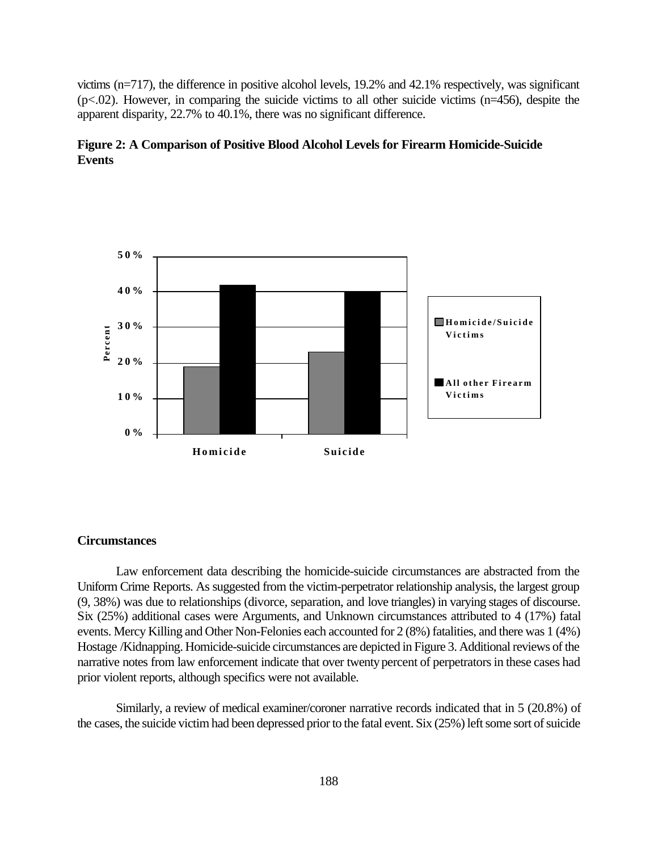victims (n=717), the difference in positive alcohol levels, 19.2% and 42.1% respectively, was significant  $(p<.02)$ . However, in comparing the suicide victims to all other suicide victims  $(n=456)$ , despite the apparent disparity, 22.7% to 40.1%, there was no significant difference.





#### **Circumstances**

Law enforcement data describing the homicide-suicide circumstances are abstracted from the Uniform Crime Reports. As suggested from the victim-perpetrator relationship analysis, the largest group (9, 38%) was due to relationships (divorce, separation, and love triangles) in varying stages of discourse. Six (25%) additional cases were Arguments, and Unknown circumstances attributed to 4 (17%) fatal events. Mercy Killing and Other Non-Felonies each accounted for 2 (8%) fatalities, and there was 1 (4%) Hostage /Kidnapping. Homicide-suicide circumstances are depicted in Figure 3. Additional reviews of the narrative notes from law enforcement indicate that over twenty percent of perpetrators in these cases had prior violent reports, although specifics were not available.

Similarly, a review of medical examiner/coroner narrative records indicated that in 5 (20.8%) of the cases, the suicide victim had been depressed prior to the fatal event. Six (25%) left some sort of suicide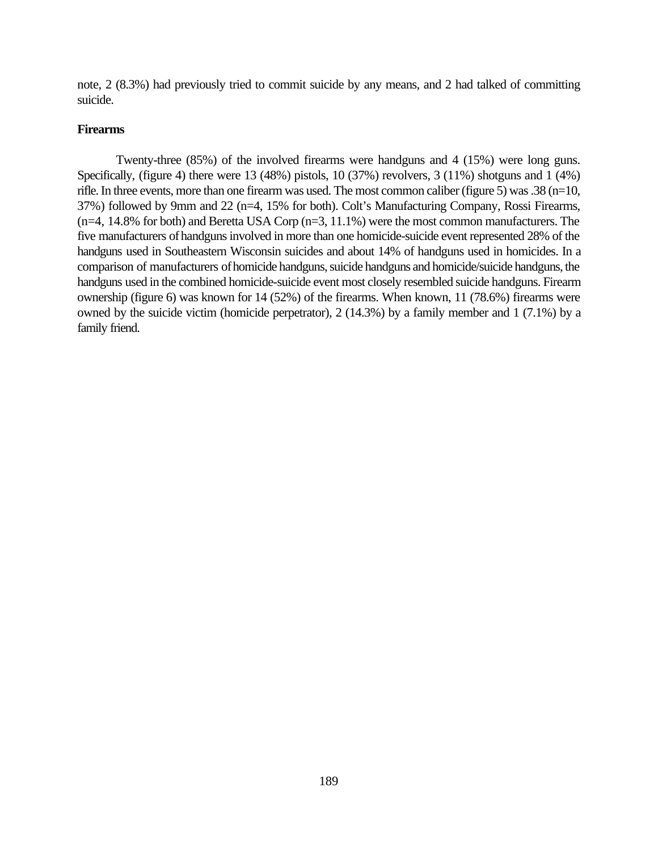note, 2 (8.3%) had previously tried to commit suicide by any means, and 2 had talked of committing suicide.

## **Firearms**

Twenty-three (85%) of the involved firearms were handguns and 4 (15%) were long guns. Specifically, (figure 4) there were 13 (48%) pistols, 10 (37%) revolvers, 3 (11%) shotguns and 1 (4%) rifle. In three events, more than one firearm was used. The most common caliber (figure 5) was .38 (n=10, 37%) followed by 9mm and 22 (n=4, 15% for both). Colt's Manufacturing Company, Rossi Firearms, (n=4, 14.8% for both) and Beretta USA Corp (n=3, 11.1%) were the most common manufacturers. The five manufacturers of handguns involved in more than one homicide-suicide event represented 28% of the handguns used in Southeastern Wisconsin suicides and about 14% of handguns used in homicides. In a comparison of manufacturers of homicide handguns, suicide handguns and homicide/suicide handguns, the handguns used in the combined homicide-suicide event most closely resembled suicide handguns. Firearm ownership (figure 6) was known for 14 (52%) of the firearms. When known, 11 (78.6%) firearms were owned by the suicide victim (homicide perpetrator), 2 (14.3%) by a family member and 1 (7.1%) by a family friend.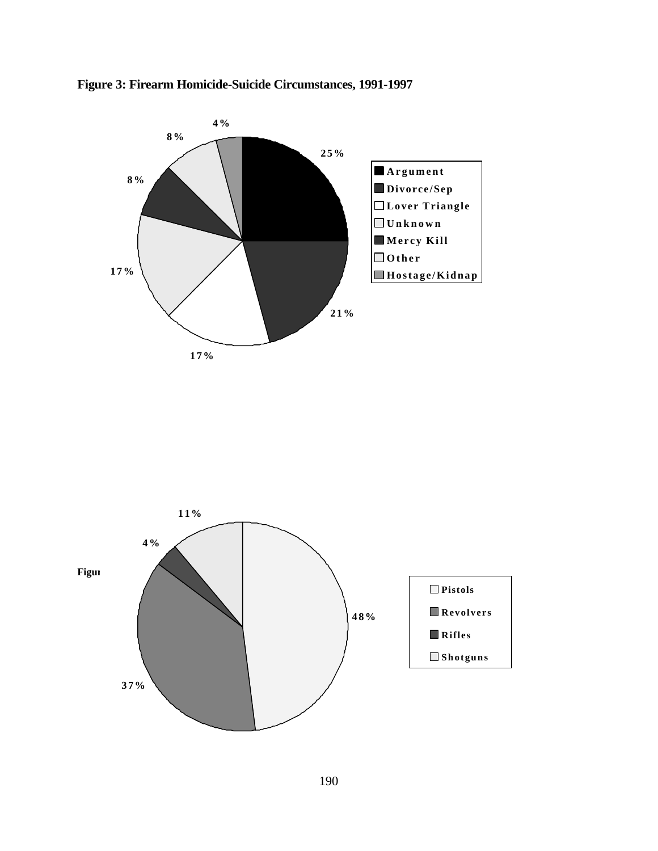



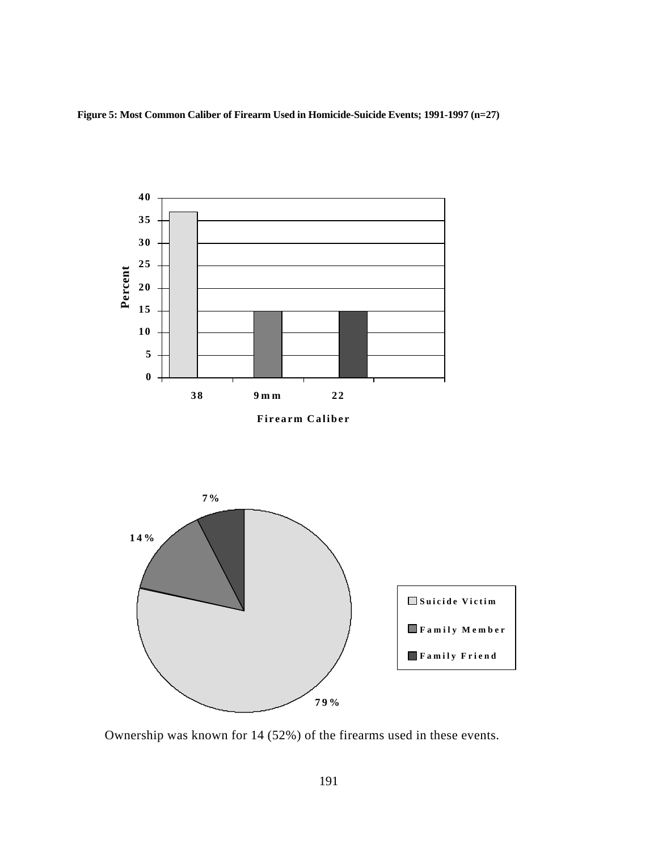**Figure 5: Most Common Caliber of Firearm Used in Homicide-Suicide Events; 1991-1997 (n=27)**



Ownership was known for 14 (52%) of the firearms used in these events.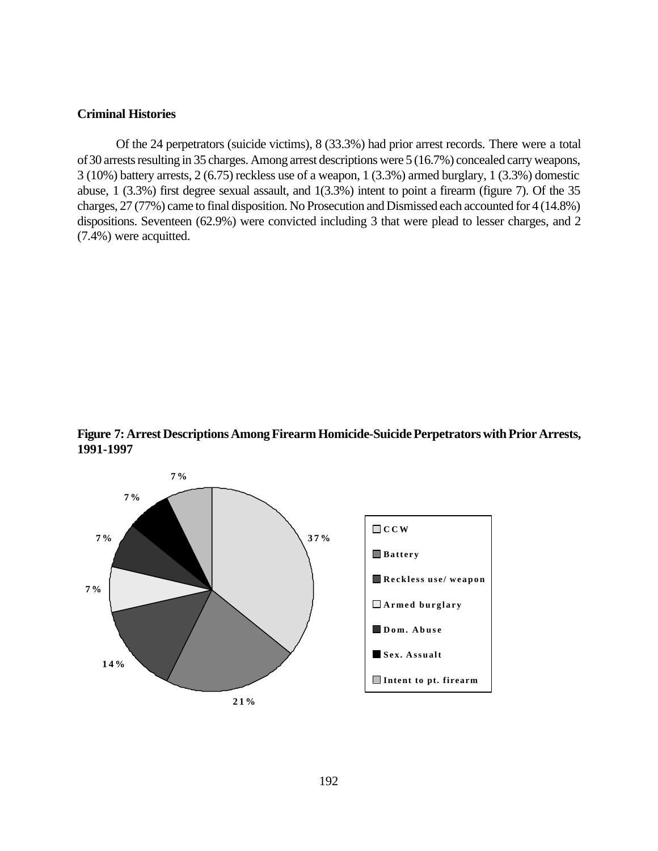## **Criminal Histories**

Of the 24 perpetrators (suicide victims), 8 (33.3%) had prior arrest records. There were a total of 30 arrests resulting in 35 charges. Among arrest descriptions were 5 (16.7%) concealed carry weapons, 3 (10%) battery arrests, 2 (6.75) reckless use of a weapon, 1 (3.3%) armed burglary, 1 (3.3%) domestic abuse, 1 (3.3%) first degree sexual assault, and 1(3.3%) intent to point a firearm (figure 7). Of the 35 charges, 27 (77%) came to final disposition. No Prosecution and Dismissed each accounted for 4 (14.8%) dispositions. Seventeen (62.9%) were convicted including 3 that were plead to lesser charges, and 2 (7.4%) were acquitted.

**Figure 7: Arrest Descriptions Among Firearm Homicide-Suicide Perpetrators with Prior Arrests, 1991-1997**

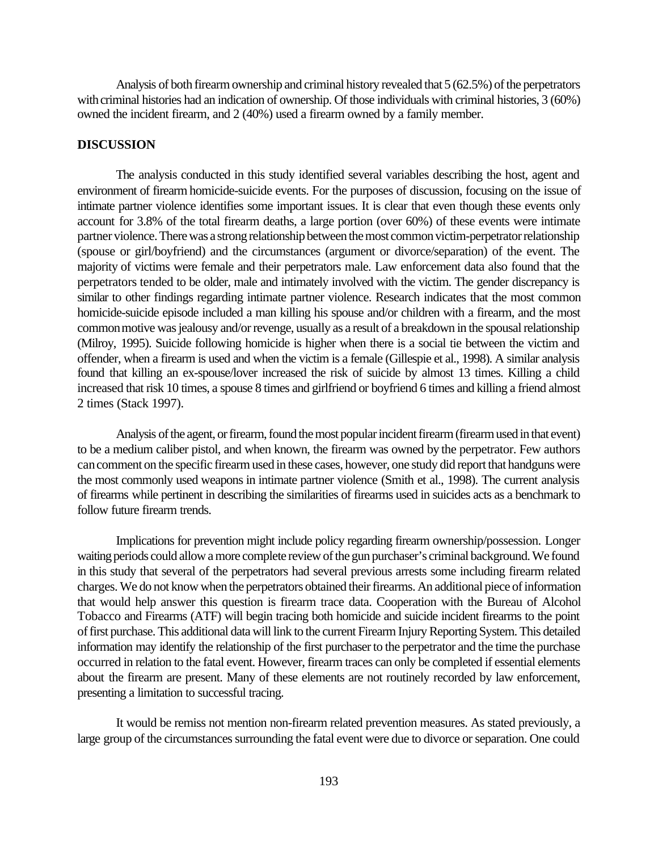Analysis of both firearm ownership and criminal history revealed that 5 (62.5%) of the perpetrators with criminal histories had an indication of ownership. Of those individuals with criminal histories, 3 (60%) owned the incident firearm, and 2 (40%) used a firearm owned by a family member.

## **DISCUSSION**

The analysis conducted in this study identified several variables describing the host, agent and environment of firearm homicide-suicide events. For the purposes of discussion, focusing on the issue of intimate partner violence identifies some important issues. It is clear that even though these events only account for 3.8% of the total firearm deaths, a large portion (over 60%) of these events were intimate partner violence. There was a strong relationship between the most common victim-perpetrator relationship (spouse or girl/boyfriend) and the circumstances (argument or divorce/separation) of the event. The majority of victims were female and their perpetrators male. Law enforcement data also found that the perpetrators tended to be older, male and intimately involved with the victim. The gender discrepancy is similar to other findings regarding intimate partner violence. Research indicates that the most common homicide-suicide episode included a man killing his spouse and/or children with a firearm, and the most common motive was jealousy and/or revenge, usually as a result of a breakdown in the spousal relationship (Milroy, 1995). Suicide following homicide is higher when there is a social tie between the victim and offender, when a firearm is used and when the victim is a female (Gillespie et al., 1998). A similar analysis found that killing an ex-spouse/lover increased the risk of suicide by almost 13 times. Killing a child increased that risk 10 times, a spouse 8 times and girlfriend or boyfriend 6 times and killing a friend almost 2 times (Stack 1997).

Analysis of the agent, or firearm, found the most popular incident firearm (firearm used in that event) to be a medium caliber pistol, and when known, the firearm was owned by the perpetrator. Few authors can comment on the specific firearm used in these cases, however, one study did report that handguns were the most commonly used weapons in intimate partner violence (Smith et al., 1998). The current analysis of firearms while pertinent in describing the similarities of firearms used in suicides acts as a benchmark to follow future firearm trends.

Implications for prevention might include policy regarding firearm ownership/possession. Longer waiting periods could allow a more complete review of the gun purchaser's criminal background. We found in this study that several of the perpetrators had several previous arrests some including firearm related charges. We do not know when the perpetrators obtained their firearms. An additional piece of information that would help answer this question is firearm trace data. Cooperation with the Bureau of Alcohol Tobacco and Firearms (ATF) will begin tracing both homicide and suicide incident firearms to the point of first purchase. This additional data will link to the current Firearm Injury Reporting System. This detailed information may identify the relationship of the first purchaser to the perpetrator and the time the purchase occurred in relation to the fatal event. However, firearm traces can only be completed if essential elements about the firearm are present. Many of these elements are not routinely recorded by law enforcement, presenting a limitation to successful tracing.

It would be remiss not mention non-firearm related prevention measures. As stated previously, a large group of the circumstances surrounding the fatal event were due to divorce or separation. One could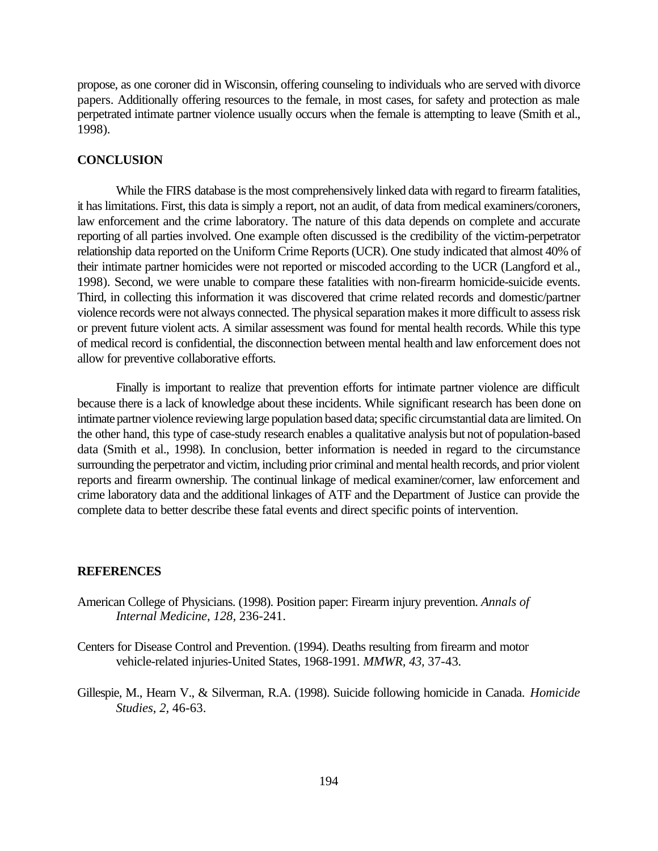propose, as one coroner did in Wisconsin, offering counseling to individuals who are served with divorce papers. Additionally offering resources to the female, in most cases, for safety and protection as male perpetrated intimate partner violence usually occurs when the female is attempting to leave (Smith et al., 1998).

# **CONCLUSION**

While the FIRS database is the most comprehensively linked data with regard to firearm fatalities, it has limitations. First, this data is simply a report, not an audit, of data from medical examiners/coroners, law enforcement and the crime laboratory. The nature of this data depends on complete and accurate reporting of all parties involved. One example often discussed is the credibility of the victim-perpetrator relationship data reported on the Uniform Crime Reports (UCR). One study indicated that almost 40% of their intimate partner homicides were not reported or miscoded according to the UCR (Langford et al., 1998). Second, we were unable to compare these fatalities with non-firearm homicide-suicide events. Third, in collecting this information it was discovered that crime related records and domestic/partner violence records were not always connected. The physical separation makes it more difficult to assess risk or prevent future violent acts. A similar assessment was found for mental health records. While this type of medical record is confidential, the disconnection between mental health and law enforcement does not allow for preventive collaborative efforts.

Finally is important to realize that prevention efforts for intimate partner violence are difficult because there is a lack of knowledge about these incidents. While significant research has been done on intimate partner violence reviewing large population based data; specific circumstantial data are limited. On the other hand, this type of case-study research enables a qualitative analysis but not of population-based data (Smith et al., 1998). In conclusion, better information is needed in regard to the circumstance surrounding the perpetrator and victim, including prior criminal and mental health records, and prior violent reports and firearm ownership. The continual linkage of medical examiner/corner, law enforcement and crime laboratory data and the additional linkages of ATF and the Department of Justice can provide the complete data to better describe these fatal events and direct specific points of intervention.

#### **REFERENCES**

- American College of Physicians. (1998). Position paper: Firearm injury prevention. *Annals of Internal Medicine*, *128,* 236-241.
- Centers for Disease Control and Prevention. (1994). Deaths resulting from firearm and motor vehicle-related injuries-United States, 1968-1991*. MMWR, 43,* 37-43*.*
- Gillespie, M., Hearn V., & Silverman, R.A. (1998). Suicide following homicide in Canada. *Homicide Studies*, *2,* 46-63.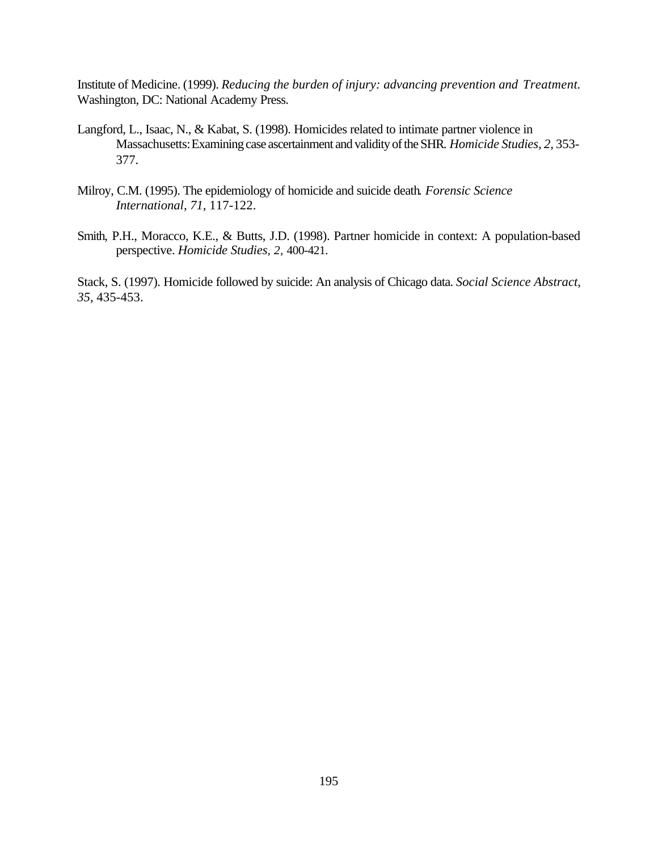Institute of Medicine. (1999). *Reducing the burden of injury: advancing prevention and Treatment.* Washington, DC: National Academy Press.

- Langford, L., Isaac, N., & Kabat, S. (1998). Homicides related to intimate partner violence in Massachusetts: Examining case ascertainment and validity of the SHR*. Homicide Studies, 2,* 353- 377.
- Milroy, C.M. (1995). The epidemiology of homicide and suicide death*. Forensic Science International, 71,* 117-122.
- Smith, P.H., Moracco, K.E., & Butts, J.D. (1998). Partner homicide in context: A population-based perspective. *Homicide Studies, 2,* 400-421.

Stack, S. (1997). Homicide followed by suicide: An analysis of Chicago data. *Social Science Abstract, 35,* 435-453.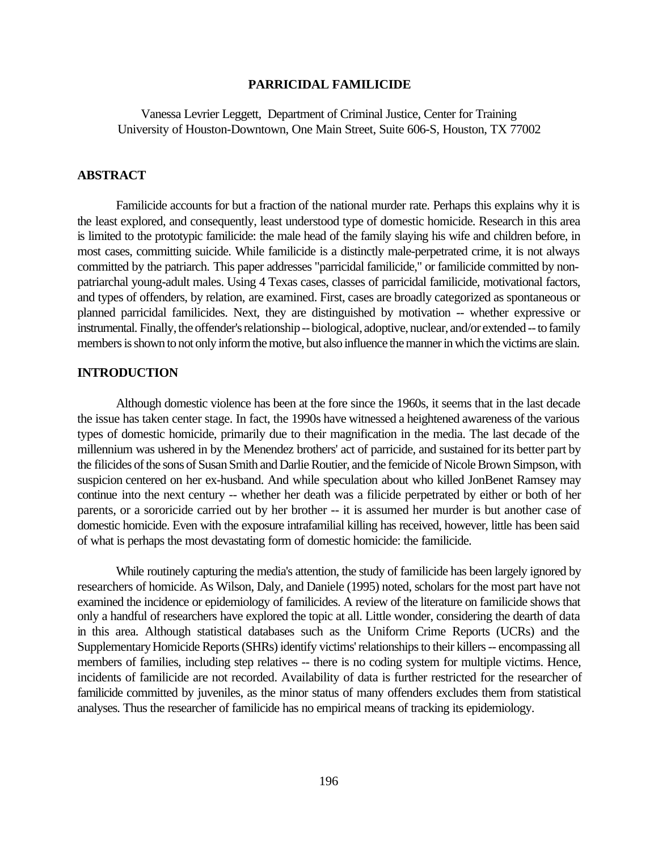#### **PARRICIDAL FAMILICIDE**

# Vanessa Levrier Leggett, Department of Criminal Justice, Center for Training University of Houston-Downtown, One Main Street, Suite 606-S, Houston, TX 77002

#### **ABSTRACT**

Familicide accounts for but a fraction of the national murder rate. Perhaps this explains why it is the least explored, and consequently, least understood type of domestic homicide. Research in this area is limited to the prototypic familicide: the male head of the family slaying his wife and children before, in most cases, committing suicide. While familicide is a distinctly male-perpetrated crime, it is not always committed by the patriarch. This paper addresses "parricidal familicide," or familicide committed by nonpatriarchal young-adult males. Using 4 Texas cases, classes of parricidal familicide, motivational factors, and types of offenders, by relation, are examined. First, cases are broadly categorized as spontaneous or planned parricidal familicides. Next, they are distinguished by motivation -- whether expressive or instrumental. Finally, the offender's relationship -- biological, adoptive, nuclear, and/or extended -- to family members is shown to not only inform the motive, but also influence the manner in which the victims are slain.

## **INTRODUCTION**

Although domestic violence has been at the fore since the 1960s, it seems that in the last decade the issue has taken center stage. In fact, the 1990s have witnessed a heightened awareness of the various types of domestic homicide, primarily due to their magnification in the media. The last decade of the millennium was ushered in by the Menendez brothers' act of parricide, and sustained for its better part by the filicides of the sons of Susan Smith and Darlie Routier, and the femicide of Nicole Brown Simpson, with suspicion centered on her ex-husband. And while speculation about who killed JonBenet Ramsey may continue into the next century -- whether her death was a filicide perpetrated by either or both of her parents, or a sororicide carried out by her brother -- it is assumed her murder is but another case of domestic homicide. Even with the exposure intrafamilial killing has received, however, little has been said of what is perhaps the most devastating form of domestic homicide: the familicide.

While routinely capturing the media's attention, the study of familicide has been largely ignored by researchers of homicide. As Wilson, Daly, and Daniele (1995) noted, scholars for the most part have not examined the incidence or epidemiology of familicides. A review of the literature on familicide shows that only a handful of researchers have explored the topic at all. Little wonder, considering the dearth of data in this area. Although statistical databases such as the Uniform Crime Reports (UCRs) and the Supplementary Homicide Reports (SHRs) identify victims' relationships to their killers -- encompassing all members of families, including step relatives -- there is no coding system for multiple victims. Hence, incidents of familicide are not recorded. Availability of data is further restricted for the researcher of familicide committed by juveniles, as the minor status of many offenders excludes them from statistical analyses. Thus the researcher of familicide has no empirical means of tracking its epidemiology.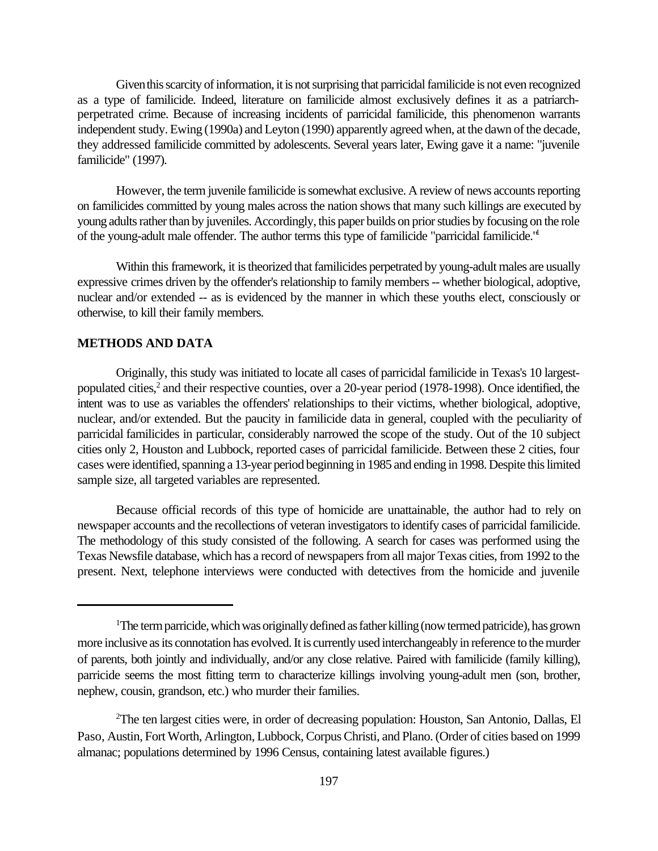Given this scarcity of information, it is not surprising that parricidal familicide is not even recognized as a type of familicide. Indeed, literature on familicide almost exclusively defines it as a patriarchperpetrated crime. Because of increasing incidents of parricidal familicide, this phenomenon warrants independent study. Ewing (1990a) and Leyton (1990) apparently agreed when, at the dawn of the decade, they addressed familicide committed by adolescents. Several years later, Ewing gave it a name: "juvenile familicide" (1997).

However, the term juvenile familicide is somewhat exclusive. A review of news accounts reporting on familicides committed by young males across the nation shows that many such killings are executed by young adults rather than by juveniles. Accordingly, this paper builds on prior studies by focusing on the role of the young-adult male offender. The author terms this type of familicide "parricidal familicide."<sup>1</sup>

Within this framework, it is theorized that familicides perpetrated by young-adult males are usually expressive crimes driven by the offender's relationship to family members -- whether biological, adoptive, nuclear and/or extended -- as is evidenced by the manner in which these youths elect, consciously or otherwise, to kill their family members.

## **METHODS AND DATA**

Originally, this study was initiated to locate all cases of parricidal familicide in Texas's 10 largestpopulated cities,<sup>2</sup> and their respective counties, over a 20-year period (1978-1998). Once identified, the intent was to use as variables the offenders' relationships to their victims, whether biological, adoptive, nuclear, and/or extended. But the paucity in familicide data in general, coupled with the peculiarity of parricidal familicides in particular, considerably narrowed the scope of the study. Out of the 10 subject cities only 2, Houston and Lubbock, reported cases of parricidal familicide. Between these 2 cities, four cases were identified, spanning a 13-year period beginning in 1985 and ending in 1998. Despite this limited sample size, all targeted variables are represented.

Because official records of this type of homicide are unattainable, the author had to rely on newspaper accounts and the recollections of veteran investigators to identify cases of parricidal familicide. The methodology of this study consisted of the following. A search for cases was performed using the Texas Newsfile database, which has a record of newspapers from all major Texas cities, from 1992 to the present. Next, telephone interviews were conducted with detectives from the homicide and juvenile

<sup>&</sup>lt;sup>1</sup>The term parricide, which was originally defined as father killing (now termed patricide), has grown more inclusive as its connotation has evolved. It is currently used interchangeably in reference to the murder of parents, both jointly and individually, and/or any close relative. Paired with familicide (family killing), parricide seems the most fitting term to characterize killings involving young-adult men (son, brother, nephew, cousin, grandson, etc.) who murder their families.

<sup>&</sup>lt;sup>2</sup>The ten largest cities were, in order of decreasing population: Houston, San Antonio, Dallas, El Paso, Austin, Fort Worth, Arlington, Lubbock, Corpus Christi, and Plano. (Order of cities based on 1999 almanac; populations determined by 1996 Census, containing latest available figures.)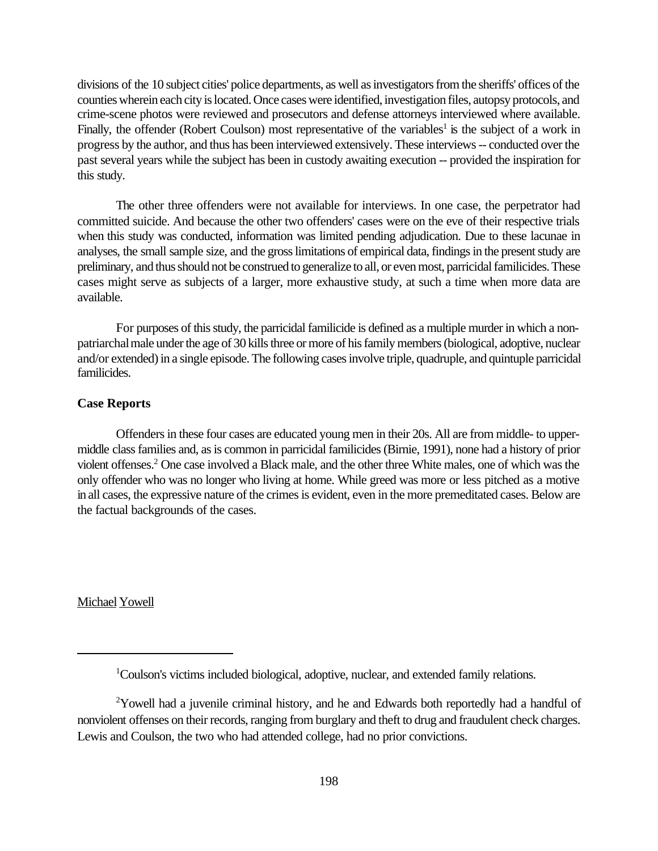divisions of the 10 subject cities' police departments, as well as investigators from the sheriffs' offices of the counties wherein each city is located. Once cases were identified, investigation files, autopsy protocols, and crime-scene photos were reviewed and prosecutors and defense attorneys interviewed where available. Finally, the offender (Robert Coulson) most representative of the variables<sup>1</sup> is the subject of a work in progress by the author, and thus has been interviewed extensively. These interviews -- conducted over the past several years while the subject has been in custody awaiting execution -- provided the inspiration for this study.

The other three offenders were not available for interviews. In one case, the perpetrator had committed suicide. And because the other two offenders' cases were on the eve of their respective trials when this study was conducted, information was limited pending adjudication. Due to these lacunae in analyses, the small sample size, and the gross limitations of empirical data, findings in the present study are preliminary, and thus should not be construed to generalize to all, or even most, parricidal familicides. These cases might serve as subjects of a larger, more exhaustive study, at such a time when more data are available.

For purposes of this study, the parricidal familicide is defined as a multiple murder in which a nonpatriarchal male under the age of 30 kills three or more of his family members (biological, adoptive, nuclear and/or extended) in a single episode. The following cases involve triple, quadruple, and quintuple parricidal familicides.

## **Case Reports**

Offenders in these four cases are educated young men in their 20s. All are from middle- to uppermiddle class families and, as is common in parricidal familicides (Birnie, 1991), none had a history of prior violent offenses.<sup>2</sup> One case involved a Black male, and the other three White males, one of which was the only offender who was no longer who living at home. While greed was more or less pitched as a motive in all cases, the expressive nature of the crimes is evident, even in the more premeditated cases. Below are the factual backgrounds of the cases.

Michael Yowell

<sup>&</sup>lt;sup>1</sup>Coulson's victims included biological, adoptive, nuclear, and extended family relations.

<sup>&</sup>lt;sup>2</sup>Yowell had a juvenile criminal history, and he and Edwards both reportedly had a handful of nonviolent offenses on their records, ranging from burglary and theft to drug and fraudulent check charges. Lewis and Coulson, the two who had attended college, had no prior convictions.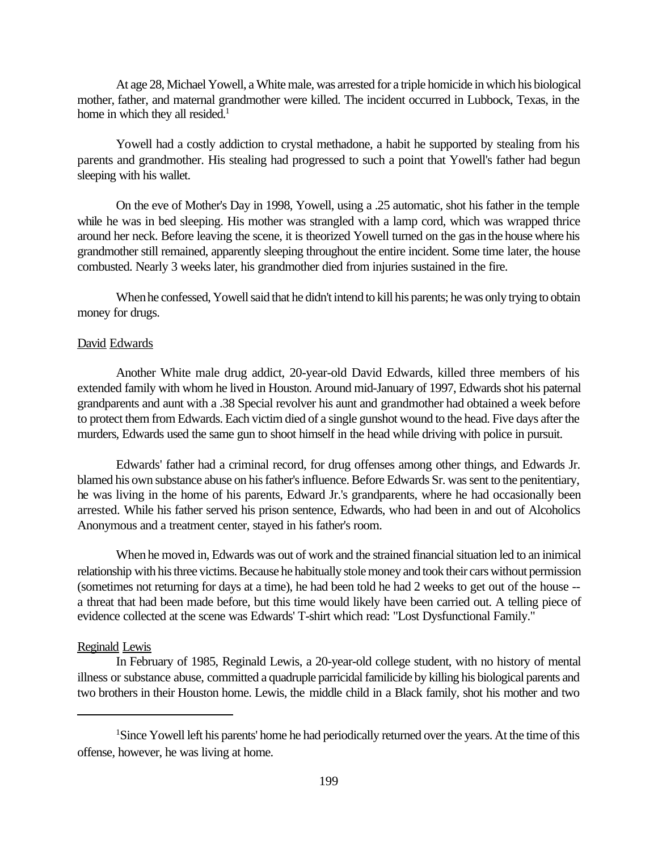At age 28, Michael Yowell, a White male, was arrested for a triple homicide in which his biological mother, father, and maternal grandmother were killed. The incident occurred in Lubbock, Texas, in the home in which they all resided.<sup>1</sup>

Yowell had a costly addiction to crystal methadone, a habit he supported by stealing from his parents and grandmother. His stealing had progressed to such a point that Yowell's father had begun sleeping with his wallet.

On the eve of Mother's Day in 1998, Yowell, using a .25 automatic, shot his father in the temple while he was in bed sleeping. His mother was strangled with a lamp cord, which was wrapped thrice around her neck. Before leaving the scene, it is theorized Yowell turned on the gas in the house where his grandmother still remained, apparently sleeping throughout the entire incident. Some time later, the house combusted. Nearly 3 weeks later, his grandmother died from injuries sustained in the fire.

When he confessed, Yowell said that he didn't intend to kill his parents; he was only trying to obtain money for drugs.

#### David Edwards

Another White male drug addict, 20-year-old David Edwards, killed three members of his extended family with whom he lived in Houston. Around mid-January of 1997, Edwards shot his paternal grandparents and aunt with a .38 Special revolver his aunt and grandmother had obtained a week before to protect them from Edwards. Each victim died of a single gunshot wound to the head. Five days after the murders, Edwards used the same gun to shoot himself in the head while driving with police in pursuit.

Edwards' father had a criminal record, for drug offenses among other things, and Edwards Jr. blamed his own substance abuse on his father's influence. Before Edwards Sr. was sent to the penitentiary, he was living in the home of his parents, Edward Jr.'s grandparents, where he had occasionally been arrested. While his father served his prison sentence, Edwards, who had been in and out of Alcoholics Anonymous and a treatment center, stayed in his father's room.

When he moved in, Edwards was out of work and the strained financial situation led to an inimical relationship with his three victims. Because he habitually stole money and took their cars without permission (sometimes not returning for days at a time), he had been told he had 2 weeks to get out of the house - a threat that had been made before, but this time would likely have been carried out. A telling piece of evidence collected at the scene was Edwards' T-shirt which read: "Lost Dysfunctional Family."

#### Reginald Lewis

In February of 1985, Reginald Lewis, a 20-year-old college student, with no history of mental illness or substance abuse, committed a quadruple parricidal familicide by killing his biological parents and two brothers in their Houston home. Lewis, the middle child in a Black family, shot his mother and two

<sup>&</sup>lt;sup>1</sup>Since Yowell left his parents' home he had periodically returned over the years. At the time of this offense, however, he was living at home.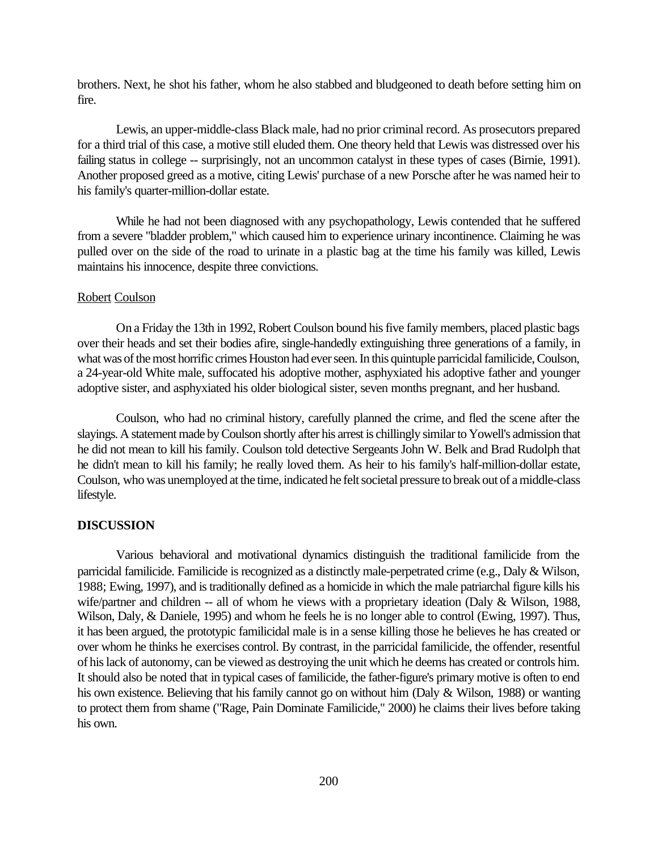brothers. Next, he shot his father, whom he also stabbed and bludgeoned to death before setting him on fire.

Lewis, an upper-middle-class Black male, had no prior criminal record. As prosecutors prepared for a third trial of this case, a motive still eluded them. One theory held that Lewis was distressed over his failing status in college -- surprisingly, not an uncommon catalyst in these types of cases (Birnie, 1991). Another proposed greed as a motive, citing Lewis' purchase of a new Porsche after he was named heir to his family's quarter-million-dollar estate.

While he had not been diagnosed with any psychopathology, Lewis contended that he suffered from a severe "bladder problem," which caused him to experience urinary incontinence. Claiming he was pulled over on the side of the road to urinate in a plastic bag at the time his family was killed, Lewis maintains his innocence, despite three convictions.

#### Robert Coulson

On a Friday the 13th in 1992, Robert Coulson bound his five family members, placed plastic bags over their heads and set their bodies afire, single-handedly extinguishing three generations of a family, in what was of the most horrific crimes Houston had ever seen. In this quintuple parricidal familicide, Coulson, a 24-year-old White male, suffocated his adoptive mother, asphyxiated his adoptive father and younger adoptive sister, and asphyxiated his older biological sister, seven months pregnant, and her husband.

Coulson, who had no criminal history, carefully planned the crime, and fled the scene after the slayings. A statement made by Coulson shortly after his arrest is chillingly similar to Yowell's admission that he did not mean to kill his family. Coulson told detective Sergeants John W. Belk and Brad Rudolph that he didn't mean to kill his family; he really loved them. As heir to his family's half-million-dollar estate, Coulson, who was unemployed at the time, indicated he felt societal pressure to break out of a middle-class lifestyle.

#### **DISCUSSION**

Various behavioral and motivational dynamics distinguish the traditional familicide from the parricidal familicide. Familicide is recognized as a distinctly male-perpetrated crime (e.g., Daly & Wilson, 1988; Ewing, 1997), and is traditionally defined as a homicide in which the male patriarchal figure kills his wife/partner and children -- all of whom he views with a proprietary ideation (Daly & Wilson, 1988, Wilson, Daly, & Daniele, 1995) and whom he feels he is no longer able to control (Ewing, 1997). Thus, it has been argued, the prototypic familicidal male is in a sense killing those he believes he has created or over whom he thinks he exercises control. By contrast, in the parricidal familicide, the offender, resentful of his lack of autonomy, can be viewed as destroying the unit which he deems has created or controls him. It should also be noted that in typical cases of familicide, the father-figure's primary motive is often to end his own existence. Believing that his family cannot go on without him (Daly & Wilson, 1988) or wanting to protect them from shame ("Rage, Pain Dominate Familicide," 2000) he claims their lives before taking his own.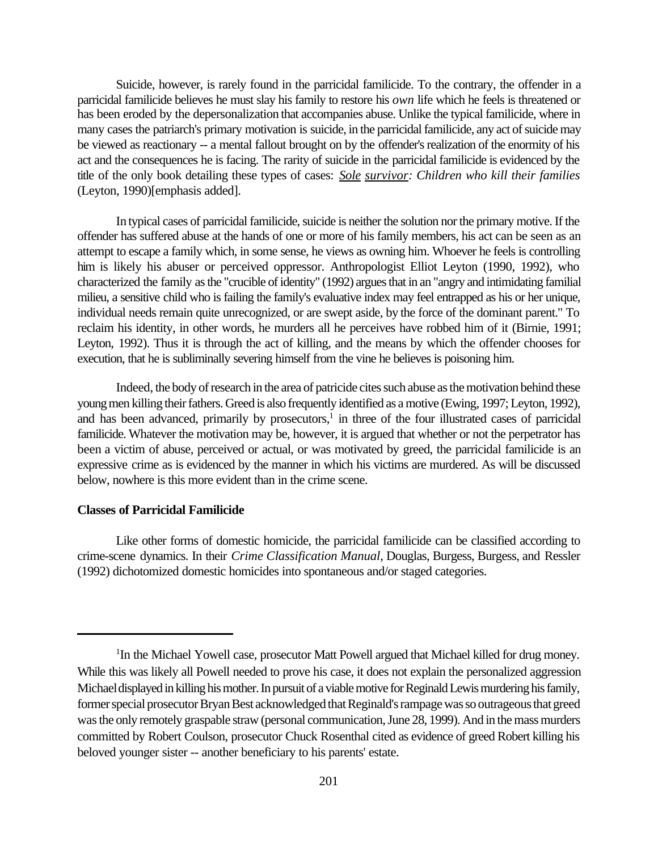Suicide, however, is rarely found in the parricidal familicide. To the contrary, the offender in a parricidal familicide believes he must slay his family to restore his *own* life which he feels is threatened or has been eroded by the depersonalization that accompanies abuse. Unlike the typical familicide, where in many cases the patriarch's primary motivation is suicide, in the parricidal familicide, any act of suicide may be viewed as reactionary -- a mental fallout brought on by the offender's realization of the enormity of his act and the consequences he is facing. The rarity of suicide in the parricidal familicide is evidenced by the title of the only book detailing these types of cases: *Sole survivor: Children who kill their families* (Leyton, 1990)[emphasis added].

In typical cases of parricidal familicide, suicide is neither the solution nor the primary motive. If the offender has suffered abuse at the hands of one or more of his family members, his act can be seen as an attempt to escape a family which, in some sense, he views as owning him. Whoever he feels is controlling him is likely his abuser or perceived oppressor. Anthropologist Elliot Leyton (1990, 1992), who characterized the family as the "crucible of identity" (1992) argues that in an "angry and intimidating familial milieu, a sensitive child who is failing the family's evaluative index may feel entrapped as his or her unique, individual needs remain quite unrecognized, or are swept aside, by the force of the dominant parent." To reclaim his identity, in other words, he murders all he perceives have robbed him of it (Birnie, 1991; Leyton, 1992). Thus it is through the act of killing, and the means by which the offender chooses for execution, that he is subliminally severing himself from the vine he believes is poisoning him.

Indeed, the body of research in the area of patricide cites such abuse as the motivation behind these young men killing their fathers. Greed is also frequently identified as a motive (Ewing, 1997; Leyton, 1992), and has been advanced, primarily by prosecutors,<sup>1</sup> in three of the four illustrated cases of parricidal familicide. Whatever the motivation may be, however, it is argued that whether or not the perpetrator has been a victim of abuse, perceived or actual, or was motivated by greed, the parricidal familicide is an expressive crime as is evidenced by the manner in which his victims are murdered. As will be discussed below, nowhere is this more evident than in the crime scene.

#### **Classes of Parricidal Familicide**

Like other forms of domestic homicide, the parricidal familicide can be classified according to crime-scene dynamics. In their *Crime Classification Manual*, Douglas, Burgess, Burgess, and Ressler (1992) dichotomized domestic homicides into spontaneous and/or staged categories.

<sup>&</sup>lt;sup>1</sup>In the Michael Yowell case, prosecutor Matt Powell argued that Michael killed for drug money. While this was likely all Powell needed to prove his case, it does not explain the personalized aggression Michael displayed in killing his mother. In pursuit of a viable motive for Reginald Lewis murdering his family, former special prosecutor Bryan Best acknowledged that Reginald's rampage was so outrageous that greed was the only remotely graspable straw (personal communication, June 28, 1999). And in the mass murders committed by Robert Coulson, prosecutor Chuck Rosenthal cited as evidence of greed Robert killing his beloved younger sister -- another beneficiary to his parents' estate.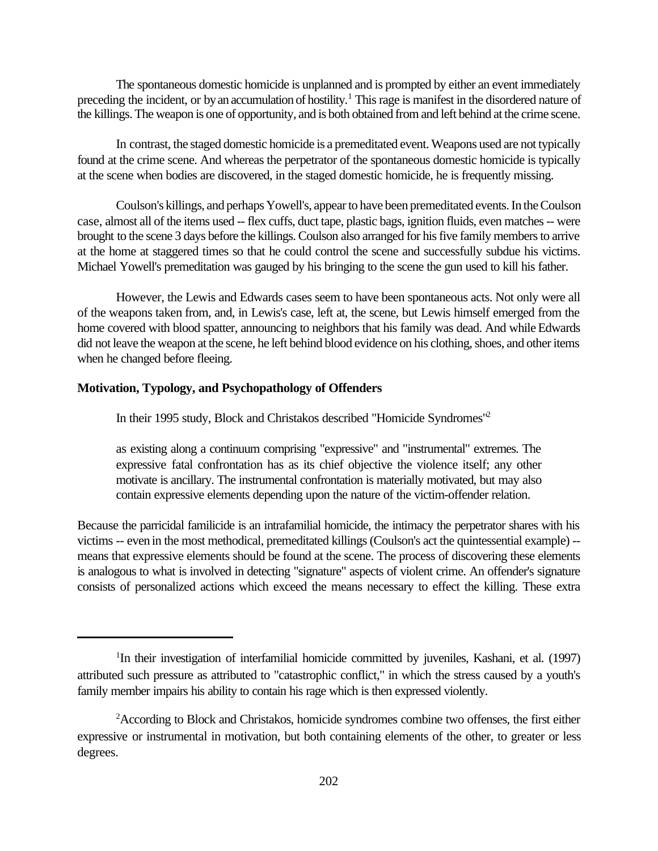The spontaneous domestic homicide is unplanned and is prompted by either an event immediately preceding the incident, or by an accumulation of hostility.<sup>1</sup> This rage is manifest in the disordered nature of the killings. The weapon is one of opportunity, and is both obtained from and left behind at the crime scene.

In contrast, the staged domestic homicide is a premeditated event. Weapons used are not typically found at the crime scene. And whereas the perpetrator of the spontaneous domestic homicide is typically at the scene when bodies are discovered, in the staged domestic homicide, he is frequently missing.

Coulson's killings, and perhaps Yowell's, appear to have been premeditated events. In the Coulson case, almost all of the items used -- flex cuffs, duct tape, plastic bags, ignition fluids, even matches -- were brought to the scene 3 days before the killings. Coulson also arranged for his five family members to arrive at the home at staggered times so that he could control the scene and successfully subdue his victims. Michael Yowell's premeditation was gauged by his bringing to the scene the gun used to kill his father.

However, the Lewis and Edwards cases seem to have been spontaneous acts. Not only were all of the weapons taken from, and, in Lewis's case, left at, the scene, but Lewis himself emerged from the home covered with blood spatter, announcing to neighbors that his family was dead. And while Edwards did not leave the weapon at the scene, he left behind blood evidence on his clothing, shoes, and other items when he changed before fleeing.

# **Motivation, Typology, and Psychopathology of Offenders**

In their 1995 study, Block and Christakos described "Homicide Syndromes"<sup>2</sup>

as existing along a continuum comprising "expressive" and "instrumental" extremes. The expressive fatal confrontation has as its chief objective the violence itself; any other motivate is ancillary. The instrumental confrontation is materially motivated, but may also contain expressive elements depending upon the nature of the victim-offender relation.

Because the parricidal familicide is an intrafamilial homicide, the intimacy the perpetrator shares with his victims -- even in the most methodical, premeditated killings (Coulson's act the quintessential example) - means that expressive elements should be found at the scene. The process of discovering these elements is analogous to what is involved in detecting "signature" aspects of violent crime. An offender's signature consists of personalized actions which exceed the means necessary to effect the killing. These extra

<sup>&</sup>lt;sup>1</sup>In their investigation of interfamilial homicide committed by juveniles, Kashani, et al. (1997) attributed such pressure as attributed to "catastrophic conflict," in which the stress caused by a youth's family member impairs his ability to contain his rage which is then expressed violently.

<sup>&</sup>lt;sup>2</sup> According to Block and Christakos, homicide syndromes combine two offenses, the first either expressive or instrumental in motivation, but both containing elements of the other, to greater or less degrees.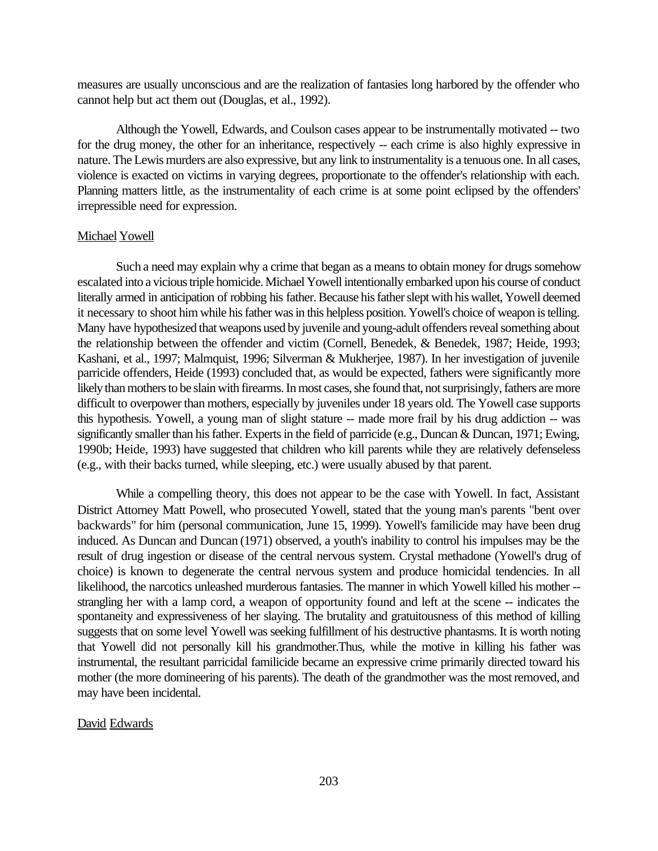measures are usually unconscious and are the realization of fantasies long harbored by the offender who cannot help but act them out (Douglas, et al., 1992).

Although the Yowell, Edwards, and Coulson cases appear to be instrumentally motivated -- two for the drug money, the other for an inheritance, respectively -- each crime is also highly expressive in nature. The Lewis murders are also expressive, but any link to instrumentality is a tenuous one. In all cases, violence is exacted on victims in varying degrees, proportionate to the offender's relationship with each. Planning matters little, as the instrumentality of each crime is at some point eclipsed by the offenders' irrepressible need for expression.

#### Michael Yowell

Such a need may explain why a crime that began as a means to obtain money for drugs somehow escalated into a vicious triple homicide. Michael Yowell intentionally embarked upon his course of conduct literally armed in anticipation of robbing his father. Because his father slept with his wallet, Yowell deemed it necessary to shoot him while his father was in this helpless position. Yowell's choice of weapon is telling. Many have hypothesized that weapons used by juvenile and young-adult offenders reveal something about the relationship between the offender and victim (Cornell, Benedek, & Benedek, 1987; Heide, 1993; Kashani, et al., 1997; Malmquist, 1996; Silverman & Mukherjee, 1987). In her investigation of juvenile parricide offenders, Heide (1993) concluded that, as would be expected, fathers were significantly more likely than mothers to be slain with firearms. In most cases, she found that, not surprisingly, fathers are more difficult to overpower than mothers, especially by juveniles under 18 years old. The Yowell case supports this hypothesis. Yowell, a young man of slight stature -- made more frail by his drug addiction -- was significantly smaller than his father. Experts in the field of parricide (e.g., Duncan & Duncan, 1971; Ewing, 1990b; Heide, 1993) have suggested that children who kill parents while they are relatively defenseless (e.g., with their backs turned, while sleeping, etc.) were usually abused by that parent.

While a compelling theory, this does not appear to be the case with Yowell. In fact, Assistant District Attorney Matt Powell, who prosecuted Yowell, stated that the young man's parents "bent over backwards" for him (personal communication, June 15, 1999). Yowell's familicide may have been drug induced. As Duncan and Duncan (1971) observed, a youth's inability to control his impulses may be the result of drug ingestion or disease of the central nervous system. Crystal methadone (Yowell's drug of choice) is known to degenerate the central nervous system and produce homicidal tendencies. In all likelihood, the narcotics unleashed murderous fantasies. The manner in which Yowell killed his mother - strangling her with a lamp cord, a weapon of opportunity found and left at the scene -- indicates the spontaneity and expressiveness of her slaying. The brutality and gratuitousness of this method of killing suggests that on some level Yowell was seeking fulfillment of his destructive phantasms. It is worth noting that Yowell did not personally kill his grandmother.Thus, while the motive in killing his father was instrumental, the resultant parricidal familicide became an expressive crime primarily directed toward his mother (the more domineering of his parents). The death of the grandmother was the most removed, and may have been incidental.

#### David Edwards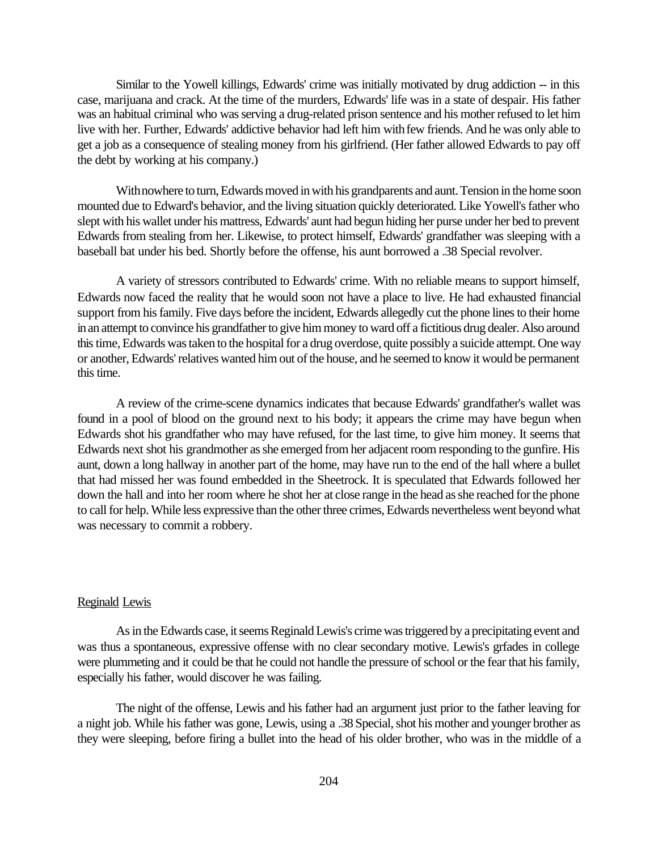Similar to the Yowell killings, Edwards' crime was initially motivated by drug addiction -- in this case, marijuana and crack. At the time of the murders, Edwards' life was in a state of despair. His father was an habitual criminal who was serving a drug-related prison sentence and his mother refused to let him live with her. Further, Edwards' addictive behavior had left him with few friends. And he was only able to get a job as a consequence of stealing money from his girlfriend. (Her father allowed Edwards to pay off the debt by working at his company.)

With nowhere to turn, Edwards moved in with his grandparents and aunt. Tension in the home soon mounted due to Edward's behavior, and the living situation quickly deteriorated. Like Yowell's father who slept with his wallet under his mattress, Edwards' aunt had begun hiding her purse under her bed to prevent Edwards from stealing from her. Likewise, to protect himself, Edwards' grandfather was sleeping with a baseball bat under his bed. Shortly before the offense, his aunt borrowed a .38 Special revolver.

A variety of stressors contributed to Edwards' crime. With no reliable means to support himself, Edwards now faced the reality that he would soon not have a place to live. He had exhausted financial support from his family. Five days before the incident, Edwards allegedly cut the phone lines to their home in an attempt to convince his grandfather to give him money to ward off a fictitious drug dealer. Also around this time, Edwards was taken to the hospital for a drug overdose, quite possibly a suicide attempt. One way or another, Edwards' relatives wanted him out of the house, and he seemed to know it would be permanent this time.

A review of the crime-scene dynamics indicates that because Edwards' grandfather's wallet was found in a pool of blood on the ground next to his body; it appears the crime may have begun when Edwards shot his grandfather who may have refused, for the last time, to give him money. It seems that Edwards next shot his grandmother as she emerged from her adjacent room responding to the gunfire. His aunt, down a long hallway in another part of the home, may have run to the end of the hall where a bullet that had missed her was found embedded in the Sheetrock. It is speculated that Edwards followed her down the hall and into her room where he shot her at close range in the head as she reached for the phone to call for help. While less expressive than the other three crimes, Edwards nevertheless went beyond what was necessary to commit a robbery.

## Reginald Lewis

As in the Edwards case, it seems Reginald Lewis's crime was triggered by a precipitating event and was thus a spontaneous, expressive offense with no clear secondary motive. Lewis's grfades in college were plummeting and it could be that he could not handle the pressure of school or the fear that his family, especially his father, would discover he was failing.

The night of the offense, Lewis and his father had an argument just prior to the father leaving for a night job. While his father was gone, Lewis, using a .38 Special, shot his mother and younger brother as they were sleeping, before firing a bullet into the head of his older brother, who was in the middle of a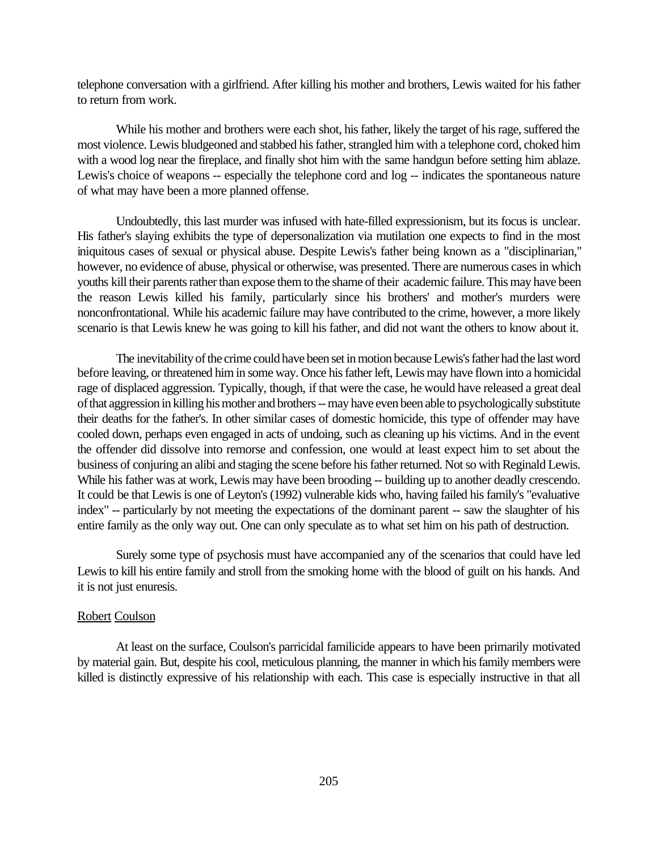telephone conversation with a girlfriend. After killing his mother and brothers, Lewis waited for his father to return from work.

While his mother and brothers were each shot, his father, likely the target of his rage, suffered the most violence. Lewis bludgeoned and stabbed his father, strangled him with a telephone cord, choked him with a wood log near the fireplace, and finally shot him with the same handgun before setting him ablaze. Lewis's choice of weapons -- especially the telephone cord and log -- indicates the spontaneous nature of what may have been a more planned offense.

Undoubtedly, this last murder was infused with hate-filled expressionism, but its focus is unclear. His father's slaying exhibits the type of depersonalization via mutilation one expects to find in the most iniquitous cases of sexual or physical abuse. Despite Lewis's father being known as a "disciplinarian," however, no evidence of abuse, physical or otherwise, was presented. There are numerous cases in which youths kill their parents rather than expose them to the shame of their academic failure. This may have been the reason Lewis killed his family, particularly since his brothers' and mother's murders were nonconfrontational. While his academic failure may have contributed to the crime, however, a more likely scenario is that Lewis knew he was going to kill his father, and did not want the others to know about it.

The inevitability of the crime could have been set in motion because Lewis's father had the last word before leaving, or threatened him in some way. Once his father left, Lewis may have flown into a homicidal rage of displaced aggression. Typically, though, if that were the case, he would have released a great deal of that aggression in killing his mother and brothers -- may have even been able to psychologically substitute their deaths for the father's. In other similar cases of domestic homicide, this type of offender may have cooled down, perhaps even engaged in acts of undoing, such as cleaning up his victims. And in the event the offender did dissolve into remorse and confession, one would at least expect him to set about the business of conjuring an alibi and staging the scene before his father returned. Not so with Reginald Lewis. While his father was at work, Lewis may have been brooding -- building up to another deadly crescendo. It could be that Lewis is one of Leyton's (1992) vulnerable kids who, having failed his family's "evaluative index" -- particularly by not meeting the expectations of the dominant parent -- saw the slaughter of his entire family as the only way out. One can only speculate as to what set him on his path of destruction.

Surely some type of psychosis must have accompanied any of the scenarios that could have led Lewis to kill his entire family and stroll from the smoking home with the blood of guilt on his hands. And it is not just enuresis.

## Robert Coulson

At least on the surface, Coulson's parricidal familicide appears to have been primarily motivated by material gain. But, despite his cool, meticulous planning, the manner in which his family members were killed is distinctly expressive of his relationship with each. This case is especially instructive in that all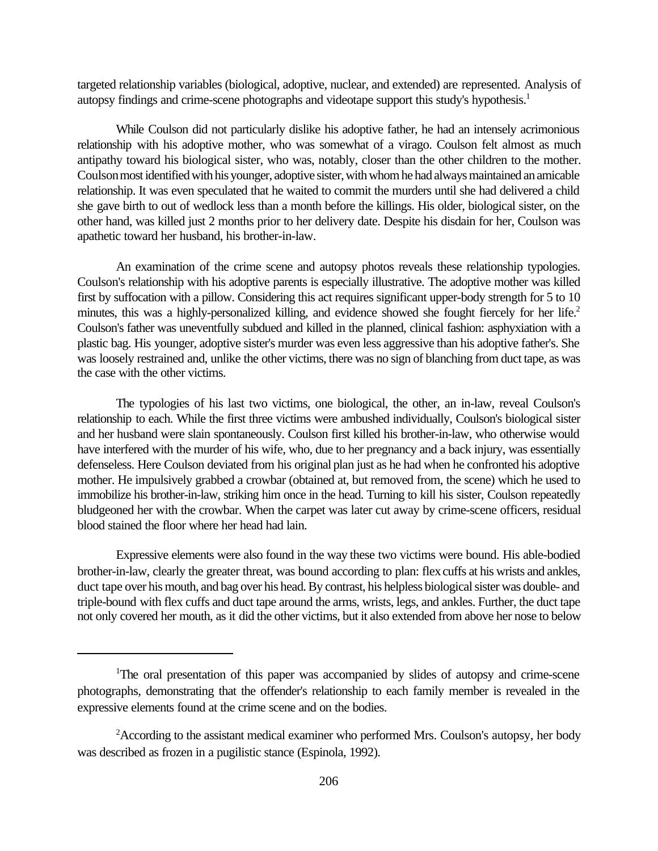targeted relationship variables (biological, adoptive, nuclear, and extended) are represented. Analysis of autopsy findings and crime-scene photographs and videotape support this study's hypothesis.<sup>1</sup>

While Coulson did not particularly dislike his adoptive father, he had an intensely acrimonious relationship with his adoptive mother, who was somewhat of a virago. Coulson felt almost as much antipathy toward his biological sister, who was, notably, closer than the other children to the mother. Coulson most identified with his younger, adoptive sister, with whom he had always maintained an amicable relationship. It was even speculated that he waited to commit the murders until she had delivered a child she gave birth to out of wedlock less than a month before the killings. His older, biological sister, on the other hand, was killed just 2 months prior to her delivery date. Despite his disdain for her, Coulson was apathetic toward her husband, his brother-in-law.

An examination of the crime scene and autopsy photos reveals these relationship typologies. Coulson's relationship with his adoptive parents is especially illustrative. The adoptive mother was killed first by suffocation with a pillow. Considering this act requires significant upper-body strength for 5 to 10 minutes, this was a highly-personalized killing, and evidence showed she fought fiercely for her life.<sup>2</sup> Coulson's father was uneventfully subdued and killed in the planned, clinical fashion: asphyxiation with a plastic bag. His younger, adoptive sister's murder was even less aggressive than his adoptive father's. She was loosely restrained and, unlike the other victims, there was no sign of blanching from duct tape, as was the case with the other victims.

The typologies of his last two victims, one biological, the other, an in-law, reveal Coulson's relationship to each. While the first three victims were ambushed individually, Coulson's biological sister and her husband were slain spontaneously. Coulson first killed his brother-in-law, who otherwise would have interfered with the murder of his wife, who, due to her pregnancy and a back injury, was essentially defenseless. Here Coulson deviated from his original plan just as he had when he confronted his adoptive mother. He impulsively grabbed a crowbar (obtained at, but removed from, the scene) which he used to immobilize his brother-in-law, striking him once in the head. Turning to kill his sister, Coulson repeatedly bludgeoned her with the crowbar. When the carpet was later cut away by crime-scene officers, residual blood stained the floor where her head had lain.

Expressive elements were also found in the way these two victims were bound. His able-bodied brother-in-law, clearly the greater threat, was bound according to plan: flex cuffs at his wrists and ankles, duct tape over his mouth, and bag over his head. By contrast, his helpless biological sister was double- and triple-bound with flex cuffs and duct tape around the arms, wrists, legs, and ankles. Further, the duct tape not only covered her mouth, as it did the other victims, but it also extended from above her nose to below

<sup>&</sup>lt;sup>1</sup>The oral presentation of this paper was accompanied by slides of autopsy and crime-scene photographs, demonstrating that the offender's relationship to each family member is revealed in the expressive elements found at the crime scene and on the bodies.

<sup>&</sup>lt;sup>2</sup> According to the assistant medical examiner who performed Mrs. Coulson's autopsy, her body was described as frozen in a pugilistic stance (Espinola, 1992).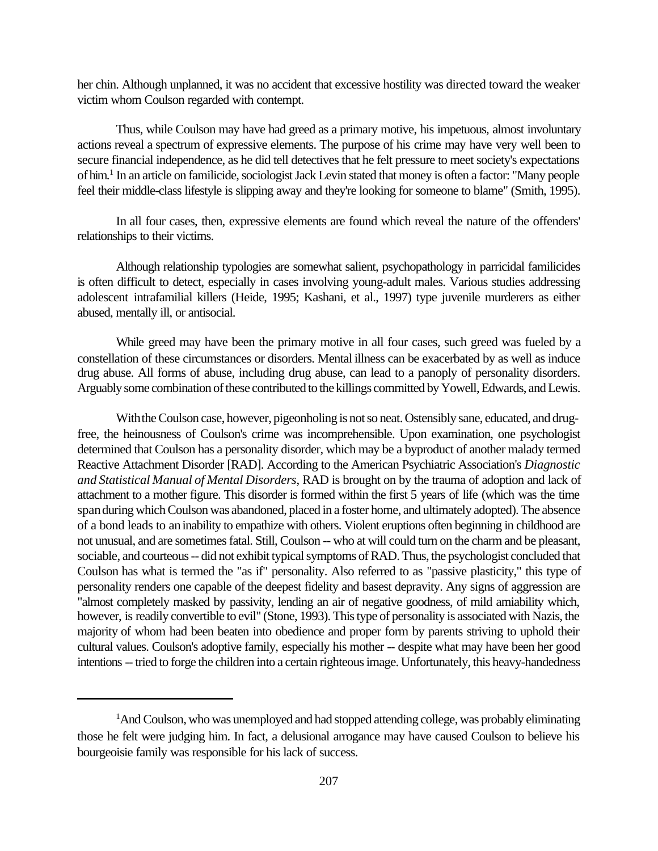her chin. Although unplanned, it was no accident that excessive hostility was directed toward the weaker victim whom Coulson regarded with contempt.

Thus, while Coulson may have had greed as a primary motive, his impetuous, almost involuntary actions reveal a spectrum of expressive elements. The purpose of his crime may have very well been to secure financial independence, as he did tell detectives that he felt pressure to meet society's expectations of him.<sup>1</sup> In an article on familicide, sociologist Jack Levin stated that money is often a factor: "Many people feel their middle-class lifestyle is slipping away and they're looking for someone to blame" (Smith, 1995).

In all four cases, then, expressive elements are found which reveal the nature of the offenders' relationships to their victims.

Although relationship typologies are somewhat salient, psychopathology in parricidal familicides is often difficult to detect, especially in cases involving young-adult males. Various studies addressing adolescent intrafamilial killers (Heide, 1995; Kashani, et al., 1997) type juvenile murderers as either abused, mentally ill, or antisocial.

While greed may have been the primary motive in all four cases, such greed was fueled by a constellation of these circumstances or disorders. Mental illness can be exacerbated by as well as induce drug abuse. All forms of abuse, including drug abuse, can lead to a panoply of personality disorders. Arguably some combination of these contributed to the killings committed by Yowell, Edwards, and Lewis.

With the Coulson case, however, pigeonholing is not so neat. Ostensibly sane, educated, and drugfree, the heinousness of Coulson's crime was incomprehensible. Upon examination, one psychologist determined that Coulson has a personality disorder, which may be a byproduct of another malady termed Reactive Attachment Disorder [RAD]. According to the American Psychiatric Association's *Diagnostic and Statistical Manual of Mental Disorders*, RAD is brought on by the trauma of adoption and lack of attachment to a mother figure. This disorder is formed within the first 5 years of life (which was the time span during which Coulson was abandoned, placed in a foster home, and ultimately adopted). The absence of a bond leads to an inability to empathize with others. Violent eruptions often beginning in childhood are not unusual, and are sometimes fatal. Still, Coulson -- who at will could turn on the charm and be pleasant, sociable, and courteous -- did not exhibit typical symptoms of RAD. Thus, the psychologist concluded that Coulson has what is termed the "as if" personality. Also referred to as "passive plasticity," this type of personality renders one capable of the deepest fidelity and basest depravity. Any signs of aggression are "almost completely masked by passivity, lending an air of negative goodness, of mild amiability which, however, is readily convertible to evil" (Stone, 1993). This type of personality is associated with Nazis, the majority of whom had been beaten into obedience and proper form by parents striving to uphold their cultural values. Coulson's adoptive family, especially his mother -- despite what may have been her good intentions -- tried to forge the children into a certain righteous image. Unfortunately, this heavy-handedness

<sup>&</sup>lt;sup>1</sup>And Coulson, who was unemployed and had stopped attending college, was probably eliminating those he felt were judging him. In fact, a delusional arrogance may have caused Coulson to believe his bourgeoisie family was responsible for his lack of success.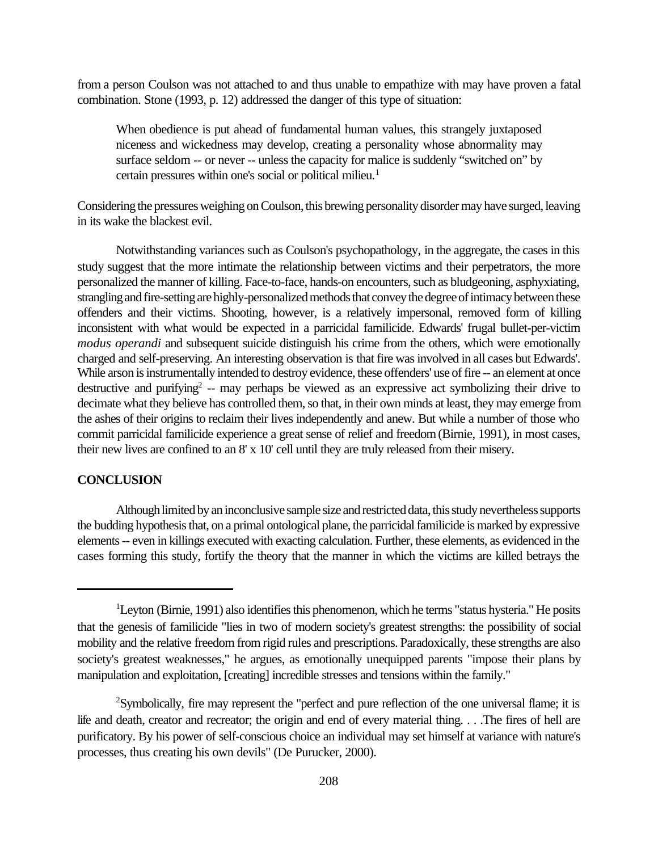from a person Coulson was not attached to and thus unable to empathize with may have proven a fatal combination. Stone (1993, p. 12) addressed the danger of this type of situation:

When obedience is put ahead of fundamental human values, this strangely juxtaposed niceness and wickedness may develop, creating a personality whose abnormality may surface seldom -- or never -- unless the capacity for malice is suddenly "switched on" by certain pressures within one's social or political milieu.<sup>1</sup>

Considering the pressures weighing on Coulson, this brewing personality disorder may have surged, leaving in its wake the blackest evil.

Notwithstanding variances such as Coulson's psychopathology, in the aggregate, the cases in this study suggest that the more intimate the relationship between victims and their perpetrators, the more personalized the manner of killing. Face-to-face, hands-on encounters, such as bludgeoning, asphyxiating, strangling and fire-setting are highly-personalized methods that convey the degree of intimacy between these offenders and their victims. Shooting, however, is a relatively impersonal, removed form of killing inconsistent with what would be expected in a parricidal familicide. Edwards' frugal bullet-per-victim *modus operandi* and subsequent suicide distinguish his crime from the others, which were emotionally charged and self-preserving. An interesting observation is that fire was involved in all cases but Edwards'. While arson is instrumentally intended to destroy evidence, these offenders' use of fire -- an element at once destructive and purifying<sup>2</sup> -- may perhaps be viewed as an expressive act symbolizing their drive to decimate what they believe has controlled them, so that, in their own minds at least, they may emerge from the ashes of their origins to reclaim their lives independently and anew. But while a number of those who commit parricidal familicide experience a great sense of relief and freedom (Birnie, 1991), in most cases, their new lives are confined to an 8' x 10' cell until they are truly released from their misery.

## **CONCLUSION**

Although limited by an inconclusive sample size and restricted data, this study nevertheless supports the budding hypothesis that, on a primal ontological plane, the parricidal familicide is marked by expressive elements -- even in killings executed with exacting calculation. Further, these elements, as evidenced in the cases forming this study, fortify the theory that the manner in which the victims are killed betrays the

<sup>&</sup>lt;sup>1</sup>Leyton (Birnie, 1991) also identifies this phenomenon, which he terms "status hysteria." He posits that the genesis of familicide "lies in two of modern society's greatest strengths: the possibility of social mobility and the relative freedom from rigid rules and prescriptions. Paradoxically, these strengths are also society's greatest weaknesses," he argues, as emotionally unequipped parents "impose their plans by manipulation and exploitation, [creating] incredible stresses and tensions within the family."

<sup>&</sup>lt;sup>2</sup>Symbolically, fire may represent the "perfect and pure reflection of the one universal flame; it is life and death, creator and recreator; the origin and end of every material thing. . . .The fires of hell are purificatory. By his power of self-conscious choice an individual may set himself at variance with nature's processes, thus creating his own devils" (De Purucker, 2000).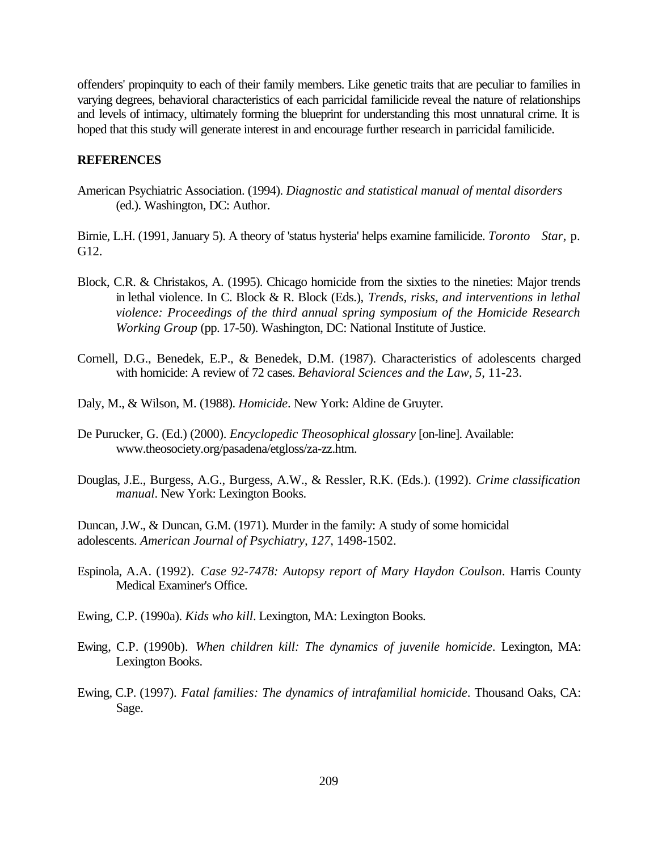offenders' propinquity to each of their family members. Like genetic traits that are peculiar to families in varying degrees, behavioral characteristics of each parricidal familicide reveal the nature of relationships and levels of intimacy, ultimately forming the blueprint for understanding this most unnatural crime. It is hoped that this study will generate interest in and encourage further research in parricidal familicide.

#### **REFERENCES**

American Psychiatric Association. (1994). *Diagnostic and statistical manual of mental disorders* (ed.). Washington, DC: Author.

Birnie, L.H. (1991, January 5). A theory of 'status hysteria' helps examine familicide. *Toronto Star,* p. G12.

- Block, C.R. & Christakos, A. (1995). Chicago homicide from the sixties to the nineties: Major trends in lethal violence. In C. Block & R. Block (Eds.), *Trends, risks, and interventions in lethal violence: Proceedings of the third annual spring symposium of the Homicide Research Working Group* (pp. 17-50). Washington, DC: National Institute of Justice.
- Cornell, D.G., Benedek, E.P., & Benedek, D.M. (1987). Characteristics of adolescents charged with homicide: A review of 72 cases. *Behavioral Sciences and the Law, 5*, 11-23.
- Daly, M., & Wilson, M. (1988). *Homicide*. New York: Aldine de Gruyter.
- De Purucker, G. (Ed.) (2000). *Encyclopedic Theosophical glossary* [on-line]. Available: www.theosociety.org/pasadena/etgloss/za-zz.htm.
- Douglas, J.E., Burgess, A.G., Burgess, A.W., & Ressler, R.K. (Eds.). (1992). *Crime classification manual*. New York: Lexington Books.

Duncan, J.W., & Duncan, G.M. (1971). Murder in the family: A study of some homicidal adolescents. *American Journal of Psychiatry, 127*, 1498-1502.

- Espinola, A.A. (1992). *Case 92-7478: Autopsy report of Mary Haydon Coulson*. Harris County Medical Examiner's Office.
- Ewing, C.P. (1990a). *Kids who kill*. Lexington, MA: Lexington Books.
- Ewing, C.P. (1990b). *When children kill: The dynamics of juvenile homicide*. Lexington, MA: Lexington Books.
- Ewing, C.P. (1997). *Fatal families: The dynamics of intrafamilial homicide*. Thousand Oaks, CA: Sage.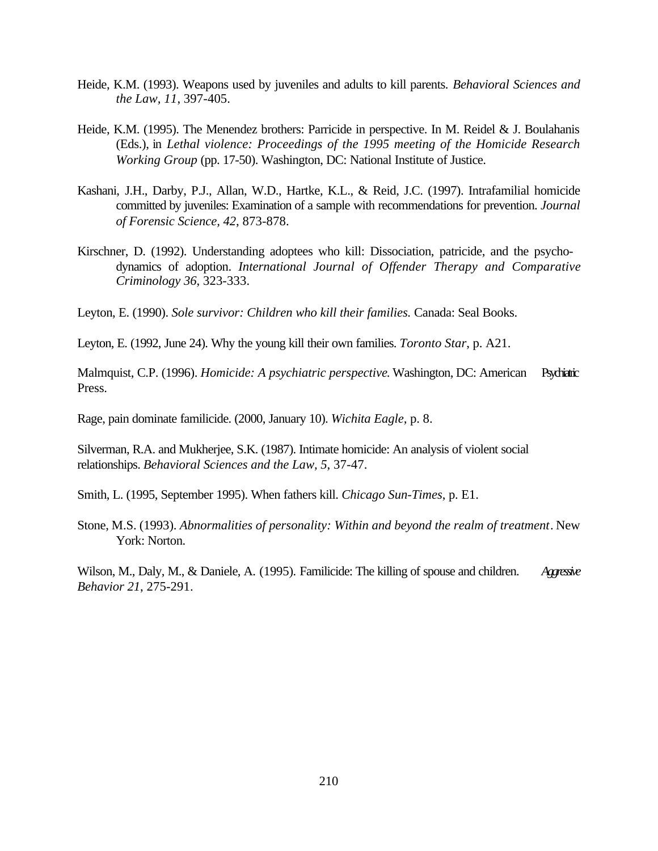- Heide, K.M. (1993). Weapons used by juveniles and adults to kill parents. *Behavioral Sciences and the Law, 11*, 397-405.
- Heide, K.M. (1995). The Menendez brothers: Parricide in perspective. In M. Reidel & J. Boulahanis (Eds.), in *Lethal violence: Proceedings of the 1995 meeting of the Homicide Research Working Group* (pp. 17-50). Washington, DC: National Institute of Justice.
- Kashani, J.H., Darby, P.J., Allan, W.D., Hartke, K.L., & Reid, J.C. (1997). Intrafamilial homicide committed by juveniles: Examination of a sample with recommendations for prevention. *Journal of Forensic Science, 42*, 873-878.
- Kirschner, D. (1992). Understanding adoptees who kill: Dissociation, patricide, and the psychodynamics of adoption. *International Journal of Offender Therapy and Comparative Criminology 36*, 323-333.

Leyton, E. (1990). *Sole survivor: Children who kill their families.* Canada: Seal Books.

Leyton, E. (1992, June 24). Why the young kill their own families. *Toronto Star*, p. A21.

Malmquist, C.P. (1996). *Homicide: A psychiatric perspective*. Washington, DC: American Psychiatric Press.

Rage, pain dominate familicide. (2000, January 10). *Wichita Eagle,* p. 8.

Silverman, R.A. and Mukherjee, S.K. (1987). Intimate homicide: An analysis of violent social relationships. *Behavioral Sciences and the Law, 5*, 37-47.

Smith, L. (1995, September 1995). When fathers kill. *Chicago Sun-Times*, p. E1.

Stone, M.S. (1993). *Abnormalities of personality: Within and beyond the realm of treatment*. New York: Norton.

Wilson, M., Daly, M., & Daniele, A. (1995)*.* Familicide: The killing of spouse and children. *Aggressive Behavior 21*, 275-291.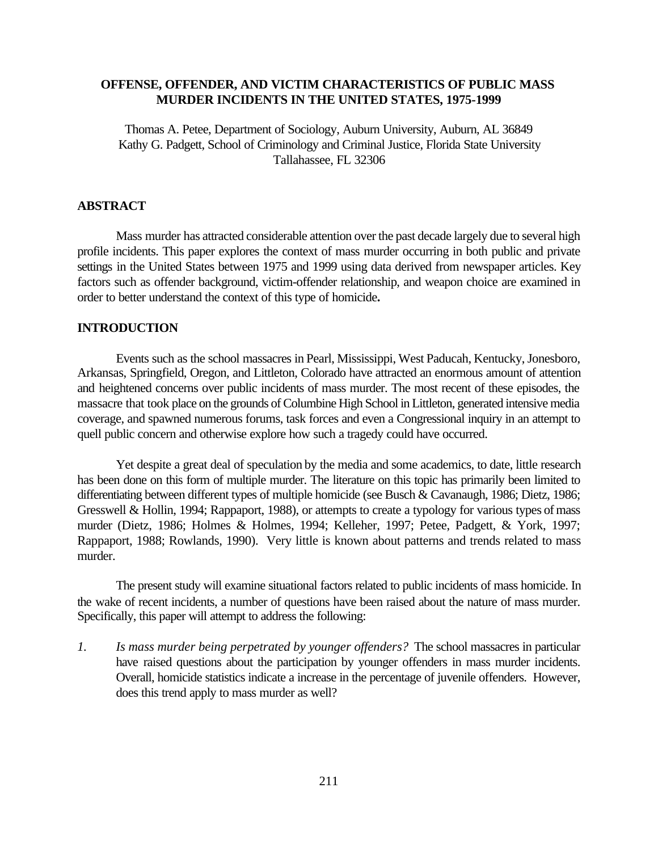## **OFFENSE, OFFENDER, AND VICTIM CHARACTERISTICS OF PUBLIC MASS MURDER INCIDENTS IN THE UNITED STATES, 1975-1999**

Thomas A. Petee, Department of Sociology, Auburn University, Auburn, AL 36849 Kathy G. Padgett, School of Criminology and Criminal Justice, Florida State University Tallahassee, FL 32306

## **ABSTRACT**

Mass murder has attracted considerable attention over the past decade largely due to several high profile incidents. This paper explores the context of mass murder occurring in both public and private settings in the United States between 1975 and 1999 using data derived from newspaper articles. Key factors such as offender background, victim-offender relationship, and weapon choice are examined in order to better understand the context of this type of homicide**.**

#### **INTRODUCTION**

Events such as the school massacres in Pearl, Mississippi, West Paducah, Kentucky, Jonesboro, Arkansas, Springfield, Oregon, and Littleton, Colorado have attracted an enormous amount of attention and heightened concerns over public incidents of mass murder. The most recent of these episodes, the massacre that took place on the grounds of Columbine High School in Littleton, generated intensive media coverage, and spawned numerous forums, task forces and even a Congressional inquiry in an attempt to quell public concern and otherwise explore how such a tragedy could have occurred.

Yet despite a great deal of speculation by the media and some academics, to date, little research has been done on this form of multiple murder. The literature on this topic has primarily been limited to differentiating between different types of multiple homicide (see Busch & Cavanaugh, 1986; Dietz, 1986; Gresswell & Hollin, 1994; Rappaport, 1988), or attempts to create a typology for various types of mass murder (Dietz, 1986; Holmes & Holmes, 1994; Kelleher, 1997; Petee, Padgett, & York, 1997; Rappaport, 1988; Rowlands, 1990). Very little is known about patterns and trends related to mass murder.

The present study will examine situational factors related to public incidents of mass homicide. In the wake of recent incidents, a number of questions have been raised about the nature of mass murder. Specifically, this paper will attempt to address the following:

*1. Is mass murder being perpetrated by younger offenders?* The school massacres in particular have raised questions about the participation by younger offenders in mass murder incidents. Overall, homicide statistics indicate a increase in the percentage of juvenile offenders. However, does this trend apply to mass murder as well?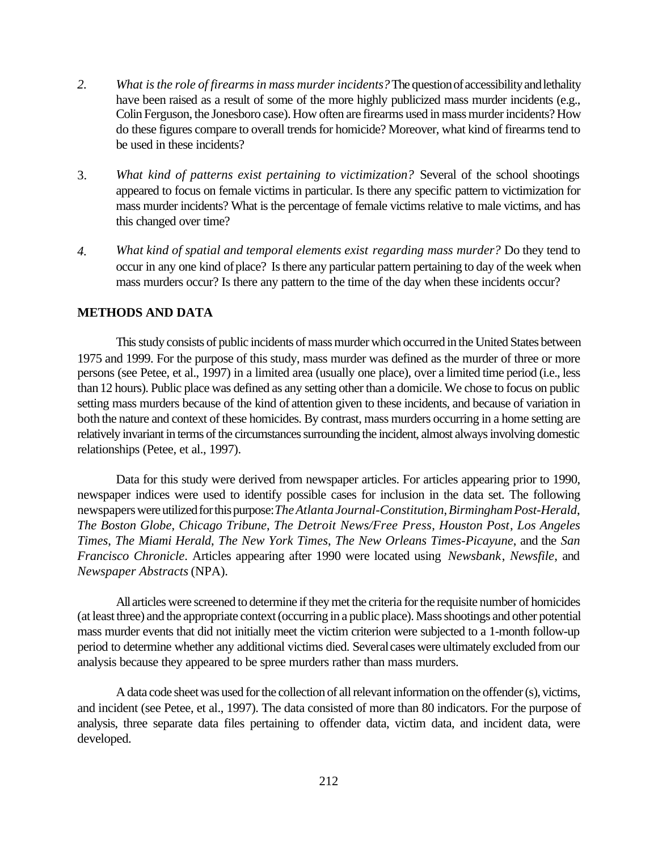- *2. What is the role of firearms in mass murder incidents?* The question of accessibility and lethality have been raised as a result of some of the more highly publicized mass murder incidents (e.g., Colin Ferguson, the Jonesboro case). How often are firearms used in mass murder incidents? How do these figures compare to overall trends for homicide? Moreover, what kind of firearms tend to be used in these incidents?
- 3. *What kind of patterns exist pertaining to victimization?* Several of the school shootings appeared to focus on female victims in particular. Is there any specific pattern to victimization for mass murder incidents? What is the percentage of female victims relative to male victims, and has this changed over time?
- *4. What kind of spatial and temporal elements exist regarding mass murder?* Do they tend to occur in any one kind of place? Is there any particular pattern pertaining to day of the week when mass murders occur? Is there any pattern to the time of the day when these incidents occur?

## **METHODS AND DATA**

This study consists of public incidents of mass murder which occurred in the United States between 1975 and 1999. For the purpose of this study, mass murder was defined as the murder of three or more persons (see Petee, et al., 1997) in a limited area (usually one place), over a limited time period (i.e., less than 12 hours). Public place was defined as any setting other than a domicile. We chose to focus on public setting mass murders because of the kind of attention given to these incidents, and because of variation in both the nature and context of these homicides. By contrast, mass murders occurring in a home setting are relatively invariant in terms of the circumstances surrounding the incident, almost always involving domestic relationships (Petee, et al., 1997).

Data for this study were derived from newspaper articles. For articles appearing prior to 1990, newspaper indices were used to identify possible cases for inclusion in the data set. The following newspapers were utilized for this purpose: *The Atlanta Journal-Constitution*,*Birmingham Post-Herald*, *The Boston Globe*, *Chicago Tribune*, *The Detroit News/Free Press*, *Houston Post*, *Los Angeles Times*, *The Miami Herald*, *The New York Times*, *The New Orleans Times-Picayune*, and the *San Francisco Chronicle*. Articles appearing after 1990 were located using *Newsbank*, *Newsfile*, and *Newspaper Abstracts* (NPA).

All articles were screened to determine if they met the criteria for the requisite number of homicides (at least three) and the appropriate context (occurring in a public place). Mass shootings and other potential mass murder events that did not initially meet the victim criterion were subjected to a 1-month follow-up period to determine whether any additional victims died. Several cases were ultimately excluded from our analysis because they appeared to be spree murders rather than mass murders.

A data code sheet was used for the collection of all relevant information on the offender (s), victims, and incident (see Petee, et al., 1997). The data consisted of more than 80 indicators. For the purpose of analysis, three separate data files pertaining to offender data, victim data, and incident data, were developed.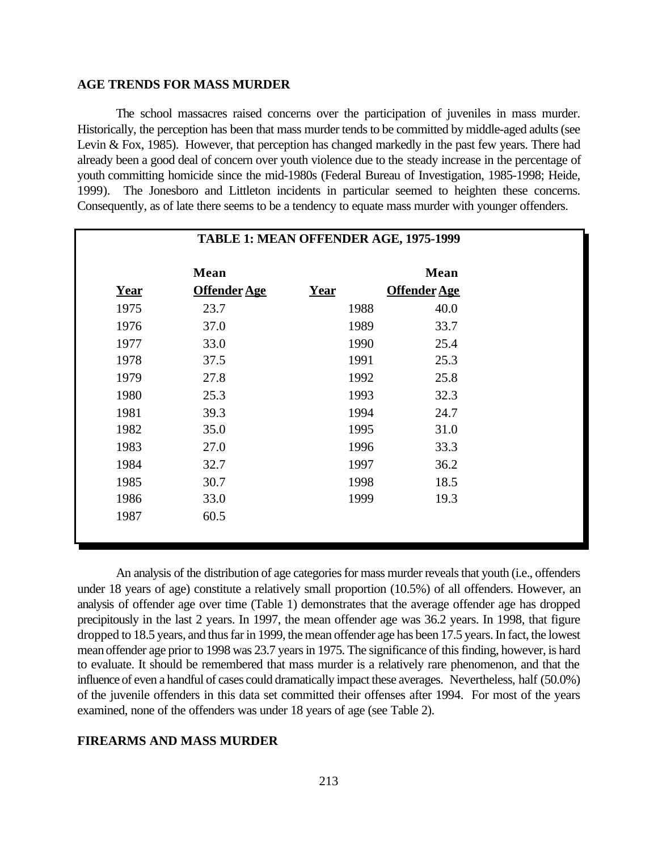#### **AGE TRENDS FOR MASS MURDER**

The school massacres raised concerns over the participation of juveniles in mass murder. Historically, the perception has been that mass murder tends to be committed by middle-aged adults (see Levin & Fox, 1985). However, that perception has changed markedly in the past few years. There had already been a good deal of concern over youth violence due to the steady increase in the percentage of youth committing homicide since the mid-1980s (Federal Bureau of Investigation, 1985-1998; Heide, 1999). The Jonesboro and Littleton incidents in particular seemed to heighten these concerns. Consequently, as of late there seems to be a tendency to equate mass murder with younger offenders.

|             | TABLE 1: MEAN OFFENDER AGE, 1975-1999 |             |                     |  |  |
|-------------|---------------------------------------|-------------|---------------------|--|--|
|             | Mean                                  |             | Mean                |  |  |
| <b>Year</b> | <b>Offender Age</b>                   | <u>Year</u> | <b>Offender Age</b> |  |  |
| 1975        | 23.7                                  | 1988        | 40.0                |  |  |
| 1976        | 37.0                                  | 1989        | 33.7                |  |  |
| 1977        | 33.0                                  | 1990        | 25.4                |  |  |
| 1978        | 37.5                                  | 1991        | 25.3                |  |  |
| 1979        | 27.8                                  | 1992        | 25.8                |  |  |
| 1980        | 25.3                                  | 1993        | 32.3                |  |  |
| 1981        | 39.3                                  | 1994        | 24.7                |  |  |
| 1982        | 35.0                                  | 1995        | 31.0                |  |  |
| 1983        | 27.0                                  | 1996        | 33.3                |  |  |
| 1984        | 32.7                                  | 1997        | 36.2                |  |  |
| 1985        | 30.7                                  | 1998        | 18.5                |  |  |
| 1986        | 33.0                                  | 1999        | 19.3                |  |  |
| 1987        | 60.5                                  |             |                     |  |  |
|             |                                       |             |                     |  |  |

An analysis of the distribution of age categories for mass murder reveals that youth (i.e., offenders under 18 years of age) constitute a relatively small proportion (10.5%) of all offenders. However, an analysis of offender age over time (Table 1) demonstrates that the average offender age has dropped precipitously in the last 2 years. In 1997, the mean offender age was 36.2 years. In 1998, that figure dropped to 18.5 years, and thus far in 1999, the mean offender age has been 17.5 years. In fact, the lowest mean offender age prior to 1998 was 23.7 years in 1975. The significance of this finding, however, is hard to evaluate. It should be remembered that mass murder is a relatively rare phenomenon, and that the influence of even a handful of cases could dramatically impact these averages.Nevertheless, half (50.0%) of the juvenile offenders in this data set committed their offenses after 1994. For most of the years examined, none of the offenders was under 18 years of age (see Table 2).

### **FIREARMS AND MASS MURDER**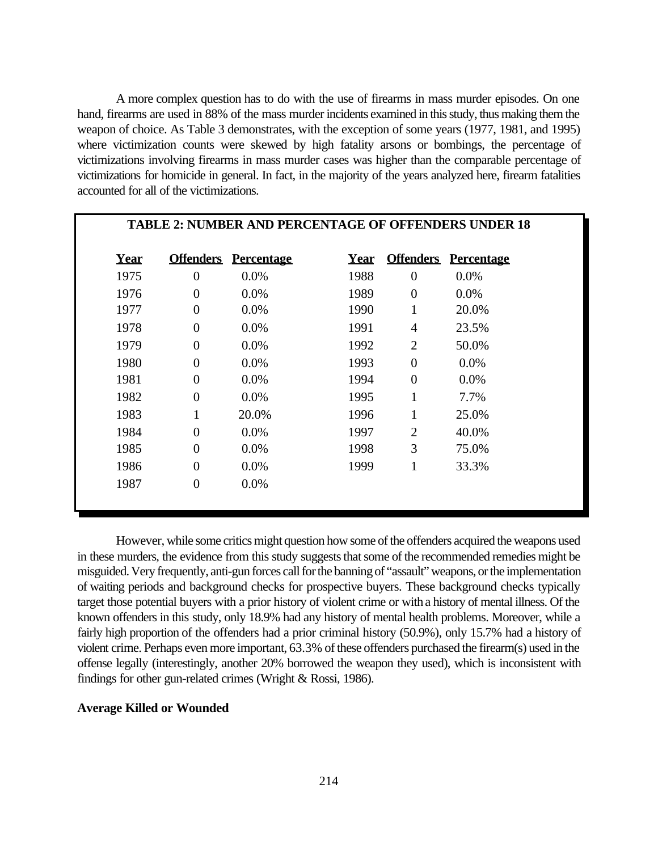A more complex question has to do with the use of firearms in mass murder episodes. On one hand, firearms are used in 88% of the mass murder incidents examined in this study, thus making them the weapon of choice. As Table 3 demonstrates, with the exception of some years (1977, 1981, and 1995) where victimization counts were skewed by high fatality arsons or bombings, the percentage of victimizations involving firearms in mass murder cases was higher than the comparable percentage of victimizations for homicide in general. In fact, in the majority of the years analyzed here, firearm fatalities accounted for all of the victimizations.

| <b>Year</b> | <b>Offenders</b> | <b>Percentage</b> | <b>Year</b> | <b>Offenders</b> | <b>Percentage</b> |
|-------------|------------------|-------------------|-------------|------------------|-------------------|
| 1975        | $\overline{0}$   | 0.0%              | 1988        | $\boldsymbol{0}$ | 0.0%              |
| 1976        | $\overline{0}$   | 0.0%              | 1989        | $\overline{0}$   | 0.0%              |
| 1977        | $\theta$         | 0.0%              | 1990        | 1                | 20.0%             |
| 1978        | $\overline{0}$   | 0.0%              | 1991        | $\overline{4}$   | 23.5%             |
| 1979        | $\overline{0}$   | 0.0%              | 1992        | $\overline{2}$   | 50.0%             |
| 1980        | $\overline{0}$   | $0.0\%$           | 1993        | $\overline{0}$   | $0.0\%$           |
| 1981        | $\boldsymbol{0}$ | 0.0%              | 1994        | $\boldsymbol{0}$ | $0.0\%$           |
| 1982        | $\overline{0}$   | 0.0%              | 1995        | 1                | 7.7%              |
| 1983        | 1                | 20.0%             | 1996        | 1                | 25.0%             |
| 1984        | $\overline{0}$   | 0.0%              | 1997        | $\overline{2}$   | 40.0%             |
| 1985        | $\theta$         | 0.0%              | 1998        | 3                | 75.0%             |
| 1986        | $\theta$         | 0.0%              | 1999        | $\mathbf{1}$     | 33.3%             |
| 1987        | $\theta$         | 0.0%              |             |                  |                   |

However, while some critics might question how some of the offenders acquired the weapons used in these murders, the evidence from this study suggests that some of the recommended remedies might be misguided. Very frequently, anti-gun forces call for the banning of "assault" weapons, or the implementation of waiting periods and background checks for prospective buyers. These background checks typically target those potential buyers with a prior history of violent crime or with a history of mental illness. Of the known offenders in this study, only 18.9% had any history of mental health problems. Moreover, while a fairly high proportion of the offenders had a prior criminal history (50.9%), only 15.7% had a history of violent crime. Perhaps even more important, 63.3% of these offenders purchased the firearm(s) used in the offense legally (interestingly, another 20% borrowed the weapon they used), which is inconsistent with findings for other gun-related crimes (Wright & Rossi, 1986).

#### **Average Killed or Wounded**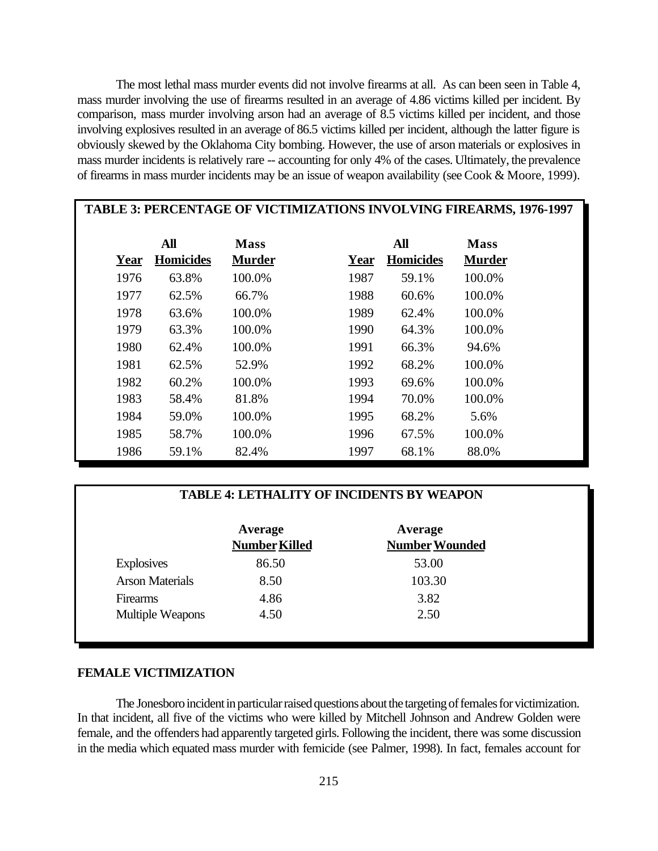The most lethal mass murder events did not involve firearms at all. As can been seen in Table 4, mass murder involving the use of firearms resulted in an average of 4.86 victims killed per incident. By comparison, mass murder involving arson had an average of 8.5 victims killed per incident, and those involving explosives resulted in an average of 86.5 victims killed per incident, although the latter figure is obviously skewed by the Oklahoma City bombing. However, the use of arson materials or explosives in mass murder incidents is relatively rare -- accounting for only 4% of the cases. Ultimately, the prevalence of firearms in mass murder incidents may be an issue of weapon availability (see Cook & Moore, 1999).

| TABLE 3: PERCENTAGE OF VICTIMIZATIONS INVOLVING FIREARMS, 1976-1997 |                  |               |             |                  |               |
|---------------------------------------------------------------------|------------------|---------------|-------------|------------------|---------------|
|                                                                     | All              | <b>Mass</b>   |             | All              | <b>Mass</b>   |
| Year                                                                | <b>Homicides</b> | <b>Murder</b> | <b>Year</b> | <b>Homicides</b> | <b>Murder</b> |
| 1976                                                                | 63.8%            | 100.0%        | 1987        | 59.1%            | 100.0%        |
| 1977                                                                | 62.5%            | 66.7%         | 1988        | 60.6%            | 100.0%        |
| 1978                                                                | 63.6%            | 100.0%        | 1989        | 62.4%            | 100.0%        |
| 1979                                                                | 63.3%            | 100.0%        | 1990        | 64.3%            | 100.0%        |
| 1980                                                                | 62.4%            | 100.0%        | 1991        | 66.3%            | 94.6%         |
| 1981                                                                | 62.5%            | 52.9%         | 1992        | 68.2%            | 100.0%        |
| 1982                                                                | 60.2%            | 100.0%        | 1993        | 69.6%            | 100.0%        |
| 1983                                                                | 58.4%            | 81.8%         | 1994        | 70.0%            | 100.0%        |
| 1984                                                                | 59.0%            | 100.0%        | 1995        | 68.2%            | 5.6%          |
| 1985                                                                | 58.7%            | 100.0%        | 1996        | 67.5%            | 100.0%        |
| 1986                                                                | 59.1%            | 82.4%         | 1997        | 68.1%            | 88.0%         |
|                                                                     |                  |               |             |                  |               |

| <b>TABLE 4: LETHALITY OF INCIDENTS BY WEAPON</b> |                                 |                                  |  |  |
|--------------------------------------------------|---------------------------------|----------------------------------|--|--|
|                                                  | Average<br><b>Number Killed</b> | Average<br><b>Number Wounded</b> |  |  |
| <b>Explosives</b>                                | 86.50                           | 53.00                            |  |  |
| <b>Arson Materials</b>                           | 8.50                            | 103.30                           |  |  |
| <b>Firearms</b>                                  | 4.86                            | 3.82                             |  |  |
| Multiple Weapons                                 | 4.50                            | 2.50                             |  |  |

#### **FEMALE VICTIMIZATION**

The Jonesboro incident in particular raised questions about the targeting of females for victimization. In that incident, all five of the victims who were killed by Mitchell Johnson and Andrew Golden were female, and the offenders had apparently targeted girls. Following the incident, there was some discussion in the media which equated mass murder with femicide (see Palmer, 1998). In fact, females account for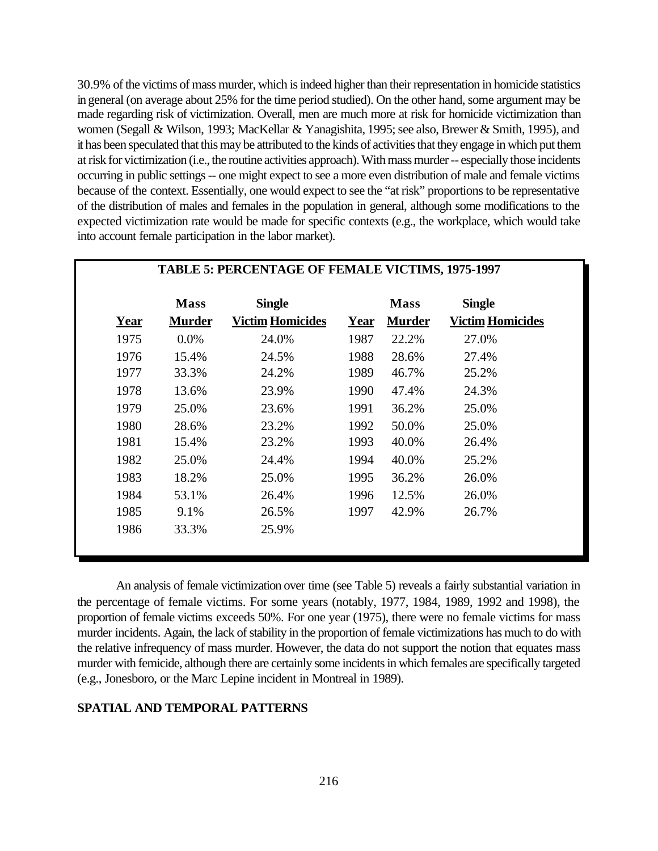30.9% of the victims of mass murder, which is indeed higher than their representation in homicide statistics in general (on average about 25% for the time period studied). On the other hand, some argument may be made regarding risk of victimization. Overall, men are much more at risk for homicide victimization than women (Segall & Wilson, 1993; MacKellar & Yanagishita, 1995; see also, Brewer & Smith, 1995), and it has been speculated that this may be attributed to the kinds of activities that they engage in which put them at risk for victimization (i.e., the routine activities approach). With mass murder -- especially those incidents occurring in public settings -- one might expect to see a more even distribution of male and female victims because of the context. Essentially, one would expect to see the "at risk" proportions to be representative of the distribution of males and females in the population in general, although some modifications to the expected victimization rate would be made for specific contexts (e.g., the workplace, which would take into account female participation in the labor market).

|             | <b>Mass</b>   | <b>Single</b>           |             | <b>Mass</b>   | <b>Single</b>           |
|-------------|---------------|-------------------------|-------------|---------------|-------------------------|
| <b>Year</b> | <b>Murder</b> | <b>Victim Homicides</b> | <b>Year</b> | <b>Murder</b> | <b>Victim Homicides</b> |
| 1975        | 0.0%          | 24.0%                   | 1987        | 22.2%         | 27.0%                   |
| 1976        | 15.4%         | 24.5%                   | 1988        | 28.6%         | 27.4%                   |
| 1977        | 33.3%         | 24.2%                   | 1989        | 46.7%         | 25.2%                   |
| 1978        | 13.6%         | 23.9%                   | 1990        | 47.4%         | 24.3%                   |
| 1979        | 25.0%         | 23.6%                   | 1991        | 36.2%         | 25.0%                   |
| 1980        | 28.6%         | 23.2%                   | 1992        | 50.0%         | 25.0%                   |
| 1981        | 15.4%         | 23.2%                   | 1993        | 40.0%         | 26.4%                   |
| 1982        | 25.0%         | 24.4%                   | 1994        | 40.0%         | 25.2%                   |
| 1983        | 18.2%         | 25.0%                   | 1995        | 36.2%         | 26.0%                   |
| 1984        | 53.1%         | 26.4%                   | 1996        | 12.5%         | 26.0%                   |
| 1985        | 9.1%          | 26.5%                   | 1997        | 42.9%         | 26.7%                   |
| 1986        | 33.3%         | 25.9%                   |             |               |                         |

An analysis of female victimization over time (see Table 5) reveals a fairly substantial variation in the percentage of female victims. For some years (notably, 1977, 1984, 1989, 1992 and 1998), the proportion of female victims exceeds 50%. For one year (1975), there were no female victims for mass murder incidents. Again, the lack of stability in the proportion of female victimizations has much to do with the relative infrequency of mass murder. However, the data do not support the notion that equates mass murder with femicide, although there are certainly some incidents in which females are specifically targeted (e.g., Jonesboro, or the Marc Lepine incident in Montreal in 1989).

## **SPATIAL AND TEMPORAL PATTERNS**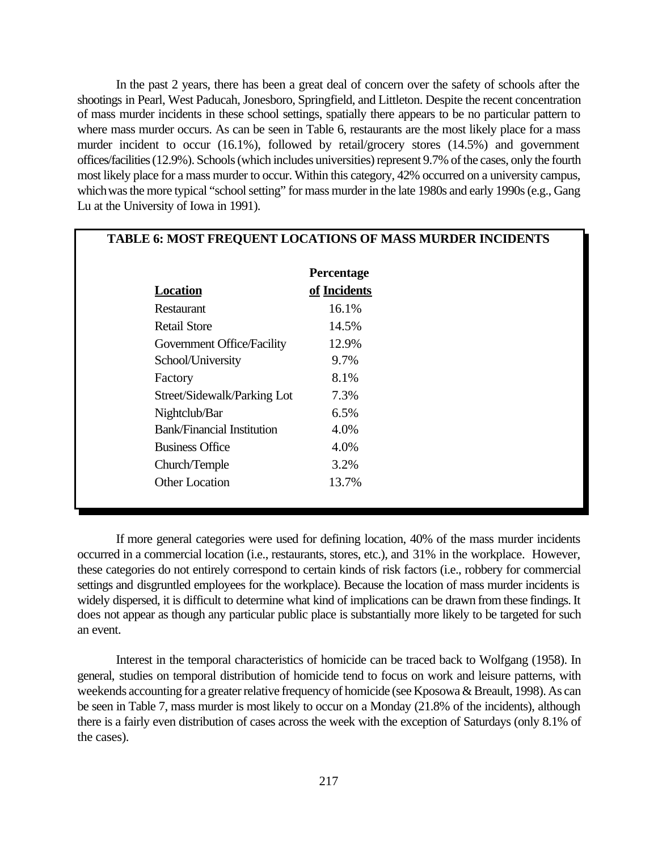In the past 2 years, there has been a great deal of concern over the safety of schools after the shootings in Pearl, West Paducah, Jonesboro, Springfield, and Littleton. Despite the recent concentration of mass murder incidents in these school settings, spatially there appears to be no particular pattern to where mass murder occurs. As can be seen in Table 6, restaurants are the most likely place for a mass murder incident to occur (16.1%), followed by retail/grocery stores (14.5%) and government offices/facilities (12.9%). Schools (which includes universities) represent 9.7% of the cases, only the fourth most likely place for a mass murder to occur. Within this category, 42% occurred on a university campus, which was the more typical "school setting" for mass murder in the late 1980s and early 1990s (e.g., Gang Lu at the University of Iowa in 1991).

## **TABLE 6: MOST FREQUENT LOCATIONS OF MASS MURDER INCIDENTS**

|                                   | <b>Percentage</b> |
|-----------------------------------|-------------------|
| <b>Location</b>                   | of Incidents      |
| <b>Restaurant</b>                 | 16.1%             |
| Retail Store                      | 14.5%             |
| Government Office/Facility        | 12.9%             |
| School/University                 | 9.7%              |
| Factory                           | 8.1%              |
| Street/Sidewalk/Parking Lot       | 7.3%              |
| Nightclub/Bar                     | $6.5\%$           |
| <b>Bank/Financial Institution</b> | 4.0%              |
| <b>Business Office</b>            | 4.0%              |
| Church/Temple                     | 3.2%              |
| <b>Other Location</b>             | 13.7%             |
|                                   |                   |

If more general categories were used for defining location, 40% of the mass murder incidents occurred in a commercial location (i.e., restaurants, stores, etc.), and 31% in the workplace. However, these categories do not entirely correspond to certain kinds of risk factors (i.e., robbery for commercial settings and disgruntled employees for the workplace). Because the location of mass murder incidents is widely dispersed, it is difficult to determine what kind of implications can be drawn from these findings. It does not appear as though any particular public place is substantially more likely to be targeted for such an event.

Interest in the temporal characteristics of homicide can be traced back to Wolfgang (1958). In general, studies on temporal distribution of homicide tend to focus on work and leisure patterns, with weekends accounting for a greater relative frequency of homicide (see Kposowa & Breault, 1998). As can be seen in Table 7, mass murder is most likely to occur on a Monday (21.8% of the incidents), although there is a fairly even distribution of cases across the week with the exception of Saturdays (only 8.1% of the cases).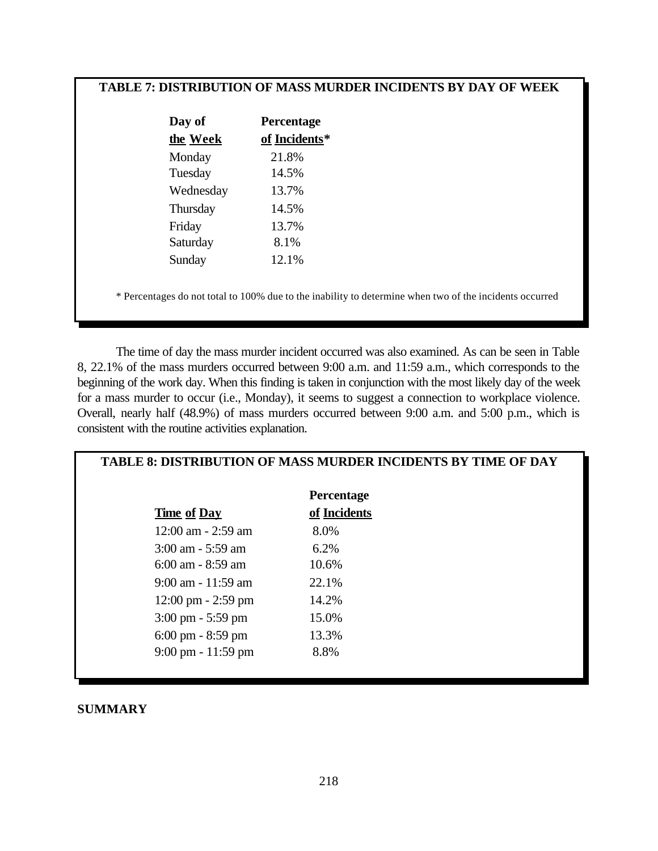## **TABLE 7: DISTRIBUTION OF MASS MURDER INCIDENTS BY DAY OF WEEK**

| Day of          | Percentage    |
|-----------------|---------------|
| the Week        | of Incidents* |
| Monday          | 21.8%         |
| Tuesday         | 14.5%         |
| Wednesday       | 13.7%         |
| <b>Thursday</b> | 14.5%         |
| Friday          | 13.7%         |
| Saturday        | 8.1%          |
| Sunday          | 12.1%         |

\* Percentages do not total to 100% due to the inability to determine when two of the incidents occurred

The time of day the mass murder incident occurred was also examined. As can be seen in Table 8, 22.1% of the mass murders occurred between 9:00 a.m. and 11:59 a.m., which corresponds to the beginning of the work day. When this finding is taken in conjunction with the most likely day of the week for a mass murder to occur (i.e., Monday), it seems to suggest a connection to workplace violence. Overall, nearly half (48.9%) of mass murders occurred between 9:00 a.m. and 5:00 p.m., which is consistent with the routine activities explanation.

|                                      | Percentage   |  |
|--------------------------------------|--------------|--|
| <b>Time of Day</b>                   | of Incidents |  |
| $12:00$ am $-2:59$ am                | 8.0%         |  |
| $3:00$ am - 5:59 am                  | $6.2\%$      |  |
| $6:00$ am - $8:59$ am                | 10.6%        |  |
| $9:00$ am - 11:59 am                 | 22.1%        |  |
| $12:00 \text{ pm} - 2:59 \text{ pm}$ | 14.2%        |  |
| $3:00 \text{ pm} - 5:59 \text{ pm}$  | 15.0%        |  |
| $6:00 \text{ pm} - 8:59 \text{ pm}$  | 13.3%        |  |
| $9:00 \text{ pm} - 11:59 \text{ pm}$ | 8.8%         |  |

#### **SUMMARY**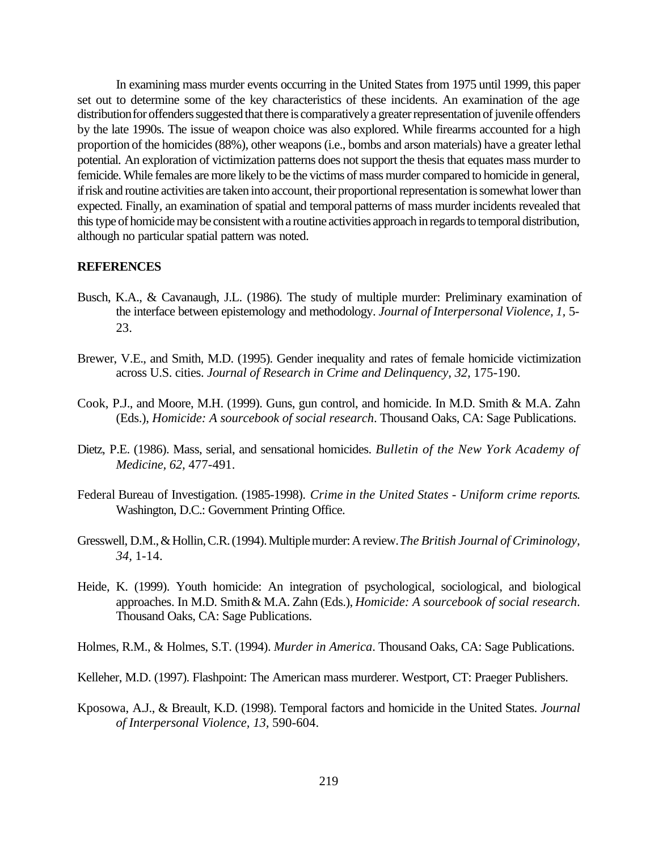In examining mass murder events occurring in the United States from 1975 until 1999, this paper set out to determine some of the key characteristics of these incidents. An examination of the age distribution for offenders suggested that there is comparatively a greater representation of juvenile offenders by the late 1990s. The issue of weapon choice was also explored. While firearms accounted for a high proportion of the homicides (88%), other weapons (i.e., bombs and arson materials) have a greater lethal potential. An exploration of victimization patterns does not support the thesis that equates mass murder to femicide. While females are more likely to be the victims of mass murder compared to homicide in general, if risk and routine activities are taken into account, their proportional representation is somewhat lower than expected. Finally, an examination of spatial and temporal patterns of mass murder incidents revealed that this type of homicide may be consistent with a routine activities approach in regards to temporal distribution, although no particular spatial pattern was noted.

#### **REFERENCES**

- Busch, K.A., & Cavanaugh, J.L. (1986). The study of multiple murder: Preliminary examination of the interface between epistemology and methodology. *Journal of Interpersonal Violence, 1,* 5- 23.
- Brewer, V.E., and Smith, M.D. (1995). Gender inequality and rates of female homicide victimization across U.S. cities. *Journal of Research in Crime and Delinquency, 32,* 175-190.
- Cook, P.J., and Moore, M.H. (1999). Guns, gun control, and homicide. In M.D. Smith & M.A. Zahn (Eds.), *Homicide: A sourcebook of social research*. Thousand Oaks, CA: Sage Publications.
- Dietz, P.E. (1986). Mass, serial, and sensational homicides. *Bulletin of the New York Academy of Medicine, 62,* 477-491.
- Federal Bureau of Investigation. (1985-1998). *Crime in the United States Uniform crime reports*. Washington, D.C.: Government Printing Office.
- Gresswell, D.M., & Hollin, C.R. (1994). Multiple murder: A review. *The British Journal of Criminology, 34,* 1-14.
- Heide, K. (1999). Youth homicide: An integration of psychological, sociological, and biological approaches. In M.D. Smith & M.A. Zahn (Eds.), *Homicide: A sourcebook of social research*. Thousand Oaks, CA: Sage Publications.
- Holmes, R.M., & Holmes, S.T. (1994). *Murder in America*. Thousand Oaks, CA: Sage Publications.
- Kelleher, M.D. (1997). Flashpoint: The American mass murderer. Westport, CT: Praeger Publishers.
- Kposowa, A.J., & Breault, K.D. (1998). Temporal factors and homicide in the United States. *Journal of Interpersonal Violence, 13,* 590-604.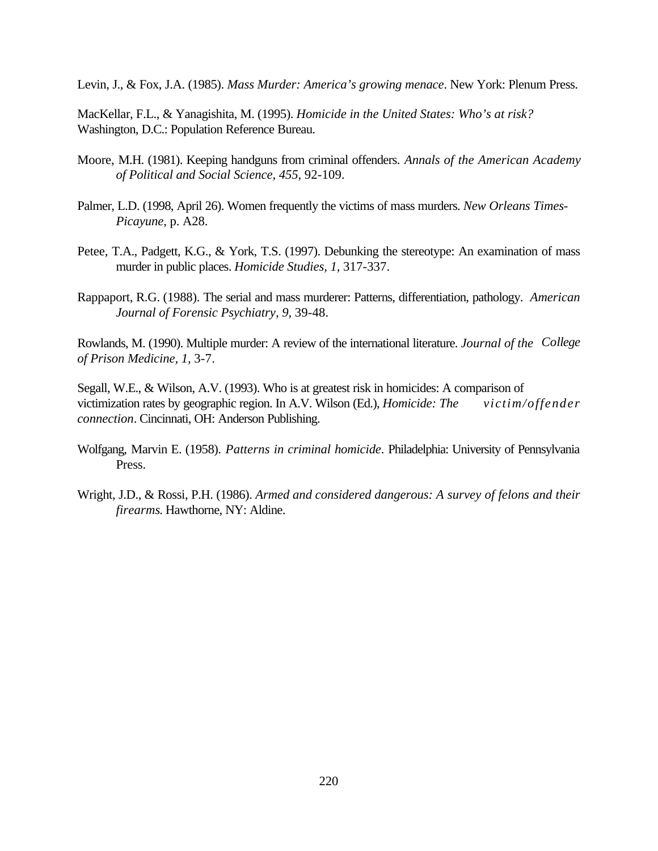Levin, J., & Fox, J.A. (1985). *Mass Murder: America's growing menace*. New York: Plenum Press.

MacKellar, F.L., & Yanagishita, M. (1995). *Homicide in the United States: Who's at risk?*  Washington, D.C.: Population Reference Bureau.

- Moore, M.H. (1981). Keeping handguns from criminal offenders. *Annals of the American Academy of Political and Social Science, 455,* 92-109.
- Palmer, L.D. (1998, April 26). Women frequently the victims of mass murders. *New Orleans Times-Picayune*, p. A28.
- Petee, T.A., Padgett, K.G., & York, T.S. (1997). Debunking the stereotype: An examination of mass murder in public places. *Homicide Studies, 1,* 317-337.
- Rappaport, R.G. (1988). The serial and mass murderer: Patterns, differentiation, pathology. *American Journal of Forensic Psychiatry, 9,* 39-48.

Rowlands, M. (1990). Multiple murder: A review of the international literature. *Journal of the College of Prison Medicine, 1,* 3-7.

Segall, W.E., & Wilson, A.V. (1993). Who is at greatest risk in homicides: A comparison of victimization rates by geographic region. In A.V. Wilson (Ed.), *Homicide: The victim/offender connection*. Cincinnati, OH: Anderson Publishing.

- Wolfgang, Marvin E. (1958). *Patterns in criminal homicide*. Philadelphia: University of Pennsylvania Press.
- Wright, J.D., & Rossi, P.H. (1986). *Armed and considered dangerous: A survey of felons and their firearms*. Hawthorne, NY: Aldine.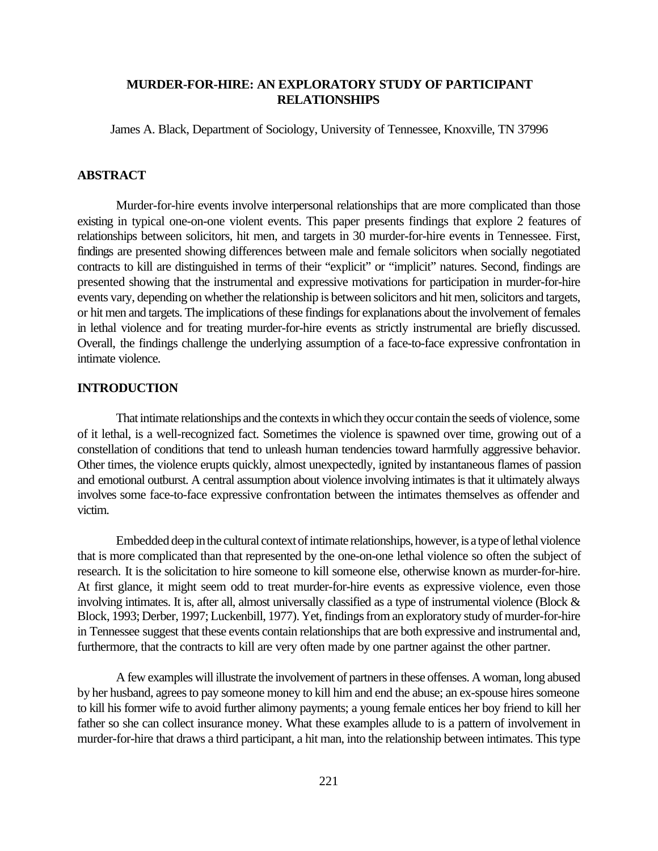## **MURDER-FOR-HIRE: AN EXPLORATORY STUDY OF PARTICIPANT RELATIONSHIPS**

James A. Black, Department of Sociology, University of Tennessee, Knoxville, TN 37996

#### **ABSTRACT**

Murder-for-hire events involve interpersonal relationships that are more complicated than those existing in typical one-on-one violent events. This paper presents findings that explore 2 features of relationships between solicitors, hit men, and targets in 30 murder-for-hire events in Tennessee. First, findings are presented showing differences between male and female solicitors when socially negotiated contracts to kill are distinguished in terms of their "explicit" or "implicit" natures. Second, findings are presented showing that the instrumental and expressive motivations for participation in murder-for-hire events vary, depending on whether the relationship is between solicitors and hit men, solicitors and targets, or hit men and targets. The implications of these findings for explanations about the involvement of females in lethal violence and for treating murder-for-hire events as strictly instrumental are briefly discussed. Overall, the findings challenge the underlying assumption of a face-to-face expressive confrontation in intimate violence.

#### **INTRODUCTION**

That intimate relationships and the contexts in which they occur contain the seeds of violence, some of it lethal, is a well-recognized fact. Sometimes the violence is spawned over time, growing out of a constellation of conditions that tend to unleash human tendencies toward harmfully aggressive behavior. Other times, the violence erupts quickly, almost unexpectedly, ignited by instantaneous flames of passion and emotional outburst. A central assumption about violence involving intimates is that it ultimately always involves some face-to-face expressive confrontation between the intimates themselves as offender and victim.

Embedded deep in the cultural context of intimate relationships, however, is a type of lethal violence that is more complicated than that represented by the one-on-one lethal violence so often the subject of research. It is the solicitation to hire someone to kill someone else, otherwise known as murder-for-hire. At first glance, it might seem odd to treat murder-for-hire events as expressive violence, even those involving intimates. It is, after all, almost universally classified as a type of instrumental violence (Block & Block, 1993; Derber, 1997; Luckenbill, 1977). Yet, findings from an exploratory study of murder-for-hire in Tennessee suggest that these events contain relationships that are both expressive and instrumental and, furthermore, that the contracts to kill are very often made by one partner against the other partner.

A few examples will illustrate the involvement of partners in these offenses. A woman, long abused by her husband, agrees to pay someone money to kill him and end the abuse; an ex-spouse hires someone to kill his former wife to avoid further alimony payments; a young female entices her boy friend to kill her father so she can collect insurance money. What these examples allude to is a pattern of involvement in murder-for-hire that draws a third participant, a hit man, into the relationship between intimates. This type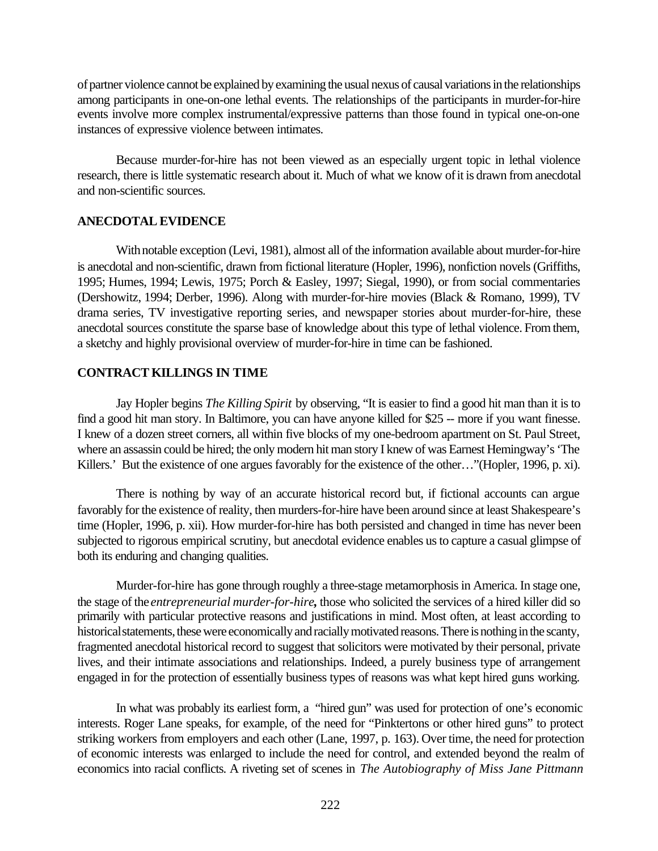of partner violence cannot be explained by examining the usual nexus of causal variations in the relationships among participants in one-on-one lethal events. The relationships of the participants in murder-for-hire events involve more complex instrumental/expressive patterns than those found in typical one-on-one instances of expressive violence between intimates.

Because murder-for-hire has not been viewed as an especially urgent topic in lethal violence research, there is little systematic research about it. Much of what we know of it is drawn from anecdotal and non-scientific sources.

## **ANECDOTALEVIDENCE**

With notable exception (Levi, 1981), almost all of the information available about murder-for-hire is anecdotal and non-scientific, drawn from fictional literature (Hopler, 1996), nonfiction novels (Griffiths, 1995; Humes, 1994; Lewis, 1975; Porch & Easley, 1997; Siegal, 1990), or from social commentaries (Dershowitz, 1994; Derber, 1996). Along with murder-for-hire movies (Black & Romano, 1999), TV drama series, TV investigative reporting series, and newspaper stories about murder-for-hire, these anecdotal sources constitute the sparse base of knowledge about this type of lethal violence. From them, a sketchy and highly provisional overview of murder-for-hire in time can be fashioned.

## **CONTRACT KILLINGS IN TIME**

Jay Hopler begins *The Killing Spirit* by observing, "It is easier to find a good hit man than it is to find a good hit man story. In Baltimore, you can have anyone killed for \$25 -- more if you want finesse. I knew of a dozen street corners, all within five blocks of my one-bedroom apartment on St. Paul Street, where an assassin could be hired; the only modern hit man story I knew of was Earnest Hemingway's 'The Killers.' But the existence of one argues favorably for the existence of the other..."(Hopler, 1996, p. xi).

There is nothing by way of an accurate historical record but, if fictional accounts can argue favorably for the existence of reality, then murders-for-hire have been around since at least Shakespeare's time (Hopler, 1996, p. xii). How murder-for-hire has both persisted and changed in time has never been subjected to rigorous empirical scrutiny, but anecdotal evidence enables us to capture a casual glimpse of both its enduring and changing qualities.

Murder-for-hire has gone through roughly a three-stage metamorphosis in America. In stage one, the stage of the *entrepreneurial murder-for-hire,* those who solicited the services of a hired killer did so primarily with particular protective reasons and justifications in mind. Most often, at least according to historical statements, these were economically and racially motivated reasons. There is nothing in the scanty, fragmented anecdotal historical record to suggest that solicitors were motivated by their personal, private lives, and their intimate associations and relationships. Indeed, a purely business type of arrangement engaged in for the protection of essentially business types of reasons was what kept hired guns working.

In what was probably its earliest form, a "hired gun" was used for protection of one's economic interests. Roger Lane speaks, for example, of the need for "Pinktertons or other hired guns" to protect striking workers from employers and each other (Lane, 1997, p. 163). Over time, the need for protection of economic interests was enlarged to include the need for control, and extended beyond the realm of economics into racial conflicts. A riveting set of scenes in *The Autobiography of Miss Jane Pittmann*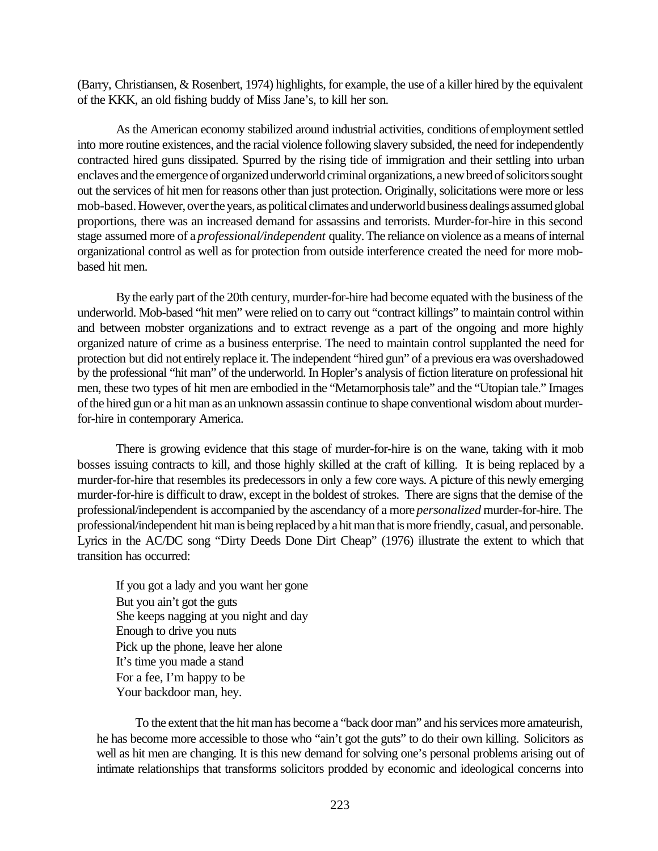(Barry, Christiansen, & Rosenbert, 1974) highlights, for example, the use of a killer hired by the equivalent of the KKK, an old fishing buddy of Miss Jane's, to kill her son.

As the American economy stabilized around industrial activities, conditions of employment settled into more routine existences, and the racial violence following slavery subsided, the need for independently contracted hired guns dissipated. Spurred by the rising tide of immigration and their settling into urban enclaves and the emergence of organized underworld criminal organizations, a new breed of solicitors sought out the services of hit men for reasons other than just protection. Originally, solicitations were more or less mob-based. However, over the years, as political climates and underworld business dealings assumed global proportions, there was an increased demand for assassins and terrorists. Murder-for-hire in this second stage assumed more of a *professional/independent* quality. The reliance on violence as a means of internal organizational control as well as for protection from outside interference created the need for more mobbased hit men.

By the early part of the 20th century, murder-for-hire had become equated with the business of the underworld. Mob-based "hit men" were relied on to carry out "contract killings" to maintain control within and between mobster organizations and to extract revenge as a part of the ongoing and more highly organized nature of crime as a business enterprise. The need to maintain control supplanted the need for protection but did not entirely replace it. The independent "hired gun" of a previous era was overshadowed by the professional "hit man" of the underworld. In Hopler's analysis of fiction literature on professional hit men, these two types of hit men are embodied in the "Metamorphosis tale" and the "Utopian tale." Images of the hired gun or a hit man as an unknown assassin continue to shape conventional wisdom about murderfor-hire in contemporary America.

There is growing evidence that this stage of murder-for-hire is on the wane, taking with it mob bosses issuing contracts to kill, and those highly skilled at the craft of killing. It is being replaced by a murder-for-hire that resembles its predecessors in only a few core ways. A picture of this newly emerging murder-for-hire is difficult to draw, except in the boldest of strokes. There are signs that the demise of the professional/independent is accompanied by the ascendancy of a more *personalized* murder-for-hire. The professional/independent hit man is being replaced by a hit man that is more friendly, casual, and personable. Lyrics in the AC/DC song "Dirty Deeds Done Dirt Cheap" (1976) illustrate the extent to which that transition has occurred:

If you got a lady and you want her gone But you ain't got the guts She keeps nagging at you night and day Enough to drive you nuts Pick up the phone, leave her alone It's time you made a stand For a fee, I'm happy to be Your backdoor man, hey.

To the extent that the hit man has become a "back door man" and his services more amateurish, he has become more accessible to those who "ain't got the guts" to do their own killing. Solicitors as well as hit men are changing. It is this new demand for solving one's personal problems arising out of intimate relationships that transforms solicitors prodded by economic and ideological concerns into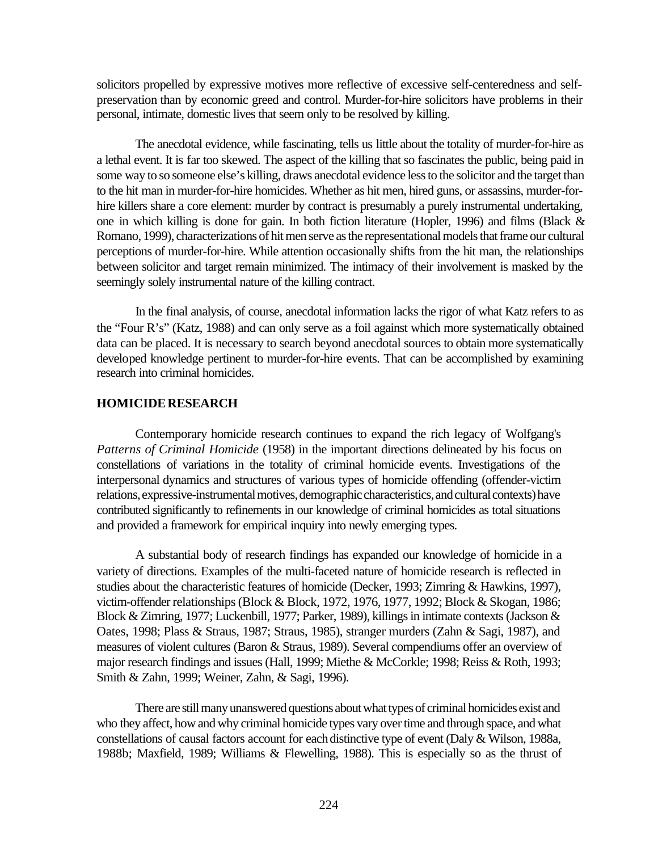solicitors propelled by expressive motives more reflective of excessive self-centeredness and selfpreservation than by economic greed and control. Murder-for-hire solicitors have problems in their personal, intimate, domestic lives that seem only to be resolved by killing.

The anecdotal evidence, while fascinating, tells us little about the totality of murder-for-hire as a lethal event. It is far too skewed. The aspect of the killing that so fascinates the public, being paid in some way to so someone else's killing, draws anecdotal evidence less to the solicitor and the target than to the hit man in murder-for-hire homicides. Whether as hit men, hired guns, or assassins, murder-forhire killers share a core element: murder by contract is presumably a purely instrumental undertaking, one in which killing is done for gain. In both fiction literature (Hopler, 1996) and films (Black & Romano, 1999), characterizations of hit men serve as the representational models that frame our cultural perceptions of murder-for-hire. While attention occasionally shifts from the hit man, the relationships between solicitor and target remain minimized. The intimacy of their involvement is masked by the seemingly solely instrumental nature of the killing contract.

In the final analysis, of course, anecdotal information lacks the rigor of what Katz refers to as the "Four R's" (Katz, 1988) and can only serve as a foil against which more systematically obtained data can be placed. It is necessary to search beyond anecdotal sources to obtain more systematically developed knowledge pertinent to murder-for-hire events. That can be accomplished by examining research into criminal homicides.

## **HOMICIDERESEARCH**

Contemporary homicide research continues to expand the rich legacy of Wolfgang's *Patterns of Criminal Homicide* (1958) in the important directions delineated by his focus on constellations of variations in the totality of criminal homicide events. Investigations of the interpersonal dynamics and structures of various types of homicide offending (offender-victim relations, expressive-instrumental motives, demographic characteristics, and cultural contexts) have contributed significantly to refinements in our knowledge of criminal homicides as total situations and provided a framework for empirical inquiry into newly emerging types.

A substantial body of research findings has expanded our knowledge of homicide in a variety of directions. Examples of the multi-faceted nature of homicide research is reflected in studies about the characteristic features of homicide (Decker, 1993; Zimring & Hawkins, 1997), victim-offender relationships (Block & Block, 1972, 1976, 1977, 1992; Block & Skogan, 1986; Block & Zimring, 1977; Luckenbill, 1977; Parker, 1989), killings in intimate contexts (Jackson & Oates, 1998; Plass & Straus, 1987; Straus, 1985), stranger murders (Zahn & Sagi, 1987), and measures of violent cultures (Baron & Straus, 1989). Several compendiums offer an overview of major research findings and issues (Hall, 1999; Miethe & McCorkle; 1998; Reiss & Roth, 1993; Smith & Zahn, 1999; Weiner, Zahn, & Sagi, 1996).

There are still many unanswered questions about what types of criminal homicides exist and who they affect, how and why criminal homicide types vary over time and through space, and what constellations of causal factors account for each distinctive type of event (Daly & Wilson, 1988a, 1988b; Maxfield, 1989; Williams & Flewelling, 1988). This is especially so as the thrust of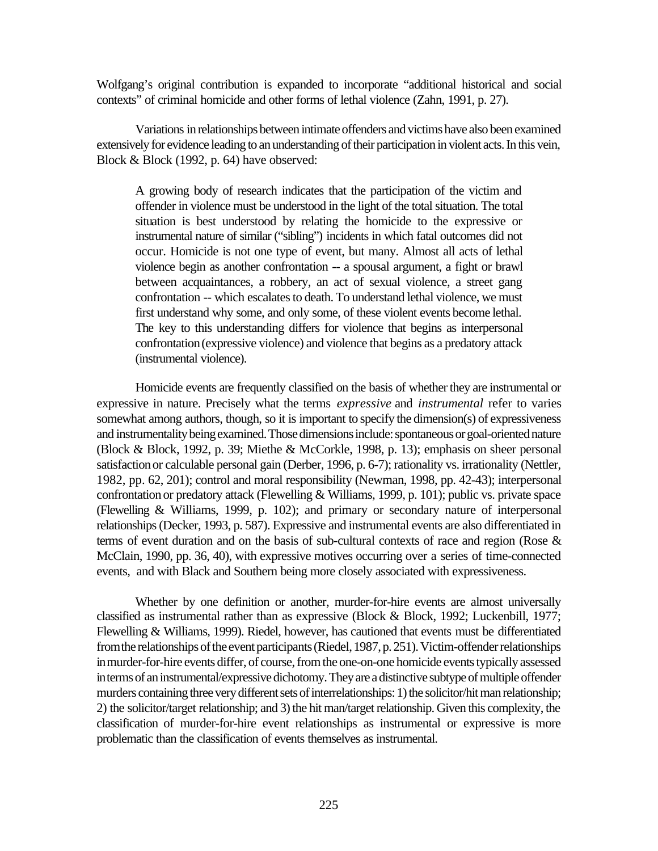Wolfgang's original contribution is expanded to incorporate "additional historical and social contexts" of criminal homicide and other forms of lethal violence (Zahn, 1991, p. 27).

Variations in relationships between intimate offenders and victims have also been examined extensively for evidence leading to an understanding of their participation in violent acts. In this vein, Block & Block (1992, p. 64) have observed:

A growing body of research indicates that the participation of the victim and offender in violence must be understood in the light of the total situation. The total situation is best understood by relating the homicide to the expressive or instrumental nature of similar ("sibling") incidents in which fatal outcomes did not occur. Homicide is not one type of event, but many. Almost all acts of lethal violence begin as another confrontation -- a spousal argument, a fight or brawl between acquaintances, a robbery, an act of sexual violence, a street gang confrontation -- which escalates to death. To understand lethal violence, we must first understand why some, and only some, of these violent events become lethal. The key to this understanding differs for violence that begins as interpersonal confrontation (expressive violence) and violence that begins as a predatory attack (instrumental violence).

Homicide events are frequently classified on the basis of whether they are instrumental or expressive in nature. Precisely what the terms *expressive* and *instrumental* refer to varies somewhat among authors, though, so it is important to specify the dimension(s) of expressiveness and instrumentality being examined. Those dimensions include: spontaneous or goal-oriented nature (Block & Block, 1992, p. 39; Miethe & McCorkle, 1998, p. 13); emphasis on sheer personal satisfaction or calculable personal gain (Derber, 1996, p. 6-7); rationality vs. irrationality (Nettler, 1982, pp. 62, 201); control and moral responsibility (Newman, 1998, pp. 42-43); interpersonal confrontation or predatory attack (Flewelling & Williams, 1999, p. 101); public vs. private space (Flewelling & Williams, 1999, p. 102); and primary or secondary nature of interpersonal relationships (Decker, 1993, p. 587). Expressive and instrumental events are also differentiated in terms of event duration and on the basis of sub-cultural contexts of race and region (Rose & McClain, 1990, pp. 36, 40), with expressive motives occurring over a series of time-connected events, and with Black and Southern being more closely associated with expressiveness.

Whether by one definition or another, murder-for-hire events are almost universally classified as instrumental rather than as expressive (Block & Block, 1992; Luckenbill, 1977; Flewelling & Williams, 1999). Riedel, however, has cautioned that events must be differentiated from the relationships of the event participants (Riedel, 1987, p. 251). Victim-offender relationships in murder-for-hire events differ, of course, from the one-on-one homicide events typically assessed in terms of an instrumental/expressive dichotomy. They are a distinctive subtype of multiple offender murders containing three very different sets of interrelationships: 1) the solicitor/hit man relationship; 2) the solicitor/target relationship; and 3) the hit man/target relationship. Given this complexity, the classification of murder-for-hire event relationships as instrumental or expressive is more problematic than the classification of events themselves as instrumental.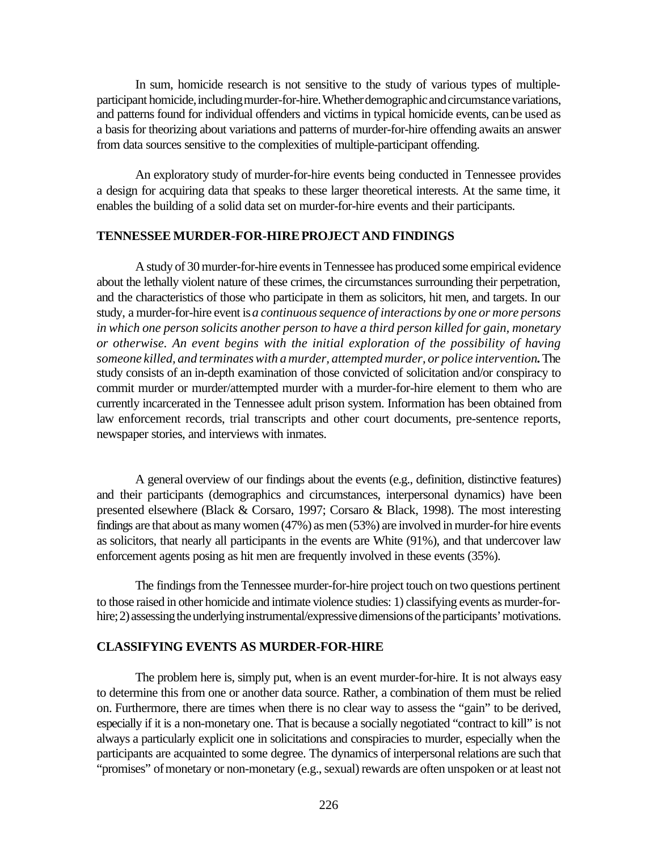In sum, homicide research is not sensitive to the study of various types of multipleparticipant homicide, including murder-for-hire. Whether demographic and circumstance variations, and patterns found for individual offenders and victims in typical homicide events, can be used as a basis for theorizing about variations and patterns of murder-for-hire offending awaits an answer from data sources sensitive to the complexities of multiple-participant offending.

An exploratory study of murder-for-hire events being conducted in Tennessee provides a design for acquiring data that speaks to these larger theoretical interests. At the same time, it enables the building of a solid data set on murder-for-hire events and their participants.

#### **TENNESSEE MURDER-FOR-HIREPROJECT AND FINDINGS**

A study of 30 murder-for-hire events in Tennessee has produced some empirical evidence about the lethally violent nature of these crimes, the circumstances surrounding their perpetration, and the characteristics of those who participate in them as solicitors, hit men, and targets. In our study, a murder-for-hire event is *a continuous sequence of interactions by one or more persons in which one person solicits another person to have a third person killed for gain, monetary or otherwise. An event begins with the initial exploration of the possibility of having someone killed, and terminates with a murder, attempted murder, or police intervention.* The study consists of an in-depth examination of those convicted of solicitation and/or conspiracy to commit murder or murder/attempted murder with a murder-for-hire element to them who are currently incarcerated in the Tennessee adult prison system. Information has been obtained from law enforcement records, trial transcripts and other court documents, pre-sentence reports, newspaper stories, and interviews with inmates.

A general overview of our findings about the events (e.g., definition, distinctive features) and their participants (demographics and circumstances, interpersonal dynamics) have been presented elsewhere (Black & Corsaro, 1997; Corsaro & Black, 1998). The most interesting findings are that about as many women (47%) as men (53%) are involved in murder-for hire events as solicitors, that nearly all participants in the events are White (91%), and that undercover law enforcement agents posing as hit men are frequently involved in these events (35%).

The findings from the Tennessee murder-for-hire project touch on two questions pertinent to those raised in other homicide and intimate violence studies: 1) classifying events as murder-forhire; 2) assessing the underlying instrumental/expressive dimensions of the participants' motivations.

#### **CLASSIFYING EVENTS AS MURDER-FOR-HIRE**

The problem here is, simply put, when is an event murder-for-hire. It is not always easy to determine this from one or another data source. Rather, a combination of them must be relied on. Furthermore, there are times when there is no clear way to assess the "gain" to be derived, especially if it is a non-monetary one. That is because a socially negotiated "contract to kill" is not always a particularly explicit one in solicitations and conspiracies to murder, especially when the participants are acquainted to some degree. The dynamics of interpersonal relations are such that "promises" of monetary or non-monetary (e.g., sexual) rewards are often unspoken or at least not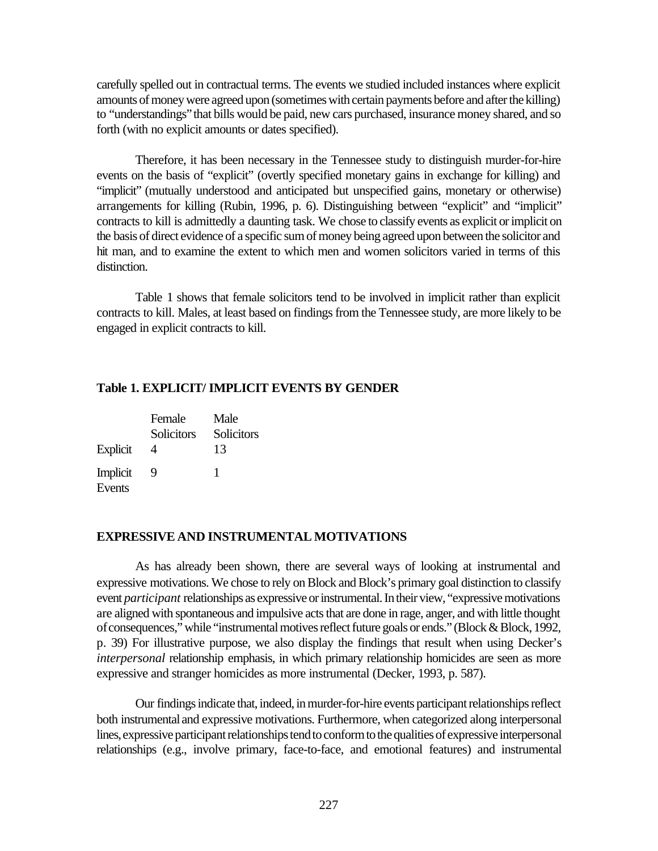carefully spelled out in contractual terms. The events we studied included instances where explicit amounts of money were agreed upon (sometimes with certain payments before and after the killing) to "understandings" that bills would be paid, new cars purchased, insurance money shared, and so forth (with no explicit amounts or dates specified).

Therefore, it has been necessary in the Tennessee study to distinguish murder-for-hire events on the basis of "explicit" (overtly specified monetary gains in exchange for killing) and "implicit" (mutually understood and anticipated but unspecified gains, monetary or otherwise) arrangements for killing (Rubin, 1996, p. 6). Distinguishing between "explicit" and "implicit" contracts to kill is admittedly a daunting task. We chose to classify events as explicit or implicit on the basis of direct evidence of a specific sum of money being agreed upon between the solicitor and hit man, and to examine the extent to which men and women solicitors varied in terms of this distinction.

Table 1 shows that female solicitors tend to be involved in implicit rather than explicit contracts to kill. Males, at least based on findings from the Tennessee study, are more likely to be engaged in explicit contracts to kill.

#### **Table 1. EXPLICIT/ IMPLICIT EVENTS BY GENDER**

|                    | Female     | Male       |
|--------------------|------------|------------|
|                    | Solicitors | Solicitors |
| <b>Explicit</b>    | 4          | 13         |
| Implicit<br>Events | 9          |            |

#### **EXPRESSIVE AND INSTRUMENTAL MOTIVATIONS**

As has already been shown, there are several ways of looking at instrumental and expressive motivations. We chose to rely on Block and Block's primary goal distinction to classify event *participant* relationships as expressive or instrumental. In their view, "expressive motivations are aligned with spontaneous and impulsive acts that are done in rage, anger, and with little thought of consequences," while "instrumental motives reflect future goals or ends." (Block & Block, 1992, p. 39) For illustrative purpose, we also display the findings that result when using Decker's *interpersonal* relationship emphasis, in which primary relationship homicides are seen as more expressive and stranger homicides as more instrumental (Decker, 1993, p. 587).

Our findings indicate that, indeed, in murder-for-hire events participant relationships reflect both instrumental and expressive motivations. Furthermore, when categorized along interpersonal lines, expressive participant relationships tend to conform to the qualities of expressive interpersonal relationships (e.g., involve primary, face-to-face, and emotional features) and instrumental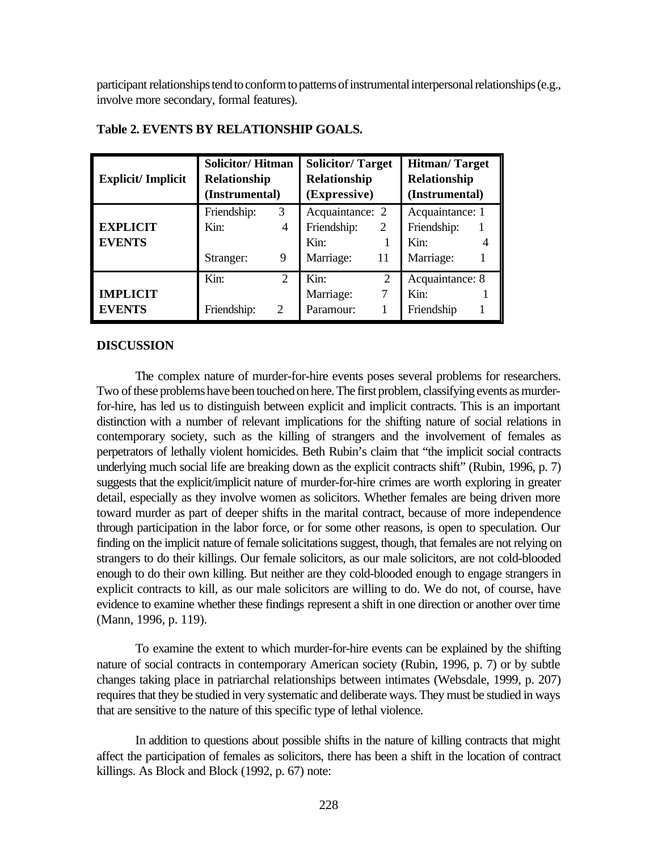participant relationships tend to conform to patterns of instrumental interpersonal relationships (e.g., involve more secondary, formal features).

| <b>Explicit/Implicit</b>         | <b>Solicitor/Hitman</b><br><b>Relationship</b><br>(Instrumental) |                                  | <b>Solicitor/Target</b><br>Relationship<br>(Expressive) |         | <b>Hitman/Target</b><br><b>Relationship</b><br>(Instrumental) |  |
|----------------------------------|------------------------------------------------------------------|----------------------------------|---------------------------------------------------------|---------|---------------------------------------------------------------|--|
| <b>EXPLICIT</b><br><b>EVENTS</b> | Friendship:<br>Kin:<br>Stranger:                                 | 3<br>9                           | Acquaintance: 2<br>Friendship:<br>Kin:<br>Marriage:     | 2<br>11 | Acquaintance: 1<br>Friendship:<br>Kin:<br>Marriage:           |  |
| <b>IMPLICIT</b><br><b>EVENTS</b> | Kin:<br>Friendship:                                              | $\mathcal{D}_{\mathcal{L}}$<br>2 | Kin:<br>Marriage:<br>Paramour:                          | 2<br>7  | Acquaintance: 8<br>$\operatorname{Kin}$ :<br>Friendship       |  |

## **Table 2. EVENTS BY RELATIONSHIP GOALS.**

## **DISCUSSION**

The complex nature of murder-for-hire events poses several problems for researchers. Two of these problems have been touched on here. The first problem, classifying events as murderfor-hire, has led us to distinguish between explicit and implicit contracts. This is an important distinction with a number of relevant implications for the shifting nature of social relations in contemporary society, such as the killing of strangers and the involvement of females as perpetrators of lethally violent homicides. Beth Rubin's claim that "the implicit social contracts underlying much social life are breaking down as the explicit contracts shift" (Rubin, 1996, p. 7) suggests that the explicit/implicit nature of murder-for-hire crimes are worth exploring in greater detail, especially as they involve women as solicitors. Whether females are being driven more toward murder as part of deeper shifts in the marital contract, because of more independence through participation in the labor force, or for some other reasons, is open to speculation. Our finding on the implicit nature of female solicitations suggest, though, that females are not relying on strangers to do their killings. Our female solicitors, as our male solicitors, are not cold-blooded enough to do their own killing. But neither are they cold-blooded enough to engage strangers in explicit contracts to kill, as our male solicitors are willing to do. We do not, of course, have evidence to examine whether these findings represent a shift in one direction or another over time (Mann, 1996, p. 119).

To examine the extent to which murder-for-hire events can be explained by the shifting nature of social contracts in contemporary American society (Rubin, 1996, p. 7) or by subtle changes taking place in patriarchal relationships between intimates (Websdale, 1999, p. 207) requires that they be studied in very systematic and deliberate ways. They must be studied in ways that are sensitive to the nature of this specific type of lethal violence.

In addition to questions about possible shifts in the nature of killing contracts that might affect the participation of females as solicitors, there has been a shift in the location of contract killings. As Block and Block (1992, p. 67) note: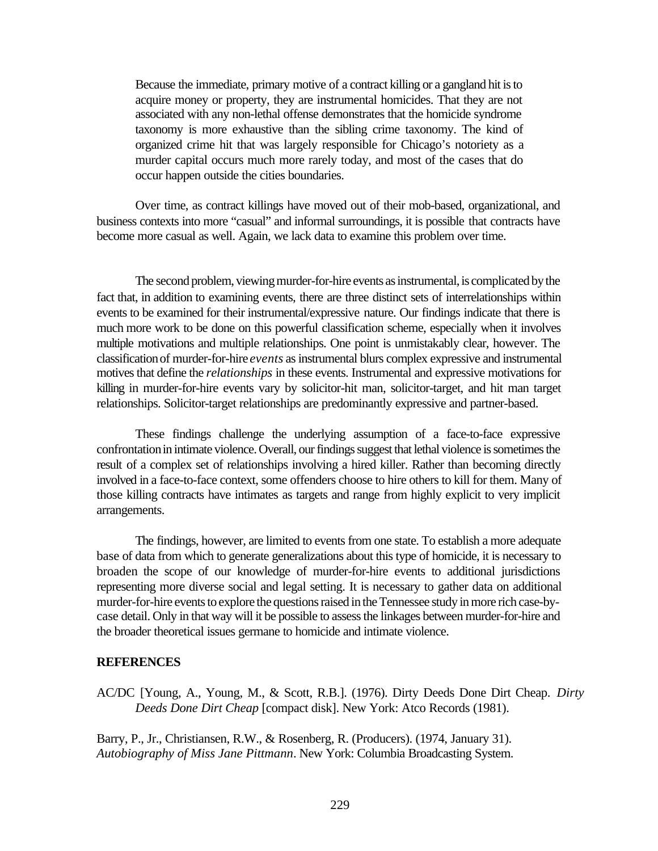Because the immediate, primary motive of a contract killing or a gangland hit is to acquire money or property, they are instrumental homicides. That they are not associated with any non-lethal offense demonstrates that the homicide syndrome taxonomy is more exhaustive than the sibling crime taxonomy. The kind of organized crime hit that was largely responsible for Chicago's notoriety as a murder capital occurs much more rarely today, and most of the cases that do occur happen outside the cities boundaries.

Over time, as contract killings have moved out of their mob-based, organizational, and business contexts into more "casual" and informal surroundings, it is possible that contracts have become more casual as well. Again, we lack data to examine this problem over time.

The second problem, viewing murder-for-hire events as instrumental, is complicated by the fact that, in addition to examining events, there are three distinct sets of interrelationships within events to be examined for their instrumental/expressive nature. Our findings indicate that there is much more work to be done on this powerful classification scheme, especially when it involves multiple motivations and multiple relationships. One point is unmistakably clear, however. The classification of murder-for-hire *events* as instrumental blurs complex expressive and instrumental motives that define the *relationships* in these events. Instrumental and expressive motivations for killing in murder-for-hire events vary by solicitor-hit man, solicitor-target, and hit man target relationships. Solicitor-target relationships are predominantly expressive and partner-based.

These findings challenge the underlying assumption of a face-to-face expressive confrontation in intimate violence. Overall, our findings suggest that lethal violence is sometimes the result of a complex set of relationships involving a hired killer. Rather than becoming directly involved in a face-to-face context, some offenders choose to hire others to kill for them. Many of those killing contracts have intimates as targets and range from highly explicit to very implicit arrangements.

The findings, however, are limited to events from one state. To establish a more adequate base of data from which to generate generalizations about this type of homicide, it is necessary to broaden the scope of our knowledge of murder-for-hire events to additional jurisdictions representing more diverse social and legal setting. It is necessary to gather data on additional murder-for-hire events to explore the questions raised in the Tennessee study in more rich case-bycase detail. Only in that way will it be possible to assess the linkages between murder-for-hire and the broader theoretical issues germane to homicide and intimate violence.

#### **REFERENCES**

AC/DC [Young, A., Young, M., & Scott, R.B.]. (1976). Dirty Deeds Done Dirt Cheap. *Dirty Deeds Done Dirt Cheap* [compact disk]. New York: Atco Records (1981).

Barry, P., Jr., Christiansen, R.W., & Rosenberg, R. (Producers). (1974, January 31). *Autobiography of Miss Jane Pittmann*. New York: Columbia Broadcasting System.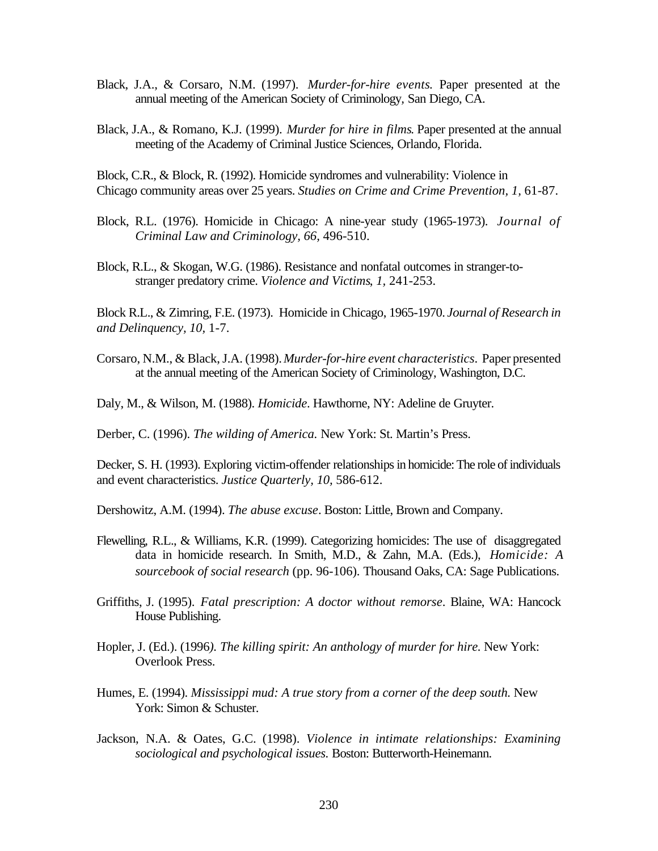- Black, J.A., & Corsaro, N.M. (1997). *Murder-for-hire events*. Paper presented at the annual meeting of the American Society of Criminology*,* San Diego, CA.
- Black, J.A., & Romano, K.J. (1999). *Murder for hire in films*. Paper presented at the annual meeting of the Academy of Criminal Justice Sciences*,* Orlando, Florida.

Block, C.R., & Block, R. (1992). Homicide syndromes and vulnerability: Violence in Chicago community areas over 25 years. *Studies on Crime and Crime Prevention, 1,* 61-87.

- Block, R.L. (1976). Homicide in Chicago: A nine-year study (1965-1973). *Journal of Criminal Law and Criminology, 66,* 496-510.
- Block, R.L., & Skogan, W.G. (1986). Resistance and nonfatal outcomes in stranger-tostranger predatory crime. *Violence and Victims*, *1,* 241-253.

Block R.L., & Zimring, F.E. (1973). Homicide in Chicago, 1965-1970. *Journal of Research in and Delinquency, 10,* 1-7.

- Corsaro, N.M., & Black, J.A. (1998). *Murder-for-hire event characteristics*. Paper presented at the annual meeting of the American Society of Criminology, Washington, D.C.
- Daly, M., & Wilson, M. (1988). *Homicide*. Hawthorne, NY: Adeline de Gruyter.
- Derber, C. (1996). *The wilding of America.* New York: St. Martin's Press.

Decker, S. H. (1993). Exploring victim-offender relationships in homicide: The role of individuals and event characteristics. *Justice Quarterly, 10,* 586-612.

Dershowitz, A.M. (1994). *The abuse excuse*. Boston: Little, Brown and Company.

- Flewelling, R.L., & Williams, K.R. (1999). Categorizing homicides: The use of disaggregated data in homicide research. In Smith, M.D., & Zahn, M.A. (Eds.), *Homicide: A sourcebook of social research* (pp. 96-106)*.* Thousand Oaks, CA: Sage Publications.
- Griffiths, J. (1995). *Fatal prescription: A doctor without remorse*. Blaine, WA: Hancock House Publishing.
- Hopler, J. (Ed.). (1996*). The killing spirit: An anthology of murder for hire.* New York: Overlook Press.
- Humes, E. (1994). *Mississippi mud: A true story from a corner of the deep south.* New York: Simon & Schuster.
- Jackson, N.A. & Oates, G.C. (1998). *Violence in intimate relationships: Examining sociological and psychological issues.* Boston: Butterworth-Heinemann.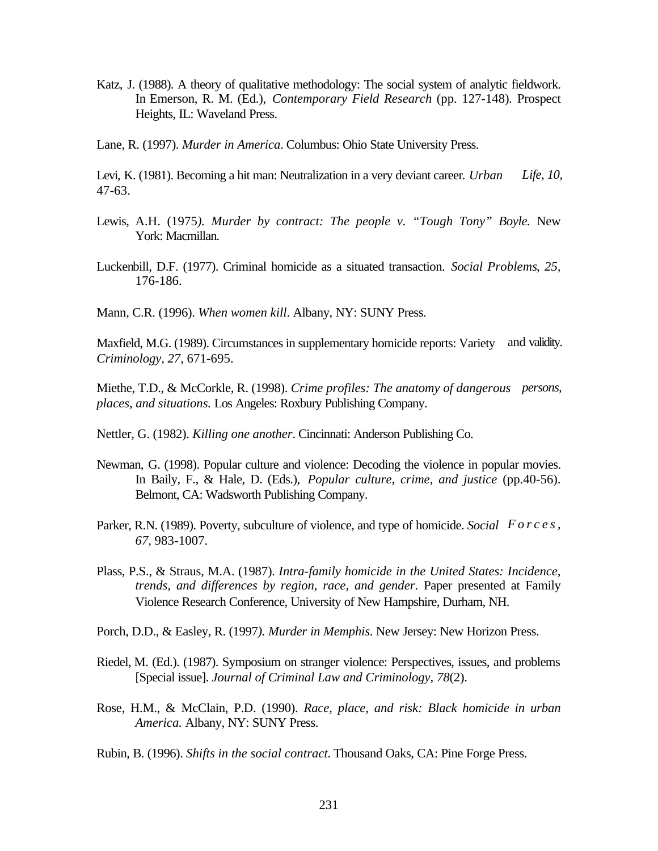Katz, J. (1988). A theory of qualitative methodology: The social system of analytic fieldwork. In Emerson, R. M. (Ed.), *Contemporary Field Research* (pp. 127-148)*.* Prospect Heights, IL: Waveland Press.

Lane, R. (1997). *Murder in America*. Columbus: Ohio State University Press.

Levi, K. (1981). Becoming a hit man: Neutralization in a very deviant career*. Urban Life, 10,* 47-63.

- Lewis, A.H. (1975*). Murder by contract: The people v. "Tough Tony" Boyle.* New York: Macmillan.
- Luckenbill, D.F. (1977). Criminal homicide as a situated transaction. *Social Problems*, *25,* 176-186.

Mann, C.R. (1996). *When women kill*. Albany, NY: SUNY Press.

Maxfield, M.G. (1989). Circumstances in supplementary homicide reports: Variety and validity. *Criminology, 27,* 671-695.

Miethe, T.D., & McCorkle, R. (1998). *Crime profiles: The anatomy of dangerous persons, places, and situations.* Los Angeles: Roxbury Publishing Company.

Nettler, G. (1982). *Killing one another*. Cincinnati: Anderson Publishing Co.

- Newman, G. (1998). Popular culture and violence: Decoding the violence in popular movies. In Baily, F., & Hale, D. (Eds.), *Popular culture, crime, and justice* (pp.40-56). Belmont, CA: Wadsworth Publishing Company.
- Parker, R.N. (1989). Poverty, subculture of violence, and type of homicide. *Social Forces, 67,* 983-1007.
- Plass, P.S., & Straus, M.A. (1987). *Intra-family homicide in the United States: Incidence, trends, and differences by region, race, and gender*. Paper presented at Family Violence Research Conference, University of New Hampshire, Durham, NH.
- Porch, D.D., & Easley, R. (1997*). Murder in Memphis*. New Jersey: New Horizon Press.
- Riedel, M. (Ed.). (1987). Symposium on stranger violence: Perspectives, issues, and problems [Special issue]. *Journal of Criminal Law and Criminology, 78*(2).
- Rose, H.M., & McClain, P.D. (1990). *Race, place, and risk: Black homicide in urban America.* Albany, NY: SUNY Press.
- Rubin, B. (1996). *Shifts in the social contract.* Thousand Oaks, CA: Pine Forge Press.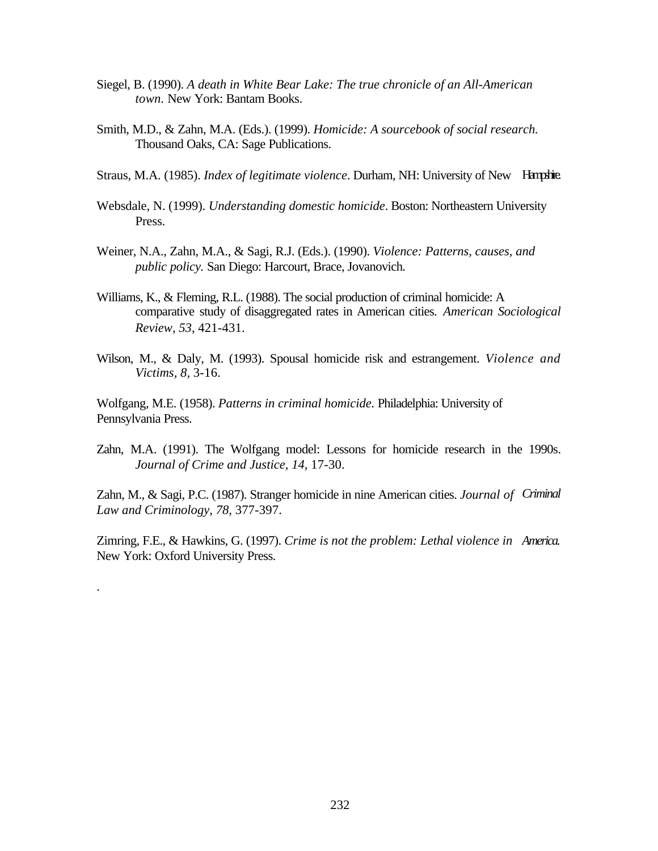- Siegel, B. (1990). *A death in White Bear Lake: The true chronicle of an All-American town.* New York: Bantam Books.
- Smith, M.D., & Zahn, M.A. (Eds.). (1999). *Homicide: A sourcebook of social research.* Thousand Oaks, CA: Sage Publications.
- Straus, M.A. (1985). *Index of legitimate violence*. Durham, NH: University of New Hampshire.
- Websdale, N. (1999). *Understanding domestic homicide*. Boston: Northeastern University Press.
- Weiner, N.A., Zahn, M.A., & Sagi, R.J. (Eds.). (1990). *Violence: Patterns, causes, and public policy.* San Diego: Harcourt, Brace, Jovanovich.
- Williams, K., & Fleming, R.L. (1988). The social production of criminal homicide: A comparative study of disaggregated rates in American cities. *American Sociological Review, 53,* 421-431.
- Wilson, M., & Daly, M. (1993). Spousal homicide risk and estrangement. *Violence and Victims, 8,* 3-16.

Wolfgang, M.E. (1958). *Patterns in criminal homicide.* Philadelphia: University of Pennsylvania Press.

.

Zahn, M.A. (1991). The Wolfgang model: Lessons for homicide research in the 1990s. *Journal of Crime and Justice, 14,* 17-30.

Zahn, M., & Sagi, P.C. (1987). Stranger homicide in nine American cities. *Journal of Criminal Law and Criminology, 78,* 377-397.

Zimring, F.E., & Hawkins, G. (1997). *Crime is not the problem: Lethal violence in America.* New York: Oxford University Press.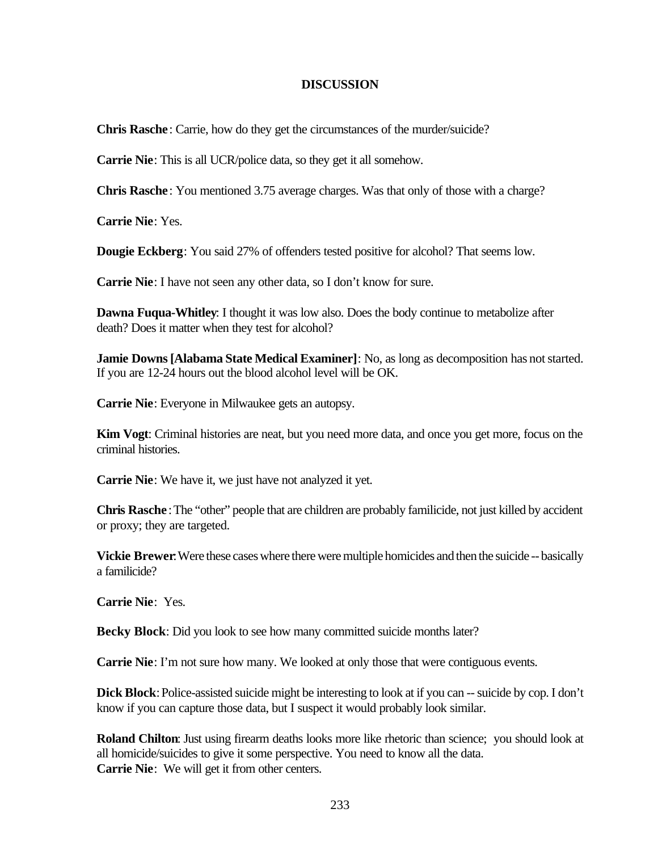## **DISCUSSION**

**Chris Rasche**: Carrie, how do they get the circumstances of the murder/suicide?

**Carrie Nie**: This is all UCR/police data, so they get it all somehow.

**Chris Rasche**: You mentioned 3.75 average charges. Was that only of those with a charge?

**Carrie Nie**: Yes.

**Dougie Eckberg**: You said 27% of offenders tested positive for alcohol? That seems low.

**Carrie Nie**: I have not seen any other data, so I don't know for sure.

**Dawna Fuqua-Whitley**: I thought it was low also. Does the body continue to metabolize after death? Does it matter when they test for alcohol?

**Jamie Downs [Alabama State Medical Examiner]**: No, as long as decomposition has not started. If you are 12-24 hours out the blood alcohol level will be OK.

**Carrie Nie**: Everyone in Milwaukee gets an autopsy.

**Kim Vogt**: Criminal histories are neat, but you need more data, and once you get more, focus on the criminal histories.

**Carrie Nie**: We have it, we just have not analyzed it yet.

**Chris Rasche** : The "other" people that are children are probably familicide, not just killed by accident or proxy; they are targeted.

**Vickie Brewer:** Were these cases where there were multiple homicides and then the suicide -- basically a familicide?

**Carrie Nie**: Yes.

**Becky Block**: Did you look to see how many committed suicide months later?

**Carrie Nie**: I'm not sure how many. We looked at only those that were contiguous events.

**Dick Block**: Police-assisted suicide might be interesting to look at if you can -- suicide by cop. I don't know if you can capture those data, but I suspect it would probably look similar.

**Roland Chilton**: Just using firearm deaths looks more like rhetoric than science; you should look at all homicide/suicides to give it some perspective. You need to know all the data. **Carrie Nie**: We will get it from other centers.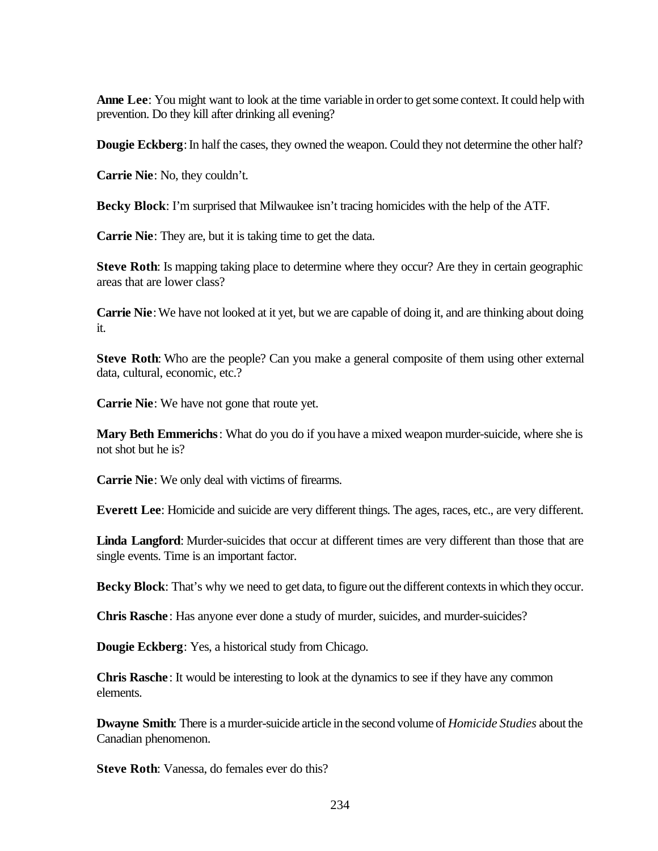**Anne Lee**: You might want to look at the time variable in order to get some context. It could help with prevention. Do they kill after drinking all evening?

**Dougie Eckberg**: In half the cases, they owned the weapon. Could they not determine the other half?

**Carrie Nie**: No, they couldn't.

**Becky Block**: I'm surprised that Milwaukee isn't tracing homicides with the help of the ATF.

**Carrie Nie**: They are, but it is taking time to get the data.

**Steve Roth**: Is mapping taking place to determine where they occur? Are they in certain geographic areas that are lower class?

**Carrie Nie**: We have not looked at it yet, but we are capable of doing it, and are thinking about doing it.

**Steve Roth:** Who are the people? Can you make a general composite of them using other external data, cultural, economic, etc.?

**Carrie Nie**: We have not gone that route yet.

**Mary Beth Emmerichs**: What do you do if you have a mixed weapon murder-suicide, where she is not shot but he is?

**Carrie Nie**: We only deal with victims of firearms.

**Everett Lee**: Homicide and suicide are very different things. The ages, races, etc., are very different.

**Linda Langford**: Murder-suicides that occur at different times are very different than those that are single events. Time is an important factor.

**Becky Block**: That's why we need to get data, to figure out the different contexts in which they occur.

**Chris Rasche**: Has anyone ever done a study of murder, suicides, and murder-suicides?

**Dougie Eckberg**: Yes, a historical study from Chicago.

**Chris Rasche**: It would be interesting to look at the dynamics to see if they have any common elements.

**Dwayne Smith**: There is a murder-suicide article in the second volume of *Homicide Studies* about the Canadian phenomenon.

**Steve Roth**: Vanessa, do females ever do this?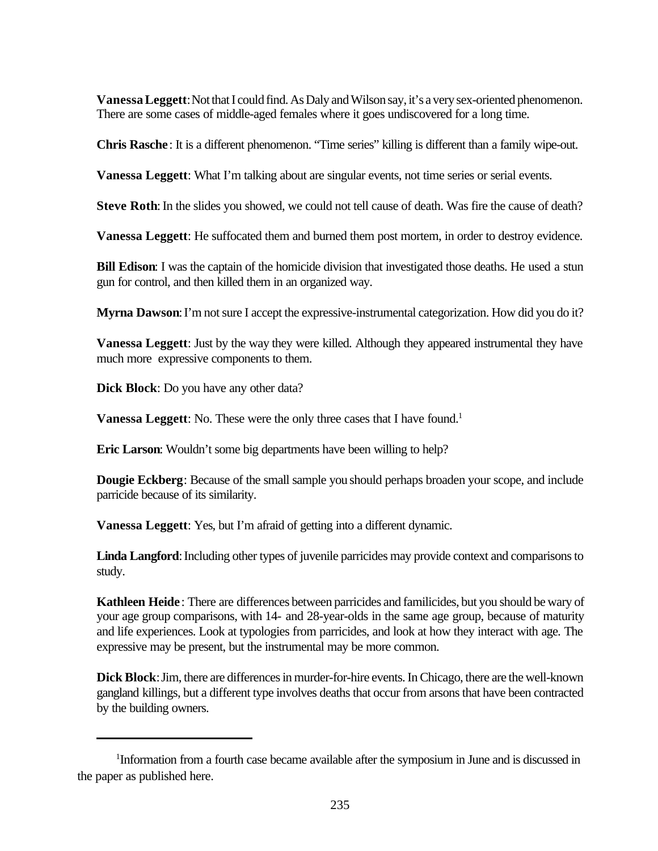**Vanessa Leggett**: Not that I could find. As Daly and Wilson say, it's a very sex-oriented phenomenon. There are some cases of middle-aged females where it goes undiscovered for a long time.

**Chris Rasche**: It is a different phenomenon. "Time series" killing is different than a family wipe-out.

**Vanessa Leggett**: What I'm talking about are singular events, not time series or serial events.

**Steve Roth**: In the slides you showed, we could not tell cause of death. Was fire the cause of death?

**Vanessa Leggett**: He suffocated them and burned them post mortem, in order to destroy evidence.

**Bill Edison**: I was the captain of the homicide division that investigated those deaths. He used a stun gun for control, and then killed them in an organized way.

**Myrna Dawson**: I'm not sure I accept the expressive-instrumental categorization. How did you do it?

**Vanessa Leggett**: Just by the way they were killed. Although they appeared instrumental they have much more expressive components to them.

**Dick Block**: Do you have any other data?

**Vanessa Leggett:** No. These were the only three cases that I have found.<sup>1</sup>

**Eric Larson:** Wouldn't some big departments have been willing to help?

**Dougie Eckberg**: Because of the small sample you should perhaps broaden your scope, and include parricide because of its similarity.

**Vanessa Leggett**: Yes, but I'm afraid of getting into a different dynamic.

**Linda Langford**: Including other types of juvenile parricides may provide context and comparisons to study.

**Kathleen Heide**: There are differences between parricides and familicides, but you should be wary of your age group comparisons, with 14- and 28-year-olds in the same age group, because of maturity and life experiences. Look at typologies from parricides, and look at how they interact with age. The expressive may be present, but the instrumental may be more common.

**Dick Block**: Jim, there are differences in murder-for-hire events. In Chicago, there are the well-known gangland killings, but a different type involves deaths that occur from arsons that have been contracted by the building owners.

<sup>&</sup>lt;sup>1</sup>Information from a fourth case became available after the symposium in June and is discussed in the paper as published here.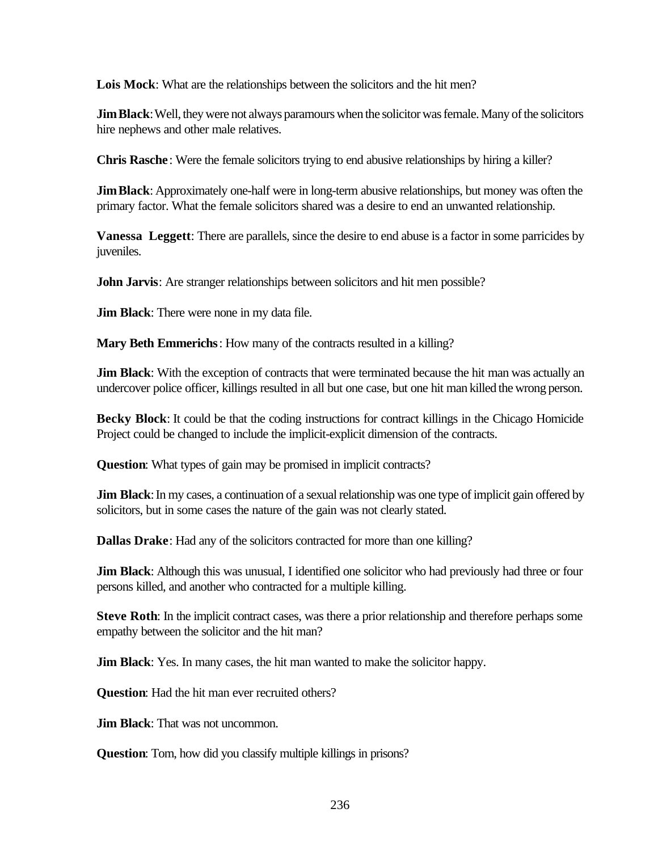**Lois Mock**: What are the relationships between the solicitors and the hit men?

**Jim Black**: Well, they were not always paramours when the solicitor was female. Many of the solicitors hire nephews and other male relatives.

**Chris Rasche**: Were the female solicitors trying to end abusive relationships by hiring a killer?

**Jim Black**: Approximately one-half were in long-term abusive relationships, but money was often the primary factor. What the female solicitors shared was a desire to end an unwanted relationship.

**Vanessa Leggett**: There are parallels, since the desire to end abuse is a factor in some parricides by juveniles.

**John Jarvis**: Are stranger relationships between solicitors and hit men possible?

**Jim Black**: There were none in my data file.

**Mary Beth Emmerichs**: How many of the contracts resulted in a killing?

**Jim Black**: With the exception of contracts that were terminated because the hit man was actually an undercover police officer, killings resulted in all but one case, but one hit man killed the wrong person.

**Becky Block**: It could be that the coding instructions for contract killings in the Chicago Homicide Project could be changed to include the implicit-explicit dimension of the contracts.

**Question:** What types of gain may be promised in implicit contracts?

**Jim Black**: In my cases, a continuation of a sexual relationship was one type of implicit gain offered by solicitors, but in some cases the nature of the gain was not clearly stated.

**Dallas Drake**: Had any of the solicitors contracted for more than one killing?

**Jim Black**: Although this was unusual, I identified one solicitor who had previously had three or four persons killed, and another who contracted for a multiple killing.

**Steve Roth**: In the implicit contract cases, was there a prior relationship and therefore perhaps some empathy between the solicitor and the hit man?

**Jim Black**: Yes. In many cases, the hit man wanted to make the solicitor happy.

**Question**: Had the hit man ever recruited others?

**Jim Black**: That was not uncommon.

**Question**: Tom, how did you classify multiple killings in prisons?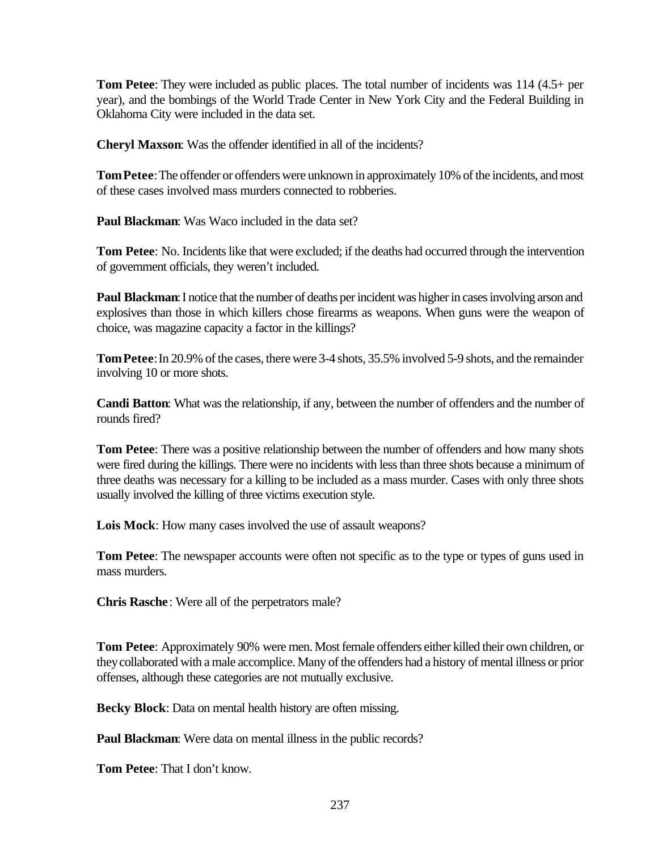**Tom Petee**: They were included as public places. The total number of incidents was 114 (4.5+ per year), and the bombings of the World Trade Center in New York City and the Federal Building in Oklahoma City were included in the data set.

**Cheryl Maxson**: Was the offender identified in all of the incidents?

**Tom Petee**: The offender or offenders were unknown in approximately 10% of the incidents, and most of these cases involved mass murders connected to robberies.

**Paul Blackman**: Was Waco included in the data set?

**Tom Petee**: No. Incidents like that were excluded; if the deaths had occurred through the intervention of government officials, they weren't included.

**Paul Blackman**: I notice that the number of deaths per incident was higher in cases involving arson and explosives than those in which killers chose firearms as weapons. When guns were the weapon of choice, was magazine capacity a factor in the killings?

**Tom Petee**: In 20.9% of the cases, there were 3-4 shots, 35.5% involved 5-9 shots, and the remainder involving 10 or more shots.

**Candi Batton**: What was the relationship, if any, between the number of offenders and the number of rounds fired?

**Tom Petee**: There was a positive relationship between the number of offenders and how many shots were fired during the killings. There were no incidents with less than three shots because a minimum of three deaths was necessary for a killing to be included as a mass murder. Cases with only three shots usually involved the killing of three victims execution style.

**Lois Mock**: How many cases involved the use of assault weapons?

**Tom Petee**: The newspaper accounts were often not specific as to the type or types of guns used in mass murders.

**Chris Rasche**: Were all of the perpetrators male?

**Tom Petee**: Approximately 90% were men. Most female offenders either killed their own children, or they collaborated with a male accomplice. Many of the offenders had a history of mental illness or prior offenses, although these categories are not mutually exclusive.

**Becky Block**: Data on mental health history are often missing.

**Paul Blackman**: Were data on mental illness in the public records?

**Tom Petee**: That I don't know.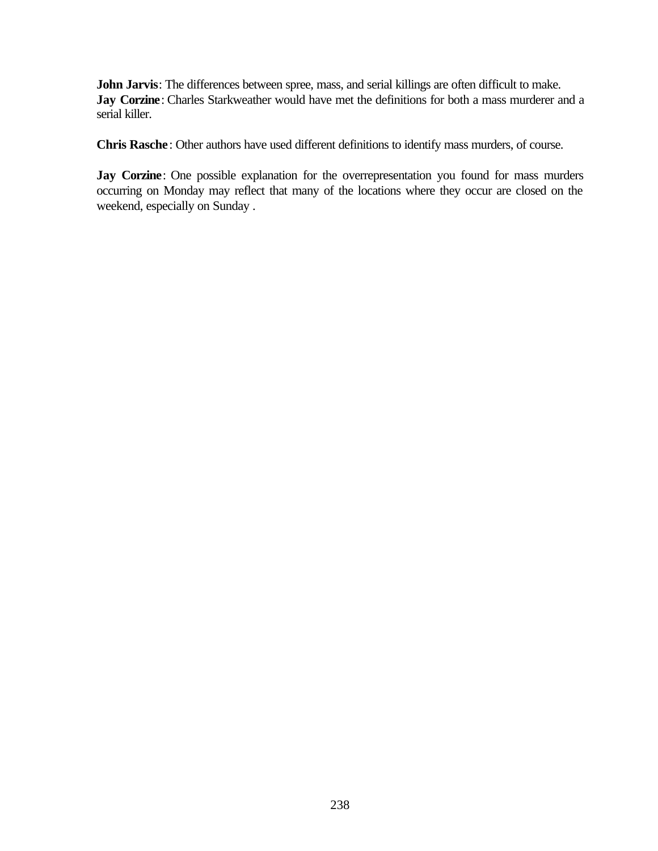**John Jarvis**: The differences between spree, mass, and serial killings are often difficult to make. **Jay Corzine**: Charles Starkweather would have met the definitions for both a mass murderer and a serial killer.

**Chris Rasche**: Other authors have used different definitions to identify mass murders, of course.

**Jay Corzine**: One possible explanation for the overrepresentation you found for mass murders occurring on Monday may reflect that many of the locations where they occur are closed on the weekend, especially on Sunday .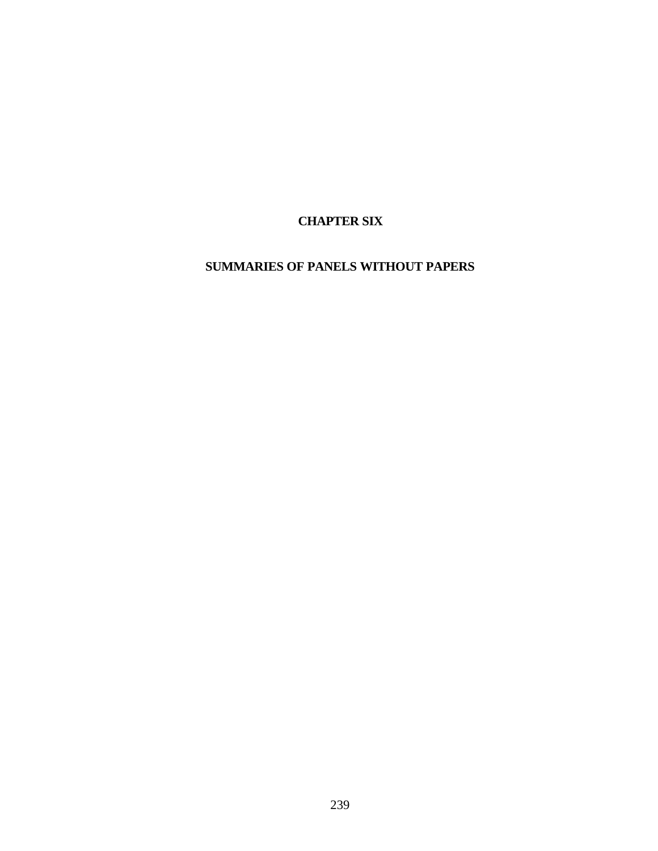# **CHAPTER SIX**

## **SUMMARIES OF PANELS WITHOUT PAPERS**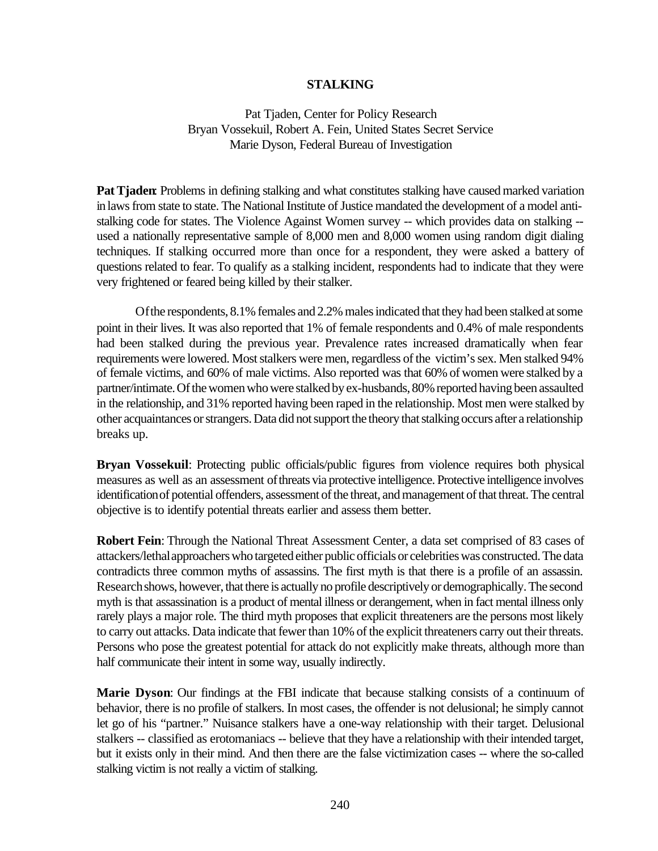## **STALKING**

Pat Tjaden, Center for Policy Research Bryan Vossekuil, Robert A. Fein, United States Secret Service Marie Dyson, Federal Bureau of Investigation

**Pat Tjaden:** Problems in defining stalking and what constitutes stalking have caused marked variation in laws from state to state. The National Institute of Justice mandated the development of a model antistalking code for states. The Violence Against Women survey -- which provides data on stalking - used a nationally representative sample of 8,000 men and 8,000 women using random digit dialing techniques. If stalking occurred more than once for a respondent, they were asked a battery of questions related to fear. To qualify as a stalking incident, respondents had to indicate that they were very frightened or feared being killed by their stalker.

Of the respondents, 8.1% females and 2.2% males indicated that they had been stalked at some point in their lives. It was also reported that 1% of female respondents and 0.4% of male respondents had been stalked during the previous year. Prevalence rates increased dramatically when fear requirements were lowered. Most stalkers were men, regardless of the victim's sex. Men stalked 94% of female victims, and 60% of male victims. Also reported was that 60% of women were stalked by a partner/intimate. Of the women who were stalked by ex-husbands, 80% reported having been assaulted in the relationship, and 31% reported having been raped in the relationship. Most men were stalked by other acquaintances or strangers. Data did not support the theory that stalking occurs after a relationship breaks up.

**Bryan Vossekuil**: Protecting public officials/public figures from violence requires both physical measures as well as an assessment of threats via protective intelligence. Protective intelligence involves identification of potential offenders, assessment of the threat, and management of that threat. The central objective is to identify potential threats earlier and assess them better.

**Robert Fein**: Through the National Threat Assessment Center, a data set comprised of 83 cases of attackers/lethal approachers who targeted either public officials or celebrities was constructed. The data contradicts three common myths of assassins. The first myth is that there is a profile of an assassin. Research shows, however, that there is actually no profile descriptively or demographically. The second myth is that assassination is a product of mental illness or derangement, when in fact mental illness only rarely plays a major role. The third myth proposes that explicit threateners are the persons most likely to carry out attacks. Data indicate that fewer than 10% of the explicit threateners carry out their threats. Persons who pose the greatest potential for attack do not explicitly make threats, although more than half communicate their intent in some way, usually indirectly.

**Marie Dyson:** Our findings at the FBI indicate that because stalking consists of a continuum of behavior, there is no profile of stalkers. In most cases, the offender is not delusional; he simply cannot let go of his "partner." Nuisance stalkers have a one-way relationship with their target. Delusional stalkers -- classified as erotomaniacs -- believe that they have a relationship with their intended target, but it exists only in their mind. And then there are the false victimization cases -- where the so-called stalking victim is not really a victim of stalking.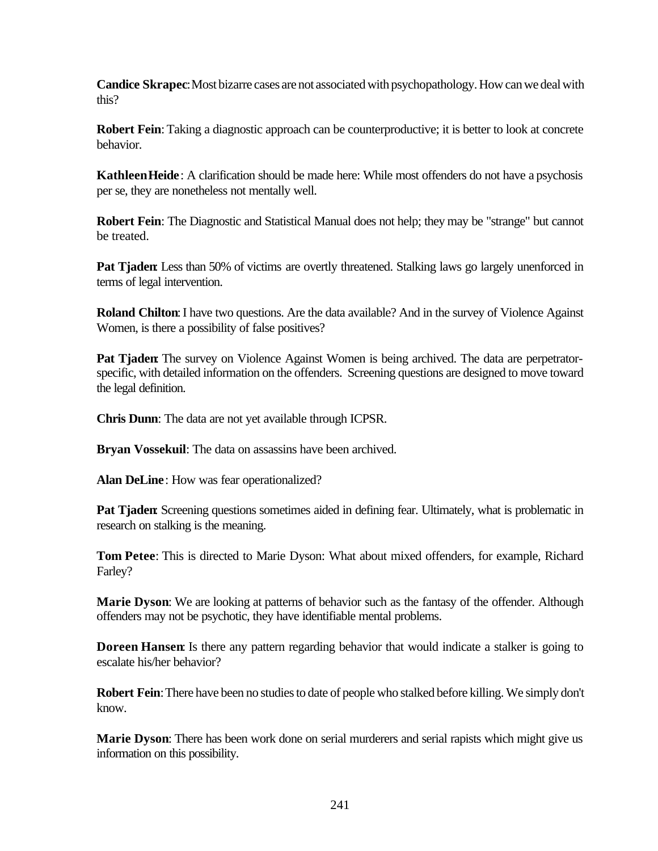**Candice Skrapec**: Most bizarre cases are not associated with psychopathology. How can we deal with this?

**Robert Fein**: Taking a diagnostic approach can be counterproductive; it is better to look at concrete behavior.

**Kathleen Heide**: A clarification should be made here: While most offenders do not have a psychosis per se, they are nonetheless not mentally well.

**Robert Fein**: The Diagnostic and Statistical Manual does not help; they may be "strange" but cannot be treated.

**Pat Tjaden:** Less than 50% of victims are overtly threatened. Stalking laws go largely unenforced in terms of legal intervention.

**Roland Chilton**: I have two questions. Are the data available? And in the survey of Violence Against Women, is there a possibility of false positives?

Pat Tjaden: The survey on Violence Against Women is being archived. The data are perpetratorspecific, with detailed information on the offenders. Screening questions are designed to move toward the legal definition.

**Chris Dunn**: The data are not yet available through ICPSR.

**Bryan Vossekuil**: The data on assassins have been archived.

**Alan DeLine**: How was fear operationalized?

**Pat Tjaden:** Screening questions sometimes aided in defining fear. Ultimately, what is problematic in research on stalking is the meaning.

**Tom Petee**: This is directed to Marie Dyson: What about mixed offenders, for example, Richard Farley?

**Marie Dyson**: We are looking at patterns of behavior such as the fantasy of the offender. Although offenders may not be psychotic, they have identifiable mental problems.

**Doreen Hansen:** Is there any pattern regarding behavior that would indicate a stalker is going to escalate his/her behavior?

**Robert Fein**: There have been no studies to date of people who stalked before killing. We simply don't know.

**Marie Dyson**: There has been work done on serial murderers and serial rapists which might give us information on this possibility.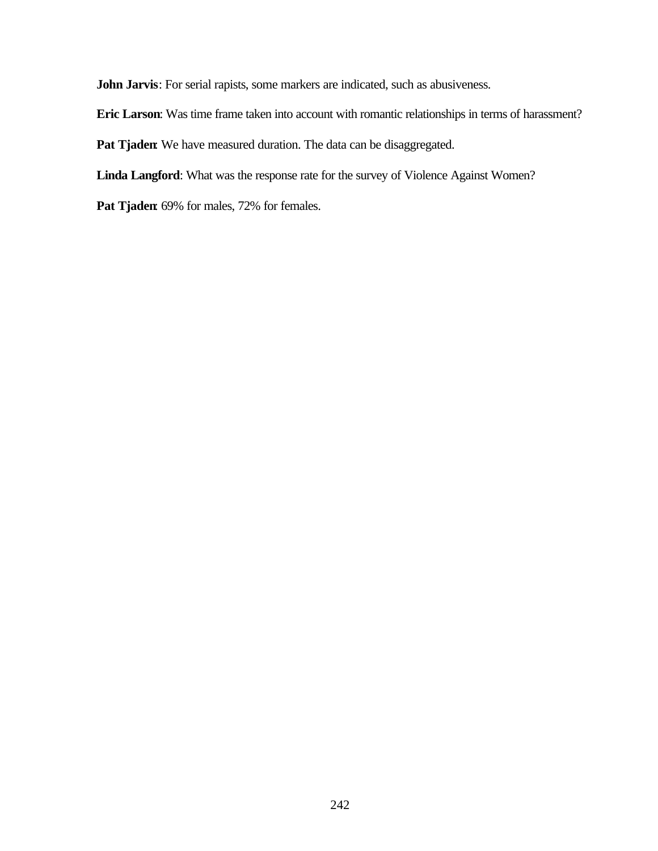**John Jarvis**: For serial rapists, some markers are indicated, such as abusiveness.

**Eric Larson**: Was time frame taken into account with romantic relationships in terms of harassment?

Pat Tjaden: We have measured duration. The data can be disaggregated.

**Linda Langford**: What was the response rate for the survey of Violence Against Women?

Pat Tjaden: 69% for males, 72% for females.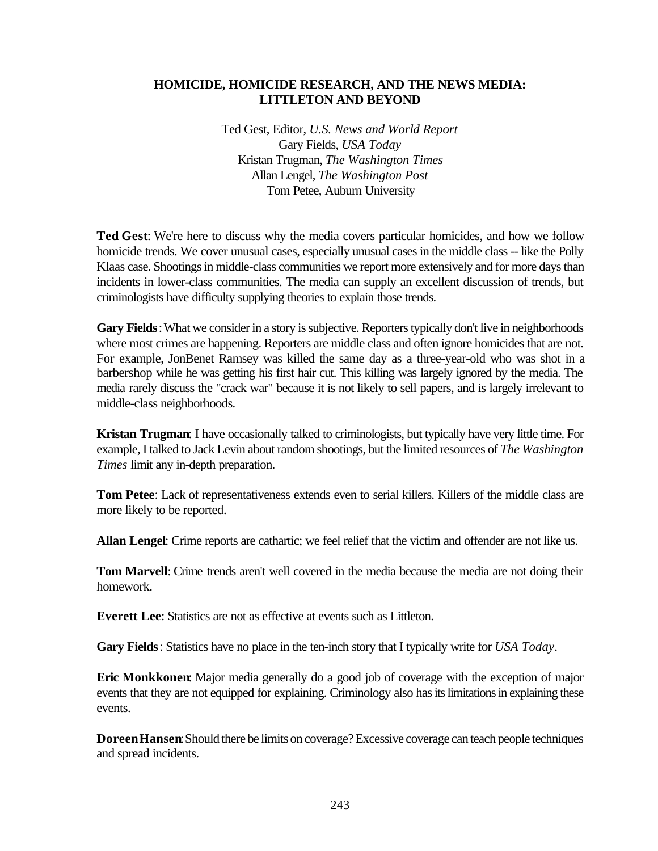## **HOMICIDE, HOMICIDE RESEARCH, AND THE NEWS MEDIA: LITTLETON AND BEYOND**

Ted Gest, Editor, *U.S. News and World Report* Gary Fields, *USA Today* Kristan Trugman, *The Washington Times* Allan Lengel, *The Washington Post* Tom Petee, Auburn University

**Ted Gest**: We're here to discuss why the media covers particular homicides, and how we follow homicide trends. We cover unusual cases, especially unusual cases in the middle class -- like the Polly Klaas case. Shootings in middle-class communities we report more extensively and for more days than incidents in lower-class communities. The media can supply an excellent discussion of trends, but criminologists have difficulty supplying theories to explain those trends.

Gary Fields: What we consider in a story is subjective. Reporters typically don't live in neighborhoods where most crimes are happening. Reporters are middle class and often ignore homicides that are not. For example, JonBenet Ramsey was killed the same day as a three-year-old who was shot in a barbershop while he was getting his first hair cut. This killing was largely ignored by the media. The media rarely discuss the "crack war" because it is not likely to sell papers, and is largely irrelevant to middle-class neighborhoods.

**Kristan Trugman**: I have occasionally talked to criminologists, but typically have very little time. For example, I talked to Jack Levin about random shootings, but the limited resources of *The Washington Times* limit any in-depth preparation.

**Tom Petee**: Lack of representativeness extends even to serial killers. Killers of the middle class are more likely to be reported.

**Allan Lengel**: Crime reports are cathartic; we feel relief that the victim and offender are not like us.

Tom Marvell: Crime trends aren't well covered in the media because the media are not doing their homework.

**Everett Lee**: Statistics are not as effective at events such as Littleton.

**Gary Fields**: Statistics have no place in the ten-inch story that I typically write for *USA Today*.

**Eric Monkkonen**: Major media generally do a good job of coverage with the exception of major events that they are not equipped for explaining. Criminology also has its limitations in explaining these events.

**Doreen Hansen:** Should there be limits on coverage? Excessive coverage can teach people techniques and spread incidents.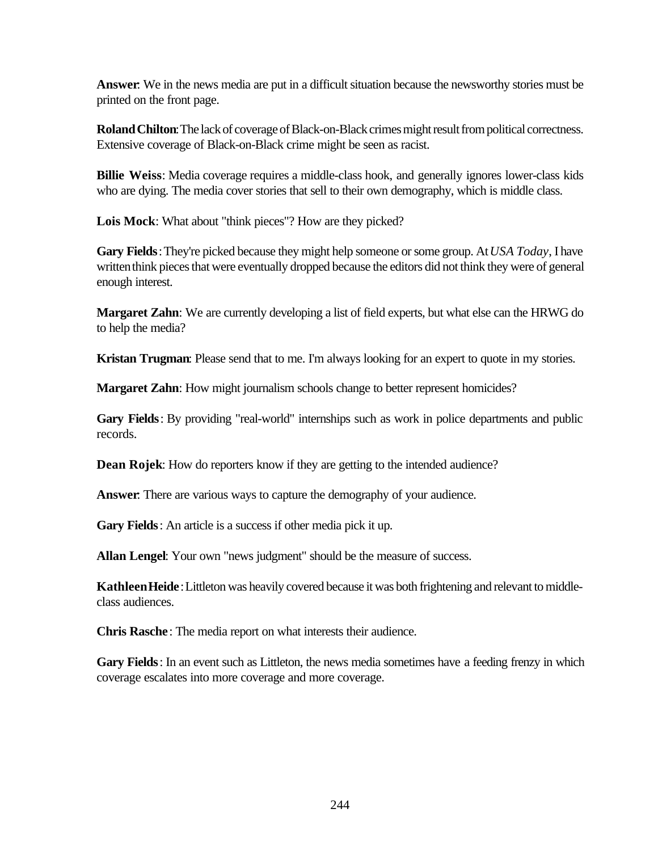**Answer**: We in the news media are put in a difficult situation because the newsworthy stories must be printed on the front page.

**Roland Chilton**: The lack of coverage of Black-on-Black crimes might result from political correctness. Extensive coverage of Black-on-Black crime might be seen as racist.

**Billie Weiss**: Media coverage requires a middle-class hook, and generally ignores lower-class kids who are dying. The media cover stories that sell to their own demography, which is middle class.

**Lois Mock**: What about "think pieces"? How are they picked?

**Gary Fields**: They're picked because they might help someone or some group. At *USA Today*, I have written think pieces that were eventually dropped because the editors did not think they were of general enough interest.

**Margaret Zahn**: We are currently developing a list of field experts, but what else can the HRWG do to help the media?

**Kristan Trugman**: Please send that to me. I'm always looking for an expert to quote in my stories.

**Margaret Zahn**: How might journalism schools change to better represent homicides?

Gary Fields: By providing "real-world" internships such as work in police departments and public records.

**Dean Rojek:** How do reporters know if they are getting to the intended audience?

**Answer**: There are various ways to capture the demography of your audience.

**Gary Fields**: An article is a success if other media pick it up.

**Allan Lengel**: Your own "news judgment" should be the measure of success.

**Kathleen Heide**: Littleton was heavily covered because it was both frightening and relevant to middleclass audiences.

**Chris Rasche**: The media report on what interests their audience.

**Gary Fields**: In an event such as Littleton, the news media sometimes have a feeding frenzy in which coverage escalates into more coverage and more coverage.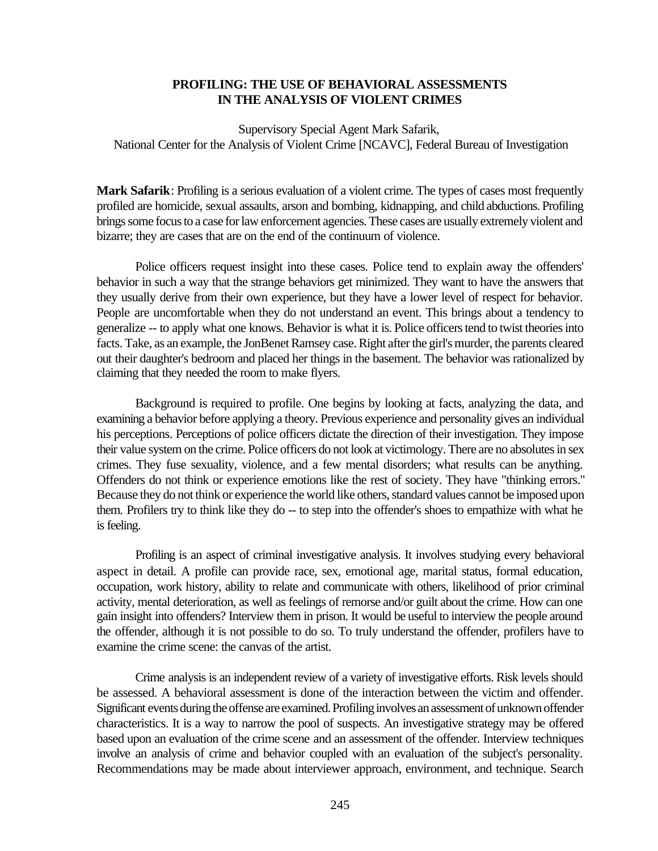## **PROFILING: THE USE OF BEHAVIORAL ASSESSMENTS IN THE ANALYSIS OF VIOLENT CRIMES**

Supervisory Special Agent Mark Safarik, National Center for the Analysis of Violent Crime [NCAVC], Federal Bureau of Investigation

**Mark Safarik**: Profiling is a serious evaluation of a violent crime. The types of cases most frequently profiled are homicide, sexual assaults, arson and bombing, kidnapping, and child abductions. Profiling brings some focus to a case for law enforcement agencies. These cases are usually extremely violent and bizarre; they are cases that are on the end of the continuum of violence.

Police officers request insight into these cases. Police tend to explain away the offenders' behavior in such a way that the strange behaviors get minimized. They want to have the answers that they usually derive from their own experience, but they have a lower level of respect for behavior. People are uncomfortable when they do not understand an event. This brings about a tendency to generalize -- to apply what one knows. Behavior is what it is. Police officers tend to twist theories into facts. Take, as an example, the JonBenet Ramsey case. Right after the girl's murder, the parents cleared out their daughter's bedroom and placed her things in the basement. The behavior was rationalized by claiming that they needed the room to make flyers.

Background is required to profile. One begins by looking at facts, analyzing the data, and examining a behavior before applying a theory. Previous experience and personality gives an individual his perceptions. Perceptions of police officers dictate the direction of their investigation. They impose their value system on the crime. Police officers do not look at victimology. There are no absolutes in sex crimes. They fuse sexuality, violence, and a few mental disorders; what results can be anything. Offenders do not think or experience emotions like the rest of society. They have "thinking errors." Because they do not think or experience the world like others, standard values cannot be imposed upon them. Profilers try to think like they do -- to step into the offender's shoes to empathize with what he is feeling.

Profiling is an aspect of criminal investigative analysis. It involves studying every behavioral aspect in detail. A profile can provide race, sex, emotional age, marital status, formal education, occupation, work history, ability to relate and communicate with others, likelihood of prior criminal activity, mental deterioration, as well as feelings of remorse and/or guilt about the crime. How can one gain insight into offenders? Interview them in prison. It would be useful to interview the people around the offender, although it is not possible to do so. To truly understand the offender, profilers have to examine the crime scene: the canvas of the artist.

Crime analysis is an independent review of a variety of investigative efforts. Risk levels should be assessed. A behavioral assessment is done of the interaction between the victim and offender. Significant events during the offense are examined. Profiling involves an assessment of unknown offender characteristics. It is a way to narrow the pool of suspects. An investigative strategy may be offered based upon an evaluation of the crime scene and an assessment of the offender. Interview techniques involve an analysis of crime and behavior coupled with an evaluation of the subject's personality. Recommendations may be made about interviewer approach, environment, and technique. Search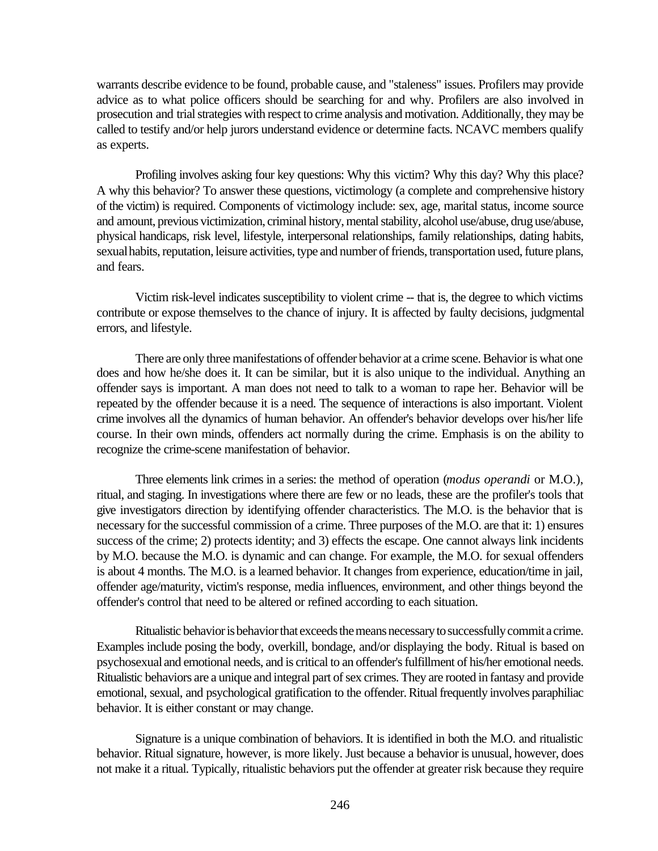warrants describe evidence to be found, probable cause, and "staleness" issues. Profilers may provide advice as to what police officers should be searching for and why. Profilers are also involved in prosecution and trial strategies with respect to crime analysis and motivation. Additionally, they may be called to testify and/or help jurors understand evidence or determine facts. NCAVC members qualify as experts.

Profiling involves asking four key questions: Why this victim? Why this day? Why this place? A why this behavior? To answer these questions, victimology (a complete and comprehensive history of the victim) is required. Components of victimology include: sex, age, marital status, income source and amount, previous victimization, criminal history, mental stability, alcohol use/abuse, drug use/abuse, physical handicaps, risk level, lifestyle, interpersonal relationships, family relationships, dating habits, sexual habits, reputation, leisure activities, type and number of friends, transportation used, future plans, and fears.

Victim risk-level indicates susceptibility to violent crime -- that is, the degree to which victims contribute or expose themselves to the chance of injury. It is affected by faulty decisions, judgmental errors, and lifestyle.

There are only three manifestations of offender behavior at a crime scene. Behavior is what one does and how he/she does it. It can be similar, but it is also unique to the individual. Anything an offender says is important. A man does not need to talk to a woman to rape her. Behavior will be repeated by the offender because it is a need. The sequence of interactions is also important. Violent crime involves all the dynamics of human behavior. An offender's behavior develops over his/her life course. In their own minds, offenders act normally during the crime. Emphasis is on the ability to recognize the crime-scene manifestation of behavior.

Three elements link crimes in a series: the method of operation (*modus operandi* or M.O.), ritual, and staging. In investigations where there are few or no leads, these are the profiler's tools that give investigators direction by identifying offender characteristics. The M.O. is the behavior that is necessary for the successful commission of a crime. Three purposes of the M.O. are that it: 1) ensures success of the crime; 2) protects identity; and 3) effects the escape. One cannot always link incidents by M.O. because the M.O. is dynamic and can change. For example, the M.O. for sexual offenders is about 4 months. The M.O. is a learned behavior. It changes from experience, education/time in jail, offender age/maturity, victim's response, media influences, environment, and other things beyond the offender's control that need to be altered or refined according to each situation.

Ritualistic behavior is behavior that exceeds the means necessary to successfully commit a crime. Examples include posing the body, overkill, bondage, and/or displaying the body. Ritual is based on psychosexual and emotional needs, and is critical to an offender's fulfillment of his/her emotional needs. Ritualistic behaviors are a unique and integral part of sex crimes. They are rooted in fantasy and provide emotional, sexual, and psychological gratification to the offender. Ritual frequently involves paraphiliac behavior. It is either constant or may change.

Signature is a unique combination of behaviors. It is identified in both the M.O. and ritualistic behavior. Ritual signature, however, is more likely. Just because a behavior is unusual, however, does not make it a ritual. Typically, ritualistic behaviors put the offender at greater risk because they require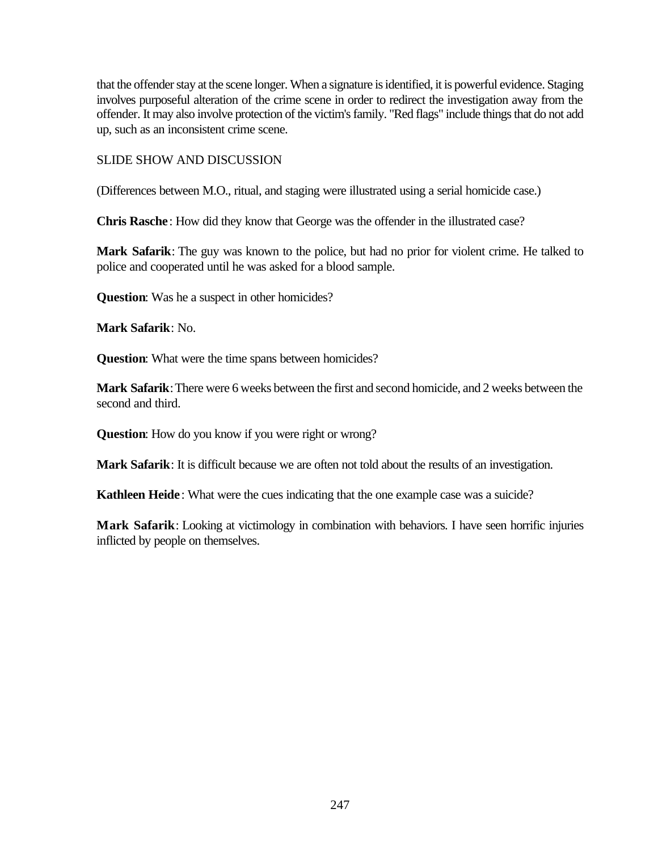that the offender stay at the scene longer. When a signature is identified, it is powerful evidence. Staging involves purposeful alteration of the crime scene in order to redirect the investigation away from the offender. It may also involve protection of the victim's family. "Red flags" include things that do not add up, such as an inconsistent crime scene.

SLIDE SHOW AND DISCUSSION

(Differences between M.O., ritual, and staging were illustrated using a serial homicide case.)

**Chris Rasche**: How did they know that George was the offender in the illustrated case?

**Mark Safarik**: The guy was known to the police, but had no prior for violent crime. He talked to police and cooperated until he was asked for a blood sample.

**Question**: Was he a suspect in other homicides?

**Mark Safarik**: No.

**Question**: What were the time spans between homicides?

**Mark Safarik**: There were 6 weeks between the first and second homicide, and 2 weeks between the second and third.

**Question:** How do you know if you were right or wrong?

**Mark Safarik**: It is difficult because we are often not told about the results of an investigation.

**Kathleen Heide**: What were the cues indicating that the one example case was a suicide?

**Mark Safarik**: Looking at victimology in combination with behaviors. I have seen horrific injuries inflicted by people on themselves.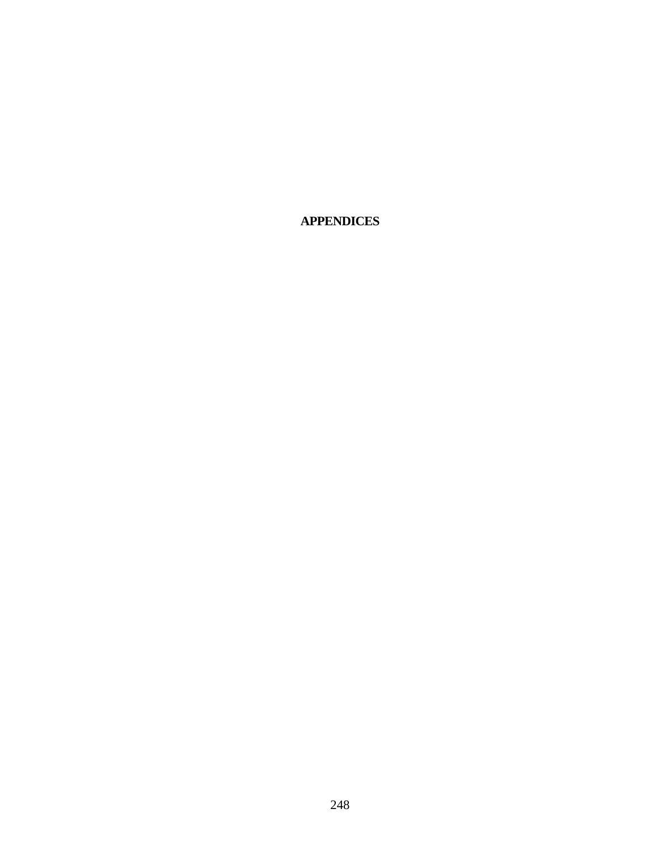**APPENDICES**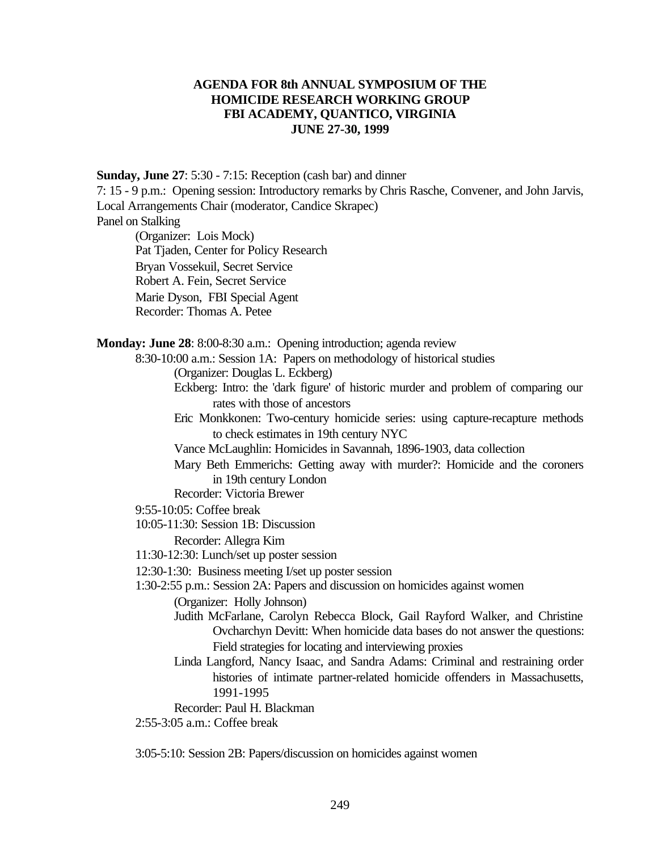## **AGENDA FOR 8th ANNUAL SYMPOSIUM OF THE HOMICIDE RESEARCH WORKING GROUP FBI ACADEMY, QUANTICO, VIRGINIA JUNE 27-30, 1999**

**Sunday, June 27**: 5:30 - 7:15: Reception (cash bar) and dinner

7: 15 - 9 p.m.: Opening session: Introductory remarks by Chris Rasche, Convener, and John Jarvis, Local Arrangements Chair (moderator, Candice Skrapec) Panel on Stalking

| (Organizer: Lois Mock)                 |
|----------------------------------------|
| Pat Tjaden, Center for Policy Research |
| Bryan Vossekuil, Secret Service        |
| Robert A. Fein, Secret Service         |
| Marie Dyson, FBI Special Agent         |
| Recorder: Thomas A. Petee              |

**Monday: June 28**: 8:00-8:30 a.m.: Opening introduction; agenda review

8:30-10:00 a.m.: Session 1A: Papers on methodology of historical studies

(Organizer: Douglas L. Eckberg)

- Eckberg: Intro: the 'dark figure' of historic murder and problem of comparing our rates with those of ancestors
- Eric Monkkonen: Two-century homicide series: using capture-recapture methods to check estimates in 19th century NYC
- Vance McLaughlin: Homicides in Savannah, 1896-1903, data collection
- Mary Beth Emmerichs: Getting away with murder?: Homicide and the coroners in 19th century London

Recorder: Victoria Brewer

- 9:55-10:05: Coffee break
- 10:05-11:30: Session 1B: Discussion

Recorder: Allegra Kim

- 11:30-12:30: Lunch/set up poster session
- 12:30-1:30: Business meeting I/set up poster session

1:30-2:55 p.m.: Session 2A: Papers and discussion on homicides against women

(Organizer: Holly Johnson)

- Judith McFarlane, Carolyn Rebecca Block, Gail Rayford Walker, and Christine Ovcharchyn Devitt: When homicide data bases do not answer the questions: Field strategies for locating and interviewing proxies
- Linda Langford, Nancy Isaac, and Sandra Adams: Criminal and restraining order histories of intimate partner-related homicide offenders in Massachusetts, 1991-1995
- Recorder: Paul H. Blackman
- 2:55-3:05 a.m.: Coffee break

3:05-5:10: Session 2B: Papers/discussion on homicides against women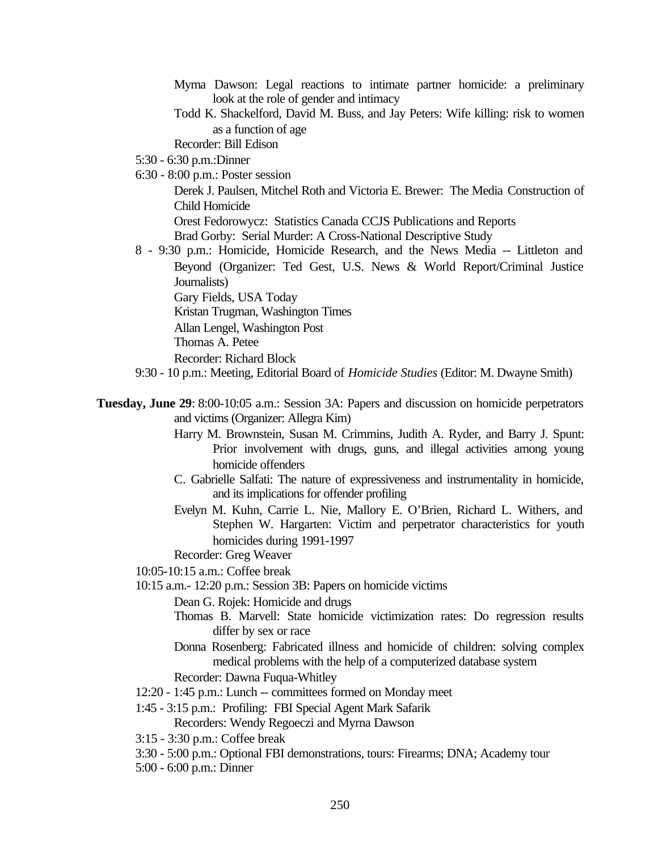- Myrna Dawson: Legal reactions to intimate partner homicide: a preliminary look at the role of gender and intimacy
- Todd K. Shackelford, David M. Buss, and Jay Peters: Wife killing: risk to women as a function of age
- Recorder: Bill Edison
- 5:30 6:30 p.m.:Dinner
- 6:30 8:00 p.m.: Poster session

Derek J. Paulsen, Mitchel Roth and Victoria E. Brewer: The Media Construction of Child Homicide

Orest Fedorowycz: Statistics Canada CCJS Publications and Reports Brad Gorby: Serial Murder: A Cross-National Descriptive Study

8 - 9:30 p.m.: Homicide, Homicide Research, and the News Media -- Littleton and Beyond (Organizer: Ted Gest, U.S. News & World Report/Criminal Justice Journalists)

Gary Fields, USA Today

Kristan Trugman, Washington Times

Allan Lengel, Washington Post

Thomas A. Petee

Recorder: Richard Block

- 9:30 10 p.m.: Meeting, Editorial Board of *Homicide Studies* (Editor: M. Dwayne Smith)
- **Tuesday, June 29**: 8:00-10:05 a.m.: Session 3A: Papers and discussion on homicide perpetrators and victims (Organizer: Allegra Kim)
	- Harry M. Brownstein, Susan M. Crimmins, Judith A. Ryder, and Barry J. Spunt: Prior involvement with drugs, guns, and illegal activities among young homicide offenders
	- C. Gabrielle Salfati: The nature of expressiveness and instrumentality in homicide, and its implications for offender profiling
	- Evelyn M. Kuhn, Carrie L. Nie, Mallory E. O'Brien, Richard L. Withers, and Stephen W. Hargarten: Victim and perpetrator characteristics for youth homicides during 1991-1997

Recorder: Greg Weaver

- 10:05-10:15 a.m.: Coffee break
- 10:15 a.m.- 12:20 p.m.: Session 3B: Papers on homicide victims

Dean G. Rojek: Homicide and drugs

- Thomas B. Marvell: State homicide victimization rates: Do regression results differ by sex or race
- Donna Rosenberg: Fabricated illness and homicide of children: solving complex medical problems with the help of a computerized database system

Recorder: Dawna Fuqua-Whitley

- 12:20 1:45 p.m.: Lunch -- committees formed on Monday meet
- 1:45 3:15 p.m.: Profiling: FBI Special Agent Mark Safarik Recorders: Wendy Regoeczi and Myrna Dawson
- 3:15 3:30 p.m.: Coffee break
- 3:30 5:00 p.m.: Optional FBI demonstrations, tours: Firearms; DNA; Academy tour
- 5:00 6:00 p.m.: Dinner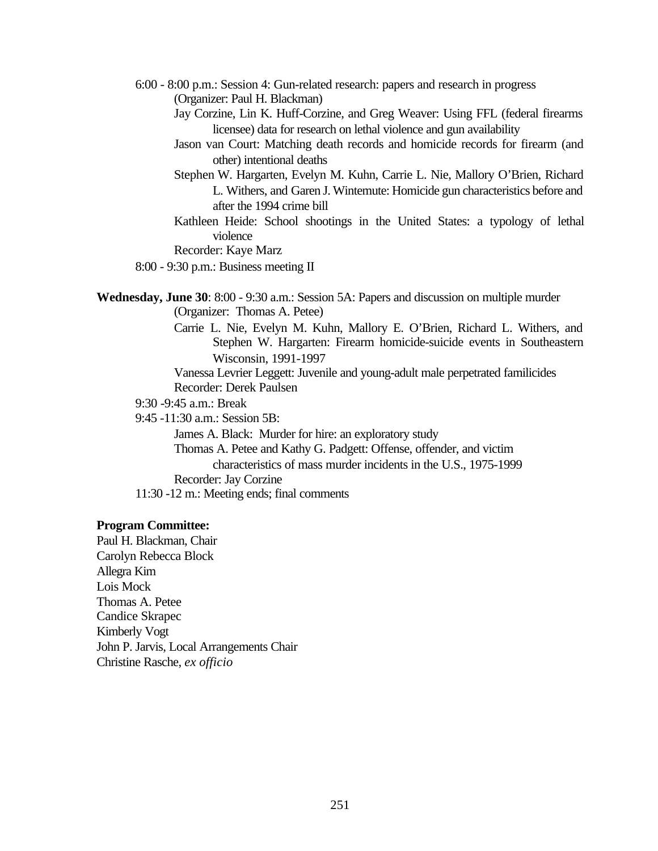- 6:00 8:00 p.m.: Session 4: Gun-related research: papers and research in progress (Organizer: Paul H. Blackman)
	- Jay Corzine, Lin K. Huff-Corzine, and Greg Weaver: Using FFL (federal firearms licensee) data for research on lethal violence and gun availability
	- Jason van Court: Matching death records and homicide records for firearm (and other) intentional deaths
	- Stephen W. Hargarten, Evelyn M. Kuhn, Carrie L. Nie, Mallory O'Brien, Richard L. Withers, and Garen J. Wintemute: Homicide gun characteristics before and after the 1994 crime bill
	- Kathleen Heide: School shootings in the United States: a typology of lethal violence

Recorder: Kaye Marz

8:00 - 9:30 p.m.: Business meeting II

**Wednesday, June 30**: 8:00 - 9:30 a.m.: Session 5A: Papers and discussion on multiple murder (Organizer: Thomas A. Petee)

> Carrie L. Nie, Evelyn M. Kuhn, Mallory E. O'Brien, Richard L. Withers, and Stephen W. Hargarten: Firearm homicide-suicide events in Southeastern Wisconsin, 1991-1997

Vanessa Levrier Leggett: Juvenile and young-adult male perpetrated familicides Recorder: Derek Paulsen

- 9:30 -9:45 a.m.: Break
- 9:45 -11:30 a.m.: Session 5B:

James A. Black: Murder for hire: an exploratory study

Thomas A. Petee and Kathy G. Padgett: Offense, offender, and victim

characteristics of mass murder incidents in the U.S., 1975-1999

Recorder: Jay Corzine

11:30 -12 m.: Meeting ends; final comments

## **Program Committee:**

Paul H. Blackman, Chair Carolyn Rebecca Block Allegra Kim Lois Mock Thomas A. Petee Candice Skrapec Kimberly Vogt John P. Jarvis, Local Arrangements Chair Christine Rasche, *ex officio*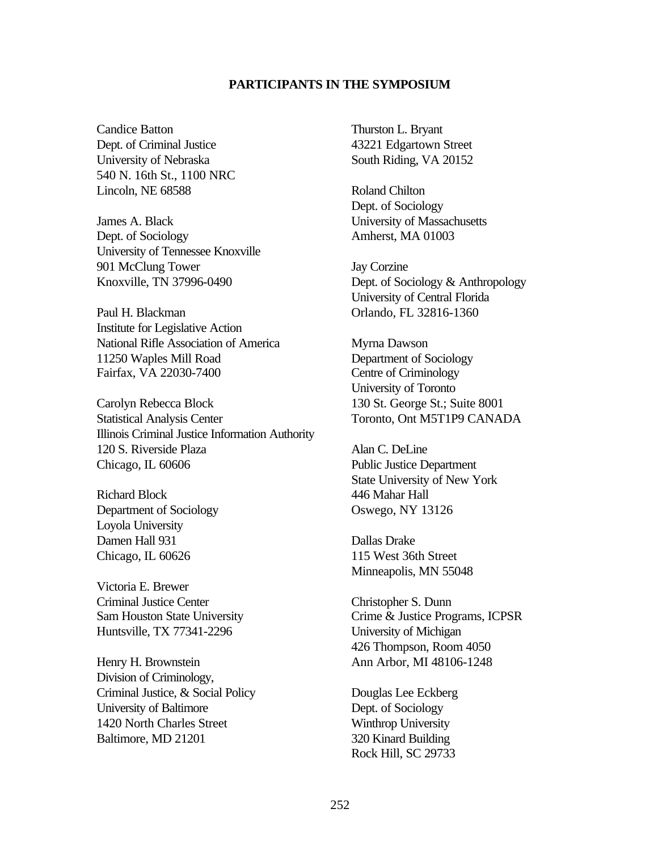## **PARTICIPANTS IN THE SYMPOSIUM**

Candice Batton Dept. of Criminal Justice University of Nebraska 540 N. 16th St., 1100 NRC Lincoln, NE 68588

James A. Black Dept. of Sociology University of Tennessee Knoxville 901 McClung Tower Knoxville, TN 37996-0490

Paul H. Blackman Institute for Legislative Action National Rifle Association of America 11250 Waples Mill Road Fairfax, VA 22030-7400

Carolyn Rebecca Block Statistical Analysis Center Illinois Criminal Justice Information Authority 120 S. Riverside Plaza Chicago, IL 60606

Richard Block Department of Sociology Loyola University Damen Hall 931 Chicago, IL 60626

Victoria E. Brewer Criminal Justice Center Sam Houston State University Huntsville, TX 77341-2296

Henry H. Brownstein Division of Criminology, Criminal Justice, & Social Policy University of Baltimore 1420 North Charles Street Baltimore, MD 21201

Thurston L. Bryant 43221 Edgartown Street South Riding, VA 20152

Roland Chilton Dept. of Sociology University of Massachusetts Amherst, MA 01003

Jay Corzine Dept. of Sociology & Anthropology University of Central Florida Orlando, FL 32816-1360

Myrna Dawson Department of Sociology Centre of Criminology University of Toronto 130 St. George St.; Suite 8001 Toronto, Ont M5T1P9 CANADA

Alan C. DeLine Public Justice Department State University of New York 446 Mahar Hall Oswego, NY 13126

Dallas Drake 115 West 36th Street Minneapolis, MN 55048

Christopher S. Dunn Crime & Justice Programs, ICPSR University of Michigan 426 Thompson, Room 4050 Ann Arbor, MI 48106-1248

Douglas Lee Eckberg Dept. of Sociology Winthrop University 320 Kinard Building Rock Hill, SC 29733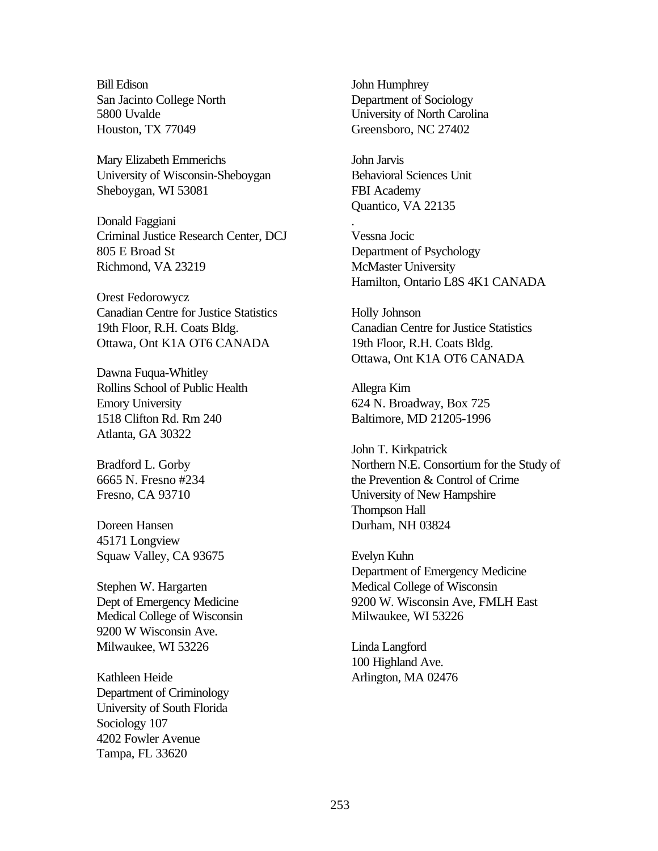Bill Edison San Jacinto College North 5800 Uvalde Houston, TX 77049

Mary Elizabeth Emmerichs University of Wisconsin-Sheboygan Sheboygan, WI 53081

Donald Faggiani Criminal Justice Research Center, DCJ 805 E Broad St Richmond, VA 23219

Orest Fedorowycz Canadian Centre for Justice Statistics 19th Floor, R.H. Coats Bldg. Ottawa, Ont K1A OT6 CANADA

Dawna Fuqua-Whitley Rollins School of Public Health Emory University 1518 Clifton Rd. Rm 240 Atlanta, GA 30322

Bradford L. Gorby 6665 N. Fresno #234 Fresno, CA 93710

Doreen Hansen 45171 Longview Squaw Valley, CA 93675

Stephen W. Hargarten Dept of Emergency Medicine Medical College of Wisconsin 9200 W Wisconsin Ave. Milwaukee, WI 53226

Kathleen Heide Department of Criminology University of South Florida Sociology 107 4202 Fowler Avenue Tampa, FL 33620

John Humphrey Department of Sociology University of North Carolina Greensboro, NC 27402

John Jarvis Behavioral Sciences Unit FBI Academy Quantico, VA 22135

.

Vessna Jocic Department of Psychology McMaster University Hamilton, Ontario L8S 4K1 CANADA

Holly Johnson Canadian Centre for Justice Statistics 19th Floor, R.H. Coats Bldg. Ottawa, Ont K1A OT6 CANADA

Allegra Kim 624 N. Broadway, Box 725 Baltimore, MD 21205-1996

John T. Kirkpatrick Northern N.E. Consortium for the Study of the Prevention & Control of Crime University of New Hampshire Thompson Hall Durham, NH 03824

Evelyn Kuhn Department of Emergency Medicine Medical College of Wisconsin 9200 W. Wisconsin Ave, FMLH East Milwaukee, WI 53226

Linda Langford 100 Highland Ave. Arlington, MA 02476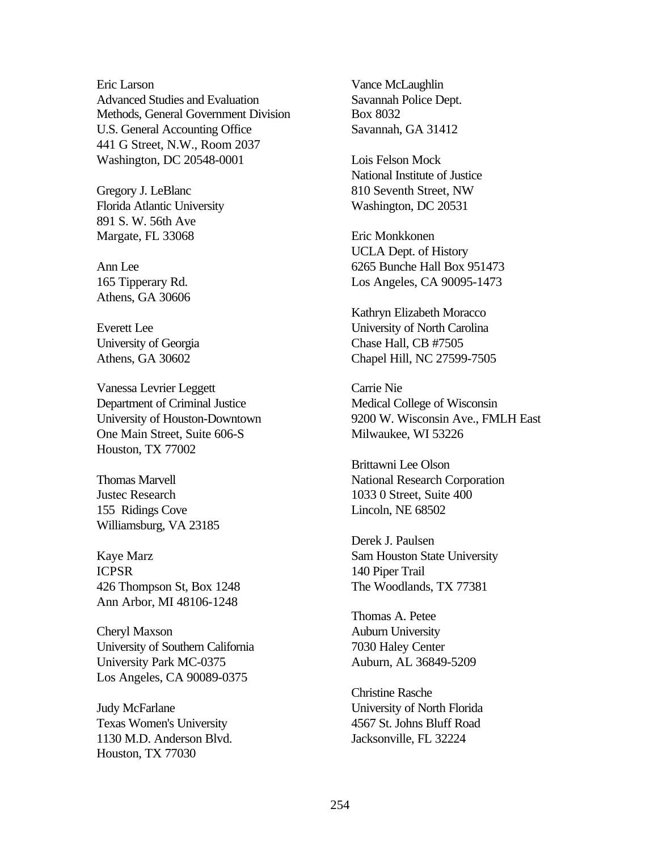Eric Larson Advanced Studies and Evaluation Methods, General Government Division U.S. General Accounting Office 441 G Street, N.W., Room 2037 Washington, DC 20548-0001

Gregory J. LeBlanc Florida Atlantic University 891 S. W. 56th Ave Margate, FL 33068

Ann Lee 165 Tipperary Rd. Athens, GA 30606

Everett Lee University of Georgia Athens, GA 30602

Vanessa Levrier Leggett Department of Criminal Justice University of Houston-Downtown One Main Street, Suite 606-S Houston, TX 77002

Thomas Marvell Justec Research 155 Ridings Cove Williamsburg, VA 23185

Kaye Marz ICPSR 426 Thompson St, Box 1248 Ann Arbor, MI 48106-1248

Cheryl Maxson University of Southern California University Park MC-0375 Los Angeles, CA 90089-0375

Judy McFarlane Texas Women's University 1130 M.D. Anderson Blvd. Houston, TX 77030

Vance McLaughlin Savannah Police Dept. Box 8032 Savannah, GA 31412

Lois Felson Mock National Institute of Justice 810 Seventh Street, NW Washington, DC 20531

Eric Monkkonen UCLA Dept. of History 6265 Bunche Hall Box 951473 Los Angeles, CA 90095-1473

Kathryn Elizabeth Moracco University of North Carolina Chase Hall, CB #7505 Chapel Hill, NC 27599-7505

Carrie Nie Medical College of Wisconsin 9200 W. Wisconsin Ave., FMLH East Milwaukee, WI 53226

Brittawni Lee Olson National Research Corporation 1033 0 Street, Suite 400 Lincoln, NE 68502

Derek J. Paulsen Sam Houston State University 140 Piper Trail The Woodlands, TX 77381

Thomas A. Petee Auburn University 7030 Haley Center Auburn, AL 36849-5209

Christine Rasche University of North Florida 4567 St. Johns Bluff Road Jacksonville, FL 32224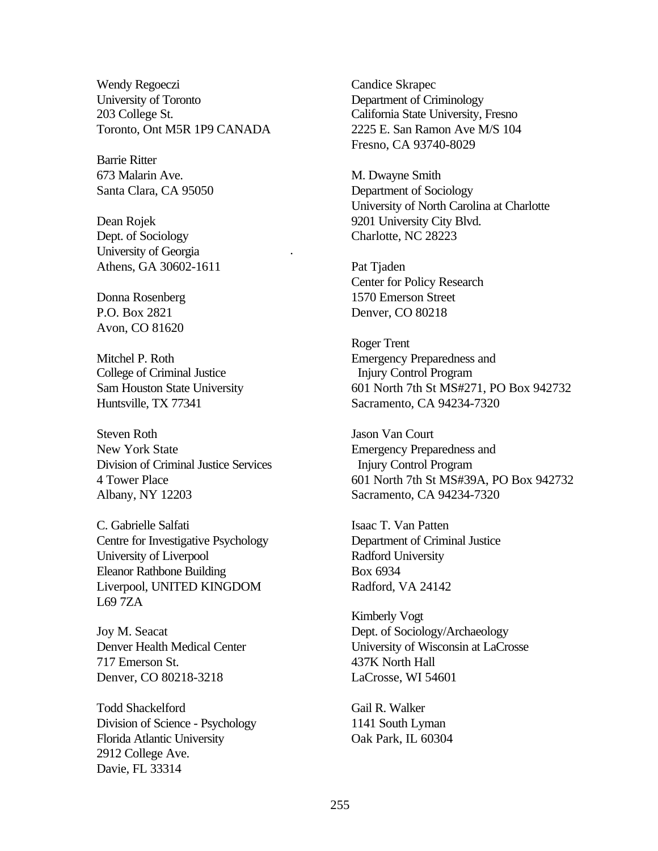Wendy Regoeczi University of Toronto 203 College St. Toronto, Ont M5R 1P9 CANADA

Barrie Ritter 673 Malarin Ave. Santa Clara, CA 95050

Dean Rojek Dept. of Sociology University of Georgia . Athens, GA 30602-1611

Donna Rosenberg P.O. Box 2821 Avon, CO 81620

Mitchel P. Roth College of Criminal Justice Sam Houston State University Huntsville, TX 77341

Steven Roth New York State Division of Criminal Justice Services 4 Tower Place Albany, NY 12203

C. Gabrielle Salfati Centre for Investigative Psychology University of Liverpool Eleanor Rathbone Building Liverpool, UNITED KINGDOM L69 7ZA

Joy M. Seacat Denver Health Medical Center 717 Emerson St. Denver, CO 80218-3218

Todd Shackelford Division of Science - Psychology Florida Atlantic University 2912 College Ave. Davie, FL 33314

Candice Skrapec Department of Criminology California State University, Fresno 2225 E. San Ramon Ave M/S 104 Fresno, CA 93740-8029

M. Dwayne Smith Department of Sociology University of North Carolina at Charlotte 9201 University City Blvd. Charlotte, NC 28223

Pat Tjaden Center for Policy Research 1570 Emerson Street Denver, CO 80218

Roger Trent Emergency Preparedness and Injury Control Program 601 North 7th St MS#271, PO Box 942732 Sacramento, CA 94234-7320

Jason Van Court Emergency Preparedness and Injury Control Program 601 North 7th St MS#39A, PO Box 942732 Sacramento, CA 94234-7320

Isaac T. Van Patten Department of Criminal Justice Radford University Box 6934 Radford, VA 24142

Kimberly Vogt Dept. of Sociology/Archaeology University of Wisconsin at LaCrosse 437K North Hall LaCrosse, WI 54601

Gail R. Walker 1141 South Lyman Oak Park, IL 60304